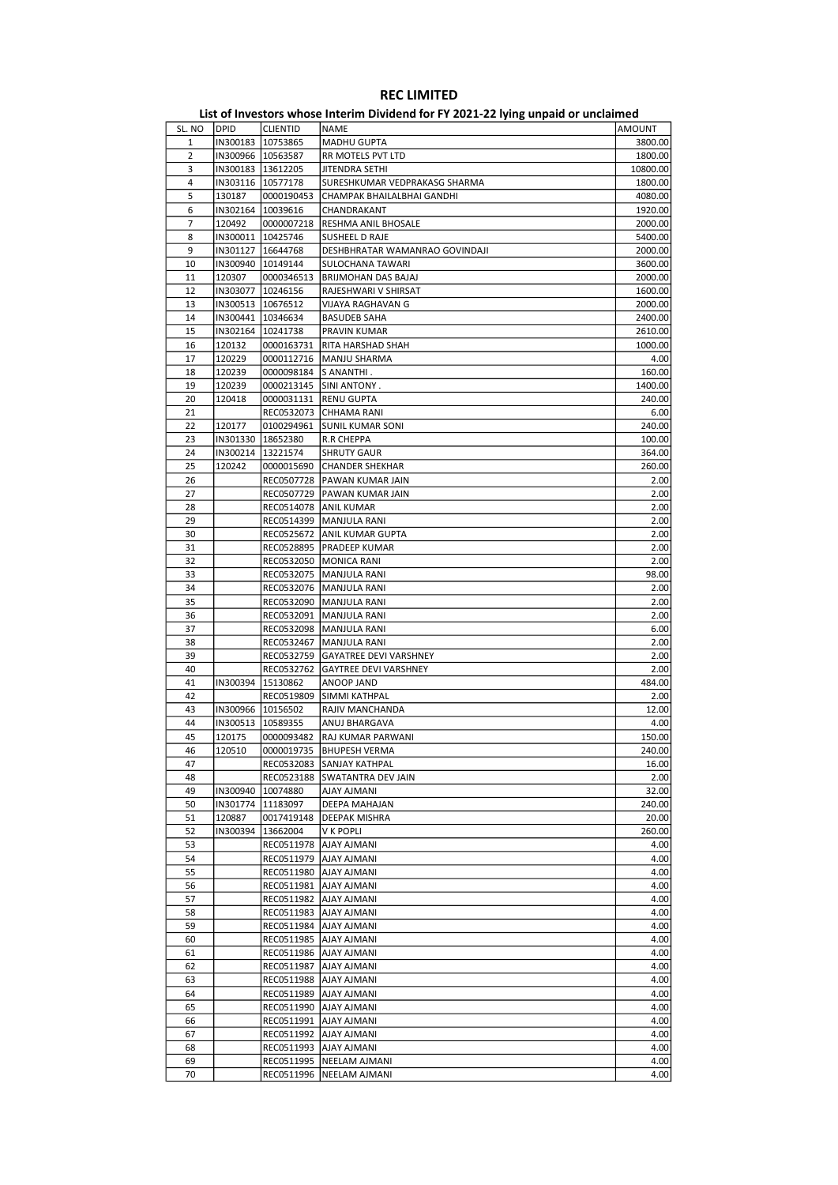| SL. NO | <b>DPID</b> | CLIENTID            | NAME                              | AMOUNT   |
|--------|-------------|---------------------|-----------------------------------|----------|
| 1      |             | IN300183   10753865 | MADHU GUPTA                       | 3800.00  |
| 2      |             | IN300966 10563587   | RR MOTELS PVT LTD                 | 1800.00  |
| 3      |             | IN300183   13612205 | JITENDRA SETHI                    | 10800.00 |
| 4      |             | IN303116   10577178 | SURESHKUMAR VEDPRAKASG SHARMA     | 1800.00  |
| 5      | 130187      | 0000190453          | CHAMPAK BHAILALBHAI GANDHI        | 4080.00  |
| 6      |             | IN302164   10039616 | CHANDRAKANT                       | 1920.00  |
|        |             |                     |                                   |          |
| 7      | 120492      | 0000007218          | RESHMA ANIL BHOSALE               | 2000.00  |
| 8      |             | IN300011   10425746 | SUSHEEL D RAJE                    | 5400.00  |
| 9      |             | IN301127   16644768 | DESHBHRATAR WAMANRAO GOVINDAJI    | 2000.00  |
| 10     |             | IN300940   10149144 | SULOCHANA TAWARI                  | 3600.00  |
| 11     | 120307      | 0000346513          | BRIJMOHAN DAS BAJAJ               | 2000.00  |
| 12     |             | IN303077   10246156 | RAJESHWARI V SHIRSAT              | 1600.00  |
| 13     |             | IN300513   10676512 | VIJAYA RAGHAVAN G                 | 2000.00  |
| 14     |             | IN300441   10346634 | <b>BASUDEB SAHA</b>               | 2400.00  |
| 15     |             | IN302164   10241738 | PRAVIN KUMAR                      | 2610.00  |
| 16     | 120132      | 0000163731          | RITA HARSHAD SHAH                 | 1000.00  |
| 17     | 120229      | 0000112716          | MANJU SHARMA                      | 4.00     |
|        |             |                     |                                   |          |
| 18     | 120239      | 0000098184          | IS ANANTHI .                      | 160.00   |
| 19     | 120239      |                     | 0000213145 SINI ANTONY.           | 1400.00  |
| 20     | 120418      |                     | 0000031131 RENU GUPTA             | 240.00   |
| 21     |             | REC0532073          | CHHAMA RANI                       | 6.00     |
| 22     | 120177      | 0100294961          | SUNIL KUMAR SONI                  | 240.00   |
| 23     |             | IN301330   18652380 | R.R CHEPPA                        | 100.00   |
| 24     |             | IN300214 13221574   | <b>SHRUTY GAUR</b>                | 364.00   |
| 25     | 120242      |                     | 0000015690 CHANDER SHEKHAR        | 260.00   |
| 26     |             | REC0507728          | PAWAN KUMAR JAIN                  | 2.00     |
| 27     |             |                     | REC0507729   PAWAN KUMAR JAIN     | 2.00     |
|        |             |                     |                                   |          |
| 28     |             |                     | REC0514078   ANIL KUMAR           | 2.00     |
| 29     |             |                     | REC0514399   MANJULA RANI         | 2.00     |
| 30     |             |                     | REC0525672   ANIL KUMAR GUPTA     | 2.00     |
| 31     |             | REC0528895          | PRADEEP KUMAR                     | 2.00     |
| 32     |             |                     | REC0532050   MONICA RANI          | 2.00     |
| 33     |             |                     | REC0532075   MANJULA RANI         | 98.00    |
| 34     |             |                     | REC0532076   MANJULA RANI         | 2.00     |
| 35     |             |                     | REC0532090   MANJULA RANI         | 2.00     |
| 36     |             | REC0532091          | MANJULA RANI                      | 2.00     |
| 37     |             |                     | REC0532098   MANJULA RANI         | 6.00     |
| 38     |             |                     | REC0532467   MANJULA RANI         | 2.00     |
| 39     |             |                     |                                   |          |
|        |             |                     | REC0532759 GAYATREE DEVI VARSHNEY | 2.00     |
| 40     |             | REC0532762          | <b>GAYTREE DEVI VARSHNEY</b>      | 2.00     |
| 41     | IN300394    | 15130862            | ANOOP JAND                        | 484.00   |
| 42     |             | REC0519809          | SIMMI KATHPAL                     | 2.00     |
| 43     |             | IN300966   10156502 | RAJIV MANCHANDA                   | 12.00    |
| 44     |             | IN300513   10589355 | ANUJ BHARGAVA                     | 4.00     |
| 45     | 120175      | 0000093482          | RAJ KUMAR PARWANI                 | 150.00   |
| 46     | 120510      |                     | 0000019735  BHUPESH VERMA         | 240.00   |
| 47     |             |                     | REC0532083 SANJAY KATHPAL         | 16.00    |
| 48     |             |                     | REC0523188 SWATANTRA DEV JAIN     | 2.00     |
| 49     |             | IN300940   10074880 | AJAY AJMANI                       | 32.00    |
| 50     |             | IN301774 11183097   | DEEPA MAHAJAN                     | 240.00   |
|        |             |                     |                                   |          |
| 51     | 120887      | 0017419148          | DEEPAK MISHRA                     | 20.00    |
| 52     | IN300394    | 13662004            | V K POPLI                         | 260.00   |
| 53     |             |                     | REC0511978   AJAY AJMANI          | 4.00     |
| 54     |             |                     | REC0511979 AJAY AJMANI            | 4.00     |
| 55     |             | REC0511980          | <b>AJAY AJMANI</b>                | 4.00     |
| 56     |             | REC0511981          | <b>AJAY AJMANI</b>                | 4.00     |
| 57     |             |                     | REC0511982   AJAY AJMANI          | 4.00     |
| 58     |             |                     | REC0511983   AJAY AJMANI          | 4.00     |
| 59     |             | REC0511984          | AJAY AJMANI                       | 4.00     |
| 60     |             | REC0511985          | <b>AJAY AJMANI</b>                | 4.00     |
| 61     |             | REC0511986          | AJAY AJMANI                       | 4.00     |
|        |             |                     |                                   |          |
| 62     |             | REC0511987          | <b>AJAY AJMANI</b>                | 4.00     |
| 63     |             |                     | REC0511988   AJAY AJMANI          | 4.00     |
| 64     |             | REC0511989          | AJAY AJMANI                       | 4.00     |
| 65     |             | REC0511990          | <b>AJAY AJMANI</b>                | 4.00     |
| 66     |             | REC0511991          | AJAY AJMANI                       | 4.00     |
| 67     |             | REC0511992          | AJAY AJMANI                       | 4.00     |
| 68     |             |                     | REC0511993   AJAY AJMANI          | 4.00     |
| 69     |             | REC0511995          | NEELAM AJMANI                     | 4.00     |
|        |             |                     | NEELAM AJMANI                     | 4.00     |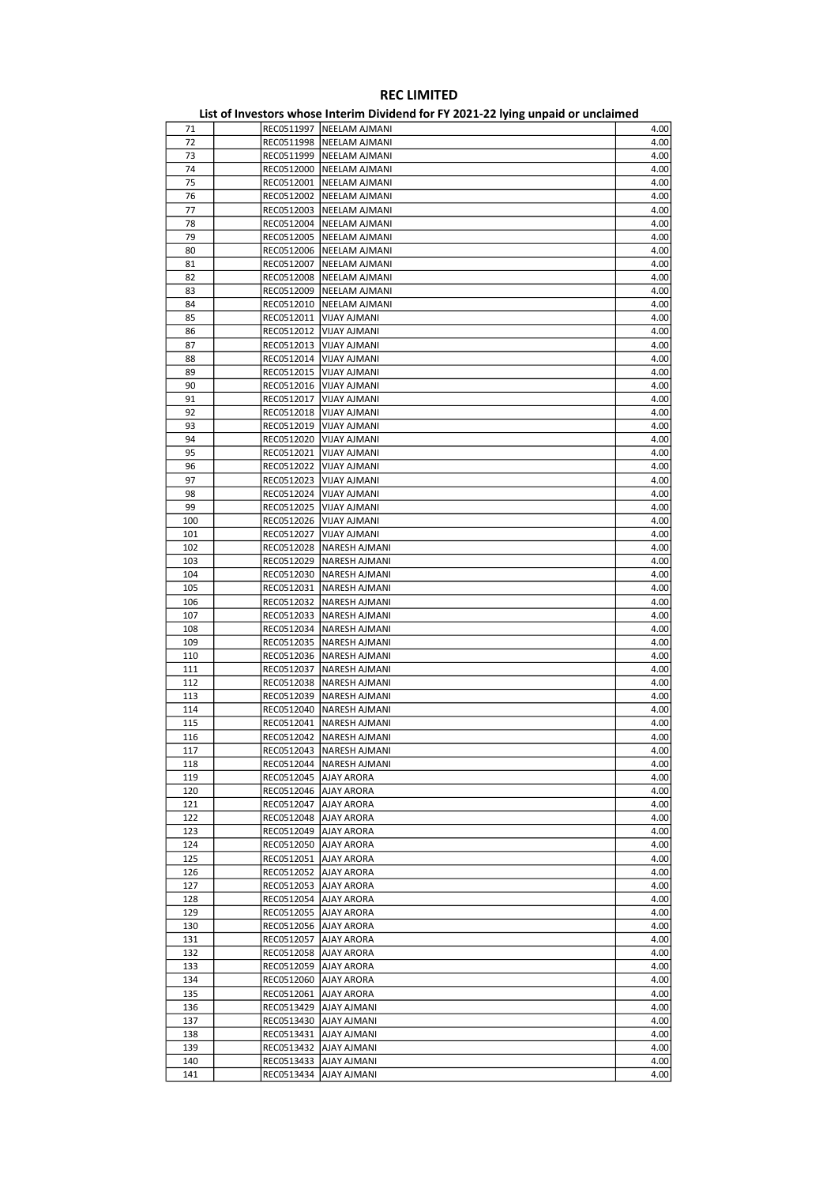| 71  |                         | REC0511997   NEELAM AJMANI | 4.00 |
|-----|-------------------------|----------------------------|------|
| 72  |                         | REC0511998   NEELAM AJMANI | 4.00 |
|     |                         |                            |      |
| 73  |                         | REC0511999   NEELAM AJMANI | 4.00 |
| 74  |                         | REC0512000   NEELAM AJMANI | 4.00 |
| 75  |                         | REC0512001   NEELAM AJMANI | 4.00 |
| 76  |                         |                            | 4.00 |
|     |                         | REC0512002   NEELAM AJMANI |      |
| 77  |                         | REC0512003   NEELAM AJMANI | 4.00 |
| 78  |                         | REC0512004   NEELAM AJMANI | 4.00 |
| 79  |                         |                            |      |
|     |                         | REC0512005   NEELAM AJMANI | 4.00 |
| 80  |                         | REC0512006   NEELAM AJMANI | 4.00 |
| 81  |                         | REC0512007   NEELAM AJMANI | 4.00 |
| 82  |                         |                            | 4.00 |
|     |                         | REC0512008   NEELAM AJMANI |      |
| 83  |                         | REC0512009   NEELAM AJMANI | 4.00 |
| 84  |                         | REC0512010   NEELAM AJMANI | 4.00 |
| 85  |                         | REC0512011   VIJAY AJMANI  | 4.00 |
|     |                         |                            |      |
| 86  |                         | REC0512012   VIJAY AJMANI  | 4.00 |
| 87  | REC0512013              | VIJAY AJMANI               | 4.00 |
| 88  |                         | REC0512014   VIJAY AJMANI  | 4.00 |
|     |                         |                            |      |
| 89  |                         | REC0512015   VIJAY AJMANI  | 4.00 |
| 90  |                         | REC0512016   VIJAY AJMANI  | 4.00 |
| 91  |                         | REC0512017   VIJAY AJMANI  | 4.00 |
|     |                         |                            |      |
| 92  | REC0512018              | VIJAY AJMANI               | 4.00 |
| 93  |                         | REC0512019   VIJAY AJMANI  | 4.00 |
| 94  |                         | REC0512020   VIJAY AJMANI  | 4.00 |
|     |                         |                            |      |
| 95  |                         | REC0512021   VIJAY AJMANI  | 4.00 |
| 96  |                         | REC0512022   VIJAY AJMANI  | 4.00 |
| 97  |                         | REC0512023   VIJAY AJMANI  | 4.00 |
|     |                         |                            |      |
| 98  |                         | REC0512024 VIJAY AJMANI    | 4.00 |
| 99  |                         | REC0512025   VIJAY AJMANI  | 4.00 |
| 100 |                         | REC0512026   VIJAY AJMANI  | 4.00 |
|     |                         |                            |      |
| 101 |                         | REC0512027   VIJAY AJMANI  | 4.00 |
| 102 |                         | REC0512028   NARESH AJMANI | 4.00 |
| 103 |                         | REC0512029   NARESH AJMANI | 4.00 |
|     |                         |                            |      |
| 104 |                         | REC0512030   NARESH AJMANI | 4.00 |
| 105 |                         | REC0512031   NARESH AJMANI | 4.00 |
| 106 |                         | REC0512032   NARESH AJMANI | 4.00 |
|     |                         |                            |      |
| 107 |                         | REC0512033   NARESH AJMANI | 4.00 |
| 108 |                         | REC0512034   NARESH AJMANI | 4.00 |
| 109 |                         | REC0512035   NARESH AJMANI | 4.00 |
|     |                         |                            |      |
| 110 |                         | REC0512036   NARESH AJMANI | 4.00 |
| 111 |                         | REC0512037   NARESH AJMANI | 4.00 |
| 112 |                         | REC0512038   NARESH AJMANI | 4.00 |
|     |                         |                            |      |
| 113 |                         | REC0512039   NARESH AJMANI | 4.00 |
| 114 |                         | REC0512040   NARESH AJMANI | 4.00 |
| 115 |                         | REC0512041   NARESH AJMANI | 4.00 |
|     |                         | REC0512042 NARESH AJMANI   | 4.00 |
| 116 |                         |                            |      |
| 117 |                         | REC0512043 NARESH AJMANI   | 4.00 |
| 118 |                         | REC0512044   NARESH AJMANI | 4.00 |
| 119 | REC0512045   AJAY ARORA |                            | 4.00 |
|     |                         |                            |      |
| 120 | REC0512046   AJAY ARORA |                            | 4.00 |
| 121 | REC0512047   AJAY ARORA |                            | 4.00 |
| 122 | REC0512048   AJAY ARORA |                            | 4.00 |
|     |                         |                            |      |
| 123 | REC0512049   AJAY ARORA |                            | 4.00 |
| 124 | REC0512050   AJAY ARORA |                            | 4.00 |
| 125 | REC0512051 AJAY ARORA   |                            | 4.00 |
|     |                         |                            |      |
| 126 | REC0512052   AJAY ARORA |                            | 4.00 |
| 127 | REC0512053   AJAY ARORA |                            | 4.00 |
| 128 | REC0512054   AJAY ARORA |                            | 4.00 |
| 129 | REC0512055   AJAY ARORA |                            | 4.00 |
|     |                         |                            |      |
| 130 | REC0512056   AJAY ARORA |                            | 4.00 |
| 131 | REC0512057   AJAY ARORA |                            | 4.00 |
| 132 | REC0512058   AJAY ARORA |                            | 4.00 |
|     |                         |                            |      |
| 133 | REC0512059   AJAY ARORA |                            | 4.00 |
| 134 | REC0512060   AJAY ARORA |                            | 4.00 |
| 135 | REC0512061   AJAY ARORA |                            | 4.00 |
|     |                         |                            |      |
| 136 |                         | REC0513429   AJAY AJMANI   | 4.00 |
| 137 |                         | REC0513430   AJAY AJMANI   | 4.00 |
| 138 |                         | REC0513431   AJAY AJMANI   | 4.00 |
|     |                         |                            |      |
| 139 |                         | REC0513432  AJAY AJMANI    | 4.00 |
| 140 |                         | REC0513433   AJAY AJMANI   | 4.00 |
| 141 |                         | REC0513434 AJAY AJMANI     | 4.00 |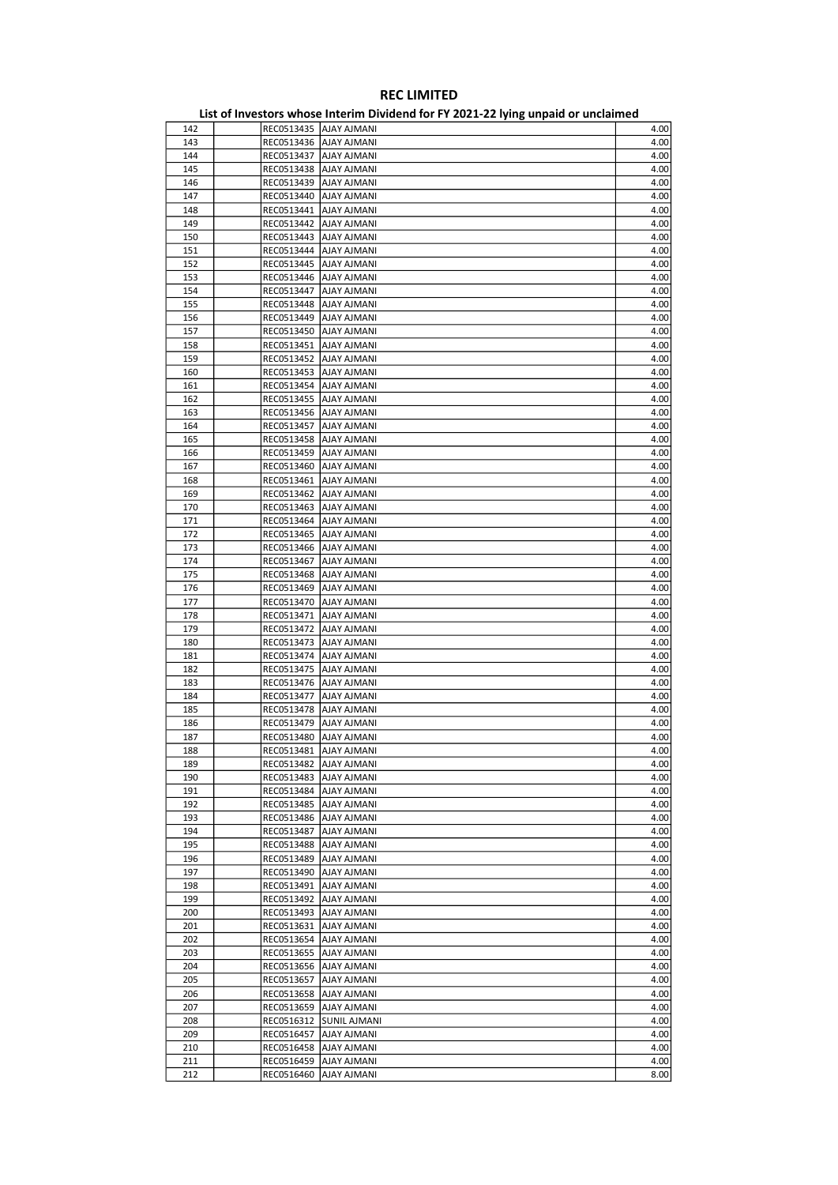|     |                          | List of investors whose internit Dividend for FT 2021-22 fying unpaid of unclaimed |      |
|-----|--------------------------|------------------------------------------------------------------------------------|------|
| 142 |                          | REC0513435 AJAY AJMANI                                                             | 4.00 |
| 143 |                          | REC0513436   AJAY AJMANI                                                           | 4.00 |
| 144 | REC0513437   AJAY AJMANI |                                                                                    | 4.00 |
| 145 |                          | REC0513438   AJAY AJMANI                                                           | 4.00 |
| 146 | REC0513439               | <b>AJAY AJMANI</b>                                                                 | 4.00 |
| 147 | REC0513440               | <b>AJAY AJMANI</b>                                                                 | 4.00 |
|     |                          |                                                                                    |      |
| 148 | REC0513441               | AJAY AJMANI                                                                        | 4.00 |
| 149 | REC0513442               | AJAY AJMANI                                                                        | 4.00 |
| 150 | REC0513443               | <b>AJAY AJMANI</b>                                                                 | 4.00 |
| 151 | REC0513444               | <b>AJAY AJMANI</b>                                                                 | 4.00 |
| 152 | REC0513445   AJAY AJMANI |                                                                                    | 4.00 |
| 153 | REC0513446               | AJAY AJMANI                                                                        | 4.00 |
| 154 | REC0513447               | AJAY AJMANI                                                                        | 4.00 |
| 155 | REC0513448               | AJAY AJMANI                                                                        | 4.00 |
| 156 | REC0513449               | <b>AJAY AJMANI</b>                                                                 | 4.00 |
| 157 | REC0513450               | AJAY AJMANI                                                                        | 4.00 |
|     |                          |                                                                                    |      |
| 158 | REC0513451               | AJAY AJMANI                                                                        | 4.00 |
| 159 | REC0513452               | <b>AJAY AJMANI</b>                                                                 | 4.00 |
| 160 | REC0513453               | <b>AJAY AJMANI</b>                                                                 | 4.00 |
| 161 | REC0513454               | AJAY AJMANI                                                                        | 4.00 |
| 162 | REC0513455   AJAY AJMANI |                                                                                    | 4.00 |
| 163 | REC0513456               | <b>AJAY AJMANI</b>                                                                 | 4.00 |
| 164 | REC0513457               | <b>AJAY AJMANI</b>                                                                 | 4.00 |
| 165 | REC0513458               | <b>AJAY AJMANI</b>                                                                 | 4.00 |
| 166 | REC0513459               | AJAY AJMANI                                                                        | 4.00 |
| 167 | REC0513460               | AJAY AJMANI                                                                        | 4.00 |
|     |                          |                                                                                    |      |
| 168 | REC0513461               | <b>AJAY AJMANI</b>                                                                 | 4.00 |
| 169 | REC0513462               | AJAY AJMANI                                                                        | 4.00 |
| 170 | REC0513463               | <b>AJAY AJMANI</b>                                                                 | 4.00 |
| 171 | REC0513464               | <b>AJAY AJMANI</b>                                                                 | 4.00 |
| 172 | REC0513465               | AJAY AJMANI                                                                        | 4.00 |
| 173 | REC0513466               | <b>AJAY AJMANI</b>                                                                 | 4.00 |
| 174 | REC0513467               | AJAY AJMANI                                                                        | 4.00 |
| 175 | REC0513468               | <b>AJAY AJMANI</b>                                                                 | 4.00 |
| 176 | REC0513469               | <b>AJAY AJMANI</b>                                                                 | 4.00 |
| 177 | REC0513470               | AJAY AJMANI                                                                        | 4.00 |
| 178 | REC0513471               | <b>AJAY AJMANI</b>                                                                 | 4.00 |
|     |                          |                                                                                    |      |
| 179 | REC0513472               | AJAY AJMANI                                                                        | 4.00 |
| 180 | REC0513473               | <b>AJAY AJMANI</b>                                                                 | 4.00 |
| 181 | REC0513474               | AJAY AJMANI                                                                        | 4.00 |
| 182 | REC0513475               | <b>AJAY AJMANI</b>                                                                 | 4.00 |
| 183 | REC0513476               | <b>AJAY AJMANI</b>                                                                 | 4.00 |
| 184 | REC0513477               | AJAY AJMANI                                                                        | 4.00 |
| 185 | REC0513478               | <b>AJAY AJMANI</b>                                                                 | 4.00 |
| 186 | REC0513479               | <b>AJAY AJMANI</b>                                                                 | 4.00 |
| 187 | REC0513480               | <b>AJAY AJMANI</b>                                                                 | 4.00 |
| 188 | REC0513481   AJAY AJMANI |                                                                                    | 4.00 |
| 189 |                          | REC0513482 AJAY AJMANI                                                             | 4.00 |
|     |                          | REC0513483 AJAY AJMANI                                                             |      |
| 190 |                          |                                                                                    | 4.00 |
| 191 |                          | REC0513484   AJAY AJMANI                                                           | 4.00 |
| 192 |                          | REC0513485   AJAY AJMANI                                                           | 4.00 |
| 193 |                          | REC0513486   AJAY AJMANI                                                           | 4.00 |
| 194 |                          | REC0513487   AJAY AJMANI                                                           | 4.00 |
| 195 |                          | REC0513488 AJAY AJMANI                                                             | 4.00 |
| 196 |                          | REC0513489   AJAY AJMANI                                                           | 4.00 |
| 197 |                          | REC0513490   AJAY AJMANI                                                           | 4.00 |
| 198 |                          | REC0513491   AJAY AJMANI                                                           | 4.00 |
| 199 |                          | REC0513492   AJAY AJMANI                                                           | 4.00 |
| 200 |                          | REC0513493   AJAY AJMANI                                                           | 4.00 |
| 201 | REC0513631               | AJAY AJMANI                                                                        | 4.00 |
|     |                          |                                                                                    |      |
| 202 |                          | REC0513654   AJAY AJMANI                                                           | 4.00 |
| 203 |                          | REC0513655   AJAY AJMANI                                                           | 4.00 |
| 204 |                          | REC0513656   AJAY AJMANI                                                           | 4.00 |
| 205 | REC0513657               | <b>AJAY AJMANI</b>                                                                 | 4.00 |
| 206 |                          | REC0513658   AJAY AJMANI                                                           | 4.00 |
| 207 |                          | REC0513659   AJAY AJMANI                                                           | 4.00 |
| 208 |                          | REC0516312 SUNIL AJMANI                                                            | 4.00 |
| 209 |                          | REC0516457   AJAY AJMANI                                                           | 4.00 |
| 210 |                          | REC0516458   AJAY AJMANI                                                           | 4.00 |
| 211 | REC0516459               | AJAY AJMANI                                                                        | 4.00 |
|     |                          |                                                                                    |      |
| 212 | REC0516460               | <b>AJAY AJMANI</b>                                                                 | 8.00 |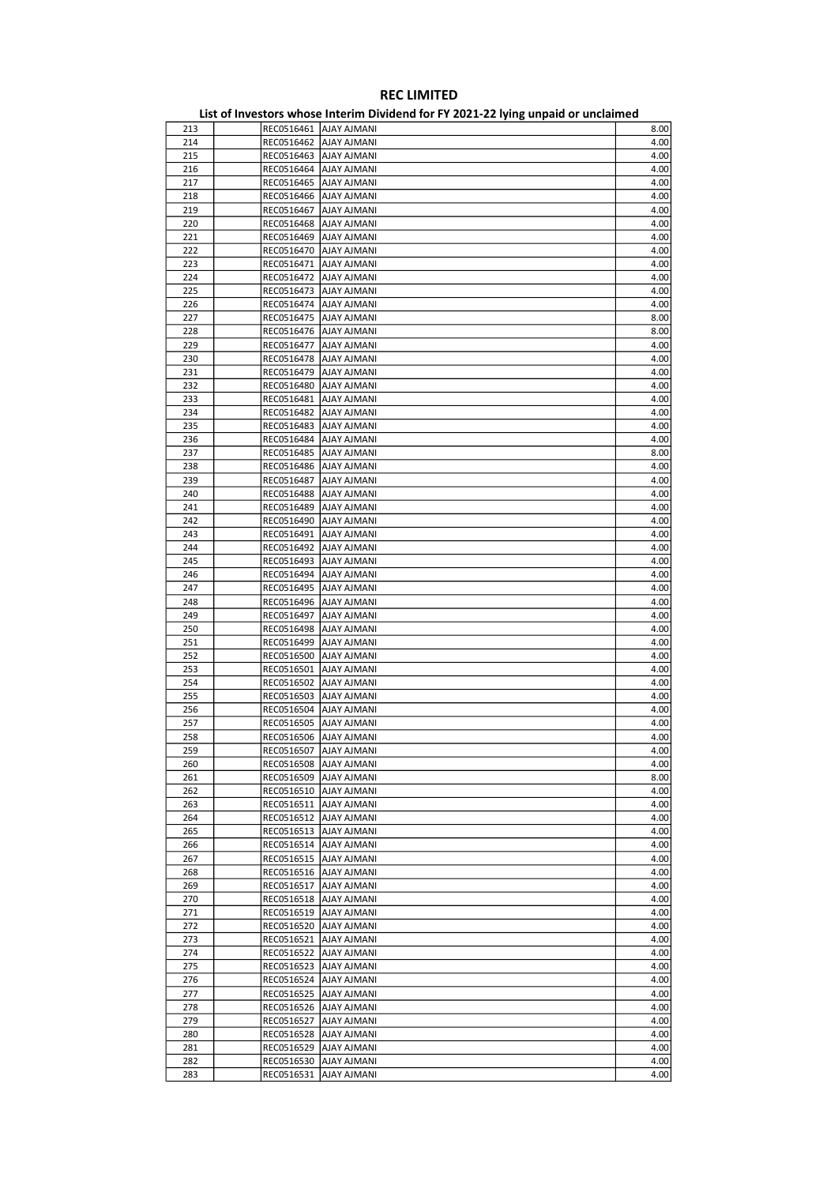|     |                          | EIST OF INVESTORS WHOSE INTERNATIONAL TOTAL EQESTEE TYING WITHOUT OF WHEREINTER |      |
|-----|--------------------------|---------------------------------------------------------------------------------|------|
| 213 |                          | REC0516461   AJAY AJMANI                                                        | 8.00 |
| 214 | REC0516462               | AJAY AJMANI                                                                     | 4.00 |
| 215 | REC0516463  AJAY AJMANI  |                                                                                 | 4.00 |
| 216 | REC0516464  AJAY AJMANI  |                                                                                 | 4.00 |
| 217 | REC0516465               | <b>AJAY AJMANI</b>                                                              | 4.00 |
| 218 | REC0516466   AJAY AJMANI |                                                                                 | 4.00 |
|     |                          |                                                                                 |      |
| 219 | REC0516467               | AJAY AJMANI                                                                     | 4.00 |
| 220 | REC0516468               | AJAY AJMANI                                                                     | 4.00 |
| 221 | REC0516469               | <b>AJAY AJMANI</b>                                                              | 4.00 |
| 222 | REC0516470               | <b>AJAY AJMANI</b>                                                              | 4.00 |
| 223 | REC0516471               | AJAY AJMANI                                                                     | 4.00 |
| 224 | REC0516472               | AJAY AJMANI                                                                     | 4.00 |
| 225 | REC0516473               | <b>AJAY AJMANI</b>                                                              | 4.00 |
| 226 | REC0516474               | <b>AJAY AJMANI</b>                                                              | 4.00 |
| 227 | REC0516475               | <b>AJAY AJMANI</b>                                                              | 8.00 |
| 228 | REC0516476   AJAY AJMANI |                                                                                 | 8.00 |
|     |                          |                                                                                 |      |
| 229 | REC0516477               | AJAY AJMANI                                                                     | 4.00 |
| 230 | REC0516478               | AJAY AJMANI                                                                     | 4.00 |
| 231 | REC0516479               | <b>AJAY AJMANI</b>                                                              | 4.00 |
| 232 | REC0516480               | <b>AJAY AJMANI</b>                                                              | 4.00 |
| 233 | REC0516481               | AJAY AJMANI                                                                     | 4.00 |
| 234 | REC0516482               | <b>AJAY AJMANI</b>                                                              | 4.00 |
| 235 | REC0516483               | AJAY AJMANI                                                                     | 4.00 |
| 236 | REC0516484               | <b>AJAY AJMANI</b>                                                              | 4.00 |
| 237 | REC0516485               | <b>AJAY AJMANI</b>                                                              | 8.00 |
| 238 | REC0516486               | AJAY AJMANI                                                                     | 4.00 |
|     |                          |                                                                                 |      |
| 239 | REC0516487               | <b>AJAY AJMANI</b>                                                              | 4.00 |
| 240 | REC0516488               | <b>AJAY AJMANI</b>                                                              | 4.00 |
| 241 | REC0516489               | <b>AJAY AJMANI</b>                                                              | 4.00 |
| 242 | REC0516490               | <b>AJAY AJMANI</b>                                                              | 4.00 |
| 243 | REC0516491               | AJAY AJMANI                                                                     | 4.00 |
| 244 | REC0516492               | <b>AJAY AJMANI</b>                                                              | 4.00 |
| 245 | REC0516493               | AJAY AJMANI                                                                     | 4.00 |
| 246 | REC0516494               | <b>AJAY AJMANI</b>                                                              | 4.00 |
| 247 | REC0516495               | <b>AJAY AJMANI</b>                                                              | 4.00 |
| 248 | REC0516496               | AJAY AJMANI                                                                     | 4.00 |
| 249 | REC0516497               | <b>AJAY AJMANI</b>                                                              | 4.00 |
|     |                          |                                                                                 |      |
| 250 | REC0516498               | AJAY AJMANI                                                                     | 4.00 |
| 251 | REC0516499               | AJAY AJMANI                                                                     | 4.00 |
| 252 | REC0516500               | AJAY AJMANI                                                                     | 4.00 |
| 253 | REC0516501               | AJAY AJMANI                                                                     | 4.00 |
| 254 | REC0516502               | <b>AJAY AJMANI</b>                                                              | 4.00 |
| 255 | REC0516503               | AJAY AJMANI                                                                     | 4.00 |
| 256 | REC0516504               | <b>AJAY AJMANI</b>                                                              | 4.00 |
| 257 | REC0516505               | <b>AJAY AJMANI</b>                                                              | 4.00 |
| 258 | REC0516506               | <b>AJAY AJMANI</b>                                                              | 4.00 |
| 259 | REC0516507   AJAY AJMANI |                                                                                 | 4.00 |
| 260 |                          | REC0516508   AJAY AJMANI                                                        | 4.00 |
|     |                          |                                                                                 |      |
| 261 |                          | REC0516509   AJAY AJMANI                                                        | 8.00 |
| 262 |                          | REC0516510   AJAY AJMANI                                                        | 4.00 |
| 263 |                          | REC0516511   AJAY AJMANI                                                        | 4.00 |
| 264 |                          | REC0516512   AJAY AJMANI                                                        | 4.00 |
| 265 |                          | REC0516513   AJAY AJMANI                                                        | 4.00 |
| 266 |                          | REC0516514 AJAY AJMANI                                                          | 4.00 |
| 267 |                          | REC0516515   AJAY AJMANI                                                        | 4.00 |
| 268 |                          | REC0516516   AJAY AJMANI                                                        | 4.00 |
| 269 |                          | REC0516517 AJAY AJMANI                                                          | 4.00 |
| 270 |                          | REC0516518   AJAY AJMANI                                                        | 4.00 |
| 271 |                          | REC0516519 AJAY AJMANI                                                          | 4.00 |
| 272 |                          | REC0516520   AJAY AJMANI                                                        | 4.00 |
| 273 |                          | REC0516521   AJAY AJMANI                                                        | 4.00 |
|     |                          |                                                                                 |      |
| 274 |                          | REC0516522   AJAY AJMANI                                                        | 4.00 |
| 275 |                          | REC0516523   AJAY AJMANI                                                        | 4.00 |
| 276 |                          | REC0516524   AJAY AJMANI                                                        | 4.00 |
| 277 |                          | REC0516525   AJAY AJMANI                                                        | 4.00 |
| 278 |                          | REC0516526   AJAY AJMANI                                                        | 4.00 |
| 279 |                          | REC0516527   AJAY AJMANI                                                        | 4.00 |
| 280 |                          | REC0516528   AJAY AJMANI                                                        | 4.00 |
| 281 |                          | REC0516529   AJAY AJMANI                                                        | 4.00 |
| 282 |                          | REC0516530   AJAY AJMANI                                                        | 4.00 |
| 283 |                          | REC0516531 AJAY AJMANI                                                          | 4.00 |
|     |                          |                                                                                 |      |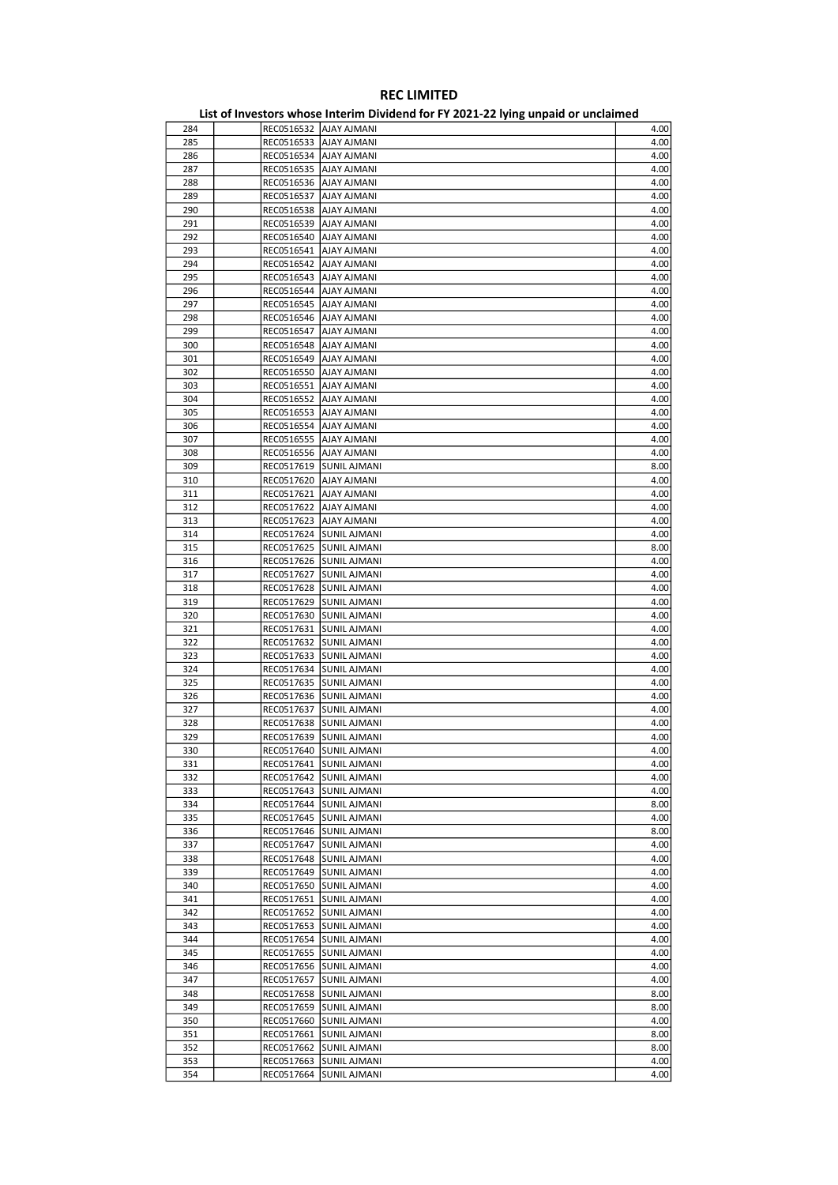| 284 |            | REC0516532 AJAY AJMANI   | 4.00 |
|-----|------------|--------------------------|------|
| 285 | REC0516533 | <b>AJAY AJMANI</b>       | 4.00 |
| 286 |            | REC0516534   AJAY AJMANI | 4.00 |
|     |            |                          |      |
| 287 |            | REC0516535   AJAY AJMANI | 4.00 |
| 288 |            | REC0516536   AJAY AJMANI | 4.00 |
| 289 | REC0516537 | AJAY AJMANI              | 4.00 |
| 290 | REC0516538 | <b>AJAY AJMANI</b>       | 4.00 |
|     |            |                          |      |
| 291 |            | REC0516539   AJAY AJMANI | 4.00 |
| 292 |            | REC0516540   AJAY AJMANI | 4.00 |
| 293 |            | REC0516541   AJAY AJMANI | 4.00 |
| 294 | REC0516542 | AJAY AJMANI              | 4.00 |
|     |            |                          |      |
| 295 | REC0516543 | AJAY AJMANI              | 4.00 |
| 296 | REC0516544 | AJAY AJMANI              | 4.00 |
| 297 |            | REC0516545   AJAY AJMANI | 4.00 |
| 298 |            | REC0516546   AJAY AJMANI | 4.00 |
|     |            |                          |      |
| 299 | REC0516547 | <b>AJAY AJMANI</b>       | 4.00 |
| 300 | REC0516548 | AJAY AJMANI              | 4.00 |
| 301 |            | REC0516549   AJAY AJMANI | 4.00 |
|     |            |                          |      |
| 302 |            | REC0516550 AJAY AJMANI   | 4.00 |
| 303 |            | REC0516551   AJAY AJMANI | 4.00 |
| 304 | REC0516552 | AJAY AJMANI              | 4.00 |
| 305 | REC0516553 | AJAY AJMANI              | 4.00 |
|     |            |                          |      |
| 306 | REC0516554 | AJAY AJMANI              | 4.00 |
| 307 |            | REC0516555 AJAY AJMANI   | 4.00 |
| 308 |            | REC0516556   AJAY AJMANI | 4.00 |
| 309 | REC0517619 | <b>SUNIL AJMANI</b>      | 8.00 |
|     |            |                          |      |
| 310 | REC0517620 | AJAY AJMANI              | 4.00 |
| 311 | REC0517621 | AJAY AJMANI              | 4.00 |
| 312 |            | REC0517622   AJAY AJMANI | 4.00 |
| 313 |            | REC0517623   AJAY AJMANI | 4.00 |
|     |            |                          |      |
| 314 | REC0517624 | <b>SUNIL AJMANI</b>      | 4.00 |
| 315 | REC0517625 | SUNIL AJMANI             | 8.00 |
| 316 |            | REC0517626 SUNIL AJMANI  | 4.00 |
| 317 |            | REC0517627 SUNIL AJMANI  | 4.00 |
|     |            |                          |      |
| 318 |            | REC0517628 SUNIL AJMANI  | 4.00 |
| 319 | REC0517629 | <b>SUNIL AJMANI</b>      | 4.00 |
| 320 | REC0517630 | SUNIL AJMANI             | 4.00 |
| 321 | REC0517631 | <b>SUNIL AJMANI</b>      | 4.00 |
|     |            |                          |      |
| 322 |            | REC0517632 SUNIL AJMANI  | 4.00 |
| 323 | REC0517633 | <b>SUNIL AJMANI</b>      | 4.00 |
| 324 | REC0517634 | <b>SUNIL AJMANI</b>      | 4.00 |
| 325 | REC0517635 | SUNIL AJMANI             | 4.00 |
|     |            |                          |      |
| 326 |            | REC0517636 SUNIL AJMANI  | 4.00 |
| 327 |            | REC0517637 SUNIL AJMANI  | 4.00 |
| 328 | REC0517638 | <b>SUNIL AJMANI</b>      | 4.00 |
| 329 | REC0517639 | <b>SUNIL AJMANI</b>      | 4.00 |
|     |            |                          |      |
| 330 |            | REC0517640 SUNIL AJMANI  | 4.00 |
| 331 |            | REC0517641 SUNIL AJMANI  | 4.00 |
| 332 |            | REC0517642 SUNIL AJMANI  | 4.00 |
| 333 |            | REC0517643 SUNIL AJMANI  | 4.00 |
|     |            |                          |      |
| 334 |            | REC0517644 SUNIL AJMANI  | 8.00 |
| 335 |            | REC0517645 SUNIL AJMANI  | 4.00 |
| 336 |            | REC0517646 SUNIL AJMANI  | 8.00 |
| 337 |            | REC0517647 SUNIL AJMANI  | 4.00 |
|     |            |                          |      |
| 338 |            | REC0517648 SUNIL AJMANI  | 4.00 |
| 339 | REC0517649 | <b>SUNIL AJMANI</b>      | 4.00 |
| 340 |            | REC0517650 SUNIL AJMANI  | 4.00 |
| 341 |            | REC0517651 SUNIL AJMANI  | 4.00 |
|     |            |                          |      |
| 342 |            | REC0517652 SUNIL AJMANI  | 4.00 |
| 343 | REC0517653 | <b>SUNIL AJMANI</b>      | 4.00 |
| 344 | REC0517654 | <b>SUNIL AJMANI</b>      | 4.00 |
| 345 |            | REC0517655 SUNIL AJMANI  | 4.00 |
| 346 |            | REC0517656 SUNIL AJMANI  | 4.00 |
|     |            |                          |      |
| 347 |            | REC0517657 SUNIL AJMANI  | 4.00 |
| 348 |            | REC0517658 SUNIL AJMANI  | 8.00 |
| 349 | REC0517659 | <b>SUNIL AJMANI</b>      | 8.00 |
| 350 |            | REC0517660 SUNIL AJMANI  | 4.00 |
|     |            |                          |      |
| 351 |            | REC0517661 SUNIL AJMANI  | 8.00 |
| 352 |            | REC0517662 SUNIL AJMANI  | 8.00 |
| 353 | REC0517663 | <b>SUNIL AJMANI</b>      | 4.00 |
|     | REC0517664 | <b>SUNIL AJMANI</b>      | 4.00 |
| 354 |            |                          |      |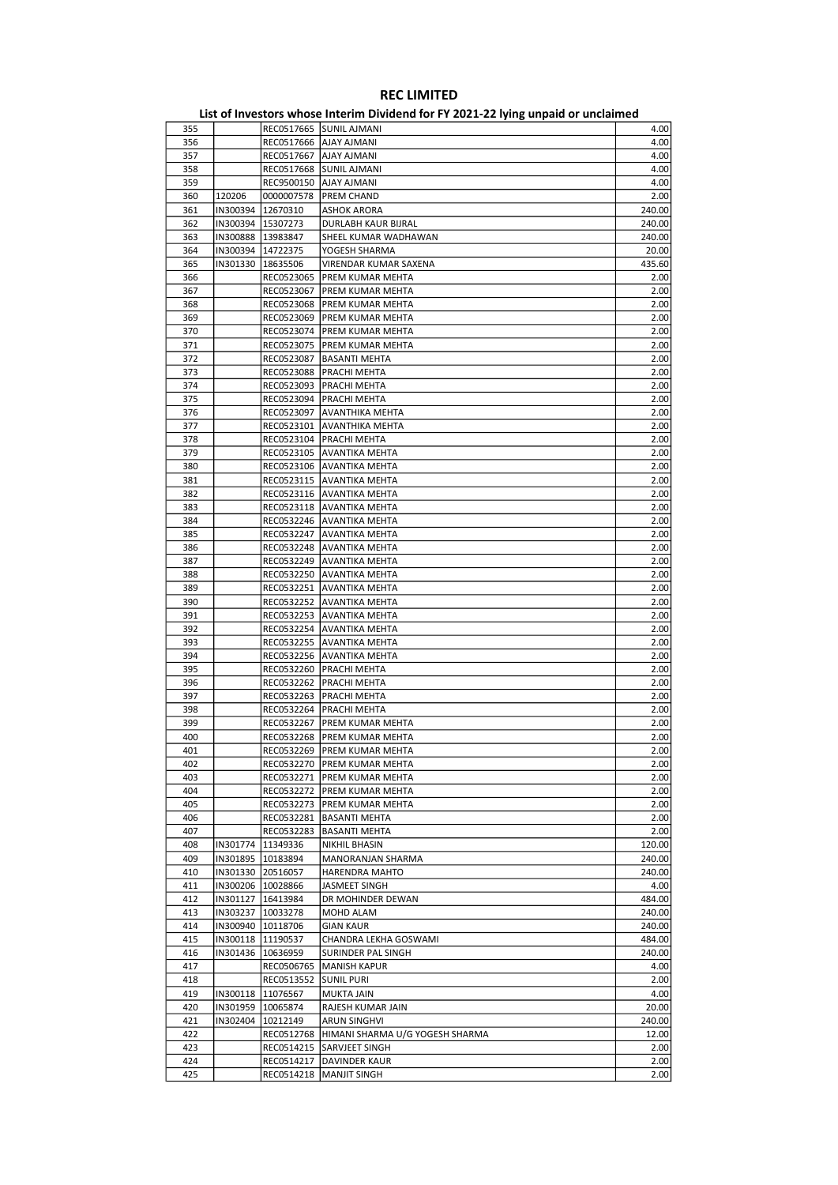|     |                     |                     | List of investors whose internit Dividend for FT 2021-22 fying unpaid of unclaimed |        |
|-----|---------------------|---------------------|------------------------------------------------------------------------------------|--------|
| 355 |                     |                     | REC0517665 SUNIL AJMANI                                                            | 4.00   |
| 356 |                     |                     | REC0517666   AJAY AJMANI                                                           | 4.00   |
| 357 |                     | REC0517667          | <b>AJAY AJMANI</b>                                                                 | 4.00   |
| 358 |                     | REC0517668          | <b>SUNIL AJMANI</b>                                                                | 4.00   |
| 359 |                     |                     | REC9500150   AJAY AJMANI                                                           | 4.00   |
| 360 | 120206              | 0000007578          | <b>PREM CHAND</b>                                                                  | 2.00   |
| 361 | IN300394 12670310   |                     | <b>ASHOK ARORA</b>                                                                 | 240.00 |
| 362 | IN300394   15307273 |                     | DURLABH KAUR BIJRAL                                                                | 240.00 |
| 363 |                     | IN300888 13983847   | SHEEL KUMAR WADHAWAN                                                               | 240.00 |
| 364 |                     | IN300394 14722375   | YOGESH SHARMA                                                                      | 20.00  |
| 365 |                     | IN301330   18635506 | VIRENDAR KUMAR SAXENA                                                              | 435.60 |
| 366 |                     | REC0523065          | PREM KUMAR MEHTA                                                                   | 2.00   |
| 367 |                     |                     | REC0523067   PREM KUMAR MEHTA                                                      | 2.00   |
| 368 |                     | REC0523068          | PREM KUMAR MEHTA                                                                   | 2.00   |
| 369 |                     | REC0523069          | PREM KUMAR MEHTA                                                                   | 2.00   |
| 370 |                     |                     | REC0523074   PREM KUMAR MEHTA                                                      | 2.00   |
| 371 |                     | REC0523075          | <b>PREM KUMAR MEHTA</b>                                                            | 2.00   |
| 372 |                     | REC0523087          | <b>BASANTI MEHTA</b>                                                               | 2.00   |
| 373 |                     | REC0523088          | PRACHI MEHTA                                                                       | 2.00   |
| 374 |                     | REC0523093          | PRACHI MEHTA                                                                       | 2.00   |
| 375 |                     |                     | REC0523094   PRACHI MEHTA                                                          | 2.00   |
| 376 |                     | REC0523097          | AVANTHIKA MEHTA                                                                    | 2.00   |
| 377 |                     | REC0523101          | AVANTHIKA MEHTA                                                                    | 2.00   |
| 378 |                     | REC0523104          | PRACHI MEHTA                                                                       | 2.00   |
| 379 |                     | REC0523105          | <b>AVANTIKA MEHTA</b>                                                              | 2.00   |
|     |                     |                     | REC0523106 AVANTIKA MEHTA                                                          |        |
| 380 |                     |                     |                                                                                    | 2.00   |
| 381 |                     |                     | REC0523115   AVANTIKA MEHTA<br><b>AVANTIKA MEHTA</b>                               | 2.00   |
| 382 |                     | REC0523116          |                                                                                    | 2.00   |
| 383 |                     | REC0523118          | AVANTIKA MEHTA                                                                     | 2.00   |
| 384 |                     |                     | REC0532246 AVANTIKA MEHTA                                                          | 2.00   |
| 385 |                     |                     | REC0532247 AVANTIKA MEHTA                                                          | 2.00   |
| 386 |                     |                     | REC0532248 AVANTIKA MEHTA                                                          | 2.00   |
| 387 |                     | REC0532249          | <b>AVANTIKA MEHTA</b>                                                              | 2.00   |
| 388 |                     |                     | REC0532250 AVANTIKA MEHTA                                                          | 2.00   |
| 389 |                     | REC0532251          | AVANTIKA MEHTA                                                                     | 2.00   |
| 390 |                     |                     | REC0532252 AVANTIKA MEHTA                                                          | 2.00   |
| 391 |                     |                     | REC0532253 AVANTIKA MEHTA                                                          | 2.00   |
| 392 |                     | REC0532254          | AVANTIKA MEHTA                                                                     | 2.00   |
| 393 |                     | REC0532255          | <b>AVANTIKA MEHTA</b>                                                              | 2.00   |
| 394 |                     | REC0532256          | AVANTIKA MEHTA                                                                     | 2.00   |
| 395 |                     |                     | REC0532260   PRACHI MEHTA                                                          | 2.00   |
| 396 |                     | REC0532262          | PRACHI MEHTA                                                                       | 2.00   |
| 397 |                     | REC0532263          | PRACHI MEHTA                                                                       | 2.00   |
| 398 |                     | REC0532264          | PRACHI MEHTA                                                                       | 2.00   |
| 399 |                     | REC0532267          | PREM KUMAR MEHTA                                                                   | 2.00   |
| 400 |                     | REC0532268          | PREM KUMAR MEHTA                                                                   | 2.00   |
| 401 |                     |                     | REC0532269   PREM KUMAR MEHTA                                                      | 2.00   |
| 402 |                     |                     | REC0532270   PREM KUMAR MEHTA                                                      | 2.00   |
| 403 |                     | REC0532271          | PREM KUMAR MEHTA                                                                   | 2.00   |
| 404 |                     | REC0532272          | PREM KUMAR MEHTA                                                                   | 2.00   |
| 405 |                     |                     | REC0532273   PREM KUMAR MEHTA                                                      | 2.00   |
| 406 |                     | REC0532281          | <b>BASANTI MEHTA</b>                                                               | 2.00   |
| 407 |                     | REC0532283          | BASANTI MEHTA                                                                      | 2.00   |
| 408 | IN301774            | 11349336            | NIKHIL BHASIN                                                                      | 120.00 |
| 409 |                     | IN301895   10183894 | MANORANJAN SHARMA                                                                  | 240.00 |
| 410 |                     | IN301330 20516057   | HARENDRA MAHTO                                                                     | 240.00 |
| 411 |                     | IN300206   10028866 | JASMEET SINGH                                                                      | 4.00   |
| 412 |                     | IN301127   16413984 | DR MOHINDER DEWAN                                                                  | 484.00 |
| 413 | IN303237            | 10033278            | MOHD ALAM                                                                          | 240.00 |
| 414 |                     | IN300940 10118706   | GIAN KAUR                                                                          | 240.00 |
| 415 |                     | IN300118   11190537 | CHANDRA LEKHA GOSWAMI                                                              | 484.00 |
| 416 |                     | IN301436   10636959 | SURINDER PAL SINGH                                                                 | 240.00 |
| 417 |                     | REC0506765          | <b>MANISH KAPUR</b>                                                                | 4.00   |
| 418 |                     | REC0513552          | <b>SUNIL PURI</b>                                                                  | 2.00   |
| 419 |                     | IN300118   11076567 |                                                                                    | 4.00   |
| 420 |                     |                     | MUKTA JAIN                                                                         | 20.00  |
|     |                     | IN301959   10065874 | RAJESH KUMAR JAIN                                                                  |        |
| 421 |                     | IN302404   10212149 | ARUN SINGHVI                                                                       | 240.00 |
| 422 |                     | REC0512768          | HIMANI SHARMA U/G YOGESH SHARMA                                                    | 12.00  |
| 423 |                     |                     | REC0514215 SARVJEET SINGH                                                          | 2.00   |
| 424 |                     | REC0514217          | DAVINDER KAUR                                                                      | 2.00   |
| 425 |                     | REC0514218          | <b>MANJIT SINGH</b>                                                                | 2.00   |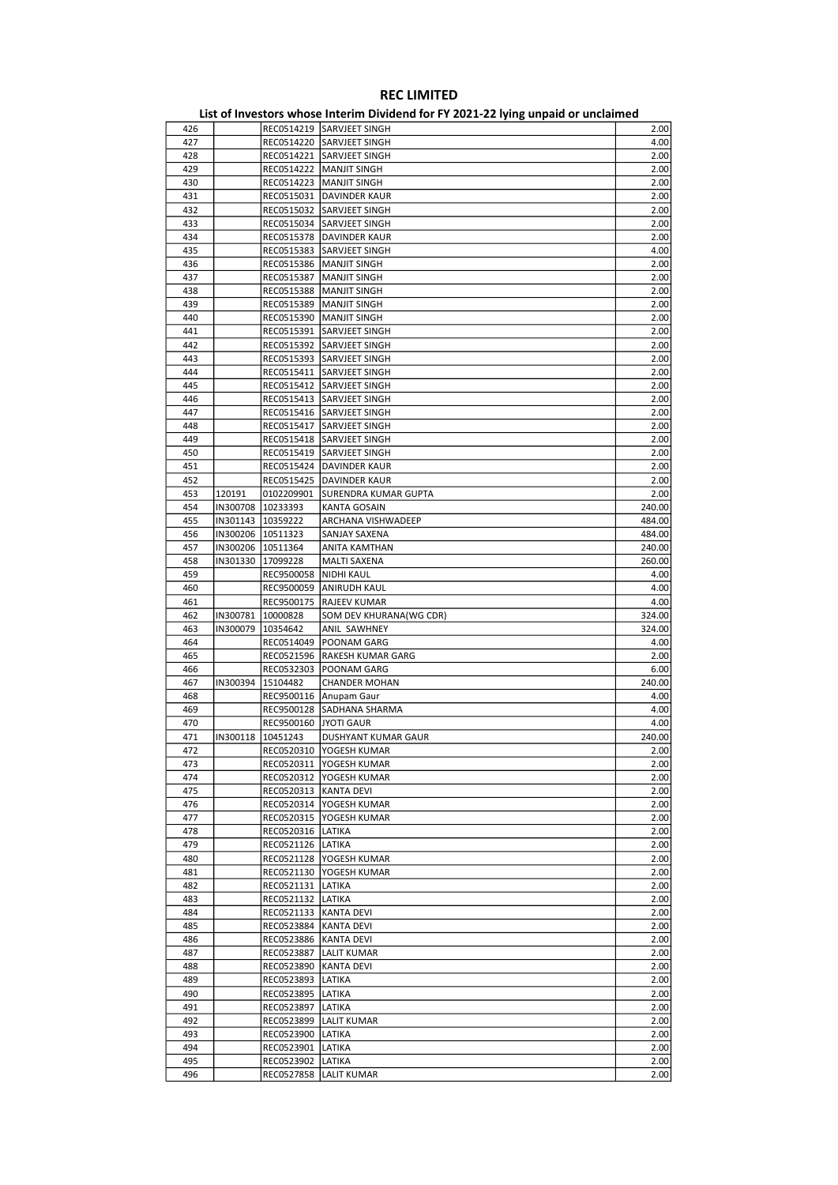| 426 |          |                         | REC0514219 SARVJEET SINGH     | 2.00   |
|-----|----------|-------------------------|-------------------------------|--------|
| 427 |          | REC0514220              | <b>SARVJEET SINGH</b>         | 4.00   |
| 428 |          |                         | REC0514221 SARVJEET SINGH     | 2.00   |
| 429 |          |                         | REC0514222   MANJIT SINGH     |        |
|     |          |                         |                               | 2.00   |
| 430 |          |                         | REC0514223   MANJIT SINGH     | 2.00   |
| 431 |          |                         | REC0515031 DAVINDER KAUR      | 2.00   |
| 432 |          | REC0515032              | <b>SARVJEET SINGH</b>         | 2.00   |
| 433 |          |                         | REC0515034 SARVJEET SINGH     | 2.00   |
| 434 |          |                         | REC0515378   DAVINDER KAUR    | 2.00   |
|     |          |                         |                               |        |
| 435 |          |                         | REC0515383 SARVJEET SINGH     | 4.00   |
| 436 |          | REC0515386              | <b>MANJIT SINGH</b>           | 2.00   |
| 437 |          | REC0515387              | <b>MANJIT SINGH</b>           | 2.00   |
| 438 |          |                         | REC0515388   MANJIT SINGH     | 2.00   |
| 439 |          |                         | REC0515389   MANJIT SINGH     | 2.00   |
|     |          |                         |                               |        |
| 440 |          |                         | REC0515390   MANJIT SINGH     | 2.00   |
| 441 |          |                         | REC0515391 SARVJEET SINGH     | 2.00   |
| 442 |          |                         | REC0515392 SARVJEET SINGH     | 2.00   |
| 443 |          |                         | REC0515393 SARVJEET SINGH     | 2.00   |
| 444 |          |                         | REC0515411 SARVJEET SINGH     | 2.00   |
|     |          |                         |                               |        |
| 445 |          |                         | REC0515412 SARVJEET SINGH     | 2.00   |
| 446 |          |                         | REC0515413 SARVJEET SINGH     | 2.00   |
| 447 |          | REC0515416              | <b>SARVJEET SINGH</b>         | 2.00   |
| 448 |          | REC0515417              | <b>SARVJEET SINGH</b>         | 2.00   |
| 449 |          |                         | REC0515418 SARVJEET SINGH     | 2.00   |
|     |          |                         |                               |        |
| 450 |          |                         | REC0515419 SARVJEET SINGH     | 2.00   |
| 451 |          | REC0515424              | <b>DAVINDER KAUR</b>          | 2.00   |
| 452 |          | REC0515425              | <b>DAVINDER KAUR</b>          | 2.00   |
| 453 | 120191   | 0102209901              | SURENDRA KUMAR GUPTA          | 2.00   |
| 454 |          | IN300708 10233393       | KANTA GOSAIN                  | 240.00 |
|     |          |                         |                               |        |
| 455 |          | IN301143 10359222       | ARCHANA VISHWADEEP            | 484.00 |
| 456 | IN300206 | 10511323                | SANJAY SAXENA                 | 484.00 |
| 457 |          | IN300206   10511364     | ANITA KAMTHAN                 | 240.00 |
| 458 |          | IN301330 17099228       | <b>MALTI SAXENA</b>           | 260.00 |
| 459 |          | REC9500058              | NIDHI KAUL                    | 4.00   |
|     |          |                         |                               |        |
| 460 |          |                         | REC9500059 ANIRUDH KAUL       | 4.00   |
| 461 |          | REC9500175              | <b>RAJEEV KUMAR</b>           | 4.00   |
| 462 | IN300781 | 10000828                | SOM DEV KHURANA(WG CDR)       | 324.00 |
| 463 |          | IN300079   10354642     | ANIL SAWHNEY                  | 324.00 |
| 464 |          |                         | REC0514049   POONAM GARG      | 4.00   |
| 465 |          |                         | REC0521596  RAKESH KUMAR GARG | 2.00   |
|     |          |                         |                               |        |
| 466 |          | REC0532303              | POONAM GARG                   | 6.00   |
| 467 | IN300394 | 15104482                | <b>CHANDER MOHAN</b>          | 240.00 |
| 468 |          | REC9500116              | Anupam Gaur                   | 4.00   |
| 469 |          |                         | REC9500128 SADHANA SHARMA     | 4.00   |
| 470 |          | REC9500160              | JYOTI GAUR                    | 4.00   |
|     |          |                         |                               |        |
| 471 | IN300118 | 10451243                | DUSHYANT KUMAR GAUR           | 240.00 |
| 472 |          |                         | REC0520310  YOGESH KUMAR      | 2.00   |
| 473 |          |                         | REC0520311  YOGESH KUMAR      | 2.00   |
| 474 |          |                         | REC0520312  YOGESH KUMAR      | 2.00   |
| 475 |          | REC0520313  KANTA DEVI  |                               | 2.00   |
|     |          |                         |                               |        |
| 476 |          |                         | REC0520314  YOGESH KUMAR      | 2.00   |
| 477 |          |                         | REC0520315  YOGESH KUMAR      | 2.00   |
| 478 |          | REC0520316 LATIKA       |                               | 2.00   |
| 479 |          | REC0521126   LATIKA     |                               | 2.00   |
| 480 |          |                         | REC0521128   YOGESH KUMAR     | 2.00   |
| 481 |          |                         | REC0521130   YOGESH KUMAR     | 2.00   |
|     |          |                         |                               |        |
| 482 |          | REC0521131  LATIKA      |                               | 2.00   |
| 483 |          | REC0521132 LATIKA       |                               | 2.00   |
| 484 |          | REC0521133   KANTA DEVI |                               | 2.00   |
| 485 |          | REC0523884 KANTA DEVI   |                               | 2.00   |
| 486 |          | REC0523886   KANTA DEVI |                               | 2.00   |
|     |          |                         |                               |        |
| 487 |          | REC0523887              | <b>LALIT KUMAR</b>            | 2.00   |
| 488 |          | REC0523890   KANTA DEVI |                               | 2.00   |
| 489 |          | REC0523893  LATIKA      |                               | 2.00   |
| 490 |          | REC0523895  LATIKA      |                               | 2.00   |
| 491 |          | REC0523897              | LATIKA                        | 2.00   |
|     |          |                         |                               |        |
| 492 |          |                         | REC0523899  LALIT KUMAR       | 2.00   |
| 493 |          | REC0523900 LATIKA       |                               | 2.00   |
| 494 |          | REC0523901              | LATIKA                        | 2.00   |
| 495 |          | REC0523902 LATIKA       |                               | 2.00   |
| 496 |          |                         | REC0527858  LALIT KUMAR       | 2.00   |
|     |          |                         |                               |        |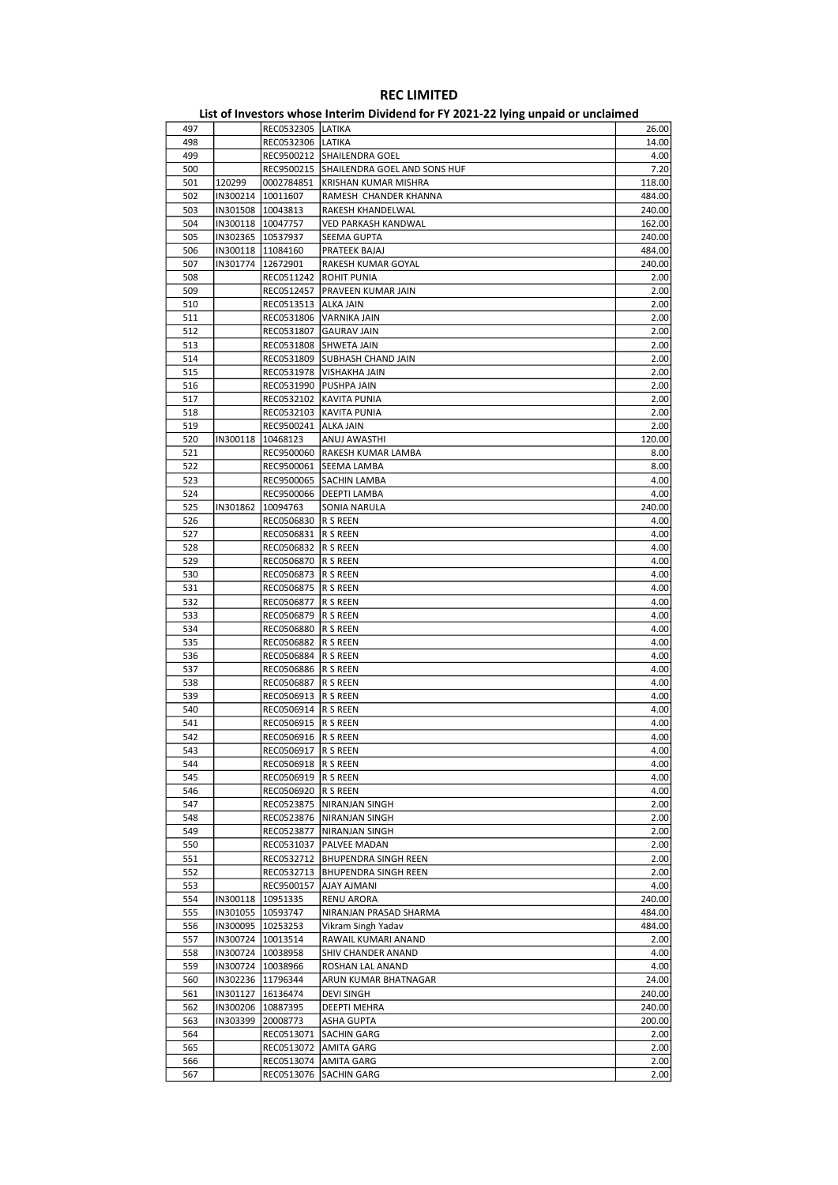| 497 |          | REC0532305 LATIKA      |                                         | 26.00  |
|-----|----------|------------------------|-----------------------------------------|--------|
| 498 |          | REC0532306 LATIKA      |                                         | 14.00  |
| 499 |          |                        | REC9500212 SHAILENDRA GOEL              | 4.00   |
| 500 |          |                        | REC9500215 SHAILENDRA GOEL AND SONS HUF | 7.20   |
| 501 | 120299   |                        | 0002784851 KRISHAN KUMAR MISHRA         | 118.00 |
| 502 | IN300214 | 10011607               | RAMESH CHANDER KHANNA                   | 484.00 |
|     |          |                        |                                         |        |
| 503 | IN301508 | 10043813               | RAKESH KHANDELWAL                       | 240.00 |
| 504 |          | IN300118   10047757    | VED PARKASH KANDWAL                     | 162.00 |
| 505 |          | IN302365   10537937    | SEEMA GUPTA                             | 240.00 |
| 506 |          | IN300118   11084160    | PRATEEK BAJAJ                           | 484.00 |
|     |          |                        |                                         |        |
| 507 | IN301774 | 12672901               | RAKESH KUMAR GOYAL                      | 240.00 |
| 508 |          | REC0511242             | <b>ROHIT PUNIA</b>                      | 2.00   |
| 509 |          |                        | REC0512457   PRAVEEN KUMAR JAIN         | 2.00   |
| 510 |          | REC0513513   ALKA JAIN |                                         | 2.00   |
|     |          |                        | REC0531806 VARNIKA JAIN                 |        |
| 511 |          |                        |                                         | 2.00   |
| 512 |          |                        | REC0531807 GAURAV JAIN                  | 2.00   |
| 513 |          |                        | REC0531808 SHWETA JAIN                  | 2.00   |
| 514 |          |                        | REC0531809 SUBHASH CHAND JAIN           | 2.00   |
| 515 |          |                        | REC0531978   VISHAKHA JAIN              | 2.00   |
|     |          |                        |                                         |        |
| 516 |          |                        | REC0531990   PUSHPA JAIN                | 2.00   |
| 517 |          |                        | REC0532102 KAVITA PUNIA                 | 2.00   |
| 518 |          |                        | REC0532103 KAVITA PUNIA                 | 2.00   |
| 519 |          | REC9500241 ALKA JAIN   |                                         | 2.00   |
|     |          |                        |                                         |        |
| 520 | IN300118 | 10468123               | ANUJ AWASTHI                            | 120.00 |
| 521 |          |                        | REC9500060 RAKESH KUMAR LAMBA           | 8.00   |
| 522 |          |                        | REC9500061 SEEMA LAMBA                  | 8.00   |
| 523 |          |                        | REC9500065 SACHIN LAMBA                 | 4.00   |
|     |          |                        |                                         |        |
| 524 |          |                        | REC9500066   DEEPTI LAMBA               | 4.00   |
| 525 | IN301862 | 10094763               | SONIA NARULA                            | 240.00 |
| 526 |          | REC0506830  R S REEN   |                                         | 4.00   |
| 527 |          | REC0506831  R S REEN   |                                         | 4.00   |
|     |          |                        |                                         |        |
| 528 |          | REC0506832  R S REEN   |                                         | 4.00   |
| 529 |          | REC0506870  R S REEN   |                                         | 4.00   |
| 530 |          | REC0506873  R S REEN   |                                         | 4.00   |
| 531 |          | REC0506875  R S REEN   |                                         | 4.00   |
| 532 |          | REC0506877  R S REEN   |                                         | 4.00   |
|     |          |                        |                                         |        |
| 533 |          | REC0506879  R S REEN   |                                         | 4.00   |
| 534 |          | REC0506880  R S REEN   |                                         | 4.00   |
| 535 |          | REC0506882  R S REEN   |                                         | 4.00   |
| 536 |          | REC0506884  R S REEN   |                                         | 4.00   |
|     |          |                        |                                         |        |
| 537 |          | REC0506886  R S REEN   |                                         | 4.00   |
| 538 |          | REC0506887  R S REEN   |                                         | 4.00   |
| 539 |          | REC0506913  R S REEN   |                                         | 4.00   |
| 540 |          | REC0506914  R S REEN   |                                         | 4.00   |
| 541 |          | REC0506915  R S REEN   |                                         | 4.00   |
|     |          |                        |                                         |        |
| 542 |          | REC0506916   R S REEN  |                                         | 4.00   |
| 543 |          | REC0506917  R S REEN   |                                         | 4.00   |
| 544 |          | REC0506918  R S REEN   |                                         | 4.00   |
| 545 |          | REC0506919  R S REEN   |                                         | 4.00   |
|     |          |                        |                                         |        |
| 546 |          | REC0506920 R S REEN    |                                         | 4.00   |
| 547 |          |                        | REC0523875   NIRANJAN SINGH             | 2.00   |
| 548 |          |                        | REC0523876   NIRANJAN SINGH             | 2.00   |
| 549 |          |                        | REC0523877   NIRANJAN SINGH             | 2.00   |
| 550 |          |                        | REC0531037   PALVEE MADAN               | 2.00   |
|     |          |                        |                                         |        |
| 551 |          |                        | REC0532712   BHUPENDRA SINGH REEN       | 2.00   |
| 552 |          |                        | REC0532713   BHUPENDRA SINGH REEN       | 2.00   |
| 553 |          | REC9500157             | AJAY AJMANI                             | 4.00   |
| 554 | IN300118 | 10951335               | <b>RENU ARORA</b>                       | 240.00 |
|     |          | IN301055   10593747    | NIRANJAN PRASAD SHARMA                  |        |
| 555 |          |                        |                                         | 484.00 |
| 556 |          | IN300095   10253253    | Vikram Singh Yadav                      | 484.00 |
| 557 |          | IN300724   10013514    | RAWAIL KUMARI ANAND                     | 2.00   |
| 558 |          | IN300724   10038958    | SHIV CHANDER ANAND                      | 4.00   |
| 559 |          | IN300724   10038966    | ROSHAN LAL ANAND                        | 4.00   |
|     |          |                        |                                         |        |
| 560 |          | IN302236 11796344      | ARUN KUMAR BHATNAGAR                    | 24.00  |
| 561 |          | IN301127   16136474    | DEVI SINGH                              | 240.00 |
| 562 | IN300206 | 10887395               | DEEPTI MEHRA                            | 240.00 |
| 563 | IN303399 | 20008773               | ASHA GUPTA                              | 200.00 |
|     |          |                        |                                         |        |
| 564 |          | REC0513071             | <b>SACHIN GARG</b>                      | 2.00   |
| 565 |          |                        | REC0513072   AMITA GARG                 | 2.00   |
| 566 |          |                        | REC0513074   AMITA GARG                 | 2.00   |
| 567 |          | REC0513076             | <b>SACHIN GARG</b>                      | 2.00   |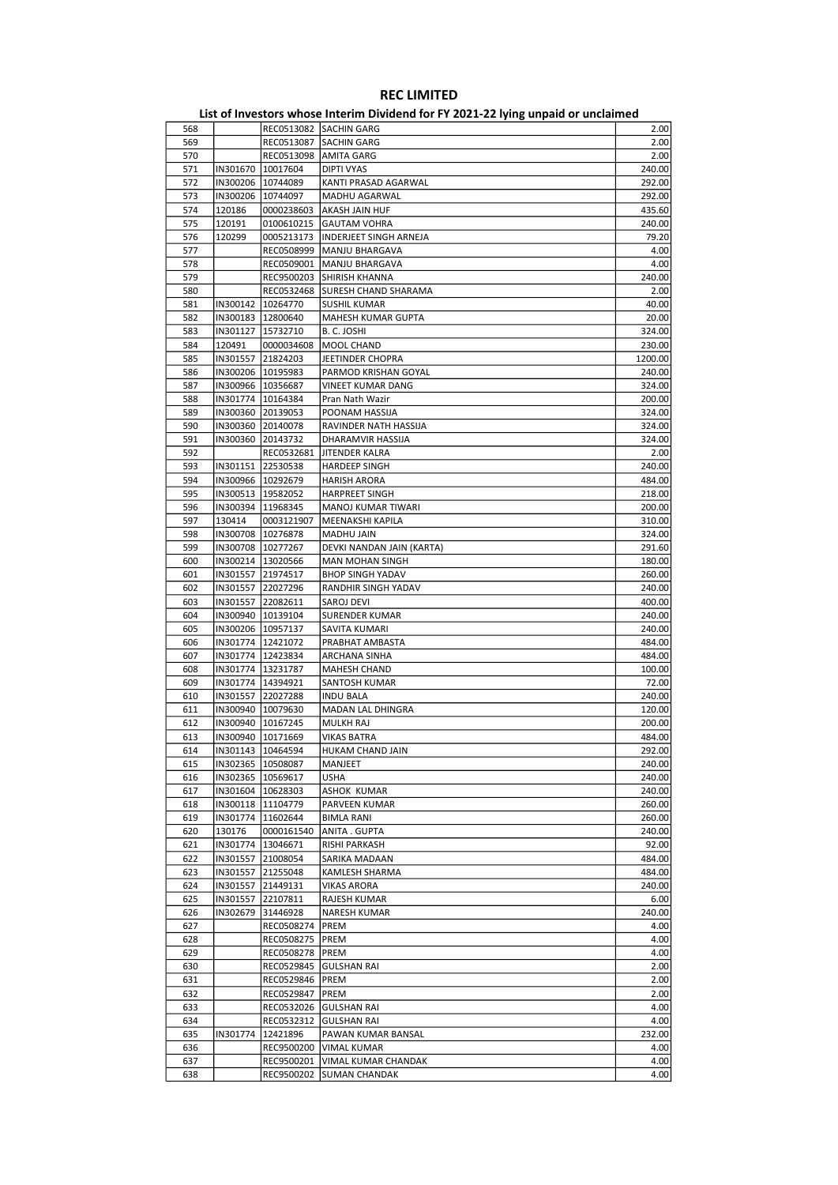|     |                     |                     | List of investors whose internit Dividend for FT 2021-22 fying unpaid or unclaimed |         |
|-----|---------------------|---------------------|------------------------------------------------------------------------------------|---------|
| 568 |                     |                     | REC0513082 SACHIN GARG                                                             | 2.00    |
| 569 |                     |                     | REC0513087 SACHIN GARG                                                             | 2.00    |
| 570 |                     |                     | REC0513098   AMITA GARG                                                            | 2.00    |
| 571 |                     | IN301670   10017604 | <b>DIPTI VYAS</b>                                                                  | 240.00  |
| 572 |                     | IN300206 10744089   | KANTI PRASAD AGARWAL                                                               | 292.00  |
| 573 |                     | IN300206 10744097   | MADHU AGARWAL                                                                      | 292.00  |
| 574 | 120186              | 0000238603          | <b>AKASH JAIN HUF</b>                                                              | 435.60  |
| 575 | 120191              | 0100610215          | <b>GAUTAM VOHRA</b>                                                                | 240.00  |
| 576 | 120299              | 0005213173          | <b>INDERJEET SINGH ARNEJA</b>                                                      | 79.20   |
| 577 |                     |                     | REC0508999   MANJU BHARGAVA                                                        | 4.00    |
| 578 |                     |                     | REC0509001   MANJU BHARGAVA                                                        | 4.00    |
| 579 |                     | REC9500203          | SHIRISH KHANNA                                                                     | 240.00  |
| 580 |                     | REC0532468          | <b>SURESH CHAND SHARAMA</b>                                                        | 2.00    |
| 581 |                     | IN300142   10264770 | <b>SUSHIL KUMAR</b>                                                                | 40.00   |
| 582 |                     | IN300183   12800640 | MAHESH KUMAR GUPTA                                                                 | 20.00   |
| 583 |                     | IN301127   15732710 | B.C. JOSHI                                                                         | 324.00  |
| 584 | 120491              | 0000034608          | MOOL CHAND                                                                         | 230.00  |
| 585 |                     |                     |                                                                                    |         |
|     | IN301557 21824203   |                     | JEETINDER CHOPRA                                                                   | 1200.00 |
| 586 |                     | IN300206   10195983 | PARMOD KRISHAN GOYAL                                                               | 240.00  |
| 587 |                     | IN300966   10356687 | VINEET KUMAR DANG                                                                  | 324.00  |
| 588 |                     | IN301774   10164384 | Pran Nath Wazir                                                                    | 200.00  |
| 589 |                     | IN300360 20139053   | POONAM HASSIJA                                                                     | 324.00  |
| 590 | IN300360 20140078   |                     | RAVINDER NATH HASSIJA                                                              | 324.00  |
| 591 | IN300360            | 20143732            | DHARAMVIR HASSIJA                                                                  | 324.00  |
| 592 |                     | REC0532681          | JITENDER KALRA                                                                     | 2.00    |
| 593 |                     | IN301151 22530538   | <b>HARDEEP SINGH</b>                                                               | 240.00  |
| 594 | IN300966   10292679 |                     | <b>HARISH ARORA</b>                                                                | 484.00  |
| 595 | IN300513 19582052   |                     | HARPREET SINGH                                                                     | 218.00  |
| 596 |                     | IN300394   11968345 | MANOJ KUMAR TIWARI                                                                 | 200.00  |
| 597 | 130414              | 0003121907          | MEENAKSHI KAPILA                                                                   | 310.00  |
| 598 |                     | IN300708   10276878 | MADHU JAIN                                                                         | 324.00  |
| 599 | IN300708   10277267 |                     | DEVKI NANDAN JAIN (KARTA)                                                          | 291.60  |
| 600 | IN300214   13020566 |                     | MAN MOHAN SINGH                                                                    | 180.00  |
| 601 | IN301557            | 21974517            | <b>BHOP SINGH YADAV</b>                                                            | 260.00  |
| 602 |                     | IN301557 22027296   | RANDHIR SINGH YADAV                                                                | 240.00  |
| 603 | IN301557 22082611   |                     | SAROJ DEVI                                                                         | 400.00  |
| 604 |                     | IN300940   10139104 | <b>SURENDER KUMAR</b>                                                              | 240.00  |
| 605 | IN300206   10957137 |                     | SAVITA KUMARI                                                                      | 240.00  |
| 606 |                     | IN301774   12421072 | PRABHAT AMBASTA                                                                    | 484.00  |
| 607 |                     |                     |                                                                                    |         |
|     |                     | IN301774   12423834 | ARCHANA SINHA                                                                      | 484.00  |
| 608 |                     | IN301774   13231787 | MAHESH CHAND                                                                       | 100.00  |
| 609 | IN301774   14394921 |                     | SANTOSH KUMAR                                                                      | 72.00   |
| 610 | IN301557 22027288   |                     | <b>INDU BALA</b>                                                                   | 240.00  |
| 611 |                     | IN300940   10079630 | MADAN LAL DHINGRA                                                                  | 120.00  |
| 612 |                     | IN300940   10167245 | <b>MULKH RAJ</b>                                                                   | 200.00  |
| 613 |                     | IN300940 10171669   | VIKAS BATRA                                                                        | 484.00  |
| 614 | IN301143  10464594  |                     | HUKAM CHAND JAIN                                                                   | 292.00  |
| 615 |                     | IN302365 10508087   | MANJEET                                                                            | 240.00  |
| 616 |                     | IN302365   10569617 | <b>USHA</b>                                                                        | 240.00  |
| 617 |                     | IN301604   10628303 | ASHOK KUMAR                                                                        | 240.00  |
| 618 |                     | IN300118   11104779 | PARVEEN KUMAR                                                                      | 260.00  |
| 619 |                     | IN301774   11602644 | <b>BIMLA RANI</b>                                                                  | 260.00  |
| 620 | 130176              | 0000161540          | ANITA . GUPTA                                                                      | 240.00  |
| 621 | IN301774            | 13046671            | RISHI PARKASH                                                                      | 92.00   |
| 622 |                     | IN301557 21008054   | SARIKA MADAAN                                                                      | 484.00  |
| 623 |                     | IN301557 21255048   | KAMLESH SHARMA                                                                     | 484.00  |
| 624 |                     | IN301557 21449131   | <b>VIKAS ARORA</b>                                                                 | 240.00  |
| 625 |                     | IN301557 22107811   | RAJESH KUMAR                                                                       | 6.00    |
| 626 | IN302679            | 31446928            | NARESH KUMAR                                                                       | 240.00  |
| 627 |                     | REC0508274          | PREM                                                                               | 4.00    |
| 628 |                     | REC0508275   PREM   |                                                                                    | 4.00    |
| 629 |                     | REC0508278          | PREM                                                                               | 4.00    |
| 630 |                     | REC0529845          | <b>GULSHAN RAI</b>                                                                 | 2.00    |
| 631 |                     | REC0529846          | PREM                                                                               | 2.00    |
| 632 |                     | REC0529847          | PREM                                                                               | 2.00    |
| 633 |                     |                     | REC0532026 GULSHAN RAI                                                             | 4.00    |
| 634 |                     | REC0532312          | <b>GULSHAN RAI</b>                                                                 | 4.00    |
| 635 | IN301774            | 12421896            | PAWAN KUMAR BANSAL                                                                 | 232.00  |
| 636 |                     | REC9500200          | <b>VIMAL KUMAR</b>                                                                 | 4.00    |
| 637 |                     | REC9500201          | VIMAL KUMAR CHANDAK                                                                | 4.00    |
| 638 |                     | REC9500202          | <b>SUMAN CHANDAK</b>                                                               | 4.00    |
|     |                     |                     |                                                                                    |         |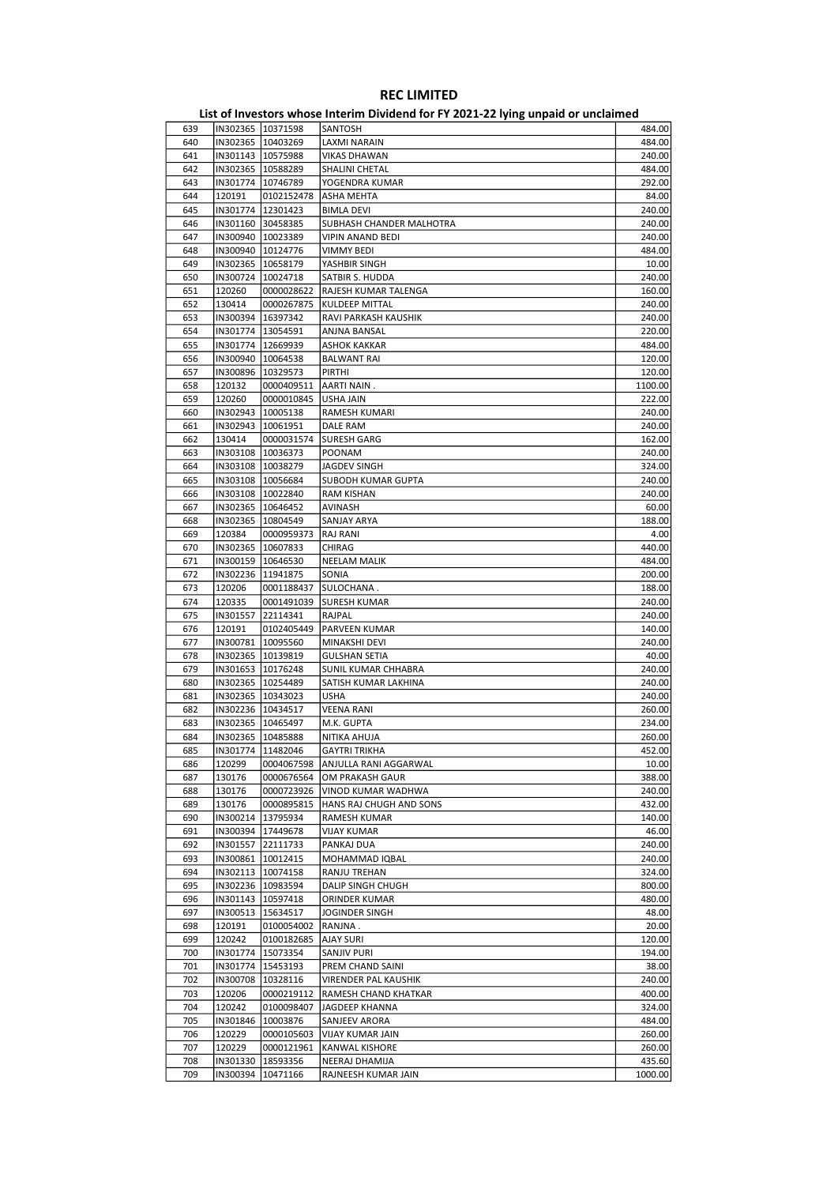| 639 | IN302365 10371598   |                     | SANTOSH                            | 484.00  |
|-----|---------------------|---------------------|------------------------------------|---------|
| 640 |                     | IN302365   10403269 | LAXMI NARAIN                       | 484.00  |
| 641 | IN301143   10575988 |                     | <b>VIKAS DHAWAN</b>                | 240.00  |
|     |                     |                     |                                    |         |
| 642 | IN302365   10588289 |                     | SHALINI CHETAL                     | 484.00  |
| 643 | IN301774   10746789 |                     | YOGENDRA KUMAR                     | 292.00  |
| 644 | 120191              | 0102152478          | ASHA MEHTA                         | 84.00   |
| 645 |                     | IN301774 12301423   | <b>BIMLA DEVI</b>                  | 240.00  |
| 646 | IN301160 30458385   |                     | SUBHASH CHANDER MALHOTRA           | 240.00  |
| 647 | IN300940   10023389 |                     | VIPIN ANAND BEDI                   | 240.00  |
|     |                     |                     |                                    |         |
| 648 | IN300940 10124776   |                     | <b>VIMMY BEDI</b>                  | 484.00  |
| 649 | IN302365            | 10658179            | YASHBIR SINGH                      | 10.00   |
| 650 |                     | IN300724   10024718 | SATBIR S. HUDDA                    | 240.00  |
| 651 | 120260              | 0000028622          | RAJESH KUMAR TALENGA               | 160.00  |
| 652 | 130414              | 0000267875          | <b>KULDEEP MITTAL</b>              | 240.00  |
|     |                     |                     |                                    |         |
| 653 | IN300394   16397342 |                     | RAVI PARKASH KAUSHIK               | 240.00  |
| 654 | IN301774 13054591   |                     | ANJNA BANSAL                       | 220.00  |
| 655 |                     | IN301774   12669939 | <b>ASHOK KAKKAR</b>                | 484.00  |
| 656 |                     | IN300940   10064538 | <b>BALWANT RAI</b>                 | 120.00  |
| 657 | IN300896   10329573 |                     | PIRTHI                             | 120.00  |
|     |                     |                     |                                    |         |
| 658 | 120132              | 0000409511          | AARTI NAIN.                        | 1100.00 |
| 659 | 120260              | 0000010845          | USHA JAIN                          | 222.00  |
| 660 | IN302943            | 10005138            | RAMESH KUMARI                      | 240.00  |
| 661 | IN302943   10061951 |                     | DALE RAM                           | 240.00  |
| 662 | 130414              | 0000031574          | <b>SURESH GARG</b>                 | 162.00  |
|     |                     |                     |                                    |         |
| 663 | IN303108   10036373 |                     | POONAM                             | 240.00  |
| 664 | IN303108 10038279   |                     | JAGDEV SINGH                       | 324.00  |
| 665 |                     | IN303108   10056684 | SUBODH KUMAR GUPTA                 | 240.00  |
| 666 |                     | IN303108 10022840   | RAM KISHAN                         | 240.00  |
| 667 | IN302365   10646452 |                     | AVINASH                            | 60.00   |
|     |                     |                     |                                    | 188.00  |
| 668 | IN302365   10804549 |                     | SANJAY ARYA                        |         |
| 669 | 120384              | 0000959373          | RAJ RANI                           | 4.00    |
| 670 | IN302365   10607833 |                     | CHIRAG                             | 440.00  |
| 671 | IN300159 10646530   |                     | <b>NEELAM MALIK</b>                | 484.00  |
| 672 | IN302236   11941875 |                     | SONIA                              | 200.00  |
|     |                     |                     |                                    |         |
| 673 | 120206              | 0001188437          | SULOCHANA.                         | 188.00  |
| 674 | 120335              | 0001491039          | <b>SURESH KUMAR</b>                | 240.00  |
| 675 | IN301557            | 22114341            | RAJPAL                             | 240.00  |
| 676 | 120191              | 0102405449          | PARVEEN KUMAR                      | 140.00  |
| 677 |                     | IN300781   10095560 | MINAKSHI DEVI                      | 240.00  |
| 678 | IN302365   10139819 |                     | GULSHAN SETIA                      | 40.00   |
|     |                     |                     |                                    |         |
| 679 | IN301653 10176248   |                     | SUNIL KUMAR CHHABRA                | 240.00  |
| 680 | IN302365 10254489   |                     | SATISH KUMAR LAKHINA               | 240.00  |
| 681 | IN302365   10343023 |                     | <b>USHA</b>                        | 240.00  |
| 682 |                     | IN302236 10434517   | <b>VEENA RANI</b>                  | 260.00  |
| 683 | IN302365   10465497 |                     | M.K. GUPTA                         | 234.00  |
|     |                     |                     |                                    |         |
| 684 | IN302365 10485888   |                     | NITIKA AHUJA                       | 260.00  |
| 685 | IN301774  11482046  |                     | GAYTRI TRIKHA                      | 452.00  |
| 686 | 120299              |                     | 0004067598   ANJULLA RANI AGGARWAL | 10.00   |
| 687 | 130176              | 0000676564          | OM PRAKASH GAUR                    | 388.00  |
| 688 | 130176              | 0000723926          | VINOD KUMAR WADHWA                 | 240.00  |
|     |                     |                     |                                    |         |
| 689 | 130176              | 0000895815          | HANS RAJ CHUGH AND SONS            | 432.00  |
| 690 |                     | IN300214 13795934   | RAMESH KUMAR                       | 140.00  |
| 691 |                     | IN300394   17449678 | VIJAY KUMAR                        | 46.00   |
| 692 |                     | IN301557 22111733   | PANKAJ DUA                         | 240.00  |
| 693 | IN300861 10012415   |                     | MOHAMMAD IQBAL                     | 240.00  |
|     |                     |                     |                                    |         |
| 694 |                     | IN302113 10074158   | RANJU TREHAN                       | 324.00  |
| 695 |                     | IN302236 10983594   | DALIP SINGH CHUGH                  | 800.00  |
| 696 |                     | IN301143   10597418 | ORINDER KUMAR                      | 480.00  |
| 697 |                     | IN300513   15634517 | JOGINDER SINGH                     | 48.00   |
| 698 | 120191              | 0100054002          | RANJNA.                            | 20.00   |
|     |                     |                     |                                    |         |
| 699 | 120242              | 0100182685          | <b>AJAY SURI</b>                   | 120.00  |
| 700 |                     | IN301774 15073354   | SANJIV PURI                        | 194.00  |
| 701 |                     | IN301774   15453193 | PREM CHAND SAINI                   | 38.00   |
| 702 | IN300708            | 10328116            | VIRENDER PAL KAUSHIK               | 240.00  |
| 703 | 120206              | 0000219112          | RAMESH CHAND KHATKAR               | 400.00  |
|     |                     |                     |                                    |         |
| 704 | 120242              | 0100098407          | JAGDEEP KHANNA                     | 324.00  |
| 705 |                     | IN301846   10003876 | SANJEEV ARORA                      | 484.00  |
| 706 | 120229              | 0000105603          | VIJAY KUMAR JAIN                   | 260.00  |
| 707 | 120229              | 0000121961          | KANWAL KISHORE                     | 260.00  |
| 708 |                     | IN301330   18593356 | NEERAJ DHAMIJA                     | 435.60  |
| 709 | IN300394            | 10471166            |                                    | 1000.00 |
|     |                     |                     | RAJNEESH KUMAR JAIN                |         |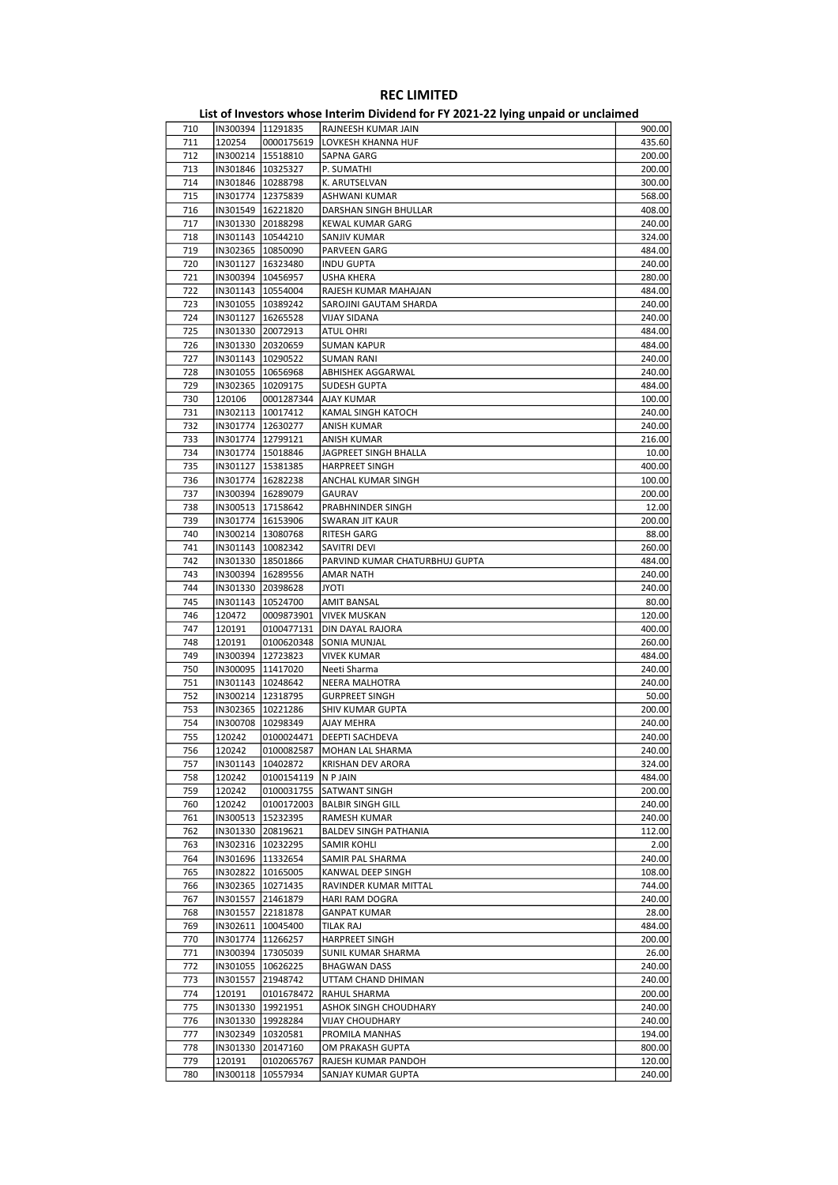| 710 | IN300394   11291835 |                     | RAJNEESH KUMAR JAIN            | 900.00 |
|-----|---------------------|---------------------|--------------------------------|--------|
| 711 | 120254              | 0000175619          | LOVKESH KHANNA HUF             | 435.60 |
| 712 | IN300214   15518810 |                     | SAPNA GARG                     | 200.00 |
|     |                     |                     |                                |        |
| 713 | IN301846   10325327 |                     | P. SUMATHI                     | 200.00 |
| 714 | IN301846   10288798 |                     | K. ARUTSELVAN                  | 300.00 |
| 715 | IN301774 12375839   |                     | ASHWANI KUMAR                  | 568.00 |
| 716 | IN301549   16221820 |                     | DARSHAN SINGH BHULLAR          | 408.00 |
| 717 |                     |                     |                                |        |
|     | IN301330 20188298   |                     | <b>KEWAL KUMAR GARG</b>        | 240.00 |
| 718 | IN301143   10544210 |                     | SANJIV KUMAR                   | 324.00 |
| 719 | IN302365 10850090   |                     | PARVEEN GARG                   | 484.00 |
| 720 | IN301127 16323480   |                     | <b>INDU GUPTA</b>              | 240.00 |
| 721 | IN300394   10456957 |                     | <b>USHA KHERA</b>              | 280.00 |
|     |                     |                     |                                |        |
| 722 | IN301143   10554004 |                     | RAJESH KUMAR MAHAJAN           | 484.00 |
| 723 | IN301055 10389242   |                     | SAROJINI GAUTAM SHARDA         | 240.00 |
| 724 | IN301127   16265528 |                     | <b>VIJAY SIDANA</b>            | 240.00 |
|     |                     |                     |                                |        |
| 725 | IN301330 20072913   |                     | <b>ATUL OHRI</b>               | 484.00 |
| 726 | IN301330 20320659   |                     | <b>SUMAN KAPUR</b>             | 484.00 |
| 727 | IN301143   10290522 |                     | <b>SUMAN RANI</b>              | 240.00 |
| 728 | IN301055   10656968 |                     | ABHISHEK AGGARWAL              | 240.00 |
| 729 |                     |                     |                                | 484.00 |
|     | IN302365 10209175   |                     | SUDESH GUPTA                   |        |
| 730 | 120106              | 0001287344          | <b>AJAY KUMAR</b>              | 100.00 |
| 731 | IN302113   10017412 |                     | KAMAL SINGH KATOCH             | 240.00 |
| 732 | IN301774   12630277 |                     | ANISH KUMAR                    | 240.00 |
|     |                     |                     | <b>ANISH KUMAR</b>             |        |
| 733 | IN301774   12799121 |                     |                                | 216.00 |
| 734 | IN301774 15018846   |                     | JAGPREET SINGH BHALLA          | 10.00  |
| 735 | IN301127            | 15381385            | <b>HARPREET SINGH</b>          | 400.00 |
| 736 | IN301774 16282238   |                     | ANCHAL KUMAR SINGH             | 100.00 |
| 737 | IN300394   16289079 |                     | <b>GAURAV</b>                  | 200.00 |
|     |                     |                     |                                |        |
| 738 | IN300513 17158642   |                     | PRABHNINDER SINGH              | 12.00  |
| 739 | IN301774   16153906 |                     | SWARAN JIT KAUR                | 200.00 |
| 740 | IN300214 13080768   |                     | RITESH GARG                    | 88.00  |
| 741 |                     |                     |                                |        |
|     | IN301143   10082342 |                     | SAVITRI DEVI                   | 260.00 |
| 742 | IN301330 18501866   |                     | PARVIND KUMAR CHATURBHUJ GUPTA | 484.00 |
| 743 | IN300394   16289556 |                     | <b>AMAR NATH</b>               | 240.00 |
| 744 | IN301330 20398628   |                     | <b>ITOYL</b>                   | 240.00 |
| 745 | IN301143            | 10524700            | <b>AMIT BANSAL</b>             | 80.00  |
|     |                     |                     |                                |        |
| 746 | 120472              | 0009873901          | <b>VIVEK MUSKAN</b>            | 120.00 |
| 747 | 120191              | 0100477131          | DIN DAYAL RAJORA               | 400.00 |
| 748 | 120191              | 0100620348          | SONIA MUNJAL                   | 260.00 |
| 749 | IN300394 12723823   |                     | <b>VIVEK KUMAR</b>             | 484.00 |
|     |                     |                     |                                |        |
| 750 | IN300095 11417020   |                     | Neeti Sharma                   | 240.00 |
| 751 | IN301143   10248642 |                     | NEERA MALHOTRA                 | 240.00 |
| 752 | IN300214 12318795   |                     | <b>GURPREET SINGH</b>          | 50.00  |
| 753 | IN302365   10221286 |                     | SHIV KUMAR GUPTA               | 200.00 |
|     |                     |                     |                                |        |
| 754 | IN300708   10298349 |                     | AJAY MEHRA                     | 240.00 |
| 755 | 120242              | 0100024471          | <b>DEEPTI SACHDEVA</b>         | 240.00 |
| 756 | 120242              |                     | 0100082587  MOHAN LAL SHARMA   | 240.00 |
| 757 |                     | IN301143   10402872 | <b>KRISHAN DEV ARORA</b>       | 324.00 |
|     |                     |                     |                                |        |
| 758 | 120242              | 0100154119          | N P JAIN                       | 484.00 |
| 759 | 120242              | 0100031755          | SATWANT SINGH                  | 200.00 |
| 760 | 120242              | 0100172003          | <b>BALBIR SINGH GILL</b>       | 240.00 |
| 761 | IN300513   15232395 |                     | RAMESH KUMAR                   | 240.00 |
|     |                     |                     |                                |        |
| 762 |                     | IN301330 20819621   | <b>BALDEV SINGH PATHANIA</b>   | 112.00 |
| 763 | IN302316   10232295 |                     | <b>SAMIR KOHLI</b>             | 2.00   |
| 764 |                     | IN301696 11332654   | SAMIR PAL SHARMA               | 240.00 |
| 765 |                     | IN302822 10165005   | KANWAL DEEP SINGH              | 108.00 |
| 766 | IN302365   10271435 |                     | RAVINDER KUMAR MITTAL          | 744.00 |
|     |                     |                     |                                |        |
| 767 |                     | IN301557 21461879   | HARI RAM DOGRA                 | 240.00 |
| 768 | IN301557 22181878   |                     | <b>GANPAT KUMAR</b>            | 28.00  |
| 769 | IN302611   10045400 |                     | TILAK RAJ                      | 484.00 |
| 770 | IN301774 11266257   |                     | <b>HARPREET SINGH</b>          | 200.00 |
|     |                     |                     |                                |        |
| 771 | IN300394   17305039 |                     | SUNIL KUMAR SHARMA             | 26.00  |
| 772 |                     | IN301055   10626225 | <b>BHAGWAN DASS</b>            | 240.00 |
| 773 | IN301557 21948742   |                     | UTTAM CHAND DHIMAN             | 240.00 |
| 774 | 120191              | 0101678472          | RAHUL SHARMA                   | 200.00 |
|     |                     |                     |                                |        |
| 775 | IN301330 19921951   |                     | ASHOK SINGH CHOUDHARY          | 240.00 |
| 776 |                     | IN301330   19928284 | <b>VIJAY CHOUDHARY</b>         | 240.00 |
| 777 | IN302349   10320581 |                     | PROMILA MANHAS                 | 194.00 |
| 778 | IN301330            | 20147160            | OM PRAKASH GUPTA               | 800.00 |
|     |                     |                     |                                |        |
| 779 | 120191              | 0102065767          | RAJESH KUMAR PANDOH            | 120.00 |
| 780 | IN300118            | 10557934            | SANJAY KUMAR GUPTA             | 240.00 |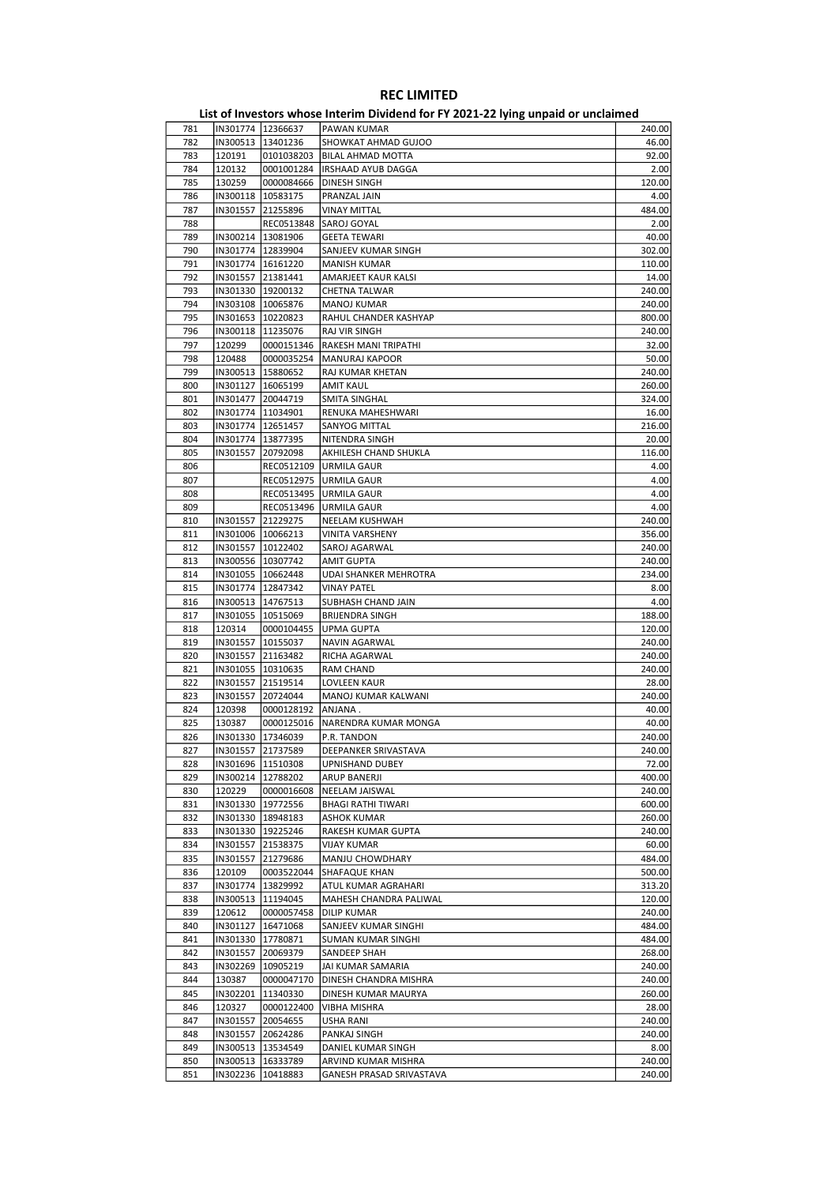| 781        |          | IN301774   12366637 | PAWAN KUMAR               | 240.00 |
|------------|----------|---------------------|---------------------------|--------|
| 782        |          | IN300513   13401236 | SHOWKAT AHMAD GUJOO       | 46.00  |
| 783        | 120191   | 0101038203          | <b>BILAL AHMAD MOTTA</b>  | 92.00  |
| 784        | 120132   | 0001001284          | <b>IRSHAAD AYUB DAGGA</b> | 2.00   |
| 785        | 130259   | 0000084666          | DINESH SINGH              | 120.00 |
| 786        |          | IN300118   10583175 | PRANZAL JAIN              | 4.00   |
| 787        | IN301557 | 21255896            | <b>VINAY MITTAL</b>       | 484.00 |
| 788        |          | REC0513848          | SAROJ GOYAL               | 2.00   |
| 789        |          | IN300214   13081906 | <b>GEETA TEWARI</b>       | 40.00  |
| 790        |          | IN301774   12839904 | SANJEEV KUMAR SINGH       | 302.00 |
| 791        |          | IN301774   16161220 | <b>MANISH KUMAR</b>       | 110.00 |
| 792        |          | IN301557 21381441   | AMARJEET KAUR KALSI       | 14.00  |
| 793        |          | IN301330 19200132   |                           | 240.00 |
|            |          |                     | CHETNA TALWAR             |        |
| 794<br>795 |          | IN303108   10065876 | MANOJ KUMAR               | 240.00 |
|            |          | IN301653   10220823 | RAHUL CHANDER KASHYAP     | 800.00 |
| 796<br>797 |          | IN300118   11235076 | RAJ VIR SINGH             | 240.00 |
|            | 120299   | 0000151346          | RAKESH MANI TRIPATHI      | 32.00  |
| 798        | 120488   | 0000035254          | <b>MANURAJ KAPOOR</b>     | 50.00  |
| 799        |          | IN300513   15880652 | RAJ KUMAR KHETAN          | 240.00 |
| 800        |          | IN301127   16065199 | AMIT KAUL                 | 260.00 |
| 801        | IN301477 | 20044719            | SMITA SINGHAL             | 324.00 |
| 802        |          | IN301774   11034901 | RENUKA MAHESHWARI         | 16.00  |
| 803        |          | IN301774 12651457   | SANYOG MITTAL             | 216.00 |
| 804        |          | IN301774 13877395   | NITENDRA SINGH            | 20.00  |
| 805        |          | IN301557 20792098   | AKHILESH CHAND SHUKLA     | 116.00 |
| 806        |          | REC0512109          | URMILA GAUR               | 4.00   |
| 807        |          | REC0512975          | URMILA GAUR               | 4.00   |
| 808        |          | REC0513495          | <b>URMILA GAUR</b>        | 4.00   |
| 809        |          | REC0513496          | <b>URMILA GAUR</b>        | 4.00   |
| 810        |          | IN301557 21229275   | NEELAM KUSHWAH            | 240.00 |
| 811        |          | IN301006   10066213 | <b>VINITA VARSHENY</b>    | 356.00 |
| 812        |          | IN301557   10122402 | SAROJ AGARWAL             | 240.00 |
| 813        |          | IN300556 10307742   | <b>AMIT GUPTA</b>         | 240.00 |
| 814        |          | IN301055   10662448 | UDAI SHANKER MEHROTRA     | 234.00 |
| 815        |          | IN301774   12847342 | <b>VINAY PATEL</b>        | 8.00   |
| 816        |          | IN300513   14767513 | SUBHASH CHAND JAIN        | 4.00   |
| 817        |          | IN301055   10515069 | <b>BRIJENDRA SINGH</b>    | 188.00 |
| 818        | 120314   | 0000104455          | <b>UPMA GUPTA</b>         | 120.00 |
| 819        |          | IN301557   10155037 | NAVIN AGARWAL             | 240.00 |
| 820        |          | IN301557 21163482   | RICHA AGARWAL             | 240.00 |
| 821        |          | IN301055 10310635   | RAM CHAND                 | 240.00 |
| 822        | IN301557 | 21519514            | LOVLEEN KAUR              | 28.00  |
| 823        |          | IN301557 20724044   | MANOJ KUMAR KALWANI       | 240.00 |
| 824        | 120398   | 0000128192          | ANJANA.                   | 40.00  |
| 825        | 130387   | 0000125016          | NARENDRA KUMAR MONGA      | 40.00  |
| 826        |          | IN301330 17346039   | P.R. TANDON               | 240.00 |
| 827        |          | IN301557  21737589  | DEEPANKER SRIVASTAVA      | 240.00 |
| 828        |          | IN301696   11510308 | UPNISHAND DUBEY           | 72.00  |
| 829        |          | IN300214 12788202   | ARUP BANERJI              | 400.00 |
| 830        | 120229   | 0000016608          | NEELAM JAISWAL            | 240.00 |
| 831        |          | IN301330 19772556   | <b>BHAGI RATHI TIWARI</b> | 600.00 |
| 832        |          | IN301330   18948183 | <b>ASHOK KUMAR</b>        | 260.00 |
| 833        |          | IN301330 19225246   | RAKESH KUMAR GUPTA        | 240.00 |
| 834        |          | IN301557 21538375   | <b>VIJAY KUMAR</b>        | 60.00  |
| 835        | IN301557 | 21279686            | MANJU CHOWDHARY           | 484.00 |
| 836        | 120109   | 0003522044          | SHAFAQUE KHAN             | 500.00 |
|            |          |                     |                           |        |
| 837        |          | IN301774   13829992 | ATUL KUMAR AGRAHARI       | 313.20 |
| 838        |          | IN300513 11194045   | MAHESH CHANDRA PALIWAL    | 120.00 |
| 839        | 120612   | 0000057458          | DILIP KUMAR               | 240.00 |
| 840        | IN301127 | 16471068            | SANJEEV KUMAR SINGHI      | 484.00 |
| 841        |          | IN301330 17780871   | SUMAN KUMAR SINGHI        | 484.00 |
| 842        |          | IN301557 20069379   | SANDEEP SHAH              | 268.00 |
| 843        |          | IN302269   10905219 | JAI KUMAR SAMARIA         | 240.00 |
| 844        | 130387   | 0000047170          | DINESH CHANDRA MISHRA     | 240.00 |
| 845        | IN302201 | 11340330            | DINESH KUMAR MAURYA       | 260.00 |
| 846        | 120327   | 0000122400          | VIBHA MISHRA              | 28.00  |
| 847        |          | IN301557 20054655   | USHA RANI                 | 240.00 |
| 848        |          | IN301557 20624286   | PANKAJ SINGH              | 240.00 |
| 849        |          | IN300513   13534549 | DANIEL KUMAR SINGH        | 8.00   |
| 850        |          | IN300513   16333789 | ARVIND KUMAR MISHRA       | 240.00 |
| 851        |          | IN302236 10418883   | GANESH PRASAD SRIVASTAVA  | 240.00 |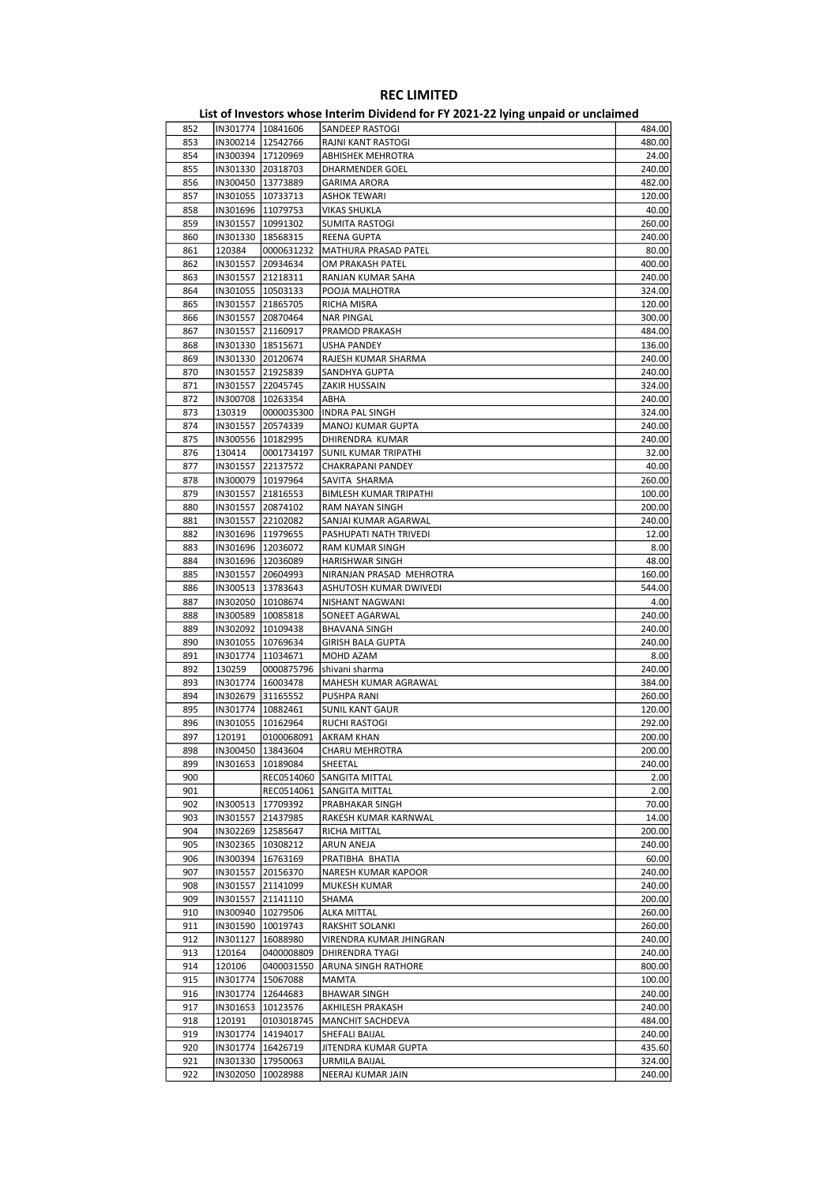|     |                     |                     | ED, or investors whose internit privation for it about LETTing ampaid or ancialities. |        |
|-----|---------------------|---------------------|---------------------------------------------------------------------------------------|--------|
| 852 | IN301774   10841606 |                     | SANDEEP RASTOGI                                                                       | 484.00 |
| 853 |                     | IN300214   12542766 | RAJNI KANT RASTOGI                                                                    | 480.00 |
| 854 | IN300394   17120969 |                     | <b>ABHISHEK MEHROTRA</b>                                                              | 24.00  |
|     |                     |                     |                                                                                       |        |
| 855 | IN301330 20318703   |                     | DHARMENDER GOEL                                                                       | 240.00 |
| 856 | IN300450   13773889 |                     | <b>GARIMA ARORA</b>                                                                   | 482.00 |
| 857 | IN301055 10733713   |                     | <b>ASHOK TEWARI</b>                                                                   | 120.00 |
| 858 | IN301696   11079753 |                     | <b>VIKAS SHUKLA</b>                                                                   | 40.00  |
| 859 | IN301557   10991302 |                     | SUMITA RASTOGI                                                                        | 260.00 |
| 860 | IN301330   18568315 |                     | REENA GUPTA                                                                           | 240.00 |
| 861 | 120384              | 0000631232          | MATHURA PRASAD PATEL                                                                  | 80.00  |
|     |                     |                     |                                                                                       |        |
| 862 |                     | IN301557 20934634   | OM PRAKASH PATEL                                                                      | 400.00 |
| 863 | IN301557 21218311   |                     | RANJAN KUMAR SAHA                                                                     | 240.00 |
| 864 | IN301055   10503133 |                     | POOJA MALHOTRA                                                                        | 324.00 |
| 865 | IN301557 21865705   |                     | <b>RICHA MISRA</b>                                                                    | 120.00 |
| 866 |                     | IN301557 20870464   | NAR PINGAL                                                                            | 300.00 |
| 867 | IN301557 21160917   |                     | PRAMOD PRAKASH                                                                        | 484.00 |
| 868 | IN301330   18515671 |                     | USHA PANDEY                                                                           | 136.00 |
|     |                     |                     |                                                                                       |        |
| 869 |                     | IN301330 20120674   | RAJESH KUMAR SHARMA                                                                   | 240.00 |
| 870 | IN301557 21925839   |                     | SANDHYA GUPTA                                                                         | 240.00 |
| 871 | IN301557 22045745   |                     | ZAKIR HUSSAIN                                                                         | 324.00 |
| 872 | IN300708 10263354   |                     | ABHA                                                                                  | 240.00 |
| 873 | 130319              | 0000035300          | INDRA PAL SINGH                                                                       | 324.00 |
| 874 | IN301557 20574339   |                     | MANOJ KUMAR GUPTA                                                                     | 240.00 |
| 875 | IN300556 10182995   |                     | DHIRENDRA KUMAR                                                                       | 240.00 |
|     |                     |                     |                                                                                       |        |
| 876 | 130414              | 0001734197          | <b>SUNIL KUMAR TRIPATHI</b>                                                           | 32.00  |
| 877 | IN301557 22137572   |                     | CHAKRAPANI PANDEY                                                                     | 40.00  |
| 878 | IN300079   10197964 |                     | SAVITA SHARMA                                                                         | 260.00 |
| 879 | IN301557 21816553   |                     | <b>BIMLESH KUMAR TRIPATHI</b>                                                         | 100.00 |
| 880 | IN301557 20874102   |                     | RAM NAYAN SINGH                                                                       | 200.00 |
| 881 | IN301557 22102082   |                     | SANJAI KUMAR AGARWAL                                                                  | 240.00 |
| 882 |                     | IN301696   11979655 | PASHUPATI NATH TRIVEDI                                                                | 12.00  |
|     |                     |                     |                                                                                       |        |
| 883 | IN301696   12036072 |                     | RAM KUMAR SINGH                                                                       | 8.00   |
| 884 | IN301696   12036089 |                     | HARISHWAR SINGH                                                                       | 48.00  |
| 885 | IN301557 20604993   |                     | NIRANJAN PRASAD MEHROTRA                                                              | 160.00 |
| 886 | IN300513   13783643 |                     | ASHUTOSH KUMAR DWIVEDI                                                                | 544.00 |
| 887 |                     | IN302050 10108674   | NISHANT NAGWANI                                                                       | 4.00   |
| 888 |                     | IN300589   10085818 | SONEET AGARWAL                                                                        | 240.00 |
| 889 | IN302092   10109438 |                     | <b>BHAVANA SINGH</b>                                                                  | 240.00 |
|     |                     |                     |                                                                                       |        |
| 890 | IN301055 10769634   |                     | <b>GIRISH BALA GUPTA</b>                                                              | 240.00 |
| 891 | IN301774   11034671 |                     | MOHD AZAM                                                                             | 8.00   |
| 892 | 130259              | 0000875796          | shivani sharma                                                                        | 240.00 |
| 893 | IN301774 16003478   |                     | MAHESH KUMAR AGRAWAL                                                                  | 384.00 |
| 894 |                     | IN302679 31165552   | PUSHPA RANI                                                                           | 260.00 |
| 895 | IN301774   10882461 |                     | <b>SUNIL KANT GAUR</b>                                                                | 120.00 |
| 896 |                     | IN301055 10162964   | RUCHI RASTOGI                                                                         | 292.00 |
|     |                     |                     |                                                                                       |        |
| 897 | 120191              | 0100068091          | <b>AKRAM KHAN</b>                                                                     | 200.00 |
| 898 | IN300450  13843604  |                     | CHARU MEHROTRA                                                                        | 200.00 |
| 899 |                     | IN301653   10189084 | SHEETAL                                                                               | 240.00 |
| 900 |                     | REC0514060          | SANGITA MITTAL                                                                        | 2.00   |
| 901 |                     | REC0514061          | SANGITA MITTAL                                                                        | 2.00   |
| 902 |                     | IN300513 17709392   | PRABHAKAR SINGH                                                                       | 70.00  |
| 903 |                     | IN301557 21437985   | RAKESH KUMAR KARNWAL                                                                  | 14.00  |
| 904 |                     | IN302269 12585647   | RICHA MITTAL                                                                          | 200.00 |
|     |                     |                     |                                                                                       |        |
| 905 |                     | IN302365 10308212   | ARUN ANEJA                                                                            | 240.00 |
| 906 |                     | IN300394  16763169  | PRATIBHA BHATIA                                                                       | 60.00  |
| 907 |                     | IN301557 20156370   | NARESH KUMAR KAPOOR                                                                   | 240.00 |
| 908 |                     | IN301557 21141099   | MUKESH KUMAR                                                                          | 240.00 |
| 909 |                     | IN301557 21141110   | SHAMA                                                                                 | 200.00 |
| 910 |                     | IN300940 10279506   | <b>ALKA MITTAL</b>                                                                    | 260.00 |
|     |                     |                     |                                                                                       |        |
| 911 |                     | IN301590   10019743 | RAKSHIT SOLANKI                                                                       | 260.00 |
| 912 | IN301127            | 16088980            | VIRENDRA KUMAR JHINGRAN                                                               | 240.00 |
| 913 | 120164              | 0400008809          | DHIRENDRA TYAGI                                                                       | 240.00 |
| 914 | 120106              | 0400031550          | ARUNA SINGH RATHORE                                                                   | 800.00 |
| 915 |                     | IN301774   15067088 | MAMTA                                                                                 | 100.00 |
| 916 |                     | IN301774   12644683 | <b>BHAWAR SINGH</b>                                                                   | 240.00 |
| 917 | IN301653            | 10123576            | AKHILESH PRAKASH                                                                      | 240.00 |
|     | 120191              | 0103018745          |                                                                                       | 484.00 |
| 918 |                     |                     | MANCHIT SACHDEVA                                                                      |        |
| 919 | IN301774 14194017   |                     | SHEFALI BAIJAL                                                                        | 240.00 |
| 920 |                     | IN301774 16426719   | JITENDRA KUMAR GUPTA                                                                  | 435.60 |
| 921 |                     | IN301330   17950063 | URMILA BAIJAL                                                                         | 324.00 |
| 922 |                     | IN302050 10028988   | NEERAJ KUMAR JAIN                                                                     | 240.00 |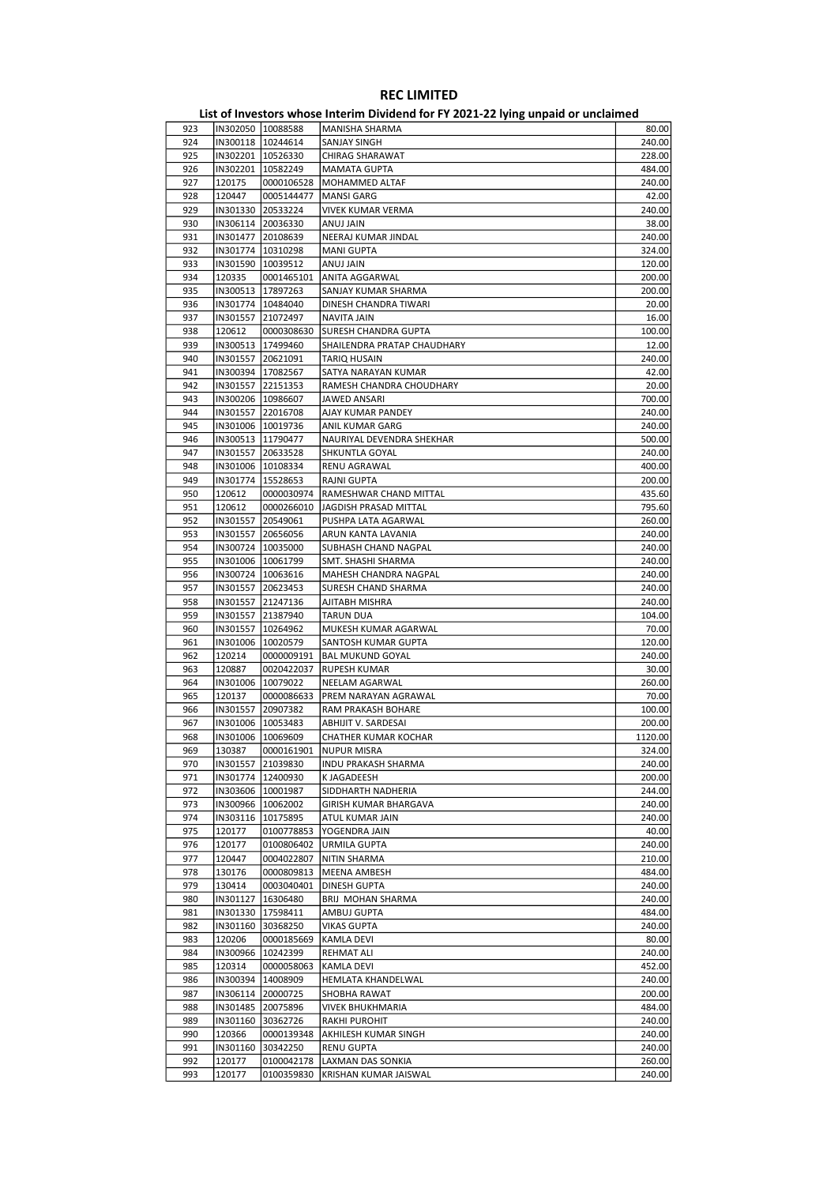|     |                     |            | - סייני                     |         |
|-----|---------------------|------------|-----------------------------|---------|
| 923 | IN302050   10088588 |            | MANISHA SHARMA              | 80.00   |
| 924 | IN300118   10244614 |            | SANJAY SINGH                | 240.00  |
| 925 | IN302201   10526330 |            | <b>CHIRAG SHARAWAT</b>      | 228.00  |
| 926 | IN302201   10582249 |            | <b>MAMATA GUPTA</b>         | 484.00  |
| 927 | 120175              | 0000106528 | MOHAMMED ALTAF              | 240.00  |
|     |                     |            |                             |         |
| 928 | 120447              | 0005144477 | <b>MANSI GARG</b>           | 42.00   |
| 929 | IN301330 20533224   |            | <b>VIVEK KUMAR VERMA</b>    | 240.00  |
| 930 | IN306114 20036330   |            | ANUJ JAIN                   | 38.00   |
| 931 | IN301477 20108639   |            | NEERAJ KUMAR JINDAL         | 240.00  |
| 932 | IN301774   10310298 |            | <b>MANI GUPTA</b>           | 324.00  |
| 933 | IN301590   10039512 |            | ANUJ JAIN                   | 120.00  |
| 934 | 120335              | 0001465101 | ANITA AGGARWAL              | 200.00  |
| 935 | IN300513   17897263 |            | SANJAY KUMAR SHARMA         | 200.00  |
| 936 | IN301774   10484040 |            | DINESH CHANDRA TIWARI       | 20.00   |
| 937 | IN301557 21072497   |            | NAVITA JAIN                 | 16.00   |
|     |                     |            |                             |         |
| 938 | 120612              | 0000308630 | <b>SURESH CHANDRA GUPTA</b> | 100.00  |
| 939 | IN300513   17499460 |            | SHAILENDRA PRATAP CHAUDHARY | 12.00   |
| 940 | IN301557 20621091   |            | <b>TARIQ HUSAIN</b>         | 240.00  |
| 941 | IN300394 17082567   |            | SATYA NARAYAN KUMAR         | 42.00   |
| 942 | IN301557 22151353   |            | RAMESH CHANDRA CHOUDHARY    | 20.00   |
| 943 | IN300206   10986607 |            | JAWED ANSARI                | 700.00  |
| 944 | IN301557 22016708   |            | AJAY KUMAR PANDEY           | 240.00  |
| 945 | IN301006   10019736 |            | ANIL KUMAR GARG             | 240.00  |
| 946 | IN300513 11790477   |            | NAURIYAL DEVENDRA SHEKHAR   | 500.00  |
| 947 |                     |            |                             |         |
|     | IN301557 20633528   |            | SHKUNTLA GOYAL              | 240.00  |
| 948 | IN301006 10108334   |            | RENU AGRAWAL                | 400.00  |
| 949 | IN301774   15528653 |            | RAJNI GUPTA                 | 200.00  |
| 950 | 120612              | 0000030974 | RAMESHWAR CHAND MITTAL      | 435.60  |
| 951 | 120612              | 0000266010 | JAGDISH PRASAD MITTAL       | 795.60  |
| 952 | IN301557 20549061   |            | PUSHPA LATA AGARWAL         | 260.00  |
| 953 | IN301557            | 20656056   | ARUN KANTA LAVANIA          | 240.00  |
| 954 | IN300724   10035000 |            | SUBHASH CHAND NAGPAL        | 240.00  |
| 955 | IN301006   10061799 |            | SMT. SHASHI SHARMA          | 240.00  |
| 956 | IN300724   10063616 |            | MAHESH CHANDRA NAGPAL       | 240.00  |
| 957 | IN301557 20623453   |            | SURESH CHAND SHARMA         | 240.00  |
|     |                     |            |                             |         |
| 958 | IN301557            | 21247136   | AJITABH MISHRA              | 240.00  |
| 959 | IN301557 21387940   |            | TARUN DUA                   | 104.00  |
| 960 | IN301557   10264962 |            | MUKESH KUMAR AGARWAL        | 70.00   |
| 961 | IN301006   10020579 |            | SANTOSH KUMAR GUPTA         | 120.00  |
| 962 | 120214              | 0000009191 | <b>BAL MUKUND GOYAL</b>     | 240.00  |
| 963 | 120887              | 0020422037 | <b>RUPESH KUMAR</b>         | 30.00   |
| 964 | IN301006 10079022   |            | NEELAM AGARWAL              | 260.00  |
| 965 | 120137              | 0000086633 | PREM NARAYAN AGRAWAL        | 70.00   |
| 966 | IN301557 20907382   |            | RAM PRAKASH BOHARE          | 100.00  |
|     |                     |            |                             |         |
| 967 | IN301006   10053483 |            | ABHIJIT V. SARDESAI         | 200.00  |
| 968 | IN301006 10069609   |            | CHATHER KUMAR KOCHAR        | 1120.00 |
| 969 | 130387              |            | 0000161901  NUPUR MISRA     | 324.00  |
| 970 | IN301557 21039830   |            | INDU PRAKASH SHARMA         | 240.00  |
| 971 | IN301774   12400930 |            | K JAGADEESH                 | 200.00  |
| 972 | IN303606 10001987   |            | SIDDHARTH NADHERIA          | 244.00  |
| 973 | IN300966 10062002   |            | GIRISH KUMAR BHARGAVA       | 240.00  |
| 974 | IN303116   10175895 |            | ATUL KUMAR JAIN             | 240.00  |
| 975 | 120177              | 0100778853 | YOGENDRA JAIN               | 40.00   |
| 976 | 120177              | 0100806402 | <b>URMILA GUPTA</b>         | 240.00  |
|     |                     |            |                             |         |
| 977 | 120447              | 0004022807 | <b>NITIN SHARMA</b>         | 210.00  |
| 978 | 130176              | 0000809813 | MEENA AMBESH                | 484.00  |
| 979 | 130414              | 0003040401 | DINESH GUPTA                | 240.00  |
| 980 | IN301127            | 16306480   | BRIJ MOHAN SHARMA           | 240.00  |
| 981 | IN301330 17598411   |            | AMBUJ GUPTA                 | 484.00  |
| 982 | IN301160 30368250   |            | VIKAS GUPTA                 | 240.00  |
| 983 | 120206              | 0000185669 | KAMLA DEVI                  | 80.00   |
| 984 | IN300966   10242399 |            | REHMAT ALI                  | 240.00  |
| 985 | 120314              | 0000058063 | KAMLA DEVI                  | 452.00  |
|     |                     |            |                             |         |
| 986 | IN300394   14008909 |            | HEMLATA KHANDELWAL          | 240.00  |
| 987 | IN306114 20000725   |            | SHOBHA RAWAT                | 200.00  |
| 988 | IN301485 20075896   |            | <b>VIVEK BHUKHMARIA</b>     | 484.00  |
| 989 | IN301160 30362726   |            | RAKHI PUROHIT               | 240.00  |
| 990 | 120366              | 0000139348 | AKHILESH KUMAR SINGH        | 240.00  |
| 991 | IN301160            | 30342250   | <b>RENU GUPTA</b>           | 240.00  |
| 992 | 120177              | 0100042178 | LAXMAN DAS SONKIA           | 260.00  |
| 993 | 120177              | 0100359830 | KRISHAN KUMAR JAISWAL       | 240.00  |
|     |                     |            |                             |         |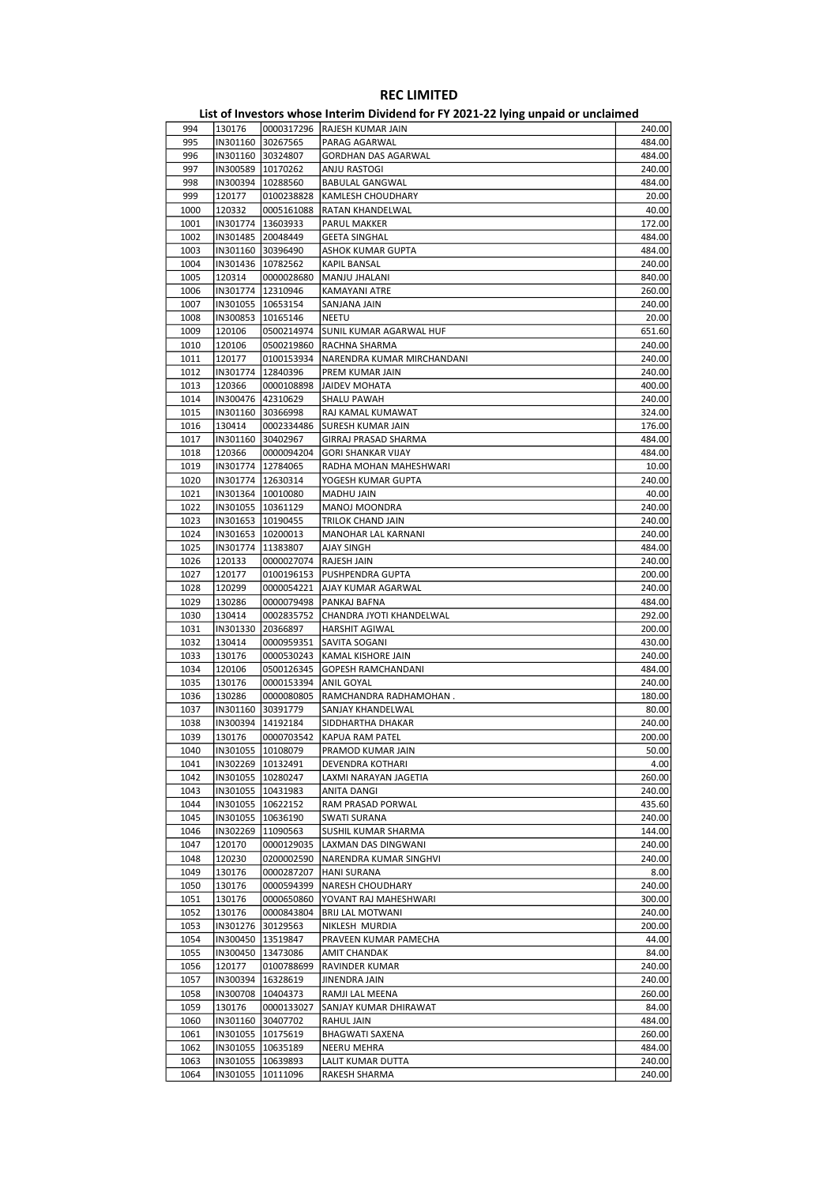| 994  | 130176              |                     | 0000317296 RAJESH KUMAR JAIN | 240.00 |
|------|---------------------|---------------------|------------------------------|--------|
| 995  | IN301160            | 30267565            | PARAG AGARWAL                | 484.00 |
| 996  |                     | IN301160 30324807   | <b>GORDHAN DAS AGARWAL</b>   | 484.00 |
| 997  | IN300589   10170262 |                     | ANJU RASTOGI                 | 240.00 |
| 998  | IN300394   10288560 |                     | <b>BABULAL GANGWAL</b>       | 484.00 |
| 999  | 120177              | 0100238828          | KAMLESH CHOUDHARY            | 20.00  |
| 1000 | 120332              | 0005161088          | RATAN KHANDELWAL             | 40.00  |
| 1001 |                     | IN301774   13603933 | PARUL MAKKER                 | 172.00 |
| 1002 | IN301485 20048449   |                     | <b>GEETA SINGHAL</b>         | 484.00 |
| 1003 | IN301160 30396490   |                     | ASHOK KUMAR GUPTA            | 484.00 |
| 1004 | IN301436 10782562   |                     |                              | 240.00 |
|      |                     |                     | KAPIL BANSAL                 |        |
| 1005 | 120314              | 0000028680          | MANJU JHALANI                | 840.00 |
| 1006 |                     | IN301774   12310946 | KAMAYANI ATRE                | 260.00 |
| 1007 | IN301055   10653154 |                     | SANJANA JAIN                 | 240.00 |
| 1008 | IN300853   10165146 |                     | <b>NEETU</b>                 | 20.00  |
| 1009 | 120106              | 0500214974          | SUNIL KUMAR AGARWAL HUF      | 651.60 |
| 1010 | 120106              | 0500219860          | RACHNA SHARMA                | 240.00 |
| 1011 | 120177              | 0100153934          | NARENDRA KUMAR MIRCHANDANI   | 240.00 |
| 1012 | IN301774   12840396 |                     | PREM KUMAR JAIN              | 240.00 |
| 1013 | 120366              | 0000108898          | JAIDEV MOHATA                | 400.00 |
| 1014 | IN300476   42310629 |                     | <b>SHALU PAWAH</b>           | 240.00 |
| 1015 |                     | IN301160 30366998   | RAJ KAMAL KUMAWAT            | 324.00 |
| 1016 | 130414              | 0002334486          | SURESH KUMAR JAIN            | 176.00 |
| 1017 | IN301160 30402967   |                     | GIRRAJ PRASAD SHARMA         | 484.00 |
|      |                     |                     |                              |        |
| 1018 | 120366              | 0000094204          | <b>GORI SHANKAR VIJAY</b>    | 484.00 |
| 1019 | IN301774   12784065 |                     | RADHA MOHAN MAHESHWARI       | 10.00  |
| 1020 |                     | IN301774   12630314 | YOGESH KUMAR GUPTA           | 240.00 |
| 1021 |                     | IN301364  10010080  | MADHU JAIN                   | 40.00  |
| 1022 | IN301055   10361129 |                     | MANOJ MOONDRA                | 240.00 |
| 1023 | IN301653   10190455 |                     | TRILOK CHAND JAIN            | 240.00 |
| 1024 | IN301653   10200013 |                     | MANOHAR LAL KARNANI          | 240.00 |
| 1025 |                     | IN301774 11383807   | AJAY SINGH                   | 484.00 |
| 1026 | 120133              | 0000027074          | RAJESH JAIN                  | 240.00 |
| 1027 | 120177              | 0100196153          | PUSHPENDRA GUPTA             | 200.00 |
| 1028 | 120299              | 0000054221          | AJAY KUMAR AGARWAL           | 240.00 |
| 1029 | 130286              | 0000079498          | PANKAJ BAFNA                 | 484.00 |
| 1030 | 130414              | 0002835752          | CHANDRA JYOTI KHANDELWAL     | 292.00 |
| 1031 | IN301330            | 20366897            | HARSHIT AGIWAL               | 200.00 |
|      |                     |                     |                              |        |
| 1032 | 130414              | 0000959351          | SAVITA SOGANI                | 430.00 |
| 1033 | 130176              | 0000530243          | KAMAL KISHORE JAIN           | 240.00 |
| 1034 | 120106              | 0500126345          | GOPESH RAMCHANDANI           | 484.00 |
| 1035 | 130176              | 0000153394          | ANIL GOYAL                   | 240.00 |
| 1036 | 130286              | 0000080805          | RAMCHANDRA RADHAMOHAN.       | 180.00 |
| 1037 | IN301160 30391779   |                     | SANJAY KHANDELWAL            | 80.00  |
| 1038 |                     | IN300394 14192184   | SIDDHARTHA DHAKAR            | 240.00 |
| 1039 | 130176              | 0000703542          | KAPUA RAM PATEL              | 200.00 |
| 1040 | IN301055 10108079   |                     | <b>PRAMOD KUMAR JAIN</b>     | 50.00  |
| 1041 |                     | IN302269   10132491 | DEVENDRA KOTHARI             | 4.00   |
| 1042 | IN301055   10280247 |                     | LAXMI NARAYAN JAGETIA        | 260.00 |
| 1043 | IN301055   10431983 |                     | ANITA DANGI                  | 240.00 |
| 1044 |                     | IN301055   10622152 | RAM PRASAD PORWAL            | 435.60 |
| 1045 | IN301055            | 10636190            | <b>SWATI SURANA</b>          | 240.00 |
| 1046 | IN302269            | 11090563            | SUSHIL KUMAR SHARMA          | 144.00 |
| 1047 | 120170              | 0000129035          | LAXMAN DAS DINGWANI          | 240.00 |
|      | 120230              |                     |                              |        |
| 1048 |                     | 0200002590          | NARENDRA KUMAR SINGHVI       | 240.00 |
| 1049 | 130176              | 0000287207          | <b>HANI SURANA</b>           | 8.00   |
| 1050 | 130176              | 0000594399          | NARESH CHOUDHARY             | 240.00 |
| 1051 | 130176              | 0000650860          | YOVANT RAJ MAHESHWARI        | 300.00 |
| 1052 | 130176              | 0000843804          | BRIJ LAL MOTWANI             | 240.00 |
| 1053 | IN301276            | 30129563            | NIKLESH MURDIA               | 200.00 |
| 1054 | IN300450            | 13519847            | PRAVEEN KUMAR PAMECHA        | 44.00  |
| 1055 | IN300450            | 13473086            | AMIT CHANDAK                 | 84.00  |
| 1056 | 120177              | 0100788699          | RAVINDER KUMAR               | 240.00 |
| 1057 | IN300394            | 16328619            | JINENDRA JAIN                | 240.00 |
| 1058 | IN300708            | 10404373            | RAMJI LAL MEENA              | 260.00 |
| 1059 | 130176              | 0000133027          | SANJAY KUMAR DHIRAWAT        | 84.00  |
| 1060 |                     | IN301160 30407702   | RAHUL JAIN                   | 484.00 |
| 1061 |                     | IN301055   10175619 | BHAGWATI SAXENA              | 260.00 |
| 1062 |                     | IN301055   10635189 | NEERU MEHRA                  | 484.00 |
| 1063 | IN301055            |                     |                              | 240.00 |
|      |                     | 10639893            | LALIT KUMAR DUTTA            |        |
| 1064 | IN301055            | 10111096            | RAKESH SHARMA                | 240.00 |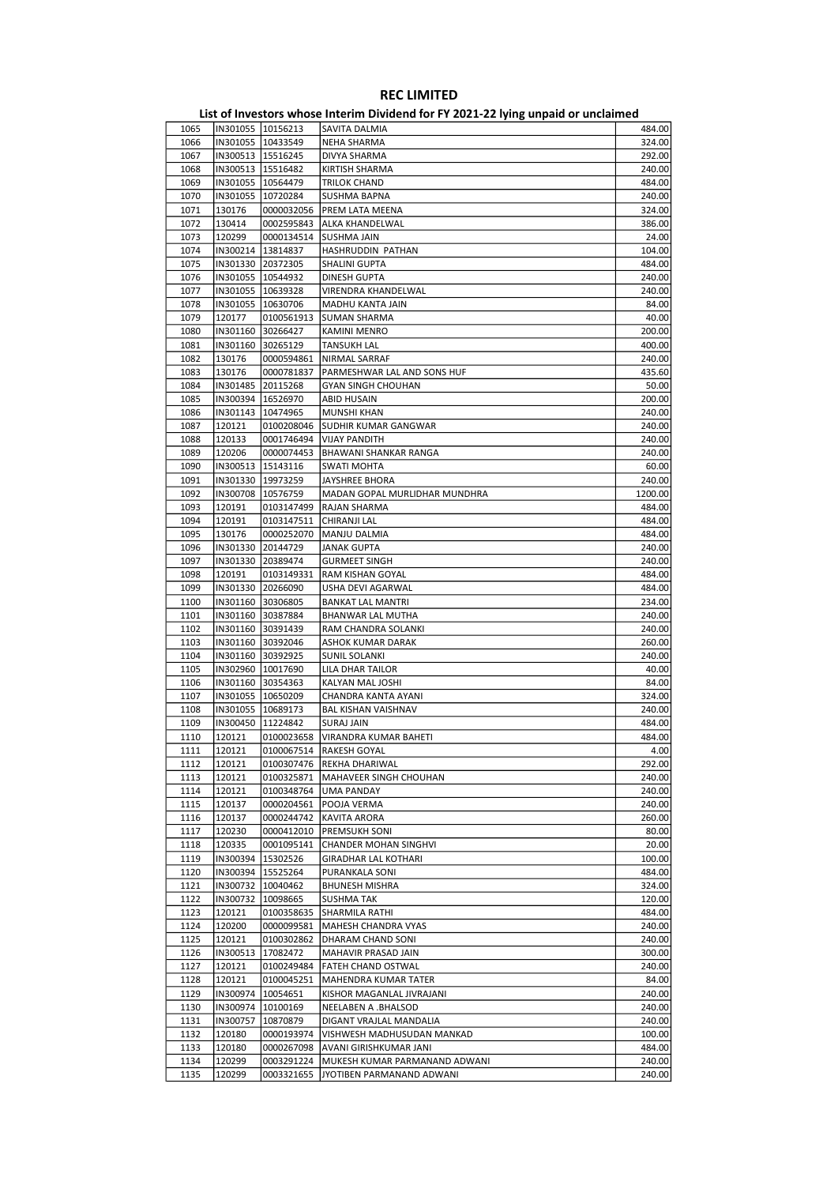|      |                     |                     | <b>EDG OF INVESTORS WHOSE HITCHINI DIVIDEND TO THE EDGS EXTRA DIPORT OF MIN</b> |         |
|------|---------------------|---------------------|---------------------------------------------------------------------------------|---------|
| 1065 |                     | IN301055 10156213   | SAVITA DALMIA                                                                   | 484.00  |
| 1066 |                     | IN301055   10433549 | <b>NEHA SHARMA</b>                                                              | 324.00  |
|      | IN300513 15516245   |                     |                                                                                 | 292.00  |
| 1067 |                     |                     | DIVYA SHARMA                                                                    |         |
| 1068 | IN300513   15516482 |                     | <b>KIRTISH SHARMA</b>                                                           | 240.00  |
| 1069 |                     | IN301055   10564479 | TRILOK CHAND                                                                    | 484.00  |
| 1070 |                     | IN301055 10720284   | <b>SUSHMA BAPNA</b>                                                             | 240.00  |
| 1071 | 130176              | 0000032056          | PREM LATA MEENA                                                                 | 324.00  |
|      |                     |                     |                                                                                 |         |
| 1072 | 130414              | 0002595843          | ALKA KHANDELWAL                                                                 | 386.00  |
| 1073 | 120299              | 0000134514          | SUSHMA JAIN                                                                     | 24.00   |
| 1074 |                     | IN300214   13814837 | HASHRUDDIN PATHAN                                                               | 104.00  |
| 1075 | IN301330 20372305   |                     | SHALINI GUPTA                                                                   | 484.00  |
|      |                     |                     |                                                                                 |         |
| 1076 | IN301055   10544932 |                     | DINESH GUPTA                                                                    | 240.00  |
| 1077 |                     | IN301055   10639328 | VIRENDRA KHANDELWAL                                                             | 240.00  |
| 1078 |                     | IN301055   10630706 | MADHU KANTA JAIN                                                                | 84.00   |
| 1079 | 120177              | 0100561913          | SUMAN SHARMA                                                                    | 40.00   |
|      |                     |                     |                                                                                 |         |
| 1080 | IN301160 30266427   |                     | KAMINI MENRO                                                                    | 200.00  |
| 1081 | IN301160 30265129   |                     | <b>TANSUKH LAL</b>                                                              | 400.00  |
| 1082 | 130176              | 0000594861          | NIRMAL SARRAF                                                                   | 240.00  |
| 1083 | 130176              | 0000781837          | PARMESHWAR LAL AND SONS HUF                                                     | 435.60  |
|      |                     |                     |                                                                                 |         |
| 1084 |                     | IN301485 20115268   | <b>GYAN SINGH CHOUHAN</b>                                                       | 50.00   |
| 1085 |                     | IN300394 16526970   | <b>ABID HUSAIN</b>                                                              | 200.00  |
| 1086 | IN301143   10474965 |                     | <b>MUNSHI KHAN</b>                                                              | 240.00  |
| 1087 | 120121              | 0100208046          | <b>SUDHIR KUMAR GANGWAR</b>                                                     | 240.00  |
|      |                     |                     |                                                                                 |         |
| 1088 | 120133              | 0001746494          | <b>VIJAY PANDITH</b>                                                            | 240.00  |
| 1089 | 120206              | 0000074453          | BHAWANI SHANKAR RANGA                                                           | 240.00  |
| 1090 |                     | IN300513   15143116 | <b>SWATI MOHTA</b>                                                              | 60.00   |
|      |                     |                     | <b>JAYSHREE BHORA</b>                                                           | 240.00  |
| 1091 |                     | IN301330 19973259   |                                                                                 |         |
| 1092 | IN300708   10576759 |                     | MADAN GOPAL MURLIDHAR MUNDHRA                                                   | 1200.00 |
| 1093 | 120191              | 0103147499          | RAJAN SHARMA                                                                    | 484.00  |
| 1094 | 120191              | 0103147511          | CHIRANJI LAL                                                                    | 484.00  |
|      |                     |                     |                                                                                 |         |
| 1095 | 130176              | 0000252070          | MANJU DALMIA                                                                    | 484.00  |
| 1096 | IN301330 20144729   |                     | JANAK GUPTA                                                                     | 240.00  |
| 1097 |                     | IN301330 20389474   | <b>GURMEET SINGH</b>                                                            | 240.00  |
| 1098 | 120191              | 0103149331          | RAM KISHAN GOYAL                                                                | 484.00  |
|      |                     |                     |                                                                                 |         |
| 1099 |                     | IN301330 20266090   | USHA DEVI AGARWAL                                                               | 484.00  |
| 1100 |                     | IN301160 30306805   | <b>BANKAT LAL MANTRI</b>                                                        | 234.00  |
| 1101 |                     | IN301160 30387884   | BHANWAR LAL MUTHA                                                               | 240.00  |
| 1102 | IN301160 30391439   |                     | RAM CHANDRA SOLANKI                                                             | 240.00  |
|      |                     |                     |                                                                                 |         |
| 1103 | IN301160 30392046   |                     | ASHOK KUMAR DARAK                                                               | 260.00  |
| 1104 |                     | IN301160 30392925   | SUNIL SOLANKI                                                                   | 240.00  |
| 1105 |                     | IN302960   10017690 | LILA DHAR TAILOR                                                                | 40.00   |
| 1106 | IN301160 30354363   |                     | KALYAN MAL JOSHI                                                                | 84.00   |
|      |                     |                     |                                                                                 |         |
| 1107 | IN301055   10650209 |                     | CHANDRA KANTA AYANI                                                             | 324.00  |
| 1108 | IN301055 10689173   |                     | <b>BAL KISHAN VAISHNAV</b>                                                      | 240.00  |
| 1109 |                     | IN300450   11224842 | SURAJ JAIN                                                                      | 484.00  |
| 1110 | 120121              | 0100023658          | VIRANDRA KUMAR BAHETI                                                           | 484.00  |
|      |                     |                     |                                                                                 |         |
| 1111 | 120121              |                     | 0100067514  RAKESH GOYAL                                                        | 4.00    |
| 1112 | 120121              |                     | 0100307476 REKHA DHARIWAL                                                       | 292.00  |
| 1113 | 120121              | 0100325871          | MAHAVEER SINGH CHOUHAN                                                          | 240.00  |
| 1114 | 120121              | 0100348764          | UMA PANDAY                                                                      | 240.00  |
| 1115 | 120137              | 0000204561          | POOJA VERMA                                                                     | 240.00  |
|      |                     |                     |                                                                                 |         |
| 1116 | 120137              | 0000244742          | KAVITA ARORA                                                                    | 260.00  |
| 1117 | 120230              | 0000412010          | PREMSUKH SONI                                                                   | 80.00   |
| 1118 | 120335              | 0001095141          | CHANDER MOHAN SINGHVI                                                           | 20.00   |
| 1119 | IN300394            | 15302526            | <b>GIRADHAR LAL KOTHARI</b>                                                     | 100.00  |
|      |                     |                     |                                                                                 |         |
| 1120 |                     | IN300394 15525264   | PURANKALA SONI                                                                  | 484.00  |
| 1121 |                     | IN300732   10040462 | <b>BHUNESH MISHRA</b>                                                           | 324.00  |
| 1122 |                     | IN300732   10098665 | SUSHMA TAK                                                                      | 120.00  |
| 1123 | 120121              | 0100358635          | SHARMILA RATHI                                                                  | 484.00  |
|      |                     |                     |                                                                                 |         |
| 1124 | 120200              | 0000099581          | MAHESH CHANDRA VYAS                                                             | 240.00  |
| 1125 | 120121              | 0100302862          | DHARAM CHAND SONI                                                               | 240.00  |
| 1126 |                     | IN300513 17082472   | MAHAVIR PRASAD JAIN                                                             | 300.00  |
| 1127 | 120121              | 0100249484          | FATEH CHAND OSTWAL                                                              | 240.00  |
|      |                     |                     |                                                                                 |         |
| 1128 | 120121              | 0100045251          | MAHENDRA KUMAR TATER                                                            | 84.00   |
| 1129 | IN300974            | 10054651            | KISHOR MAGANLAL JIVRAJANI                                                       | 240.00  |
| 1130 |                     | IN300974  10100169  | NEELABEN A .BHALSOD                                                             | 240.00  |
| 1131 | IN300757            | 10870879            | DIGANT VRAJLAL MANDALIA                                                         | 240.00  |
|      |                     |                     |                                                                                 |         |
| 1132 | 120180              | 0000193974          | VISHWESH MADHUSUDAN MANKAD                                                      | 100.00  |
| 1133 | 120180              | 0000267098          | AVANI GIRISHKUMAR JANI                                                          | 484.00  |
| 1134 | 120299              | 0003291224          | MUKESH KUMAR PARMANAND ADWANI                                                   | 240.00  |
| 1135 | 120299              | 0003321655          | JYOTIBEN PARMANAND ADWANI                                                       | 240.00  |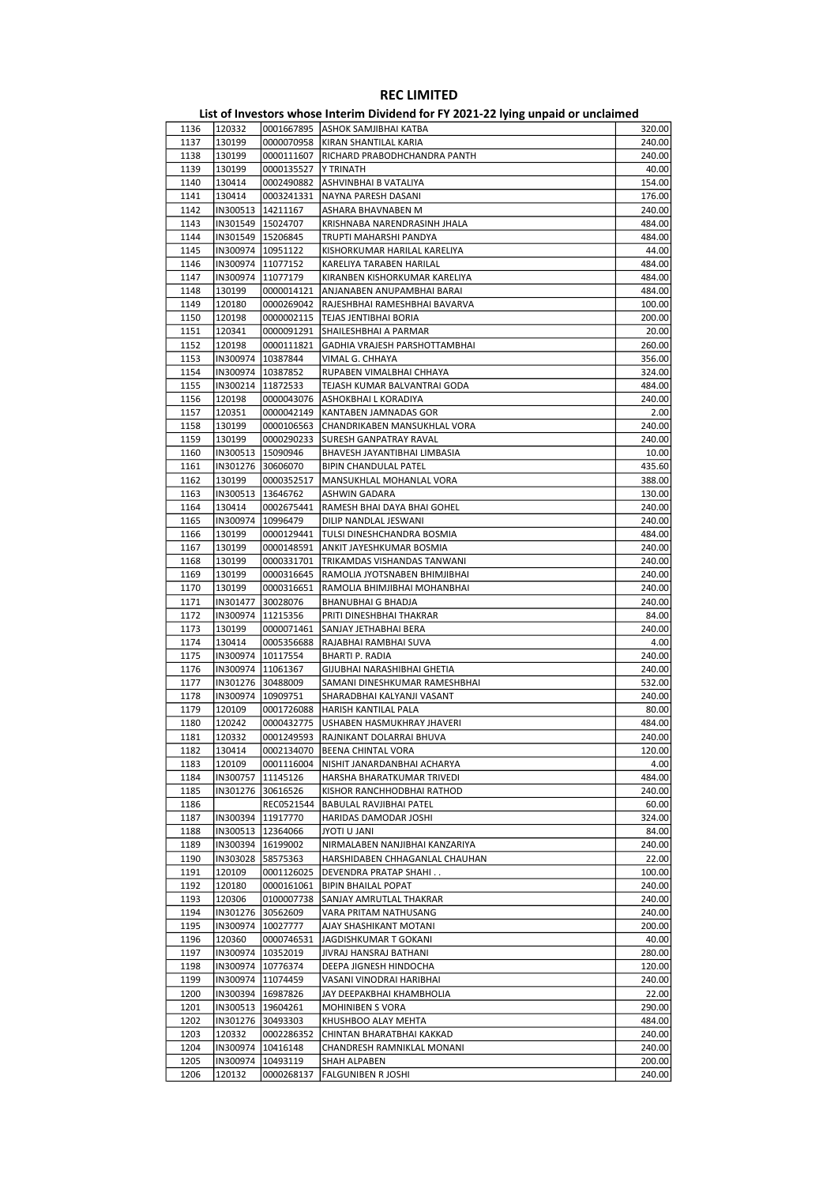| List of Investors whose Interim Dividend for FY 2021-22 lying unpaid or unclaimed |  |  |  |  |
|-----------------------------------------------------------------------------------|--|--|--|--|
|-----------------------------------------------------------------------------------|--|--|--|--|

| 1136 | 120332   |                     | 0001667895 ASHOK SAMJIBHAI KATBA | 320.00 |
|------|----------|---------------------|----------------------------------|--------|
| 1137 | 130199   | 0000070958          | KIRAN SHANTILAL KARIA            | 240.00 |
| 1138 | 130199   | 0000111607          | RICHARD PRABODHCHANDRA PANTH     | 240.00 |
| 1139 | 130199   | 0000135527          | Y TRINATH                        | 40.00  |
| 1140 | 130414   | 0002490882          | ASHVINBHAI B VATALIYA            | 154.00 |
| 1141 | 130414   | 0003241331          | NAYNA PARESH DASANI              | 176.00 |
| 1142 |          | IN300513   14211167 | ASHARA BHAVNABEN M               | 240.00 |
| 1143 |          | IN301549 15024707   | KRISHNABA NARENDRASINH JHALA     | 484.00 |
| 1144 |          | IN301549   15206845 | TRUPTI MAHARSHI PANDYA           | 484.00 |
|      |          |                     |                                  | 44.00  |
| 1145 |          | IN300974   10951122 | KISHORKUMAR HARILAL KARELIYA     |        |
| 1146 |          | IN300974 11077152   | KARELIYA TARABEN HARILAL         | 484.00 |
| 1147 |          | IN300974   11077179 | KIRANBEN KISHORKUMAR KARELIYA    | 484.00 |
| 1148 | 130199   | 0000014121          | ANJANABEN ANUPAMBHAI BARAI       | 484.00 |
| 1149 | 120180   | 0000269042          | RAJESHBHAI RAMESHBHAI BAVARVA    | 100.00 |
| 1150 | 120198   | 0000002115          | <b>TEJAS JENTIBHAI BORIA</b>     | 200.00 |
| 1151 | 120341   | 0000091291          | SHAILESHBHAI A PARMAR            | 20.00  |
| 1152 | 120198   | 0000111821          | GADHIA VRAJESH PARSHOTTAMBHAI    | 260.00 |
| 1153 |          | IN300974   10387844 | VIMAL G. CHHAYA                  | 356.00 |
| 1154 |          | IN300974   10387852 | RUPABEN VIMALBHAI CHHAYA         | 324.00 |
| 1155 |          | IN300214   11872533 | TEJASH KUMAR BALVANTRAI GODA     | 484.00 |
| 1156 | 120198   | 0000043076          | ASHOKBHAI L KORADIYA             | 240.00 |
| 1157 | 120351   | 0000042149          | KANTABEN JAMNADAS GOR            | 2.00   |
|      |          |                     |                                  |        |
| 1158 | 130199   | 0000106563          | CHANDRIKABEN MANSUKHLAL VORA     | 240.00 |
| 1159 | 130199   | 0000290233          | <b>SURESH GANPATRAY RAVAL</b>    | 240.00 |
| 1160 |          | IN300513   15090946 | BHAVESH JAYANTIBHAI LIMBASIA     | 10.00  |
| 1161 |          | IN301276 30606070   | BIPIN CHANDULAL PATEL            | 435.60 |
| 1162 | 130199   | 0000352517          | MANSUKHLAL MOHANLAL VORA         | 388.00 |
| 1163 |          | IN300513   13646762 | ASHWIN GADARA                    | 130.00 |
| 1164 | 130414   | 0002675441          | RAMESH BHAI DAYA BHAI GOHEL      | 240.00 |
| 1165 |          | IN300974   10996479 | DILIP NANDLAL JESWANI            | 240.00 |
| 1166 | 130199   | 0000129441          | TULSI DINESHCHANDRA BOSMIA       | 484.00 |
| 1167 | 130199   | 0000148591          | ANKIT JAYESHKUMAR BOSMIA         | 240.00 |
| 1168 | 130199   | 0000331701          | TRIKAMDAS VISHANDAS TANWANI      | 240.00 |
| 1169 |          |                     |                                  | 240.00 |
|      | 130199   | 0000316645          | RAMOLIA JYOTSNABEN BHIMJIBHAI    |        |
| 1170 | 130199   | 0000316651          | RAMOLIA BHIMJIBHAI MOHANBHAI     | 240.00 |
| 1171 |          | IN301477 30028076   | <b>BHANUBHAI G BHADJA</b>        | 240.00 |
| 1172 |          | IN300974 11215356   | PRITI DINESHBHAI THAKRAR         | 84.00  |
| 1173 | 130199   | 0000071461          | SANJAY JETHABHAI BERA            | 240.00 |
| 1174 | 130414   | 0005356688          | RAJABHAI RAMBHAI SUVA            | 4.00   |
| 1175 |          | IN300974   10117554 | BHARTI P. RADIA                  | 240.00 |
| 1176 |          | IN300974 11061367   | GIJUBHAI NARASHIBHAI GHETIA      | 240.00 |
| 1177 |          | IN301276 30488009   | SAMANI DINESHKUMAR RAMESHBHAI    | 532.00 |
| 1178 |          | IN300974   10909751 | SHARADBHAI KALYANJI VASANT       | 240.00 |
| 1179 | 120109   | 0001726088          | HARISH KANTILAL PALA             | 80.00  |
| 1180 | 120242   | 0000432775          | USHABEN HASMUKHRAY JHAVERI       | 484.00 |
| 1181 | 120332   | 0001249593          | RAJNIKANT DOLARRAI BHUVA         | 240.00 |
| 1182 | 130414   |                     | 0002134070 BEENA CHINTAL VORA    | 120.00 |
| 1183 | 120109   | 0001116004          |                                  |        |
|      |          |                     | NISHIT JANARDANBHAI ACHARYA      | 4.00   |
| 1184 | IN300757 | 11145126            | HARSHA BHARATKUMAR TRIVEDI       | 484.00 |
| 1185 |          | IN301276 30616526   | KISHOR RANCHHODBHAI RATHOD       | 240.00 |
| 1186 |          | REC0521544          | BABULAL RAVJIBHAI PATEL          | 60.00  |
| 1187 |          | IN300394  11917770  | HARIDAS DAMODAR JOSHI            | 324.00 |
| 1188 |          | IN300513   12364066 | <b>INAL U JANI</b>               | 84.00  |
| 1189 |          | IN300394   16199002 | NIRMALABEN NANJIBHAI KANZARIYA   | 240.00 |
| 1190 |          | IN303028 58575363   | HARSHIDABEN CHHAGANLAL CHAUHAN   | 22.00  |
| 1191 | 120109   | 0001126025          | DEVENDRA PRATAP SHAHI            | 100.00 |
| 1192 | 120180   | 0000161061          | <b>BIPIN BHAILAL POPAT</b>       | 240.00 |
| 1193 | 120306   | 0100007738          | SANJAY AMRUTLAL THAKRAR          | 240.00 |
| 1194 | IN301276 | 30562609            | VARA PRITAM NATHUSANG            | 240.00 |
| 1195 |          | IN300974   10027777 | AJAY SHASHIKANT MOTANI           | 200.00 |
| 1196 | 120360   | 0000746531          | JAGDISHKUMAR T GOKANI            | 40.00  |
| 1197 |          | IN300974  10352019  | JIVRAJ HANSRAJ BATHANI           | 280.00 |
| 1198 |          |                     |                                  | 120.00 |
|      |          | IN300974   10776374 | DEEPA JIGNESH HINDOCHA           |        |
| 1199 |          | IN300974   11074459 | VASANI VINODRAI HARIBHAI         | 240.00 |
| 1200 |          | IN300394   16987826 | JAY DEEPAKBHAI KHAMBHOLIA        | 22.00  |
| 1201 |          | IN300513   19604261 | MOHINIBEN S VORA                 | 290.00 |
| 1202 |          | IN301276 30493303   | KHUSHBOO ALAY MEHTA              | 484.00 |
| 1203 | 120332   | 0002286352          | CHINTAN BHARATBHAI KAKKAD        | 240.00 |
| 1204 | IN300974 | 10416148            | CHANDRESH RAMNIKLAL MONANI       | 240.00 |
| 1205 | IN300974 | 10493119            | SHAH ALPABEN                     | 200.00 |
| 1206 | 120132   | 0000268137          | FALGUNIBEN R JOSHI               | 240.00 |
|      |          |                     |                                  |        |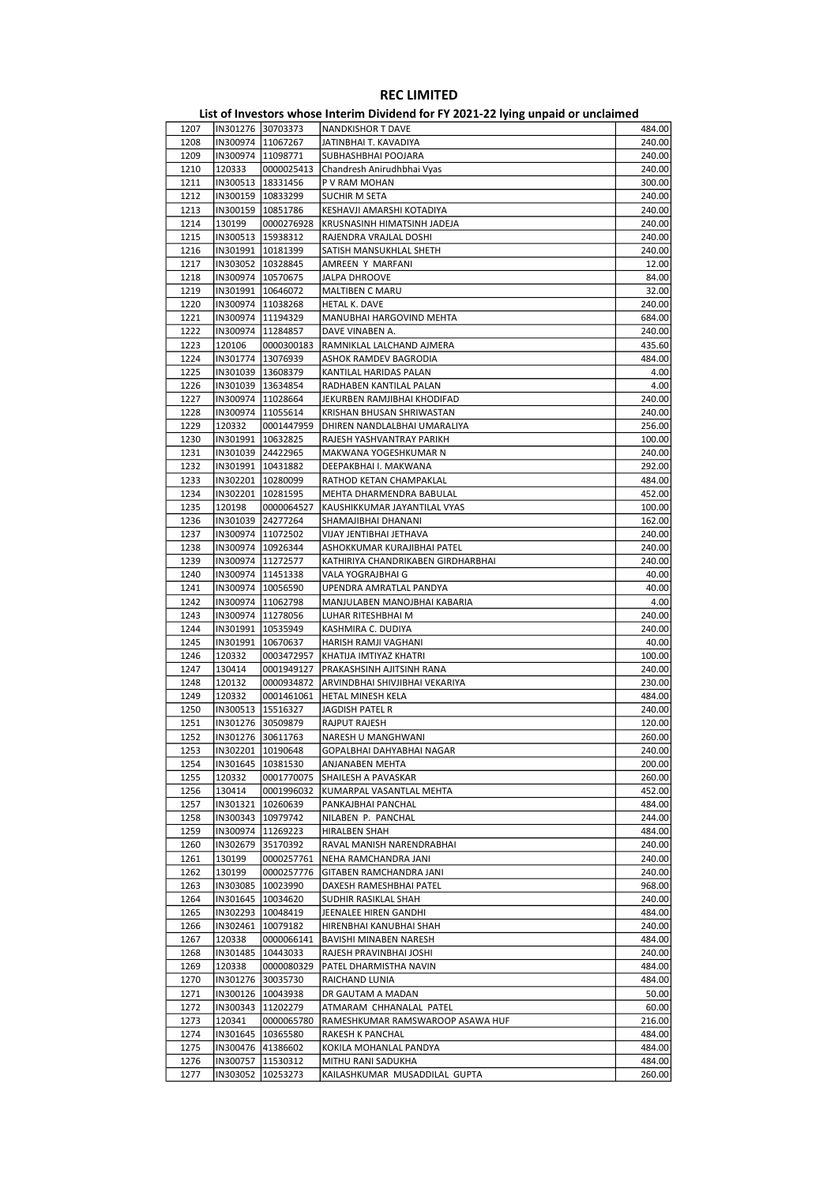| 1207 | IN301276 30703373   |            | <b>NANDKISHOR T DAVE</b>           | 484.00 |
|------|---------------------|------------|------------------------------------|--------|
| 1208 | IN300974   11067267 |            | JATINBHAI T. KAVADIYA              | 240.00 |
| 1209 | IN300974   11098771 |            | SUBHASHBHAI POOJARA                | 240.00 |
| 1210 | 120333              | 0000025413 | Chandresh Anirudhbhai Vyas         | 240.00 |
| 1211 | IN300513   18331456 |            | P V RAM MOHAN                      | 300.00 |
| 1212 | IN300159   10833299 |            | <b>SUCHIR M SETA</b>               | 240.00 |
| 1213 | IN300159   10851786 |            | KESHAVJI AMARSHI KOTADIYA          | 240.00 |
| 1214 | 130199              | 0000276928 |                                    | 240.00 |
|      |                     |            | KRUSNASINH HIMATSINH JADEJA        |        |
| 1215 | IN300513   15938312 |            | RAJENDRA VRAJLAL DOSHI             | 240.00 |
| 1216 | IN301991   10181399 |            | SATISH MANSUKHLAL SHETH            | 240.00 |
| 1217 | IN303052   10328845 |            | AMREEN Y MARFANI                   | 12.00  |
| 1218 | IN300974   10570675 |            | <b>JALPA DHROOVE</b>               | 84.00  |
| 1219 | IN301991 10646072   |            | <b>MALTIBEN C MARU</b>             | 32.00  |
| 1220 | IN300974 11038268   |            | HETAL K. DAVE                      | 240.00 |
| 1221 | IN300974  11194329  |            | MANUBHAI HARGOVIND MEHTA           | 684.00 |
| 1222 | IN300974   11284857 |            | DAVE VINABEN A.                    | 240.00 |
| 1223 | 120106              | 0000300183 | RAMNIKLAL LALCHAND AJMERA          | 435.60 |
| 1224 | IN301774   13076939 |            | ASHOK RAMDEV BAGRODIA              | 484.00 |
| 1225 | IN301039   13608379 |            | KANTILAL HARIDAS PALAN             | 4.00   |
| 1226 | IN301039   13634854 |            | RADHABEN KANTILAL PALAN            | 4.00   |
| 1227 | IN300974  11028664  |            | JEKURBEN RAMJIBHAI KHODIFAD        | 240.00 |
|      |                     |            |                                    |        |
| 1228 | IN300974   11055614 |            | KRISHAN BHUSAN SHRIWASTAN          | 240.00 |
| 1229 | 120332              | 0001447959 | DHIREN NANDLALBHAI UMARALIYA       | 256.00 |
| 1230 | IN301991   10632825 |            | RAJESH YASHVANTRAY PARIKH          | 100.00 |
| 1231 | IN301039 24422965   |            | MAKWANA YOGESHKUMAR N              | 240.00 |
| 1232 | IN301991 10431882   |            | DEEPAKBHAI I. MAKWANA              | 292.00 |
| 1233 | IN302201   10280099 |            | RATHOD KETAN CHAMPAKLAL            | 484.00 |
| 1234 | IN302201   10281595 |            | MEHTA DHARMENDRA BABULAL           | 452.00 |
| 1235 | 120198              | 0000064527 | KAUSHIKKUMAR JAYANTILAL VYAS       | 100.00 |
| 1236 | IN301039 24277264   |            | SHAMAJIBHAI DHANANI                | 162.00 |
| 1237 | IN300974  11072502  |            | VIJAY JENTIBHAI JETHAVA            | 240.00 |
| 1238 | IN300974   10926344 |            | ASHOKKUMAR KURAJIBHAI PATEL        | 240.00 |
| 1239 | IN300974   11272577 |            | KATHIRIYA CHANDRIKABEN GIRDHARBHAI | 240.00 |
| 1240 | IN300974   11451338 |            | VALA YOGRAJBHAI G                  | 40.00  |
| 1241 |                     |            |                                    | 40.00  |
|      | IN300974  10056590  |            | UPENDRA AMRATLAL PANDYA            |        |
| 1242 | IN300974   11062798 |            | MANJULABEN MANOJBHAI KABARIA       | 4.00   |
| 1243 | IN300974   11278056 |            | LUHAR RITESHBHAI M                 | 240.00 |
| 1244 | IN301991   10535949 |            | KASHMIRA C. DUDIYA                 | 240.00 |
| 1245 | IN301991   10670637 |            | HARISH RAMJI VAGHANI               | 40.00  |
| 1246 | 120332              | 0003472957 | KHATIJA IMTIYAZ KHATRI             | 100.00 |
| 1247 | 130414              | 0001949127 | PRAKASHSINH AJITSINH RANA          | 240.00 |
| 1248 | 120132              | 0000934872 | ARVINDBHAI SHIVJIBHAI VEKARIYA     | 230.00 |
| 1249 | 120332              | 0001461061 | HETAL MINESH KELA                  | 484.00 |
| 1250 | IN300513   15516327 |            | JAGDISH PATEL R                    | 240.00 |
| 1251 | IN301276 30509879   |            | <b>RAJPUT RAJESH</b>               | 120.00 |
| 1252 | IN301276 30611763   |            | NARESH U MANGHWANI                 | 260.00 |
| 1253 | IN302201   10190648 |            | GOPALBHAI DAHYABHAI NAGAR          | 240.00 |
| 1254 | IN301645   10381530 |            | ANJANABEN MEHTA                    | 200.00 |
| 1255 | 120332              | 0001770075 | SHAILESH A PAVASKAR                | 260.00 |
|      |                     |            |                                    |        |
| 1256 | 130414              | 0001996032 | KUMARPAL VASANTLAL MEHTA           | 452.00 |
| 1257 | IN301321   10260639 |            | PANKAJBHAI PANCHAL                 | 484.00 |
| 1258 | IN300343   10979742 |            | NILABEN P. PANCHAL                 | 244.00 |
| 1259 | IN300974   11269223 |            | <b>HIRALBEN SHAH</b>               | 484.00 |
| 1260 | IN302679 35170392   |            | RAVAL MANISH NARENDRABHAI          | 240.00 |
| 1261 | 130199              | 0000257761 | NEHA RAMCHANDRA JANI               | 240.00 |
| 1262 | 130199              | 0000257776 | GITABEN RAMCHANDRA JANI            | 240.00 |
| 1263 | IN303085            | 10023990   | DAXESH RAMESHBHAI PATEL            | 968.00 |
| 1264 | IN301645   10034620 |            | SUDHIR RASIKLAL SHAH               | 240.00 |
| 1265 | IN302293   10048419 |            | JEENALEE HIREN GANDHI              | 484.00 |
| 1266 | IN302461            | 10079182   | HIRENBHAI KANUBHAI SHAH            | 240.00 |
| 1267 | 120338              | 0000066141 | BAVISHI MINABEN NARESH             | 484.00 |
| 1268 | IN301485            | 10443033   | RAJESH PRAVINBHAI JOSHI            | 240.00 |
| 1269 | 120338              | 0000080329 | PATEL DHARMISTHA NAVIN             | 484.00 |
|      |                     |            |                                    | 484.00 |
| 1270 | IN301276 30035730   |            | RAICHAND LUNIA                     |        |
| 1271 | IN300126 10043938   |            | DR GAUTAM A MADAN                  | 50.00  |
| 1272 | IN300343            | 11202279   | ATMARAM CHHANALAL PATEL            | 60.00  |
| 1273 | 120341              | 0000065780 | RAMESHKUMAR RAMSWAROOP ASAWA HUF   | 216.00 |
| 1274 | IN301645   10365580 |            | RAKESH K PANCHAL                   | 484.00 |
| 1275 | IN300476 41386602   |            | KOKILA MOHANLAL PANDYA             | 484.00 |
| 1276 | IN300757   11530312 |            | MITHU RANI SADUKHA                 | 484.00 |
| 1277 | IN303052            | 10253273   | KAILASHKUMAR MUSADDILAL GUPTA      | 260.00 |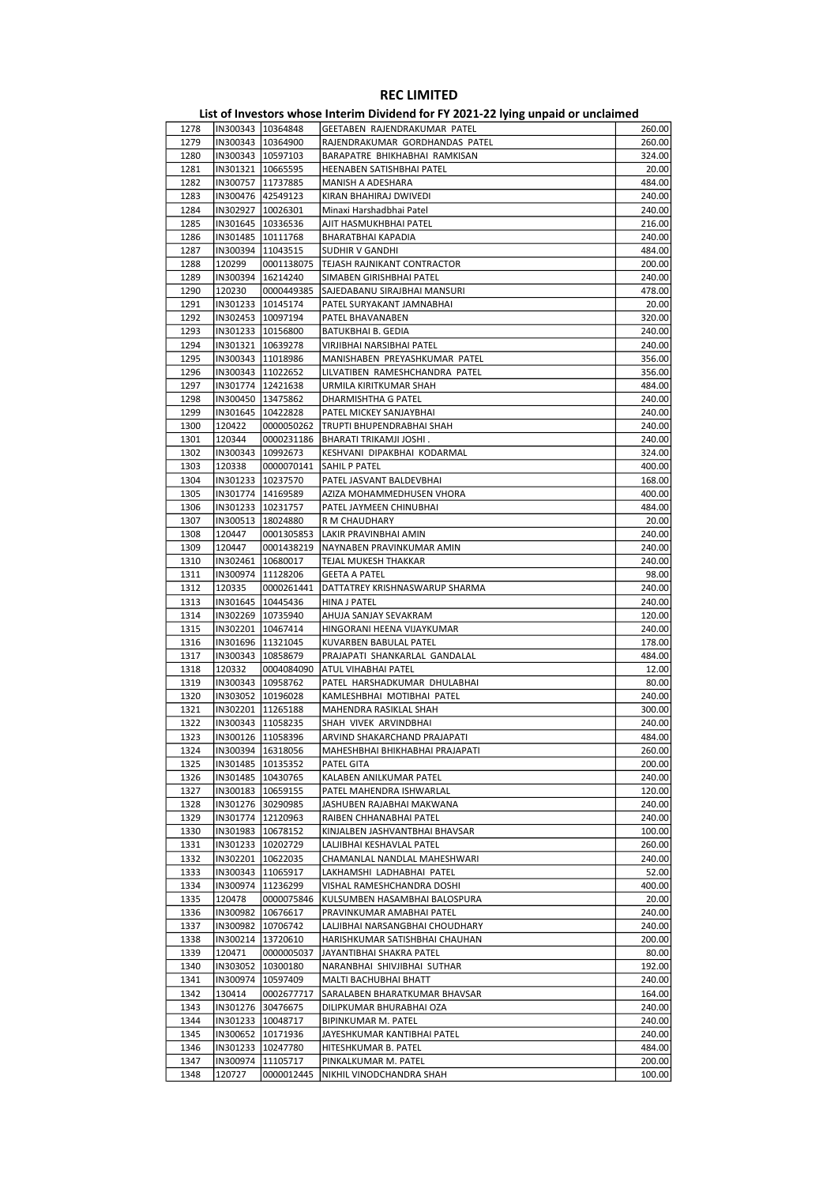|      |                     |                     | List of Investors whose Interim Dividend for FY 2021-22 lying unpaid or unclaimed |        |
|------|---------------------|---------------------|-----------------------------------------------------------------------------------|--------|
| 1278 |                     | IN300343 10364848   | GEETABEN RAJENDRAKUMAR PATEL                                                      | 260.00 |
| 1279 |                     | IN300343   10364900 | RAJENDRAKUMAR GORDHANDAS PATEL                                                    | 260.00 |
| 1280 | IN300343 10597103   |                     | BARAPATRE BHIKHABHAI RAMKISAN                                                     | 324.00 |
| 1281 | IN301321   10665595 |                     | HEENABEN SATISHBHAI PATEL                                                         | 20.00  |
| 1282 | IN300757   11737885 |                     | MANISH A ADESHARA                                                                 | 484.00 |
| 1283 | IN300476 42549123   |                     | KIRAN BHAHIRAJ DWIVEDI                                                            | 240.00 |
| 1284 | IN302927 10026301   |                     | Minaxi Harshadbhai Patel                                                          | 240.00 |
| 1285 | IN301645   10336536 |                     | AJIT HASMUKHBHAI PATEL                                                            | 216.00 |
| 1286 |                     | IN301485   10111768 | BHARATBHAI KAPADIA                                                                | 240.00 |
| 1287 | IN300394 11043515   |                     | SUDHIR V GANDHI                                                                   | 484.00 |
| 1288 | 120299              | 0001138075          | TEJASH RAJNIKANT CONTRACTOR                                                       | 200.00 |
| 1289 |                     | IN300394   16214240 | SIMABEN GIRISHBHAI PATEL                                                          | 240.00 |
| 1290 | 120230              | 0000449385          | SAJEDABANU SIRAJBHAI MANSURI                                                      | 478.00 |
| 1291 | IN301233   10145174 |                     | PATEL SURYAKANT JAMNABHAI                                                         | 20.00  |
| 1292 | IN302453 10097194   |                     | PATEL BHAVANABEN                                                                  | 320.00 |
| 1293 | IN301233 10156800   |                     | <b>BATUKBHAI B. GEDIA</b>                                                         | 240.00 |
| 1294 |                     | IN301321   10639278 | VIRJIBHAI NARSIBHAI PATEL                                                         | 240.00 |
| 1295 |                     | IN300343   11018986 | MANISHABEN PREYASHKUMAR PATEL                                                     | 356.00 |
| 1296 | IN300343   11022652 |                     | LILVATIBEN RAMESHCHANDRA PATEL                                                    | 356.00 |
| 1297 | IN301774   12421638 |                     | URMILA KIRITKUMAR SHAH                                                            | 484.00 |
| 1298 | IN300450   13475862 |                     | DHARMISHTHA G PATEL                                                               | 240.00 |
| 1299 |                     | IN301645   10422828 | PATEL MICKEY SANJAYBHAI                                                           | 240.00 |
| 1300 | 120422              | 0000050262          | TRUPTI BHUPENDRABHAI SHAH                                                         | 240.00 |
| 1301 | 120344              | 0000231186          | BHARATI TRIKAMJI JOSHI.                                                           | 240.00 |
| 1302 | IN300343   10992673 |                     | KESHVANI DIPAKBHAI KODARMAL                                                       | 324.00 |
| 1303 | 120338              | 0000070141          | SAHIL P PATEL                                                                     | 400.00 |
| 1304 |                     | IN301233   10237570 | PATEL JASVANT BALDEVBHAI                                                          | 168.00 |
| 1305 |                     | IN301774   14169589 | AZIZA MOHAMMEDHUSEN VHORA                                                         | 400.00 |
| 1306 |                     | IN301233   10231757 | PATEL JAYMEEN CHINUBHAI                                                           | 484.00 |
| 1307 | IN300513   18024880 |                     | R M CHAUDHARY                                                                     | 20.00  |
| 1308 | 120447              | 0001305853          | LAKIR PRAVINBHAI AMIN                                                             | 240.00 |
| 1309 | 120447              | 0001438219          | NAYNABEN PRAVINKUMAR AMIN                                                         | 240.00 |
| 1310 | IN302461   10680017 |                     | TEJAL MUKESH THAKKAR                                                              | 240.00 |
| 1311 | IN300974            | 11128206            | <b>GEETA A PATEL</b>                                                              | 98.00  |
| 1312 | 120335              | 0000261441          | DATTATREY KRISHNASWARUP SHARMA                                                    | 240.00 |
| 1313 |                     | IN301645   10445436 | HINA J PATEL                                                                      | 240.00 |
| 1314 |                     | IN302269   10735940 | AHUJA SANJAY SEVAKRAM                                                             | 120.00 |
| 1315 |                     | IN302201   10467414 | HINGORANI HEENA VIJAYKUMAR                                                        | 240.00 |
| 1316 | IN301696   11321045 |                     | KUVARBEN BABULAL PATEL                                                            | 178.00 |
| 1317 | IN300343   10858679 |                     | PRAJAPATI SHANKARLAL GANDALAL                                                     | 484.00 |
| 1318 | 120332              | 0004084090          | ATUL VIHABHAI PATEL                                                               | 12.00  |
| 1319 |                     | IN300343 10958762   | PATEL HARSHADKUMAR DHULABHAI                                                      | 80.00  |
| 1320 |                     | IN303052   10196028 | KAMLESHBHAI MOTIBHAI PATEL                                                        | 240.00 |
| 1321 |                     | IN302201   11265188 | MAHENDRA RASIKLAL SHAH                                                            | 300.00 |
| 1322 | IN300343   11058235 |                     | SHAH VIVEK ARVINDBHAI                                                             | 240.00 |
| 1323 |                     | IN300126 11058396   | ARVIND SHAKARCHAND PRAJAPATI                                                      | 484.00 |
| 1324 |                     | IN300394   16318056 | MAHESHBHAI BHIKHABHAI PRAJAPATI                                                   | 260.00 |
| 1325 |                     | IN301485   10135352 | PATEL GITA                                                                        | 200.00 |
| 1326 |                     | IN301485   10430765 | KALABEN ANILKUMAR PATEL                                                           | 240.00 |
| 1327 |                     | IN300183   10659155 | PATEL MAHENDRA ISHWARLAL                                                          | 120.00 |
| 1328 |                     | IN301276 30290985   | JASHUBEN RAJABHAI MAKWANA                                                         | 240.00 |
| 1329 |                     | IN301774   12120963 | RAIBEN CHHANABHAI PATEL                                                           | 240.00 |
| 1330 |                     | IN301983   10678152 | KINJALBEN JASHVANTBHAI BHAVSAR                                                    | 100.00 |
| 1331 |                     | IN301233 10202729   | LALJIBHAI KESHAVLAL PATEL                                                         | 260.00 |
| 1332 |                     | IN302201   10622035 | CHAMANLAL NANDLAL MAHESHWARI                                                      | 240.00 |
| 1333 |                     | IN300343   11065917 | LAKHAMSHI LADHABHAI PATEL                                                         | 52.00  |
| 1334 |                     | IN300974   11236299 | VISHAL RAMESHCHANDRA DOSHI                                                        | 400.00 |
| 1335 | 120478              | 0000075846          | KULSUMBEN HASAMBHAI BALOSPURA                                                     | 20.00  |
| 1336 |                     | IN300982   10676617 | PRAVINKUMAR AMABHAI PATEL                                                         | 240.00 |
| 1337 |                     | IN300982   10706742 | LALJIBHAI NARSANGBHAI CHOUDHARY                                                   | 240.00 |
| 1338 | IN300214            | 13720610            | HARISHKUMAR SATISHBHAI CHAUHAN                                                    | 200.00 |
| 1339 | 120471              | 0000005037          | JAYANTIBHAI SHAKRA PATEL                                                          | 80.00  |
| 1340 | IN303052            | 10300180            | NARANBHAI SHIVJIBHAI SUTHAR                                                       | 192.00 |
| 1341 |                     | IN300974   10597409 | MALTI BACHUBHAI BHATT                                                             | 240.00 |
| 1342 | 130414              | 0002677717          | SARALABEN BHARATKUMAR BHAVSAR                                                     | 164.00 |
| 1343 |                     | IN301276 30476675   | DILIPKUMAR BHURABHAI OZA                                                          | 240.00 |
| 1344 |                     | IN301233 10048717   | BIPINKUMAR M. PATEL                                                               | 240.00 |
| 1345 |                     | IN300652 10171936   | JAYESHKUMAR KANTIBHAI PATEL                                                       | 240.00 |
| 1346 |                     | IN301233 10247780   | HITESHKUMAR B. PATEL                                                              | 484.00 |
| 1347 |                     | IN300974  11105717  | PINKALKUMAR M. PATEL                                                              | 200.00 |
| 1348 | 120727              | 0000012445          | NIKHIL VINODCHANDRA SHAH                                                          | 100.00 |
|      |                     |                     |                                                                                   |        |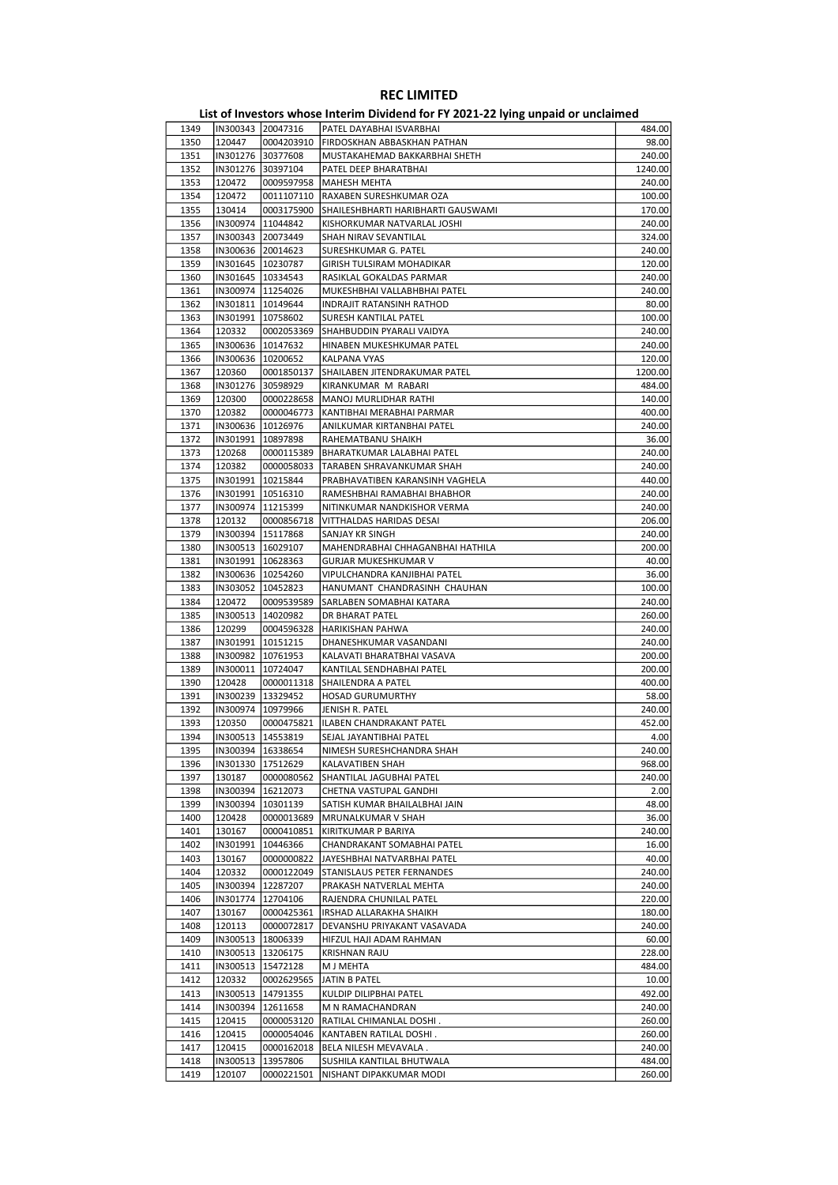|              |                                            |                        | <b>KEC LIMILLED</b><br>List of Investors whose Interim Dividend for FY 2021-22 lying unpaid or unclaimed |                  |
|--------------|--------------------------------------------|------------------------|----------------------------------------------------------------------------------------------------------|------------------|
| 1349         | IN300343 20047316                          |                        | PATEL DAYABHAI ISVARBHAI                                                                                 | 484.00           |
| 1350         | 120447                                     | 0004203910             | FIRDOSKHAN ABBASKHAN PATHAN                                                                              | 98.00            |
| 1351         | IN301276                                   | 30377608               | MUSTAKAHEMAD BAKKARBHAI SHETH                                                                            | 240.00           |
| 1352         | IN301276 30397104                          |                        | PATEL DEEP BHARATBHAI                                                                                    | 1240.00          |
| 1353         | 120472                                     | 0009597958             | MAHESH MEHTA                                                                                             | 240.00           |
| 1354         | 120472                                     | 0011107110             | RAXABEN SURESHKUMAR OZA                                                                                  | 100.00           |
| 1355         | 130414                                     | 0003175900             | SHAILESHBHARTI HARIBHARTI GAUSWAMI                                                                       | 170.00           |
| 1356         | IN300974 11044842                          |                        | KISHORKUMAR NATVARLAL JOSHI                                                                              | 240.00           |
| 1357         | IN300343 20073449                          |                        | SHAH NIRAV SEVANTILAL                                                                                    | 324.00           |
| 1358         | IN300636 20014623                          |                        | SURESHKUMAR G. PATEL                                                                                     | 240.00           |
| 1359         | IN301645   10230787                        |                        | GIRISH TULSIRAM MOHADIKAR                                                                                | 120.00           |
| 1360         | IN301645   10334543                        |                        | RASIKLAL GOKALDAS PARMAR                                                                                 | 240.00           |
| 1361         | IN300974   11254026                        |                        | MUKESHBHAI VALLABHBHAI PATEL                                                                             | 240.00           |
| 1362<br>1363 | IN301811   10149644<br>IN301991            | 10758602               | <b>INDRAJIT RATANSINH RATHOD</b><br><b>SURESH KANTILAL PATEL</b>                                         | 80.00<br>100.00  |
| 1364         | 120332                                     | 0002053369             | SHAHBUDDIN PYARALI VAIDYA                                                                                | 240.00           |
| 1365         | IN300636   10147632                        |                        | HINABEN MUKESHKUMAR PATEL                                                                                | 240.00           |
| 1366         | IN300636   10200652                        |                        | KALPANA VYAS                                                                                             | 120.00           |
| 1367         | 120360                                     | 0001850137             | SHAILABEN JITENDRAKUMAR PATEL                                                                            | 1200.00          |
| 1368         | IN301276 30598929                          |                        | KIRANKUMAR M RABARI                                                                                      | 484.00           |
| 1369         | 120300                                     | 0000228658             | MANOJ MURLIDHAR RATHI                                                                                    | 140.00           |
| 1370         | 120382                                     | 0000046773             | KANTIBHAI MERABHAI PARMAR                                                                                | 400.00           |
| 1371         | IN300636 10126976                          |                        | ANILKUMAR KIRTANBHAI PATEL                                                                               | 240.00           |
| 1372         | IN301991   10897898                        |                        | RAHEMATBANU SHAIKH                                                                                       | 36.00            |
| 1373         | 120268                                     | 0000115389             | <b>BHARATKUMAR LALABHAI PATEL</b>                                                                        | 240.00           |
| 1374         | 120382                                     | 0000058033             | TARABEN SHRAVANKUMAR SHAH                                                                                | 240.00           |
| 1375         | IN301991                                   | 10215844               | PRABHAVATIBEN KARANSINH VAGHELA                                                                          | 440.00           |
| 1376<br>1377 | IN301991   10516310<br>IN300974   11215399 |                        | RAMESHBHAI RAMABHAI BHABHOR<br>NITINKUMAR NANDKISHOR VERMA                                               | 240.00<br>240.00 |
| 1378         | 120132                                     | 0000856718             | VITTHALDAS HARIDAS DESAI                                                                                 | 206.00           |
| 1379         | IN300394 15117868                          |                        | SANJAY KR SINGH                                                                                          | 240.00           |
| 1380         | IN300513   16029107                        |                        | MAHENDRABHAI CHHAGANBHAI HATHILA                                                                         | 200.00           |
| 1381         | IN301991   10628363                        |                        | <b>GURJAR MUKESHKUMAR V</b>                                                                              | 40.00            |
| 1382         | IN300636   10254260                        |                        | VIPULCHANDRA KANJIBHAI PATEL                                                                             | 36.00            |
| 1383         | IN303052                                   | 10452823               | HANUMANT CHANDRASINH CHAUHAN                                                                             | 100.00           |
| 1384         | 120472                                     | 0009539589             | SARLABEN SOMABHAI KATARA                                                                                 | 240.00           |
| 1385         | IN300513   14020982                        |                        | DR BHARAT PATEL                                                                                          | 260.00           |
| 1386         | 120299                                     | 0004596328             | HARIKISHAN PAHWA                                                                                         | 240.00           |
| 1387         | IN301991                                   | 10151215               | DHANESHKUMAR VASANDANI                                                                                   | 240.00           |
| 1388         | IN300982   10761953                        |                        | KALAVATI BHARATBHAI VASAVA                                                                               | 200.00           |
| 1389         | IN300011   10724047                        |                        | KANTILAL SENDHABHAI PATEL                                                                                | 200.00           |
| 1390<br>1391 | 120428<br>IN300239                         | 0000011318<br>13329452 | SHAILENDRA A PATEL<br><b>HOSAD GURUMURTHY</b>                                                            | 400.00<br>58.00  |
| 1392         | IN300974                                   | 10979966               | JENISH R. PATEL                                                                                          | 240.00           |
| 1393         | 120350                                     | 0000475821             | ILABEN CHANDRAKANT PATEL                                                                                 | 452.00           |
| 1394         | IN300513   14553819                        |                        | SEJAL JAYANTIBHAI PATEL                                                                                  | 4.00             |
| 1395         |                                            | IN300394 16338654      | NIMESH SURESHCHANDRA SHAH                                                                                | 240.00           |
| 1396         | IN301330 17512629                          |                        | KALAVATIBEN SHAH                                                                                         | 968.00           |
| 1397         | 130187                                     | 0000080562             | SHANTILAL JAGUBHAI PATEL                                                                                 | 240.00           |
| 1398         | IN300394                                   | 16212073               | CHETNA VASTUPAL GANDHI                                                                                   | 2.00             |
| 1399         | IN300394                                   | 10301139               | SATISH KUMAR BHAILALBHAI JAIN                                                                            | 48.00            |
| 1400         | 120428                                     | 0000013689             | MRUNALKUMAR V SHAH                                                                                       | 36.00            |
| 1401         | 130167                                     | 0000410851             | KIRITKUMAR P BARIYA                                                                                      | 240.00           |
| 1402         | IN301991                                   | 10446366               | CHANDRAKANT SOMABHAI PATEL                                                                               | 16.00            |
| 1403         | 130167                                     | 0000000822             | JAYESHBHAI NATVARBHAI PATEL                                                                              | 40.00            |
| 1404<br>1405 | 120332<br>IN300394                         | 0000122049<br>12287207 | STANISLAUS PETER FERNANDES<br>PRAKASH NATVERLAL MEHTA                                                    | 240.00<br>240.00 |
| 1406         | IN301774                                   | 12704106               | RAJENDRA CHUNILAL PATEL                                                                                  | 220.00           |
| 1407         | 130167                                     | 0000425361             | IRSHAD ALLARAKHA SHAIKH                                                                                  | 180.00           |
| 1408         | 120113                                     | 0000072817             | DEVANSHU PRIYAKANT VASAVADA                                                                              | 240.00           |
| 1409         |                                            | IN300513   18006339    | HIFZUL HAJI ADAM RAHMAN                                                                                  | 60.00            |
| 1410         | IN300513   13206175                        |                        | <b>KRISHNAN RAJU</b>                                                                                     | 228.00           |
| 1411         | IN300513                                   | 15472128               | M J MEHTA                                                                                                | 484.00           |
| 1412         | 120332                                     | 0002629565             | JATIN B PATEL                                                                                            | 10.00            |
| 1413         | IN300513                                   | 14791355               | KULDIP DILIPBHAI PATEL                                                                                   | 492.00           |
| 1414         | IN300394                                   | 12611658               | M N RAMACHANDRAN                                                                                         | 240.00           |
| 1415         | 120415                                     | 0000053120             | RATILAL CHIMANLAL DOSHI.                                                                                 | 260.00           |
| 1416         | 120415                                     | 0000054046             | KANTABEN RATILAL DOSHI.                                                                                  | 260.00           |
| 1417         | 120415                                     | 0000162018             | BELA NILESH MEVAVALA.                                                                                    | 240.00           |
| 1418         | IN300513                                   | 13957806               | SUSHILA KANTILAL BHUTWALA                                                                                | 484.00           |
| 1419         | 120107                                     | 0000221501             | NISHANT DIPAKKUMAR MODI                                                                                  | 260.00           |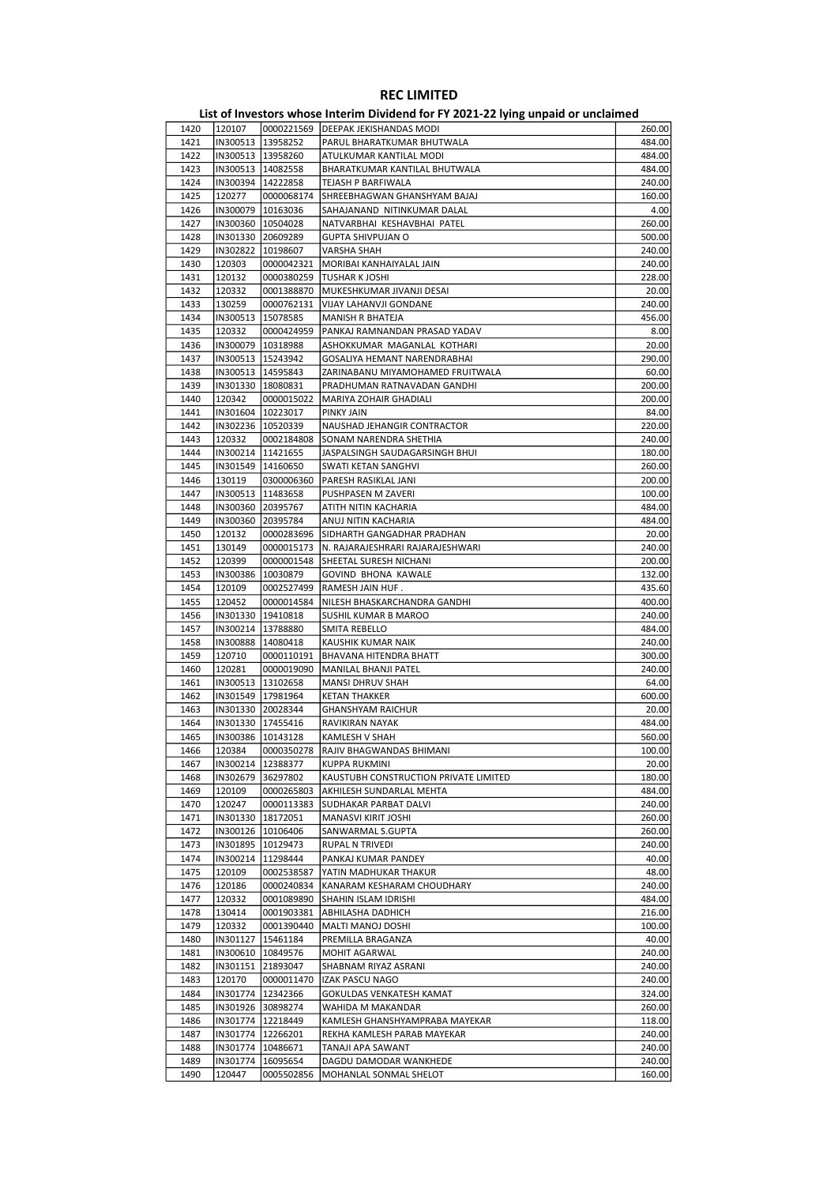|      |                     |                     | List of Investors whose Interim Dividend for FY 2021-22 lying unpaid or unclaimed |        |
|------|---------------------|---------------------|-----------------------------------------------------------------------------------|--------|
| 1420 | 120107              | 0000221569          | DEEPAK JEKISHANDAS MODI                                                           | 260.00 |
| 1421 |                     | IN300513   13958252 | PARUL BHARATKUMAR BHUTWALA                                                        | 484.00 |
| 1422 |                     | IN300513   13958260 | ATULKUMAR KANTILAL MODI                                                           | 484.00 |
| 1423 | IN300513   14082558 |                     | BHARATKUMAR KANTILAL BHUTWALA                                                     | 484.00 |
| 1424 | IN300394            | 14222858            | TEJASH P BARFIWALA                                                                | 240.00 |
| 1425 | 120277              | 0000068174          | SHREEBHAGWAN GHANSHYAM BAJAJ                                                      | 160.00 |
| 1426 | IN300079            | 10163036            | SAHAJANAND NITINKUMAR DALAL                                                       | 4.00   |
| 1427 |                     | IN300360   10504028 | NATVARBHAI KESHAVBHAI PATEL                                                       | 260.00 |
|      |                     |                     |                                                                                   |        |
| 1428 | IN301330            | 20609289            | <b>GUPTA SHIVPUJAN O</b>                                                          | 500.00 |
| 1429 | IN302822            | 10198607            | <b>VARSHA SHAH</b>                                                                | 240.00 |
| 1430 | 120303              | 0000042321          | MORIBAI KANHAIYALAL JAIN                                                          | 240.00 |
| 1431 | 120132              | 0000380259          | TUSHAR K JOSHI                                                                    | 228.00 |
| 1432 | 120332              | 0001388870          | MUKESHKUMAR JIVANJI DESAI                                                         | 20.00  |
| 1433 | 130259              | 0000762131          | VIJAY LAHANVJI GONDANE                                                            | 240.00 |
| 1434 | IN300513            | 15078585            | MANISH R BHATEJA                                                                  | 456.00 |
| 1435 | 120332              | 0000424959          | PANKAJ RAMNANDAN PRASAD YADAV                                                     | 8.00   |
| 1436 |                     | IN300079   10318988 | ASHOKKUMAR MAGANLAL KOTHARI                                                       | 20.00  |
| 1437 |                     | IN300513   15243942 | GOSALIYA HEMANT NARENDRABHAI                                                      | 290.00 |
| 1438 | IN300513   14595843 |                     | ZARINABANU MIYAMOHAMED FRUITWALA                                                  | 60.00  |
| 1439 | IN301330            | 18080831            | PRADHUMAN RATNAVADAN GANDHI                                                       | 200.00 |
| 1440 | 120342              | 0000015022          | MARIYA ZOHAIR GHADIALI                                                            | 200.00 |
| 1441 | IN301604            | 10223017            | PINKY JAIN                                                                        | 84.00  |
| 1442 |                     | IN302236 10520339   | NAUSHAD JEHANGIR CONTRACTOR                                                       | 220.00 |
| 1443 | 120332              | 0002184808          | SONAM NARENDRA SHETHIA                                                            | 240.00 |
|      |                     |                     |                                                                                   |        |
| 1444 | IN300214            | 11421655            | JASPALSINGH SAUDAGARSINGH BHUI                                                    | 180.00 |
| 1445 | IN301549            | 14160650            | SWATI KETAN SANGHVI                                                               | 260.00 |
| 1446 | 130119              | 0300006360          | PARESH RASIKLAL JANI                                                              | 200.00 |
| 1447 | IN300513   11483658 |                     | PUSHPASEN M ZAVERI                                                                | 100.00 |
| 1448 | IN300360            | 20395767            | ATITH NITIN KACHARIA                                                              | 484.00 |
| 1449 | IN300360            | 20395784            | ANUJ NITIN KACHARIA                                                               | 484.00 |
| 1450 | 120132              | 0000283696          | SIDHARTH GANGADHAR PRADHAN                                                        | 20.00  |
| 1451 | 130149              | 0000015173          | N. RAJARAJESHRARI RAJARAJESHWARI                                                  | 240.00 |
| 1452 | 120399              | 0000001548          | SHEETAL SURESH NICHANI                                                            | 200.00 |
| 1453 | IN300386            | 10030879            | <b>GOVIND BHONA KAWALE</b>                                                        | 132.00 |
| 1454 | 120109              | 0002527499          | RAMESH JAIN HUF.                                                                  | 435.60 |
| 1455 | 120452              | 0000014584          | NILESH BHASKARCHANDRA GANDHI                                                      | 400.00 |
| 1456 | IN301330            | 19410818            | SUSHIL KUMAR B MAROO                                                              | 240.00 |
| 1457 |                     | IN300214 13788880   | SMITA REBELLO                                                                     | 484.00 |
|      |                     |                     |                                                                                   |        |
| 1458 | IN300888            | 14080418            | KAUSHIK KUMAR NAIK                                                                | 240.00 |
| 1459 | 120710              | 0000110191          | <b>BHAVANA HITENDRA BHATT</b>                                                     | 300.00 |
| 1460 | 120281              | 0000019090          | <b>MANILAL BHANJI PATEL</b>                                                       | 240.00 |
| 1461 |                     | IN300513   13102658 | <b>MANSI DHRUV SHAH</b>                                                           | 64.00  |
| 1462 | IN301549   17981964 |                     | <b>KETAN THAKKER</b>                                                              | 600.00 |
| 1463 |                     | IN301330 20028344   | <b>GHANSHYAM RAICHUR</b>                                                          | 20.00  |
| 1464 |                     | IN301330 17455416   | RAVIKIRAN NAYAK                                                                   | 484.00 |
| 1465 | IN300386  10143128  |                     | <b>KAMLESH V SHAH</b>                                                             | 560.00 |
| 1466 | 120384              | 0000350278          | RAJIV BHAGWANDAS BHIMANI                                                          | 100.00 |
| 1467 | IN300214            | 12388377            | <b>KUPPA RUKMINI</b>                                                              | 20.00  |
| 1468 |                     | IN302679 36297802   | KAUSTUBH CONSTRUCTION PRIVATE LIMITED                                             | 180.00 |
| 1469 | 120109              | 0000265803          | AKHILESH SUNDARLAL MEHTA                                                          | 484.00 |
| 1470 | 120247              | 0000113383          | SUDHAKAR PARBAT DALVI                                                             | 240.00 |
| 1471 | IN301330            | 18172051            | MANASVI KIRIT JOSHI                                                               | 260.00 |
| 1472 |                     | IN300126 10106406   | SANWARMAL S.GUPTA                                                                 | 260.00 |
| 1473 | IN301895            | 10129473            | RUPAL N TRIVEDI                                                                   | 240.00 |
|      |                     |                     |                                                                                   |        |
| 1474 | IN300214            | 11298444            | PANKAJ KUMAR PANDEY                                                               | 40.00  |
| 1475 | 120109              | 0002538587          | YATIN MADHUKAR THAKUR                                                             | 48.00  |
| 1476 | 120186              | 0000240834          | KANARAM KESHARAM CHOUDHARY                                                        | 240.00 |
| 1477 | 120332              | 0001089890          | SHAHIN ISLAM IDRISHI                                                              | 484.00 |
| 1478 | 130414              | 0001903381          | ABHILASHA DADHICH                                                                 | 216.00 |
| 1479 | 120332              | 0001390440          | MALTI MANOJ DOSHI                                                                 | 100.00 |
| 1480 | IN301127            | 15461184            | PREMILLA BRAGANZA                                                                 | 40.00  |
| 1481 |                     | IN300610   10849576 | MOHIT AGARWAL                                                                     | 240.00 |
| 1482 |                     | IN301151 21893047   | SHABNAM RIYAZ ASRANI                                                              | 240.00 |
| 1483 | 120170              | 0000011470          | IZAK PASCU NAGO                                                                   | 240.00 |
| 1484 | IN301774            | 12342366            | GOKULDAS VENKATESH KAMAT                                                          | 324.00 |
| 1485 |                     | IN301926 30898274   | WAHIDA M MAKANDAR                                                                 | 260.00 |
| 1486 |                     | IN301774   12218449 | KAMLESH GHANSHYAMPRABA MAYEKAR                                                    | 118.00 |
| 1487 |                     | IN301774   12266201 | REKHA KAMLESH PARAB MAYEKAR                                                       | 240.00 |
| 1488 |                     | IN301774   10486671 | TANAJI APA SAWANT                                                                 | 240.00 |
|      | IN301774            |                     |                                                                                   |        |
| 1489 |                     | 16095654            | DAGDU DAMODAR WANKHEDE                                                            | 240.00 |
| 1490 | 120447              | 0005502856          | MOHANLAL SONMAL SHELOT                                                            | 160.00 |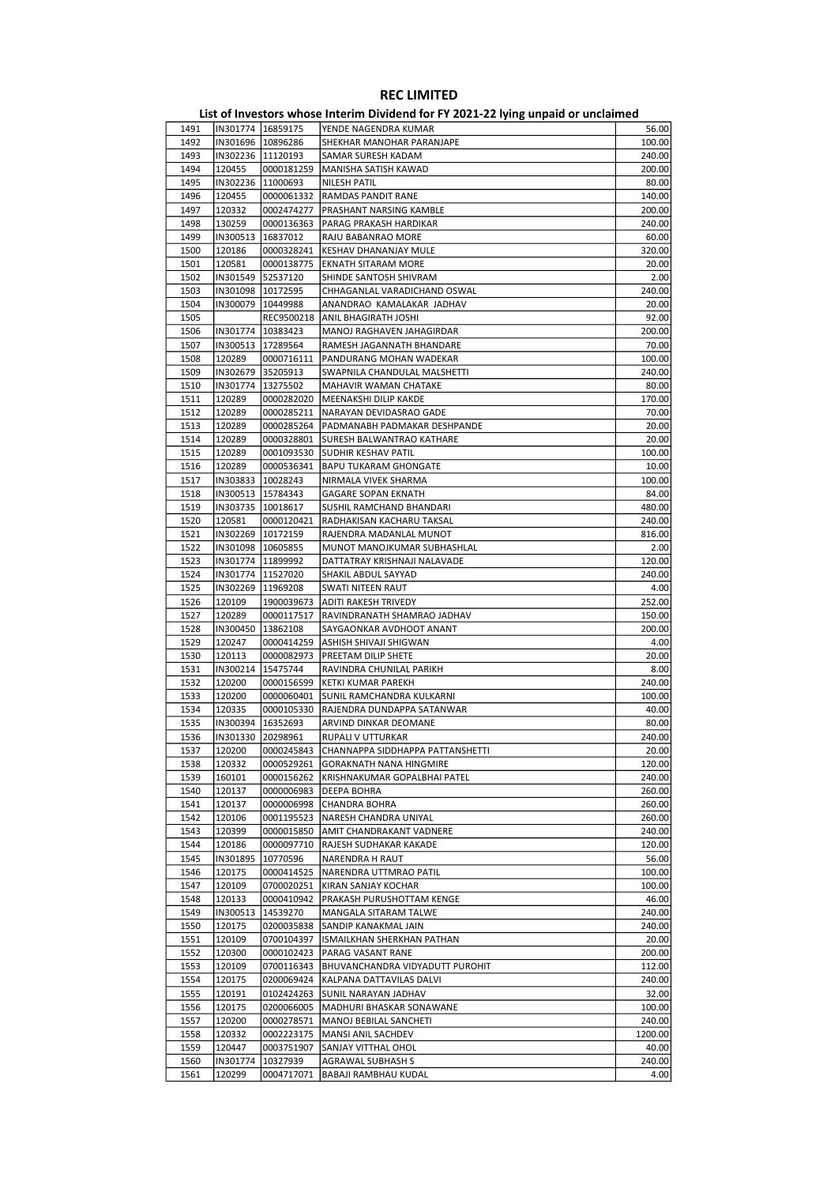|      | List of Investors whose Interim Dividend for FY 2021-22 Iving unpaid or unclaimed |            |                            |        |  |  |
|------|-----------------------------------------------------------------------------------|------------|----------------------------|--------|--|--|
| 1491 | IIN301774                                                                         | 16859175   | lYENDE NAGENDRA KUMAR      | 56.00  |  |  |
| 1492 | IIN301696                                                                         | 10896286   | ISHEKHAR MANOHAR PARANJAPE | 100.00 |  |  |
| 1493 | IIN302236                                                                         | 11120193   | ISAMAR SURESH KADAM        | 240.00 |  |  |
| 1494 | 120455                                                                            | 0000181259 | lMANISHA SATISH KAWAD      | 200.00 |  |  |
| 1495 | IN302236                                                                          | 11000693   | INILESH PATIL              | 80.00  |  |  |
| 1496 | 120455                                                                            | 0000061332 | IRAMDAS PANDIT RANE        | 140.00 |  |  |
| 1497 | 120332                                                                            | 0002474277 | PRASHANT NARSING KAMBLE    | 200.00 |  |  |
| 1498 | 130259                                                                            | 0000136363 | IPARAG PRAKASH HARDIKAR    | 240.00 |  |  |

| 1491 |          | IN301774   16859175 | YENDE NAGENDRA KUMAR                        | 56.00   |
|------|----------|---------------------|---------------------------------------------|---------|
| 1492 |          | IN301696   10896286 | SHEKHAR MANOHAR PARANJAPE                   | 100.00  |
| 1493 |          | IN302236   11120193 | SAMAR SURESH KADAM                          | 240.00  |
| 1494 | 120455   |                     | 0000181259  MANISHA SATISH KAWAD            | 200.00  |
| 1495 |          | IN302236 11000693   | NILESH PATIL                                | 80.00   |
|      |          |                     |                                             |         |
| 1496 | 120455   | 0000061332          | <b>RAMDAS PANDIT RANE</b>                   | 140.00  |
| 1497 | 120332   | 0002474277          | <b>PRASHANT NARSING KAMBLE</b>              | 200.00  |
| 1498 | 130259   |                     | 0000136363   PARAG PRAKASH HARDIKAR         | 240.00  |
| 1499 |          | IN300513   16837012 | RAJU BABANRAO MORE                          | 60.00   |
| 1500 | 120186   |                     | 0000328241 KESHAV DHANANJAY MULE            | 320.00  |
| 1501 | 120581   |                     |                                             | 20.00   |
|      |          | 0000138775          | <b>EKNATH SITARAM MORE</b>                  |         |
| 1502 |          | IN301549 52537120   | SHINDE SANTOSH SHIVRAM                      | 2.00    |
| 1503 |          | IN301098   10172595 | CHHAGANLAL VARADICHAND OSWAL                | 240.00  |
| 1504 |          | IN300079   10449988 | ANANDRAO KAMALAKAR JADHAV                   | 20.00   |
| 1505 |          |                     | REC9500218 ANIL BHAGIRATH JOSHI             | 92.00   |
| 1506 |          | IN301774   10383423 | MANOJ RAGHAVEN JAHAGIRDAR                   | 200.00  |
| 1507 |          |                     |                                             |         |
|      |          | IN300513   17289564 | RAMESH JAGANNATH BHANDARE                   | 70.00   |
| 1508 | 120289   |                     | 0000716111   PANDURANG MOHAN WADEKAR        | 100.00  |
| 1509 |          | IN302679 35205913   | SWAPNILA CHANDULAL MALSHETTI                | 240.00  |
| 1510 |          | IN301774 13275502   | MAHAVIR WAMAN CHATAKE                       | 80.00   |
| 1511 | 120289   | 0000282020          | MEENAKSHI DILIP KAKDE                       | 170.00  |
| 1512 | 120289   | 0000285211          | NARAYAN DEVIDASRAO GADE                     | 70.00   |
|      |          |                     |                                             |         |
| 1513 | 120289   |                     | 0000285264   PADMANABH PADMAKAR DESHPANDE   | 20.00   |
| 1514 | 120289   |                     | 0000328801 SURESH BALWANTRAO KATHARE        | 20.00   |
| 1515 | 120289   |                     | 0001093530 SUDHIR KESHAV PATIL              | 100.00  |
| 1516 | 120289   | 0000536341          | <b>BAPU TUKARAM GHONGATE</b>                | 10.00   |
| 1517 |          | IN303833   10028243 | NIRMALA VIVEK SHARMA                        | 100.00  |
|      |          |                     |                                             |         |
| 1518 |          | IN300513   15784343 | <b>GAGARE SOPAN EKNATH</b>                  | 84.00   |
| 1519 |          | IN303735   10018617 | SUSHIL RAMCHAND BHANDARI                    | 480.00  |
| 1520 | 120581   | 0000120421          | RADHAKISAN KACHARU TAKSAL                   | 240.00  |
| 1521 |          | IN302269 10172159   | RAJENDRA MADANLAL MUNOT                     | 816.00  |
| 1522 |          | IN301098   10605855 | MUNOT MANOJKUMAR SUBHASHLAL                 | 2.00    |
| 1523 |          | IN301774   11899992 |                                             | 120.00  |
|      |          |                     | DATTATRAY KRISHNAJI NALAVADE                |         |
| 1524 |          | IN301774 11527020   | SHAKIL ABDUL SAYYAD                         | 240.00  |
| 1525 |          | IN302269 11969208   | SWATI NITEEN RAUT                           | 4.00    |
| 1526 | 120109   | 1900039673          | ADITI RAKESH TRIVEDY                        | 252.00  |
| 1527 | 120289   | 0000117517          | RAVINDRANATH SHAMRAO JADHAV                 | 150.00  |
| 1528 |          | IN300450 13862108   | SAYGAONKAR AVDHOOT ANANT                    | 200.00  |
|      |          |                     |                                             |         |
| 1529 | 120247   |                     | 0000414259 ASHISH SHIVAJI SHIGWAN           | 4.00    |
| 1530 | 120113   |                     | 0000082973   PREETAM DILIP SHETE            | 20.00   |
| 1531 | IN300214 | 15475744            | RAVINDRA CHUNILAL PARIKH                    | 8.00    |
| 1532 | 120200   | 0000156599          | KETKI KUMAR PAREKH                          | 240.00  |
| 1533 | 120200   | 0000060401          | <b>SUNIL RAMCHANDRA KULKARNI</b>            | 100.00  |
|      |          | 0000105330          |                                             |         |
| 1534 | 120335   |                     | RAJENDRA DUNDAPPA SATANWAR                  | 40.00   |
| 1535 |          | IN300394   16352693 | ARVIND DINKAR DEOMANE                       | 80.00   |
| 1536 |          | IN301330 20298961   | RUPALI V UTTURKAR                           | 240.00  |
| 1537 | 120200   |                     | 0000245843 CHANNAPPA SIDDHAPPA PATTANSHETTI | 20.00   |
| 1538 | 120332   | 0000529261          | GORAKNATH NANA HINGMIRE                     | 120.00  |
| 1539 |          | 0000156262          |                                             | 240.00  |
|      | 160101   |                     | KRISHNAKUMAR GOPALBHAI PATEL                |         |
| 1540 | 120137   | 0000006983          | <b>DEEPA BOHRA</b>                          | 260.00  |
| 1541 | 120137   | 0000006998          | <b>CHANDRA BOHRA</b>                        | 260.00  |
| 1542 | 120106   | 0001195523          | NARESH CHANDRA UNIYAL                       | 260.00  |
| 1543 | 120399   | 0000015850          | <b>AMIT CHANDRAKANT VADNERE</b>             | 240.00  |
| 1544 | 120186   | 0000097710          | RAJESH SUDHAKAR KAKADE                      | 120.00  |
|      |          |                     |                                             |         |
| 1545 | IN301895 | 10770596            | NARENDRA H RAUT                             | 56.00   |
| 1546 | 120175   | 0000414525          | NARENDRA UTTMRAO PATIL                      | 100.00  |
| 1547 | 120109   | 0700020251          | KIRAN SANJAY KOCHAR                         | 100.00  |
| 1548 | 120133   | 0000410942          | PRAKASH PURUSHOTTAM KENGE                   | 46.00   |
| 1549 | IN300513 | 14539270            | MANGALA SITARAM TALWE                       | 240.00  |
|      |          |                     | SANDIP KANAKMAL JAIN                        |         |
| 1550 | 120175   | 0200035838          |                                             | 240.00  |
| 1551 | 120109   | 0700104397          | ISMAILKHAN SHERKHAN PATHAN                  | 20.00   |
| 1552 | 120300   | 0000102423          | PARAG VASANT RANE                           | 200.00  |
| 1553 | 120109   | 0700116343          | BHUVANCHANDRA VIDYADUTT PUROHIT             | 112.00  |
| 1554 | 120175   | 0200069424          | KALPANA DATTAVILAS DALVI                    | 240.00  |
| 1555 | 120191   | 0102424263          | SUNIL NARAYAN JADHAV                        | 32.00   |
|      |          |                     |                                             |         |
| 1556 | 120175   | 0200066005          | MADHURI BHASKAR SONAWANE                    | 100.00  |
| 1557 | 120200   | 0000278571          | MANOJ BEBILAL SANCHETI                      | 240.00  |
| 1558 | 120332   | 0002223175          | MANSI ANIL SACHDEV                          | 1200.00 |
| 1559 | 120447   | 0003751907          | SANJAY VITTHAL OHOL                         | 40.00   |
| 1560 | IN301774 | 10327939            | AGRAWAL SUBHASH S                           | 240.00  |
|      |          |                     |                                             |         |
| 1561 | 120299   | 0004717071          | <b>BABAJI RAMBHAU KUDAL</b>                 | 4.00    |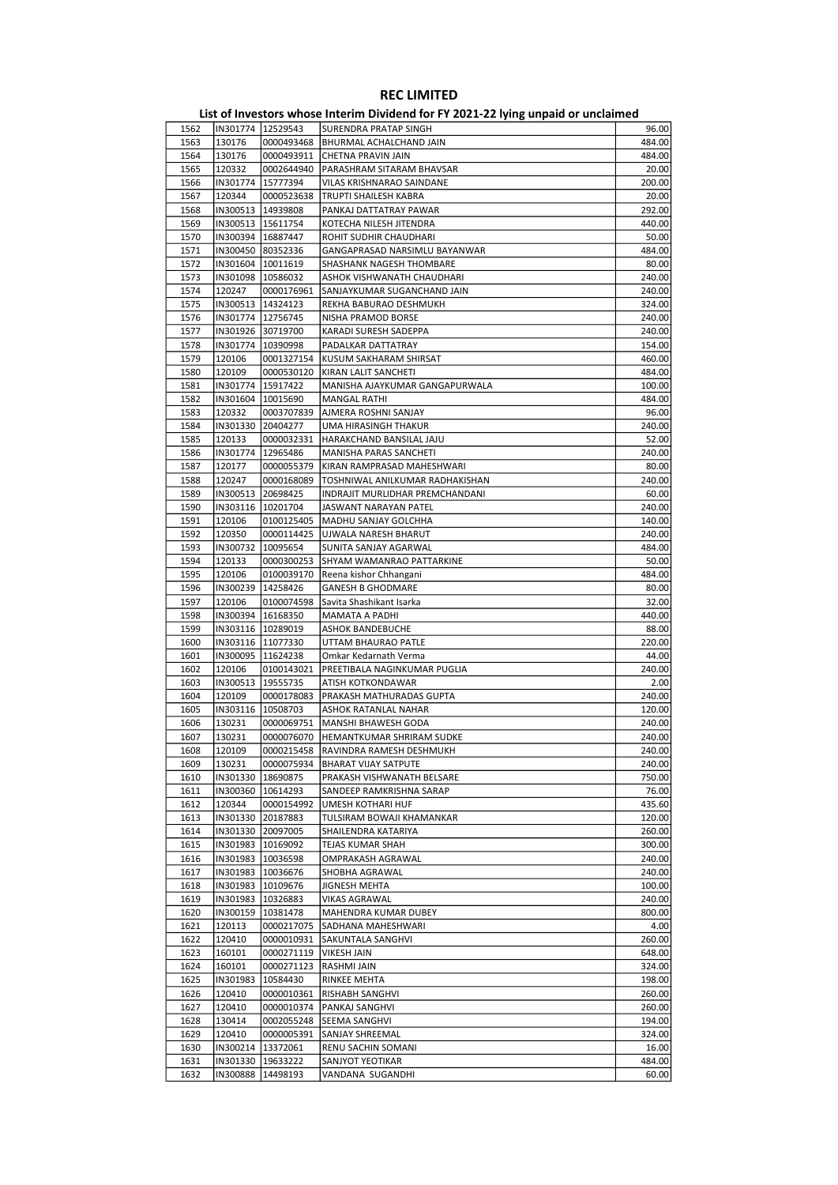| 1562 | IN301774   12529543 |                     | SURENDRA PRATAP SINGH                | 96.00  |
|------|---------------------|---------------------|--------------------------------------|--------|
| 1563 | 130176              | 0000493468          | BHURMAL ACHALCHAND JAIN              | 484.00 |
| 1564 | 130176              | 0000493911          | CHETNA PRAVIN JAIN                   | 484.00 |
| 1565 | 120332              | 0002644940          | PARASHRAM SITARAM BHAVSAR            | 20.00  |
| 1566 | IN301774            | 15777394            | VILAS KRISHNARAO SAINDANE            | 200.00 |
| 1567 | 120344              | 0000523638          | TRUPTI SHAILESH KABRA                | 20.00  |
| 1568 | IN300513   14939808 |                     | PANKAJ DATTATRAY PAWAR               | 292.00 |
|      |                     |                     |                                      |        |
| 1569 |                     | IN300513   15611754 | KOTECHA NILESH JITENDRA              | 440.00 |
| 1570 | IN300394   16887447 |                     | ROHIT SUDHIR CHAUDHARI               | 50.00  |
| 1571 | IN300450 80352336   |                     | GANGAPRASAD NARSIMLU BAYANWAR        | 484.00 |
| 1572 | IN301604   10011619 |                     | SHASHANK NAGESH THOMBARE             | 80.00  |
| 1573 | IN301098 10586032   |                     | ASHOK VISHWANATH CHAUDHARI           | 240.00 |
| 1574 | 120247              | 0000176961          | SANJAYKUMAR SUGANCHAND JAIN          | 240.00 |
| 1575 |                     | IN300513   14324123 | REKHA BABURAO DESHMUKH               | 324.00 |
| 1576 | IN301774   12756745 |                     | NISHA PRAMOD BORSE                   | 240.00 |
| 1577 | IN301926 30719700   |                     | KARADI SURESH SADEPPA                | 240.00 |
| 1578 | IN301774   10390998 |                     | PADALKAR DATTATRAY                   | 154.00 |
| 1579 |                     |                     |                                      |        |
|      | 120106              | 0001327154          | KUSUM SAKHARAM SHIRSAT               | 460.00 |
| 1580 | 120109              | 0000530120          | KIRAN LALIT SANCHETI                 | 484.00 |
| 1581 | IN301774   15917422 |                     | MANISHA AJAYKUMAR GANGAPURWALA       | 100.00 |
| 1582 | IN301604            | 10015690            | MANGAL RATHI                         | 484.00 |
| 1583 | 120332              | 0003707839          | AJMERA ROSHNI SANJAY                 | 96.00  |
| 1584 | IN301330            | 20404277            | UMA HIRASINGH THAKUR                 | 240.00 |
| 1585 | 120133              | 0000032331          | HARAKCHAND BANSILAL JAJU             | 52.00  |
| 1586 | IN301774            | 12965486            | MANISHA PARAS SANCHETI               | 240.00 |
| 1587 | 120177              | 0000055379          | KIRAN RAMPRASAD MAHESHWARI           | 80.00  |
| 1588 | 120247              | 0000168089          | TOSHNIWAL ANILKUMAR RADHAKISHAN      | 240.00 |
|      |                     |                     |                                      |        |
| 1589 | IN300513            | 20698425            | INDRAJIT MURLIDHAR PREMCHANDANI      | 60.00  |
| 1590 |                     | IN303116   10201704 | JASWANT NARAYAN PATEL                | 240.00 |
| 1591 | 120106              | 0100125405          | MADHU SANJAY GOLCHHA                 | 140.00 |
| 1592 | 120350              | 0000114425          | UJWALA NARESH BHARUT                 | 240.00 |
| 1593 | IN300732            | 10095654            | SUNITA SANJAY AGARWAL                | 484.00 |
| 1594 | 120133              | 0000300253          | SHYAM WAMANRAO PATTARKINE            | 50.00  |
| 1595 | 120106              | 0100039170          | Reena kishor Chhangani               | 484.00 |
| 1596 | IN300239 14258426   |                     | <b>GANESH B GHODMARE</b>             | 80.00  |
| 1597 | 120106              | 0100074598          | Savita Shashikant Isarka             | 32.00  |
| 1598 | IN300394            | 16168350            | MAMATA A PADHI                       | 440.00 |
|      |                     |                     |                                      |        |
| 1599 |                     | IN303116   10289019 | <b>ASHOK BANDEBUCHE</b>              | 88.00  |
| 1600 |                     | IN303116   11077330 | UTTAM BHAURAO PATLE                  | 220.00 |
| 1601 |                     | IN300095   11624238 | Omkar Kedarnath Verma                | 44.00  |
| 1602 | 120106              | 0100143021          | PREETIBALA NAGINKUMAR PUGLIA         | 240.00 |
| 1603 | IN300513            | 19555735            | ATISH KOTKONDAWAR                    | 2.00   |
| 1604 | 120109              | 0000178083          | PRAKASH MATHURADAS GUPTA             | 240.00 |
| 1605 |                     | IN303116   10508703 | ASHOK RATANLAL NAHAR                 | 120.00 |
| 1606 | 130231              | 0000069751          | MANSHI BHAWESH GODA                  | 240.00 |
| 1607 | 130231              | 0000076070          | HEMANTKUMAR SHRIRAM SUDKE            | 240.00 |
| 1608 | 120109              |                     | 0000215458  RAVINDRA RAMESH DESHMUKH | 240.00 |
| 1609 | 130231              | 0000075934          |                                      | 240.00 |
|      |                     |                     | <b>BHARAT VIJAY SATPUTE</b>          |        |
| 1610 | IN301330            | 18690875            | PRAKASH VISHWANATH BELSARE           | 750.00 |
| 1611 | IN300360            | 10614293            | SANDEEP RAMKRISHNA SARAP             | 76.00  |
| 1612 | 120344              | 0000154992          | UMESH KOTHARI HUF                    | 435.60 |
| 1613 | IN301330            | 20187883            | TULSIRAM BOWAJI KHAMANKAR            | 120.00 |
| 1614 |                     | IN301330 20097005   | SHAILENDRA KATARIYA                  | 260.00 |
| 1615 | IN301983   10169092 |                     | TEJAS KUMAR SHAH                     | 300.00 |
| 1616 |                     | IN301983   10036598 | OMPRAKASH AGRAWAL                    | 240.00 |
| 1617 | IN301983   10036676 |                     | SHOBHA AGRAWAL                       | 240.00 |
| 1618 | IN301983            | 10109676            | JIGNESH MEHTA                        | 100.00 |
| 1619 | IN301983            | 10326883            | <b>VIKAS AGRAWAL</b>                 | 240.00 |
| 1620 | IN300159            | 10381478            | MAHENDRA KUMAR DUBEY                 | 800.00 |
|      |                     |                     |                                      |        |
| 1621 | 120113              | 0000217075          | SADHANA MAHESHWARI                   | 4.00   |
| 1622 | 120410              | 0000010931          | SAKUNTALA SANGHVI                    | 260.00 |
| 1623 | 160101              | 0000271119          | VIKESH JAIN                          | 648.00 |
| 1624 | 160101              | 0000271123          | RASHMI JAIN                          | 324.00 |
| 1625 | IN301983            | 10584430            | RINKEE MEHTA                         | 198.00 |
| 1626 | 120410              | 0000010361          | <b>RISHABH SANGHVI</b>               | 260.00 |
| 1627 | 120410              | 0000010374          | PANKAJ SANGHVI                       | 260.00 |
| 1628 | 130414              | 0002055248          | SEEMA SANGHVI                        | 194.00 |
| 1629 | 120410              | 0000005391          | <b>SANJAY SHREEMAL</b>               | 324.00 |
| 1630 | IN300214            | 13372061            | RENU SACHIN SOMANI                   | 16.00  |
|      |                     |                     |                                      |        |
| 1631 |                     | IN301330 19633222   | SANJYOT YEOTIKAR                     | 484.00 |
| 1632 |                     | IN300888   14498193 | VANDANA SUGANDHI                     | 60.00  |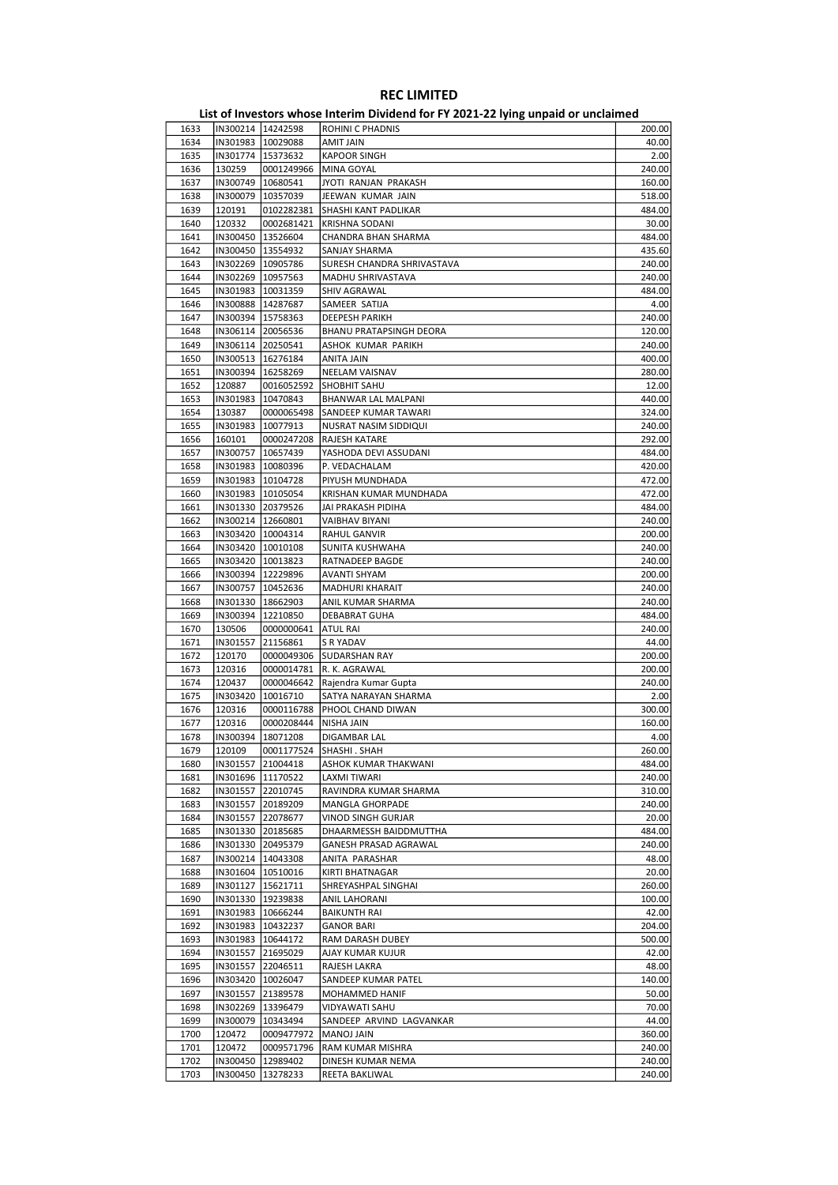|      |                     |                     | - סיינ                     |        |
|------|---------------------|---------------------|----------------------------|--------|
| 1633 | IN300214   14242598 |                     | <b>ROHINI C PHADNIS</b>    | 200.00 |
| 1634 |                     | IN301983   10029088 | AMIT JAIN                  | 40.00  |
| 1635 | IN301774   15373632 |                     | <b>KAPOOR SINGH</b>        | 2.00   |
| 1636 | 130259              | 0001249966          | MINA GOYAL                 | 240.00 |
| 1637 | IN300749   10680541 |                     | JYOTI RANJAN PRAKASH       | 160.00 |
|      |                     |                     | JEEWAN KUMAR JAIN          |        |
| 1638 | IN300079            | 10357039            |                            | 518.00 |
| 1639 | 120191              | 0102282381          | SHASHI KANT PADLIKAR       | 484.00 |
| 1640 | 120332              | 0002681421          | <b>KRISHNA SODANI</b>      | 30.00  |
| 1641 | IN300450   13526604 |                     | CHANDRA BHAN SHARMA        | 484.00 |
| 1642 |                     | IN300450   13554932 | SANJAY SHARMA              | 435.60 |
| 1643 |                     | IN302269 10905786   | SURESH CHANDRA SHRIVASTAVA | 240.00 |
| 1644 |                     | IN302269   10957563 | MADHU SHRIVASTAVA          | 240.00 |
| 1645 | IN301983   10031359 |                     | SHIV AGRAWAL               | 484.00 |
| 1646 | IN300888 14287687   |                     | SAMEER SATIJA              | 4.00   |
| 1647 | IN300394 15758363   |                     | DEEPESH PARIKH             | 240.00 |
|      |                     |                     |                            |        |
| 1648 |                     | IN306114 20056536   | BHANU PRATAPSINGH DEORA    | 120.00 |
| 1649 | IN306114 20250541   |                     | ASHOK KUMAR PARIKH         | 240.00 |
| 1650 | IN300513   16276184 |                     | ANITA JAIN                 | 400.00 |
| 1651 | IN300394   16258269 |                     | NEELAM VAISNAV             | 280.00 |
| 1652 | 120887              | 0016052592          | <b>SHOBHIT SAHU</b>        | 12.00  |
| 1653 | IN301983            | 10470843            | BHANWAR LAL MALPANI        | 440.00 |
| 1654 | 130387              | 0000065498          | SANDEEP KUMAR TAWARI       | 324.00 |
| 1655 | IN301983            | 10077913            | NUSRAT NASIM SIDDIQUI      | 240.00 |
| 1656 | 160101              | 0000247208          | RAJESH KATARE              | 292.00 |
|      | IN300757 10657439   |                     |                            |        |
| 1657 |                     |                     | YASHODA DEVI ASSUDANI      | 484.00 |
| 1658 |                     | IN301983   10080396 | P. VEDACHALAM              | 420.00 |
| 1659 |                     | IN301983   10104728 | PIYUSH MUNDHADA            | 472.00 |
| 1660 | IN301983   10105054 |                     | KRISHAN KUMAR MUNDHADA     | 472.00 |
| 1661 | IN301330 20379526   |                     | JAI PRAKASH PIDIHA         | 484.00 |
| 1662 | IN300214   12660801 |                     | VAIBHAV BIYANI             | 240.00 |
| 1663 |                     | IN303420   10004314 | RAHUL GANVIR               | 200.00 |
| 1664 |                     | IN303420   10010108 | SUNITA KUSHWAHA            | 240.00 |
| 1665 | IN303420   10013823 |                     | RATNADEEP BAGDE            | 240.00 |
| 1666 | IN300394   12229896 |                     | AVANTI SHYAM               | 200.00 |
| 1667 | IN300757   10452636 |                     | MADHURI KHARAIT            | 240.00 |
|      |                     |                     |                            |        |
| 1668 | IN301330            | 18662903            | ANIL KUMAR SHARMA          | 240.00 |
| 1669 | IN300394            | 12210850            | DEBABRAT GUHA              | 484.00 |
| 1670 | 130506              | 0000000641          | <b>ATUL RAI</b>            | 240.00 |
| 1671 | IN301557            | 21156861            | S R YADAV                  | 44.00  |
| 1672 | 120170              | 0000049306          | <b>SUDARSHAN RAY</b>       | 200.00 |
| 1673 | 120316              | 0000014781          | R. K. AGRAWAL              | 200.00 |
| 1674 | 120437              | 0000046642          | Rajendra Kumar Gupta       | 240.00 |
| 1675 | IN303420            | 10016710            | SATYA NARAYAN SHARMA       | 2.00   |
| 1676 | 120316              | 0000116788          | PHOOL CHAND DIWAN          | 300.00 |
| 1677 | 120316              | 0000208444          | NISHA JAIN                 | 160.00 |
|      |                     |                     |                            |        |
| 1678 | IN300394            | 18071208            | DIGAMBAR LAL               | 4.00   |
| 1679 | 120109              |                     | 0001177524  SHASHI.SHAH    | 260.00 |
| 1680 |                     | IN301557 21004418   | ASHOK KUMAR THAKWANI       | 484.00 |
| 1681 |                     | IN301696   11170522 | LAXMI TIWARI               | 240.00 |
| 1682 | IN301557 22010745   |                     | RAVINDRA KUMAR SHARMA      | 310.00 |
| 1683 |                     | IN301557 20189209   | MANGLA GHORPADE            | 240.00 |
| 1684 | IN301557 22078677   |                     | VINOD SINGH GURJAR         | 20.00  |
| 1685 |                     | IN301330 20185685   | DHAARMESSH BAIDDMUTTHA     | 484.00 |
| 1686 |                     | IN301330 20495379   | GANESH PRASAD AGRAWAL      | 240.00 |
|      | IN300214 14043308   |                     | ANITA PARASHAR             |        |
| 1687 |                     |                     |                            | 48.00  |
| 1688 |                     | IN301604   10510016 | KIRTI BHATNAGAR            | 20.00  |
| 1689 |                     | IN301127   15621711 | SHREYASHPAL SINGHAI        | 260.00 |
| 1690 |                     | IN301330 19239838   | ANIL LAHORANI              | 100.00 |
| 1691 |                     | IN301983   10666244 | <b>BAIKUNTH RAI</b>        | 42.00  |
| 1692 | IN301983   10432237 |                     | <b>GANOR BARI</b>          | 204.00 |
| 1693 |                     | IN301983   10644172 | RAM DARASH DUBEY           | 500.00 |
| 1694 |                     | IN301557 21695029   | AJAY KUMAR KUJUR           | 42.00  |
| 1695 |                     | IN301557 22046511   | RAJESH LAKRA               | 48.00  |
|      |                     |                     |                            |        |
| 1696 |                     | IN303420   10026047 | SANDEEP KUMAR PATEL        | 140.00 |
| 1697 | IN301557            | 21389578            | MOHAMMED HANIF             | 50.00  |
| 1698 |                     | IN302269 13396479   | VIDYAWATI SAHU             | 70.00  |
| 1699 |                     | IN300079   10343494 | SANDEEP ARVIND LAGVANKAR   | 44.00  |
| 1700 | 120472              | 0009477972          | <b>MANOJ JAIN</b>          | 360.00 |
| 1701 | 120472              | 0009571796          | RAM KUMAR MISHRA           | 240.00 |
| 1702 | IN300450            | 12989402            | DINESH KUMAR NEMA          | 240.00 |
| 1703 | IN300450            | 13278233            | REETA BAKLIWAL             | 240.00 |
|      |                     |                     |                            |        |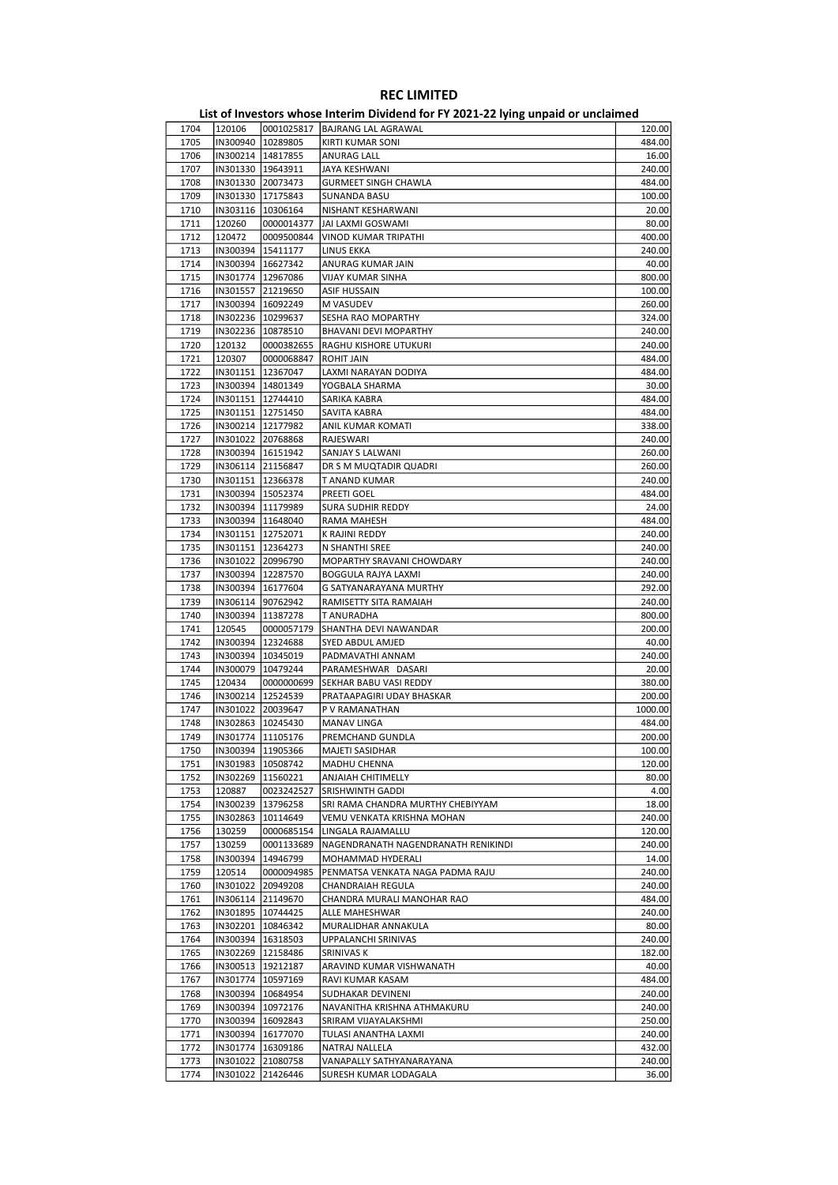|      |          |                     | - סייני                             |         |
|------|----------|---------------------|-------------------------------------|---------|
| 1704 | 120106   | 0001025817          | <b>BAJRANG LAL AGRAWAL</b>          | 120.00  |
| 1705 |          | IN300940   10289805 | KIRTI KUMAR SONI                    | 484.00  |
| 1706 |          | IN300214   14817855 | ANURAG LALL                         | 16.00   |
| 1707 |          | IN301330 19643911   | JAYA KESHWANI                       | 240.00  |
|      |          |                     |                                     | 484.00  |
| 1708 |          | IN301330 20073473   | <b>GURMEET SINGH CHAWLA</b>         |         |
| 1709 |          | IN301330 17175843   | <b>SUNANDA BASU</b>                 | 100.00  |
| 1710 |          | IN303116   10306164 | NISHANT KESHARWANI                  | 20.00   |
| 1711 | 120260   | 0000014377          | JAI LAXMI GOSWAMI                   | 80.00   |
| 1712 | 120472   | 0009500844          | <b>VINOD KUMAR TRIPATHI</b>         | 400.00  |
| 1713 |          | IN300394 15411177   | LINUS EKKA                          | 240.00  |
| 1714 |          | IN300394   16627342 | ANURAG KUMAR JAIN                   | 40.00   |
| 1715 |          | IN301774   12967086 | <b>VIJAY KUMAR SINHA</b>            | 800.00  |
|      |          |                     |                                     |         |
| 1716 |          | IN301557 21219650   | <b>ASIF HUSSAIN</b>                 | 100.00  |
| 1717 |          | IN300394   16092249 | <b>M VASUDEV</b>                    | 260.00  |
| 1718 |          | IN302236 10299637   | SESHA RAO MOPARTHY                  | 324.00  |
| 1719 |          | IN302236 10878510   | BHAVANI DEVI MOPARTHY               | 240.00  |
| 1720 | 120132   | 0000382655          | RAGHU KISHORE UTUKURI               | 240.00  |
| 1721 | 120307   | 0000068847          | <b>ROHIT JAIN</b>                   | 484.00  |
| 1722 |          | IN301151   12367047 | LAXMI NARAYAN DODIYA                | 484.00  |
| 1723 |          | IN300394   14801349 |                                     | 30.00   |
|      |          |                     | YOGBALA SHARMA                      |         |
| 1724 |          | IN301151   12744410 | SARIKA KABRA                        | 484.00  |
| 1725 |          | IN301151 12751450   | SAVITA KABRA                        | 484.00  |
| 1726 |          | IN300214   12177982 | ANIL KUMAR KOMATI                   | 338.00  |
| 1727 |          | IN301022 20768868   | RAJESWARI                           | 240.00  |
| 1728 |          | IN300394   16151942 | SANJAY S LALWANI                    | 260.00  |
| 1729 |          | IN306114 21156847   | DR S M MUQTADIR QUADRI              | 260.00  |
| 1730 |          | IN301151   12366378 | T ANAND KUMAR                       | 240.00  |
|      |          |                     |                                     |         |
| 1731 |          | IN300394 15052374   | PREETI GOEL                         | 484.00  |
| 1732 |          | IN300394 11179989   | SURA SUDHIR REDDY                   | 24.00   |
| 1733 |          | IN300394   11648040 | RAMA MAHESH                         | 484.00  |
| 1734 |          | IN301151 12752071   | K RAJINI REDDY                      | 240.00  |
| 1735 |          | IN301151   12364273 | N SHANTHI SREE                      | 240.00  |
| 1736 |          | IN301022 20996790   | MOPARTHY SRAVANI CHOWDARY           | 240.00  |
| 1737 |          | IN300394   12287570 | BOGGULA RAJYA LAXMI                 | 240.00  |
| 1738 |          | IN300394   16177604 | G SATYANARAYANA MURTHY              | 292.00  |
|      |          |                     |                                     |         |
| 1739 |          | IN306114 90762942   | RAMISETTY SITA RAMAIAH              | 240.00  |
| 1740 |          | IN300394   11387278 | T ANURADHA                          | 800.00  |
| 1741 | 120545   | 0000057179          | SHANTHA DEVI NAWANDAR               | 200.00  |
| 1742 |          | IN300394   12324688 | SYED ABDUL AMJED                    | 40.00   |
| 1743 |          | IN300394   10345019 | PADMAVATHI ANNAM                    | 240.00  |
| 1744 | IN300079 | 10479244            | PARAMESHWAR DASARI                  | 20.00   |
| 1745 | 120434   | 0000000699          | SEKHAR BABU VASI REDDY              | 380.00  |
| 1746 |          | IN300214   12524539 | PRATAAPAGIRI UDAY BHASKAR           | 200.00  |
|      |          |                     |                                     |         |
| 1747 |          | IN301022 20039647   | P V RAMANATHAN                      | 1000.00 |
| 1748 |          | IN302863   10245430 | MANAV LINGA                         | 484.00  |
| 1749 |          | IN301774 11105176   | PREMCHAND GUNDLA                    | 200.00  |
| 1750 |          | IN300394 11905366   | MAJETI SASIDHAR                     | 100.00  |
| 1751 |          | IN301983   10508742 | MADHU CHENNA                        | 120.00  |
| 1752 | IN302269 | 11560221            | ANJAIAH CHITIMELLY                  | 80.00   |
| 1753 | 120887   | 0023242527          | SRISHWINTH GADDI                    | 4.00    |
|      |          |                     |                                     |         |
| 1754 | IN300239 | 13796258            | SRI RAMA CHANDRA MURTHY CHEBIYYAM   | 18.00   |
| 1755 | IN302863 | 10114649            | VEMU VENKATA KRISHNA MOHAN          | 240.00  |
| 1756 | 130259   | 0000685154          | LINGALA RAJAMALLU                   | 120.00  |
| 1757 | 130259   | 0001133689          | NAGENDRANATH NAGENDRANATH RENIKINDI | 240.00  |
| 1758 | IN300394 | 14946799            | MOHAMMAD HYDERALI                   | 14.00   |
| 1759 | 120514   | 0000094985          | PENMATSA VENKATA NAGA PADMA RAJU    | 240.00  |
| 1760 |          | IN301022 20949208   | CHANDRAIAH REGULA                   | 240.00  |
| 1761 |          | IN306114 21149670   | CHANDRA MURALI MANOHAR RAO          | 484.00  |
|      |          |                     |                                     |         |
| 1762 |          | IN301895   10744425 | ALLE MAHESHWAR                      | 240.00  |
| 1763 |          | IN302201 10846342   | MURALIDHAR ANNAKULA                 | 80.00   |
| 1764 |          | IN300394   16318503 | UPPALANCHI SRINIVAS                 | 240.00  |
| 1765 |          | IN302269   12158486 | SRINIVAS K                          | 182.00  |
| 1766 |          | IN300513   19212187 | ARAVIND KUMAR VISHWANATH            | 40.00   |
| 1767 |          | IN301774   10597169 | RAVI KUMAR KASAM                    | 484.00  |
| 1768 |          | IN300394   10684954 | SUDHAKAR DEVINENI                   | 240.00  |
| 1769 |          | IN300394   10972176 | NAVANITHA KRISHNA ATHMAKURU         | 240.00  |
|      |          |                     |                                     |         |
| 1770 |          | IN300394   16092843 | SRIRAM VIJAYALAKSHMI                | 250.00  |
| 1771 |          | IN300394   16177070 | TULASI ANANTHA LAXMI                | 240.00  |
| 1772 |          | IN301774   16309186 | NATRAJ NALLELA                      | 432.00  |
| 1773 |          | IN301022 21080758   | VANAPALLY SATHYANARAYANA            | 240.00  |
| 1774 |          | IN301022 21426446   | SURESH KUMAR LODAGALA               | 36.00   |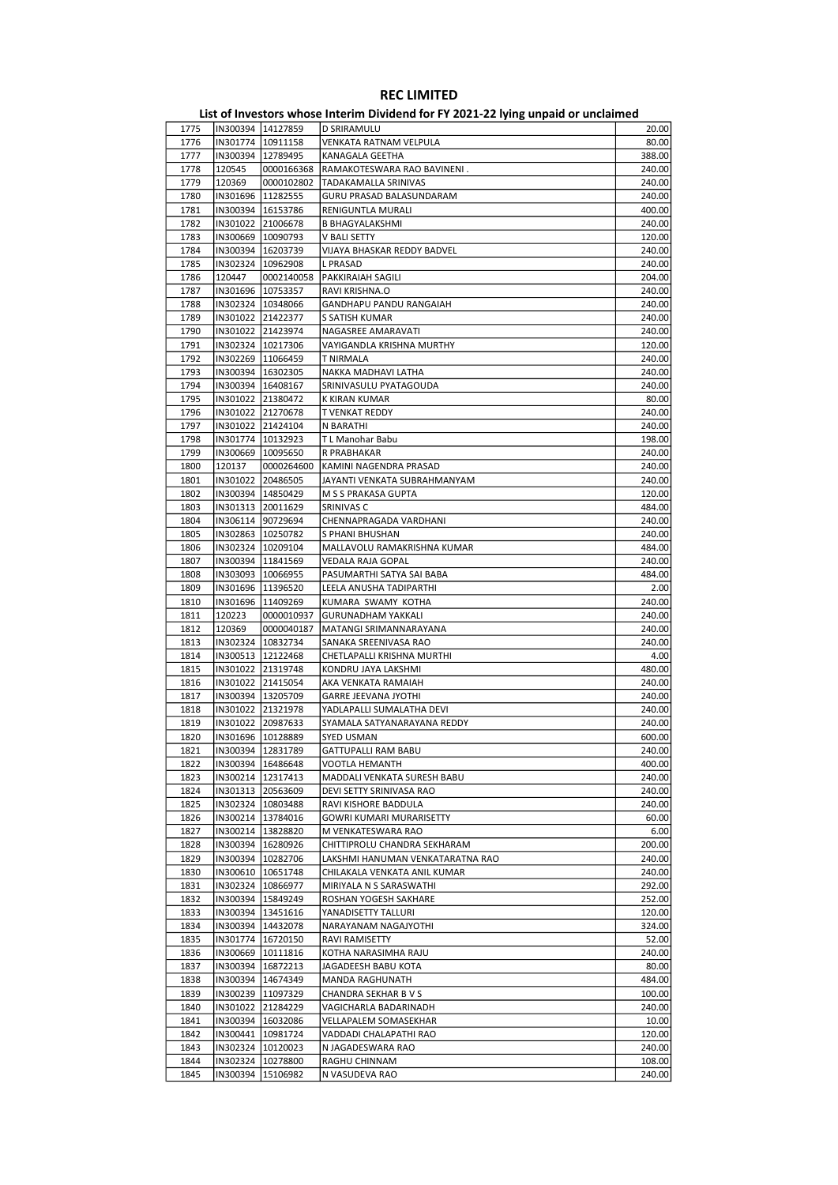| 1775 |                     | IN300394 14127859   | D SRIRAMULU                      | 20.00  |
|------|---------------------|---------------------|----------------------------------|--------|
| 1776 |                     | IN301774   10911158 | VENKATA RATNAM VELPULA           | 80.00  |
| 1777 | IN300394   12789495 |                     | KANAGALA GEETHA                  | 388.00 |
|      |                     |                     |                                  |        |
| 1778 | 120545              | 0000166368          | RAMAKOTESWARA RAO BAVINENI.      | 240.00 |
| 1779 | 120369              | 0000102802          | TADAKAMALLA SRINIVAS             | 240.00 |
| 1780 | IN301696   11282555 |                     | GURU PRASAD BALASUNDARAM         | 240.00 |
| 1781 |                     | IN300394   16153786 | RENIGUNTLA MURALI                | 400.00 |
| 1782 |                     | IN301022 21006678   | <b>B BHAGYALAKSHMI</b>           | 240.00 |
| 1783 |                     | IN300669   10090793 | V BALI SETTY                     | 120.00 |
|      |                     |                     |                                  |        |
| 1784 |                     | IN300394   16203739 | VIJAYA BHASKAR REDDY BADVEL      | 240.00 |
| 1785 | IN302324 10962908   |                     | <b>L PRASAD</b>                  | 240.00 |
| 1786 | 120447              | 0002140058          | <b>PAKKIRAIAH SAGILI</b>         | 204.00 |
| 1787 |                     | IN301696   10753357 | RAVI KRISHNA.O                   | 240.00 |
| 1788 |                     | IN302324   10348066 | GANDHAPU PANDU RANGAIAH          | 240.00 |
| 1789 | IN301022 21422377   |                     | S SATISH KUMAR                   | 240.00 |
|      |                     |                     |                                  |        |
| 1790 |                     | IN301022 21423974   | NAGASREE AMARAVATI               | 240.00 |
| 1791 |                     | IN302324 10217306   | VAYIGANDLA KRISHNA MURTHY        | 120.00 |
| 1792 |                     | IN302269   11066459 | T NIRMALA                        | 240.00 |
| 1793 | IN300394   16302305 |                     | NAKKA MADHAVI LATHA              | 240.00 |
| 1794 | IN300394   16408167 |                     | SRINIVASULU PYATAGOUDA           | 240.00 |
| 1795 | IN301022 21380472   |                     | K KIRAN KUMAR                    | 80.00  |
|      |                     |                     |                                  |        |
| 1796 |                     | IN301022 21270678   | T VENKAT REDDY                   | 240.00 |
| 1797 |                     | IN301022 21424104   | N BARATHI                        | 240.00 |
| 1798 | IN301774   10132923 |                     | T L Manohar Babu                 | 198.00 |
| 1799 | IN300669   10095650 |                     | R PRABHAKAR                      | 240.00 |
| 1800 | 120137              | 0000264600          | KAMINI NAGENDRA PRASAD           | 240.00 |
|      |                     |                     |                                  | 240.00 |
| 1801 | IN301022 20486505   |                     | JAYANTI VENKATA SUBRAHMANYAM     |        |
| 1802 |                     | IN300394   14850429 | M S S PRAKASA GUPTA              | 120.00 |
| 1803 |                     | IN301313 20011629   | SRINIVAS C                       | 484.00 |
| 1804 | IN306114 90729694   |                     | CHENNAPRAGADA VARDHANI           | 240.00 |
| 1805 | IN302863   10250782 |                     | S PHANI BHUSHAN                  | 240.00 |
| 1806 |                     | IN302324 10209104   | MALLAVOLU RAMAKRISHNA KUMAR      | 484.00 |
| 1807 |                     |                     |                                  |        |
|      |                     | IN300394   11841569 | VEDALA RAJA GOPAL                | 240.00 |
| 1808 | IN303093   10066955 |                     | PASUMARTHI SATYA SAI BABA        | 484.00 |
| 1809 |                     | IN301696   11396520 | LEELA ANUSHA TADIPARTHI          | 2.00   |
| 1810 | IN301696   11409269 |                     | KUMARA SWAMY KOTHA               | 240.00 |
| 1811 | 120223              | 0000010937          | <b>GURUNADHAM YAKKALI</b>        | 240.00 |
| 1812 | 120369              | 0000040187          | MATANGI SRIMANNARAYANA           | 240.00 |
| 1813 |                     | IN302324 10832734   | SANAKA SREENIVASA RAO            | 240.00 |
|      |                     |                     |                                  |        |
| 1814 |                     | IN300513   12122468 | CHETLAPALLI KRISHNA MURTHI       | 4.00   |
| 1815 |                     | IN301022 21319748   | KONDRU JAYA LAKSHMI              | 480.00 |
| 1816 |                     | IN301022 21415054   | AKA VENKATA RAMAIAH              | 240.00 |
| 1817 | IN300394   13205709 |                     | <b>GARRE JEEVANA JYOTHI</b>      | 240.00 |
| 1818 |                     | IN301022 21321978   | YADLAPALLI SUMALATHA DEVI        | 240.00 |
| 1819 | IN301022 20987633   |                     | SYAMALA SATYANARAYANA REDDY      | 240.00 |
|      |                     |                     |                                  |        |
| 1820 | IN301696   10128889 |                     | <b>SYED USMAN</b>                | 600.00 |
| 1821 |                     | IN300394 12831789   | GATTUPALLI RAM BABU              | 240.00 |
| 1822 |                     | IN300394   16486648 | VOOTLA HEMANTH                   | 400.00 |
| 1823 |                     | IN300214   12317413 | MADDALI VENKATA SURESH BABU      | 240.00 |
| 1824 |                     | IN301313 20563609   | DEVI SETTY SRINIVASA RAO         | 240.00 |
| 1825 |                     | IN302324   10803488 | RAVI KISHORE BADDULA             | 240.00 |
|      |                     |                     |                                  |        |
| 1826 |                     | IN300214 13784016   | GOWRI KUMARI MURARISETTY         | 60.00  |
| 1827 |                     | IN300214   13828820 | M VENKATESWARA RAO               | 6.00   |
| 1828 |                     | IN300394   16280926 | CHITTIPROLU CHANDRA SEKHARAM     | 200.00 |
| 1829 |                     | IN300394 10282706   | LAKSHMI HANUMAN VENKATARATNA RAO | 240.00 |
| 1830 |                     | IN300610   10651748 | CHILAKALA VENKATA ANIL KUMAR     | 240.00 |
| 1831 |                     | IN302324   10866977 | MIRIYALA N S SARASWATHI          | 292.00 |
| 1832 |                     | IN300394 15849249   |                                  | 252.00 |
|      |                     |                     | ROSHAN YOGESH SAKHARE            |        |
| 1833 |                     | IN300394 13451616   | YANADISETTY TALLURI              | 120.00 |
| 1834 |                     | IN300394 14432078   | NARAYANAM NAGAJYOTHI             | 324.00 |
| 1835 |                     | IN301774   16720150 | RAVI RAMISETTY                   | 52.00  |
| 1836 |                     | IN300669   10111816 | KOTHA NARASIMHA RAJU             | 240.00 |
| 1837 |                     | IN300394   16872213 | JAGADEESH BABU KOTA              | 80.00  |
| 1838 |                     | IN300394   14674349 | MANDA RAGHUNATH                  | 484.00 |
|      |                     |                     |                                  |        |
| 1839 |                     | IN300239 11097329   | CHANDRA SEKHAR B V S             | 100.00 |
| 1840 |                     | IN301022 21284229   | VAGICHARLA BADARINADH            | 240.00 |
| 1841 |                     | IN300394   16032086 | VELLAPALEM SOMASEKHAR            | 10.00  |
| 1842 |                     | IN300441   10981724 | VADDADI CHALAPATHI RAO           | 120.00 |
| 1843 |                     | IN302324 10120023   | N JAGADESWARA RAO                | 240.00 |
| 1844 |                     | IN302324 10278800   | RAGHU CHINNAM                    | 108.00 |
|      |                     |                     |                                  |        |
| 1845 |                     | IN300394 15106982   | N VASUDEVA RAO                   | 240.00 |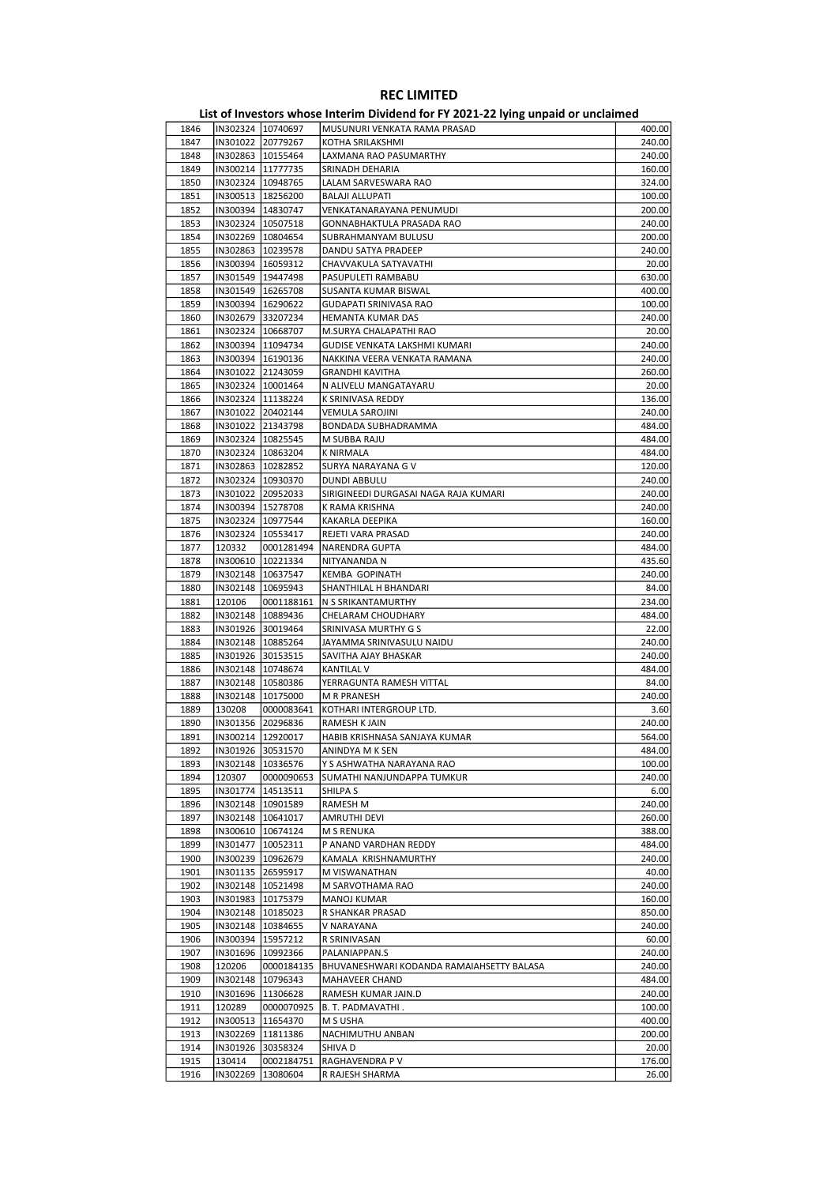|      |                     |                     | List of Investors whose Interim Dividend for FY 2021-22 lying unpaid or unclaimed |        |
|------|---------------------|---------------------|-----------------------------------------------------------------------------------|--------|
| 1846 | IN302324 10740697   |                     | MUSUNURI VENKATA RAMA PRASAD                                                      | 400.00 |
| 1847 | IN301022 20779267   |                     | KOTHA SRILAKSHMI                                                                  | 240.00 |
| 1848 | IN302863   10155464 |                     | LAXMANA RAO PASUMARTHY                                                            | 240.00 |
| 1849 | IN300214   11777735 |                     | SRINADH DEHARIA                                                                   | 160.00 |
| 1850 | IN302324 10948765   |                     | LALAM SARVESWARA RAO                                                              | 324.00 |
| 1851 |                     | IN300513   18256200 | <b>BALAJI ALLUPATI</b>                                                            | 100.00 |
| 1852 | IN300394   14830747 |                     | VENKATANARAYANA PENUMUDI                                                          | 200.00 |
| 1853 | IN302324   10507518 |                     | GONNABHAKTULA PRASADA RAO                                                         | 240.00 |
| 1854 | IN302269 10804654   |                     | SUBRAHMANYAM BULUSU                                                               | 200.00 |
| 1855 | IN302863 10239578   |                     | DANDU SATYA PRADEEP                                                               | 240.00 |
| 1856 | IN300394 16059312   |                     | CHAVVAKULA SATYAVATHI                                                             | 20.00  |
| 1857 | IN301549            | 19447498            | PASUPULETI RAMBABU                                                                | 630.00 |
| 1858 | IN301549 16265708   |                     | SUSANTA KUMAR BISWAL                                                              | 400.00 |
| 1859 | IN300394   16290622 |                     | <b>GUDAPATI SRINIVASA RAO</b>                                                     | 100.00 |
| 1860 | IN302679 33207234   |                     | HEMANTA KUMAR DAS                                                                 | 240.00 |
| 1861 | IN302324 10668707   |                     | M.SURYA CHALAPATHI RAO                                                            | 20.00  |
| 1862 |                     | IN300394   11094734 | GUDISE VENKATA LAKSHMI KUMARI                                                     | 240.00 |
| 1863 | IN300394 16190136   |                     | NAKKINA VEERA VENKATA RAMANA                                                      | 240.00 |
| 1864 | IN301022 21243059   |                     | <b>GRANDHI KAVITHA</b>                                                            | 260.00 |
| 1865 |                     | IN302324 10001464   | N ALIVELU MANGATAYARU                                                             | 20.00  |
|      |                     |                     |                                                                                   |        |
| 1866 |                     | IN302324 11138224   | K SRINIVASA REDDY                                                                 | 136.00 |
| 1867 |                     | IN301022 20402144   | <b>VEMULA SAROJINI</b>                                                            | 240.00 |
| 1868 | IN301022 21343798   |                     | BONDADA SUBHADRAMMA                                                               | 484.00 |
| 1869 | IN302324 10825545   |                     | M SUBBA RAJU                                                                      | 484.00 |
| 1870 |                     | IN302324 10863204   | <b>K NIRMALA</b>                                                                  | 484.00 |
| 1871 | IN302863 10282852   |                     | SURYA NARAYANA G V                                                                | 120.00 |
| 1872 |                     | IN302324 10930370   | <b>DUNDI ABBULU</b>                                                               | 240.00 |
| 1873 | IN301022 20952033   |                     | SIRIGINEEDI DURGASAI NAGA RAJA KUMARI                                             | 240.00 |
| 1874 | IN300394   15278708 |                     | K RAMA KRISHNA                                                                    | 240.00 |
| 1875 | IN302324 10977544   |                     | KAKARLA DEEPIKA                                                                   | 160.00 |
| 1876 | IN302324            | 10553417            | REJETI VARA PRASAD                                                                | 240.00 |
| 1877 | 120332              | 0001281494          | NARENDRA GUPTA                                                                    | 484.00 |
| 1878 | IN300610   10221334 |                     | NITYANANDA N                                                                      | 435.60 |
| 1879 | IN302148   10637547 |                     | <b>KEMBA GOPINATH</b>                                                             | 240.00 |
| 1880 | IN302148            | 10695943            | SHANTHILAL H BHANDARI                                                             | 84.00  |
| 1881 | 120106              | 0001188161          | N S SRIKANTAMURTHY                                                                | 234.00 |
| 1882 |                     | IN302148   10889436 | CHELARAM CHOUDHARY                                                                | 484.00 |
| 1883 | IN301926 30019464   |                     | SRINIVASA MURTHY G S                                                              | 22.00  |
| 1884 | IN302148 10885264   |                     | JAYAMMA SRINIVASULU NAIDU                                                         | 240.00 |
| 1885 | IN301926 30153515   |                     | SAVITHA AJAY BHASKAR                                                              | 240.00 |
| 1886 |                     | IN302148 10748674   | <b>KANTILAL V</b>                                                                 | 484.00 |
| 1887 | IN302148            | 10580386            | YERRAGUNTA RAMESH VITTAL                                                          | 84.00  |
| 1888 | IN302148   10175000 |                     | M R PRANESH                                                                       | 240.00 |
| 1889 | 130208              | 0000083641          | KOTHARI INTERGROUP LTD.                                                           | 3.60   |
| 1890 | IN301356 20296836   |                     | RAMESH K JAIN                                                                     | 240.00 |
| 1891 |                     | IN300214  12920017  | HABIB KRISHNASA SANJAYA KUMAR                                                     | 564.00 |
| 1892 | IN301926 30531570   |                     | ANINDYA M K SEN                                                                   | 484.00 |
| 1893 |                     | IN302148   10336576 | Y S ASHWATHA NARAYANA RAO                                                         | 100.00 |
| 1894 | 120307              | 0000090653          | SUMATHI NANJUNDAPPA TUMKUR                                                        | 240.00 |
| 1895 | IN301774            | 14513511            |                                                                                   | 6.00   |
| 1896 |                     | IN302148 10901589   | SHILPA S<br>RAMESH M                                                              | 240.00 |
|      |                     |                     |                                                                                   |        |
| 1897 |                     | IN302148   10641017 | AMRUTHI DEVI                                                                      | 260.00 |
| 1898 |                     | IN300610 10674124   | M S RENUKA                                                                        | 388.00 |
| 1899 | IN301477 10052311   |                     | P ANAND VARDHAN REDDY                                                             | 484.00 |
| 1900 |                     | IN300239 10962679   | KAMALA KRISHNAMURTHY                                                              | 240.00 |
| 1901 |                     | IN301135 26595917   | M VISWANATHAN                                                                     | 40.00  |
| 1902 |                     | IN302148   10521498 | M SARVOTHAMA RAO                                                                  | 240.00 |
| 1903 |                     | IN301983 10175379   | <b>MANOJ KUMAR</b>                                                                | 160.00 |
| 1904 | IN302148   10185023 |                     | R SHANKAR PRASAD                                                                  | 850.00 |
| 1905 |                     | IN302148   10384655 | V NARAYANA                                                                        | 240.00 |
| 1906 | IN300394            | 15957212            | R SRINIVASAN                                                                      | 60.00  |
| 1907 |                     | IN301696   10992366 | PALANIAPPAN.S                                                                     | 240.00 |
| 1908 | 120206              | 0000184135          | BHUVANESHWARI KODANDA RAMAIAHSETTY BALASA                                         | 240.00 |
| 1909 | IN302148            | 10796343            | MAHAVEER CHAND                                                                    | 484.00 |
| 1910 | IN301696            | 11306628            | RAMESH KUMAR JAIN.D                                                               | 240.00 |
| 1911 | 120289              | 0000070925          | B. T. PADMAVATHI.                                                                 | 100.00 |
| 1912 | IN300513            | 11654370            | M S USHA                                                                          | 400.00 |
| 1913 |                     | IN302269   11811386 | NACHIMUTHU ANBAN                                                                  | 200.00 |
| 1914 | IN301926            | 30358324            | SHIVA D                                                                           | 20.00  |
| 1915 | 130414              | 0002184751          | RAGHAVENDRA P V                                                                   | 176.00 |
| 1916 | IN302269            | 13080604            | R RAJESH SHARMA                                                                   | 26.00  |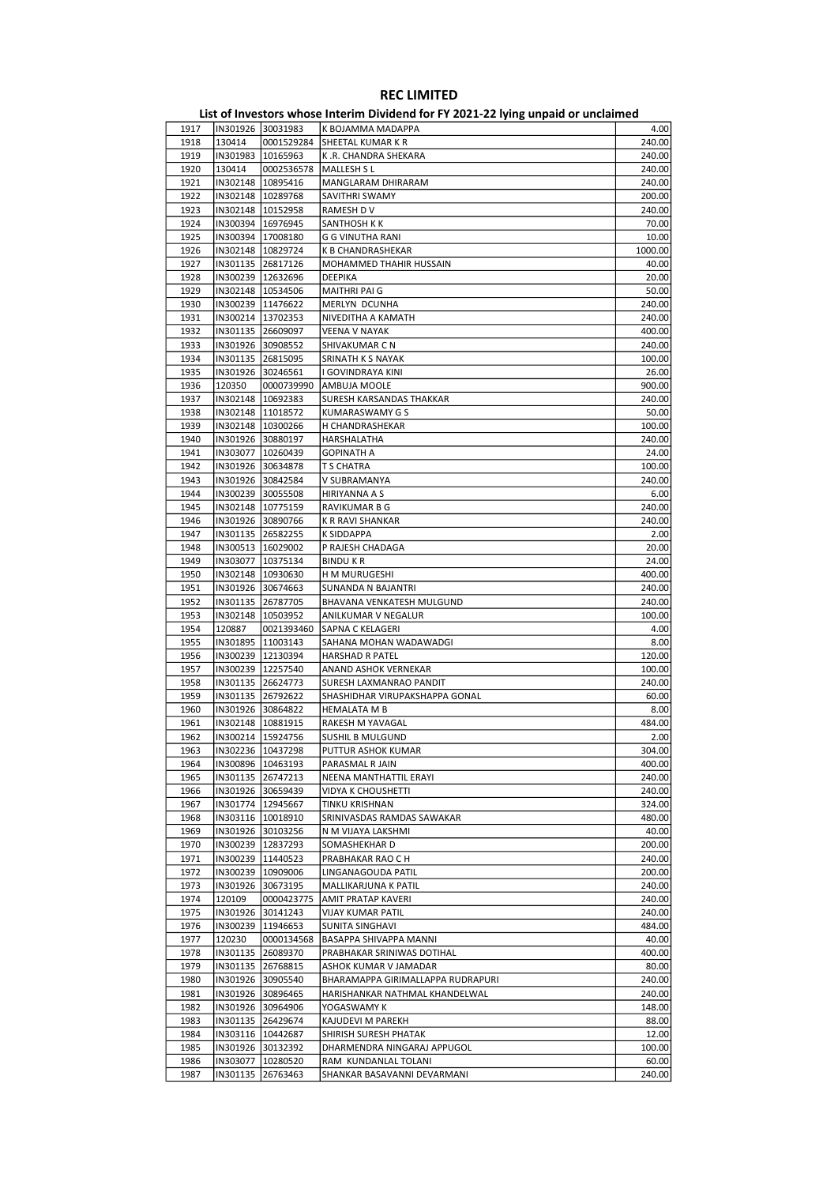|      |                     |                     | - סייי                            |         |
|------|---------------------|---------------------|-----------------------------------|---------|
| 1917 |                     | IN301926 30031983   | K BOJAMMA MADAPPA                 | 4.00    |
| 1918 | 130414              | 0001529284          | SHEETAL KUMAR K R                 | 240.00  |
| 1919 |                     | IN301983   10165963 | K.R. CHANDRA SHEKARA              | 240.00  |
| 1920 | 130414              | 0002536578          | MALLESH S L                       | 240.00  |
| 1921 |                     | IN302148   10895416 | MANGLARAM DHIRARAM                | 240.00  |
| 1922 |                     | IN302148   10289768 | SAVITHRI SWAMY                    | 200.00  |
|      |                     |                     |                                   |         |
| 1923 |                     | IN302148   10152958 | RAMESH D V                        | 240.00  |
| 1924 | IN300394   16976945 |                     | SANTHOSH K K                      | 70.00   |
| 1925 | IN300394 17008180   |                     | G G VINUTHA RANI                  | 10.00   |
| 1926 | IN302148   10829724 |                     | K B CHANDRASHEKAR                 | 1000.00 |
| 1927 |                     | IN301135 26817126   | MOHAMMED THAHIR HUSSAIN           | 40.00   |
| 1928 |                     | IN300239   12632696 | DEEPIKA                           | 20.00   |
| 1929 |                     | IN302148 10534506   | MAITHRI PAI G                     | 50.00   |
| 1930 | IN300239 11476622   |                     | MERLYN DCUNHA                     | 240.00  |
| 1931 | IN300214   13702353 |                     | NIVEDITHA A KAMATH                | 240.00  |
| 1932 |                     | IN301135 26609097   | <b>VEENA V NAYAK</b>              | 400.00  |
| 1933 |                     | IN301926 30908552   | SHIVAKUMAR C N                    | 240.00  |
|      |                     |                     |                                   |         |
| 1934 | IN301135 26815095   |                     | SRINATH K S NAYAK                 | 100.00  |
| 1935 | IN301926 30246561   |                     | I GOVINDRAYA KINI                 | 26.00   |
| 1936 | 120350              | 0000739990          | AMBUJA MOOLE                      | 900.00  |
| 1937 |                     | IN302148   10692383 | SURESH KARSANDAS THAKKAR          | 240.00  |
| 1938 |                     | IN302148 11018572   | KUMARASWAMY G S                   | 50.00   |
| 1939 |                     | IN302148   10300266 | H CHANDRASHEKAR                   | 100.00  |
| 1940 | IN301926 30880197   |                     | HARSHALATHA                       | 240.00  |
| 1941 | IN303077   10260439 |                     | <b>GOPINATH A</b>                 | 24.00   |
| 1942 |                     | IN301926 30634878   | T S CHATRA                        | 100.00  |
| 1943 |                     | IN301926 30842584   | V SUBRAMANYA                      | 240.00  |
| 1944 |                     | IN300239 30055508   | HIRIYANNA A S                     | 6.00    |
|      |                     |                     |                                   |         |
| 1945 | IN302148   10775159 |                     | RAVIKUMAR B G                     | 240.00  |
| 1946 | IN301926 30890766   |                     | K R RAVI SHANKAR                  | 240.00  |
| 1947 |                     | IN301135 26582255   | K SIDDAPPA                        | 2.00    |
| 1948 |                     | IN300513   16029002 | P RAJESH CHADAGA                  | 20.00   |
| 1949 |                     | IN303077   10375134 | <b>BINDUKR</b>                    | 24.00   |
| 1950 | IN302148   10930630 |                     | H M MURUGESHI                     | 400.00  |
| 1951 | IN301926 30674663   |                     | SUNANDA N BAJANTRI                | 240.00  |
| 1952 |                     | IN301135 26787705   | BHAVANA VENKATESH MULGUND         | 240.00  |
| 1953 |                     | IN302148   10503952 | ANILKUMAR V NEGALUR               | 100.00  |
| 1954 | 120887              | 0021393460          | SAPNA C KELAGERI                  | 4.00    |
| 1955 | IN301895   11003143 |                     | SAHANA MOHAN WADAWADGI            | 8.00    |
| 1956 |                     | IN300239   12130394 | HARSHAD R PATEL                   | 120.00  |
| 1957 |                     |                     |                                   |         |
|      |                     | IN300239 12257540   | ANAND ASHOK VERNEKAR              | 100.00  |
| 1958 |                     | IN301135 26624773   | SURESH LAXMANRAO PANDIT           | 240.00  |
| 1959 |                     | IN301135 26792622   | SHASHIDHAR VIRUPAKSHAPPA GONAL    | 60.00   |
| 1960 |                     | IN301926 30864822   | HEMALATA M B                      | 8.00    |
| 1961 |                     | IN302148 10881915   | RAKESH M YAVAGAL                  | 484.00  |
| 1962 |                     | IN300214 15924756   | <b>SUSHIL B MULGUND</b>           | 2.00    |
| 1963 | IN302236 10437298   |                     | PUTTUR ASHOK KUMAR                | 304.00  |
| 1964 |                     | IN300896   10463193 | PARASMAL R JAIN                   | 400.00  |
| 1965 |                     | IN301135 26747213   | NEENA MANTHATTIL ERAYI            | 240.00  |
| 1966 |                     | IN301926 30659439   | <b>VIDYA K CHOUSHETTI</b>         | 240.00  |
| 1967 |                     | IN301774 12945667   | TINKU KRISHNAN                    | 324.00  |
| 1968 |                     | IN303116   10018910 | SRINIVASDAS RAMDAS SAWAKAR        | 480.00  |
| 1969 |                     | IN301926 30103256   |                                   | 40.00   |
|      |                     |                     | N M VIJAYA LAKSHMI                |         |
| 1970 |                     | IN300239 12837293   | SOMASHEKHAR D                     | 200.00  |
| 1971 |                     | IN300239 11440523   | PRABHAKAR RAO C H                 | 240.00  |
| 1972 |                     | IN300239 10909006   | LINGANAGOUDA PATIL                | 200.00  |
| 1973 |                     | IN301926 30673195   | MALLIKARJUNA K PATIL              | 240.00  |
| 1974 | 120109              | 0000423775          | AMIT PRATAP KAVERI                | 240.00  |
| 1975 |                     | IN301926 30141243   | <b>VIJAY KUMAR PATIL</b>          | 240.00  |
| 1976 |                     | IN300239 11946653   | SUNITA SINGHAVI                   | 484.00  |
| 1977 | 120230              | 0000134568          | BASAPPA SHIVAPPA MANNI            | 40.00   |
| 1978 |                     | IN301135 26089370   | PRABHAKAR SRINIWAS DOTIHAL        | 400.00  |
| 1979 |                     | IN301135 26768815   | ASHOK KUMAR V JAMADAR             | 80.00   |
| 1980 |                     | IN301926 30905540   | BHARAMAPPA GIRIMALLAPPA RUDRAPURI | 240.00  |
| 1981 |                     | IN301926 30896465   | HARISHANKAR NATHMAL KHANDELWAL    | 240.00  |
|      |                     |                     |                                   |         |
| 1982 |                     | IN301926 30964906   | YOGASWAMY K                       | 148.00  |
| 1983 |                     | IN301135 26429674   | KAJUDEVI M PAREKH                 | 88.00   |
| 1984 |                     | IN303116   10442687 | SHIRISH SURESH PHATAK             | 12.00   |
| 1985 |                     | IN301926 30132392   | DHARMENDRA NINGARAJ APPUGOL       | 100.00  |
| 1986 |                     | IN303077   10280520 | RAM KUNDANLAL TOLANI              | 60.00   |
| 1987 | IN301135            | 26763463            | SHANKAR BASAVANNI DEVARMANI       | 240.00  |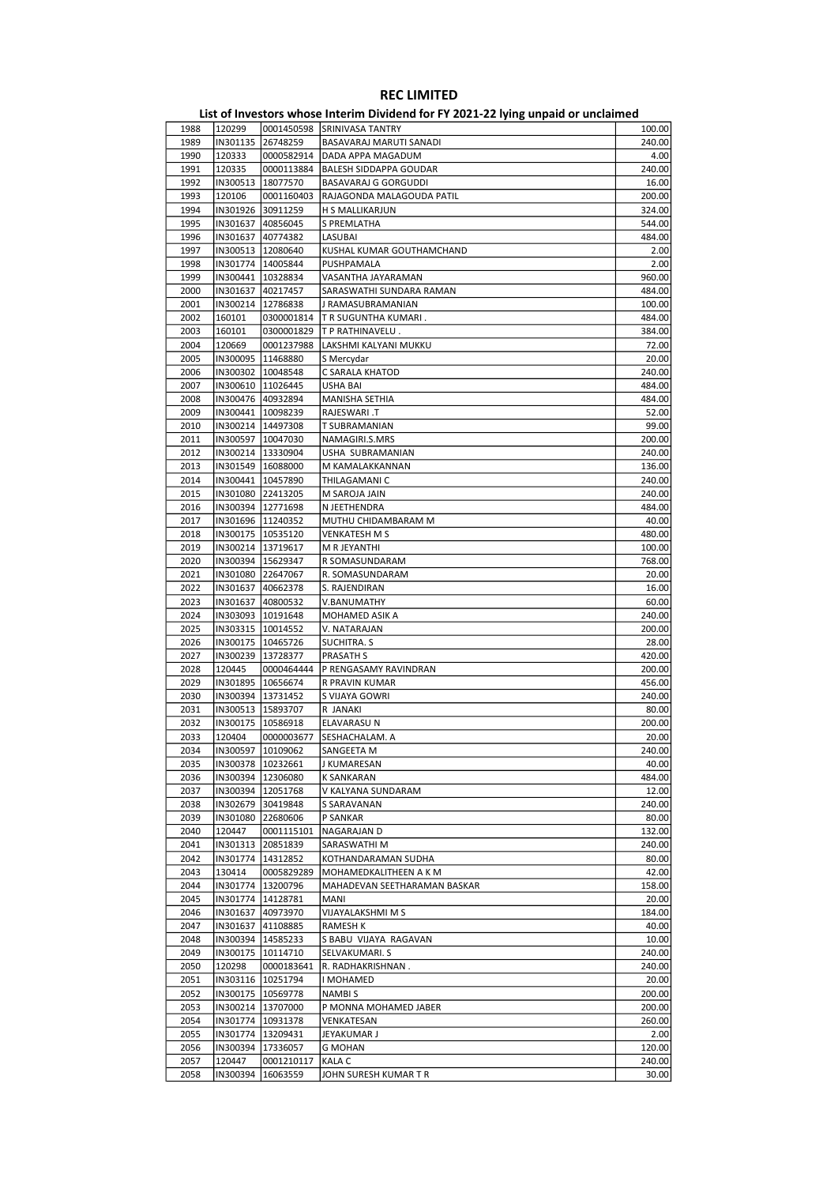| 1988 | 120299              |                     | 0001450598 SRINIVASA TANTRY  | 100.00 |
|------|---------------------|---------------------|------------------------------|--------|
| 1989 | IN301135            | 26748259            | BASAVARAJ MARUTI SANADI      | 240.00 |
| 1990 | 120333              | 0000582914          | DADA APPA MAGADUM            | 4.00   |
| 1991 | 120335              | 0000113884          | BALESH SIDDAPPA GOUDAR       | 240.00 |
|      |                     |                     |                              |        |
| 1992 | IN300513            | 18077570            | <b>BASAVARAJ G GORGUDDI</b>  | 16.00  |
| 1993 | 120106              | 0001160403          | RAJAGONDA MALAGOUDA PATIL    | 200.00 |
| 1994 | IN301926 30911259   |                     | H S MALLIKARJUN              | 324.00 |
| 1995 | IN301637 40856045   |                     | S PREMLATHA                  | 544.00 |
| 1996 |                     | IN301637 40774382   | LASUBAI                      | 484.00 |
| 1997 |                     | IN300513   12080640 | KUSHAL KUMAR GOUTHAMCHAND    | 2.00   |
|      |                     |                     |                              |        |
| 1998 |                     | IN301774   14005844 | PUSHPAMALA                   | 2.00   |
| 1999 |                     | IN300441   10328834 | VASANTHA JAYARAMAN           | 960.00 |
| 2000 |                     | IN301637 40217457   | SARASWATHI SUNDARA RAMAN     | 484.00 |
| 2001 |                     | IN300214   12786838 | J RAMASUBRAMANIAN            | 100.00 |
| 2002 | 160101              | 0300001814          | T R SUGUNTHA KUMARI.         | 484.00 |
|      |                     |                     |                              |        |
| 2003 | 160101              | 0300001829          | T P RATHINAVELU.             | 384.00 |
| 2004 | 120669              | 0001237988          | LAKSHMI KALYANI MUKKU        | 72.00  |
| 2005 | IN300095  11468880  |                     | S Mercydar                   | 20.00  |
| 2006 |                     | IN300302   10048548 | C SARALA KHATOD              | 240.00 |
| 2007 |                     | IN300610   11026445 | USHA BAI                     | 484.00 |
|      |                     |                     |                              |        |
| 2008 |                     | IN300476 40932894   | MANISHA SETHIA               | 484.00 |
| 2009 | IN300441   10098239 |                     | T. RAJESWARI                 | 52.00  |
| 2010 | IN300214   14497308 |                     | T SUBRAMANIAN                | 99.00  |
| 2011 |                     | IN300597   10047030 | NAMAGIRI.S.MRS               | 200.00 |
| 2012 |                     | IN300214   13330904 | USHA SUBRAMANIAN             | 240.00 |
|      |                     |                     |                              |        |
| 2013 | IN301549   16088000 |                     | M KAMALAKKANNAN              | 136.00 |
| 2014 | IN300441   10457890 |                     | THILAGAMANI C                | 240.00 |
| 2015 | IN301080 22413205   |                     | M SAROJA JAIN                | 240.00 |
| 2016 |                     | IN300394 12771698   | N JEETHENDRA                 | 484.00 |
| 2017 |                     | IN301696 11240352   | MUTHU CHIDAMBARAM M          | 40.00  |
|      |                     |                     |                              |        |
| 2018 | IN300175   10535120 |                     | <b>VENKATESH M S</b>         | 480.00 |
| 2019 | IN300214   13719617 |                     | M R JEYANTHI                 | 100.00 |
| 2020 | IN300394   15629347 |                     | R SOMASUNDARAM               | 768.00 |
| 2021 |                     | IN301080 22647067   | R. SOMASUNDARAM              | 20.00  |
| 2022 |                     | IN301637 40662378   | S. RAJENDIRAN                | 16.00  |
|      |                     |                     |                              |        |
| 2023 | IN301637 40800532   |                     | V.BANUMATHY                  | 60.00  |
| 2024 | IN303093   10191648 |                     | MOHAMED ASIK A               | 240.00 |
| 2025 | IN303315   10014552 |                     | V. NATARAJAN                 | 200.00 |
| 2026 |                     | IN300175   10465726 | SUCHITRA. S                  | 28.00  |
| 2027 | IN300239            | 13728377            | PRASATH S                    | 420.00 |
|      |                     |                     |                              |        |
| 2028 | 120445              | 0000464444          | P RENGASAMY RAVINDRAN        | 200.00 |
| 2029 |                     | IN301895   10656674 | R PRAVIN KUMAR               | 456.00 |
| 2030 | IN300394   13731452 |                     | S VIJAYA GOWRI               | 240.00 |
| 2031 |                     | IN300513   15893707 | R JANAKI                     | 80.00  |
| 2032 | IN300175            | 10586918            | ELAVARASU N                  | 200.00 |
|      |                     |                     |                              |        |
| 2033 | 120404              | 0000003677          | SESHACHALAM. A               | 20.00  |
| 2034 | IN300597 10109062   |                     | SANGEETA M                   | 240.00 |
| 2035 |                     | IN300378   10232661 | J KUMARESAN                  | 40.00  |
| 2036 |                     | IN300394   12306080 | <b>K SANKARAN</b>            | 484.00 |
| 2037 |                     | IN300394 12051768   | V KALYANA SUNDARAM           | 12.00  |
|      |                     |                     |                              |        |
| 2038 |                     | IN302679 30419848   | S SARAVANAN                  | 240.00 |
| 2039 |                     | IN301080 22680606   | P SANKAR                     | 80.00  |
| 2040 | 120447              | 0001115101          | NAGARAJAN D                  | 132.00 |
| 2041 | IN301313            | 20851839            | SARASWATHI M                 | 240.00 |
| 2042 | IN301774            | 14312852            | KOTHANDARAMAN SUDHA          | 80.00  |
|      |                     |                     |                              |        |
| 2043 | 130414              | 0005829289          | MOHAMEDKALITHEEN A K M       | 42.00  |
| 2044 |                     | IN301774 13200796   | MAHADEVAN SEETHARAMAN BASKAR | 158.00 |
| 2045 |                     | IN301774 14128781   | MANI                         | 20.00  |
| 2046 |                     | IN301637 40973970   | VIJAYALAKSHMI M S            | 184.00 |
| 2047 |                     | IN301637 41108885   | RAMESH K                     | 40.00  |
| 2048 |                     |                     |                              |        |
|      |                     | IN300394   14585233 | S BABU VIJAYA RAGAVAN        | 10.00  |
| 2049 |                     | IN300175   10114710 | SELVAKUMARI. S               | 240.00 |
| 2050 | 120298              | 0000183641          | R. RADHAKRISHNAN.            | 240.00 |
| 2051 |                     | IN303116   10251794 | I MOHAMED                    | 20.00  |
| 2052 |                     | IN300175   10569778 | NAMBI S                      | 200.00 |
|      |                     |                     |                              |        |
| 2053 |                     | IN300214   13707000 | P MONNA MOHAMED JABER        | 200.00 |
| 2054 |                     | IN301774   10931378 | VENKATESAN                   | 260.00 |
| 2055 | IN301774            | 13209431            | JEYAKUMAR J                  | 2.00   |
| 2056 |                     | IN300394   17336057 | <b>G MOHAN</b>               | 120.00 |
| 2057 | 120447              | 0001210117          | <b>KALA C</b>                | 240.00 |
|      |                     |                     |                              |        |
| 2058 |                     | IN300394   16063559 | JOHN SURESH KUMAR TR         | 30.00  |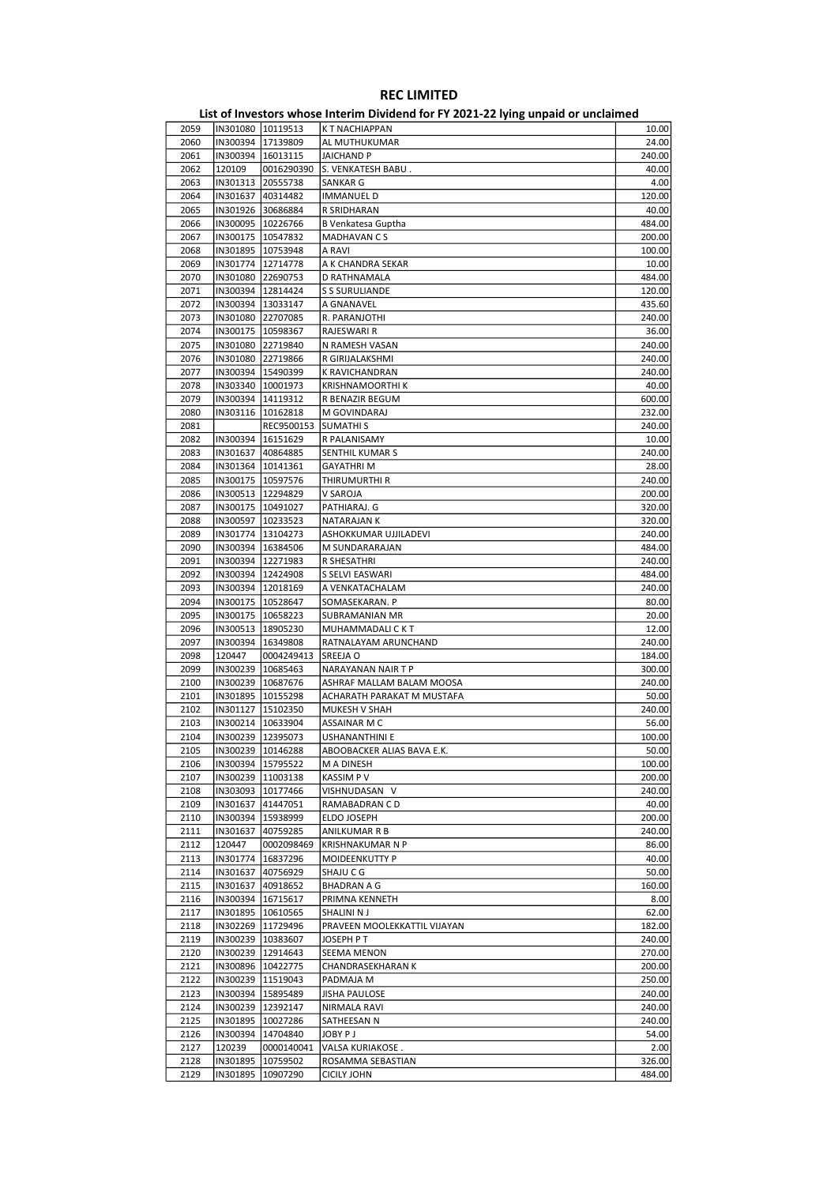|      |                     |                     | - סיינ<br>                   |        |
|------|---------------------|---------------------|------------------------------|--------|
| 2059 |                     | IN301080   10119513 | K T NACHIAPPAN               | 10.00  |
| 2060 |                     | IN300394 17139809   | AL MUTHUKUMAR                | 24.00  |
| 2061 | IN300394   16013115 |                     | JAICHAND P                   | 240.00 |
| 2062 | 120109              | 0016290390          | S. VENKATESH BABU.           | 40.00  |
| 2063 | IN301313 20555738   |                     |                              | 4.00   |
|      |                     |                     | SANKAR G                     |        |
| 2064 | IN301637            | 40314482            | <b>IMMANUEL D</b>            | 120.00 |
| 2065 |                     | IN301926 30686884   | R SRIDHARAN                  | 40.00  |
| 2066 |                     | IN300095   10226766 | B Venkatesa Guptha           | 484.00 |
| 2067 | IN300175   10547832 |                     | <b>MADHAVAN CS</b>           | 200.00 |
| 2068 | IN301895   10753948 |                     | A RAVI                       | 100.00 |
| 2069 |                     | IN301774   12714778 | A K CHANDRA SEKAR            | 10.00  |
| 2070 |                     | IN301080 22690753   | D RATHNAMALA                 | 484.00 |
| 2071 |                     | IN300394   12814424 | <b>S S SURULIANDE</b>        | 120.00 |
| 2072 | IN300394   13033147 |                     | A GNANAVEL                   | 435.60 |
|      |                     |                     |                              |        |
| 2073 | IN301080 22707085   |                     | R. PARANJOTHI                | 240.00 |
| 2074 |                     | IN300175   10598367 | RAJESWARI R                  | 36.00  |
| 2075 |                     | IN301080 22719840   | N RAMESH VASAN               | 240.00 |
| 2076 | IN301080 22719866   |                     | R GIRIJALAKSHMI              | 240.00 |
| 2077 | IN300394   15490399 |                     | K RAVICHANDRAN               | 240.00 |
| 2078 | IN303340   10001973 |                     | <b>KRISHNAMOORTHI K</b>      | 40.00  |
| 2079 |                     | IN300394   14119312 | R BENAZIR BEGUM              | 600.00 |
| 2080 |                     | IN303116   10162818 | M GOVINDARAJ                 | 232.00 |
| 2081 |                     | REC9500153          | <b>SUMATHIS</b>              | 240.00 |
| 2082 | IN300394   16151629 |                     | R PALANISAMY                 | 10.00  |
| 2083 | IN301637 40864885   |                     | SENTHIL KUMAR S              |        |
|      |                     |                     |                              | 240.00 |
| 2084 |                     | IN301364   10141361 | <b>GAYATHRIM</b>             | 28.00  |
| 2085 |                     | IN300175   10597576 | THIRUMURTHI R                | 240.00 |
| 2086 | IN300513   12294829 |                     | V SAROJA                     | 200.00 |
| 2087 |                     | IN300175   10491027 | PATHIARAJ. G                 | 320.00 |
| 2088 | IN300597   10233523 |                     | NATARAJAN K                  | 320.00 |
| 2089 |                     | IN301774 13104273   | ASHOKKUMAR UJJILADEVI        | 240.00 |
| 2090 |                     | IN300394   16384506 | M SUNDARARAJAN               | 484.00 |
| 2091 | IN300394   12271983 |                     | R SHESATHRI                  | 240.00 |
| 2092 | IN300394   12424908 |                     | S SELVI EASWARI              | 484.00 |
| 2093 | IN300394   12018169 |                     | A VENKATACHALAM              | 240.00 |
|      |                     |                     |                              |        |
| 2094 | IN300175            | 10528647            | SOMASEKARAN. P               | 80.00  |
| 2095 |                     | IN300175   10658223 | SUBRAMANIAN MR               | 20.00  |
| 2096 | IN300513   18905230 |                     | MUHAMMADALI C K T            | 12.00  |
| 2097 | IN300394   16349808 |                     | RATNALAYAM ARUNCHAND         | 240.00 |
| 2098 | 120447              | 0004249413          | SREEJA O                     | 184.00 |
| 2099 | IN300239            | 10685463            | NARAYANAN NAIR T P           | 300.00 |
| 2100 |                     | IN300239   10687676 | ASHRAF MALLAM BALAM MOOSA    | 240.00 |
| 2101 |                     | IN301895 10155298   | ACHARATH PARAKAT M MUSTAFA   | 50.00  |
| 2102 | IN301127   15102350 |                     | MUKESH V SHAH                | 240.00 |
|      |                     |                     |                              |        |
| 2103 |                     | IN300214   10633904 | ASSAINAR M C                 | 56.00  |
| 2104 |                     | IN300239 12395073   | USHANANTHINI E               | 100.00 |
| 2105 | IN300239  10146288  |                     | ABOOBACKER ALIAS BAVA E.K.   | 50.00  |
| 2106 |                     | IN300394 15795522   | M A DINESH                   | 100.00 |
| 2107 |                     | IN300239 11003138   | KASSIM P V                   | 200.00 |
| 2108 |                     | IN303093   10177466 | VISHNUDASAN V                | 240.00 |
| 2109 | IN301637            | 41447051            | RAMABADRAN C D               | 40.00  |
| 2110 |                     | IN300394   15938999 | ELDO JOSEPH                  | 200.00 |
| 2111 |                     | IN301637 40759285   | ANILKUMAR R B                | 240.00 |
| 2112 | 120447              | 0002098469          | <b>KRISHNAKUMAR N P</b>      | 86.00  |
|      |                     |                     |                              |        |
| 2113 | IN301774            | 16837296            | MOIDEENKUTTY P               | 40.00  |
| 2114 | IN301637            | 40756929            | SHAJU C G                    | 50.00  |
| 2115 |                     | IN301637 40918652   | BHADRAN A G                  | 160.00 |
| 2116 |                     | IN300394 16715617   | PRIMNA KENNETH               | 8.00   |
| 2117 |                     | IN301895   10610565 | SHALINI N J                  | 62.00  |
| 2118 |                     | IN302269 11729496   | PRAVEEN MOOLEKKATTIL VIJAYAN | 182.00 |
| 2119 |                     | IN300239 10383607   | JOSEPH P T                   | 240.00 |
| 2120 |                     | IN300239   12914643 | SEEMA MENON                  | 270.00 |
| 2121 |                     | IN300896 10422775   | CHANDRASEKHARAN K            | 200.00 |
|      |                     |                     |                              |        |
| 2122 |                     | IN300239 11519043   | PADMAJA M                    | 250.00 |
| 2123 |                     | IN300394   15895489 | <b>JISHA PAULOSE</b>         | 240.00 |
| 2124 |                     | IN300239 12392147   | NIRMALA RAVI                 | 240.00 |
| 2125 |                     | IN301895   10027286 | SATHEESAN N                  | 240.00 |
| 2126 |                     | IN300394   14704840 | JOBY P J                     | 54.00  |
| 2127 | 120239              | 0000140041          | VALSA KURIAKOSE.             | 2.00   |
| 2128 | IN301895            | 10759502            | ROSAMMA SEBASTIAN            | 326.00 |
| 2129 | IN301895            | 10907290            | <b>CICILY JOHN</b>           | 484.00 |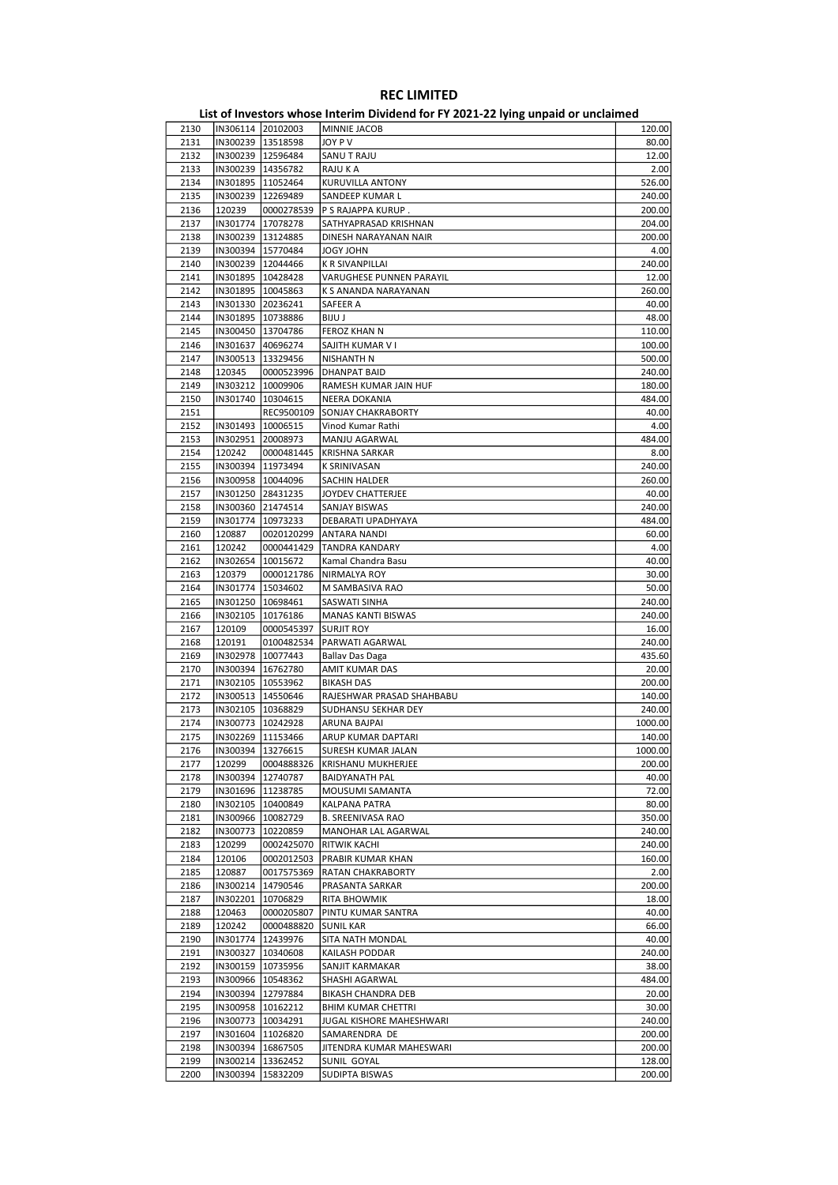| 2130         | IN306114 20102003   |            | MINNIE JACOB              | 120.00                  |
|--------------|---------------------|------------|---------------------------|-------------------------|
| 2131         | IN300239 13518598   |            | JOY P V                   | 80.00                   |
| 2132         | IN300239 12596484   |            | SANU T RAJU               | 12.00                   |
| 2133         | IN300239   14356782 |            | RAJU K A                  | 2.00                    |
| 2134         | IN301895   11052464 |            | KURUVILLA ANTONY          | 526.00                  |
| 2135         | IN300239 12269489   |            | SANDEEP KUMAR L           | 240.00                  |
| 2136         | 120239              | 0000278539 | P S RAJAPPA KURUP.        | 200.00                  |
| 2137         | IN301774 17078278   |            | SATHYAPRASAD KRISHNAN     | 204.00                  |
|              |                     |            |                           |                         |
| 2138         | IN300239   13124885 |            | DINESH NARAYANAN NAIR     | 200.00                  |
| 2139         | IN300394 15770484   |            | JOGY JOHN                 | 4.00                    |
| 2140         | IN300239 12044466   |            | K R SIVANPILLAI           | 240.00                  |
| 2141         | IN301895 10428428   |            | VARUGHESE PUNNEN PARAYIL  | 12.00                   |
| 2142         | IN301895   10045863 |            | K S ANANDA NARAYANAN      | 260.00                  |
| 2143         | IN301330 20236241   |            | SAFEER A                  | 40.00                   |
| 2144         | IN301895 10738886   |            | BIJU J                    | 48.00                   |
| 2145         | IN300450   13704786 |            | FEROZ KHAN N              | 110.00                  |
| 2146         | IN301637            | 40696274   | SAJITH KUMAR V I          | 100.00                  |
| 2147         | IN300513   13329456 |            | NISHANTH N                | 500.00                  |
| 2148         | 120345              | 0000523996 | <b>DHANPAT BAID</b>       | 240.00                  |
| 2149         | IN303212   10009906 |            | RAMESH KUMAR JAIN HUF     | 180.00                  |
|              |                     |            |                           |                         |
| 2150         | IN301740 10304615   |            | NEERA DOKANIA             | 484.00                  |
| 2151         |                     | REC9500109 | <b>SONJAY CHAKRABORTY</b> | 40.00                   |
| 2152         | IN301493 10006515   |            | Vinod Kumar Rathi         | 4.00                    |
| 2153         | IN302951 20008973   |            | MANJU AGARWAL             | 484.00                  |
| 2154         | 120242              | 0000481445 | <b>KRISHNA SARKAR</b>     | 8.00                    |
| 2155         | IN300394 11973494   |            | K SRINIVASAN              | 240.00                  |
| 2156         | IN300958   10044096 |            | SACHIN HALDER             | 260.00                  |
| 2157         | IN301250 28431235   |            | JOYDEV CHATTERJEE         | 40.00                   |
| 2158         | IN300360 21474514   |            | <b>SANJAY BISWAS</b>      | 240.00                  |
| 2159         | IN301774 10973233   |            | DEBARATI UPADHYAYA        | 484.00                  |
| 2160         | 120887              | 0020120299 | ANTARA NANDI              | 60.00                   |
| 2161         | 120242              | 0000441429 | <b>TANDRA KANDARY</b>     | 4.00                    |
| 2162         | IN302654   10015672 |            | Kamal Chandra Basu        | 40.00                   |
|              |                     |            |                           |                         |
| 2163         | 120379              | 0000121786 | <b>NIRMALYA ROY</b>       | 30.00                   |
| 2164         | IN301774   15034602 |            | M SAMBASIVA RAO           | 50.00                   |
| 2165         | IN301250   10698461 |            | SASWATI SINHA             | 240.00                  |
| 2166         | IN302105   10176186 |            | <b>MANAS KANTI BISWAS</b> | 240.00                  |
| 2167         | 120109              | 0000545397 | <b>SURJIT ROY</b>         | 16.00                   |
| 2168         | 120191              | 0100482534 | PARWATI AGARWAL           | 240.00                  |
| 2169         | IN302978   10077443 |            | Ballav Das Daga           | 435.60                  |
| 2170         | IN300394   16762780 |            | <b>AMIT KUMAR DAS</b>     | 20.00                   |
| 2171         | IN302105   10553962 |            | <b>BIKASH DAS</b>         | 200.00                  |
| 2172         | IN300513   14550646 |            | RAJESHWAR PRASAD SHAHBABU | 140.00                  |
| 2173         | IN302105   10368829 |            | SUDHANSU SEKHAR DEY       | 240.00                  |
| 2174         | IN300773   10242928 |            | <b>ARUNA BAJPAI</b>       | 1000.00                 |
| 2175         | IN302269 11153466   |            | ARUP KUMAR DAPTARI        | 140.00                  |
|              | IN300394 13276615   |            |                           |                         |
| 2176<br>2177 | 120299              |            | SURESH KUMAR JALAN        | 1000.00<br>200.00       |
|              |                     | 0004888326 | KRISHANU MUKHERJEE        |                         |
| 2178         | IN300394 12740787   |            | <b>BAIDYANATH PAL</b>     | 40.00                   |
| 2179         | IN301696   11238785 |            | MOUSUMI SAMANTA           | 72.00                   |
| 2180         | IN302105   10400849 |            | <b>KALPANA PATRA</b>      | 80.00                   |
| 2181         | IN300966 10082729   |            | <b>B. SREENIVASA RAO</b>  | 350.00                  |
| 2182         | IN300773            | 10220859   | MANOHAR LAL AGARWAL       | 240.00                  |
| 2183         | 120299              | 0002425070 | RITWIK KACHI              | 240.00                  |
| 2184         | 120106              | 0002012503 | PRABIR KUMAR KHAN         | 160.00                  |
| 2185         | 120887              | 0017575369 | <b>RATAN CHAKRABORTY</b>  | 2.00                    |
| 2186         | IN300214 14790546   |            | PRASANTA SARKAR           | 200.00                  |
| 2187         | IN302201            | 10706829   | RITA BHOWMIK              | 18.00                   |
| 2188         |                     |            |                           |                         |
|              |                     |            |                           |                         |
|              | 120463              | 0000205807 | PINTU KUMAR SANTRA        |                         |
| 2189         | 120242              | 0000488820 | <b>SUNIL KAR</b>          |                         |
| 2190         | IN301774   12439976 |            | SITA NATH MONDAL          | 40.00<br>66.00<br>40.00 |
| 2191         | IN300327   10340608 |            | KAILASH PODDAR            | 240.00                  |
| 2192         | IN300159   10735956 |            | SANJIT KARMAKAR           | 38.00                   |
| 2193         | IN300966   10548362 |            | SHASHI AGARWAL            | 484.00                  |
| 2194         | IN300394 12797884   |            | BIKASH CHANDRA DEB        | 20.00                   |
| 2195         | IN300958 10162212   |            | <b>BHIM KUMAR CHETTRI</b> | 30.00                   |
| 2196         | IN300773   10034291 |            | JUGAL KISHORE MAHESHWARI  | 240.00                  |
| 2197         | IN301604   11026820 |            | SAMARENDRA DE             | 200.00                  |
| 2198         | IN300394   16867505 |            | JITENDRA KUMAR MAHESWARI  | 200.00                  |
| 2199         | IN300214   13362452 |            | SUNIL GOYAL               | 128.00                  |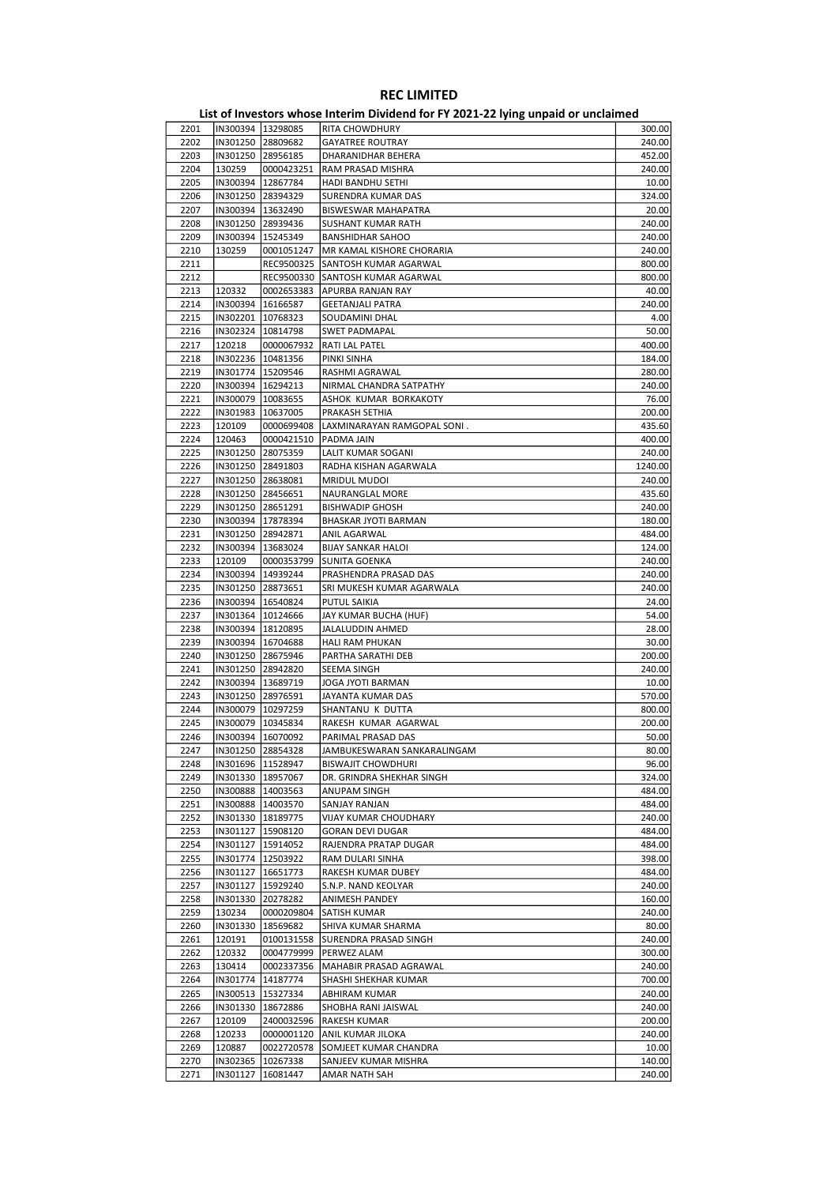| 2201 | IN300394  13298085  |                     | RITA CHOWDHURY               | 300.00  |
|------|---------------------|---------------------|------------------------------|---------|
| 2202 |                     | IN301250 28809682   | <b>GAYATREE ROUTRAY</b>      | 240.00  |
| 2203 |                     | IN301250 28956185   | DHARANIDHAR BEHERA           | 452.00  |
| 2204 | 130259              | 0000423251          | RAM PRASAD MISHRA            | 240.00  |
| 2205 |                     | IN300394   12867784 | HADI BANDHU SETHI            | 10.00   |
|      |                     |                     |                              |         |
| 2206 |                     | IN301250 28394329   | SURENDRA KUMAR DAS           | 324.00  |
| 2207 |                     | IN300394   13632490 | BISWESWAR MAHAPATRA          | 20.00   |
| 2208 |                     | IN301250 28939436   | SUSHANT KUMAR RATH           | 240.00  |
| 2209 |                     | IN300394   15245349 | <b>BANSHIDHAR SAHOO</b>      | 240.00  |
| 2210 | 130259              | 0001051247          | MR KAMAL KISHORE CHORARIA    | 240.00  |
| 2211 |                     | REC9500325          | SANTOSH KUMAR AGARWAL        | 800.00  |
| 2212 |                     | REC9500330          | SANTOSH KUMAR AGARWAL        | 800.00  |
| 2213 | 120332              | 0002653383          | APURBA RANJAN RAY            | 40.00   |
| 2214 |                     | IN300394   16166587 | <b>GEETANJALI PATRA</b>      | 240.00  |
| 2215 |                     | IN302201 10768323   | SOUDAMINI DHAL               | 4.00    |
|      |                     |                     |                              |         |
| 2216 |                     | IN302324   10814798 | SWET PADMAPAL                | 50.00   |
| 2217 | 120218              | 0000067932          | RATI LAL PATEL               | 400.00  |
| 2218 |                     | IN302236   10481356 | PINKI SINHA                  | 184.00  |
| 2219 |                     | IN301774   15209546 | RASHMI AGRAWAL               | 280.00  |
| 2220 |                     | IN300394   16294213 | NIRMAL CHANDRA SATPATHY      | 240.00  |
| 2221 |                     | IN300079   10083655 | ASHOK KUMAR BORKAKOTY        | 76.00   |
| 2222 | IN301983   10637005 |                     | PRAKASH SETHIA               | 200.00  |
| 2223 | 120109              | 0000699408          | LAXMINARAYAN RAMGOPAL SONI.  | 435.60  |
|      |                     |                     |                              |         |
| 2224 | 120463              | 0000421510          | PADMA JAIN                   | 400.00  |
| 2225 |                     | IN301250 28075359   | LALIT KUMAR SOGANI           | 240.00  |
| 2226 |                     | IN301250 28491803   | RADHA KISHAN AGARWALA        | 1240.00 |
| 2227 |                     | IN301250 28638081   | <b>MRIDUL MUDOI</b>          | 240.00  |
| 2228 |                     | IN301250 28456651   | NAURANGLAL MORE              | 435.60  |
| 2229 |                     | IN301250 28651291   | <b>BISHWADIP GHOSH</b>       | 240.00  |
| 2230 |                     | IN300394 17878394   | BHASKAR JYOTI BARMAN         | 180.00  |
| 2231 |                     | IN301250 28942871   | ANIL AGARWAL                 | 484.00  |
|      |                     |                     |                              |         |
| 2232 |                     | IN300394   13683024 | <b>BIJAY SANKAR HALOI</b>    | 124.00  |
| 2233 | 120109              | 0000353799          | SUNITA GOENKA                | 240.00  |
| 2234 |                     | IN300394   14939244 | PRASHENDRA PRASAD DAS        | 240.00  |
| 2235 |                     | IN301250 28873651   | SRI MUKESH KUMAR AGARWALA    | 240.00  |
| 2236 |                     | IN300394   16540824 | PUTUL SAIKIA                 | 24.00   |
| 2237 |                     | IN301364   10124666 | JAY KUMAR BUCHA (HUF)        | 54.00   |
| 2238 |                     | IN300394   18120895 | JALALUDDIN AHMED             | 28.00   |
|      |                     |                     |                              |         |
| 2239 |                     | IN300394   16704688 | HALI RAM PHUKAN              | 30.00   |
| 2240 |                     | IN301250 28675946   | PARTHA SARATHI DEB           | 200.00  |
| 2241 |                     | IN301250 28942820   | SEEMA SINGH                  | 240.00  |
| 2242 |                     | IN300394   13689719 | JOGA JYOTI BARMAN            | 10.00   |
| 2243 |                     | IN301250 28976591   | JAYANTA KUMAR DAS            | 570.00  |
| 2244 |                     | IN300079 10297259   | SHANTANU K DUTTA             | 800.00  |
| 2245 |                     | IN300079 10345834   | RAKESH KUMAR AGARWAL         | 200.00  |
| 2246 |                     | IN300394 16070092   | PARIMAL PRASAD DAS           | 50.00   |
|      |                     |                     |                              |         |
| 2247 | IN301250 28854328   |                     | JAMBUKESWARAN SANKARALINGAM  | 80.00   |
| 2248 |                     | IN301696   11528947 | <b>BISWAJIT CHOWDHURI</b>    | 96.00   |
| 2249 |                     | IN301330   18957067 | DR. GRINDRA SHEKHAR SINGH    | 324.00  |
| 2250 |                     | IN300888   14003563 | ANUPAM SINGH                 | 484.00  |
| 2251 |                     | IN300888   14003570 | SANJAY RANJAN                | 484.00  |
| 2252 |                     | IN301330 18189775   | <b>VIJAY KUMAR CHOUDHARY</b> | 240.00  |
| 2253 | IN301127            | 15908120            | <b>GORAN DEVI DUGAR</b>      | 484.00  |
| 2254 |                     | IN301127   15914052 | RAJENDRA PRATAP DUGAR        | 484.00  |
| 2255 |                     |                     |                              | 398.00  |
|      |                     | IN301774   12503922 | RAM DULARI SINHA             |         |
| 2256 |                     | IN301127   16651773 | RAKESH KUMAR DUBEY           | 484.00  |
| 2257 | IN301127            | 15929240            | S.N.P. NAND KEOLYAR          | 240.00  |
| 2258 | IN301330            | 20278282            | ANIMESH PANDEY               | 160.00  |
| 2259 | 130234              | 0000209804          | SATISH KUMAR                 | 240.00  |
| 2260 | IN301330            | 18569682            | SHIVA KUMAR SHARMA           | 80.00   |
| 2261 | 120191              | 0100131558          | SURENDRA PRASAD SINGH        | 240.00  |
| 2262 | 120332              | 0004779999          | PERWEZ ALAM                  | 300.00  |
|      |                     |                     |                              |         |
| 2263 | 130414              | 0002337356          | MAHABIR PRASAD AGRAWAL       | 240.00  |
| 2264 |                     | IN301774 14187774   | SHASHI SHEKHAR KUMAR         | 700.00  |
| 2265 |                     | IN300513   15327334 | ABHIRAM KUMAR                | 240.00  |
| 2266 |                     | IN301330   18672886 | SHOBHA RANI JAISWAL          | 240.00  |
| 2267 | 120109              | 2400032596          | RAKESH KUMAR                 | 200.00  |
| 2268 | 120233              | 0000001120          | ANIL KUMAR JILOKA            | 240.00  |
| 2269 | 120887              | 0022720578          | SOMJEET KUMAR CHANDRA        | 10.00   |
| 2270 |                     |                     | SANJEEV KUMAR MISHRA         | 140.00  |
|      |                     | IN302365   10267338 |                              |         |
| 2271 | IN301127            | 16081447            | AMAR NATH SAH                | 240.00  |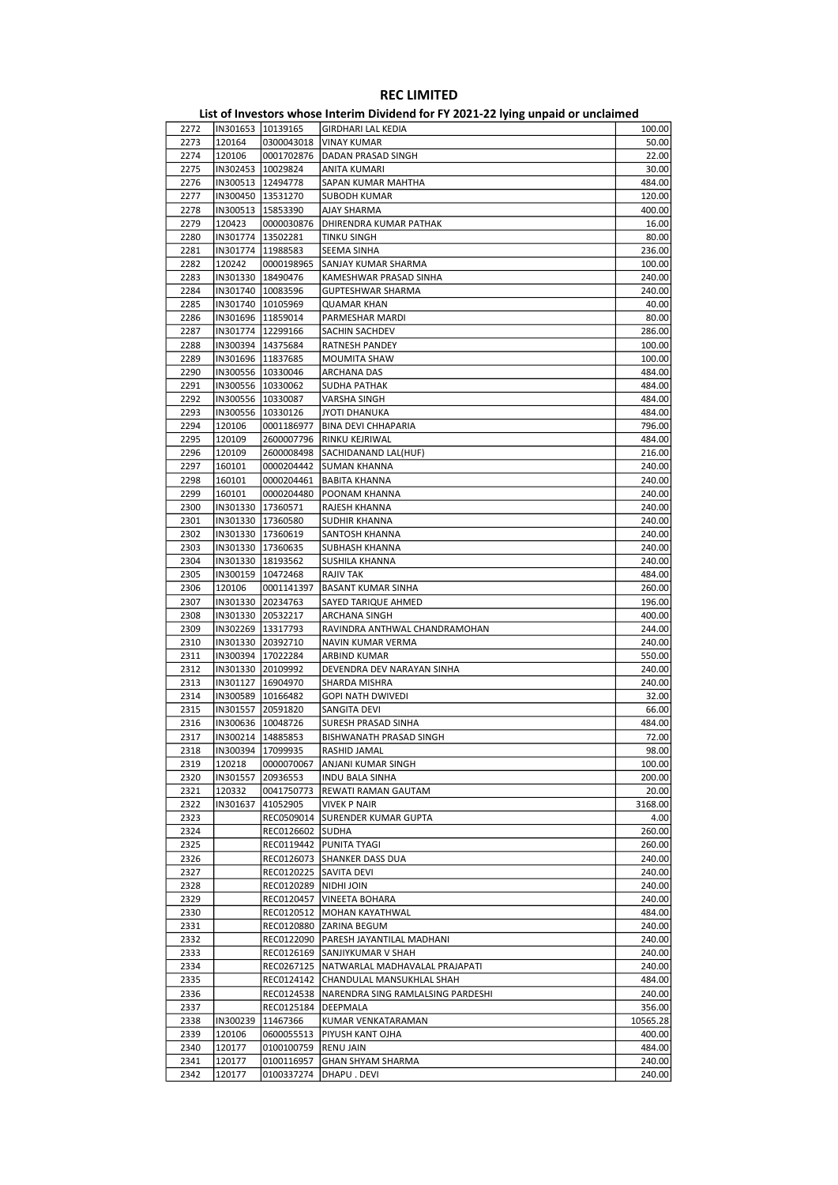| 2272         | IN301653 10139165   |                        | GIRDHARI LAL KEDIA                             | 100.00   |
|--------------|---------------------|------------------------|------------------------------------------------|----------|
| 2273         | 120164              | 0300043018             | <b>VINAY KUMAR</b>                             | 50.00    |
| 2274         | 120106              | 0001702876             | DADAN PRASAD SINGH                             | 22.00    |
| 2275         | IN302453   10029824 |                        | ANITA KUMARI                                   | 30.00    |
| 2276         | IN300513   12494778 |                        | SAPAN KUMAR MAHTHA                             | 484.00   |
| 2277         | IN300450 13531270   |                        | <b>SUBODH KUMAR</b>                            | 120.00   |
|              |                     |                        |                                                |          |
| 2278         | IN300513   15853390 |                        | AJAY SHARMA                                    | 400.00   |
| 2279         | 120423              | 0000030876             | DHIRENDRA KUMAR PATHAK                         | 16.00    |
| 2280         | IN301774   13502281 |                        | TINKU SINGH                                    | 80.00    |
| 2281         | IN301774   11988583 |                        | SEEMA SINHA                                    | 236.00   |
| 2282         | 120242              | 0000198965             | SANJAY KUMAR SHARMA                            | 100.00   |
| 2283         | IN301330   18490476 |                        | KAMESHWAR PRASAD SINHA                         | 240.00   |
| 2284         | IN301740 10083596   |                        | GUPTESHWAR SHARMA                              | 240.00   |
| 2285         | IN301740 10105969   |                        | <b>QUAMAR KHAN</b>                             | 40.00    |
| 2286         | IN301696   11859014 |                        | PARMESHAR MARDI                                | 80.00    |
| 2287         | IN301774   12299166 |                        | SACHIN SACHDEV                                 | 286.00   |
|              |                     |                        |                                                |          |
| 2288         |                     | IN300394   14375684    | RATNESH PANDEY                                 | 100.00   |
| 2289         | IN301696   11837685 |                        | MOUMITA SHAW                                   | 100.00   |
| 2290         | IN300556   10330046 |                        | ARCHANA DAS                                    | 484.00   |
| 2291         | IN300556   10330062 |                        | SUDHA PATHAK                                   | 484.00   |
| 2292         | IN300556 10330087   |                        | <b>VARSHA SINGH</b>                            | 484.00   |
| 2293         | IN300556   10330126 |                        | <b>JYOTI DHANUKA</b>                           | 484.00   |
| 2294         | 120106              | 0001186977             | <b>BINA DEVI CHHAPARIA</b>                     | 796.00   |
| 2295         | 120109              | 2600007796             | RINKU KEJRIWAL                                 | 484.00   |
| 2296         | 120109              | 2600008498             | SACHIDANAND LAL(HUF)                           | 216.00   |
|              |                     |                        |                                                |          |
| 2297         | 160101              | 0000204442             | <b>SUMAN KHANNA</b>                            | 240.00   |
| 2298         | 160101              | 0000204461             | <b>BABITA KHANNA</b>                           | 240.00   |
| 2299         | 160101              | 0000204480             | POONAM KHANNA                                  | 240.00   |
| 2300         | IN301330   17360571 |                        | RAJESH KHANNA                                  | 240.00   |
| 2301         | IN301330 17360580   |                        | SUDHIR KHANNA                                  | 240.00   |
| 2302         | IN301330   17360619 |                        | SANTOSH KHANNA                                 | 240.00   |
| 2303         | IN301330   17360635 |                        | SUBHASH KHANNA                                 | 240.00   |
| 2304         | IN301330   18193562 |                        | SUSHILA KHANNA                                 | 240.00   |
| 2305         | IN300159   10472468 |                        | RAJIV TAK                                      | 484.00   |
| 2306         | 120106              | 0001141397             | <b>BASANT KUMAR SINHA</b>                      | 260.00   |
|              |                     |                        |                                                |          |
| 2307         | IN301330 20234763   |                        | SAYED TARIQUE AHMED                            | 196.00   |
| 2308         |                     | IN301330 20532217      | ARCHANA SINGH                                  | 400.00   |
| 2309         |                     | IN302269 13317793      | RAVINDRA ANTHWAL CHANDRAMOHAN                  | 244.00   |
| 2310         | IN301330 20392710   |                        | NAVIN KUMAR VERMA                              | 240.00   |
| 2311         | IN300394 17022284   |                        | ARBIND KUMAR                                   | 550.00   |
| 2312         | IN301330 20109992   |                        | DEVENDRA DEV NARAYAN SINHA                     | 240.00   |
| 2313         | IN301127   16904970 |                        | SHARDA MISHRA                                  | 240.00   |
| 2314         | IN300589   10166482 |                        | <b>GOPI NATH DWIVEDI</b>                       | 32.00    |
| 2315         | IN301557 20591820   |                        | SANGITA DEVI                                   | 66.00    |
| 2316         | IN300636 10048726   |                        |                                                | 484.00   |
|              |                     |                        | SURESH PRASAD SINHA                            |          |
| 2317         | IN300214 14885853   |                        | BISHWANATH PRASAD SINGH                        | 72.00    |
| 2318         |                     | IN300394 17099935      | RASHID JAMAL                                   | 98.00    |
| 2319         | 120218              | 0000070067             | ANJANI KUMAR SINGH                             | 100.00   |
| 2320         |                     | IN301557 20936553      | <b>INDU BALA SINHA</b>                         | 200.00   |
| 2321         | 120332              | 0041750773             | REWATI RAMAN GAUTAM                            | 20.00    |
| 2322         | IN301637            | 41052905               | <b>VIVEK P NAIR</b>                            | 3168.00  |
| 2323         |                     | REC0509014             | SURENDER KUMAR GUPTA                           | 4.00     |
| 2324         |                     | REC0126602 SUDHA       |                                                | 260.00   |
|              |                     |                        |                                                |          |
| 2325<br>2326 |                     |                        | REC0119442   PUNITA TYAGI                      | 260.00   |
|              |                     |                        | REC0126073 SHANKER DASS DUA                    | 240.00   |
| 2327         |                     | REC0120225             | <b>SAVITA DEVI</b>                             | 240.00   |
| 2328         |                     | REC0120289  NIDHI JOIN |                                                | 240.00   |
| 2329         |                     |                        | REC0120457   VINEETA BOHARA                    | 240.00   |
| 2330         |                     |                        | REC0120512   MOHAN KAYATHWAL                   | 484.00   |
| 2331         |                     |                        | REC0120880 ZARINA BEGUM                        | 240.00   |
| 2332         |                     |                        | REC0122090   PARESH JAYANTILAL MADHANI         | 240.00   |
| 2333         |                     |                        | REC0126169 SANJIYKUMAR V SHAH                  | 240.00   |
| 2334         |                     |                        | REC0267125   NATWARLAL MADHAVALAL PRAJAPATI    | 240.00   |
|              |                     |                        |                                                |          |
| 2335         |                     |                        | REC0124142 CHANDULAL MANSUKHLAL SHAH           | 484.00   |
| 2336         |                     |                        | REC0124538   NARENDRA SING RAMLALSING PARDESHI | 240.00   |
| 2337         |                     | REC0125184             | DEEPMALA                                       | 356.00   |
| 2338         | IN300239            | 11467366               | KUMAR VENKATARAMAN                             | 10565.28 |
| 2339         | 120106              | 0600055513             | PIYUSH KANT OJHA                               | 400.00   |
| 2340         | 120177              | 0100100759 RENU JAIN   |                                                | 484.00   |
| 2341         | 120177              | 0100116957             | <b>GHAN SHYAM SHARMA</b>                       | 240.00   |
| 2342         | 120177              | 0100337274             | DHAPU . DEVI                                   | 240.00   |
|              |                     |                        |                                                |          |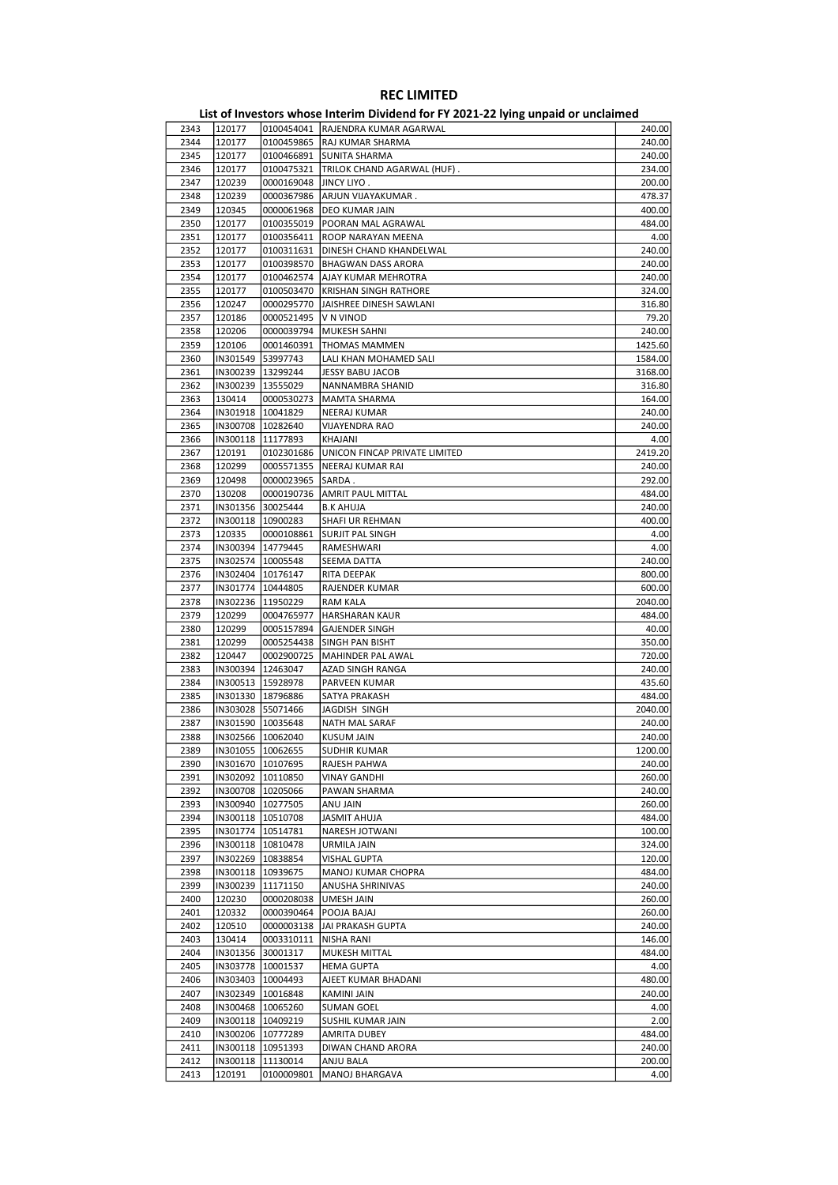|              |                      |                                          | List of Investors whose Interim Dividend for FY 2021-22 lying unpaid or unclaimed |                   |
|--------------|----------------------|------------------------------------------|-----------------------------------------------------------------------------------|-------------------|
| 2343         | 120177               |                                          | 0100454041 RAJENDRA KUMAR AGARWAL                                                 | 240.00            |
| 2344         | 120177               |                                          | 0100459865 RAJ KUMAR SHARMA                                                       | 240.00            |
| 2345         | 120177               |                                          | 0100466891 SUNITA SHARMA                                                          | 240.00            |
| 2346<br>2347 | 120177<br>120239     | 0100475321<br>0000169048                 | TRILOK CHAND AGARWAL (HUF).<br>JINCY LIYO .                                       | 234.00            |
| 2348         | 120239               | 0000367986                               | ARJUN VIJAYAKUMAR.                                                                | 200.00<br>478.37  |
| 2349         | 120345               | 0000061968                               | DEO KUMAR JAIN                                                                    | 400.00            |
| 2350         | 120177               | 0100355019                               | POORAN MAL AGRAWAL                                                                | 484.00            |
| 2351         | 120177               | 0100356411                               | ROOP NARAYAN MEENA                                                                | 4.00              |
| 2352         | 120177               | 0100311631                               | DINESH CHAND KHANDELWAL                                                           | 240.00            |
| 2353         | 120177               | 0100398570                               | BHAGWAN DASS ARORA                                                                | 240.00            |
| 2354         | 120177               | 0100462574                               | AJAY KUMAR MEHROTRA                                                               | 240.00            |
| 2355         | 120177               | 0100503470                               | <b>KRISHAN SINGH RATHORE</b>                                                      | 324.00            |
| 2356         | 120247               | 0000295770                               | JAISHREE DINESH SAWLANI                                                           | 316.80            |
| 2357         | 120186               | 0000521495                               | V N VINOD                                                                         | 79.20             |
| 2358         | 120206               | 0000039794                               | MUKESH SAHNI                                                                      | 240.00            |
| 2359         | 120106               | 0001460391                               | <b>THOMAS MAMMEN</b>                                                              | 1425.60           |
| 2360         | IN301549             | 53997743                                 | LALI KHAN MOHAMED SALI                                                            | 1584.00           |
| 2361         | IN300239<br>IN300239 | 13299244                                 | JESSY BABU JACOB                                                                  | 3168.00           |
| 2362         | 130414               | 13555029<br>0000530273                   | NANNAMBRA SHANID                                                                  | 316.80            |
| 2363<br>2364 | IN301918   10041829  |                                          | MAMTA SHARMA<br><b>NEERAJ KUMAR</b>                                               | 164.00<br>240.00  |
| 2365         | IN300708 10282640    |                                          | <b>VIJAYENDRA RAO</b>                                                             | 240.00            |
| 2366         | IN300118             | 11177893                                 | <b>KHAJANI</b>                                                                    | 4.00              |
| 2367         | 120191               | 0102301686                               | UNICON FINCAP PRIVATE LIMITED                                                     | 2419.20           |
| 2368         | 120299               | 0005571355                               | NEERAJ KUMAR RAI                                                                  | 240.00            |
| 2369         | 120498               | 0000023965                               | SARDA.                                                                            | 292.00            |
| 2370         | 130208               | 0000190736                               | AMRIT PAUL MITTAL                                                                 | 484.00            |
| 2371         | IN301356             | 30025444                                 | <b>B.K AHUJA</b>                                                                  | 240.00            |
| 2372         | IN300118             | 10900283                                 | SHAFI UR REHMAN                                                                   | 400.00            |
| 2373         | 120335               | 0000108861                               | SURJIT PAL SINGH                                                                  | 4.00              |
| 2374         | IN300394             | 14779445                                 | RAMESHWARI                                                                        | 4.00              |
| 2375         | IN302574 10005548    |                                          | <b>SEEMA DATTA</b>                                                                | 240.00            |
| 2376         | IN302404   10176147  |                                          | <b>RITA DEEPAK</b>                                                                | 800.00            |
| 2377         | IN301774             | 10444805                                 | RAJENDER KUMAR                                                                    | 600.00            |
| 2378<br>2379 | 120299               | IN302236 11950229<br>0004765977          | <b>RAM KALA</b><br><b>HARSHARAN KAUR</b>                                          | 2040.00<br>484.00 |
| 2380         | 120299               | 0005157894                               | <b>GAJENDER SINGH</b>                                                             | 40.00             |
| 2381         | 120299               | 0005254438                               | SINGH PAN BISHT                                                                   | 350.00            |
| 2382         | 120447               | 0002900725                               | MAHINDER PAL AWAL                                                                 | 720.00            |
| 2383         | IN300394             | 12463047                                 | AZAD SINGH RANGA                                                                  | 240.00            |
| 2384         |                      | IN300513 15928978                        | PARVEEN KUMAR                                                                     | 435.60            |
| 2385         | IN301330 18796886    |                                          | SATYA PRAKASH                                                                     | 484.00            |
| 2386         | IN303028 55071466    |                                          | JAGDISH SINGH                                                                     | 2040.00           |
| 2387         | IN301590  10035648   |                                          | NATH MAL SARAF                                                                    | 240.00            |
| 2388         |                      | IN302566 10062040                        | <b>KUSUM JAIN</b>                                                                 | 240.00            |
| 2389         |                      | IN301055 10062655                        | <b>SUDHIR KUMAR</b>                                                               | 1200.00           |
| 2390         |                      | IN301670 10107695                        | RAJESH PAHWA                                                                      | 240.00            |
| 2391         |                      | IN302092 10110850                        | <b>VINAY GANDHI</b>                                                               | 260.00            |
| 2392<br>2393 |                      | IN300708 10205066<br>IN300940   10277505 | PAWAN SHARMA<br>ANU JAIN                                                          | 240.00<br>260.00  |
| 2394         |                      | IN300118 10510708                        | <b>JASMIT AHUJA</b>                                                               | 484.00            |
| 2395         |                      | IN301774 10514781                        | NARESH JOTWANI                                                                    | 100.00            |
| 2396         |                      | IN300118   10810478                      | URMILA JAIN                                                                       | 324.00            |
| 2397         | IN302269             | 10838854                                 | <b>VISHAL GUPTA</b>                                                               | 120.00            |
| 2398         |                      | IN300118   10939675                      | MANOJ KUMAR CHOPRA                                                                | 484.00            |
| 2399         | IN300239             | 11171150                                 | ANUSHA SHRINIVAS                                                                  | 240.00            |
| 2400         | 120230               | 0000208038                               | UMESH JAIN                                                                        | 260.00            |
| 2401         | 120332               | 0000390464                               | POOJA BAJAJ                                                                       | 260.00            |
| 2402         | 120510               | 0000003138                               | JAI PRAKASH GUPTA                                                                 | 240.00            |
| 2403         | 130414               | 0003310111                               | NISHA RANI                                                                        | 146.00            |
| 2404         |                      | IN301356 30001317                        | MUKESH MITTAL                                                                     | 484.00            |
| 2405         |                      | IN303778   10001537                      | <b>HEMA GUPTA</b>                                                                 | 4.00              |
| 2406         | IN303403             | 10004493                                 | AJEET KUMAR BHADANI                                                               | 480.00            |
| 2407         | IN302349             | 10016848                                 | KAMINI JAIN                                                                       | 240.00            |
| 2408         |                      | IN300468   10065260                      | <b>SUMAN GOEL</b>                                                                 | 4.00              |
| 2409         |                      | IN300118 10409219                        | SUSHIL KUMAR JAIN                                                                 | 2.00              |
| 2410<br>2411 |                      | IN300206 10777289<br>IN300118   10951393 | AMRITA DUBEY<br>DIWAN CHAND ARORA                                                 | 484.00<br>240.00  |
| 2412         | IN300118             | 11130014                                 | ANJU BALA                                                                         | 200.00            |
| 2413         | 120191               | 0100009801                               | MANOJ BHARGAVA                                                                    | 4.00              |
|              |                      |                                          |                                                                                   |                   |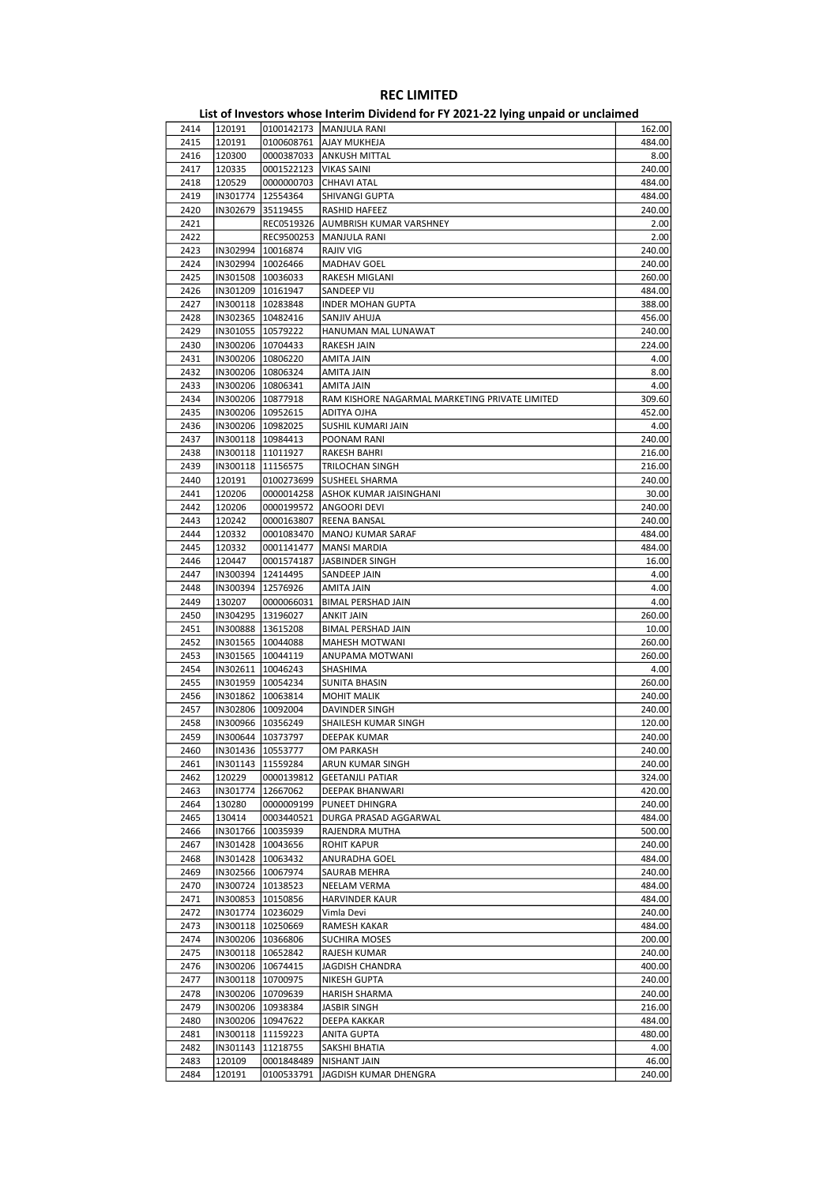| 2414 | 120191              |                     | 0100142173   MANJULA RANI                      | 162.00 |
|------|---------------------|---------------------|------------------------------------------------|--------|
| 2415 | 120191              | 0100608761          | AJAY MUKHEJA                                   | 484.00 |
|      |                     |                     |                                                |        |
| 2416 | 120300              |                     | 0000387033 ANKUSH MITTAL                       | 8.00   |
| 2417 | 120335              | 0001522123          | VIKAS SAINI                                    | 240.00 |
|      |                     |                     |                                                |        |
| 2418 | 120529              | 0000000703          | CHHAVI ATAL                                    | 484.00 |
| 2419 |                     | IN301774   12554364 | SHIVANGI GUPTA                                 | 484.00 |
| 2420 |                     | IN302679 35119455   | RASHID HAFEEZ                                  | 240.00 |
|      |                     |                     |                                                |        |
| 2421 |                     |                     | REC0519326   AUMBRISH KUMAR VARSHNEY           | 2.00   |
| 2422 |                     |                     | REC9500253  MANJULA RANI                       | 2.00   |
|      |                     |                     |                                                |        |
| 2423 |                     | IN302994   10016874 | RAJIV VIG                                      | 240.00 |
| 2424 |                     | IN302994   10026466 | <b>MADHAV GOEL</b>                             | 240.00 |
|      |                     |                     |                                                |        |
| 2425 |                     | IN301508   10036033 | RAKESH MIGLANI                                 | 260.00 |
| 2426 |                     | IN301209 10161947   | SANDEEP VIJ                                    | 484.00 |
| 2427 |                     |                     |                                                | 388.00 |
|      |                     | IN300118   10283848 | INDER MOHAN GUPTA                              |        |
| 2428 |                     | IN302365   10482416 | SANJIV AHUJA                                   | 456.00 |
| 2429 |                     | IN301055   10579222 | HANUMAN MAL LUNAWAT                            | 240.00 |
|      |                     |                     |                                                |        |
| 2430 |                     | IN300206   10704433 | RAKESH JAIN                                    | 224.00 |
| 2431 |                     | IN300206   10806220 | AMITA JAIN                                     | 4.00   |
|      |                     |                     |                                                |        |
| 2432 |                     | IN300206   10806324 | AMITA JAIN                                     | 8.00   |
| 2433 |                     | IN300206   10806341 | AMITA JAIN                                     | 4.00   |
| 2434 |                     | IN300206   10877918 | RAM KISHORE NAGARMAL MARKETING PRIVATE LIMITED | 309.60 |
|      |                     |                     |                                                |        |
| 2435 | IN300206 10952615   |                     | ADITYA OJHA                                    | 452.00 |
| 2436 |                     | IN300206   10982025 | SUSHIL KUMARI JAIN                             | 4.00   |
|      |                     |                     |                                                |        |
| 2437 |                     | IN300118   10984413 | POONAM RANI                                    | 240.00 |
| 2438 |                     | IN300118   11011927 | RAKESH BAHRI                                   | 216.00 |
|      |                     |                     |                                                |        |
| 2439 |                     | IN300118 11156575   | TRILOCHAN SINGH                                | 216.00 |
| 2440 | 120191              | 0100273699          | SUSHEEL SHARMA                                 | 240.00 |
| 2441 | 120206              |                     | 0000014258   ASHOK KUMAR JAISINGHANI           | 30.00  |
|      |                     |                     |                                                |        |
| 2442 | 120206              | 0000199572          | ANGOORI DEVI                                   | 240.00 |
| 2443 | 120242              | 0000163807          | REENA BANSAL                                   | 240.00 |
|      |                     |                     |                                                |        |
| 2444 | 120332              |                     | 0001083470   MANOJ KUMAR SARAF                 | 484.00 |
| 2445 | 120332              | 0001141477          | <b>MANSI MARDIA</b>                            | 484.00 |
|      |                     |                     |                                                |        |
| 2446 | 120447              | 0001574187          | JASBINDER SINGH                                | 16.00  |
| 2447 |                     | IN300394   12414495 | SANDEEP JAIN                                   | 4.00   |
| 2448 |                     | IN300394   12576926 |                                                | 4.00   |
|      |                     |                     | AMITA JAIN                                     |        |
| 2449 | 130207              | 0000066031          | BIMAL PERSHAD JAIN                             | 4.00   |
| 2450 |                     | IN304295   13196027 | ANKIT JAIN                                     | 260.00 |
|      |                     |                     |                                                |        |
| 2451 |                     | IN300888  13615208  | BIMAL PERSHAD JAIN                             | 10.00  |
| 2452 |                     | IN301565   10044088 | <b>MAHESH MOTWANI</b>                          | 260.00 |
|      |                     |                     |                                                |        |
| 2453 |                     | IN301565   10044119 | ANUPAMA MOTWANI                                | 260.00 |
| 2454 |                     | IN302611   10046243 | SHASHIMA                                       | 4.00   |
| 2455 |                     | IN301959   10054234 |                                                | 260.00 |
|      |                     |                     | SUNITA BHASIN                                  |        |
| 2456 |                     | IN301862   10063814 | <b>MOHIT MALIK</b>                             | 240.00 |
| 2457 |                     | IN302806   10092004 | DAVINDER SINGH                                 | 240.00 |
|      |                     |                     |                                                |        |
| 2458 | IN300966   10356249 |                     | SHAILESH KUMAR SINGH                           | 120.00 |
| 2459 |                     | IN300644   10373797 | DEEPAK KUMAR                                   | 240.00 |
|      |                     |                     |                                                |        |
| 2460 |                     | IN301436 10553777   | OM PARKASH                                     | 240.00 |
| 2461 |                     | IN301143   11559284 | ARUN KUMAR SINGH                               | 240.00 |
|      |                     |                     |                                                |        |
| 2462 | 120229              | 0000139812          | <b>GEETANJLI PATIAR</b>                        | 324.00 |
| 2463 | IN301774   12667062 |                     | DEEPAK BHANWARI                                | 420.00 |
| 2464 | 130280              | 0000009199          | PUNEET DHINGRA                                 | 240.00 |
|      |                     |                     |                                                |        |
| 2465 | 130414              | 0003440521          | DURGA PRASAD AGGARWAL                          | 484.00 |
| 2466 |                     | IN301766 10035939   | RAJENDRA MUTHA                                 | 500.00 |
|      |                     |                     |                                                |        |
| 2467 |                     | IN301428   10043656 | ROHIT KAPUR                                    | 240.00 |
| 2468 | IN301428   10063432 |                     | ANURADHA GOEL                                  | 484.00 |
| 2469 |                     | IN302566 10067974   | SAURAB MEHRA                                   | 240.00 |
|      |                     |                     |                                                |        |
| 2470 |                     | IN300724 10138523   | NEELAM VERMA                                   | 484.00 |
| 2471 |                     | IN300853 10150856   | HARVINDER KAUR                                 | 484.00 |
|      |                     |                     |                                                |        |
| 2472 |                     | IN301774   10236029 | Vimla Devi                                     | 240.00 |
| 2473 |                     | IN300118 10250669   | RAMESH KAKAR                                   | 484.00 |
|      |                     |                     |                                                |        |
| 2474 |                     | IN300206 10366806   | SUCHIRA MOSES                                  | 200.00 |
| 2475 |                     | IN300118   10652842 | RAJESH KUMAR                                   | 240.00 |
| 2476 |                     | IN300206 10674415   | JAGDISH CHANDRA                                | 400.00 |
|      |                     |                     |                                                |        |
| 2477 |                     | IN300118   10700975 | NIKESH GUPTA                                   | 240.00 |
| 2478 |                     | IN300206   10709639 | <b>HARISH SHARMA</b>                           | 240.00 |
|      |                     |                     |                                                |        |
| 2479 |                     | IN300206   10938384 | JASBIR SINGH                                   | 216.00 |
| 2480 |                     | IN300206 10947622   | DEEPA KAKKAR                                   | 484.00 |
|      |                     |                     |                                                |        |
| 2481 |                     | IN300118   11159223 | ANITA GUPTA                                    | 480.00 |
| 2482 |                     | IN301143   11218755 | SAKSHI BHATIA                                  | 4.00   |
|      |                     |                     |                                                |        |
| 2483 | 120109              | 0001848489          | NISHANT JAIN                                   | 46.00  |
| 2484 | 120191              | 0100533791          | JAGDISH KUMAR DHENGRA                          | 240.00 |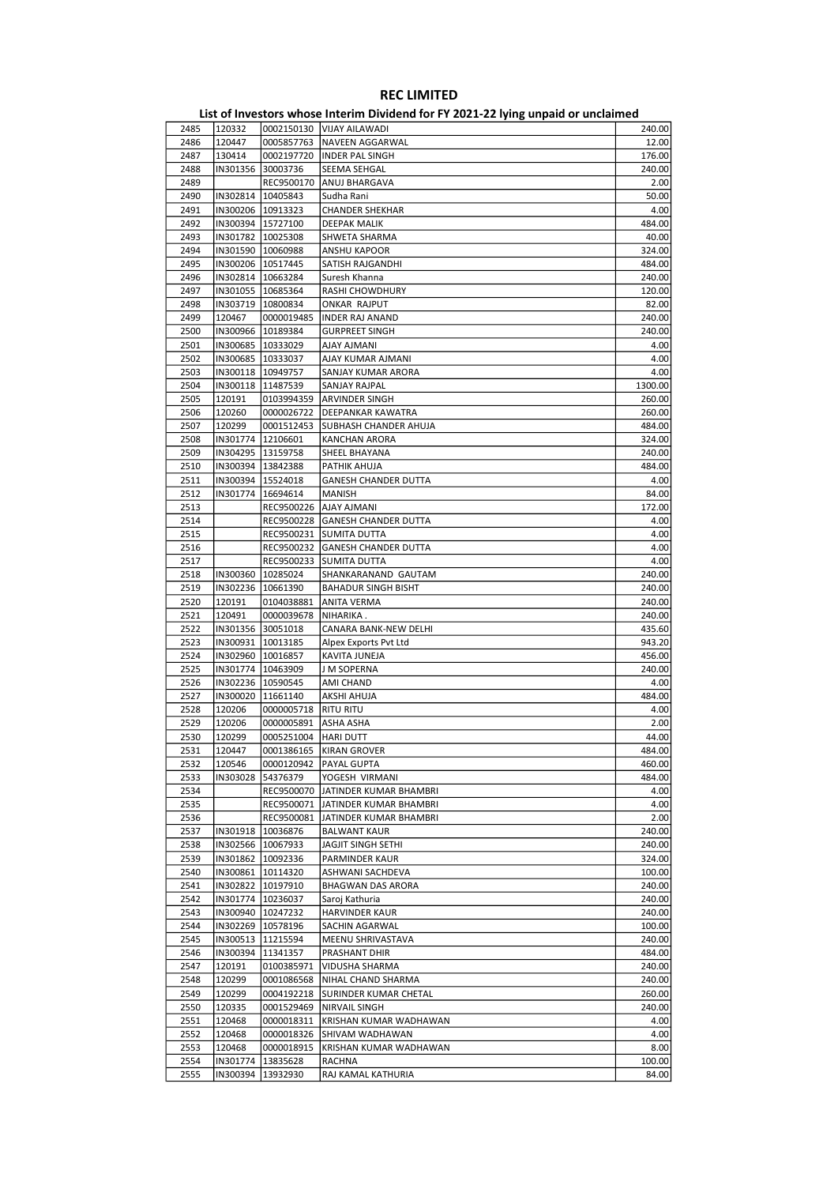|              | List of Investors whose Interim Dividend for FY 2021-22 lying unpaid or unclaimed |                                   |                                          |                  |  |  |  |  |
|--------------|-----------------------------------------------------------------------------------|-----------------------------------|------------------------------------------|------------------|--|--|--|--|
| 2485         | 120332                                                                            |                                   | 0002150130 VIJAY AILAWADI                | 240.00           |  |  |  |  |
| 2486         | 120447                                                                            | 0005857763                        | NAVEEN AGGARWAL                          | 12.00            |  |  |  |  |
| 2487         | 130414                                                                            | 0002197720                        | <b>INDER PAL SINGH</b>                   | 176.00           |  |  |  |  |
| 2488         | IN301356                                                                          | 30003736                          | SEEMA SEHGAL                             | 240.00           |  |  |  |  |
| 2489         |                                                                                   | REC9500170                        | ANUJ BHARGAVA                            | 2.00             |  |  |  |  |
| 2490         | IN302814 10405843                                                                 |                                   | Sudha Rani                               | 50.00            |  |  |  |  |
| 2491         | IN300206   10913323                                                               |                                   | <b>CHANDER SHEKHAR</b>                   | 4.00             |  |  |  |  |
| 2492         | IN300394 15727100                                                                 |                                   | DEEPAK MALIK                             | 484.00           |  |  |  |  |
| 2493         | IN301782 10025308                                                                 |                                   | SHWETA SHARMA                            | 40.00            |  |  |  |  |
| 2494         | IN301590 10060988                                                                 |                                   | ANSHU KAPOOR                             | 324.00           |  |  |  |  |
| 2495         | IN300206 10517445                                                                 |                                   | SATISH RAJGANDHI<br>Suresh Khanna        | 484.00           |  |  |  |  |
| 2496<br>2497 | IN302814   10663284                                                               |                                   | <b>RASHI CHOWDHURY</b>                   | 240.00           |  |  |  |  |
| 2498         | IN301055 10685364<br>IN303719                                                     | 10800834                          | <b>ONKAR RAJPUT</b>                      | 120.00           |  |  |  |  |
| 2499         | 120467                                                                            | 0000019485                        | <b>INDER RAJ ANAND</b>                   | 82.00<br>240.00  |  |  |  |  |
| 2500         | IN300966 10189384                                                                 |                                   | <b>GURPREET SINGH</b>                    | 240.00           |  |  |  |  |
| 2501         | IN300685   10333029                                                               |                                   | <b>AJAY AJMANI</b>                       | 4.00             |  |  |  |  |
| 2502         | IN300685 10333037                                                                 |                                   | AJAY KUMAR AJMANI                        | 4.00             |  |  |  |  |
| 2503         | IN300118 10949757                                                                 |                                   | SANJAY KUMAR ARORA                       | 4.00             |  |  |  |  |
| 2504         | IN300118 11487539                                                                 |                                   | SANJAY RAJPAL                            | 1300.00          |  |  |  |  |
| 2505         | 120191                                                                            | 0103994359                        | <b>ARVINDER SINGH</b>                    | 260.00           |  |  |  |  |
| 2506         | 120260                                                                            | 0000026722                        | <b>DEEPANKAR KAWATRA</b>                 | 260.00           |  |  |  |  |
| 2507         | 120299                                                                            | 0001512453                        | SUBHASH CHANDER AHUJA                    | 484.00           |  |  |  |  |
| 2508         | IN301774                                                                          | 12106601                          | <b>KANCHAN ARORA</b>                     | 324.00           |  |  |  |  |
| 2509         | IN304295   13159758                                                               |                                   | SHEEL BHAYANA                            | 240.00           |  |  |  |  |
| 2510         | IN300394 13842388                                                                 |                                   | PATHIK AHUJA                             | 484.00           |  |  |  |  |
| 2511         | IN300394 15524018                                                                 |                                   | <b>GANESH CHANDER DUTTA</b>              | 4.00             |  |  |  |  |
| 2512         | IN301774 16694614                                                                 |                                   | MANISH                                   | 84.00            |  |  |  |  |
| 2513         |                                                                                   | REC9500226                        | <b>AJAY AJMANI</b>                       | 172.00           |  |  |  |  |
| 2514         |                                                                                   | REC9500228                        | <b>GANESH CHANDER DUTTA</b>              | 4.00             |  |  |  |  |
| 2515         |                                                                                   |                                   | REC9500231 SUMITA DUTTA                  | 4.00             |  |  |  |  |
| 2516         |                                                                                   | REC9500232                        | <b>GANESH CHANDER DUTTA</b>              | 4.00             |  |  |  |  |
| 2517         |                                                                                   | REC9500233                        | <b>SUMITA DUTTA</b>                      | 4.00             |  |  |  |  |
| 2518         | IN300360                                                                          | 10285024                          | SHANKARANAND GAUTAM                      | 240.00           |  |  |  |  |
| 2519         | IN302236                                                                          | 10661390                          | <b>BAHADUR SINGH BISHT</b>               | 240.00           |  |  |  |  |
| 2520         | 120191                                                                            | 0104038881                        | <b>ANITA VERMA</b>                       | 240.00           |  |  |  |  |
| 2521         | 120491                                                                            | 0000039678                        | NIHARIKA.                                | 240.00           |  |  |  |  |
| 2522         | IN301356 30051018                                                                 |                                   | CANARA BANK-NEW DELHI                    | 435.60           |  |  |  |  |
| 2523         | IN300931                                                                          | 10013185                          | Alpex Exports Pvt Ltd                    | 943.20           |  |  |  |  |
| 2524         | IN302960   10016857                                                               |                                   | KAVITA JUNEJA                            | 456.00           |  |  |  |  |
| 2525         | IN301774 10463909                                                                 |                                   | J M SOPERNA                              | 240.00           |  |  |  |  |
| 2526         | IN302236 10590545                                                                 |                                   | AMI CHAND                                | 4.00             |  |  |  |  |
| 2527         | IN300020 11661140                                                                 |                                   | AKSHI AHUJA                              | 484.00           |  |  |  |  |
| 2528         | 120206                                                                            | 0000005718                        | <b>RITU RITU</b>                         | 4.00             |  |  |  |  |
| 2529<br>2530 | 120206<br>120299                                                                  | 0000005891<br>0005251004 HARLDUTT | ASHA ASHA                                | 2.00             |  |  |  |  |
|              |                                                                                   |                                   |                                          | 44.00            |  |  |  |  |
| 2531<br>2532 | 120447<br>120546                                                                  | 0000120942                        | 0001386165   KIRAN GROVER<br>PAYAL GUPTA | 484.00<br>460.00 |  |  |  |  |
| 2533         | IN303028                                                                          | 54376379                          | YOGESH VIRMANI                           | 484.00           |  |  |  |  |
| 2534         |                                                                                   |                                   | REC9500070 JATINDER KUMAR BHAMBRI        | 4.00             |  |  |  |  |
| 2535         |                                                                                   |                                   | REC9500071 JATINDER KUMAR BHAMBRI        | 4.00             |  |  |  |  |
| 2536         |                                                                                   | REC9500081                        | JATINDER KUMAR BHAMBRI                   | 2.00             |  |  |  |  |
| 2537         |                                                                                   | IN301918   10036876               | BALWANT KAUR                             | 240.00           |  |  |  |  |
| 2538         |                                                                                   | IN302566   10067933               | JAGJIT SINGH SETHI                       | 240.00           |  |  |  |  |
| 2539         |                                                                                   | IN301862   10092336               | PARMINDER KAUR                           | 324.00           |  |  |  |  |
| 2540         |                                                                                   | IN300861 10114320                 | ASHWANI SACHDEVA                         | 100.00           |  |  |  |  |
| 2541         |                                                                                   | IN302822 10197910                 | <b>BHAGWAN DAS ARORA</b>                 | 240.00           |  |  |  |  |
| 2542         | IN301774   10236037                                                               |                                   | Saroj Kathuria                           | 240.00           |  |  |  |  |
| 2543         |                                                                                   | IN300940   10247232               | <b>HARVINDER KAUR</b>                    | 240.00           |  |  |  |  |
| 2544         |                                                                                   | IN302269 10578196                 | SACHIN AGARWAL                           | 100.00           |  |  |  |  |
| 2545         |                                                                                   | IN300513   11215594               | MEENU SHRIVASTAVA                        | 240.00           |  |  |  |  |
| 2546         | IN300394                                                                          | 11341357                          | PRASHANT DHIR                            | 484.00           |  |  |  |  |
| 2547         | 120191                                                                            | 0100385971                        | VIDUSHA SHARMA                           | 240.00           |  |  |  |  |
| 2548         | 120299                                                                            | 0001086568                        | NIHAL CHAND SHARMA                       | 240.00           |  |  |  |  |
| 2549         | 120299                                                                            | 0004192218                        | SURINDER KUMAR CHETAL                    | 260.00           |  |  |  |  |
| 2550         | 120335                                                                            | 0001529469                        | NIRVAIL SINGH                            | 240.00           |  |  |  |  |
| 2551         | 120468                                                                            | 0000018311                        | KRISHAN KUMAR WADHAWAN                   | 4.00             |  |  |  |  |
| 2552         | 120468                                                                            | 0000018326                        | SHIVAM WADHAWAN                          | 4.00             |  |  |  |  |
| 2553         | 120468                                                                            | 0000018915                        | KRISHAN KUMAR WADHAWAN                   | 8.00             |  |  |  |  |
| 2554         | IN301774                                                                          | 13835628                          | RACHNA                                   | 100.00           |  |  |  |  |
| 2555         |                                                                                   | IN300394 13932930                 | RAJ KAMAL KATHURIA                       | 84.00            |  |  |  |  |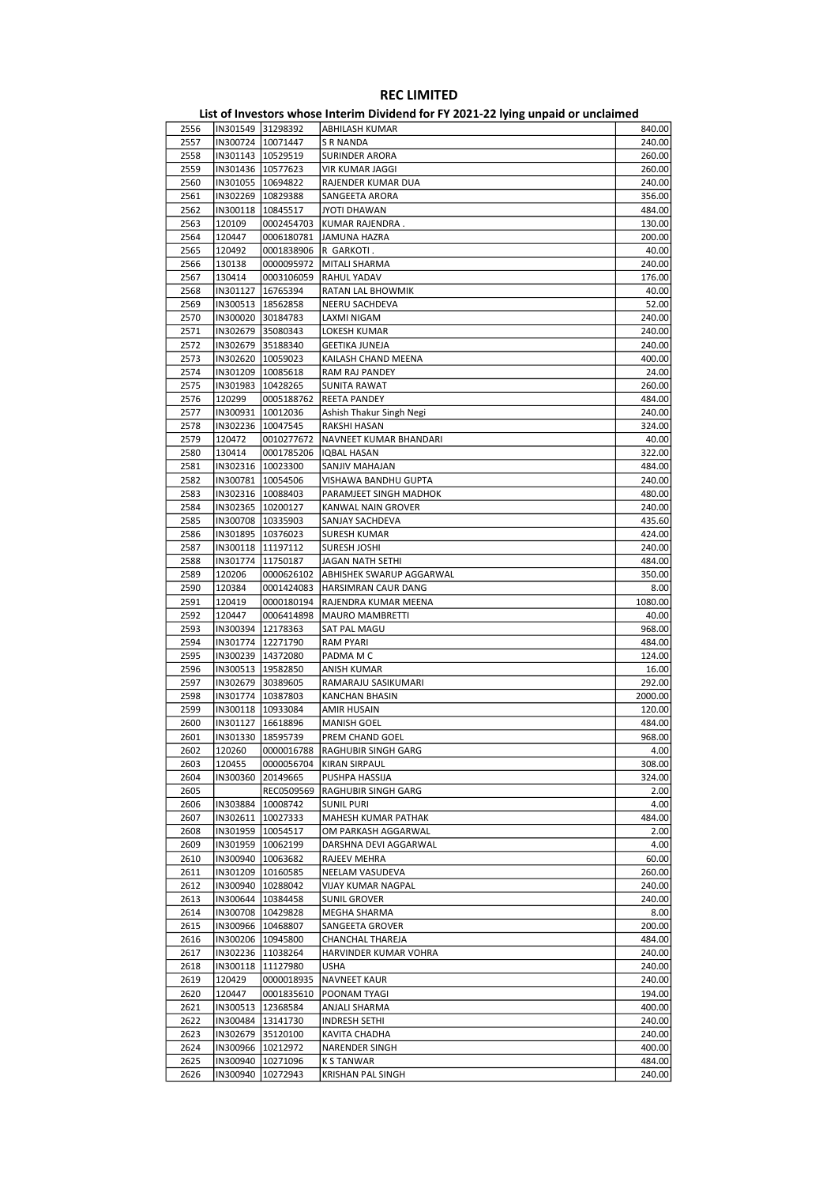|      |                     |                     | ED, or investors whose internit privation for it about LETTing ampaid or ancialities. |         |
|------|---------------------|---------------------|---------------------------------------------------------------------------------------|---------|
| 2556 |                     | IN301549 31298392   | ABHILASH KUMAR                                                                        | 840.00  |
| 2557 | IN300724   10071447 |                     | S R NANDA                                                                             | 240.00  |
| 2558 | IN301143 10529519   |                     | <b>SURINDER ARORA</b>                                                                 | 260.00  |
| 2559 | IN301436   10577623 |                     | <b>VIR KUMAR JAGGI</b>                                                                | 260.00  |
|      |                     |                     |                                                                                       |         |
| 2560 | IN301055   10694822 |                     | RAJENDER KUMAR DUA                                                                    | 240.00  |
| 2561 | IN302269 10829388   |                     | SANGEETA ARORA                                                                        | 356.00  |
| 2562 | IN300118   10845517 |                     | <b>JYOTI DHAWAN</b>                                                                   | 484.00  |
| 2563 | 120109              | 0002454703          | KUMAR RAJENDRA.                                                                       | 130.00  |
| 2564 | 120447              | 0006180781          | JAMUNA HAZRA                                                                          | 200.00  |
| 2565 | 120492              | 0001838906          | R GARKOTI.                                                                            | 40.00   |
| 2566 | 130138              | 0000095972          | MITALI SHARMA                                                                         | 240.00  |
| 2567 |                     |                     | <b>RAHUL YADAV</b>                                                                    |         |
|      | 130414              | 0003106059          |                                                                                       | 176.00  |
| 2568 | IN301127   16765394 |                     | <b>RATAN LAL BHOWMIK</b>                                                              | 40.00   |
| 2569 | IN300513 18562858   |                     | NEERU SACHDEVA                                                                        | 52.00   |
| 2570 | IN300020 30184783   |                     | LAXMI NIGAM                                                                           | 240.00  |
| 2571 | IN302679 35080343   |                     | LOKESH KUMAR                                                                          | 240.00  |
| 2572 | IN302679 35188340   |                     | GEETIKA JUNEJA                                                                        | 240.00  |
| 2573 | IN302620   10059023 |                     | KAILASH CHAND MEENA                                                                   | 400.00  |
|      |                     |                     |                                                                                       |         |
| 2574 | IN301209   10085618 |                     | RAM RAJ PANDEY                                                                        | 24.00   |
| 2575 | IN301983   10428265 |                     | <b>SUNITA RAWAT</b>                                                                   | 260.00  |
| 2576 | 120299              | 0005188762          | <b>REETA PANDEY</b>                                                                   | 484.00  |
| 2577 | IN300931  10012036  |                     | Ashish Thakur Singh Negi                                                              | 240.00  |
| 2578 | IN302236 10047545   |                     | RAKSHI HASAN                                                                          | 324.00  |
| 2579 | 120472              | 0010277672          | NAVNEET KUMAR BHANDARI                                                                | 40.00   |
| 2580 | 130414              | 0001785206          | IQBAL HASAN                                                                           | 322.00  |
|      |                     |                     |                                                                                       |         |
| 2581 | IN302316   10023300 |                     | SANJIV MAHAJAN                                                                        | 484.00  |
| 2582 | IN300781   10054506 |                     | VISHAWA BANDHU GUPTA                                                                  | 240.00  |
| 2583 | IN302316   10088403 |                     | PARAMJEET SINGH MADHOK                                                                | 480.00  |
| 2584 | IN302365 10200127   |                     | KANWAL NAIN GROVER                                                                    | 240.00  |
| 2585 | IN300708 10335903   |                     | SANJAY SACHDEVA                                                                       | 435.60  |
| 2586 | IN301895   10376023 |                     | <b>SURESH KUMAR</b>                                                                   | 424.00  |
| 2587 | IN300118   11197112 |                     |                                                                                       |         |
|      |                     |                     | SURESH JOSHI                                                                          | 240.00  |
| 2588 | IN301774 11750187   |                     | JAGAN NATH SETHI                                                                      | 484.00  |
| 2589 | 120206              |                     | 0000626102   ABHISHEK SWARUP AGGARWAL                                                 | 350.00  |
| 2590 | 120384              |                     | 0001424083  HARSIMRAN CAUR DANG                                                       | 8.00    |
| 2591 | 120419              | 0000180194          | RAJENDRA KUMAR MEENA                                                                  | 1080.00 |
| 2592 | 120447              | 0006414898          | <b>MAURO MAMBRETTI</b>                                                                | 40.00   |
| 2593 | IN300394   12178363 |                     | SAT PAL MAGU                                                                          | 968.00  |
| 2594 | IN301774   12271790 |                     | <b>RAM PYARI</b>                                                                      | 484.00  |
|      |                     |                     |                                                                                       |         |
| 2595 | IN300239   14372080 |                     | PADMA M C                                                                             | 124.00  |
| 2596 | IN300513   19582850 |                     | ANISH KUMAR                                                                           | 16.00   |
| 2597 | IN302679 30389605   |                     | RAMARAJU SASIKUMARI                                                                   | 292.00  |
| 2598 | IN301774   10387803 |                     | <b>KANCHAN BHASIN</b>                                                                 | 2000.00 |
| 2599 | IN300118   10933084 |                     | <b>AMIR HUSAIN</b>                                                                    | 120.00  |
| 2600 | IN301127            | 16618896            | <b>MANISH GOEL</b>                                                                    | 484.00  |
| 2601 | IN301330   18595739 |                     | PREM CHAND GOEL                                                                       | 968.00  |
|      |                     |                     |                                                                                       |         |
| 2602 | 120260              |                     | 0000016788  RAGHUBIR SINGH GARG                                                       | 4.00    |
| 2603 | 120455              | 0000056704          | KIRAN SIRPAUL                                                                         | 308.00  |
| 2604 | IN300360            | 20149665            | PUSHPA HASSIJA                                                                        | 324.00  |
| 2605 |                     | REC0509569          | RAGHUBIR SINGH GARG                                                                   | 2.00    |
| 2606 |                     | IN303884   10008742 | <b>SUNIL PURI</b>                                                                     | 4.00    |
| 2607 |                     | IN302611   10027333 | MAHESH KUMAR PATHAK                                                                   | 484.00  |
| 2608 |                     | IN301959   10054517 | OM PARKASH AGGARWAL                                                                   | 2.00    |
|      |                     |                     |                                                                                       |         |
| 2609 |                     | IN301959   10062199 | DARSHNA DEVI AGGARWAL                                                                 | 4.00    |
| 2610 |                     | IN300940   10063682 | RAJEEV MEHRA                                                                          | 60.00   |
| 2611 | IN301209   10160585 |                     | NEELAM VASUDEVA                                                                       | 260.00  |
| 2612 |                     | IN300940   10288042 | VIJAY KUMAR NAGPAL                                                                    | 240.00  |
| 2613 |                     | IN300644   10384458 | SUNIL GROVER                                                                          | 240.00  |
| 2614 |                     | IN300708   10429828 | MEGHA SHARMA                                                                          | 8.00    |
| 2615 |                     | IN300966   10468807 | SANGEETA GROVER                                                                       | 200.00  |
|      |                     |                     |                                                                                       |         |
| 2616 |                     | IN300206 10945800   | CHANCHAL THAREJA                                                                      | 484.00  |
| 2617 |                     | IN302236  11038264  | HARVINDER KUMAR VOHRA                                                                 | 240.00  |
| 2618 |                     | IN300118   11127980 | <b>USHA</b>                                                                           | 240.00  |
| 2619 | 120429              | 0000018935          | <b>NAVNEET KAUR</b>                                                                   | 240.00  |
| 2620 | 120447              | 0001835610          | POONAM TYAGI                                                                          | 194.00  |
| 2621 |                     | IN300513   12368584 | ANJALI SHARMA                                                                         | 400.00  |
| 2622 |                     |                     |                                                                                       | 240.00  |
|      |                     | IN300484   13141730 | INDRESH SETHI                                                                         |         |
| 2623 | IN302679 35120100   |                     | KAVITA CHADHA                                                                         | 240.00  |
| 2624 | IN300966   10212972 |                     | NARENDER SINGH                                                                        | 400.00  |
| 2625 |                     | IN300940   10271096 | <b>K S TANWAR</b>                                                                     | 484.00  |
| 2626 | IN300940            | 10272943            | KRISHAN PAL SINGH                                                                     | 240.00  |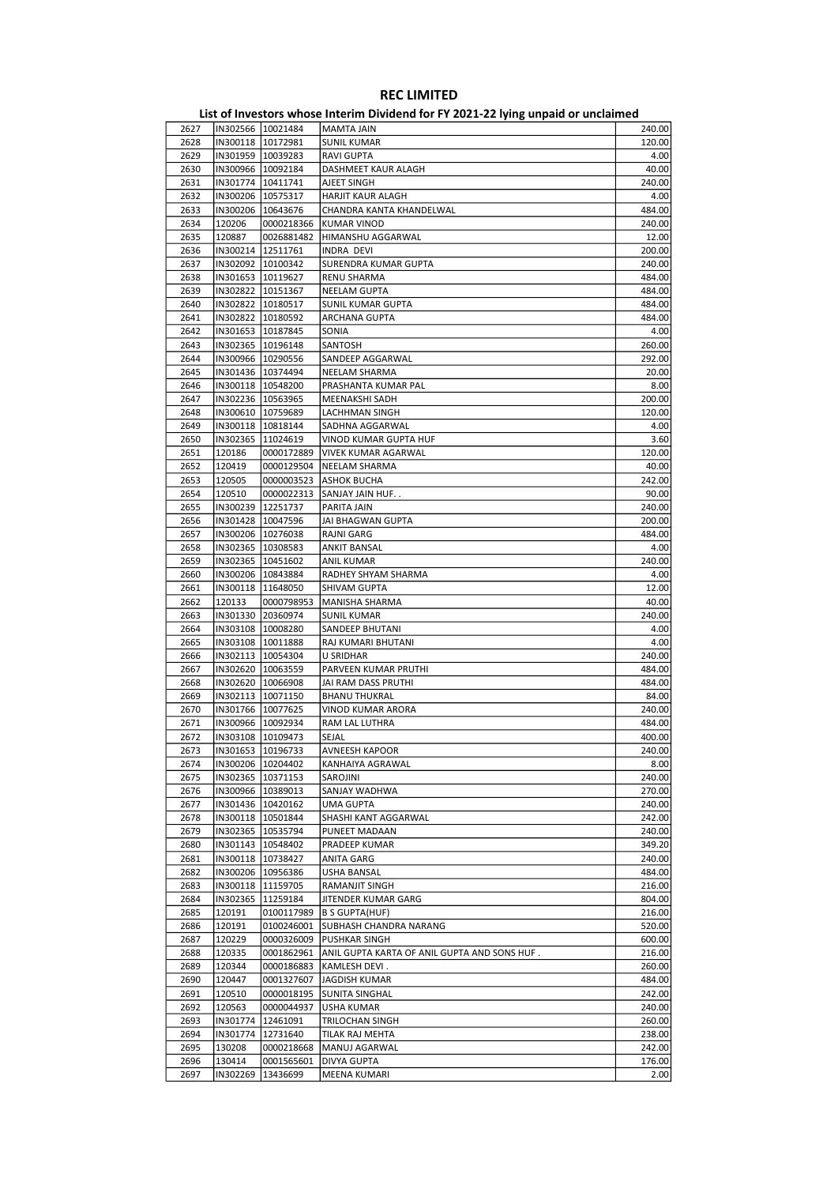|      |                     |                     | - סייי<br>                                   |        |
|------|---------------------|---------------------|----------------------------------------------|--------|
| 2627 |                     | IN302566 10021484   | MAMTA JAIN                                   | 240.00 |
| 2628 | IN300118   10172981 |                     | <b>SUNIL KUMAR</b>                           | 120.00 |
| 2629 | IN301959   10039283 |                     | <b>RAVI GUPTA</b>                            | 4.00   |
|      |                     |                     |                                              |        |
| 2630 | IN300966 10092184   |                     | DASHMEET KAUR ALAGH                          | 40.00  |
| 2631 | IN301774   10411741 |                     | AJEET SINGH                                  | 240.00 |
| 2632 | IN300206 10575317   |                     | HARJIT KAUR ALAGH                            | 4.00   |
| 2633 | IN300206   10643676 |                     | CHANDRA KANTA KHANDELWAL                     | 484.00 |
| 2634 | 120206              | 0000218366          | KUMAR VINOD                                  | 240.00 |
|      |                     |                     |                                              |        |
| 2635 | 120887              | 0026881482          | HIMANSHU AGGARWAL                            | 12.00  |
| 2636 | IN300214   12511761 |                     | INDRA DEVI                                   | 200.00 |
| 2637 | IN302092 10100342   |                     | SURENDRA KUMAR GUPTA                         | 240.00 |
| 2638 | IN301653   10119627 |                     | RENU SHARMA                                  | 484.00 |
| 2639 | IN302822   10151367 |                     | NEELAM GUPTA                                 | 484.00 |
|      | IN302822 10180517   |                     |                                              |        |
| 2640 |                     |                     | SUNIL KUMAR GUPTA                            | 484.00 |
| 2641 | IN302822   10180592 |                     | ARCHANA GUPTA                                | 484.00 |
| 2642 | IN301653   10187845 |                     | SONIA                                        | 4.00   |
| 2643 | IN302365   10196148 |                     | SANTOSH                                      | 260.00 |
| 2644 | IN300966   10290556 |                     | SANDEEP AGGARWAL                             | 292.00 |
| 2645 | IN301436   10374494 |                     | NEELAM SHARMA                                | 20.00  |
|      |                     |                     |                                              |        |
| 2646 | IN300118   10548200 |                     | PRASHANTA KUMAR PAL                          | 8.00   |
| 2647 | IN302236 10563965   |                     | MEENAKSHI SADH                               | 200.00 |
| 2648 | IN300610   10759689 |                     | <b>LACHHMAN SINGH</b>                        | 120.00 |
| 2649 | IN300118   10818144 |                     | SADHNA AGGARWAL                              | 4.00   |
| 2650 | IN302365   11024619 |                     | VINOD KUMAR GUPTA HUF                        | 3.60   |
|      |                     |                     |                                              |        |
| 2651 | 120186              | 0000172889          | VIVEK KUMAR AGARWAL                          | 120.00 |
| 2652 | 120419              | 0000129504          | NEELAM SHARMA                                | 40.00  |
| 2653 | 120505              | 0000003523          | <b>ASHOK BUCHA</b>                           | 242.00 |
| 2654 | 120510              | 0000022313          | SANJAY JAIN HUF                              | 90.00  |
| 2655 |                     | IN300239 12251737   | PARITA JAIN                                  | 240.00 |
|      |                     |                     |                                              |        |
| 2656 | IN301428   10047596 |                     | JAI BHAGWAN GUPTA                            | 200.00 |
| 2657 | IN300206   10276038 |                     | <b>RAJNI GARG</b>                            | 484.00 |
| 2658 | IN302365   10308583 |                     | ANKIT BANSAL                                 | 4.00   |
| 2659 | IN302365   10451602 |                     | <b>ANIL KUMAR</b>                            | 240.00 |
| 2660 | IN300206   10843884 |                     | RADHEY SHYAM SHARMA                          | 4.00   |
|      |                     |                     |                                              |        |
| 2661 | IN300118   11648050 |                     | SHIVAM GUPTA                                 | 12.00  |
| 2662 | 120133              | 0000798953          | MANISHA SHARMA                               | 40.00  |
| 2663 |                     | IN301330 20360974   | SUNIL KUMAR                                  | 240.00 |
| 2664 | IN303108   10008280 |                     | SANDEEP BHUTANI                              | 4.00   |
| 2665 | IN303108   10011888 |                     | RAJ KUMARI BHUTANI                           | 4.00   |
| 2666 | IN302113   10054304 |                     | U SRIDHAR                                    | 240.00 |
|      |                     |                     |                                              |        |
| 2667 | IN302620   10063559 |                     | PARVEEN KUMAR PRUTHI                         | 484.00 |
| 2668 |                     | IN302620   10066908 | JAI RAM DASS PRUTHI                          | 484.00 |
| 2669 | IN302113   10071150 |                     | <b>BHANU THUKRAL</b>                         | 84.00  |
| 2670 | IN301766   10077625 |                     | VINOD KUMAR ARORA                            | 240.00 |
| 2671 | IN300966   10092934 |                     | RAM LAL LUTHRA                               | 484.00 |
|      |                     |                     |                                              |        |
| 2672 | IN303108 10109473   |                     | SEJAL                                        | 400.00 |
| 2673 | IN301653  10196733  |                     | AVNEESH KAPOOR                               | 240.00 |
| 2674 | IN300206   10204402 |                     | KANHAIYA AGRAWAL                             | 8.00   |
| 2675 |                     | IN302365   10371153 | SAROJINI                                     | 240.00 |
| 2676 | IN300966   10389013 |                     | SANJAY WADHWA                                | 270.00 |
|      |                     |                     |                                              |        |
| 2677 |                     | IN301436 10420162   | UMA GUPTA                                    | 240.00 |
| 2678 |                     | IN300118   10501844 | SHASHI KANT AGGARWAL                         | 242.00 |
| 2679 |                     | IN302365 10535794   | PUNEET MADAAN                                | 240.00 |
| 2680 |                     | IN301143   10548402 | PRADEEP KUMAR                                | 349.20 |
| 2681 | IN300118 10738427   |                     | ANITA GARG                                   | 240.00 |
|      |                     |                     |                                              | 484.00 |
| 2682 |                     | IN300206 10956386   | USHA BANSAL                                  |        |
| 2683 |                     | IN300118 11159705   | RAMANJIT SINGH                               | 216.00 |
| 2684 |                     | IN302365 11259184   | JITENDER KUMAR GARG                          | 804.00 |
| 2685 | 120191              | 0100117989          | <b>B S GUPTA(HUF)</b>                        | 216.00 |
| 2686 | 120191              | 0100246001          | SUBHASH CHANDRA NARANG                       | 520.00 |
| 2687 | 120229              | 0000326009          | PUSHKAR SINGH                                | 600.00 |
|      |                     |                     |                                              |        |
| 2688 | 120335              | 0001862961          | ANIL GUPTA KARTA OF ANIL GUPTA AND SONS HUF. | 216.00 |
| 2689 | 120344              | 0000186883          | KAMLESH DEVI.                                | 260.00 |
| 2690 | 120447              | 0001327607          | <b>JAGDISH KUMAR</b>                         | 484.00 |
| 2691 | 120510              | 0000018195          | SUNITA SINGHAL                               | 242.00 |
| 2692 | 120563              | 0000044937          | USHA KUMAR                                   | 240.00 |
|      |                     |                     |                                              |        |
| 2693 |                     | IN301774   12461091 | TRILOCHAN SINGH                              | 260.00 |
| 2694 | IN301774            | 12731640            | TILAK RAJ MEHTA                              | 238.00 |
| 2695 | 130208              | 0000218668          | MANUJ AGARWAL                                | 242.00 |
| 2696 | 130414              | 0001565601          | DIVYA GUPTA                                  | 176.00 |
| 2697 | IN302269            | 13436699            | MEENA KUMARI                                 | 2.00   |
|      |                     |                     |                                              |        |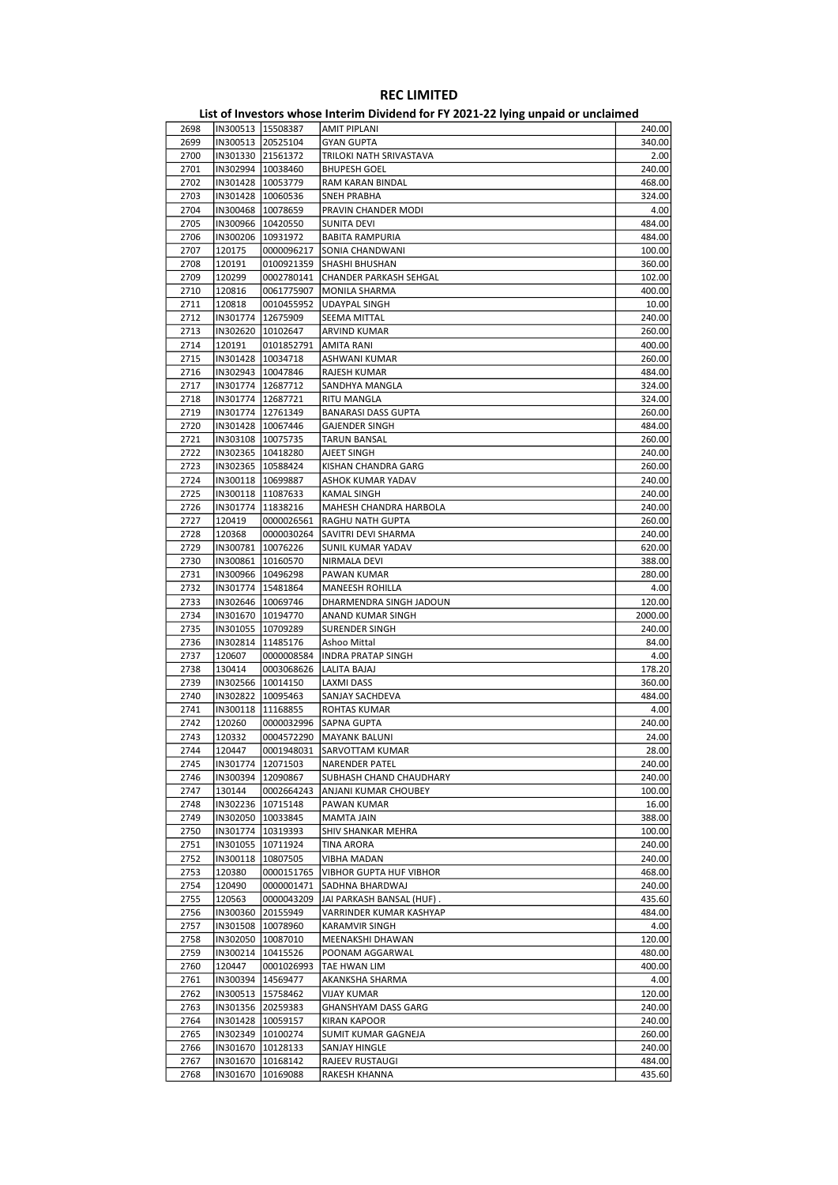|      |                     |                     | . . <i>,</i> p pu.u         |         |
|------|---------------------|---------------------|-----------------------------|---------|
| 2698 |                     | IN300513   15508387 | <b>AMIT PIPLANI</b>         | 240.00  |
| 2699 |                     | IN300513 20525104   | <b>GYAN GUPTA</b>           | 340.00  |
| 2700 | IN301330 21561372   |                     | TRILOKI NATH SRIVASTAVA     | 2.00    |
| 2701 | IN302994   10038460 |                     | <b>BHUPESH GOEL</b>         | 240.00  |
| 2702 | IN301428   10053779 |                     | RAM KARAN BINDAL            | 468.00  |
|      |                     |                     |                             | 324.00  |
| 2703 |                     | IN301428   10060536 | SNEH PRABHA                 |         |
| 2704 |                     | IN300468   10078659 | PRAVIN CHANDER MODI         | 4.00    |
| 2705 | IN300966   10420550 |                     | SUNITA DEVI                 | 484.00  |
| 2706 | IN300206 10931972   |                     | <b>BABITA RAMPURIA</b>      | 484.00  |
| 2707 | 120175              | 0000096217          | SONIA CHANDWANI             | 100.00  |
| 2708 | 120191              | 0100921359          | SHASHI BHUSHAN              | 360.00  |
| 2709 | 120299              | 0002780141          | CHANDER PARKASH SEHGAL      | 102.00  |
| 2710 | 120816              | 0061775907          | <b>MONILA SHARMA</b>        | 400.00  |
| 2711 | 120818              | 0010455952          | <b>UDAYPAL SINGH</b>        | 10.00   |
| 2712 | IN301774   12675909 |                     | SEEMA MITTAL                | 240.00  |
|      |                     |                     |                             |         |
| 2713 |                     | IN302620   10102647 | <b>ARVIND KUMAR</b>         | 260.00  |
| 2714 | 120191              | 0101852791          | AMITA RANI                  | 400.00  |
| 2715 |                     | IN301428   10034718 | ASHWANI KUMAR               | 260.00  |
| 2716 | IN302943   10047846 |                     | RAJESH KUMAR                | 484.00  |
| 2717 | IN301774   12687712 |                     | SANDHYA MANGLA              | 324.00  |
| 2718 |                     | IN301774   12687721 | RITU MANGLA                 | 324.00  |
| 2719 |                     | IN301774   12761349 | <b>BANARASI DASS GUPTA</b>  | 260.00  |
| 2720 |                     | IN301428   10067446 | <b>GAJENDER SINGH</b>       | 484.00  |
| 2721 | IN303108 10075735   |                     | <b>TARUN BANSAL</b>         | 260.00  |
| 2722 | IN302365   10418280 |                     | AJEET SINGH                 | 240.00  |
|      |                     |                     |                             | 260.00  |
| 2723 |                     | IN302365   10588424 | KISHAN CHANDRA GARG         |         |
| 2724 |                     | IN300118 10699887   | ASHOK KUMAR YADAV           | 240.00  |
| 2725 |                     | IN300118 11087633   | KAMAL SINGH                 | 240.00  |
| 2726 | IN301774   11838216 |                     | MAHESH CHANDRA HARBOLA      | 240.00  |
| 2727 | 120419              | 0000026561          | RAGHU NATH GUPTA            | 260.00  |
| 2728 | 120368              | 0000030264          | SAVITRI DEVI SHARMA         | 240.00  |
| 2729 |                     | IN300781   10076226 | SUNIL KUMAR YADAV           | 620.00  |
| 2730 |                     | IN300861   10160570 | NIRMALA DEVI                | 388.00  |
| 2731 | IN300966   10496298 |                     | PAWAN KUMAR                 | 280.00  |
| 2732 |                     | IN301774   15481864 | MANEESH ROHILLA             | 4.00    |
|      |                     |                     |                             |         |
| 2733 |                     | IN302646   10069746 | DHARMENDRA SINGH JADOUN     | 120.00  |
| 2734 |                     | IN301670   10194770 | ANAND KUMAR SINGH           | 2000.00 |
| 2735 | IN301055   10709289 |                     | <b>SURENDER SINGH</b>       | 240.00  |
| 2736 |                     | IN302814   11485176 | Ashoo Mittal                | 84.00   |
| 2737 | 120607              | 0000008584          | <b>INDRA PRATAP SINGH</b>   | 4.00    |
| 2738 | 130414              | 0003068626          | LALITA BAJAJ                | 178.20  |
| 2739 |                     | IN302566 10014150   | LAXMI DASS                  | 360.00  |
| 2740 |                     | IN302822   10095463 | SANJAY SACHDEVA             | 484.00  |
| 2741 | IN300118 11168855   |                     | ROHTAS KUMAR                | 4.00    |
| 2742 | 120260              | 0000032996          | <b>SAPNA GUPTA</b>          | 240.00  |
| 2743 | 120332              | 0004572290          | <b>MAYANK BALUNI</b>        | 24.00   |
|      |                     |                     |                             |         |
| 2744 | 120447              |                     | 0001948031  SARVOTTAM KUMAR | 28.00   |
| 2745 |                     | IN301774 12071503   | NARENDER PATEL              | 240.00  |
| 2746 |                     | IN300394   12090867 | SUBHASH CHAND CHAUDHARY     | 240.00  |
| 2747 | 130144              | 0002664243          | ANJANI KUMAR CHOUBEY        | 100.00  |
| 2748 |                     | IN302236 10715148   | PAWAN KUMAR                 | 16.00   |
| 2749 |                     | IN302050   10033845 | MAMTA JAIN                  | 388.00  |
| 2750 |                     | IN301774 10319393   | SHIV SHANKAR MEHRA          | 100.00  |
| 2751 |                     | IN301055   10711924 | <b>TINA ARORA</b>           | 240.00  |
| 2752 |                     | IN300118 10807505   | <b>VIBHA MADAN</b>          | 240.00  |
| 2753 | 120380              | 0000151765          | VIBHOR GUPTA HUF VIBHOR     | 468.00  |
|      |                     |                     |                             |         |
| 2754 | 120490              | 0000001471          | SADHNA BHARDWAJ             | 240.00  |
| 2755 | 120563              | 0000043209          | JAI PARKASH BANSAL (HUF).   | 435.60  |
| 2756 |                     | IN300360 20155949   | VARRINDER KUMAR KASHYAP     | 484.00  |
| 2757 |                     | IN301508 10078960   | KARAMVIR SINGH              | 4.00    |
| 2758 |                     | IN302050 10087010   | MEENAKSHI DHAWAN            | 120.00  |
| 2759 |                     | IN300214   10415526 | POONAM AGGARWAL             | 480.00  |
| 2760 | 120447              | 0001026993          | TAE HWAN LIM                | 400.00  |
| 2761 |                     | IN300394   14569477 | AKANKSHA SHARMA             | 4.00    |
| 2762 |                     | IN300513   15758462 | <b>VIJAY KUMAR</b>          | 120.00  |
|      |                     |                     |                             |         |
| 2763 |                     | IN301356 20259383   | <b>GHANSHYAM DASS GARG</b>  | 240.00  |
| 2764 |                     | IN301428   10059157 | KIRAN KAPOOR                | 240.00  |
| 2765 |                     | IN302349 10100274   | SUMIT KUMAR GAGNEJA         | 260.00  |
| 2766 |                     | IN301670   10128133 | SANJAY HINGLE               | 240.00  |
| 2767 |                     | IN301670   10168142 | RAJEEV RUSTAUGI             | 484.00  |
| 2768 | IN301670            | 10169088            | RAKESH KHANNA               | 435.60  |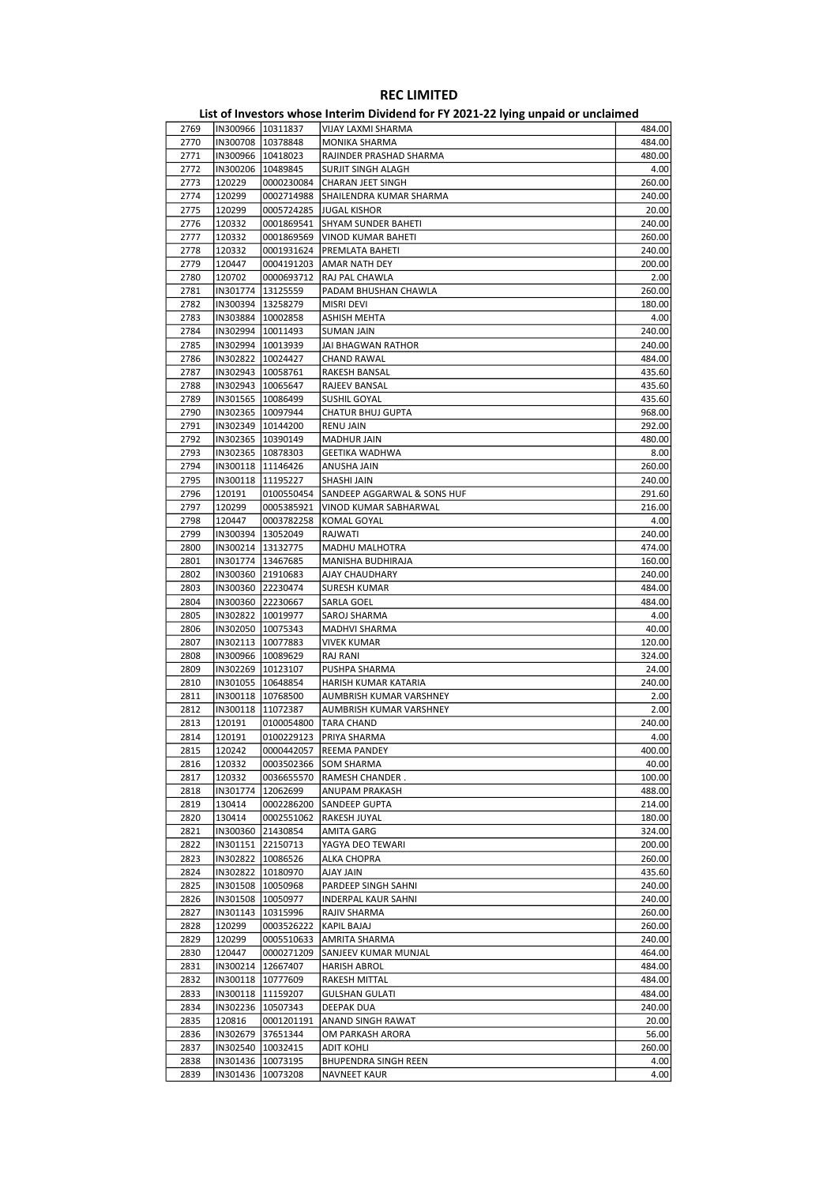| 2769 |          | IN300966 10311837   | VIJAY LAXMI SHARMA          | 484.00 |
|------|----------|---------------------|-----------------------------|--------|
| 2770 |          | IN300708   10378848 | MONIKA SHARMA               | 484.00 |
| 2771 |          | IN300966   10418023 | RAJINDER PRASHAD SHARMA     | 480.00 |
| 2772 |          | IN300206 10489845   | SURJIT SINGH ALAGH          | 4.00   |
|      |          |                     |                             |        |
| 2773 | 120229   | 0000230084          | CHARAN JEET SINGH           | 260.00 |
| 2774 | 120299   | 0002714988          | SHAILENDRA KUMAR SHARMA     | 240.00 |
| 2775 | 120299   | 0005724285          | <b>JUGAL KISHOR</b>         | 20.00  |
| 2776 | 120332   | 0001869541          | SHYAM SUNDER BAHETI         | 240.00 |
| 2777 | 120332   | 0001869569          | VINOD KUMAR BAHETI          | 260.00 |
| 2778 | 120332   | 0001931624          |                             | 240.00 |
|      |          |                     | PREMLATA BAHETI             |        |
| 2779 | 120447   | 0004191203          | <b>AMAR NATH DEY</b>        | 200.00 |
| 2780 | 120702   | 0000693712          | RAJ PAL CHAWLA              | 2.00   |
| 2781 | IN301774 | 13125559            | PADAM BHUSHAN CHAWLA        | 260.00 |
| 2782 |          | IN300394 13258279   | <b>MISRI DEVI</b>           | 180.00 |
| 2783 |          | IN303884 10002858   | ASHISH MEHTA                | 4.00   |
|      |          |                     |                             |        |
| 2784 |          | IN302994   10011493 | SUMAN JAIN                  | 240.00 |
| 2785 |          | IN302994   10013939 | JAI BHAGWAN RATHOR          | 240.00 |
| 2786 |          | IN302822   10024427 | <b>CHAND RAWAL</b>          | 484.00 |
| 2787 |          | IN302943   10058761 | RAKESH BANSAL               | 435.60 |
| 2788 |          | IN302943   10065647 | RAJEEV BANSAL               | 435.60 |
| 2789 |          | IN301565   10086499 | SUSHIL GOYAL                | 435.60 |
|      |          |                     |                             |        |
| 2790 |          | IN302365   10097944 | <b>CHATUR BHUJ GUPTA</b>    | 968.00 |
| 2791 |          | IN302349   10144200 | <b>RENU JAIN</b>            | 292.00 |
| 2792 |          | IN302365   10390149 | <b>MADHUR JAIN</b>          | 480.00 |
| 2793 |          | IN302365   10878303 | <b>GEETIKA WADHWA</b>       | 8.00   |
| 2794 |          | IN300118 11146426   | ANUSHA JAIN                 | 260.00 |
| 2795 |          | IN300118   11195227 | <b>SHASHI JAIN</b>          | 240.00 |
|      |          |                     |                             |        |
| 2796 | 120191   | 0100550454          | SANDEEP AGGARWAL & SONS HUF | 291.60 |
| 2797 | 120299   | 0005385921          | VINOD KUMAR SABHARWAL       | 216.00 |
| 2798 | 120447   | 0003782258          | KOMAL GOYAL                 | 4.00   |
| 2799 |          | IN300394   13052049 | RAJWATI                     | 240.00 |
| 2800 |          | IN300214 13132775   | MADHU MALHOTRA              | 474.00 |
| 2801 |          | IN301774   13467685 | MANISHA BUDHIRAJA           | 160.00 |
|      |          |                     |                             |        |
| 2802 |          | IN300360 21910683   | AJAY CHAUDHARY              | 240.00 |
| 2803 |          | IN300360 22230474   | <b>SURESH KUMAR</b>         | 484.00 |
| 2804 |          | IN300360 22230667   | SARLA GOEL                  | 484.00 |
| 2805 |          | IN302822   10019977 | SAROJ SHARMA                | 4.00   |
| 2806 |          | IN302050   10075343 | <b>MADHVI SHARMA</b>        | 40.00  |
| 2807 |          | IN302113   10077883 |                             | 120.00 |
|      |          |                     | <b>VIVEK KUMAR</b>          |        |
| 2808 |          | IN300966   10089629 | <b>RAJ RANI</b>             | 324.00 |
| 2809 |          | IN302269 10123107   | PUSHPA SHARMA               | 24.00  |
| 2810 |          | IN301055   10648854 | HARISH KUMAR KATARIA        | 240.00 |
| 2811 |          | IN300118   10768500 | AUMBRISH KUMAR VARSHNEY     | 2.00   |
| 2812 |          | IN300118 11072387   | AUMBRISH KUMAR VARSHNEY     | 2.00   |
| 2813 | 120191   | 0100054800          |                             | 240.00 |
|      |          |                     | TARA CHAND                  |        |
| 2814 | 120191   | 0100229123          | PRIYA SHARMA                | 4.00   |
| 2815 | 120242   |                     | 0000442057 REEMA PANDEY     | 400.00 |
| 2816 | 120332   |                     | 0003502366 SOM SHARMA       | 40.00  |
| 2817 | 120332   | 0036655570          | RAMESH CHANDER .            | 100.00 |
| 2818 | IN301774 | 12062699            | ANUPAM PRAKASH              | 488.00 |
| 2819 | 130414   | 0002286200          | <b>SANDEEP GUPTA</b>        | 214.00 |
|      |          |                     |                             |        |
| 2820 | 130414   | 0002551062          | RAKESH JUYAL                | 180.00 |
| 2821 |          | IN300360 21430854   | AMITA GARG                  | 324.00 |
| 2822 |          | IN301151 22150713   | YAGYA DEO TEWARI            | 200.00 |
| 2823 |          | IN302822   10086526 | ALKA CHOPRA                 | 260.00 |
| 2824 |          | IN302822 10180970   | AJAY JAIN                   | 435.60 |
| 2825 |          | IN301508 10050968   | PARDEEP SINGH SAHNI         | 240.00 |
|      |          |                     |                             |        |
| 2826 | IN301508 | 10050977            | INDERPAL KAUR SAHNI         | 240.00 |
| 2827 | IN301143 | 10315996            | RAJIV SHARMA                | 260.00 |
| 2828 | 120299   | 0003526222          | KAPIL BAJAJ                 | 260.00 |
| 2829 | 120299   | 0005510633          | AMRITA SHARMA               | 240.00 |
| 2830 | 120447   | 0000271209          | SANJEEV KUMAR MUNJAL        | 464.00 |
|      |          |                     |                             | 484.00 |
| 2831 | IN300214 | 12667407            | <b>HARISH ABROL</b>         |        |
| 2832 |          | IN300118 10777609   | RAKESH MITTAL               | 484.00 |
| 2833 |          | IN300118   11159207 | <b>GULSHAN GULATI</b>       | 484.00 |
| 2834 |          | IN302236   10507343 | DEEPAK DUA                  | 240.00 |
| 2835 | 120816   | 0001201191          | ANAND SINGH RAWAT           | 20.00  |
| 2836 |          | IN302679 37651344   | OM PARKASH ARORA            | 56.00  |
|      |          |                     |                             |        |
| 2837 |          | IN302540   10032415 | <b>ADIT KOHLI</b>           | 260.00 |
| 2838 |          | IN301436   10073195 | BHUPENDRA SINGH REEN        | 4.00   |
| 2839 |          | IN301436 10073208   | <b>NAVNEET KAUR</b>         | 4.00   |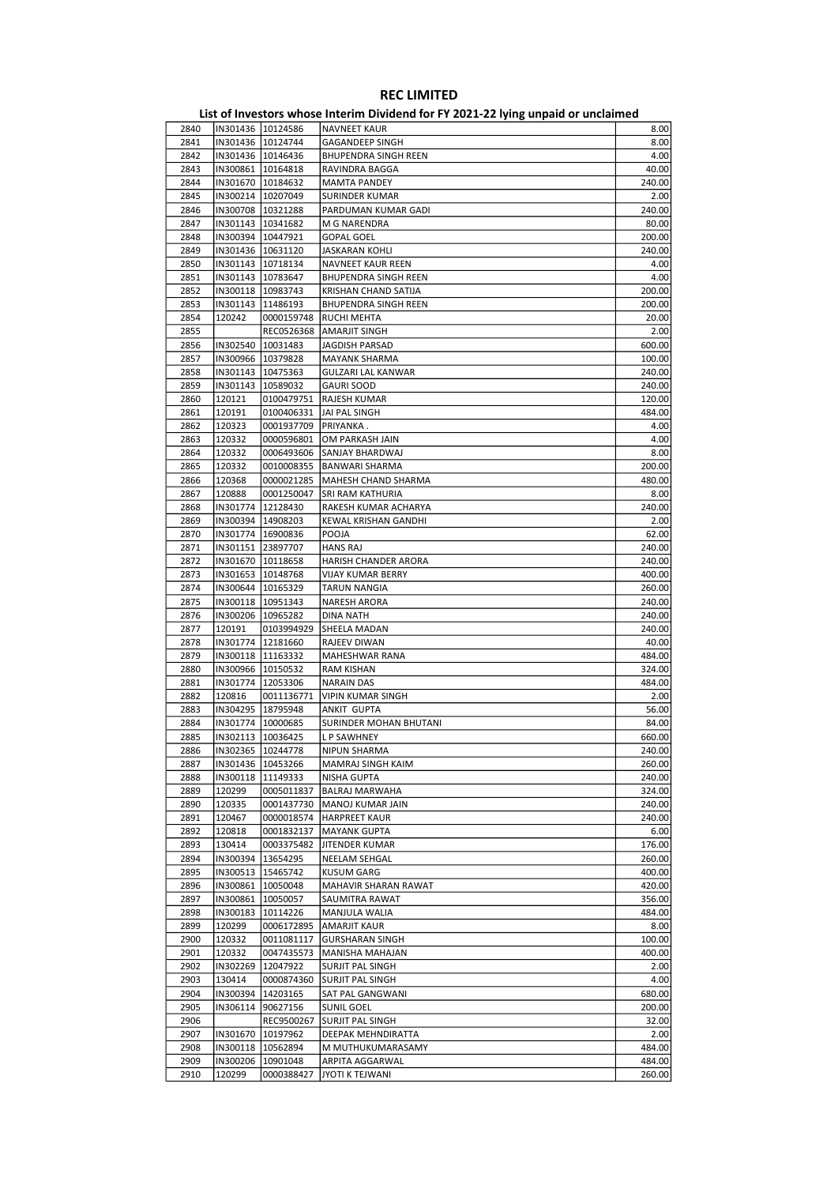| 2840 | IN301436   10124586 |                     | <b>NAVNEET KAUR</b>         | 8.00   |
|------|---------------------|---------------------|-----------------------------|--------|
| 2841 |                     | IN301436   10124744 | <b>GAGANDEEP SINGH</b>      | 8.00   |
| 2842 | IN301436   10146436 |                     | <b>BHUPENDRA SINGH REEN</b> | 4.00   |
|      |                     |                     |                             |        |
| 2843 | IN300861   10164818 |                     | RAVINDRA BAGGA              | 40.00  |
| 2844 | IN301670   10184632 |                     | <b>MAMTA PANDEY</b>         | 240.00 |
| 2845 | IN300214   10207049 |                     | <b>SURINDER KUMAR</b>       | 2.00   |
| 2846 | IN300708   10321288 |                     | PARDUMAN KUMAR GADI         | 240.00 |
| 2847 | IN301143   10341682 |                     | M G NARENDRA                | 80.00  |
|      |                     |                     |                             |        |
| 2848 | IN300394   10447921 |                     | <b>GOPAL GOEL</b>           | 200.00 |
| 2849 | IN301436   10631120 |                     | JASKARAN KOHLI              | 240.00 |
| 2850 | IN301143   10718134 |                     | NAVNEET KAUR REEN           | 4.00   |
| 2851 | IN301143   10783647 |                     | <b>BHUPENDRA SINGH REEN</b> | 4.00   |
| 2852 | IN300118   10983743 |                     | KRISHAN CHAND SATIJA        | 200.00 |
|      |                     |                     |                             |        |
| 2853 | IN301143   11486193 |                     | <b>BHUPENDRA SINGH REEN</b> | 200.00 |
| 2854 | 120242              | 0000159748          | RUCHI MEHTA                 | 20.00  |
| 2855 |                     | REC0526368          | AMARJIT SINGH               | 2.00   |
| 2856 | IN302540   10031483 |                     | JAGDISH PARSAD              | 600.00 |
| 2857 | IN300966   10379828 |                     | <b>MAYANK SHARMA</b>        | 100.00 |
| 2858 | IN301143   10475363 |                     | GULZARI LAL KANWAR          | 240.00 |
|      |                     |                     |                             |        |
| 2859 | IN301143   10589032 |                     | <b>GAURI SOOD</b>           | 240.00 |
| 2860 | 120121              | 0100479751          | RAJESH KUMAR                | 120.00 |
| 2861 | 120191              | 0100406331          | JAI PAL SINGH               | 484.00 |
| 2862 | 120323              | 0001937709          | PRIYANKA.                   | 4.00   |
|      |                     |                     | OM PARKASH JAIN             |        |
| 2863 | 120332              | 0000596801          |                             | 4.00   |
| 2864 | 120332              | 0006493606          | SANJAY BHARDWAJ             | 8.00   |
| 2865 | 120332              | 0010008355          | BANWARI SHARMA              | 200.00 |
| 2866 | 120368              | 0000021285          | MAHESH CHAND SHARMA         | 480.00 |
| 2867 | 120888              | 0001250047          | SRI RAM KATHURIA            | 8.00   |
| 2868 | IN301774   12128430 |                     | RAKESH KUMAR ACHARYA        | 240.00 |
|      |                     |                     |                             |        |
| 2869 | IN300394   14908203 |                     | KEWAL KRISHAN GANDHI        | 2.00   |
| 2870 | IN301774   16900836 |                     | POOJA                       | 62.00  |
| 2871 | IN301151 23897707   |                     | <b>HANS RAJ</b>             | 240.00 |
| 2872 | IN301670   10118658 |                     | HARISH CHANDER ARORA        | 240.00 |
| 2873 | IN301653   10148768 |                     | <b>VIJAY KUMAR BERRY</b>    | 400.00 |
|      |                     |                     |                             |        |
| 2874 | IN300644   10165329 |                     | TARUN NANGIA                | 260.00 |
| 2875 | IN300118   10951343 |                     | NARESH ARORA                | 240.00 |
| 2876 | IN300206   10965282 |                     | DINA NATH                   | 240.00 |
| 2877 | 120191              | 0103994929          | SHEELA MADAN                | 240.00 |
| 2878 | IN301774   12181660 |                     | RAJEEV DIWAN                | 40.00  |
| 2879 |                     |                     |                             | 484.00 |
|      | IN300118   11163332 |                     | MAHESHWAR RANA              |        |
| 2880 | IN300966 10150532   |                     | <b>RAM KISHAN</b>           | 324.00 |
| 2881 | IN301774   12053306 |                     | <b>NARAIN DAS</b>           | 484.00 |
| 2882 | 120816              | 0011136771          | <b>VIPIN KUMAR SINGH</b>    | 2.00   |
| 2883 | IN304295   18795948 |                     | ANKIT GUPTA                 | 56.00  |
| 2884 | IN301774   10000685 |                     | SURINDER MOHAN BHUTANI      | 84.00  |
|      |                     |                     |                             |        |
| 2885 | IN302113   10036425 |                     | <b>LP SAWHNEY</b>           | 660.00 |
| 2886 | IN302365  10244778  |                     | NIPUN SHARMA                | 240.00 |
| 2887 |                     | IN301436   10453266 | MAMRAJ SINGH KAIM           | 260.00 |
| 2888 |                     | IN300118   11149333 | NISHA GUPTA                 | 240.00 |
| 2889 | 120299              | 0005011837          | BALRAJ MARWAHA              | 324.00 |
|      | 120335              |                     |                             | 240.00 |
| 2890 |                     | 0001437730          | MANOJ KUMAR JAIN            |        |
| 2891 | 120467              | 0000018574          | HARPREET KAUR               | 240.00 |
| 2892 | 120818              | 0001832137          | <b>MAYANK GUPTA</b>         | 6.00   |
| 2893 | 130414              | 0003375482          | JITENDER KUMAR              | 176.00 |
| 2894 | IN300394            | 13654295            | NEELAM SEHGAL               | 260.00 |
| 2895 | IN300513   15465742 |                     | <b>KUSUM GARG</b>           | 400.00 |
|      |                     |                     |                             |        |
| 2896 | IN300861            | 10050048            | MAHAVIR SHARAN RAWAT        | 420.00 |
| 2897 | IN300861            | 10050057            | SAUMITRA RAWAT              | 356.00 |
| 2898 | IN300183            | 10114226            | <b>MANJULA WALIA</b>        | 484.00 |
| 2899 | 120299              | 0006172895          | <b>AMARJIT KAUR</b>         | 8.00   |
| 2900 | 120332              | 0011081117          | <b>GURSHARAN SINGH</b>      | 100.00 |
|      |                     |                     |                             |        |
| 2901 | 120332              | 0047435573          | MANISHA MAHAJAN             | 400.00 |
| 2902 | IN302269            | 12047922            | SURJIT PAL SINGH            | 2.00   |
| 2903 | 130414              | 0000874360          | SURJIT PAL SINGH            | 4.00   |
| 2904 | IN300394            | 14203165            | SAT PAL GANGWANI            | 680.00 |
| 2905 | IN306114            | 90627156            | <b>SUNIL GOEL</b>           | 200.00 |
|      |                     |                     |                             |        |
| 2906 |                     | REC9500267          | SURJIT PAL SINGH            | 32.00  |
| 2907 |                     | IN301670   10197962 | DEEPAK MEHNDIRATTA          | 2.00   |
| 2908 |                     | IN300118   10562894 | M MUTHUKUMARASAMY           | 484.00 |
| 2909 | IN300206            | 10901048            | ARPITA AGGARWAL             | 484.00 |
| 2910 | 120299              | 0000388427          | JYOTI K TEJWANI             | 260.00 |
|      |                     |                     |                             |        |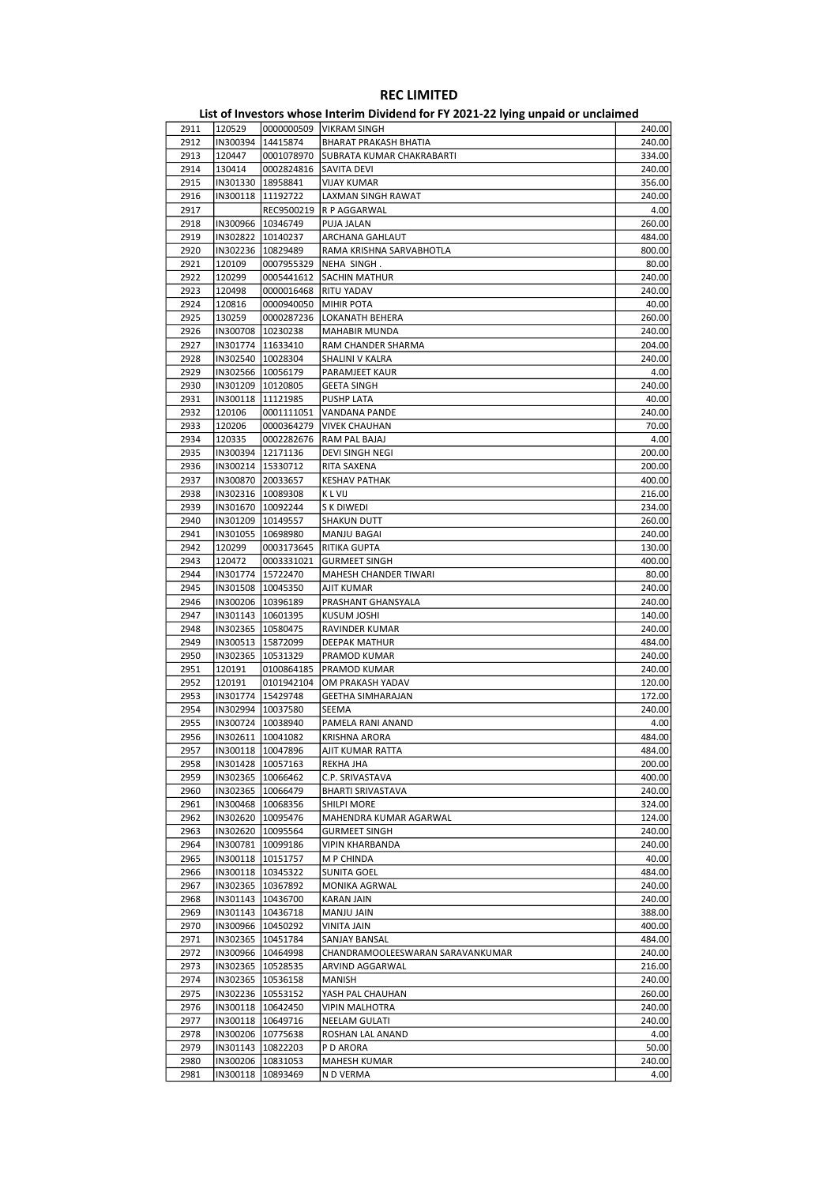| 2911 | 120529              |                     | 0000000509   VIKRAM SINGH        | 240.00 |
|------|---------------------|---------------------|----------------------------------|--------|
| 2912 | IN300394            | 14415874            | BHARAT PRAKASH BHATIA            | 240.00 |
| 2913 | 120447              | 0001078970          | SUBRATA KUMAR CHAKRABARTI        | 334.00 |
| 2914 | 130414              | 0002824816          | SAVITA DEVI                      | 240.00 |
|      |                     |                     |                                  |        |
| 2915 |                     | IN301330   18958841 | <b>VIJAY KUMAR</b>               | 356.00 |
| 2916 |                     | IN300118 11192722   | LAXMAN SINGH RAWAT               | 240.00 |
| 2917 |                     | REC9500219          | R P AGGARWAL                     | 4.00   |
|      |                     |                     |                                  |        |
| 2918 | IN300966   10346749 |                     | PUJA JALAN                       | 260.00 |
| 2919 |                     | IN302822 10140237   | ARCHANA GAHLAUT                  | 484.00 |
| 2920 |                     | IN302236   10829489 | RAMA KRISHNA SARVABHOTLA         | 800.00 |
| 2921 | 120109              |                     | NEHA SINGH.                      |        |
|      |                     | 0007955329          |                                  | 80.00  |
| 2922 | 120299              | 0005441612          | SACHIN MATHUR                    | 240.00 |
| 2923 | 120498              | 0000016468          | RITU YADAV                       | 240.00 |
| 2924 | 120816              | 0000940050          | <b>MIHIR POTA</b>                | 40.00  |
|      |                     |                     |                                  |        |
| 2925 | 130259              | 0000287236          | LOKANATH BEHERA                  | 260.00 |
| 2926 |                     | IN300708   10230238 | MAHABIR MUNDA                    | 240.00 |
| 2927 | IN301774   11633410 |                     | RAM CHANDER SHARMA               | 204.00 |
|      |                     |                     |                                  |        |
| 2928 |                     | IN302540   10028304 | SHALINI V KALRA                  | 240.00 |
| 2929 |                     | IN302566   10056179 | PARAMJEET KAUR                   | 4.00   |
| 2930 |                     | IN301209   10120805 | <b>GEETA SINGH</b>               | 240.00 |
|      |                     |                     |                                  |        |
| 2931 |                     | IN300118   11121985 | PUSHP LATA                       | 40.00  |
| 2932 | 120106              | 0001111051          | VANDANA PANDE                    | 240.00 |
| 2933 | 120206              | 0000364279          | <b>VIVEK CHAUHAN</b>             | 70.00  |
|      |                     | 0002282676          |                                  |        |
| 2934 | 120335              |                     | RAM PAL BAJAJ                    | 4.00   |
| 2935 |                     | IN300394 12171136   | DEVI SINGH NEGI                  | 200.00 |
| 2936 |                     | IN300214   15330712 | RITA SAXENA                      | 200.00 |
| 2937 | IN300870 20033657   |                     | <b>KESHAV PATHAK</b>             | 400.00 |
|      |                     |                     |                                  |        |
| 2938 |                     | IN302316   10089308 | K L VIJ                          | 216.00 |
| 2939 |                     | IN301670 10092244   | S K DIWEDI                       | 234.00 |
| 2940 |                     | IN301209   10149557 | <b>SHAKUN DUTT</b>               | 260.00 |
|      |                     |                     |                                  |        |
| 2941 | IN301055   10698980 |                     | MANJU BAGAI                      | 240.00 |
| 2942 | 120299              | 0003173645          | RITIKA GUPTA                     | 130.00 |
| 2943 | 120472              | 0003331021          | <b>GURMEET SINGH</b>             | 400.00 |
|      |                     |                     |                                  |        |
| 2944 |                     | IN301774   15722470 | MAHESH CHANDER TIWARI            | 80.00  |
| 2945 |                     | IN301508   10045350 | AJIT KUMAR                       | 240.00 |
| 2946 |                     | IN300206   10396189 | PRASHANT GHANSYALA               | 240.00 |
| 2947 |                     |                     |                                  |        |
|      | IN301143   10601395 |                     | KUSUM JOSHI                      | 140.00 |
| 2948 |                     | IN302365   10580475 | RAVINDER KUMAR                   | 240.00 |
| 2949 |                     | IN300513   15872099 | DEEPAK MATHUR                    | 484.00 |
| 2950 |                     | IN302365   10531329 | PRAMOD KUMAR                     | 240.00 |
|      |                     |                     |                                  |        |
| 2951 | 120191              | 0100864185          | PRAMOD KUMAR                     | 240.00 |
| 2952 | 120191              | 0101942104          | OM PRAKASH YADAV                 | 120.00 |
| 2953 |                     | IN301774   15429748 | <b>GEETHA SIMHARAJAN</b>         | 172.00 |
|      |                     |                     |                                  |        |
| 2954 |                     | IN302994   10037580 | SEEMA                            | 240.00 |
| 2955 |                     | IN300724 10038940   | PAMELA RANI ANAND                | 4.00   |
| 2956 | IN302611   10041082 |                     | <b>KRISHNA ARORA</b>             | 484.00 |
|      |                     |                     |                                  |        |
| 2957 | IN300118  10047896  |                     | AJIT KUMAR RATTA                 | 484.00 |
| 2958 |                     | IN301428   10057163 | REKHA JHA                        | 200.00 |
| 2959 |                     | IN302365 10066462   | C.P. SRIVASTAVA                  | 400.00 |
| 2960 |                     | IN302365   10066479 | BHARTI SRIVASTAVA                | 240.00 |
|      |                     |                     |                                  |        |
| 2961 |                     | IN300468   10068356 | SHILPI MORE                      | 324.00 |
| 2962 |                     | IN302620 10095476   | MAHENDRA KUMAR AGARWAL           | 124.00 |
| 2963 |                     | IN302620 10095564   | <b>GURMEET SINGH</b>             | 240.00 |
|      |                     |                     |                                  |        |
| 2964 |                     | IN300781   10099186 | VIPIN KHARBANDA                  | 240.00 |
| 2965 |                     | IN300118 10151757   | M P CHINDA                       | 40.00  |
| 2966 |                     | IN300118 10345322   | SUNITA GOEL                      | 484.00 |
|      |                     |                     |                                  |        |
| 2967 |                     | IN302365 10367892   | MONIKA AGRWAL                    | 240.00 |
| 2968 |                     | IN301143   10436700 | <b>KARAN JAIN</b>                | 240.00 |
| 2969 |                     | IN301143   10436718 | MANJU JAIN                       | 388.00 |
| 2970 |                     |                     |                                  | 400.00 |
|      |                     | IN300966   10450292 | VINITA JAIN                      |        |
| 2971 |                     | IN302365   10451784 | SANJAY BANSAL                    | 484.00 |
| 2972 |                     | IN300966   10464998 | CHANDRAMOOLEESWARAN SARAVANKUMAR | 240.00 |
| 2973 |                     | IN302365 10528535   | ARVIND AGGARWAL                  | 216.00 |
|      |                     |                     |                                  |        |
| 2974 |                     | IN302365   10536158 | MANISH                           | 240.00 |
| 2975 |                     | IN302236 10553152   | YASH PAL CHAUHAN                 | 260.00 |
| 2976 |                     | IN300118   10642450 | VIPIN MALHOTRA                   | 240.00 |
|      |                     |                     |                                  |        |
| 2977 |                     | IN300118   10649716 | NEELAM GULATI                    | 240.00 |
| 2978 |                     | IN300206 10775638   | ROSHAN LAL ANAND                 | 4.00   |
| 2979 |                     | IN301143   10822203 | P D ARORA                        | 50.00  |
|      |                     |                     |                                  |        |
| 2980 |                     | IN300206   10831053 | MAHESH KUMAR                     | 240.00 |
| 2981 |                     | IN300118   10893469 | N D VERMA                        | 4.00   |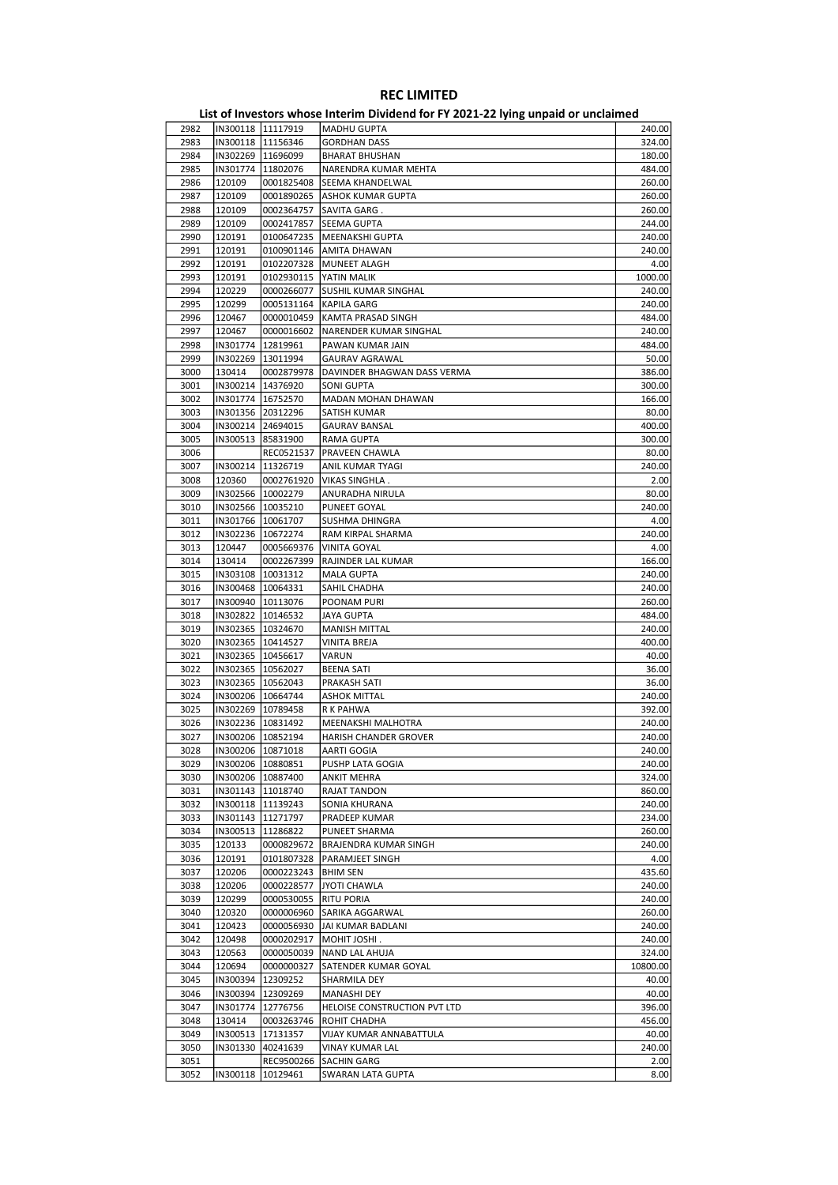| 2982 | IN300118 11117919   |                     | <b>MADHU GUPTA</b>           | 240.00   |
|------|---------------------|---------------------|------------------------------|----------|
| 2983 | IN300118 11156346   |                     | <b>GORDHAN DASS</b>          | 324.00   |
| 2984 | IN302269   11696099 |                     | <b>BHARAT BHUSHAN</b>        | 180.00   |
| 2985 | IN301774 11802076   |                     | NARENDRA KUMAR MEHTA         | 484.00   |
| 2986 | 120109              | 0001825408          | SEEMA KHANDELWAL             | 260.00   |
| 2987 | 120109              | 0001890265          | ASHOK KUMAR GUPTA            | 260.00   |
| 2988 | 120109              | 0002364757          | SAVITA GARG.                 | 260.00   |
| 2989 | 120109              | 0002417857          |                              | 244.00   |
|      |                     |                     | SEEMA GUPTA                  |          |
| 2990 | 120191              | 0100647235          | MEENAKSHI GUPTA              | 240.00   |
| 2991 | 120191              | 0100901146          | AMITA DHAWAN                 | 240.00   |
| 2992 | 120191              | 0102207328          | MUNEET ALAGH                 | 4.00     |
| 2993 | 120191              | 0102930115          | YATIN MALIK                  | 1000.00  |
| 2994 | 120229              | 0000266077          | <b>SUSHIL KUMAR SINGHAL</b>  | 240.00   |
| 2995 | 120299              | 0005131164          | <b>KAPILA GARG</b>           | 240.00   |
| 2996 | 120467              | 0000010459          | KAMTA PRASAD SINGH           | 484.00   |
| 2997 | 120467              | 0000016602          | NARENDER KUMAR SINGHAL       | 240.00   |
| 2998 | IN301774   12819961 |                     | PAWAN KUMAR JAIN             | 484.00   |
| 2999 | IN302269 13011994   |                     | <b>GAURAV AGRAWAL</b>        | 50.00    |
| 3000 | 130414              | 0002879978          | DAVINDER BHAGWAN DASS VERMA  | 386.00   |
| 3001 | IN300214   14376920 |                     | SONI GUPTA                   | 300.00   |
|      |                     |                     |                              |          |
| 3002 | IN301774   16752570 |                     | MADAN MOHAN DHAWAN           | 166.00   |
| 3003 | IN301356 20312296   |                     | SATISH KUMAR                 | 80.00    |
| 3004 | IN300214 24694015   |                     | <b>GAURAV BANSAL</b>         | 400.00   |
| 3005 | IN300513 85831900   |                     | <b>RAMA GUPTA</b>            | 300.00   |
| 3006 |                     | REC0521537          | PRAVEEN CHAWLA               | 80.00    |
| 3007 | IN300214   11326719 |                     | ANIL KUMAR TYAGI             | 240.00   |
| 3008 | 120360              | 0002761920          | VIKAS SINGHLA.               | 2.00     |
| 3009 | IN302566   10002279 |                     | ANURADHA NIRULA              | 80.00    |
| 3010 | IN302566 10035210   |                     | PUNEET GOYAL                 | 240.00   |
| 3011 | IN301766 10061707   |                     | SUSHMA DHINGRA               | 4.00     |
| 3012 | IN302236 10672274   |                     | RAM KIRPAL SHARMA            | 240.00   |
| 3013 | 120447              | 0005669376          | VINITA GOYAL                 | 4.00     |
|      |                     |                     |                              |          |
| 3014 | 130414              | 0002267399          | RAJINDER LAL KUMAR           | 166.00   |
| 3015 | IN303108   10031312 |                     | <b>MALA GUPTA</b>            | 240.00   |
| 3016 | IN300468   10064331 |                     | SAHIL CHADHA                 | 240.00   |
| 3017 | IN300940   10113076 |                     | POONAM PURI                  | 260.00   |
| 3018 | IN302822   10146532 |                     | JAYA GUPTA                   | 484.00   |
| 3019 | IN302365   10324670 |                     | <b>MANISH MITTAL</b>         | 240.00   |
| 3020 | IN302365   10414527 |                     | <b>VINITA BREJA</b>          | 400.00   |
| 3021 | IN302365   10456617 |                     | VARUN                        | 40.00    |
| 3022 | IN302365   10562027 |                     | <b>BEENA SATI</b>            | 36.00    |
| 3023 | IN302365   10562043 |                     | PRAKASH SATI                 | 36.00    |
| 3024 | IN300206   10664744 |                     | <b>ASHOK MITTAL</b>          | 240.00   |
| 3025 | IN302269 10789458   |                     | R K PAHWA                    | 392.00   |
| 3026 | IN302236   10831492 |                     | MEENAKSHI MALHOTRA           | 240.00   |
| 3027 | IN300206 10852194   |                     | HARISH CHANDER GROVER        | 240.00   |
|      |                     |                     |                              |          |
| 3028 | IN300206   10871018 |                     | AARTI GOGIA                  | 240.00   |
| 3029 | IN300206   10880851 |                     | PUSHP LATA GOGIA             | 240.00   |
| 3030 |                     | IN300206   10887400 | <b>ANKIT MEHRA</b>           | 324.00   |
| 3031 | IN301143   11018740 |                     | <b>RAJAT TANDON</b>          | 860.00   |
| 3032 | IN300118 11139243   |                     | SONIA KHURANA                | 240.00   |
| 3033 | IN301143 11271797   |                     | PRADEEP KUMAR                | 234.00   |
| 3034 | IN300513 11286822   |                     | PUNEET SHARMA                | 260.00   |
| 3035 | 120133              | 0000829672          | BRAJENDRA KUMAR SINGH        | 240.00   |
| 3036 | 120191              | 0101807328          | PARAMJEET SINGH              | 4.00     |
| 3037 | 120206              | 0000223243          | <b>BHIM SEN</b>              | 435.60   |
| 3038 | 120206              | 0000228577          | JYOTI CHAWLA                 | 240.00   |
| 3039 | 120299              | 0000530055          | <b>RITU PORIA</b>            | 240.00   |
| 3040 | 120320              | 0000006960          | SARIKA AGGARWAL              | 260.00   |
| 3041 | 120423              | 0000056930          | JAI KUMAR BADLANI            | 240.00   |
| 3042 | 120498              | 0000202917          | MOHIT JOSHI.                 | 240.00   |
| 3043 | 120563              | 0000050039          | NAND LAL AHUJA               | 324.00   |
|      |                     |                     |                              |          |
| 3044 | 120694              | 0000000327          | SATENDER KUMAR GOYAL         | 10800.00 |
| 3045 | IN300394   12309252 |                     | SHARMILA DEY                 | 40.00    |
| 3046 | IN300394 12309269   |                     | <b>MANASHI DEY</b>           | 40.00    |
| 3047 | IN301774            | 12776756            | HELOISE CONSTRUCTION PVT LTD | 396.00   |
| 3048 | 130414              | 0003263746          | ROHIT CHADHA                 | 456.00   |
| 3049 | IN300513 17131357   |                     | VIJAY KUMAR ANNABATTULA      | 40.00    |
| 3050 |                     | IN301330 40241639   | VINAY KUMAR LAL              | 240.00   |
| 3051 |                     | REC9500266          | <b>SACHIN GARG</b>           | 2.00     |
| 3052 | IN300118 10129461   |                     | <b>SWARAN LATA GUPTA</b>     | 8.00     |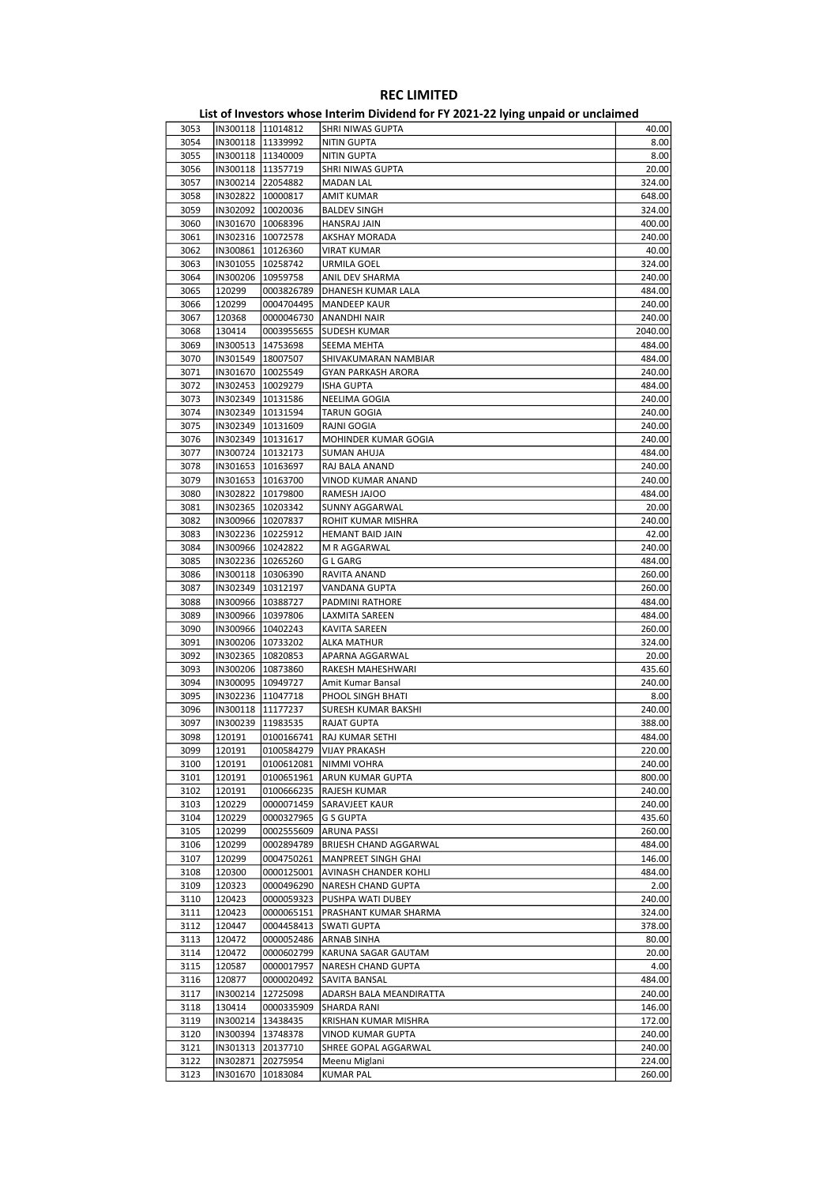| 3053 | IN300118  11014812  |                     | SHRI NIWAS GUPTA              | 40.00   |
|------|---------------------|---------------------|-------------------------------|---------|
| 3054 | IN300118   11339992 |                     | <b>NITIN GUPTA</b>            | 8.00    |
| 3055 |                     | IN300118   11340009 | NITIN GUPTA                   | 8.00    |
| 3056 | IN300118   11357719 |                     | SHRI NIWAS GUPTA              | 20.00   |
| 3057 | IN300214 22054882   |                     | <b>MADAN LAL</b>              | 324.00  |
|      |                     |                     |                               | 648.00  |
| 3058 |                     | IN302822 10000817   | AMIT KUMAR                    |         |
| 3059 | IN302092   10020036 |                     | <b>BALDEV SINGH</b>           | 324.00  |
| 3060 |                     | IN301670   10068396 | HANSRAJ JAIN                  | 400.00  |
| 3061 | IN302316   10072578 |                     | AKSHAY MORADA                 | 240.00  |
| 3062 |                     | IN300861   10126360 | <b>VIRAT KUMAR</b>            | 40.00   |
| 3063 |                     | IN301055   10258742 | URMILA GOEL                   | 324.00  |
| 3064 | IN300206            | 10959758            | ANIL DEV SHARMA               | 240.00  |
| 3065 | 120299              | 0003826789          | DHANESH KUMAR LALA            | 484.00  |
| 3066 | 120299              | 0004704495          | <b>MANDEEP KAUR</b>           | 240.00  |
| 3067 | 120368              | 0000046730          | <b>ANANDHI NAIR</b>           | 240.00  |
|      |                     |                     |                               |         |
| 3068 | 130414              | 0003955655          | SUDESH KUMAR                  | 2040.00 |
| 3069 | IN300513            | 14753698            | SEEMA MEHTA                   | 484.00  |
| 3070 | IN301549   18007507 |                     | SHIVAKUMARAN NAMBIAR          | 484.00  |
| 3071 | IN301670   10025549 |                     | GYAN PARKASH ARORA            | 240.00  |
| 3072 | IN302453   10029279 |                     | <b>ISHA GUPTA</b>             | 484.00  |
| 3073 |                     | IN302349   10131586 | NEELIMA GOGIA                 | 240.00  |
| 3074 | IN302349 10131594   |                     | TARUN GOGIA                   | 240.00  |
| 3075 |                     | IN302349   10131609 | RAJNI GOGIA                   | 240.00  |
| 3076 | IN302349   10131617 |                     | MOHINDER KUMAR GOGIA          | 240.00  |
| 3077 | IN300724 10132173   |                     | SUMAN AHUJA                   | 484.00  |
|      |                     |                     |                               |         |
| 3078 |                     | IN301653   10163697 | RAJ BALA ANAND                | 240.00  |
| 3079 | IN301653   10163700 |                     | VINOD KUMAR ANAND             | 240.00  |
| 3080 |                     | IN302822 10179800   | RAMESH JAJOO                  | 484.00  |
| 3081 | IN302365   10203342 |                     | SUNNY AGGARWAL                | 20.00   |
| 3082 | IN300966 10207837   |                     | ROHIT KUMAR MISHRA            | 240.00  |
| 3083 |                     | IN302236 10225912   | <b>HEMANT BAID JAIN</b>       | 42.00   |
| 3084 | IN300966   10242822 |                     | M R AGGARWAL                  | 240.00  |
| 3085 |                     | IN302236 10265260   | G L GARG                      | 484.00  |
| 3086 | IN300118   10306390 |                     | RAVITA ANAND                  | 260.00  |
| 3087 | IN302349 10312197   |                     | VANDANA GUPTA                 | 260.00  |
| 3088 |                     | IN300966   10388727 |                               | 484.00  |
|      |                     |                     | PADMINI RATHORE               |         |
| 3089 |                     | IN300966   10397806 | LAXMITA SAREEN                | 484.00  |
| 3090 |                     | IN300966   10402243 | KAVITA SAREEN                 | 260.00  |
| 3091 | IN300206   10733202 |                     | ALKA MATHUR                   | 324.00  |
| 3092 | IN302365   10820853 |                     | APARNA AGGARWAL               | 20.00   |
| 3093 | IN300206   10873860 |                     | RAKESH MAHESHWARI             | 435.60  |
| 3094 | IN300095 10949727   |                     | Amit Kumar Bansal             | 240.00  |
| 3095 |                     | IN302236 11047718   | PHOOL SINGH BHATI             | 8.00    |
| 3096 | IN300118   11177237 |                     | SURESH KUMAR BAKSHI           | 240.00  |
| 3097 | IN300239 11983535   |                     | RAJAT GUPTA                   | 388.00  |
|      |                     |                     |                               |         |
| 3098 | 120191              | 0100166741          | RAJ KUMAR SETHI               | 484.00  |
| 3099 | 120191              |                     | 0100584279 VIJAY PRAKASH      | 220.00  |
| 3100 | 120191              | 0100612081          | NIMMI VOHRA                   | 240.00  |
| 3101 | 120191              | 0100651961          | ARUN KUMAR GUPTA              | 800.00  |
| 3102 | 120191              | 0100666235          | <b>RAJESH KUMAR</b>           | 240.00  |
| 3103 | 120229              | 0000071459          | SARAVJEET KAUR                | 240.00  |
| 3104 | 120229              | 0000327965          | <b>G S GUPTA</b>              | 435.60  |
| 3105 | 120299              | 0002555609          | <b>ARUNA PASSI</b>            | 260.00  |
| 3106 | 120299              | 0002894789          | <b>BRIJESH CHAND AGGARWAL</b> | 484.00  |
|      | 120299              |                     | <b>MANPREET SINGH GHAI</b>    |         |
| 3107 |                     | 0004750261          |                               | 146.00  |
| 3108 | 120300              | 0000125001          | AVINASH CHANDER KOHLI         | 484.00  |
| 3109 | 120323              | 0000496290          | <b>NARESH CHAND GUPTA</b>     | 2.00    |
| 3110 | 120423              | 0000059323          | PUSHPA WATI DUBEY             | 240.00  |
| 3111 | 120423              | 0000065151          | PRASHANT KUMAR SHARMA         | 324.00  |
| 3112 | 120447              | 0004458413          | <b>SWATI GUPTA</b>            | 378.00  |
| 3113 | 120472              | 0000052486          | <b>ARNAB SINHA</b>            | 80.00   |
| 3114 | 120472              | 0000602799          | KARUNA SAGAR GAUTAM           | 20.00   |
| 3115 | 120587              | 0000017957          | NARESH CHAND GUPTA            | 4.00    |
|      |                     |                     |                               |         |
| 3116 | 120877              | 0000020492          | SAVITA BANSAL                 | 484.00  |
| 3117 | IN300214            | 12725098            | ADARSH BALA MEANDIRATTA       | 240.00  |
| 3118 | 130414              | 0000335909          | SHARDA RANI                   | 146.00  |
| 3119 |                     | IN300214   13438435 | KRISHAN KUMAR MISHRA          | 172.00  |
| 3120 |                     | IN300394   13748378 | VINOD KUMAR GUPTA             | 240.00  |
| 3121 |                     | IN301313 20137710   | SHREE GOPAL AGGARWAL          | 240.00  |
| 3122 |                     | IN302871 20275954   | Meenu Miglani                 | 224.00  |
| 3123 |                     | IN301670 10183084   | <b>KUMAR PAL</b>              | 260.00  |
|      |                     |                     |                               |         |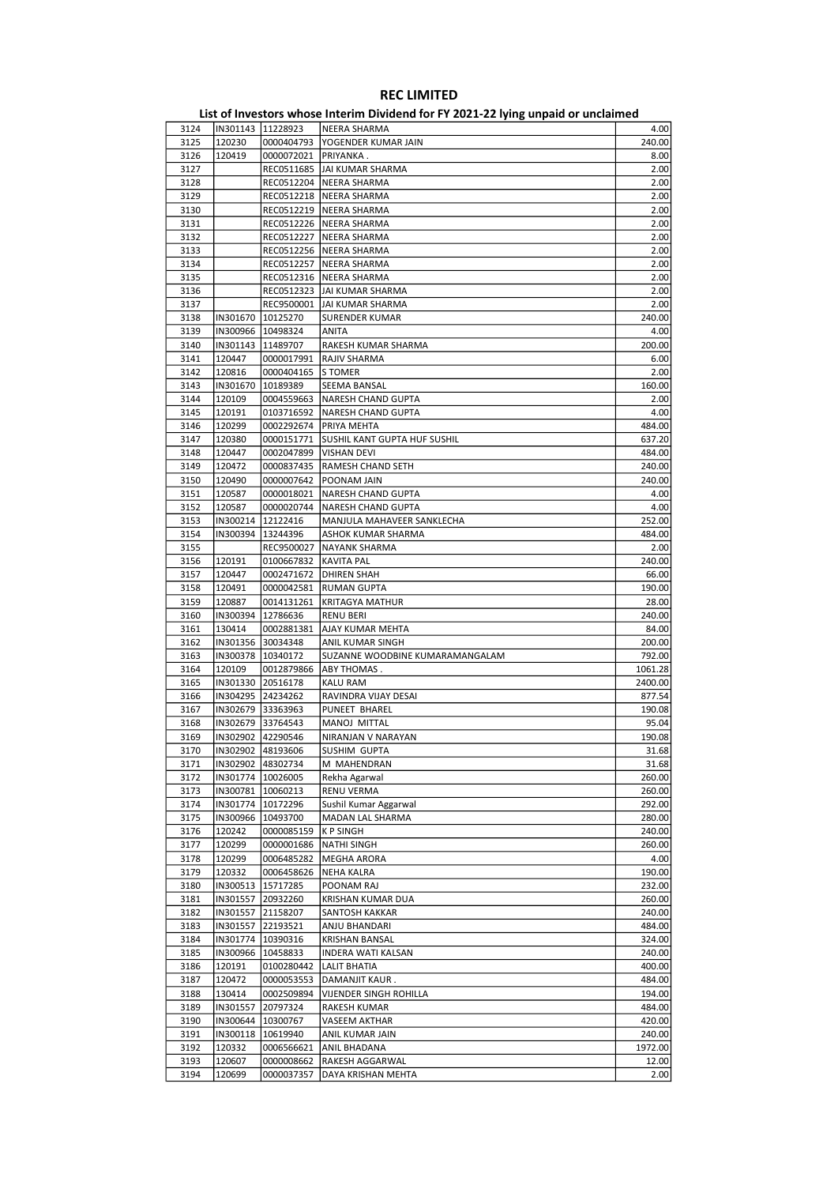| 3124         | IN301143   11228923 |                          | NEERA SHARMA                          | 4.00          |
|--------------|---------------------|--------------------------|---------------------------------------|---------------|
| 3125         | 120230              | 0000404793               | YOGENDER KUMAR JAIN                   | 240.00        |
| 3126         | 120419              | 0000072021               | PRIYANKA .                            | 8.00          |
| 3127         |                     |                          | REC0511685   JAI KUMAR SHARMA         | 2.00          |
|              |                     |                          |                                       |               |
| 3128         |                     |                          | REC0512204   NEERA SHARMA             | 2.00          |
| 3129         |                     |                          | REC0512218   NEERA SHARMA             | 2.00          |
| 3130         |                     |                          | REC0512219   NEERA SHARMA             | 2.00          |
|              |                     |                          |                                       |               |
| 3131         |                     |                          | REC0512226   NEERA SHARMA             | 2.00          |
| 3132         |                     | REC0512227               | NEERA SHARMA                          | 2.00          |
| 3133         |                     |                          | REC0512256   NEERA SHARMA             | 2.00          |
|              |                     |                          |                                       |               |
| 3134         |                     |                          | REC0512257   NEERA SHARMA             | 2.00          |
| 3135         |                     |                          | REC0512316   NEERA SHARMA             | 2.00          |
| 3136         |                     |                          | REC0512323 JJAI KUMAR SHARMA          | 2.00          |
|              |                     |                          |                                       |               |
| 3137         |                     |                          | REC9500001   JAI KUMAR SHARMA         | 2.00          |
| 3138         |                     | IN301670   10125270      | <b>SURENDER KUMAR</b>                 | 240.00        |
|              |                     |                          |                                       |               |
| 3139         |                     | IN300966   10498324      | ANITA                                 | 4.00          |
| 3140         |                     | IN301143   11489707      | RAKESH KUMAR SHARMA                   | 200.00        |
| 3141         | 120447              | 0000017991               | <b>RAJIV SHARMA</b>                   | 6.00          |
|              |                     |                          |                                       |               |
| 3142         | 120816              | 0000404165               | S TOMER                               | 2.00          |
| 3143         |                     | IN301670   10189389      | SEEMA BANSAL                          | 160.00        |
| 3144         | 120109              | 0004559663               | <b>NARESH CHAND GUPTA</b>             | 2.00          |
|              |                     |                          |                                       |               |
| 3145         | 120191              | 0103716592               | <b>NARESH CHAND GUPTA</b>             | 4.00          |
| 3146         | 120299              | 0002292674               | PRIYA MEHTA                           | 484.00        |
| 3147         | 120380              | 0000151771               | SUSHIL KANT GUPTA HUF SUSHIL          | 637.20        |
|              |                     |                          |                                       |               |
| 3148         | 120447              |                          | 0002047899   VISHAN DEVI              | 484.00        |
| 3149         | 120472              | 0000837435               | RAMESH CHAND SETH                     | 240.00        |
| 3150         | 120490              | 0000007642               | POONAM JAIN                           | 240.00        |
|              |                     |                          |                                       |               |
| 3151         | 120587              | 0000018021               | <b>NARESH CHAND GUPTA</b>             | 4.00          |
| 3152         | 120587              | 0000020744               | NARESH CHAND GUPTA                    | 4.00          |
| 3153         |                     | IN300214   12122416      | MANJULA MAHAVEER SANKLECHA            | 252.00        |
|              |                     |                          |                                       |               |
| 3154         | IN300394   13244396 |                          | ASHOK KUMAR SHARMA                    | 484.00        |
| 3155         |                     | REC9500027               | NAYANK SHARMA                         | 2.00          |
|              |                     |                          |                                       | 240.00        |
| 3156         | 120191              | 0100667832               | <b>KAVITA PAL</b>                     |               |
| 3157         | 120447              | 0002471672               | <b>DHIREN SHAH</b>                    | 66.00         |
| 3158         | 120491              | 0000042581               | <b>RUMAN GUPTA</b>                    | 190.00        |
|              |                     |                          |                                       |               |
| 3159         | 120887              | 0014131261               | <b>KRITAGYA MATHUR</b>                | 28.00         |
| 3160         |                     | IN300394   12786636      | RENU BERI                             | 240.00        |
| 3161         | 130414              | 0002881381               | AJAY KUMAR MEHTA                      | 84.00         |
|              |                     |                          |                                       |               |
| 3162         |                     | IN301356 30034348        | ANIL KUMAR SINGH                      | 200.00        |
| 3163         |                     | IN300378   10340172      | SUZANNE WOODBINE KUMARAMANGALAM       | 792.00        |
| 3164         | 120109              | 0012879866               | ABY THOMAS.                           | 1061.28       |
|              |                     |                          |                                       |               |
| 3165         |                     | IN301330 20516178        | KALU RAM                              | 2400.00       |
| 3166         |                     | IN304295 24234262        | RAVINDRA VIJAY DESAI                  | 877.54        |
| 3167         | IN302679 33363963   |                          | PUNEET BHAREL                         | 190.08        |
|              |                     |                          |                                       |               |
| 3168         |                     | IN302679 33764543        | MANOJ MITTAL                          | 95.04         |
| 3169         | IN302902 42290546   |                          | NIRANJAN V NARAYAN                    | 190.08        |
| 3170         | IN302902 48193606   |                          | <b>SUSHIM GUPTA</b>                   | 31.68         |
|              |                     |                          |                                       |               |
| 3171         | IN302902 48302734   |                          | M MAHENDRAN                           | 31.68         |
| 3172         |                     | IN301774   10026005      | Rekha Agarwal                         | 260.00        |
|              |                     |                          |                                       |               |
| 3173         |                     | IN300781 10060213        | RENU VERMA                            | 260.00        |
| 3174         |                     | IN301774 10172296        | Sushil Kumar Aggarwal                 | 292.00        |
| 3175         |                     | IN300966   10493700      | MADAN LAL SHARMA                      | 280.00        |
|              |                     | 0000085159               | <b>KPSINGH</b>                        | 240.00        |
| 3176         | 120242              |                          |                                       |               |
| 3177         | 120299              | 0000001686               | <b>NATHI SINGH</b>                    | 260.00        |
| 3178         | 120299              | 0006485282               | MEGHA ARORA                           | 4.00          |
|              |                     |                          |                                       |               |
| 3179         | 120332              | 0006458626               | <b>NEHA KALRA</b>                     | 190.00        |
| 3180         | IN300513 15717285   |                          | POONAM RAJ                            | 232.00        |
| 3181         |                     | IN301557 20932260        | KRISHAN KUMAR DUA                     | 260.00        |
|              |                     |                          |                                       |               |
| 3182         | IN301557            | 21158207                 | SANTOSH KAKKAR                        | 240.00        |
| 3183         |                     | IN301557 22193521        | ANJU BHANDARI                         | 484.00        |
| 3184         |                     | IN301774   10390316      | KRISHAN BANSAL                        | 324.00        |
|              |                     |                          |                                       |               |
| 3185         |                     | IN300966   10458833      | INDERA WATI KALSAN                    | 240.00        |
| 3186         | 120191              | 0100280442               | <b>LALIT BHATIA</b>                   | 400.00        |
| 3187         | 120472              | 0000053553               | DAMANJIT KAUR.                        | 484.00        |
|              |                     |                          |                                       |               |
| 3188         | 130414              | 0002509894               | VIJENDER SINGH ROHILLA                | 194.00        |
| 3189         |                     | IN301557 20797324        | RAKESH KUMAR                          | 484.00        |
| 3190         |                     | IN300644   10300767      | VASEEM AKTHAR                         | 420.00        |
|              |                     |                          |                                       |               |
|              |                     |                          |                                       |               |
| 3191         | IN300118            | 10619940                 | ANIL KUMAR JAIN                       | 240.00        |
| 3192         | 120332              | 0006566621               | ANIL BHADANA                          | 1972.00       |
|              |                     |                          |                                       |               |
| 3193<br>3194 | 120607<br>120699    | 0000008662<br>0000037357 | RAKESH AGGARWAL<br>DAYA KRISHAN MEHTA | 12.00<br>2.00 |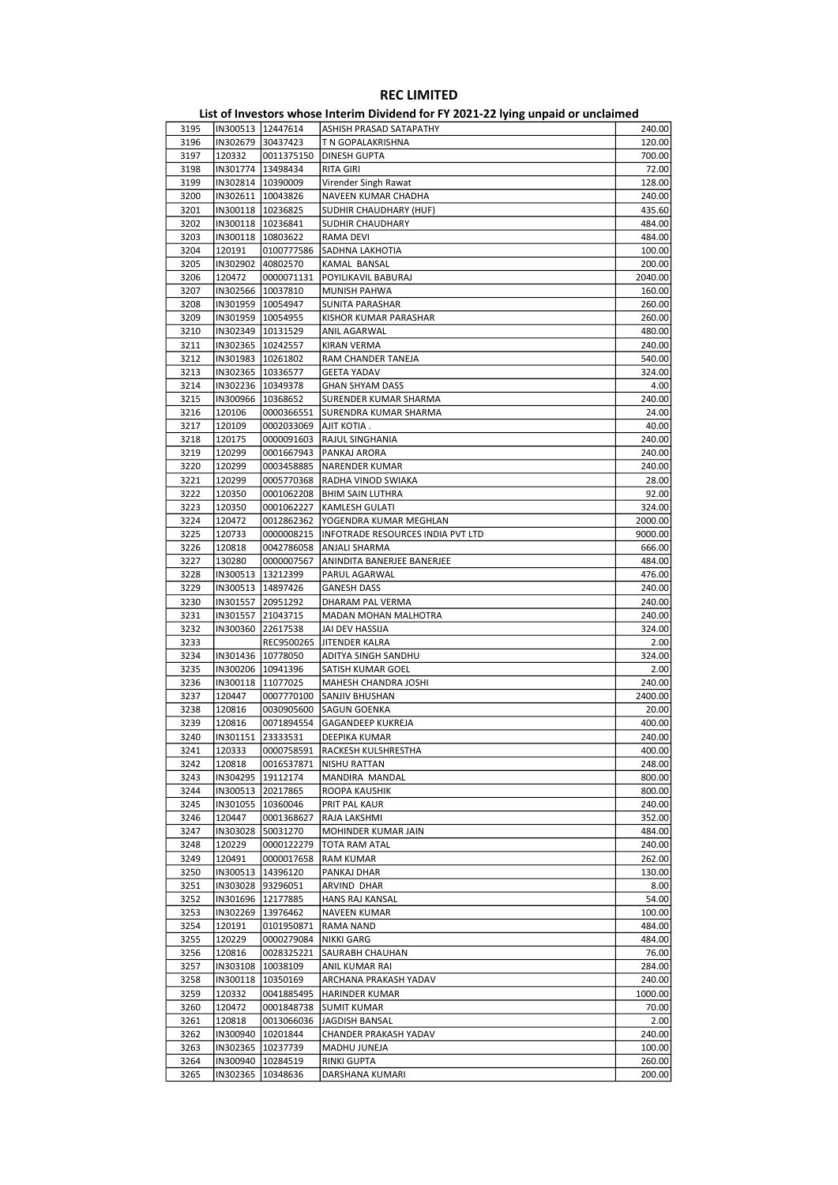| 3195 | IN300513   12447614 |                     | ASHISH PRASAD SATAPATHY           | 240.00  |
|------|---------------------|---------------------|-----------------------------------|---------|
| 3196 |                     | IN302679 30437423   | T N GOPALAKRISHNA                 | 120.00  |
| 3197 | 120332              | 0011375150          | DINESH GUPTA                      | 700.00  |
| 3198 |                     | IN301774   13498434 | <b>RITA GIRI</b>                  | 72.00   |
|      |                     |                     |                                   |         |
| 3199 |                     | IN302814   10390009 | Virender Singh Rawat              | 128.00  |
| 3200 |                     | IN302611   10043826 | NAVEEN KUMAR CHADHA               | 240.00  |
| 3201 | IN300118   10236825 |                     | SUDHIR CHAUDHARY (HUF)            | 435.60  |
| 3202 | IN300118   10236841 |                     | SUDHIR CHAUDHARY                  | 484.00  |
| 3203 | IN300118   10803622 |                     | RAMA DEVI                         | 484.00  |
| 3204 | 120191              | 0100777586          | SADHNA LAKHOTIA                   | 100.00  |
|      |                     |                     |                                   |         |
| 3205 | IN302902 40802570   |                     | KAMAL BANSAL                      | 200.00  |
| 3206 | 120472              | 0000071131          | POYILIKAVIL BABURAJ               | 2040.00 |
| 3207 | IN302566   10037810 |                     | <b>MUNISH PAHWA</b>               | 160.00  |
| 3208 | IN301959   10054947 |                     | SUNITA PARASHAR                   | 260.00  |
| 3209 |                     | IN301959   10054955 | KISHOR KUMAR PARASHAR             | 260.00  |
|      |                     |                     |                                   |         |
| 3210 | IN302349   10131529 |                     | ANIL AGARWAL                      | 480.00  |
| 3211 | IN302365   10242557 |                     | KIRAN VERMA                       | 240.00  |
| 3212 | IN301983   10261802 |                     | RAM CHANDER TANEJA                | 540.00  |
| 3213 | IN302365   10336577 |                     | <b>GEETA YADAV</b>                | 324.00  |
| 3214 |                     | IN302236 10349378   | <b>GHAN SHYAM DASS</b>            | 4.00    |
|      |                     |                     |                                   |         |
| 3215 | IN300966 10368652   |                     | SURENDER KUMAR SHARMA             | 240.00  |
| 3216 | 120106              | 0000366551          | SURENDRA KUMAR SHARMA             | 24.00   |
| 3217 | 120109              | 0002033069          | AJIT KOTIA.                       | 40.00   |
| 3218 | 120175              | 0000091603          | RAJUL SINGHANIA                   | 240.00  |
| 3219 | 120299              |                     | 0001667943   PANKAJ ARORA         | 240.00  |
|      |                     |                     |                                   |         |
| 3220 | 120299              | 0003458885          | NARENDER KUMAR                    | 240.00  |
| 3221 | 120299              | 0005770368          | RADHA VINOD SWIAKA                | 28.00   |
| 3222 | 120350              | 0001062208          | <b>BHIM SAIN LUTHRA</b>           | 92.00   |
| 3223 | 120350              | 0001062227          | <b>KAMLESH GULATI</b>             | 324.00  |
| 3224 | 120472              | 0012862362          | YOGENDRA KUMAR MEGHLAN            | 2000.00 |
|      |                     |                     |                                   |         |
| 3225 | 120733              | 0000008215          | INFOTRADE RESOURCES INDIA PVT LTD | 9000.00 |
| 3226 | 120818              | 0042786058          | ANJALI SHARMA                     | 666.00  |
| 3227 | 130280              | 0000007567          | ANINDITA BANERJEE BANERJEE        | 484.00  |
| 3228 |                     | IN300513 13212399   | PARUL AGARWAL                     | 476.00  |
| 3229 |                     | IN300513   14897426 | <b>GANESH DASS</b>                | 240.00  |
|      |                     |                     |                                   |         |
| 3230 |                     | IN301557 20951292   | DHARAM PAL VERMA                  | 240.00  |
| 3231 | IN301557 21043715   |                     | MADAN MOHAN MALHOTRA              | 240.00  |
| 3232 |                     | IN300360 22617538   | JAI DEV HASSIJA                   | 324.00  |
| 3233 |                     | REC9500265          | JITENDER KALRA                    | 2.00    |
| 3234 |                     | IN301436 10778050   | ADITYA SINGH SANDHU               | 324.00  |
|      |                     |                     |                                   |         |
| 3235 |                     | IN300206   10941396 | SATISH KUMAR GOEL                 | 2.00    |
| 3236 | IN300118   11077025 |                     | MAHESH CHANDRA JOSHI              | 240.00  |
| 3237 | 120447              | 0007770100          | SANJIV BHUSHAN                    | 2400.00 |
| 3238 | 120816              | 0030905600          | <b>SAGUN GOENKA</b>               | 20.00   |
| 3239 | 120816              | 0071894554          | <b>GAGANDEEP KUKREJA</b>          | 400.00  |
|      |                     |                     |                                   |         |
| 3240 |                     | IN301151 23333531   | DEEPIKA KUMAR                     | 240.00  |
| 3241 |                     |                     |                                   | 400.00  |
| 3242 | 120818              | 0016537871          | NISHU RATTAN                      | 248.00  |
| 3243 |                     | IN304295   19112174 | MANDIRA MANDAL                    | 800.00  |
| 3244 |                     | IN300513 20217865   | ROOPA KAUSHIK                     | 800.00  |
|      |                     | IN301055 10360046   | PRIT PAL KAUR                     | 240.00  |
| 3245 |                     |                     |                                   |         |
| 3246 | 120447              | 0001368627          | RAJA LAKSHMI                      | 352.00  |
| 3247 | IN303028            | 50031270            | MOHINDER KUMAR JAIN               | 484.00  |
| 3248 | 120229              | 0000122279          | TOTA RAM ATAL                     | 240.00  |
| 3249 | 120491              | 0000017658          | RAM KUMAR                         | 262.00  |
|      |                     | IN300513 14396120   |                                   |         |
| 3250 |                     |                     | PANKAJ DHAR                       | 130.00  |
| 3251 |                     | IN303028 93296051   | ARVIND DHAR                       | 8.00    |
| 3252 |                     | IN301696 12177885   | HANS RAJ KANSAL                   | 54.00   |
| 3253 |                     | IN302269 13976462   | NAVEEN KUMAR                      | 100.00  |
| 3254 | 120191              | 0101950871          | RAMA NAND                         | 484.00  |
|      |                     |                     |                                   | 484.00  |
| 3255 | 120229              | 0000279084          | NIKKI GARG                        |         |
| 3256 | 120816              | 0028325221          | SAURABH CHAUHAN                   | 76.00   |
| 3257 | IN303108            | 10038109            | ANIL KUMAR RAI                    | 284.00  |
| 3258 |                     | IN300118   10350169 | ARCHANA PRAKASH YADAV             | 240.00  |
| 3259 | 120332              | 0041885495          | HARINDER KUMAR                    | 1000.00 |
|      |                     |                     |                                   | 70.00   |
| 3260 | 120472              | 0001848738          | <b>SUMIT KUMAR</b>                |         |
| 3261 | 120818              | 0013066036          | JAGDISH BANSAL                    | 2.00    |
| 3262 |                     | IN300940   10201844 | CHANDER PRAKASH YADAV             | 240.00  |
| 3263 |                     | IN302365   10237739 | MADHU JUNEJA                      | 100.00  |
| 3264 |                     | IN300940   10284519 | RINKI GUPTA                       | 260.00  |
|      |                     |                     |                                   | 200.00  |
| 3265 |                     | IN302365   10348636 | DARSHANA KUMARI                   |         |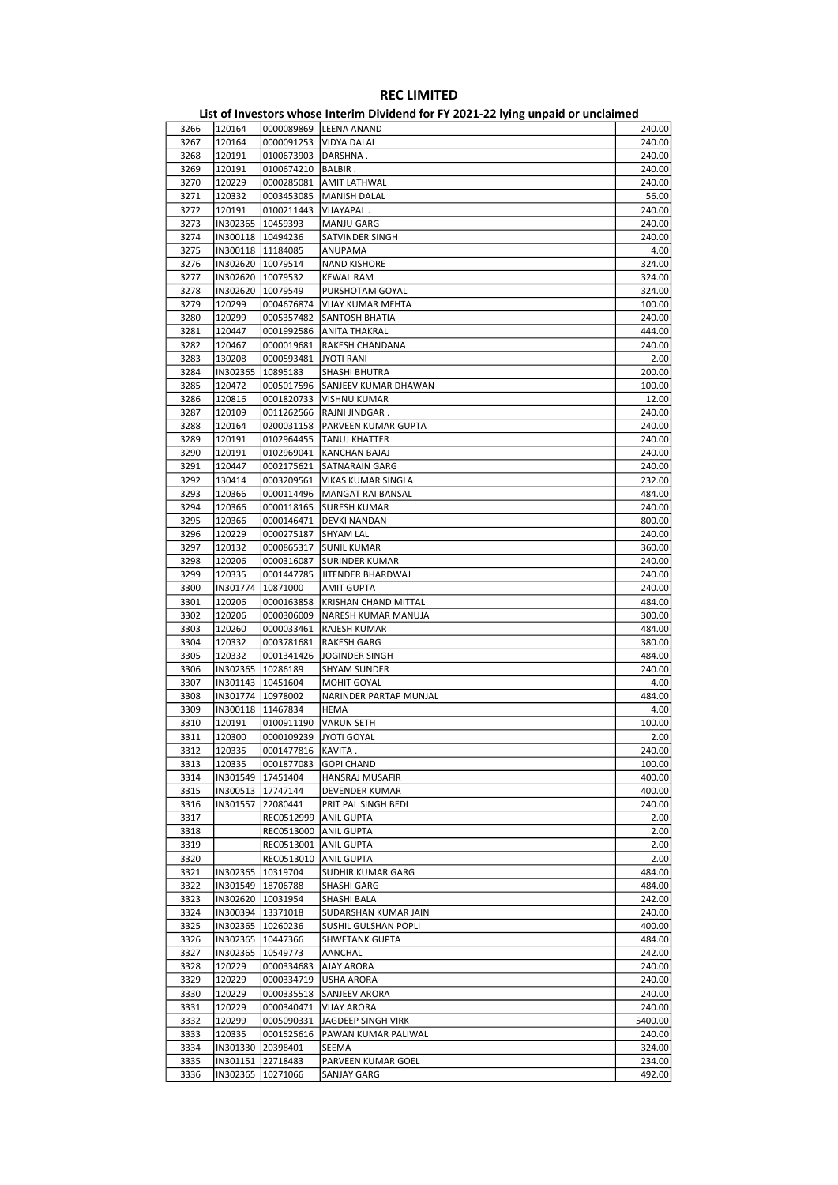|      |          |                         | EIST OF INVESTORS WHOSE HITCHINI DIVIDEND TOFF F ZOZI-ZZ TYING UIIPOID OF UNCIDINED |         |
|------|----------|-------------------------|-------------------------------------------------------------------------------------|---------|
| 3266 | 120164   |                         | 0000089869   LEENA ANAND                                                            | 240.00  |
| 3267 | 120164   | 0000091253              | <b>VIDYA DALAL</b>                                                                  | 240.00  |
| 3268 | 120191   | 0100673903   DARSHNA.   |                                                                                     | 240.00  |
| 3269 | 120191   | 0100674210   BALBIR.    |                                                                                     | 240.00  |
| 3270 | 120229   | 0000285081              | <b>AMIT LATHWAL</b>                                                                 | 240.00  |
|      |          | 0003453085              |                                                                                     |         |
| 3271 | 120332   |                         | <b>MANISH DALAL</b>                                                                 | 56.00   |
| 3272 | 120191   | 0100211443              | VIJAYAPAL.                                                                          | 240.00  |
| 3273 | IN302365 | 10459393                | MANJU GARG                                                                          | 240.00  |
| 3274 |          | IN300118   10494236     | SATVINDER SINGH                                                                     | 240.00  |
| 3275 |          | IN300118   11184085     | ANUPAMA                                                                             | 4.00    |
| 3276 |          | IN302620 10079514       | <b>NAND KISHORE</b>                                                                 | 324.00  |
| 3277 |          | IN302620 10079532       | KEWAL RAM                                                                           | 324.00  |
| 3278 | IN302620 | 10079549                | PURSHOTAM GOYAL                                                                     | 324.00  |
| 3279 | 120299   | 0004676874              | VIJAY KUMAR MEHTA                                                                   | 100.00  |
| 3280 | 120299   | 0005357482              | SANTOSH BHATIA                                                                      | 240.00  |
|      |          |                         |                                                                                     |         |
| 3281 | 120447   | 0001992586              | <b>ANITA THAKRAL</b>                                                                | 444.00  |
| 3282 | 120467   | 0000019681              | RAKESH CHANDANA                                                                     | 240.00  |
| 3283 | 130208   | 0000593481              | JYOTI RANI                                                                          | 2.00    |
| 3284 | IN302365 | 10895183                | SHASHI BHUTRA                                                                       | 200.00  |
| 3285 | 120472   | 0005017596              | SANJEEV KUMAR DHAWAN                                                                | 100.00  |
| 3286 | 120816   | 0001820733              | VISHNU KUMAR                                                                        | 12.00   |
| 3287 | 120109   | 0011262566              | RAJNI JINDGAR.                                                                      | 240.00  |
| 3288 | 120164   | 0200031158              | PARVEEN KUMAR GUPTA                                                                 | 240.00  |
| 3289 | 120191   | 0102964455              | <b>TANUJ KHATTER</b>                                                                | 240.00  |
| 3290 |          |                         | KANCHAN BAJAJ                                                                       |         |
|      | 120191   | 0102969041              |                                                                                     | 240.00  |
| 3291 | 120447   | 0002175621              | <b>SATNARAIN GARG</b>                                                               | 240.00  |
| 3292 | 130414   | 0003209561              | VIKAS KUMAR SINGLA                                                                  | 232.00  |
| 3293 | 120366   | 0000114496              | MANGAT RAI BANSAL                                                                   | 484.00  |
| 3294 | 120366   | 0000118165              | <b>SURESH KUMAR</b>                                                                 | 240.00  |
| 3295 | 120366   | 0000146471              | <b>DEVKI NANDAN</b>                                                                 | 800.00  |
| 3296 | 120229   | 0000275187              | <b>SHYAM LAL</b>                                                                    | 240.00  |
| 3297 | 120132   | 0000865317              | <b>SUNIL KUMAR</b>                                                                  | 360.00  |
| 3298 | 120206   | 0000316087              | <b>SURINDER KUMAR</b>                                                               | 240.00  |
| 3299 | 120335   | 0001447785              | JITENDER BHARDWAJ                                                                   | 240.00  |
| 3300 | IN301774 | 10871000                | AMIT GUPTA                                                                          | 240.00  |
|      |          |                         |                                                                                     |         |
| 3301 | 120206   | 0000163858              | KRISHAN CHAND MITTAL                                                                | 484.00  |
| 3302 | 120206   | 0000306009              | NARESH KUMAR MANUJA                                                                 | 300.00  |
| 3303 | 120260   | 0000033461              | <b>RAJESH KUMAR</b>                                                                 | 484.00  |
| 3304 | 120332   | 0003781681              | <b>RAKESH GARG</b>                                                                  | 380.00  |
| 3305 | 120332   | 0001341426              | JOGINDER SINGH                                                                      | 484.00  |
| 3306 |          | IN302365   10286189     | <b>SHYAM SUNDER</b>                                                                 | 240.00  |
| 3307 |          | IN301143   10451604     | MOHIT GOYAL                                                                         | 4.00    |
| 3308 |          | IN301774   10978002     | NARINDER PARTAP MUNJAL                                                              | 484.00  |
| 3309 | IN300118 | 11467834                | HEMA                                                                                | 4.00    |
| 3310 | 120191   | 0100911190              | <b>VARUN SETH</b>                                                                   | 100.00  |
|      |          |                         |                                                                                     |         |
| 3311 | 120300   | 0000109239              | JYOTI GOYAL                                                                         | 2.00    |
| 3312 | 120335   | 0001477816   KAVITA.    |                                                                                     | 240.00  |
| 3313 | 120335   | 0001877083              | GOPI CHAND                                                                          | 100.00  |
| 3314 | IN301549 | 17451404                | HANSRAJ MUSAFIR                                                                     | 400.00  |
| 3315 |          | IN300513 17747144       | DEVENDER KUMAR                                                                      | 400.00  |
| 3316 | IN301557 | 22080441                | PRIT PAL SINGH BEDI                                                                 | 240.00  |
| 3317 |          | REC0512999   ANIL GUPTA |                                                                                     | 2.00    |
| 3318 |          | REC0513000 ANIL GUPTA   |                                                                                     | 2.00    |
| 3319 |          | REC0513001              | <b>ANIL GUPTA</b>                                                                   | 2.00    |
| 3320 |          | REC0513010              | ANIL GUPTA                                                                          | 2.00    |
| 3321 |          |                         | SUDHIR KUMAR GARG                                                                   | 484.00  |
|      |          | IN302365 10319704       |                                                                                     |         |
| 3322 |          | IN301549 18706788       | <b>SHASHI GARG</b>                                                                  | 484.00  |
| 3323 |          | IN302620 10031954       | SHASHI BALA                                                                         | 242.00  |
| 3324 |          | IN300394 13371018       | SUDARSHAN KUMAR JAIN                                                                | 240.00  |
| 3325 |          | IN302365   10260236     | SUSHIL GULSHAN POPLI                                                                | 400.00  |
| 3326 |          | IN302365 10447366       | SHWETANK GUPTA                                                                      | 484.00  |
| 3327 |          | IN302365 10549773       | AANCHAL                                                                             | 242.00  |
| 3328 | 120229   | 0000334683              | <b>AJAY ARORA</b>                                                                   | 240.00  |
| 3329 | 120229   | 0000334719              | <b>USHA ARORA</b>                                                                   | 240.00  |
| 3330 | 120229   | 0000335518              | SANJEEV ARORA                                                                       | 240.00  |
| 3331 | 120229   | 0000340471              | <b>VIJAY ARORA</b>                                                                  | 240.00  |
|      |          |                         |                                                                                     |         |
| 3332 | 120299   | 0005090331              | JAGDEEP SINGH VIRK                                                                  | 5400.00 |
| 3333 | 120335   | 0001525616              | PAWAN KUMAR PALIWAL                                                                 | 240.00  |
| 3334 | IN301330 | 20398401                | SEEMA                                                                               | 324.00  |
| 3335 | IN301151 | 22718483                | PARVEEN KUMAR GOEL                                                                  | 234.00  |
| 3336 | IN302365 | 10271066                | <b>SANJAY GARG</b>                                                                  | 492.00  |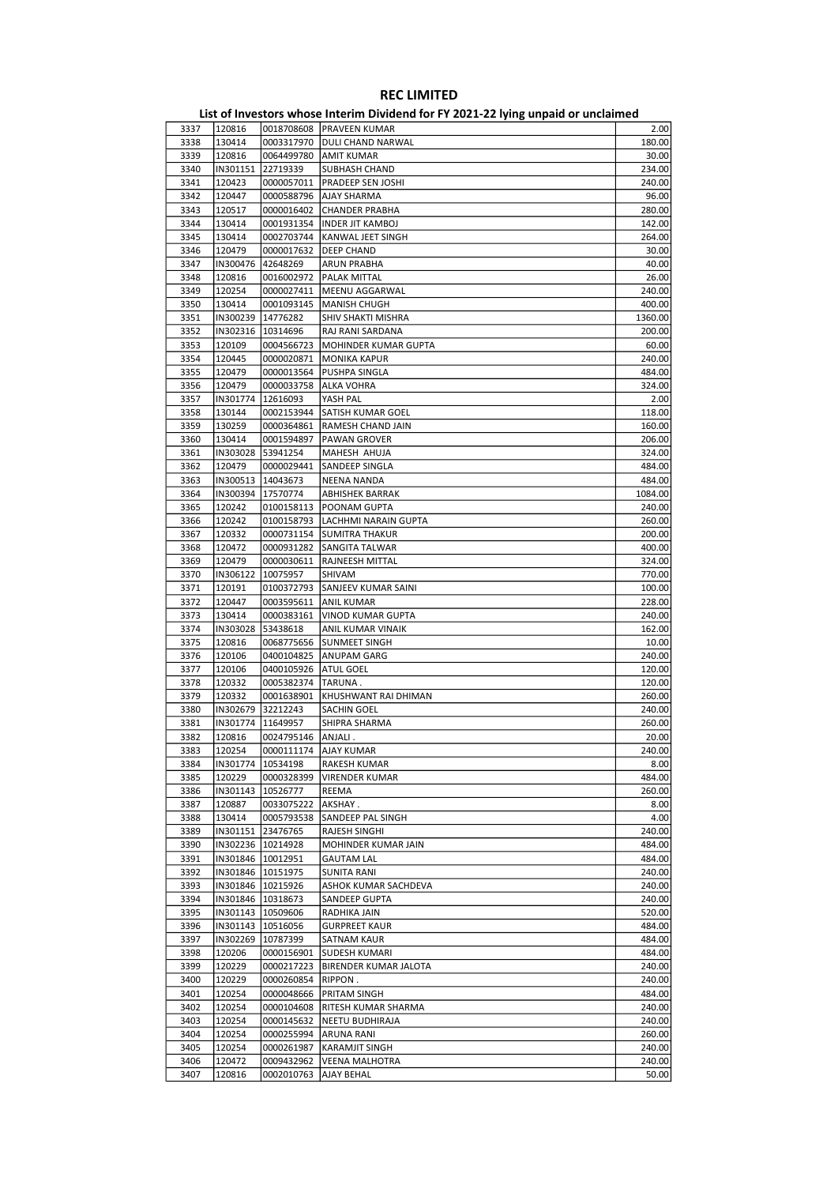| 3337 | 120816   |                     | 0018708608 PRAVEEN KUMAR | 2.00    |
|------|----------|---------------------|--------------------------|---------|
| 3338 | 130414   | 0003317970          | DULI CHAND NARWAL        | 180.00  |
| 3339 | 120816   | 0064499780          | <b>AMIT KUMAR</b>        | 30.00   |
| 3340 | IN301151 | 22719339            | <b>SUBHASH CHAND</b>     | 234.00  |
| 3341 | 120423   |                     |                          | 240.00  |
|      |          | 0000057011          | PRADEEP SEN JOSHI        |         |
| 3342 | 120447   | 0000588796          | AJAY SHARMA              | 96.00   |
| 3343 | 120517   | 0000016402          | <b>CHANDER PRABHA</b>    | 280.00  |
| 3344 | 130414   | 0001931354          | <b>INDER JIT KAMBOJ</b>  | 142.00  |
| 3345 | 130414   | 0002703744          | KANWAL JEET SINGH        | 264.00  |
| 3346 | 120479   | 0000017632          | <b>DEEP CHAND</b>        | 30.00   |
| 3347 | IN300476 | 42648269            | <b>ARUN PRABHA</b>       | 40.00   |
| 3348 | 120816   | 0016002972          | PALAK MITTAL             | 26.00   |
| 3349 | 120254   |                     |                          | 240.00  |
|      |          | 0000027411          | MEENU AGGARWAL           |         |
| 3350 | 130414   | 0001093145          | <b>MANISH CHUGH</b>      | 400.00  |
| 3351 | IN300239 | 14776282            | SHIV SHAKTI MISHRA       | 1360.00 |
| 3352 |          | IN302316   10314696 | RAJ RANI SARDANA         | 200.00  |
| 3353 | 120109   | 0004566723          | MOHINDER KUMAR GUPTA     | 60.00   |
| 3354 | 120445   | 0000020871          | <b>MONIKA KAPUR</b>      | 240.00  |
| 3355 | 120479   | 0000013564          | PUSHPA SINGLA            | 484.00  |
| 3356 | 120479   | 0000033758          | ALKA VOHRA               | 324.00  |
|      |          |                     |                          | 2.00    |
| 3357 | IN301774 | 12616093            | YASH PAL                 |         |
| 3358 | 130144   | 0002153944          | SATISH KUMAR GOEL        | 118.00  |
| 3359 | 130259   | 0000364861          | RAMESH CHAND JAIN        | 160.00  |
| 3360 | 130414   | 0001594897          | <b>PAWAN GROVER</b>      | 206.00  |
| 3361 | IN303028 | 53941254            | MAHESH AHUJA             | 324.00  |
| 3362 | 120479   | 0000029441          | SANDEEP SINGLA           | 484.00  |
| 3363 | IN300513 | 14043673            | <b>NEENA NANDA</b>       | 484.00  |
| 3364 |          | IN300394 17570774   | ABHISHEK BARRAK          | 1084.00 |
|      |          |                     |                          |         |
| 3365 | 120242   | 0100158113          | POONAM GUPTA             | 240.00  |
| 3366 | 120242   | 0100158793          | LACHHMI NARAIN GUPTA     | 260.00  |
| 3367 | 120332   | 0000731154          | <b>SUMITRA THAKUR</b>    | 200.00  |
| 3368 | 120472   | 0000931282          | SANGITA TALWAR           | 400.00  |
| 3369 | 120479   | 0000030611          | <b>RAJNEESH MITTAL</b>   | 324.00  |
| 3370 | IN306122 | 10075957            | SHIVAM                   | 770.00  |
| 3371 | 120191   | 0100372793          | SANJEEV KUMAR SAINI      | 100.00  |
| 3372 | 120447   | 0003595611          | <b>ANIL KUMAR</b>        | 228.00  |
|      |          |                     |                          |         |
| 3373 | 130414   | 0000383161          | VINOD KUMAR GUPTA        | 240.00  |
| 3374 | IN303028 | 53438618            | ANIL KUMAR VINAIK        | 162.00  |
| 3375 | 120816   | 0068775656          | <b>SUNMEET SINGH</b>     | 10.00   |
| 3376 | 120106   | 0400104825          | ANUPAM GARG              | 240.00  |
| 3377 | 120106   | 0400105926          | <b>ATUL GOEL</b>         | 120.00  |
| 3378 | 120332   | 0005382374          | TARUNA.                  | 120.00  |
| 3379 | 120332   | 0001638901          | KHUSHWANT RAI DHIMAN     | 260.00  |
| 3380 |          | IN302679 32212243   | SACHIN GOEL              | 240.00  |
|      |          |                     |                          |         |
| 3381 |          | IN301774   11649957 | SHIPRA SHARMA            | 260.00  |
| 3382 | 120816   | 0024795146          | ANJALI.                  | 20.00   |
| 3383 | 120254   |                     | 0000111174  AJAY KUMAR   | 240.00  |
| 3384 |          | IN301774   10534198 | RAKESH KUMAR             | 8.00    |
| 3385 | 120229   | 0000328399          | VIRENDER KUMAR           | 484.00  |
| 3386 | IN301143 | 10526777            | REEMA                    | 260.00  |
| 3387 | 120887   | 0033075222          | AKSHAY.                  | 8.00    |
| 3388 | 130414   | 0005793538          | SANDEEP PAL SINGH        | 4.00    |
|      |          |                     |                          |         |
| 3389 |          | IN301151 23476765   | RAJESH SINGHI            | 240.00  |
| 3390 |          | IN302236 10214928   | MOHINDER KUMAR JAIN      | 484.00  |
| 3391 |          | IN301846   10012951 | <b>GAUTAM LAL</b>        | 484.00  |
| 3392 |          | IN301846   10151975 | <b>SUNITA RANI</b>       | 240.00  |
| 3393 |          | IN301846   10215926 | ASHOK KUMAR SACHDEVA     | 240.00  |
| 3394 |          | IN301846   10318673 | SANDEEP GUPTA            | 240.00  |
| 3395 |          | IN301143   10509606 | RADHIKA JAIN             | 520.00  |
| 3396 |          | IN301143   10516056 | <b>GURPREET KAUR</b>     | 484.00  |
| 3397 | IN302269 | 10787399            | SATNAM KAUR              | 484.00  |
|      |          |                     |                          |         |
| 3398 | 120206   | 0000156901          | <b>SUDESH KUMARI</b>     | 484.00  |
| 3399 | 120229   | 0000217223          | BIRENDER KUMAR JALOTA    | 240.00  |
| 3400 | 120229   | 0000260854          | RIPPON.                  | 240.00  |
| 3401 | 120254   | 0000048666          | PRITAM SINGH             | 484.00  |
| 3402 | 120254   | 0000104608          | RITESH KUMAR SHARMA      | 240.00  |
| 3403 | 120254   | 0000145632          | NEETU BUDHIRAJA          | 240.00  |
| 3404 | 120254   | 0000255994          | <b>ARUNA RANI</b>        | 260.00  |
|      |          |                     |                          |         |
| 3405 | 120254   | 0000261987          | <b>KARAMJIT SINGH</b>    | 240.00  |
| 3406 | 120472   | 0009432962          | <b>VEENA MALHOTRA</b>    | 240.00  |
| 3407 | 120816   | 0002010763          | AJAY BEHAL               | 50.00   |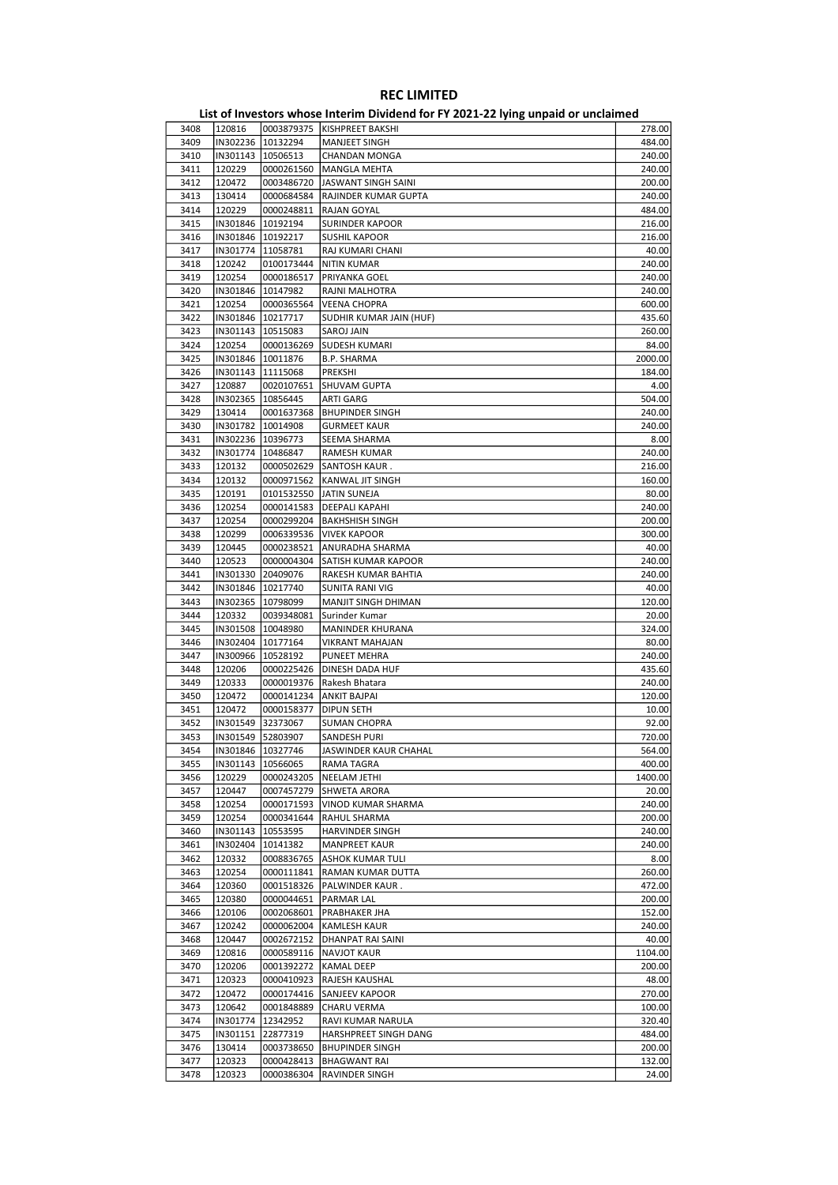|      |                     |                     | <b>EDGO: INVESTORS WHOSE INTERNATIONAL TO THE ESEX LETTING WILDRICK OF MINORITICS</b> |         |
|------|---------------------|---------------------|---------------------------------------------------------------------------------------|---------|
| 3408 | 120816              |                     | 0003879375  KISHPREET BAKSHI                                                          | 278.00  |
| 3409 |                     | IN302236 10132294   | MANJEET SINGH                                                                         | 484.00  |
|      |                     |                     |                                                                                       |         |
| 3410 | IN301143   10506513 |                     | CHANDAN MONGA                                                                         | 240.00  |
| 3411 | 120229              | 0000261560          | MANGLA MEHTA                                                                          | 240.00  |
| 3412 | 120472              | 0003486720          | JASWANT SINGH SAINI                                                                   | 200.00  |
| 3413 | 130414              | 0000684584          | RAJINDER KUMAR GUPTA                                                                  | 240.00  |
| 3414 | 120229              | 0000248811          | RAJAN GOYAL                                                                           | 484.00  |
|      |                     |                     |                                                                                       |         |
| 3415 | IN301846   10192194 |                     | <b>SURINDER KAPOOR</b>                                                                | 216.00  |
| 3416 |                     | IN301846 10192217   | <b>SUSHIL KAPOOR</b>                                                                  | 216.00  |
| 3417 | IN301774   11058781 |                     | RAJ KUMARI CHANI                                                                      | 40.00   |
| 3418 | 120242              | 0100173444          |                                                                                       | 240.00  |
|      |                     |                     | NITIN KUMAR                                                                           |         |
| 3419 | 120254              | 0000186517          | PRIYANKA GOEL                                                                         | 240.00  |
| 3420 | IN301846   10147982 |                     | RAJNI MALHOTRA                                                                        | 240.00  |
| 3421 | 120254              | 0000365564          | <b>VEENA CHOPRA</b>                                                                   | 600.00  |
| 3422 |                     | IN301846   10217717 |                                                                                       | 435.60  |
|      |                     |                     | SUDHIR KUMAR JAIN (HUF)                                                               |         |
| 3423 | IN301143   10515083 |                     | SAROJ JAIN                                                                            | 260.00  |
| 3424 | 120254              | 0000136269          | <b>SUDESH KUMARI</b>                                                                  | 84.00   |
| 3425 | IN301846   10011876 |                     | <b>B.P. SHARMA</b>                                                                    | 2000.00 |
| 3426 | IN301143   11115068 |                     | PREKSHI                                                                               | 184.00  |
|      |                     |                     |                                                                                       |         |
| 3427 | 120887              | 0020107651          | <b>SHUVAM GUPTA</b>                                                                   | 4.00    |
| 3428 | IN302365   10856445 |                     | ARTI GARG                                                                             | 504.00  |
| 3429 | 130414              | 0001637368          | <b>BHUPINDER SINGH</b>                                                                | 240.00  |
| 3430 | IN301782 10014908   |                     | <b>GURMEET KAUR</b>                                                                   | 240.00  |
|      |                     |                     |                                                                                       |         |
| 3431 | IN302236 10396773   |                     | SEEMA SHARMA                                                                          | 8.00    |
| 3432 | IN301774   10486847 |                     | <b>RAMESH KUMAR</b>                                                                   | 240.00  |
| 3433 | 120132              | 0000502629          | SANTOSH KAUR.                                                                         | 216.00  |
| 3434 | 120132              | 0000971562          | KANWAL JIT SINGH                                                                      | 160.00  |
|      |                     |                     |                                                                                       |         |
| 3435 | 120191              | 0101532550          | JATIN SUNEJA                                                                          | 80.00   |
| 3436 | 120254              | 0000141583          | DEEPALI KAPAHI                                                                        | 240.00  |
| 3437 | 120254              | 0000299204          | <b>BAKHSHISH SINGH</b>                                                                | 200.00  |
| 3438 | 120299              | 0006339536          | <b>VIVEK KAPOOR</b>                                                                   | 300.00  |
|      |                     |                     |                                                                                       |         |
| 3439 | 120445              | 0000238521          | ANURADHA SHARMA                                                                       | 40.00   |
| 3440 | 120523              | 0000004304          | SATISH KUMAR KAPOOR                                                                   | 240.00  |
| 3441 | IN301330 20409076   |                     | RAKESH KUMAR BAHTIA                                                                   | 240.00  |
| 3442 | IN301846   10217740 |                     | SUNITA RANI VIG                                                                       | 40.00   |
|      |                     |                     |                                                                                       |         |
| 3443 | IN302365            | 10798099            | MANJIT SINGH DHIMAN                                                                   | 120.00  |
| 3444 | 120332              | 0039348081          | Surinder Kumar                                                                        | 20.00   |
| 3445 | IN301508   10048980 |                     | MANINDER KHURANA                                                                      | 324.00  |
| 3446 | IN302404 10177164   |                     | <b>VIKRANT MAHAJAN</b>                                                                | 80.00   |
|      |                     |                     |                                                                                       |         |
| 3447 | IN300966            | 10528192            | PUNEET MEHRA                                                                          | 240.00  |
| 3448 | 120206              | 0000225426          | <b>DINESH DADA HUF</b>                                                                | 435.60  |
| 3449 | 120333              | 0000019376          | Rakesh Bhatara                                                                        | 240.00  |
| 3450 | 120472              | 0000141234          | <b>ANKIT BAJPAI</b>                                                                   | 120.00  |
|      |                     |                     |                                                                                       |         |
| 3451 | 120472              | 0000158377          | DIPUN SETH                                                                            | 10.00   |
| 3452 | IN301549            | 32373067            | <b>SUMAN CHOPRA</b>                                                                   | 92.00   |
| 3453 |                     | IN301549 52803907   | SANDESH PURI                                                                          | 720.00  |
| 3454 | IN301846  10327746  |                     | JASWINDER KAUR CHAHAL                                                                 | 564.00  |
| 3455 | IN301143   10566065 |                     | RAMA TAGRA                                                                            | 400.00  |
|      |                     |                     |                                                                                       |         |
| 3456 | 120229              | 0000243205          | NEELAM JETHI                                                                          | 1400.00 |
| 3457 | 120447              | 0007457279          | SHWETA ARORA                                                                          | 20.00   |
| 3458 | 120254              | 0000171593          | VINOD KUMAR SHARMA                                                                    | 240.00  |
| 3459 | 120254              | 0000341644          | RAHUL SHARMA                                                                          | 200.00  |
|      |                     |                     |                                                                                       |         |
| 3460 | IN301143            | 10553595            | <b>HARVINDER SINGH</b>                                                                | 240.00  |
| 3461 | IN302404            | 10141382            | <b>MANPREET KAUR</b>                                                                  | 240.00  |
| 3462 | 120332              | 0008836765          | ASHOK KUMAR TULI                                                                      | 8.00    |
| 3463 | 120254              | 0000111841          | RAMAN KUMAR DUTTA                                                                     | 260.00  |
|      |                     |                     |                                                                                       |         |
| 3464 | 120360              | 0001518326          | PALWINDER KAUR.                                                                       | 472.00  |
| 3465 | 120380              | 0000044651          | PARMAR LAL                                                                            | 200.00  |
| 3466 | 120106              | 0002068601          | PRABHAKER JHA                                                                         | 152.00  |
| 3467 | 120242              | 0000062004          | <b>KAMLESH KAUR</b>                                                                   | 240.00  |
|      |                     |                     |                                                                                       | 40.00   |
| 3468 | 120447              | 0002672152          | DHANPAT RAI SAINI                                                                     |         |
| 3469 | 120816              | 0000589116          | NAVJOT KAUR                                                                           | 1104.00 |
| 3470 | 120206              | 0001392272          | KAMAL DEEP                                                                            | 200.00  |
| 3471 | 120323              | 0000410923          | RAJESH KAUSHAL                                                                        | 48.00   |
|      |                     |                     |                                                                                       |         |
| 3472 | 120472              | 0000174416          | SANJEEV KAPOOR                                                                        | 270.00  |
| 3473 | 120642              | 0001848889          | CHARU VERMA                                                                           | 100.00  |
| 3474 |                     | IN301774 12342952   | RAVI KUMAR NARULA                                                                     | 320.40  |
| 3475 | IN301151            | 22877319            | HARSHPREET SINGH DANG                                                                 | 484.00  |
| 3476 | 130414              | 0003738650          | <b>BHUPINDER SINGH</b>                                                                | 200.00  |
|      |                     |                     |                                                                                       |         |
| 3477 | 120323              | 0000428413          | <b>BHAGWANT RAI</b>                                                                   | 132.00  |
| 3478 | 120323              | 0000386304          | RAVINDER SINGH                                                                        | 24.00   |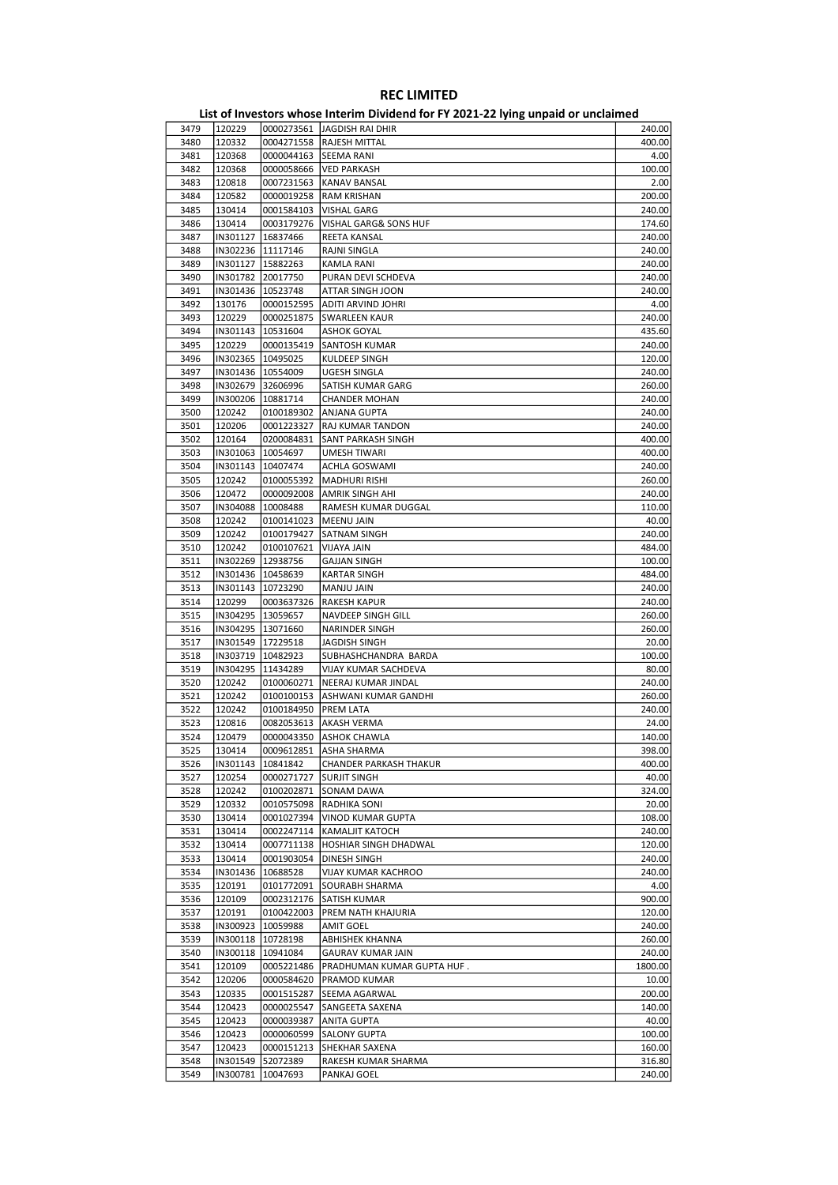|      |          |                     | List of investors whose internit Dividend for FT 2021-22 fying unpaid of unclaimed |         |
|------|----------|---------------------|------------------------------------------------------------------------------------|---------|
| 3479 | 120229   |                     | 0000273561 JAGDISH RAI DHIR                                                        | 240.00  |
| 3480 | 120332   |                     | 0004271558  RAJESH MITTAL                                                          | 400.00  |
| 3481 | 120368   | 0000044163          | <b>SEEMA RANI</b>                                                                  | 4.00    |
| 3482 | 120368   | 0000058666          | <b>VED PARKASH</b>                                                                 | 100.00  |
| 3483 | 120818   | 0007231563          | KANAV BANSAL                                                                       | 2.00    |
|      |          |                     |                                                                                    |         |
| 3484 | 120582   | 0000019258          | RAM KRISHAN                                                                        | 200.00  |
| 3485 | 130414   | 0001584103          | VISHAL GARG                                                                        | 240.00  |
| 3486 | 130414   | 0003179276          | <b>VISHAL GARG&amp; SONS HUF</b>                                                   | 174.60  |
| 3487 | IN301127 | 16837466            | REETA KANSAL                                                                       | 240.00  |
| 3488 |          | IN302236 11117146   | RAJNI SINGLA                                                                       | 240.00  |
| 3489 |          | IN301127   15882263 | KAMLA RANI                                                                         | 240.00  |
| 3490 |          | IN301782 20017750   | PURAN DEVI SCHDEVA                                                                 | 240.00  |
| 3491 |          | IN301436   10523748 | ATTAR SINGH JOON                                                                   | 240.00  |
| 3492 | 130176   | 0000152595          | ADITI ARVIND JOHRI                                                                 | 4.00    |
| 3493 | 120229   | 0000251875          | <b>SWARLEEN KAUR</b>                                                               | 240.00  |
|      |          |                     |                                                                                    |         |
| 3494 |          | IN301143   10531604 | <b>ASHOK GOYAL</b>                                                                 | 435.60  |
| 3495 | 120229   | 0000135419          | SANTOSH KUMAR                                                                      | 240.00  |
| 3496 |          | IN302365   10495025 | KULDEEP SINGH                                                                      | 120.00  |
| 3497 |          | IN301436   10554009 | UGESH SINGLA                                                                       | 240.00  |
| 3498 |          | IN302679 32606996   | SATISH KUMAR GARG                                                                  | 260.00  |
| 3499 |          | IN300206   10881714 | <b>CHANDER MOHAN</b>                                                               | 240.00  |
| 3500 | 120242   | 0100189302          | <b>ANJANA GUPTA</b>                                                                | 240.00  |
| 3501 | 120206   | 0001223327          | RAJ KUMAR TANDON                                                                   | 240.00  |
| 3502 | 120164   | 0200084831          | SANT PARKASH SINGH                                                                 | 400.00  |
| 3503 | IN301063 | 10054697            | <b>UMESH TIWARI</b>                                                                | 400.00  |
|      |          |                     |                                                                                    |         |
| 3504 | IN301143 | 10407474            | ACHLA GOSWAMI                                                                      | 240.00  |
| 3505 | 120242   | 0100055392          | <b>MADHURI RISHI</b>                                                               | 260.00  |
| 3506 | 120472   | 0000092008          | AMRIK SINGH AHI                                                                    | 240.00  |
| 3507 | IN304088 | 10008488            | RAMESH KUMAR DUGGAL                                                                | 110.00  |
| 3508 | 120242   | 0100141023          | MEENU JAIN                                                                         | 40.00   |
| 3509 | 120242   | 0100179427          | SATNAM SINGH                                                                       | 240.00  |
| 3510 | 120242   | 0100107621          | <b>VIJAYA JAIN</b>                                                                 | 484.00  |
| 3511 |          | IN302269 12938756   | <b>GAJJAN SINGH</b>                                                                | 100.00  |
| 3512 |          | IN301436   10458639 | <b>KARTAR SINGH</b>                                                                | 484.00  |
| 3513 |          | IN301143   10723290 | MANJU JAIN                                                                         | 240.00  |
|      |          |                     |                                                                                    |         |
| 3514 | 120299   | 0003637326          | RAKESH KAPUR                                                                       | 240.00  |
| 3515 |          | IN304295   13059657 | NAVDEEP SINGH GILL                                                                 | 260.00  |
| 3516 |          | IN304295   13071660 | NARINDER SINGH                                                                     | 260.00  |
| 3517 |          | IN301549 17229518   | JAGDISH SINGH                                                                      | 20.00   |
| 3518 |          | IN303719   10482923 | SUBHASHCHANDRA BARDA                                                               | 100.00  |
| 3519 |          | IN304295   11434289 | VIJAY KUMAR SACHDEVA                                                               | 80.00   |
| 3520 | 120242   | 0100060271          | NEERAJ KUMAR JINDAL                                                                | 240.00  |
| 3521 | 120242   | 0100100153          | ASHWANI KUMAR GANDHI                                                               | 260.00  |
| 3522 | 120242   | 0100184950          | PREM LATA                                                                          | 240.00  |
| 3523 | 120816   | 0082053613          | AKASH VERMA                                                                        | 24.00   |
|      | 120479   | 0000043350          |                                                                                    | 140.00  |
| 3524 |          |                     | <b>ASHOK CHAWLA</b>                                                                |         |
| 3525 | 130414   |                     | 0009612851   ASHA SHARMA                                                           | 398.00  |
| 3526 |          | IN301143   10841842 | CHANDER PARKASH THAKUR                                                             | 400.00  |
| 3527 | 120254   | 0000271727          | <b>SURJIT SINGH</b>                                                                | 40.00   |
| 3528 | 120242   | 0100202871          | <b>SONAM DAWA</b>                                                                  | 324.00  |
| 3529 | 120332   | 0010575098          | RADHIKA SONI                                                                       | 20.00   |
| 3530 | 130414   | 0001027394          | <b>VINOD KUMAR GUPTA</b>                                                           | 108.00  |
| 3531 | 130414   | 0002247114          | KAMALJIT KATOCH                                                                    | 240.00  |
| 3532 | 130414   | 0007711138          | <b>HOSHIAR SINGH DHADWAL</b>                                                       | 120.00  |
| 3533 | 130414   | 0001903054          | DINESH SINGH                                                                       | 240.00  |
| 3534 | IN301436 | 10688528            | VIJAY KUMAR KACHROO                                                                | 240.00  |
|      |          |                     |                                                                                    |         |
| 3535 | 120191   | 0101772091          | <b>SOURABH SHARMA</b>                                                              | 4.00    |
| 3536 | 120109   | 0002312176          | SATISH KUMAR                                                                       | 900.00  |
| 3537 | 120191   | 0100422003          | PREM NATH KHAJURIA                                                                 | 120.00  |
| 3538 | IN300923 | 10059988            | AMIT GOEL                                                                          | 240.00  |
| 3539 |          | IN300118 10728198   | ABHISHEK KHANNA                                                                    | 260.00  |
| 3540 |          | IN300118   10941084 | <b>GAURAV KUMAR JAIN</b>                                                           | 240.00  |
| 3541 | 120109   | 0005221486          | PRADHUMAN KUMAR GUPTA HUF.                                                         | 1800.00 |
| 3542 | 120206   | 0000584620          | PRAMOD KUMAR                                                                       | 10.00   |
|      | 120335   | 0001515287          | SEEMA AGARWAL                                                                      |         |
| 3543 |          |                     |                                                                                    | 200.00  |
| 3544 | 120423   | 0000025547          | SANGEETA SAXENA                                                                    | 140.00  |
| 3545 | 120423   | 0000039387          | <b>ANITA GUPTA</b>                                                                 | 40.00   |
| 3546 | 120423   | 0000060599          | <b>SALONY GUPTA</b>                                                                | 100.00  |
| 3547 | 120423   | 0000151213          | SHEKHAR SAXENA                                                                     | 160.00  |
| 3548 | IN301549 | 52072389            | RAKESH KUMAR SHARMA                                                                | 316.80  |
| 3549 | IN300781 | 10047693            | PANKAJ GOEL                                                                        | 240.00  |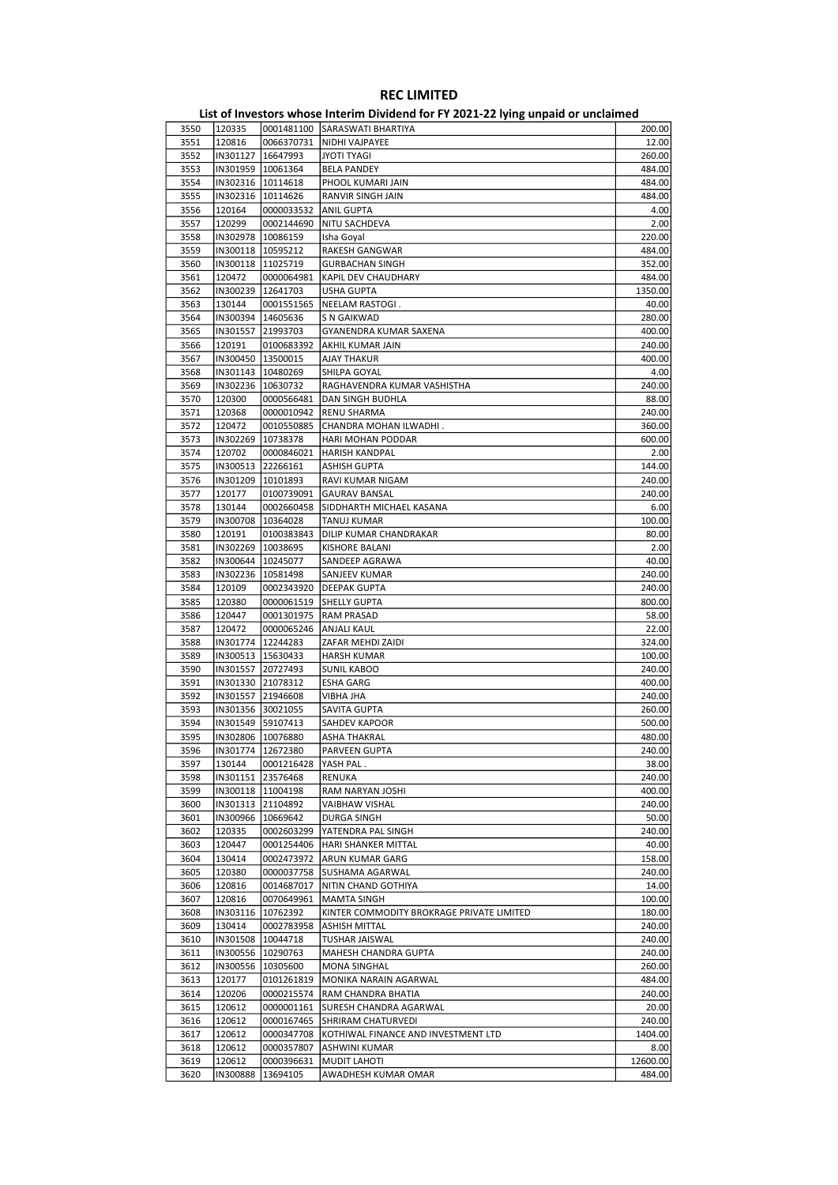|      |                     |                     | List of investors whose internit Dividend for FT Z021-22 fying uripaid or unclaimed |          |
|------|---------------------|---------------------|-------------------------------------------------------------------------------------|----------|
| 3550 | 120335              |                     | 0001481100 SARASWATI BHARTIYA                                                       | 200.00   |
| 3551 | 120816              |                     | 0066370731   NIDHI VAJPAYEE                                                         | 12.00    |
| 3552 |                     | IN301127   16647993 | JYOTI TYAGI                                                                         | 260.00   |
| 3553 |                     | IN301959   10061364 | <b>BELA PANDEY</b>                                                                  | 484.00   |
| 3554 |                     | IN302316   10114618 | PHOOL KUMARI JAIN                                                                   | 484.00   |
|      |                     |                     |                                                                                     |          |
| 3555 |                     | IN302316   10114626 | RANVIR SINGH JAIN                                                                   | 484.00   |
| 3556 | 120164              | 0000033532          | ANIL GUPTA                                                                          | 4.00     |
| 3557 | 120299              | 0002144690          | NITU SACHDEVA                                                                       | 2.00     |
| 3558 |                     | IN302978   10086159 | Isha Goyal                                                                          | 220.00   |
| 3559 |                     | IN300118   10595212 | RAKESH GANGWAR                                                                      | 484.00   |
| 3560 |                     | IN300118   11025719 | <b>GURBACHAN SINGH</b>                                                              | 352.00   |
| 3561 | 120472              | 0000064981          | <b>KAPIL DEV CHAUDHARY</b>                                                          | 484.00   |
| 3562 |                     | IN300239   12641703 | USHA GUPTA                                                                          | 1350.00  |
| 3563 | 130144              | 0001551565          | NEELAM RASTOGI.                                                                     | 40.00    |
| 3564 |                     | IN300394 14605636   | S N GAIKWAD                                                                         | 280.00   |
|      |                     |                     |                                                                                     |          |
| 3565 |                     | IN301557 21993703   | GYANENDRA KUMAR SAXENA                                                              | 400.00   |
| 3566 | 120191              | 0100683392          | AKHIL KUMAR JAIN                                                                    | 240.00   |
| 3567 | IN300450   13500015 |                     | <b>AJAY THAKUR</b>                                                                  | 400.00   |
| 3568 |                     | IN301143   10480269 | SHILPA GOYAL                                                                        | 4.00     |
| 3569 |                     | IN302236   10630732 | RAGHAVENDRA KUMAR VASHISTHA                                                         | 240.00   |
| 3570 | 120300              | 0000566481          | DAN SINGH BUDHLA                                                                    | 88.00    |
| 3571 | 120368              | 0000010942          | RENU SHARMA                                                                         | 240.00   |
| 3572 | 120472              | 0010550885          | CHANDRA MOHAN ILWADHI.                                                              | 360.00   |
| 3573 |                     | IN302269 10738378   | HARI MOHAN PODDAR                                                                   | 600.00   |
| 3574 | 120702              | 0000846021          | <b>HARISH KANDPAL</b>                                                               | 2.00     |
|      |                     |                     |                                                                                     |          |
| 3575 |                     | IN300513 22266161   | ASHISH GUPTA                                                                        | 144.00   |
| 3576 |                     | IN301209 10101893   | RAVI KUMAR NIGAM                                                                    | 240.00   |
| 3577 | 120177              | 0100739091          | <b>GAURAV BANSAL</b>                                                                | 240.00   |
| 3578 | 130144              | 0002660458          | SIDDHARTH MICHAEL KASANA                                                            | 6.00     |
| 3579 |                     | IN300708   10364028 | TANUJ KUMAR                                                                         | 100.00   |
| 3580 | 120191              | 0100383843          | DILIP KUMAR CHANDRAKAR                                                              | 80.00    |
| 3581 |                     | IN302269   10038695 | <b>KISHORE BALANI</b>                                                               | 2.00     |
| 3582 |                     | IN300644 10245077   | SANDEEP AGRAWA                                                                      | 40.00    |
| 3583 |                     | IN302236   10581498 | SANJEEV KUMAR                                                                       | 240.00   |
| 3584 | 120109              | 0002343920          | DEEPAK GUPTA                                                                        | 240.00   |
|      |                     |                     |                                                                                     |          |
| 3585 | 120380              | 0000061519          | <b>SHELLY GUPTA</b>                                                                 | 800.00   |
| 3586 | 120447              | 0001301975          | RAM PRASAD                                                                          | 58.00    |
| 3587 | 120472              | 0000065246          | ANJALI KAUL                                                                         | 22.00    |
| 3588 |                     | IN301774   12244283 | ZAFAR MEHDI ZAIDI                                                                   | 324.00   |
| 3589 |                     | IN300513   15630433 | <b>HARSH KUMAR</b>                                                                  | 100.00   |
| 3590 |                     | IN301557 20727493   | <b>SUNIL KABOO</b>                                                                  | 240.00   |
| 3591 |                     | IN301330 21078312   | <b>ESHA GARG</b>                                                                    | 400.00   |
| 3592 |                     | IN301557 21946608   | VIBHA JHA                                                                           | 240.00   |
| 3593 |                     | IN301356 30021055   | SAVITA GUPTA                                                                        | 260.00   |
| 3594 |                     | IN301549 59107413   |                                                                                     | 500.00   |
|      |                     |                     | SAHDEV KAPOOR                                                                       |          |
| 3595 |                     | IN302806 10076880   | ASHA THAKRAL                                                                        | 480.00   |
| 3596 | IN301774  12672380  |                     | PARVEEN GUPTA                                                                       | 240.00   |
| 3597 | 130144              | 0001216428          | YASH PAL .                                                                          | 38.00    |
| 3598 | IN301151            | 23576468            | <b>RENUKA</b>                                                                       | 240.00   |
| 3599 |                     | IN300118   11004198 | RAM NARYAN JOSHI                                                                    | 400.00   |
| 3600 |                     | IN301313 21104892   | <b>VAIBHAW VISHAL</b>                                                               | 240.00   |
| 3601 |                     | IN300966   10669642 | DURGA SINGH                                                                         | 50.00    |
| 3602 | 120335              | 0002603299          | YATENDRA PAL SINGH                                                                  | 240.00   |
| 3603 | 120447              | 0001254406          | HARI SHANKER MITTAL                                                                 | 40.00    |
| 3604 | 130414              | 0002473972          | ARUN KUMAR GARG                                                                     | 158.00   |
|      |                     |                     |                                                                                     |          |
| 3605 | 120380              | 0000037758          | SUSHAMA AGARWAL                                                                     | 240.00   |
| 3606 | 120816              | 0014687017          | NITIN CHAND GOTHIYA                                                                 | 14.00    |
| 3607 | 120816              | 0070649961          | MAMTA SINGH                                                                         | 100.00   |
| 3608 | IN303116            | 10762392            | KINTER COMMODITY BROKRAGE PRIVATE LIMITED                                           | 180.00   |
| 3609 | 130414              | 0002783958          | ASHISH MITTAL                                                                       | 240.00   |
| 3610 | IN301508            | 10044718            | TUSHAR JAISWAL                                                                      | 240.00   |
| 3611 |                     | IN300556 10290763   | MAHESH CHANDRA GUPTA                                                                | 240.00   |
| 3612 |                     | IN300556 10305600   | MONA SINGHAL                                                                        | 260.00   |
| 3613 | 120177              | 0101261819          | MONIKA NARAIN AGARWAL                                                               | 484.00   |
|      |                     |                     |                                                                                     |          |
| 3614 | 120206              | 0000215574          | RAM CHANDRA BHATIA                                                                  | 240.00   |
| 3615 | 120612              | 0000001161          | SURESH CHANDRA AGARWAL                                                              | 20.00    |
| 3616 | 120612              | 0000167465          | SHRIRAM CHATURVEDI                                                                  | 240.00   |
| 3617 | 120612              | 0000347708          | KOTHIWAL FINANCE AND INVESTMENT LTD                                                 | 1404.00  |
| 3618 | 120612              | 0000357807          | ASHWINI KUMAR                                                                       | 8.00     |
| 3619 | 120612              | 0000396631          | <b>MUDIT LAHOTI</b>                                                                 | 12600.00 |
| 3620 | IN300888            | 13694105            | AWADHESH KUMAR OMAR                                                                 | 484.00   |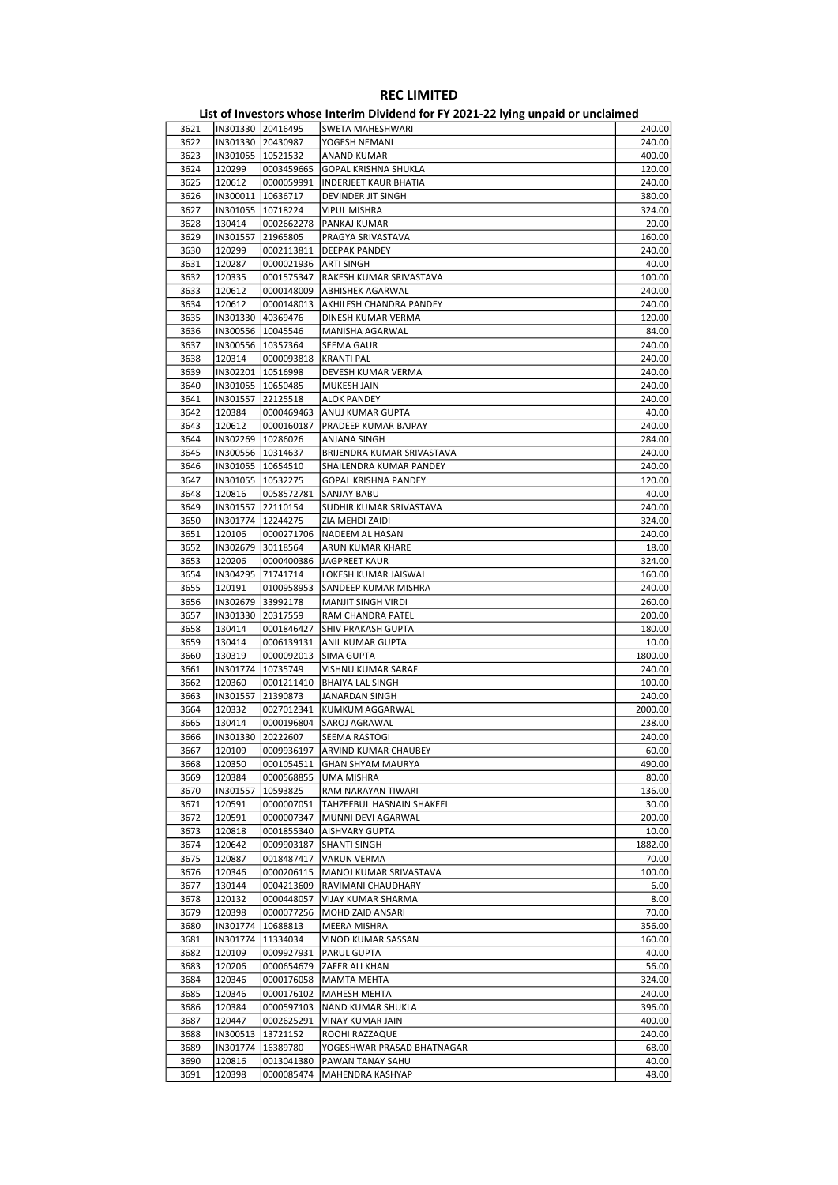| 3621 | IN301330 20416495   |            | SWETA MAHESHWARI                     | 240.00  |
|------|---------------------|------------|--------------------------------------|---------|
| 3622 | IN301330 20430987   |            | YOGESH NEMANI                        | 240.00  |
| 3623 | IN301055   10521532 |            | ANAND KUMAR                          | 400.00  |
| 3624 | 120299              | 0003459665 | GOPAL KRISHNA SHUKLA                 | 120.00  |
| 3625 | 120612              | 0000059991 | <b>INDERJEET KAUR BHATIA</b>         | 240.00  |
| 3626 | IN300011 10636717   |            | DEVINDER JIT SINGH                   | 380.00  |
| 3627 | IN301055 10718224   |            | VIPUL MISHRA                         | 324.00  |
|      |                     |            |                                      |         |
| 3628 | 130414              | 0002662278 | PANKAJ KUMAR                         | 20.00   |
| 3629 | IN301557 21965805   |            | PRAGYA SRIVASTAVA                    | 160.00  |
| 3630 | 120299              | 0002113811 | <b>DEEPAK PANDEY</b>                 | 240.00  |
| 3631 | 120287              | 0000021936 | <b>ARTI SINGH</b>                    | 40.00   |
| 3632 | 120335              | 0001575347 | RAKESH KUMAR SRIVASTAVA              | 100.00  |
| 3633 | 120612              | 0000148009 | <b>ABHISHEK AGARWAL</b>              | 240.00  |
| 3634 | 120612              |            | 0000148013   AKHILESH CHANDRA PANDEY | 240.00  |
| 3635 | IN301330 40369476   |            | DINESH KUMAR VERMA                   | 120.00  |
| 3636 | IN300556   10045546 |            | MANISHA AGARWAL                      | 84.00   |
| 3637 | IN300556   10357364 |            |                                      | 240.00  |
|      |                     |            | SEEMA GAUR                           |         |
| 3638 | 120314              | 0000093818 | <b>KRANTI PAL</b>                    | 240.00  |
| 3639 | IN302201   10516998 |            | DEVESH KUMAR VERMA                   | 240.00  |
| 3640 | IN301055   10650485 |            | MUKESH JAIN                          | 240.00  |
| 3641 | IN301557 22125518   |            | <b>ALOK PANDEY</b>                   | 240.00  |
| 3642 | 120384              | 0000469463 | ANUJ KUMAR GUPTA                     | 40.00   |
| 3643 | 120612              | 0000160187 | PRADEEP KUMAR BAJPAY                 | 240.00  |
| 3644 | IN302269   10286026 |            | ANJANA SINGH                         | 284.00  |
| 3645 | IN300556 10314637   |            | BRIJENDRA KUMAR SRIVASTAVA           | 240.00  |
| 3646 | IN301055 10654510   |            | SHAILENDRA KUMAR PANDEY              | 240.00  |
|      |                     |            |                                      |         |
| 3647 | IN301055 10532275   |            | <b>GOPAL KRISHNA PANDEY</b>          | 120.00  |
| 3648 | 120816              | 0058572781 | SANJAY BABU                          | 40.00   |
| 3649 | IN301557 22110154   |            | SUDHIR KUMAR SRIVASTAVA              | 240.00  |
| 3650 | IN301774   12244275 |            | ZIA MEHDI ZAIDI                      | 324.00  |
| 3651 | 120106              | 0000271706 | NADEEM AL HASAN                      | 240.00  |
| 3652 | IN302679 30118564   |            | ARUN KUMAR KHARE                     | 18.00   |
| 3653 | 120206              | 0000400386 | JAGPREET KAUR                        | 324.00  |
| 3654 | IN304295 71741714   |            | LOKESH KUMAR JAISWAL                 | 160.00  |
| 3655 | 120191              | 0100958953 | SANDEEP KUMAR MISHRA                 | 240.00  |
| 3656 | IN302679 33992178   |            | <b>MANJIT SINGH VIRDI</b>            | 260.00  |
|      |                     |            |                                      |         |
| 3657 | IN301330 20317559   |            | RAM CHANDRA PATEL                    | 200.00  |
| 3658 | 130414              | 0001846427 | SHIV PRAKASH GUPTA                   | 180.00  |
| 3659 | 130414              | 0006139131 | ANIL KUMAR GUPTA                     | 10.00   |
| 3660 | 130319              | 0000092013 | SIMA GUPTA                           | 1800.00 |
| 3661 | IN301774   10735749 |            | VISHNU KUMAR SARAF                   | 240.00  |
| 3662 | 120360              | 0001211410 | <b>BHAIYA LAL SINGH</b>              | 100.00  |
| 3663 | IN301557            | 21390873   | JANARDAN SINGH                       | 240.00  |
| 3664 | 120332              |            | 0027012341  KUMKUM AGGARWAL          | 2000.00 |
| 3665 | 130414              | 0000196804 | SAROJ AGRAWAL                        | 238.00  |
|      |                     |            |                                      | 240.00  |
| 3666 | IN301330 20222607   |            | SEEMA RASTOGI                        |         |
| 3667 | 120109              |            | 0009936197 ARVIND KUMAR CHAUBEY      | 60.00   |
| 3668 | 120350              | 0001054511 | <b>GHAN SHYAM MAURYA</b>             | 490.00  |
| 3669 | 120384              | 0000568855 | UMA MISHRA                           | 80.00   |
| 3670 | IN301557            | 10593825   | RAM NARAYAN TIWARI                   | 136.00  |
| 3671 | 120591              | 0000007051 | TAHZEEBUL HASNAIN SHAKEEL            | 30.00   |
| 3672 | 120591              | 0000007347 | MUNNI DEVI AGARWAL                   | 200.00  |
| 3673 | 120818              | 0001855340 | AISHVARY GUPTA                       | 10.00   |
| 3674 | 120642              | 0009903187 | SHANTI SINGH                         | 1882.00 |
|      |                     |            |                                      |         |
| 3675 | 120887              | 0018487417 | <b>VARUN VERMA</b>                   | 70.00   |
| 3676 | 120346              | 0000206115 | MANOJ KUMAR SRIVASTAVA               | 100.00  |
| 3677 | 130144              | 0004213609 | RAVIMANI CHAUDHARY                   | 6.00    |
| 3678 | 120132              | 0000448057 | VIJAY KUMAR SHARMA                   | 8.00    |
| 3679 | 120398              | 0000077256 | MOHD ZAID ANSARI                     | 70.00   |
| 3680 | IN301774            | 10688813   | MEERA MISHRA                         | 356.00  |
| 3681 | IN301774            | 11334034   | VINOD KUMAR SASSAN                   | 160.00  |
| 3682 | 120109              | 0009927931 | PARUL GUPTA                          | 40.00   |
| 3683 | 120206              | 0000654679 | <b>ZAFER ALI KHAN</b>                | 56.00   |
| 3684 |                     |            |                                      |         |
|      | 120346              | 0000176058 | MAMTA MEHTA                          | 324.00  |
| 3685 | 120346              | 0000176102 | <b>MAHESH MEHTA</b>                  | 240.00  |
| 3686 | 120384              | 0000597103 | NAND KUMAR SHUKLA                    | 396.00  |
| 3687 | 120447              | 0002625291 | VINAY KUMAR JAIN                     | 400.00  |
| 3688 | IN300513            | 13721152   | ROOHI RAZZAQUE                       | 240.00  |
| 3689 | IN301774            | 16389780   | YOGESHWAR PRASAD BHATNAGAR           | 68.00   |
| 3690 | 120816              | 0013041380 | PAWAN TANAY SAHU                     | 40.00   |
| 3691 | 120398              | 0000085474 | MAHENDRA KASHYAP                     | 48.00   |
|      |                     |            |                                      |         |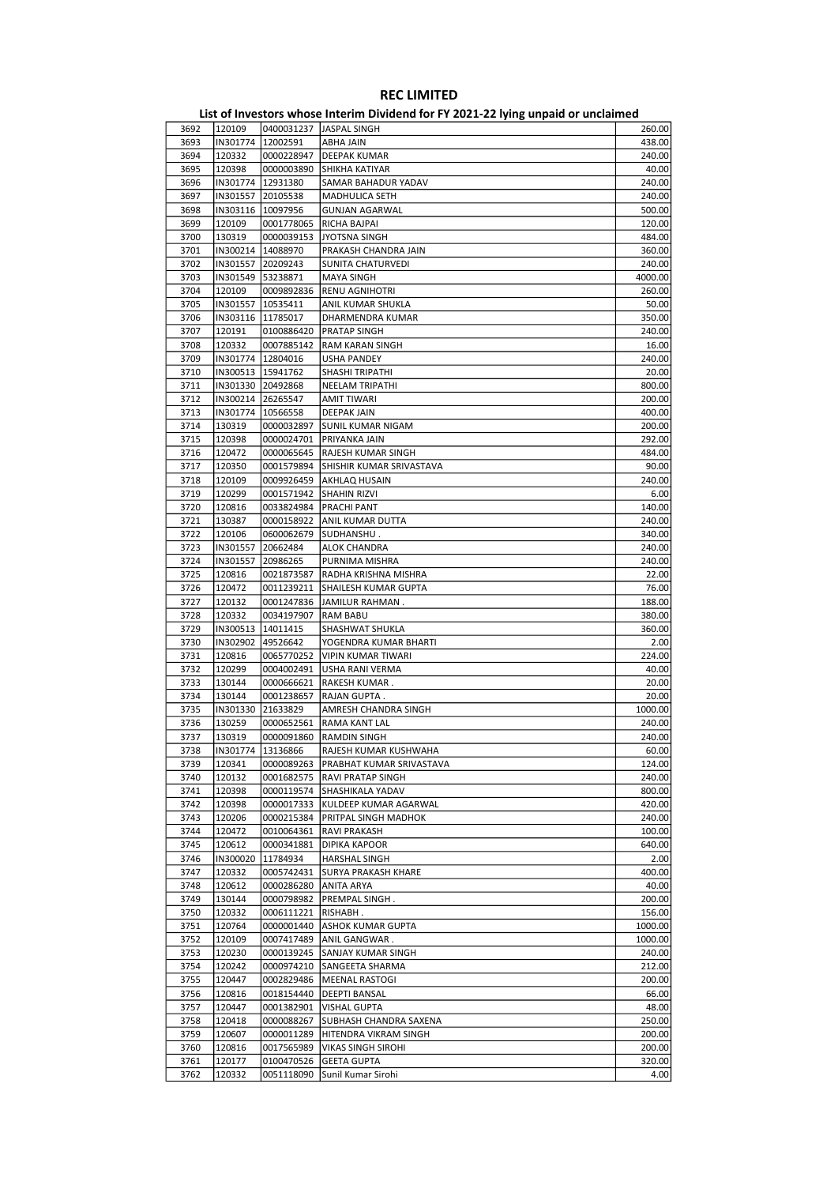| List of Investors whose Interim Dividend for FY 2021-22 lying unpaid or unclaimed |                     |                       |                                   |         |
|-----------------------------------------------------------------------------------|---------------------|-----------------------|-----------------------------------|---------|
| 3692                                                                              | 120109              |                       | 0400031237 JASPAL SINGH           | 260.00  |
| 3693                                                                              | IN301774 12002591   |                       | <b>ABHA JAIN</b>                  | 438.00  |
| 3694                                                                              | 120332              | 0000228947            | DEEPAK KUMAR                      | 240.00  |
| 3695                                                                              | 120398              | 0000003890            | <b>SHIKHA KATIYAR</b>             | 40.00   |
| 3696                                                                              | IN301774            | 12931380              | SAMAR BAHADUR YADAV               | 240.00  |
| 3697                                                                              | IN301557            | 20105538              | MADHULICA SETH                    | 240.00  |
| 3698                                                                              | IN303116   10097956 |                       | <b>GUNJAN AGARWAL</b>             | 500.00  |
| 3699                                                                              | 120109              | 0001778065            | RICHA BAJPAI                      | 120.00  |
| 3700                                                                              | 130319              | 0000039153            | <b>JYOTSNA SINGH</b>              | 484.00  |
| 3701                                                                              | IN300214            | 14088970              | PRAKASH CHANDRA JAIN              | 360.00  |
| 3702                                                                              | IN301557            | 20209243              | <b>SUNITA CHATURVEDI</b>          | 240.00  |
| 3703                                                                              | IN301549 53238871   |                       | <b>MAYA SINGH</b>                 | 4000.00 |
| 3704                                                                              | 120109              | 0009892836            | RENU AGNIHOTRI                    | 260.00  |
|                                                                                   | IN301557            | 10535411              | ANIL KUMAR SHUKLA                 | 50.00   |
| 3705                                                                              |                     |                       |                                   |         |
| 3706                                                                              | IN303116 11785017   |                       | DHARMENDRA KUMAR                  | 350.00  |
| 3707                                                                              | 120191              | 0100886420            | PRATAP SINGH                      | 240.00  |
| 3708                                                                              | 120332              | 0007885142            | RAM KARAN SINGH                   | 16.00   |
| 3709                                                                              | IN301774   12804016 |                       | <b>USHA PANDEY</b>                | 240.00  |
| 3710                                                                              | IN300513   15941762 |                       | SHASHI TRIPATHI                   | 20.00   |
| 3711                                                                              | IN301330 20492868   |                       | <b>NEELAM TRIPATHI</b>            | 800.00  |
| 3712                                                                              |                     | IN300214 26265547     | <b>AMIT TIWARI</b>                | 200.00  |
| 3713                                                                              | IN301774   10566558 |                       | <b>DEEPAK JAIN</b>                | 400.00  |
| 3714                                                                              | 130319              | 0000032897            | <b>SUNIL KUMAR NIGAM</b>          | 200.00  |
| 3715                                                                              | 120398              | 0000024701            | PRIYANKA JAIN                     | 292.00  |
| 3716                                                                              | 120472              | 0000065645            | RAJESH KUMAR SINGH                | 484.00  |
| 3717                                                                              | 120350              | 0001579894            | SHISHIR KUMAR SRIVASTAVA          | 90.00   |
| 3718                                                                              | 120109              | 0009926459            | <b>AKHLAQ HUSAIN</b>              | 240.00  |
| 3719                                                                              | 120299              | 0001571942            | SHAHIN RIZVI                      | 6.00    |
| 3720                                                                              | 120816              | 0033824984            | PRACHI PANT                       | 140.00  |
| 3721                                                                              | 130387              | 0000158922            | ANIL KUMAR DUTTA                  | 240.00  |
| 3722                                                                              | 120106              | 0600062679            | SUDHANSHU.                        | 340.00  |
| 3723                                                                              |                     | IN301557 20662484     | <b>ALOK CHANDRA</b>               | 240.00  |
| 3724                                                                              | IN301557            | 20986265              | PURNIMA MISHRA                    | 240.00  |
| 3725                                                                              | 120816              | 0021873587            | RADHA KRISHNA MISHRA              | 22.00   |
| 3726                                                                              | 120472              | 0011239211            | SHAILESH KUMAR GUPTA              | 76.00   |
| 3727                                                                              | 120132              | 0001247836            | JAMILUR RAHMAN.                   | 188.00  |
|                                                                                   |                     |                       |                                   |         |
| 3728                                                                              | 120332              | 0034197907            | <b>RAM BABU</b>                   | 380.00  |
| 3729                                                                              | IN300513   14011415 |                       | SHASHWAT SHUKLA                   | 360.00  |
| 3730                                                                              | IN302902            | 49526642              | YOGENDRA KUMAR BHARTI             | 2.00    |
| 3731                                                                              | 120816              | 0065770252            | <b>VIPIN KUMAR TIWARI</b>         | 224.00  |
| 3732                                                                              | 120299              | 0004002491            | <b>USHA RANI VERMA</b>            | 40.00   |
| 3733                                                                              | 130144              | 0000666621            | RAKESH KUMAR.                     | 20.00   |
| 3734                                                                              | 130144              | 0001238657            | RAJAN GUPTA.                      | 20.00   |
| 3735                                                                              | IN301330            | 21633829              | AMRESH CHANDRA SINGH              | 1000.00 |
| 3736                                                                              | 130259              | 0000652561            | <b>RAMA KANT LAL</b>              | 240.00  |
| 3737                                                                              | 130319              |                       | 0000091860 RAMDIN SINGH           | 240.00  |
| 3738                                                                              | IN301774   13136866 |                       | RAJESH KUMAR KUSHWAHA             | 60.00   |
| 3739                                                                              | 120341              | 0000089263            | PRABHAT KUMAR SRIVASTAVA          | 124.00  |
| 3740                                                                              | 120132              | 0001682575            | RAVI PRATAP SINGH                 | 240.00  |
| 3741                                                                              | 120398              | 0000119574            | SHASHIKALA YADAV                  | 800.00  |
| 3742                                                                              | 120398              | 0000017333            | KULDEEP KUMAR AGARWAL             | 420.00  |
| 3743                                                                              | 120206              | 0000215384            | PRITPAL SINGH MADHOK              | 240.00  |
| 3744                                                                              | 120472              | 0010064361            | RAVI PRAKASH                      | 100.00  |
| 3745                                                                              | 120612              | 0000341881            | <b>DIPIKA KAPOOR</b>              | 640.00  |
| 3746                                                                              | IN300020            | 11784934              | <b>HARSHAL SINGH</b>              | 2.00    |
| 3747                                                                              | 120332              | 0005742431            | <b>SURYA PRAKASH KHARE</b>        | 400.00  |
| 3748                                                                              | 120612              | 0000286280 ANITA ARYA |                                   | 40.00   |
| 3749                                                                              | 130144              | 0000798982            | PREMPAL SINGH .                   | 200.00  |
| 3750                                                                              | 120332              | 0006111221            | RISHABH.                          | 156.00  |
| 3751                                                                              | 120764              |                       | 0000001440   ASHOK KUMAR GUPTA    | 1000.00 |
| 3752                                                                              | 120109              |                       | 0007417489   ANIL GANGWAR.        | 1000.00 |
| 3753                                                                              | 120230              |                       | 0000139245 SANJAY KUMAR SINGH     | 240.00  |
| 3754                                                                              | 120242              |                       | 0000974210 SANGEETA SHARMA        | 212.00  |
|                                                                                   |                     |                       |                                   |         |
| 3755                                                                              | 120447              | 0002829486            | MEENAL RASTOGI                    | 200.00  |
| 3756                                                                              | 120816              | 0018154440            | DEEPTI BANSAL                     | 66.00   |
| 3757                                                                              | 120447              |                       | 0001382901   VISHAL GUPTA         | 48.00   |
| 3758                                                                              | 120418              |                       | 0000088267 SUBHASH CHANDRA SAXENA | 250.00  |
| 3759                                                                              | 120607              | 0000011289            | HITENDRA VIKRAM SINGH             | 200.00  |
| 3760                                                                              | 120816              | 0017565989            | <b>VIKAS SINGH SIROHI</b>         | 200.00  |
| 3761                                                                              | 120177              | 0100470526            | <b>GEETA GUPTA</b>                | 320.00  |
| 3762                                                                              | 120332              | 0051118090            | Sunil Kumar Sirohi                | 4.00    |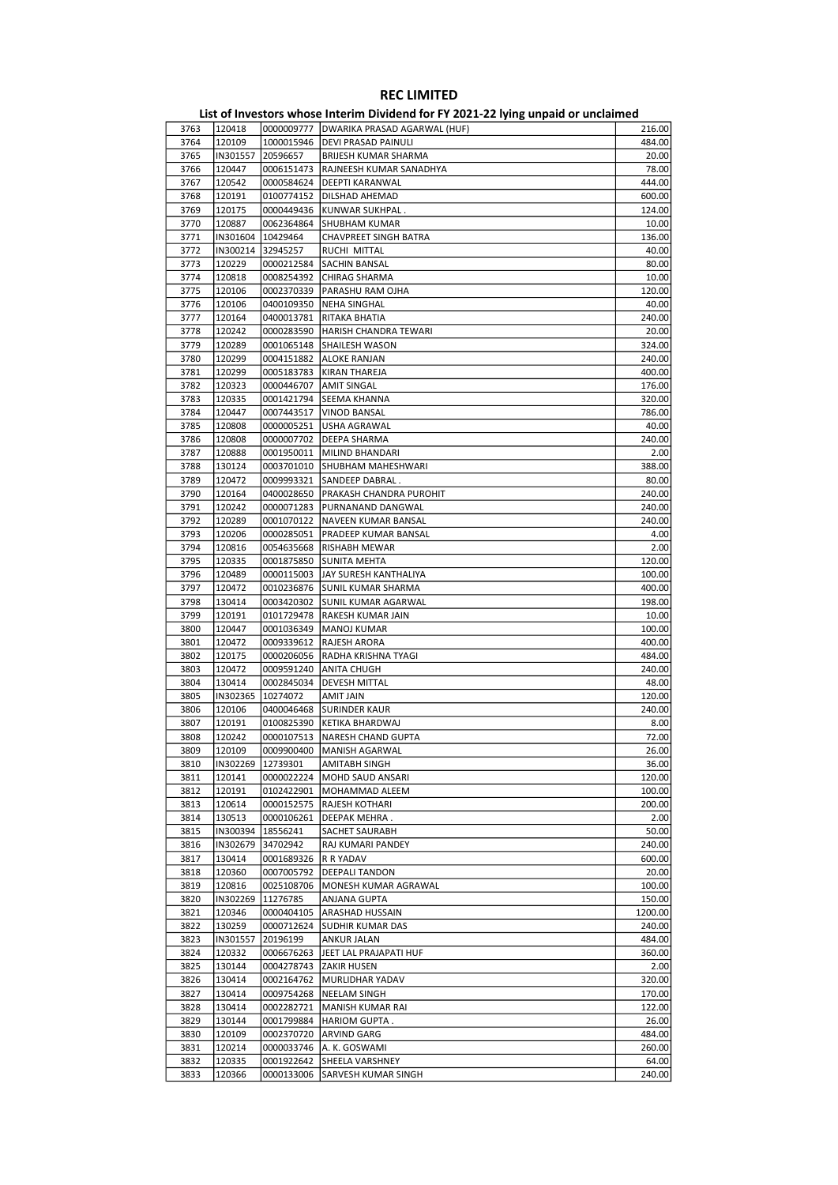#### List of Investors whose Interim Dividend for FY 2021-22 lying unpaid or unclaimed 3763 120418 0000009777 DWARIKA PRASAD AGARWAL (HUF) 216.00 3764 120109 1000015946 DEVI PRASAD PAINULI 484.00 3765 IN301557 20596657 BRIJESH KUMAR SHARMA 20.00 3766 120447 0006151473 RAJNEESH KUMAR SANADHYA 78.00 3767 120542 0000584624 DEEPTI KARANWAL 444.00 3768 120191 0100774152 DILSHAD AHEMAD 600.00<br>3769 120175 0000449436 KUNWAR SUKHPAL 600.00 0000449436 KUNWAR SUKHPAL 3770 120887 0062364864 SHUBHAM KUMAR 10.000 12087 10.00 3771 IN301604 10429464 CHAVPREET SINGH BATRA 136.00 3772 IN300214 32945257 RUCHI MITTAL 40.00 3773 120229 0000212584 SACHIN BANSAL 80.00<br>3774 120818 0008254392 CHIRAG SHARMA 1000 1000 1000 1000 3774 120818 0008254392 CHIRAG SHARMA 10.00 10.00 3775 120106 0002370339 PARASHU RAM OJHA 120.00 3776 120106 0400109350 NEHA SINGHAL 40.00 3777 120164 0400013781 RITAKA BHATIA 240.00 3778 120242 0000283590 HARISH CHANDRA TEWARI 20.00 3779 120289 0001065148 SHAILESH WASON 324.00 3780 120299 0004151882 ALOKE RANJAN 240.00 3781 120299 0005183783 KIRAN THAREJA 400.00 3782 120323 0000446707 AMIT SINGAL 176.00 3783 120335 0001421794 SEEMA KHANNA 320.00 3784 120447 0007443517 VINOD BANSAL 786.00 3785 120808 00000005251 USHA AGRAWAL 40.00 3786 120808 0000007702 DEEPA SHARMA 240.00 3787 120888 0001950011 MILIND BHANDARI 2.00 3788 130124 0003701010 SHUBHAM MAHESHWARI 388.00 3789 120472 0009993321 SANDEEP DABRAL . 80.00 3790 120164 0400028650 PRAKASH CHANDRA PUROHIT 240.00 3791 120242 0000071283 PURNANAND DANGWAL 240.00 3792 120289 0001070122 NAVEEN KUMAR BANSAL 240.00<br>3793 120206 0000285051 PRADEEP KUMAR BANSAL 4.00 **PRADEEP KUMAR BANSAL** 3794 120816 0054635668 RISHABH MEWAR 2.00<br>3795 120335 0001875850 SUNITA MEHTA 2000 **SUNITA MEHTA** 3796 120489 0000115003 JAY SURESH KANTHALIYA 100.00 3797 120472 0010236876 SUNIL KUMAR SHARMA 400.00 3798 |130414 |0003420302 |SUNIL KUMAR AGARWAL 198.00 | 198.00 3799 120191 0101729478 RAKESH KUMAR JAIN 10.00 120447 0001036349 MANOJ KUMAR JAIN 10.00 3800 120447 0001036349 MANOJ KUMAR 3801 120472 0009339612 RAJESH ARORA 400.00 3802 120175 0000206056 RADHA KRISHNA TYAGI 484.00 3803 120472 0009591240 ANITA CHUGH 240.00<br>3804 130414 0002845034 DEVESH MITTAL 48.00 3804 130414 0002845034 DEVESH MITTAL 3805 IN302365 10274072 AMIT JAIN 120.00 3806 120106 0400046468 SURINDER KAUR 240.00 3807 120191 0100825390 KETIKA BHARDWAJ 8.00 3808 120242 0000107513 NARESH CHAND GUPTA 72.00 3809 120109 0009900400 MANISH AGARWAL 26.00 26.00 26.00 26.00 26.00 26.00 26.00 26.00 26.00 26.00 26.00 26.00<br>3810 1N302269 12739301 AMITABH SINGH 3810 |IN302269 |12739301 |AMITABH SINGH 36.00<br>3811 120141 |0000022224 |MOHD SAUD ANSARI 120.00 3811 120141 0000022224 MOHD SAUD ANSARI<br>3812 120191 0102422901 MOHAMMAD ALEEM 3812 120191 0102422901 MOHAMMAD ALEEM 100.00 3813 120614 0000152575 RAJESH KOTHARI 200.00 3814 130513 0000106261 DEEPAK MEHRA . 2.00 3815 |IN300394 |18556241 |SACHET SAURABH 50.00 3816 IN302679 34702942 RAJ KUMARI PANDEY 240.00 3817 130414 0001689326 R R YADAV 600.00 3818 120360 0007005792 DEEPALI TANDON 20.00<br>3819 120816 0025108706 MONESH KUMAR AGRAWAL 100.00 MONESH KUMAR AGRAWAL 3820 IN302269 11276785 ANJANA GUPTA 150.00 3821 120346 0000404105 ARASHAD HUSSAIN 1200.00 3822 130259 0000712624 SUDHIR KUMAR DAS 240.00 3823 IN301557 20196199 ANKUR JALAN 484.00 3824 120332 0006676263 JEET LAL PRAJAPATI HUF 360.00 3825 130144 0004278743 ZAKIR HUSEN 2.00 3826 130414 0002164762 MURLIDHAR YADAV 320.00 3827 130414 0009754268 NEELAM SINGH 170.00 3828 130414 0002282721 MANISH KUMAR RAI 122.00 3829 130144 0001799884 HARIOM GUPTA . 26.00 3830 120109 0002370720 ARVIND GARG 484.00 3831 120214 0000033746 A. K. GOSWAMI 260.00 3832 120335 0001922642 SHEELA VARSHNEY 64.00

3833 120366 0000133006 SARVESH KUMAR SINGH 240.00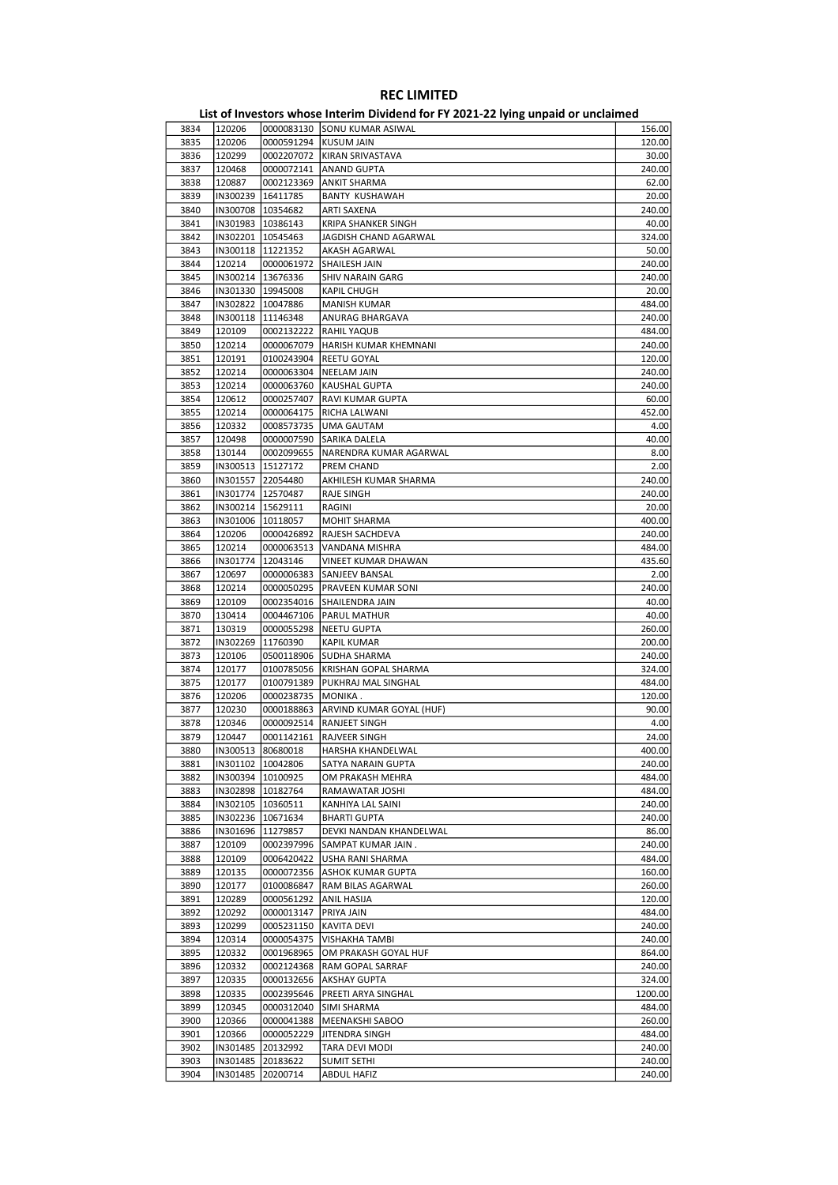| 3834 | 120206              |                     | 0000083130 SONU KUMAR ASIWAL          | 156.00  |
|------|---------------------|---------------------|---------------------------------------|---------|
| 3835 | 120206              | 0000591294          | KUSUM JAIN                            | 120.00  |
| 3836 | 120299              | 0002207072          | KIRAN SRIVASTAVA                      | 30.00   |
|      |                     |                     |                                       |         |
| 3837 | 120468              | 0000072141          | <b>ANAND GUPTA</b>                    | 240.00  |
| 3838 | 120887              | 0002123369          | <b>ANKIT SHARMA</b>                   | 62.00   |
| 3839 | IN300239 16411785   |                     | <b>BANTY KUSHAWAH</b>                 | 20.00   |
| 3840 | IN300708   10354682 |                     | ARTI SAXENA                           | 240.00  |
|      |                     |                     |                                       |         |
| 3841 | IN301983   10386143 |                     | KRIPA SHANKER SINGH                   | 40.00   |
| 3842 | IN302201   10545463 |                     | JAGDISH CHAND AGARWAL                 | 324.00  |
| 3843 | IN300118   11221352 |                     | AKASH AGARWAL                         | 50.00   |
|      |                     |                     |                                       |         |
| 3844 | 120214              | 0000061972          | SHAILESH JAIN                         | 240.00  |
| 3845 | IN300214   13676336 |                     | SHIV NARAIN GARG                      | 240.00  |
| 3846 | IN301330 19945008   |                     | KAPIL CHUGH                           | 20.00   |
| 3847 | IN302822   10047886 |                     | <b>MANISH KUMAR</b>                   | 484.00  |
|      |                     |                     |                                       |         |
| 3848 | IN300118 11146348   |                     | ANURAG BHARGAVA                       | 240.00  |
| 3849 | 120109              | 0002132222          | RAHIL YAQUB                           | 484.00  |
| 3850 | 120214              | 0000067079          | HARISH KUMAR KHEMNANI                 | 240.00  |
| 3851 | 120191              | 0100243904          | REETU GOYAL                           | 120.00  |
|      |                     |                     |                                       |         |
| 3852 | 120214              | 0000063304          | <b>NEELAM JAIN</b>                    | 240.00  |
| 3853 | 120214              | 0000063760          | <b>KAUSHAL GUPTA</b>                  | 240.00  |
| 3854 | 120612              | 0000257407          | RAVI KUMAR GUPTA                      | 60.00   |
|      |                     |                     |                                       |         |
| 3855 | 120214              | 0000064175          | RICHA LALWANI                         | 452.00  |
| 3856 | 120332              | 0008573735          | UMA GAUTAM                            | 4.00    |
| 3857 | 120498              | 0000007590          | SARIKA DALELA                         | 40.00   |
| 3858 | 130144              | 0002099655          | NARENDRA KUMAR AGARWAL                | 8.00    |
|      |                     |                     |                                       |         |
| 3859 | IN300513   15127172 |                     | PREM CHAND                            | 2.00    |
| 3860 | IN301557 22054480   |                     | AKHILESH KUMAR SHARMA                 | 240.00  |
| 3861 | IN301774   12570487 |                     | RAJE SINGH                            | 240.00  |
|      |                     |                     |                                       |         |
| 3862 | IN300214   15629111 |                     | RAGINI                                | 20.00   |
| 3863 | IN301006 10118057   |                     | MOHIT SHARMA                          | 400.00  |
| 3864 | 120206              | 0000426892          | RAJESH SACHDEVA                       | 240.00  |
| 3865 | 120214              | 0000063513          | VANDANA MISHRA                        | 484.00  |
|      |                     |                     |                                       |         |
| 3866 |                     | IN301774   12043146 | VINEET KUMAR DHAWAN                   | 435.60  |
| 3867 | 120697              | 0000006383          | <b>SANJEEV BANSAL</b>                 | 2.00    |
| 3868 | 120214              |                     | 0000050295   PRAVEEN KUMAR SONI       | 240.00  |
| 3869 | 120109              | 0002354016          | SHAILENDRA JAIN                       | 40.00   |
|      |                     |                     |                                       |         |
| 3870 | 130414              | 0004467106          | PARUL MATHUR                          | 40.00   |
| 3871 | 130319              | 0000055298          | NEETU GUPTA                           | 260.00  |
| 3872 | IN302269 11760390   |                     | KAPIL KUMAR                           | 200.00  |
| 3873 |                     |                     |                                       | 240.00  |
|      | 120106              | 0500118906          | SUDHA SHARMA                          |         |
| 3874 | 120177              | 0100785056          | <b>KRISHAN GOPAL SHARMA</b>           | 324.00  |
| 3875 | 120177              | 0100791389          | PUKHRAJ MAL SINGHAL                   | 484.00  |
| 3876 | 120206              | 0000238735          | MONIKA.                               | 120.00  |
| 3877 |                     |                     |                                       |         |
|      | 120230              |                     | 0000188863   ARVIND KUMAR GOYAL (HUF) | 90.00   |
| 3878 | 120346              | 0000092514          | <b>RANJEET SINGH</b>                  | 4.00    |
| 3879 | 120447              | 0001142161          | <b>RAJVEER SINGH</b>                  | 24.00   |
| 3880 | IN300513 80680018   |                     | HARSHA KHANDELWAL                     | 400.00  |
|      |                     |                     |                                       |         |
| 3881 |                     | IN301102   10042806 | SATYA NARAIN GUPTA                    | 240.00  |
| 3882 |                     | IN300394  10100925  | OM PRAKASH MEHRA                      | 484.00  |
| 3883 | IN302898 10182764   |                     | RAMAWATAR JOSHI                       | 484.00  |
| 3884 | IN302105 10360511   |                     | KANHIYA LAL SAINI                     | 240.00  |
|      |                     |                     |                                       |         |
| 3885 |                     | IN302236   10671634 | <b>BHARTI GUPTA</b>                   | 240.00  |
| 3886 | IN301696            | 11279857            | DEVKI NANDAN KHANDELWAL               | 86.00   |
| 3887 | 120109              | 0002397996          | SAMPAT KUMAR JAIN.                    | 240.00  |
| 3888 | 120109              | 0006420422          | USHA RANI SHARMA                      | 484.00  |
|      |                     |                     |                                       |         |
| 3889 | 120135              | 0000072356          | ASHOK KUMAR GUPTA                     | 160.00  |
| 3890 | 120177              | 0100086847          | RAM BILAS AGARWAL                     | 260.00  |
| 3891 | 120289              | 0000561292          | <b>ANIL HASIJA</b>                    | 120.00  |
| 3892 | 120292              | 0000013147          | PRIYA JAIN                            | 484.00  |
|      |                     |                     |                                       |         |
| 3893 | 120299              | 0005231150          | <b>KAVITA DEVI</b>                    | 240.00  |
| 3894 | 120314              | 0000054375          | VISHAKHA TAMBI                        | 240.00  |
| 3895 | 120332              | 0001968965          | OM PRAKASH GOYAL HUF                  | 864.00  |
| 3896 | 120332              | 0002124368          | RAM GOPAL SARRAF                      | 240.00  |
|      |                     |                     |                                       |         |
| 3897 | 120335              | 0000132656          | AKSHAY GUPTA                          | 324.00  |
| 3898 | 120335              | 0002395646          | PREETI ARYA SINGHAL                   | 1200.00 |
| 3899 | 120345              | 0000312040          | SIMI SHARMA                           | 484.00  |
|      |                     |                     |                                       | 260.00  |
| 3900 | 120366              | 0000041388          | MEENAKSHI SABOO                       |         |
| 3901 | 120366              | 0000052229          | JITENDRA SINGH                        | 484.00  |
| 3902 | IN301485 20132992   |                     | TARA DEVI MODI                        | 240.00  |
| 3903 | IN301485 20183622   |                     | <b>SUMIT SETHI</b>                    | 240.00  |
|      |                     |                     |                                       |         |
| 3904 | IN301485            | 20200714            | <b>ABDUL HAFIZ</b>                    | 240.00  |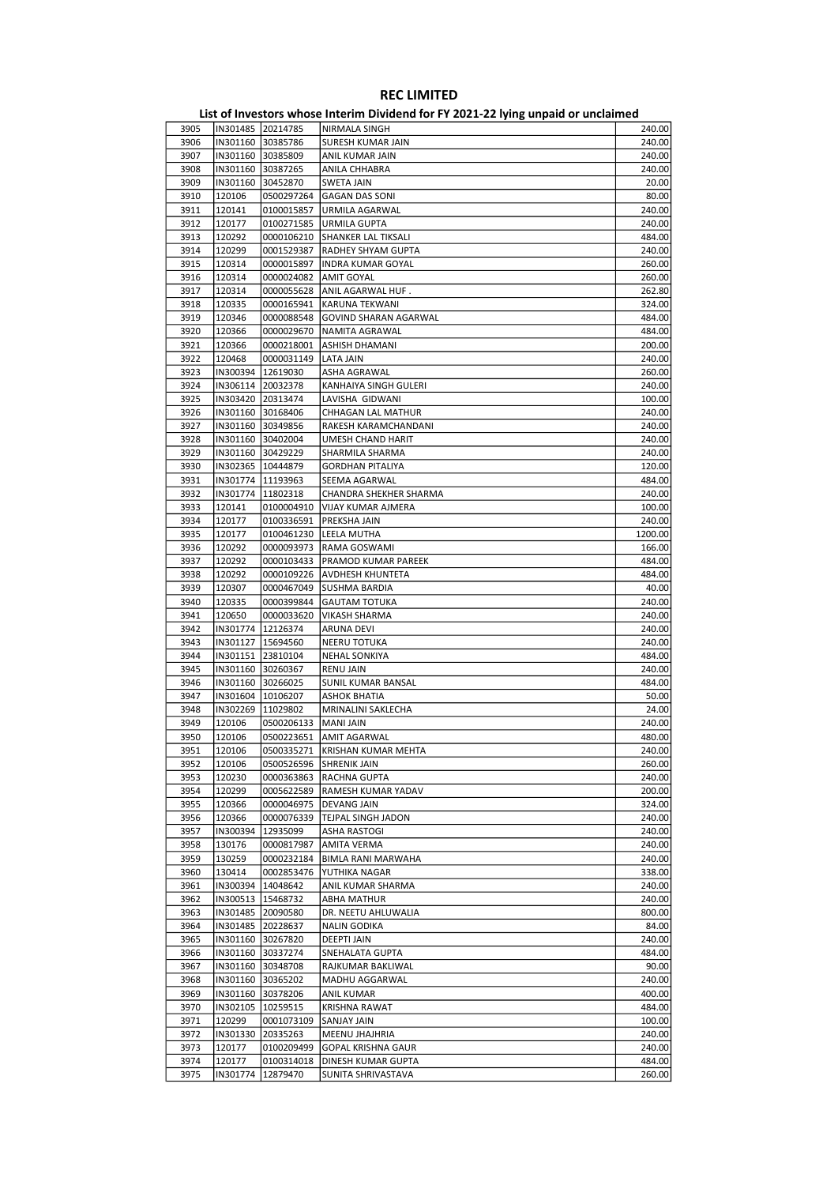| 3905 | IN301485 20214785 |                     | NIRMALA SINGH                  | 240.00  |
|------|-------------------|---------------------|--------------------------------|---------|
| 3906 |                   | IN301160 30385786   | SURESH KUMAR JAIN              | 240.00  |
| 3907 |                   | IN301160 30385809   | ANIL KUMAR JAIN                | 240.00  |
| 3908 |                   | IN301160 30387265   | ANILA CHHABRA                  | 240.00  |
|      |                   |                     |                                |         |
| 3909 |                   | IN301160 30452870   | <b>SWETA JAIN</b>              | 20.00   |
| 3910 | 120106            | 0500297264          | <b>GAGAN DAS SONI</b>          | 80.00   |
| 3911 | 120141            | 0100015857          | URMILA AGARWAL                 | 240.00  |
| 3912 | 120177            | 0100271585          | <b>URMILA GUPTA</b>            | 240.00  |
| 3913 | 120292            | 0000106210          | SHANKER LAL TIKSALI            | 484.00  |
| 3914 | 120299            | 0001529387          | RADHEY SHYAM GUPTA             | 240.00  |
|      |                   |                     |                                |         |
| 3915 | 120314            | 0000015897          | <b>INDRA KUMAR GOYAL</b>       | 260.00  |
| 3916 | 120314            | 0000024082          | AMIT GOYAL                     | 260.00  |
| 3917 | 120314            | 0000055628          | ANIL AGARWAL HUF.              | 262.80  |
| 3918 | 120335            | 0000165941          | KARUNA TEKWANI                 | 324.00  |
| 3919 | 120346            | 0000088548          | <b>GOVIND SHARAN AGARWAL</b>   | 484.00  |
|      |                   |                     |                                |         |
| 3920 | 120366            | 0000029670          | NAMITA AGRAWAL                 | 484.00  |
| 3921 | 120366            | 0000218001          | ASHISH DHAMANI                 | 200.00  |
| 3922 | 120468            | 0000031149          | LATA JAIN                      | 240.00  |
| 3923 |                   | IN300394   12619030 | ASHA AGRAWAL                   | 260.00  |
| 3924 |                   | IN306114 20032378   | KANHAIYA SINGH GULERI          | 240.00  |
| 3925 |                   | IN303420 20313474   | LAVISHA GIDWANI                | 100.00  |
|      |                   | IN301160 30168406   |                                |         |
| 3926 |                   |                     | CHHAGAN LAL MATHUR             | 240.00  |
| 3927 |                   | IN301160 30349856   | RAKESH KARAMCHANDANI           | 240.00  |
| 3928 |                   | IN301160 30402004   | UMESH CHAND HARIT              | 240.00  |
| 3929 |                   | IN301160 30429229   | SHARMILA SHARMA                | 240.00  |
| 3930 |                   | IN302365 10444879   | <b>GORDHAN PITALIYA</b>        | 120.00  |
| 3931 |                   | IN301774   11193963 | SEEMA AGARWAL                  | 484.00  |
|      |                   |                     |                                |         |
| 3932 | IN301774          | 11802318            | CHANDRA SHEKHER SHARMA         | 240.00  |
| 3933 | 120141            | 0100004910          | VIJAY KUMAR AJMERA             | 100.00  |
| 3934 | 120177            | 0100336591          | PREKSHA JAIN                   | 240.00  |
| 3935 | 120177            | 0100461230          | LEELA MUTHA                    | 1200.00 |
| 3936 | 120292            | 0000093973          | RAMA GOSWAMI                   | 166.00  |
| 3937 | 120292            | 0000103433          | PRAMOD KUMAR PAREEK            | 484.00  |
|      |                   |                     |                                |         |
| 3938 | 120292            | 0000109226          | AVDHESH KHUNTETA               | 484.00  |
| 3939 | 120307            | 0000467049          | SUSHMA BARDIA                  | 40.00   |
| 3940 | 120335            | 0000399844          | <b>GAUTAM TOTUKA</b>           | 240.00  |
| 3941 | 120650            | 0000033620          | <b>VIKASH SHARMA</b>           | 240.00  |
| 3942 | IN301774          | 12126374            | <b>ARUNA DEVI</b>              | 240.00  |
| 3943 |                   |                     |                                | 240.00  |
|      |                   | IN301127   15694560 | NEERU TOTUKA                   |         |
| 3944 |                   | IN301151 23810104   | <b>NEHAL SONKIYA</b>           | 484.00  |
| 3945 |                   | IN301160 30260367   | <b>RENU JAIN</b>               | 240.00  |
| 3946 |                   | IN301160 30266025   | SUNIL KUMAR BANSAL             | 484.00  |
| 3947 |                   | IN301604   10106207 | <b>ASHOK BHATIA</b>            | 50.00   |
| 3948 | IN302269          | 11029802            | MRINALINI SAKLECHA             | 24.00   |
| 3949 | 120106            | 0500206133          | <b>MANI JAIN</b>               | 240.00  |
|      |                   |                     |                                |         |
| 3950 | 120106            | 0500223651          | <b>AMIT AGARWAL</b>            | 480.00  |
| 3951 | 120106            |                     | 0500335271 KRISHAN KUMAR MEHTA | 240.00  |
| 3952 | 120106            | 0500526596          | <b>SHRENIK JAIN</b>            | 260.00  |
| 3953 | 120230            | 0000363863          | RACHNA GUPTA                   | 240.00  |
| 3954 | 120299            | 0005622589          | RAMESH KUMAR YADAV             | 200.00  |
| 3955 | 120366            | 0000046975          | DEVANG JAIN                    | 324.00  |
|      |                   |                     |                                |         |
| 3956 | 120366            | 0000076339          | TEJPAL SINGH JADON             | 240.00  |
| 3957 | IN300394          | 12935099            | ASHA RASTOGI                   | 240.00  |
| 3958 | 130176            | 0000817987          | AMITA VERMA                    | 240.00  |
| 3959 | 130259            | 0000232184          | BIMLA RANI MARWAHA             | 240.00  |
| 3960 | 130414            | 0002853476          | YUTHIKA NAGAR                  | 338.00  |
| 3961 | IN300394          | 14048642            |                                | 240.00  |
|      |                   |                     | ANIL KUMAR SHARMA              | 240.00  |
| 3962 | IN300513          | 15468732            | <b>ABHA MATHUR</b>             |         |
| 3963 |                   | IN301485 20090580   | DR. NEETU AHLUWALIA            | 800.00  |
| 3964 |                   | IN301485 20228637   | <b>NALIN GODIKA</b>            | 84.00   |
| 3965 |                   | IN301160 30267820   | <b>DEEPTI JAIN</b>             | 240.00  |
| 3966 |                   | IN301160 30337274   | SNEHALATA GUPTA                | 484.00  |
| 3967 |                   |                     |                                | 90.00   |
|      |                   | IN301160 30348708   | RAJKUMAR BAKLIWAL              |         |
| 3968 |                   | IN301160 30365202   | MADHU AGGARWAL                 | 240.00  |
| 3969 |                   | IN301160 30378206   | <b>ANIL KUMAR</b>              | 400.00  |
| 3970 |                   | IN302105   10259515 | KRISHNA RAWAT                  | 484.00  |
| 3971 | 120299            | 0001073109          | SANJAY JAIN                    | 100.00  |
| 3972 | IN301330          | 20335263            | MEENU JHAJHRIA                 | 240.00  |
|      |                   |                     |                                |         |
| 3973 | 120177            | 0100209499          | GOPAL KRISHNA GAUR             | 240.00  |
| 3974 | 120177            | 0100314018          | DINESH KUMAR GUPTA             | 484.00  |
| 3975 |                   | IN301774 12879470   | SUNITA SHRIVASTAVA             | 260.00  |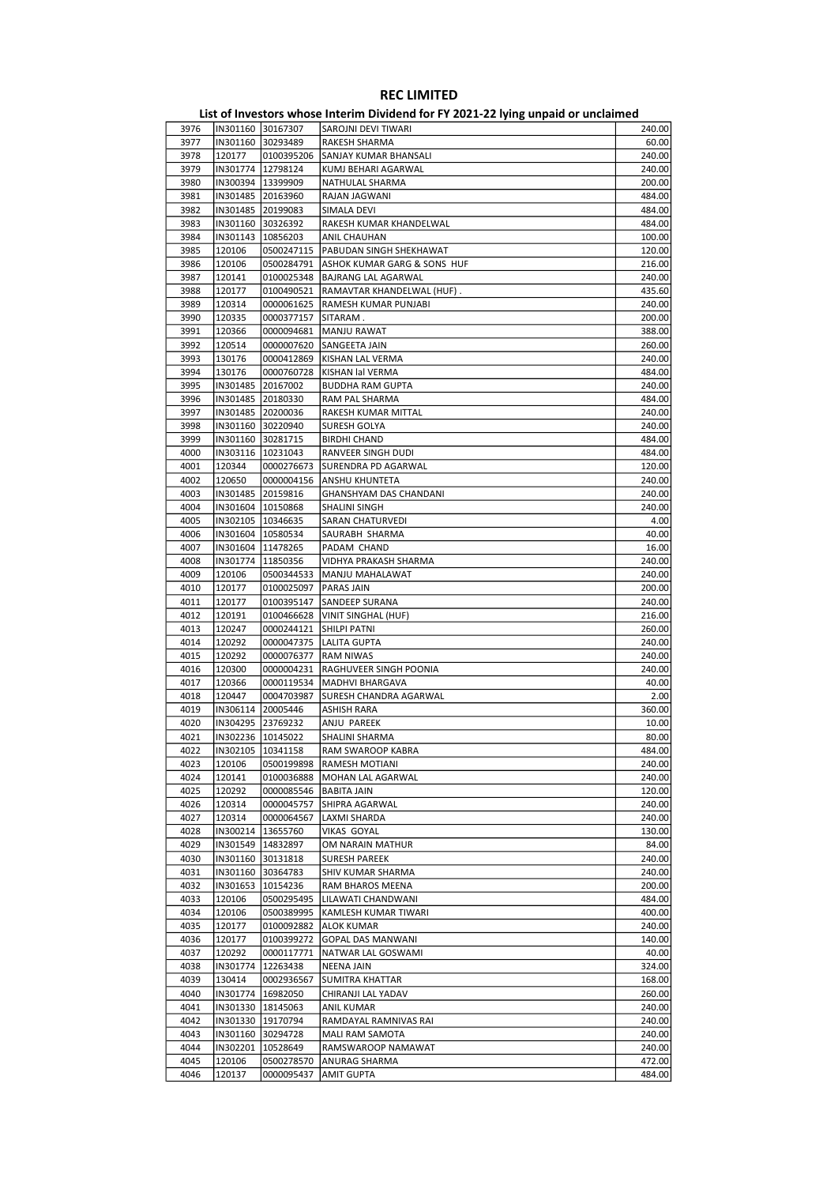|      |                     |                     | <b>EDGOT INVESTORS WHOSE INTERNATIONAL FOR THE EXECUTIVE SUPPORT OF MINIMUM</b> |        |
|------|---------------------|---------------------|---------------------------------------------------------------------------------|--------|
| 3976 | IN301160 30167307   |                     | SAROJNI DEVI TIWARI                                                             | 240.00 |
| 3977 | IN301160 30293489   |                     | RAKESH SHARMA                                                                   | 60.00  |
|      |                     |                     |                                                                                 |        |
| 3978 | 120177              | 0100395206          | SANJAY KUMAR BHANSALI                                                           | 240.00 |
| 3979 | IN301774   12798124 |                     | KUMJ BEHARI AGARWAL                                                             | 240.00 |
| 3980 | IN300394   13399909 |                     | NATHULAL SHARMA                                                                 | 200.00 |
| 3981 | IN301485 20163960   |                     | RAJAN JAGWANI                                                                   | 484.00 |
| 3982 | IN301485 20199083   |                     | SIMALA DEVI                                                                     | 484.00 |
| 3983 | IN301160 30326392   |                     | RAKESH KUMAR KHANDELWAL                                                         | 484.00 |
|      |                     |                     |                                                                                 |        |
| 3984 | IN301143   10856203 |                     | ANIL CHAUHAN                                                                    | 100.00 |
| 3985 | 120106              | 0500247115          | PABUDAN SINGH SHEKHAWAT                                                         | 120.00 |
| 3986 | 120106              | 0500284791          | ASHOK KUMAR GARG & SONS HUF                                                     | 216.00 |
| 3987 | 120141              | 0100025348          | <b>BAJRANG LAL AGARWAL</b>                                                      | 240.00 |
| 3988 | 120177              | 0100490521          | RAMAVTAR KHANDELWAL (HUF).                                                      | 435.60 |
|      | 120314              |                     |                                                                                 |        |
| 3989 |                     | 0000061625          | RAMESH KUMAR PUNJABI                                                            | 240.00 |
| 3990 | 120335              | 0000377157          | SITARAM.                                                                        | 200.00 |
| 3991 | 120366              | 0000094681          | <b>MANJU RAWAT</b>                                                              | 388.00 |
| 3992 | 120514              | 0000007620          | SANGEETA JAIN                                                                   | 260.00 |
| 3993 | 130176              | 0000412869          | KISHAN LAL VERMA                                                                | 240.00 |
| 3994 | 130176              | 0000760728          | KISHAN lal VERMA                                                                | 484.00 |
|      |                     |                     |                                                                                 |        |
| 3995 | IN301485 20167002   |                     | <b>BUDDHA RAM GUPTA</b>                                                         | 240.00 |
| 3996 | IN301485 20180330   |                     | RAM PAL SHARMA                                                                  | 484.00 |
| 3997 | IN301485 20200036   |                     | RAKESH KUMAR MITTAL                                                             | 240.00 |
| 3998 | IN301160 30220940   |                     | SURESH GOLYA                                                                    | 240.00 |
| 3999 | IN301160 30281715   |                     | <b>BIRDHI CHAND</b>                                                             | 484.00 |
|      |                     |                     |                                                                                 |        |
| 4000 | IN303116   10231043 |                     | RANVEER SINGH DUDI                                                              | 484.00 |
| 4001 | 120344              | 0000276673          | SURENDRA PD AGARWAL                                                             | 120.00 |
| 4002 | 120650              | 0000004156          | ANSHU KHUNTETA                                                                  | 240.00 |
| 4003 | IN301485 20159816   |                     | <b>GHANSHYAM DAS CHANDANI</b>                                                   | 240.00 |
| 4004 | IN301604   10150868 |                     | SHALINI SINGH                                                                   | 240.00 |
|      |                     |                     |                                                                                 |        |
| 4005 | IN302105   10346635 |                     | SARAN CHATURVEDI                                                                | 4.00   |
| 4006 | IN301604   10580534 |                     | SAURABH SHARMA                                                                  | 40.00  |
| 4007 | IN301604   11478265 |                     | PADAM CHAND                                                                     | 16.00  |
| 4008 | IN301774   11850356 |                     | VIDHYA PRAKASH SHARMA                                                           | 240.00 |
| 4009 | 120106              | 0500344533          | MANJU MAHALAWAT                                                                 | 240.00 |
| 4010 | 120177              | 0100025097          | PARAS JAIN                                                                      | 200.00 |
|      |                     |                     |                                                                                 |        |
| 4011 | 120177              | 0100395147          | <b>SANDEEP SURANA</b>                                                           | 240.00 |
| 4012 | 120191              | 0100466628          | VINIT SINGHAL (HUF)                                                             | 216.00 |
| 4013 | 120247              | 0000244121          | <b>SHILPI PATNI</b>                                                             | 260.00 |
| 4014 | 120292              | 0000047375          | LALITA GUPTA                                                                    | 240.00 |
| 4015 | 120292              | 0000076377          | RAM NIWAS                                                                       | 240.00 |
|      |                     |                     |                                                                                 |        |
| 4016 | 120300              | 0000004231          | RAGHUVEER SINGH POONIA                                                          | 240.00 |
| 4017 | 120366              | 0000119534          | MADHVI BHARGAVA                                                                 | 40.00  |
| 4018 | 120447              | 0004703987          | SURESH CHANDRA AGARWAL                                                          | 2.00   |
| 4019 | IN306114 20005446   |                     | ASHISH RARA                                                                     | 360.00 |
| 4020 | IN304295 23769232   |                     | ANJU PAREEK                                                                     | 10.00  |
| 4021 | IN302236 10145022   |                     | SHALINI SHARMA                                                                  | 80.00  |
|      |                     |                     |                                                                                 |        |
| 4022 | IN302105  10341158  |                     | RAM SWAROOP KABRA                                                               | 484.00 |
| 4023 | 120106              | 0500199898          | RAMESH MOTIANI                                                                  | 240.00 |
| 4024 | 120141              | 0100036888          | MOHAN LAL AGARWAL                                                               | 240.00 |
| 4025 | 120292              | 0000085546          | <b>BABITA JAIN</b>                                                              | 120.00 |
| 4026 | 120314              | 0000045757          | SHIPRA AGARWAL                                                                  | 240.00 |
|      |                     |                     |                                                                                 |        |
| 4027 | 120314              | 0000064567          | LAXMI SHARDA                                                                    | 240.00 |
| 4028 | IN300214   13655760 |                     | VIKAS GOYAL                                                                     | 130.00 |
| 4029 | IN301549   14832897 |                     | OM NARAIN MATHUR                                                                | 84.00  |
| 4030 |                     | IN301160 30131818   | <b>SURESH PAREEK</b>                                                            | 240.00 |
| 4031 | IN301160 30364783   |                     | SHIV KUMAR SHARMA                                                               | 240.00 |
|      |                     |                     |                                                                                 |        |
| 4032 | IN301653   10154236 |                     | RAM BHAROS MEENA                                                                | 200.00 |
| 4033 | 120106              | 0500295495          | LILAWATI CHANDWANI                                                              | 484.00 |
| 4034 | 120106              | 0500389995          | KAMLESH KUMAR TIWARI                                                            | 400.00 |
| 4035 | 120177              | 0100092882          | <b>ALOK KUMAR</b>                                                               | 240.00 |
| 4036 | 120177              | 0100399272          | <b>GOPAL DAS MANWANI</b>                                                        | 140.00 |
|      |                     |                     |                                                                                 |        |
| 4037 | 120292              | 0000117771          | NATWAR LAL GOSWAMI                                                              | 40.00  |
| 4038 | IN301774   12263438 |                     | NEENA JAIN                                                                      | 324.00 |
| 4039 | 130414              | 0002936567          | SUMITRA KHATTAR                                                                 | 168.00 |
| 4040 |                     | IN301774   16982050 | CHIRANJI LAL YADAV                                                              | 260.00 |
| 4041 | IN301330   18145063 |                     | <b>ANIL KUMAR</b>                                                               | 240.00 |
|      |                     |                     |                                                                                 |        |
| 4042 | IN301330 19170794   |                     | RAMDAYAL RAMNIVAS RAI                                                           | 240.00 |
| 4043 | IN301160 30294728   |                     | MALI RAM SAMOTA                                                                 | 240.00 |
| 4044 | IN302201            | 10528649            | RAMSWAROOP NAMAWAT                                                              | 240.00 |
| 4045 | 120106              | 0500278570          | ANURAG SHARMA                                                                   | 472.00 |
| 4046 | 120137              | 0000095437          | <b>AMIT GUPTA</b>                                                               | 484.00 |
|      |                     |                     |                                                                                 |        |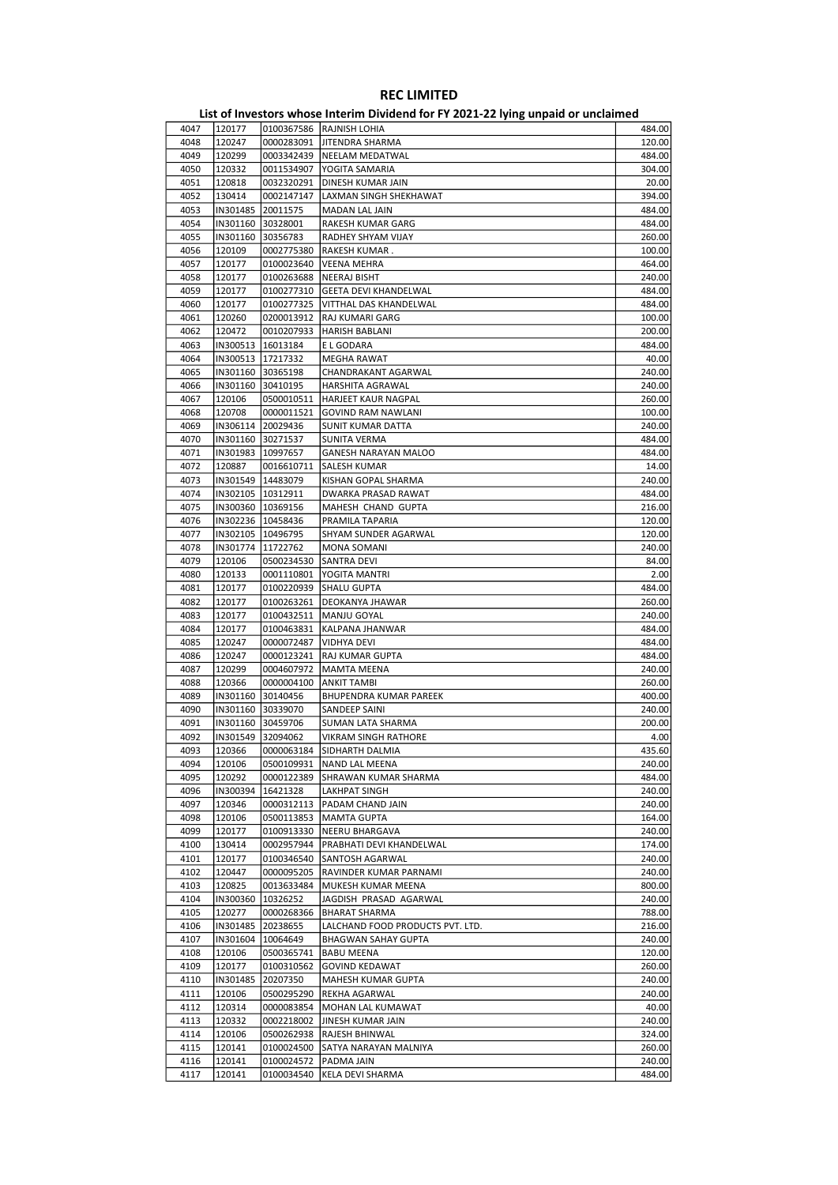| 4047 | 120177   |                     | 0100367586   RAJNISH LOHIA       | 484.00 |
|------|----------|---------------------|----------------------------------|--------|
| 4048 | 120247   | 0000283091          | JITENDRA SHARMA                  | 120.00 |
| 4049 | 120299   | 0003342439          | <b>NEELAM MEDATWAL</b>           | 484.00 |
| 4050 | 120332   | 0011534907          | YOGITA SAMARIA                   | 304.00 |
| 4051 | 120818   | 0032320291          | <b>DINESH KUMAR JAIN</b>         | 20.00  |
| 4052 | 130414   | 0002147147          | LAXMAN SINGH SHEKHAWAT           | 394.00 |
| 4053 | IN301485 | 20011575            | MADAN LAL JAIN                   | 484.00 |
|      |          |                     |                                  |        |
| 4054 | IN301160 | 30328001            | RAKESH KUMAR GARG                | 484.00 |
| 4055 | IN301160 | 30356783            | RADHEY SHYAM VIJAY               | 260.00 |
| 4056 | 120109   | 0002775380          | RAKESH KUMAR.                    | 100.00 |
| 4057 | 120177   | 0100023640          | <b>VEENA MEHRA</b>               | 464.00 |
| 4058 | 120177   | 0100263688          | NEERAJ BISHT                     | 240.00 |
| 4059 | 120177   | 0100277310          | <b>GEETA DEVI KHANDELWAL</b>     | 484.00 |
| 4060 | 120177   | 0100277325          | VITTHAL DAS KHANDELWAL           | 484.00 |
| 4061 | 120260   | 0200013912          | RAJ KUMARI GARG                  | 100.00 |
| 4062 | 120472   | 0010207933          | HARISH BABLANI                   | 200.00 |
| 4063 |          | IN300513   16013184 | E L GODARA                       | 484.00 |
| 4064 |          | IN300513   17217332 | MEGHA RAWAT                      | 40.00  |
|      |          |                     |                                  |        |
| 4065 |          | IN301160 30365198   | CHANDRAKANT AGARWAL              | 240.00 |
| 4066 | IN301160 | 30410195            | HARSHITA AGRAWAL                 | 240.00 |
| 4067 | 120106   | 0500010511          | HARJEET KAUR NAGPAL              | 260.00 |
| 4068 | 120708   | 0000011521          | <b>GOVIND RAM NAWLANI</b>        | 100.00 |
| 4069 |          | IN306114 20029436   | <b>SUNIT KUMAR DATTA</b>         | 240.00 |
| 4070 |          | IN301160 30271537   | SUNITA VERMA                     | 484.00 |
| 4071 |          | IN301983   10997657 | <b>GANESH NARAYAN MALOO</b>      | 484.00 |
| 4072 | 120887   | 0016610711          | <b>SALESH KUMAR</b>              | 14.00  |
| 4073 |          | IN301549 14483079   | KISHAN GOPAL SHARMA              | 240.00 |
| 4074 |          | IN302105   10312911 | DWARKA PRASAD RAWAT              | 484.00 |
|      |          |                     |                                  |        |
| 4075 |          | IN300360 10369156   | MAHESH CHAND GUPTA               | 216.00 |
| 4076 |          | IN302236 10458436   | PRAMILA TAPARIA                  | 120.00 |
| 4077 |          | IN302105   10496795 | SHYAM SUNDER AGARWAL             | 120.00 |
| 4078 |          | IN301774   11722762 | MONA SOMANI                      | 240.00 |
| 4079 | 120106   | 0500234530          | <b>SANTRA DEVI</b>               | 84.00  |
| 4080 | 120133   | 0001110801          | YOGITA MANTRI                    | 2.00   |
| 4081 | 120177   | 0100220939          | SHALU GUPTA                      | 484.00 |
| 4082 | 120177   | 0100263261          | DEOKANYA JHAWAR                  | 260.00 |
| 4083 | 120177   | 0100432511          | MANJU GOYAL                      | 240.00 |
| 4084 | 120177   |                     |                                  | 484.00 |
|      |          | 0100463831          | KALPANA JHANWAR                  |        |
| 4085 | 120247   | 0000072487          | <b>VIDHYA DEVI</b>               | 484.00 |
| 4086 | 120247   | 0000123241          | RAJ KUMAR GUPTA                  | 484.00 |
| 4087 | 120299   | 0004607972          | MAMTA MEENA                      | 240.00 |
| 4088 | 120366   | 0000004100          | ANKIT TAMBI                      | 260.00 |
| 4089 | IN301160 | 30140456            | BHUPENDRA KUMAR PAREEK           | 400.00 |
| 4090 |          | IN301160 30339070   | SANDEEP SAINI                    | 240.00 |
| 4091 | IN301160 | 30459706            | <b>SUMAN LATA SHARMA</b>         | 200.00 |
| 4092 |          | IN301549 32094062   | VIKRAM SINGH RATHORE             | 4.00   |
| 4093 |          | 120366 0000063184   | SIDHARTH DALMIA                  | 435.60 |
| 4094 | 120106   |                     | 0500109931   NAND LAL MEENA      | 240.00 |
|      |          |                     |                                  |        |
| 4095 | 120292   | 0000122389          | SHRAWAN KUMAR SHARMA             | 484.00 |
| 4096 | IN300394 | 16421328            | LAKHPAT SINGH                    | 240.00 |
| 4097 | 120346   | 0000312113          | PADAM CHAND JAIN                 | 240.00 |
| 4098 | 120106   | 0500113853          | MAMTA GUPTA                      | 164.00 |
| 4099 | 120177   | 0100913330          | NEERU BHARGAVA                   | 240.00 |
| 4100 | 130414   | 0002957944          | PRABHATI DEVI KHANDELWAL         | 174.00 |
| 4101 | 120177   | 0100346540          | SANTOSH AGARWAL                  | 240.00 |
| 4102 | 120447   | 0000095205          | RAVINDER KUMAR PARNAMI           | 240.00 |
| 4103 | 120825   | 0013633484          | MUKESH KUMAR MEENA               | 800.00 |
| 4104 | IN300360 | 10326252            | JAGDISH PRASAD AGARWAL           | 240.00 |
|      |          |                     |                                  |        |
| 4105 | 120277   | 0000268366          | BHARAT SHARMA                    | 788.00 |
| 4106 | IN301485 | 20238655            | LALCHAND FOOD PRODUCTS PVT. LTD. | 216.00 |
| 4107 |          | IN301604   10064649 | <b>BHAGWAN SAHAY GUPTA</b>       | 240.00 |
| 4108 | 120106   | 0500365741          | <b>BABU MEENA</b>                | 120.00 |
| 4109 | 120177   | 0100310562          | <b>GOVIND KEDAWAT</b>            | 260.00 |
| 4110 | IN301485 | 20207350            | MAHESH KUMAR GUPTA               | 240.00 |
| 4111 | 120106   | 0500295290          | REKHA AGARWAL                    | 240.00 |
| 4112 | 120314   | 0000083854          | MOHAN LAL KUMAWAT                | 40.00  |
| 4113 | 120332   | 0002218002          | JINESH KUMAR JAIN                | 240.00 |
|      |          |                     |                                  |        |
| 4114 | 120106   | 0500262938          | RAJESH BHINWAL                   | 324.00 |
| 4115 | 120141   | 0100024500          | SATYA NARAYAN MALNIYA            | 260.00 |
| 4116 | 120141   | 0100024572          | PADMA JAIN                       | 240.00 |
| 4117 | 120141   | 0100034540          | KELA DEVI SHARMA                 | 484.00 |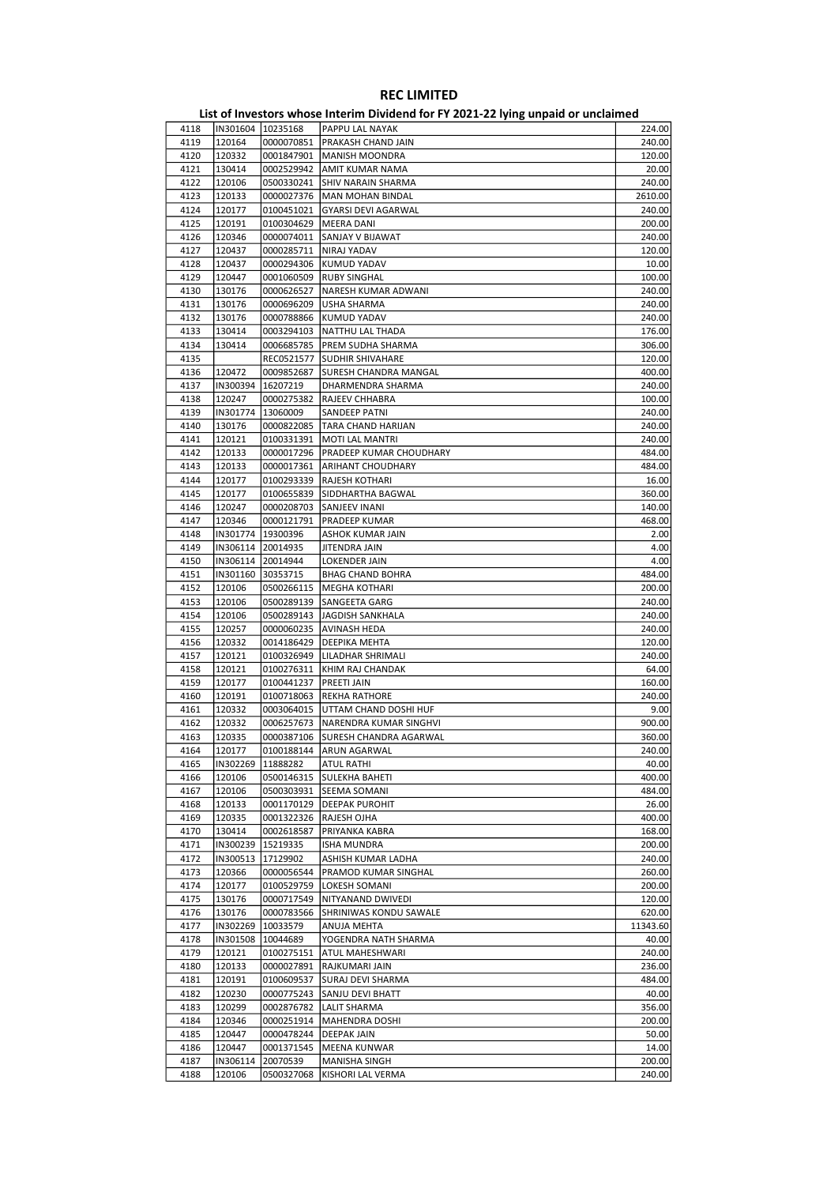| 4118 |                   | IN301604  10235168  | PAPPU LAL NAYAK                      | 224.00   |
|------|-------------------|---------------------|--------------------------------------|----------|
| 4119 | 120164            | 0000070851          | PRAKASH CHAND JAIN                   | 240.00   |
| 4120 | 120332            | 0001847901          | MANISH MOONDRA                       | 120.00   |
|      |                   |                     |                                      |          |
| 4121 | 130414            | 0002529942          | AMIT KUMAR NAMA                      | 20.00    |
| 4122 | 120106            | 0500330241          | <b>SHIV NARAIN SHARMA</b>            | 240.00   |
| 4123 | 120133            | 0000027376          | <b>MAN MOHAN BINDAL</b>              | 2610.00  |
|      |                   |                     |                                      |          |
| 4124 | 120177            | 0100451021          | <b>GYARSI DEVI AGARWAL</b>           | 240.00   |
| 4125 | 120191            | 0100304629          | MEERA DANI                           | 200.00   |
| 4126 | 120346            | 0000074011          | SANJAY V BIJAWAT                     | 240.00   |
|      |                   |                     |                                      |          |
| 4127 | 120437            | 0000285711          | NIRAJ YADAV                          | 120.00   |
| 4128 | 120437            | 0000294306          | KUMUD YADAV                          | 10.00    |
| 4129 | 120447            | 0001060509          | <b>RUBY SINGHAL</b>                  | 100.00   |
|      |                   |                     |                                      |          |
| 4130 | 130176            | 0000626527          | NARESH KUMAR ADWANI                  | 240.00   |
| 4131 | 130176            | 0000696209          | USHA SHARMA                          | 240.00   |
| 4132 | 130176            | 0000788866          | <b>KUMUD YADAV</b>                   | 240.00   |
|      |                   |                     |                                      |          |
| 4133 | 130414            | 0003294103          | NATTHU LAL THADA                     | 176.00   |
| 4134 | 130414            | 0006685785          | PREM SUDHA SHARMA                    | 306.00   |
| 4135 |                   | REC0521577          | <b>SUDHIR SHIVAHARE</b>              | 120.00   |
| 4136 | 120472            | 0009852687          | SURESH CHANDRA MANGAL                |          |
|      |                   |                     |                                      | 400.00   |
| 4137 | IN300394          | 16207219            | DHARMENDRA SHARMA                    | 240.00   |
| 4138 | 120247            | 0000275382          | RAJEEV CHHABRA                       | 100.00   |
| 4139 | IN301774          | 13060009            | SANDEEP PATNI                        | 240.00   |
|      |                   |                     |                                      |          |
| 4140 | 130176            | 0000822085          | <b>TARA CHAND HARIJAN</b>            | 240.00   |
| 4141 | 120121            | 0100331391          | MOTI LAL MANTRI                      | 240.00   |
| 4142 | 120133            |                     | 0000017296   PRADEEP KUMAR CHOUDHARY | 484.00   |
|      |                   |                     |                                      |          |
| 4143 | 120133            | 0000017361          | <b>ARIHANT CHOUDHARY</b>             | 484.00   |
| 4144 | 120177            | 0100293339          | RAJESH KOTHARI                       | 16.00    |
| 4145 | 120177            | 0100655839          | SIDDHARTHA BAGWAL                    | 360.00   |
| 4146 | 120247            | 0000208703          | SANJEEV INANI                        | 140.00   |
|      |                   |                     |                                      |          |
| 4147 | 120346            |                     | 0000121791  PRADEEP KUMAR            | 468.00   |
| 4148 |                   | IN301774   19300396 | ASHOK KUMAR JAIN                     | 2.00     |
| 4149 |                   | IN306114 20014935   | JITENDRA JAIN                        | 4.00     |
| 4150 |                   | IN306114 20014944   | LOKENDER JAIN                        | 4.00     |
| 4151 |                   |                     |                                      |          |
|      | IN301160 30353715 |                     | <b>BHAG CHAND BOHRA</b>              | 484.00   |
| 4152 | 120106            | 0500266115          | MEGHA KOTHARI                        | 200.00   |
| 4153 | 120106            | 0500289139          | SANGEETA GARG                        | 240.00   |
| 4154 | 120106            | 0500289143          | JAGDISH SANKHALA                     | 240.00   |
| 4155 | 120257            | 0000060235          | AVINASH HEDA                         | 240.00   |
|      |                   |                     |                                      |          |
| 4156 | 120332            |                     | 0014186429   DEEPIKA MEHTA           | 120.00   |
| 4157 | 120121            | 0100326949          | LILADHAR SHRIMALI                    | 240.00   |
| 4158 | 120121            | 0100276311          | KHIM RAJ CHANDAK                     | 64.00    |
| 4159 | 120177            | 0100441237          | PREETI JAIN                          | 160.00   |
|      |                   |                     |                                      |          |
| 4160 | 120191            | 0100718063          | <b>REKHA RATHORE</b>                 | 240.00   |
| 4161 | 120332            |                     | 0003064015   UTTAM CHAND DOSHI HUF   | 9.00     |
| 4162 | 120332            | 0006257673          | NARENDRA KUMAR SINGHVI               | 900.00   |
| 4163 | 120335            | 0000387106          | SURESH CHANDRA AGARWAL               | 360.00   |
|      |                   |                     |                                      |          |
| 4164 | 120177            |                     | 0100188144 ARUN AGARWAL              | 240.00   |
| 4165 |                   | IN302269   11888282 | ATUL RATHI                           | 40.00    |
| 4166 | 120106            | 0500146315          | SULEKHA BAHETI                       | 400.00   |
|      |                   |                     |                                      |          |
| 4167 | 120106            | 0500303931          | <b>SEEMA SOMANI</b>                  | 484.00   |
| 4168 | 120133            | 0001170129          | <b>DEEPAK PUROHIT</b>                | 26.00    |
| 4169 | 120335            | 0001322326          | RAJESH OJHA                          | 400.00   |
| 4170 | 130414            | 0002618587          | PRIYANKA KABRA                       | 168.00   |
|      |                   |                     |                                      |          |
| 4171 | IN300239          | 15219335            | ISHA MUNDRA                          | 200.00   |
| 4172 | IN300513          | 17129902            | ASHISH KUMAR LADHA                   | 240.00   |
| 4173 | 120366            | 0000056544          | PRAMOD KUMAR SINGHAL                 | 260.00   |
| 4174 | 120177            | 0100529759          | LOKESH SOMANI                        | 200.00   |
| 4175 | 130176            | 0000717549          | NITYANAND DWIVEDI                    | 120.00   |
|      |                   |                     |                                      |          |
| 4176 | 130176            | 0000783566          | SHRINIWAS KONDU SAWALE               | 620.00   |
| 4177 | IN302269          | 10033579            | ANUJA MEHTA                          | 11343.60 |
| 4178 | IN301508          | 10044689            | YOGENDRA NATH SHARMA                 | 40.00    |
|      |                   |                     |                                      |          |
| 4179 | 120121            | 0100275151          | ATUL MAHESHWARI                      | 240.00   |
| 4180 | 120133            | 0000027891          | RAJKUMARI JAIN                       | 236.00   |
| 4181 | 120191            | 0100609537          | SURAJ DEVI SHARMA                    | 484.00   |
| 4182 | 120230            | 0000775243          | SANJU DEVI BHATT                     | 40.00    |
| 4183 | 120299            | 0002876782          | <b>LALIT SHARMA</b>                  | 356.00   |
|      |                   |                     |                                      |          |
| 4184 | 120346            | 0000251914          | MAHENDRA DOSHI                       | 200.00   |
| 4185 | 120447            | 0000478244          | DEEPAK JAIN                          | 50.00    |
| 4186 | 120447            | 0001371545          | MEENA KUNWAR                         | 14.00    |
| 4187 | IN306114          | 20070539            | MANISHA SINGH                        | 200.00   |
|      |                   |                     |                                      |          |
| 4188 | 120106            | 0500327068          | KISHORI LAL VERMA                    | 240.00   |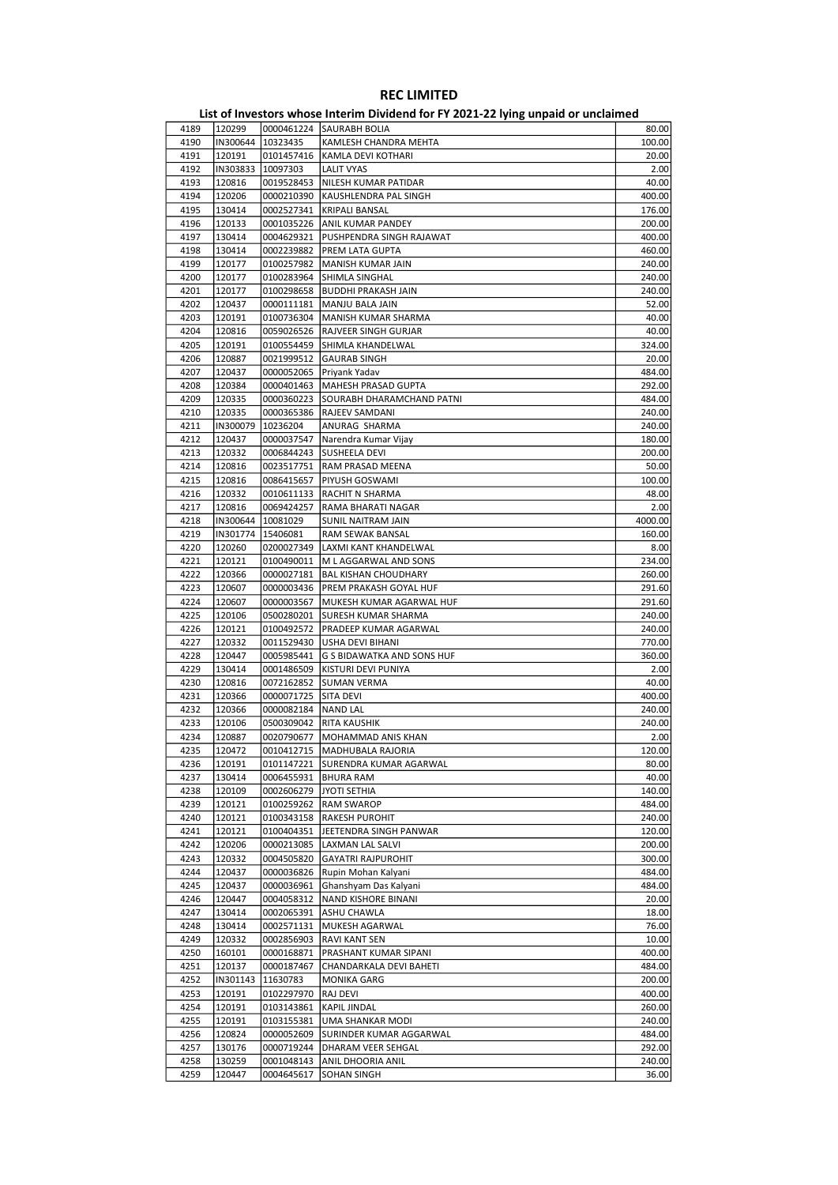| 4189 | 120299   |                     | 0000461224 SAURABH BOLIA       | 80.00   |
|------|----------|---------------------|--------------------------------|---------|
| 4190 |          | IN300644 10323435   | KAMLESH CHANDRA MEHTA          | 100.00  |
| 4191 | 120191   | 0101457416          | KAMLA DEVI KOTHARI             | 20.00   |
| 4192 | IN303833 | 10097303            | LALIT VYAS                     | 2.00    |
| 4193 | 120816   | 0019528453          | NILESH KUMAR PATIDAR           | 40.00   |
| 4194 | 120206   | 0000210390          | KAUSHLENDRA PAL SINGH          | 400.00  |
|      |          |                     |                                |         |
| 4195 | 130414   | 0002527341          | <b>KRIPALI BANSAL</b>          | 176.00  |
| 4196 | 120133   | 0001035226          | ANIL KUMAR PANDEY              | 200.00  |
| 4197 | 130414   | 0004629321          | PUSHPENDRA SINGH RAJAWAT       | 400.00  |
| 4198 | 130414   | 0002239882          | PREM LATA GUPTA                | 460.00  |
| 4199 | 120177   | 0100257982          | MANISH KUMAR JAIN              | 240.00  |
| 4200 | 120177   | 0100283964          | SHIMLA SINGHAL                 | 240.00  |
| 4201 | 120177   | 0100298658          | <b>BUDDHI PRAKASH JAIN</b>     | 240.00  |
| 4202 | 120437   | 0000111181          | MANJU BALA JAIN                | 52.00   |
| 4203 | 120191   | 0100736304          | MANISH KUMAR SHARMA            | 40.00   |
|      |          |                     |                                |         |
| 4204 | 120816   | 0059026526          | RAJVEER SINGH GURJAR           | 40.00   |
| 4205 | 120191   | 0100554459          | SHIMLA KHANDELWAL              | 324.00  |
| 4206 | 120887   | 0021999512          | <b>GAURAB SINGH</b>            | 20.00   |
| 4207 | 120437   | 0000052065          | Priyank Yadav                  | 484.00  |
| 4208 | 120384   | 0000401463          | MAHESH PRASAD GUPTA            | 292.00  |
| 4209 | 120335   | 0000360223          | SOURABH DHARAMCHAND PATNI      | 484.00  |
| 4210 | 120335   | 0000365386          | RAJEEV SAMDANI                 | 240.00  |
| 4211 | IN300079 | 10236204            | ANURAG SHARMA                  | 240.00  |
| 4212 | 120437   | 0000037547          | Narendra Kumar Vijay           | 180.00  |
| 4213 | 120332   | 0006844243          | SUSHEELA DEVI                  | 200.00  |
|      |          |                     |                                |         |
| 4214 | 120816   | 0023517751          | RAM PRASAD MEENA               | 50.00   |
| 4215 | 120816   | 0086415657          | PIYUSH GOSWAMI                 | 100.00  |
| 4216 | 120332   | 0010611133          | RACHIT N SHARMA                | 48.00   |
| 4217 | 120816   | 0069424257          | RAMA BHARATI NAGAR             | 2.00    |
| 4218 | IN300644 | 10081029            | SUNIL NAITRAM JAIN             | 4000.00 |
| 4219 |          | IN301774   15406081 | RAM SEWAK BANSAL               | 160.00  |
| 4220 | 120260   | 0200027349          | LAXMI KANT KHANDELWAL          | 8.00    |
| 4221 | 120121   | 0100490011          | M L AGGARWAL AND SONS          | 234.00  |
| 4222 | 120366   | 0000027181          | <b>BAL KISHAN CHOUDHARY</b>    | 260.00  |
| 4223 | 120607   | 0000003436          | PREM PRAKASH GOYAL HUF         | 291.60  |
|      |          |                     |                                |         |
| 4224 | 120607   | 0000003567          | MUKESH KUMAR AGARWAL HUF       | 291.60  |
| 4225 | 120106   | 0500280201          | SURESH KUMAR SHARMA            | 240.00  |
| 4226 | 120121   | 0100492572          | PRADEEP KUMAR AGARWAL          | 240.00  |
| 4227 | 120332   | 0011529430          | USHA DEVI BIHANI               | 770.00  |
| 4228 | 120447   | 0005985441          | G S BIDAWATKA AND SONS HUF     | 360.00  |
| 4229 | 130414   | 0001486509          | KISTURI DEVI PUNIYA            | 2.00    |
| 4230 | 120816   | 0072162852          | <b>SUMAN VERMA</b>             | 40.00   |
| 4231 | 120366   | 0000071725          | <b>SITA DEVI</b>               | 400.00  |
| 4232 | 120366   | 0000082184          | NAND LAL                       | 240.00  |
| 4233 | 120106   | 0500309042          | <b>RITA KAUSHIK</b>            | 240.00  |
|      |          |                     |                                |         |
| 4234 | 120887   | 0020790677          | MOHAMMAD ANIS KHAN             | 2.00    |
| 4235 | 120472   |                     | 0010412715   MADHUBALA RAJORIA | 120.00  |
| 4236 | 120191   | 0101147221          | SURENDRA KUMAR AGARWAL         | 80.00   |
| 4237 | 130414   | 0006455931          | BHURA RAM                      | 40.00   |
| 4238 | 120109   |                     | 0002606279 JYOTI SETHIA        | 140.00  |
| 4239 | 120121   | 0100259262          | <b>RAM SWAROP</b>              | 484.00  |
| 4240 | 120121   | 0100343158          | <b>RAKESH PUROHIT</b>          | 240.00  |
| 4241 | 120121   | 0100404351          | JEETENDRA SINGH PANWAR         | 120.00  |
| 4242 | 120206   | 0000213085          | LAXMAN LAL SALVI               | 200.00  |
|      |          |                     |                                |         |
| 4243 | 120332   | 0004505820          | <b>GAYATRI RAJPUROHIT</b>      | 300.00  |
| 4244 | 120437   | 0000036826          | Rupin Mohan Kalyani            | 484.00  |
| 4245 | 120437   | 0000036961          | Ghanshyam Das Kalyani          | 484.00  |
| 4246 | 120447   | 0004058312          | NAND KISHORE BINANI            | 20.00   |
| 4247 | 130414   | 0002065391          | ASHU CHAWLA                    | 18.00   |
| 4248 | 130414   | 0002571131          | MUKESH AGARWAL                 | 76.00   |
| 4249 | 120332   | 0002856903          | RAVI KANT SEN                  | 10.00   |
| 4250 | 160101   | 0000168871          | PRASHANT KUMAR SIPANI          | 400.00  |
| 4251 | 120137   | 0000187467          | CHANDARKALA DEVI BAHETI        | 484.00  |
| 4252 | IN301143 | 11630783            | MONIKA GARG                    | 200.00  |
|      |          |                     |                                |         |
| 4253 | 120191   | 0102297970          | RAJ DEVI                       | 400.00  |
| 4254 | 120191   | 0103143861          | <b>KAPIL JINDAL</b>            | 260.00  |
| 4255 | 120191   | 0103155381          | UMA SHANKAR MODI               | 240.00  |
| 4256 | 120824   | 0000052609          | SURINDER KUMAR AGGARWAL        | 484.00  |
| 4257 | 130176   | 0000719244          | DHARAM VEER SEHGAL             | 292.00  |
| 4258 | 130259   | 0001048143          | ANIL DHOORIA ANIL              | 240.00  |
| 4259 | 120447   | 0004645617          | <b>SOHAN SINGH</b>             | 36.00   |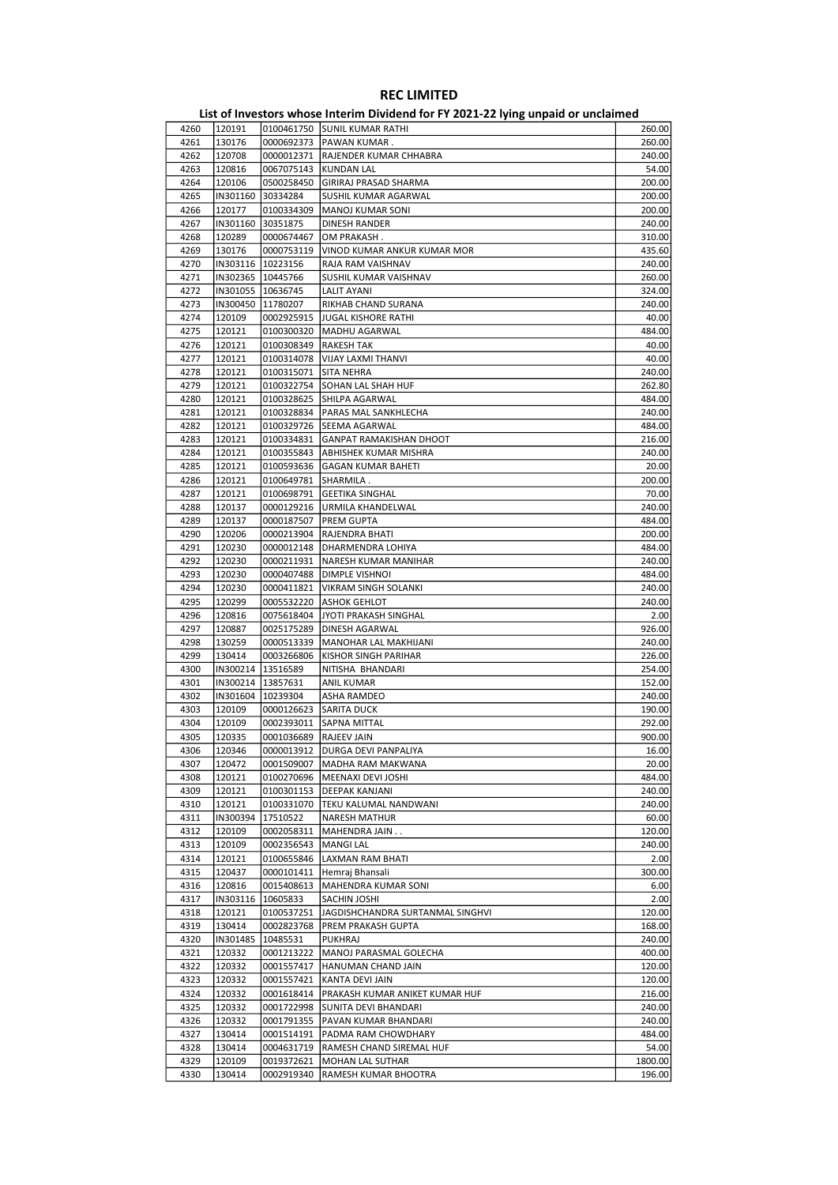#### List of Investors whose Interim Dividend for FY 2021-22 lying unpaid or unclaimed 4260 120191 0100461750 SUNIL KUMAR RATHI 260.00 4261 130176 0000692373 PAWAN KUMAR . 260.00 4262 120708 0000012371 RAJENDER KUMAR CHHABRA 240.00 4263 120816 0067075143 KUNDAN LAL 54.00 4264 120106 0500258450 GIRIRAJ PRASAD SHARMA 200.00 4265 IN301160 30334284 SUSHIL KUMAR AGARWAL 200.00 MANOJ KUMAR SONI 4267 IN301160 30351875 DINESH RANDER 240.00 4268 120289 0000674467 OM PRAKASH . 310.00 4269 130176 0000753119 VINOD KUMAR ANKUR KUMAR MOR 435.60 4270 IN303116 10223156 RAJA RAM VAISHNAV 240.00 4271 IN302365 10445766 SUSHIL KUMAR VAISHNAV 260.00 4272 IN301055 10636745 LALIT AYANI 324.00 4273 IN300450 11780207 RIKHAB CHAND SURANA 240.00 4274 120109 0002925915 JUGAL KISHORE RATHI 40.00 120121 0100300320 MADHU AGARWAL 484.00<br>120121 0100308349 RAKESH TAK 484.000 40.00 4276 120121 0100308349 RAKESH TAK 40.00 4277 120121 0100314078 VIJAY LAXMI THANVI 40.00 4278 120121 0100315071 SITA NEHRA 240.00 4279 120121 0100322754 SOHAN LAL SHAH HUF 262.80 4280 120121 0100328625 SHILPA AGARWAL 484.00<br>4281 120121 0100328834 PARAS MAI SANKHIFCHA 484.00 4281 120121 0100328834 PARAS MAL SANKHLECHA 240.00 0100329726 SEEMA AGARWAL 4283 120121 0100334831 GANPAT RAMAKISHAN DHOOT 216.00 4284 120121 0100355843 ABHISHEK KUMAR MISHRA 240.00 4285 120121 0100593636 GAGAN KUMAR BAHETI 20.00 4286 120121 0100649781 SHARMILA . 200.00 4287 120121 0100698791 GEETIKA SINGHAL 70.00 4288 120137 0000129216 URMILA KHANDELWAL 240.00 4289 120137 0000187507 PREM GUPTA 484.00 4290 120206 0000213904 RAJENDRA BHATI 200.00 4291 120230 0000012148 DHARMENDRA LOHIYA 484.00 NARESH KUMAR MANIHAR 4293 120230 0000407488 DIMPLE VISHNOI 484.00 4294 120230 0000411821 VIKRAM SINGH SOLANKI 240.00 4295 120299 0005532220 ASHOK GEHLOT 240.00 4296 120816 0075618404 JYOTI PRAKASH SINGHAL 2.00 0025175289 DINESH AGARWAL 926.00 4298 130259 0000513339 MANOHAR LAL MAKHIJANI 240.00 4299 130414 0003266806 KISHOR SINGH PARIHAR 226.00 4300 |IN300214 |13516589 |INTISHA BHANDARI 254.00 |IN300214 |13516589 |INTISHA BHANDARI 254.00<br>4301 |IN300214 |13857631 |IANIL KUMAR 4301 IN300214 13857631 ANIL KUMAR 152.00<br>4302 IN301604 10239304 ASHA RAMDEO 240.00 4302 |IN301604 |10239304 |ASHA RAMDEO 240.00 4303 120109 0000126623 SARITA DUCK 190.00 4304 120109 0002393011 SAPNA MITTAL 292.00 4305 120335 0001036689 RAJEEV JAIN 900.00 4306 120346 0000013912 DURGA DEVI PANPALIYA 16.00 4307 120472 0001509007 MADHA RAM MAKWANA 20.00 120121 0100270696 MEENAXI DEVI JOSHI<br>120121 0100301153 DEEPAK KANJANI 4309 120121 0100301153 DEEPAK KANJANI 240.00 4310 120121 0100331070 TEKU KALUMAL NANDWANI 240.00 4311 IN300394 17510522 NARESH MATHUR 60.00 4312 120109 0002058311 MAHENDRA JAIN . . 120.00 4313 120109 0002356543 MANGI LAL 240.00 4314 120121 0100655846 LAXMAN RAM BHATI 2.00 4315 120437 0000101411 Hemraj Bhansali 300.00<br>4316 120816 0015408613 MAHENDRA KUMAR SONI 6.00 MAHENDRA KUMAR SONI 4317 |IN303116 |10605833 |SACHIN JOSHI 2.00 4318 120121 0100537251 JAGDISHCHANDRA SURTANMAL SINGHVI 120.00 4319 130414 0002823768 PREM PRAKASH GUPTA 168.00 4320 |IN301485 |10485531 |PUKHRAJ 240.00 4321 120332 0001213222 MANOJ PARASMAL GOLECHA 400.00 4322 120332 0001557417 HANUMAN CHAND JAIN 120.00<br>4323 120332 0001557421 KANTA DEVI JAIN 120.00 KANTA DEVI JAIN 4324 120332 0001618414 PRAKASH KUMAR ANIKET KUMAR HUF 216.00 4325 120332 0001722998 SUNITA DEVI BHANDARI 240.00 4326 120332 0001791355 PAVAN KUMAR BHANDARI 240.00 4327 130414 0001514191 PADMA RAM CHOWDHARY 484.00 4328 130414 0004631719 RAMESH CHAND SIREMAL HUF 54.00 4329 120109 0019372621 MOHAN LAL SUTHAR 1800.00

4330 130414 0002919340 RAMESH KUMAR BHOOTRA 196.00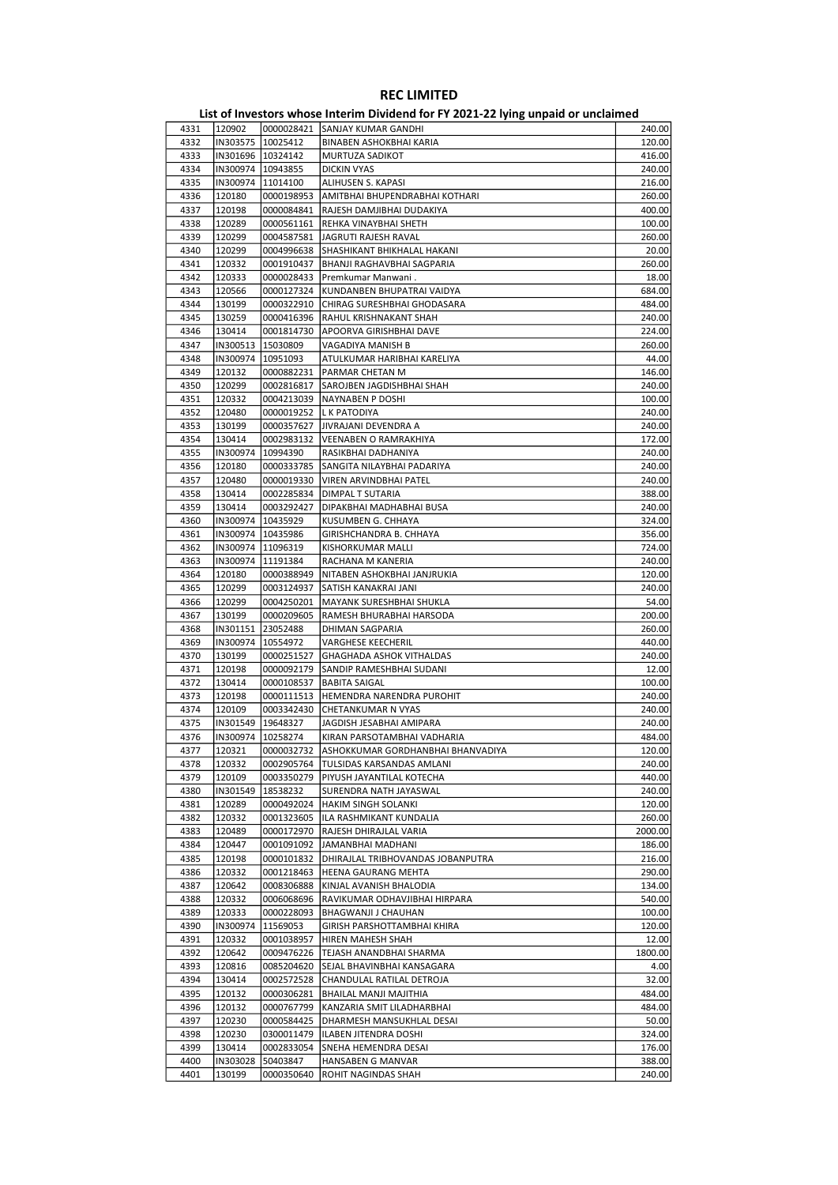| 4331 | 120902              |                     | 0000028421 SANJAY KUMAR GANDHI               | 240.00  |
|------|---------------------|---------------------|----------------------------------------------|---------|
| 4332 | IN303575            | 10025412            | BINABEN ASHOKBHAI KARIA                      | 120.00  |
| 4333 | IN301696   10324142 |                     | MURTUZA SADIKOT                              | 416.00  |
| 4334 |                     | IN300974   10943855 | <b>DICKIN VYAS</b>                           | 240.00  |
| 4335 |                     | IN300974 11014100   | ALIHUSEN S. KAPASI                           | 216.00  |
| 4336 | 120180              | 0000198953          | AMITBHAI BHUPENDRABHAI KOTHARI               | 260.00  |
| 4337 | 120198              | 0000084841          | RAJESH DAMJIBHAI DUDAKIYA                    | 400.00  |
|      |                     |                     |                                              |         |
| 4338 | 120289              | 0000561161          | REHKA VINAYBHAI SHETH                        | 100.00  |
| 4339 | 120299              | 0004587581          | JAGRUTI RAJESH RAVAL                         | 260.00  |
| 4340 | 120299              |                     | 0004996638 SHASHIKANT BHIKHALAL HAKANI       | 20.00   |
| 4341 | 120332              | 0001910437          | BHANJI RAGHAVBHAI SAGPARIA                   | 260.00  |
| 4342 | 120333              | 0000028433          | Premkumar Manwani.                           | 18.00   |
| 4343 | 120566              | 0000127324          | KUNDANBEN BHUPATRAI VAIDYA                   | 684.00  |
| 4344 | 130199              | 0000322910          | CHIRAG SURESHBHAI GHODASARA                  | 484.00  |
| 4345 | 130259              | 0000416396          | RAHUL KRISHNAKANT SHAH                       | 240.00  |
| 4346 | 130414              | 0001814730          | APOORVA GIRISHBHAI DAVE                      | 224.00  |
| 4347 | IN300513            | 15030809            | VAGADIYA MANISH B                            | 260.00  |
| 4348 |                     |                     |                                              |         |
|      | IN300974   10951093 |                     | ATULKUMAR HARIBHAI KARELIYA                  | 44.00   |
| 4349 | 120132              | 0000882231          | PARMAR CHETAN M                              | 146.00  |
| 4350 | 120299              | 0002816817          | SAROJBEN JAGDISHBHAI SHAH                    | 240.00  |
| 4351 | 120332              |                     | 0004213039   NAYNABEN P DOSHI                | 100.00  |
| 4352 | 120480              |                     | 0000019252   L K PATODIYA                    | 240.00  |
| 4353 | 130199              | 0000357627          | JIVRAJANI DEVENDRA A                         | 240.00  |
| 4354 | 130414              | 0002983132          | <b>VEENABEN O RAMRAKHIYA</b>                 | 172.00  |
| 4355 | IN300974            | 10994390            | RASIKBHAI DADHANIYA                          | 240.00  |
| 4356 | 120180              | 0000333785          | SANGITA NILAYBHAI PADARIYA                   | 240.00  |
| 4357 | 120480              | 0000019330          | VIREN ARVINDBHAI PATEL                       | 240.00  |
|      |                     |                     |                                              |         |
| 4358 | 130414              | 0002285834          | DIMPAL T SUTARIA                             | 388.00  |
| 4359 | 130414              | 0003292427          | DIPAKBHAI MADHABHAI BUSA                     | 240.00  |
| 4360 |                     | IN300974   10435929 | KUSUMBEN G. CHHAYA                           | 324.00  |
| 4361 | IN300974   10435986 |                     | GIRISHCHANDRA B. CHHAYA                      | 356.00  |
| 4362 | IN300974   11096319 |                     | KISHORKUMAR MALLI                            | 724.00  |
| 4363 |                     | IN300974   11191384 | RACHANA M KANERIA                            | 240.00  |
| 4364 | 120180              | 0000388949          | NITABEN ASHOKBHAI JANJRUKIA                  | 120.00  |
| 4365 | 120299              | 0003124937          | SATISH KANAKRAI JANI                         | 240.00  |
| 4366 | 120299              | 0004250201          | MAYANK SURESHBHAI SHUKLA                     | 54.00   |
|      |                     |                     |                                              |         |
| 4367 | 130199              | 0000209605          | RAMESH BHURABHAI HARSODA                     | 200.00  |
| 4368 |                     | IN301151 23052488   | DHIMAN SAGPARIA                              | 260.00  |
| 4369 | IN300974   10554972 |                     | VARGHESE KEECHERIL                           | 440.00  |
| 4370 | 130199              | 0000251527          | GHAGHADA ASHOK VITHALDAS                     | 240.00  |
| 4371 | 120198              |                     | 0000092179 SANDIP RAMESHBHAI SUDANI          | 12.00   |
| 4372 | 130414              | 0000108537          | <b>BABITA SAIGAL</b>                         | 100.00  |
| 4373 | 120198              | 0000111513          | HEMENDRA NARENDRA PUROHIT                    | 240.00  |
| 4374 | 120109              | 0003342430          | CHETANKUMAR N VYAS                           | 240.00  |
| 4375 |                     | IN301549 19648327   | JAGDISH JESABHAI AMIPARA                     | 240.00  |
| 4376 |                     | IN300974   10258274 | KIRAN PARSOTAMBHAI VADHARIA                  | 484.00  |
|      |                     |                     |                                              |         |
| 4377 | 120321              |                     | 0000032732 ASHOKKUMAR GORDHANBHAI BHANVADIYA | 120.00  |
| 4378 | 120332              | 0002905764          | TULSIDAS KARSANDAS AMLANI                    | 240.00  |
| 4379 | 120109              | 0003350279          | PIYUSH JAYANTILAL KOTECHA                    | 440.00  |
| 4380 | IN301549            | 18538232            | SURENDRA NATH JAYASWAL                       | 240.00  |
| 4381 | 120289              | 0000492024          | HAKIM SINGH SOLANKI                          | 120.00  |
| 4382 | 120332              |                     | 0001323605   ILA RASHMIKANT KUNDALIA         | 260.00  |
| 4383 | 120489              | 0000172970          | RAJESH DHIRAJLAL VARIA                       | 2000.00 |
| 4384 | 120447              | 0001091092          | JAMANBHAI MADHANI                            | 186.00  |
| 4385 | 120198              | 0000101832          | DHIRAJLAL TRIBHOVANDAS JOBANPUTRA            | 216.00  |
| 4386 | 120332              | 0001218463          | HEENA GAURANG MEHTA                          | 290.00  |
|      |                     |                     |                                              |         |
| 4387 | 120642              | 0008306888          | KINJAL AVANISH BHALODIA                      | 134.00  |
| 4388 | 120332              | 0006068696          | RAVIKUMAR ODHAVJIBHAI HIRPARA                | 540.00  |
| 4389 | 120333              | 0000228093          | BHAGWANJI J CHAUHAN                          | 100.00  |
| 4390 | IN300974            | 11569053            | GIRISH PARSHOTTAMBHAI KHIRA                  | 120.00  |
| 4391 | 120332              | 0001038957          | HIREN MAHESH SHAH                            | 12.00   |
| 4392 | 120642              | 0009476226          | TEJASH ANANDBHAI SHARMA                      | 1800.00 |
| 4393 | 120816              | 0085204620          | SEJAL BHAVINBHAI KANSAGARA                   | 4.00    |
| 4394 | 130414              | 0002572528          | CHANDULAL RATILAL DETROJA                    | 32.00   |
| 4395 | 120132              | 0000306281          | BHAILAL MANJI MAJITHIA                       | 484.00  |
|      |                     |                     |                                              |         |
| 4396 | 120132              | 0000767799          | KANZARIA SMIT LILADHARBHAI                   | 484.00  |
| 4397 | 120230              | 0000584425          | DHARMESH MANSUKHLAL DESAI                    | 50.00   |
| 4398 | 120230              | 0300011479          | ILABEN JITENDRA DOSHI                        | 324.00  |
| 4399 | 130414              | 0002833054          | SNEHA HEMENDRA DESAI                         | 176.00  |
| 4400 | IN303028            | 50403847            | HANSABEN G MANVAR                            | 388.00  |
| 4401 | 130199              | 0000350640          | ROHIT NAGINDAS SHAH                          | 240.00  |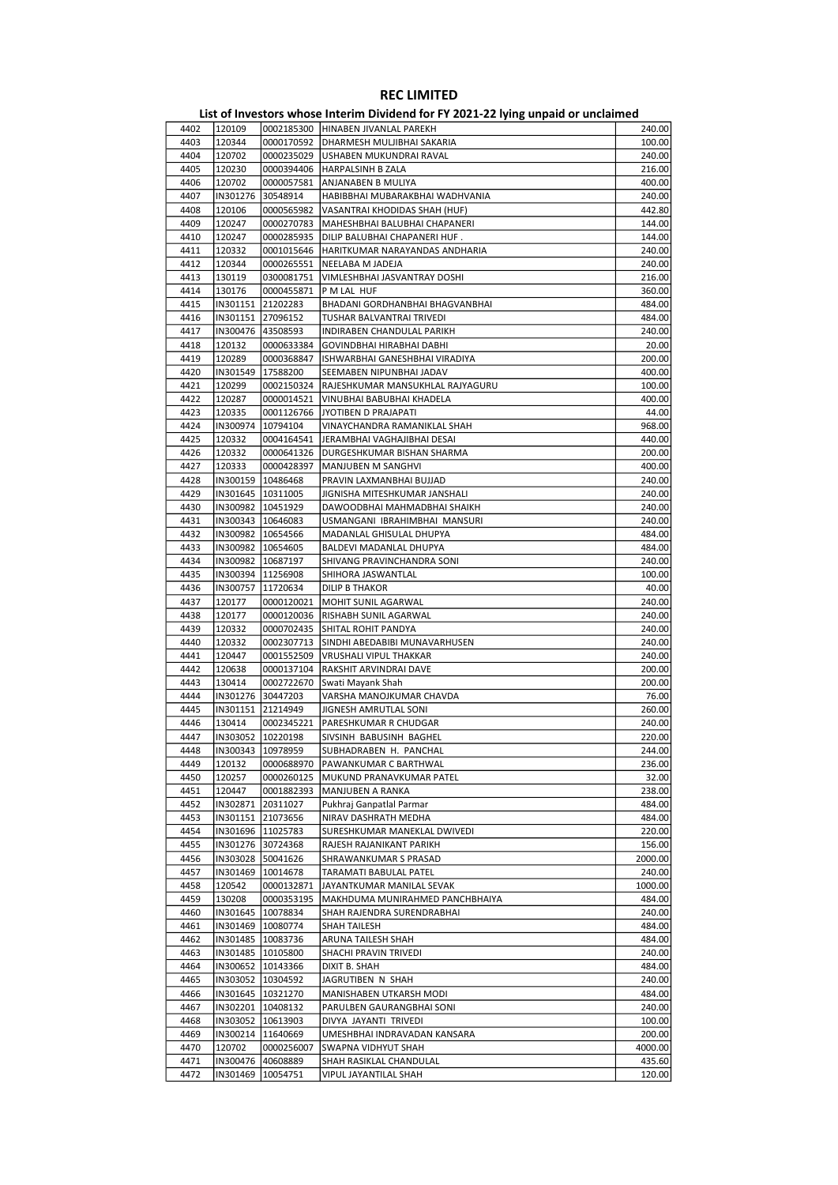|              |                      |                                            | <b>KEC LIMILLED</b>                                                               |                   |
|--------------|----------------------|--------------------------------------------|-----------------------------------------------------------------------------------|-------------------|
|              |                      |                                            | List of Investors whose Interim Dividend for FY 2021-22 lying unpaid or unclaimed |                   |
| 4402         | 120109               |                                            | 0002185300 HINABEN JIVANLAL PAREKH                                                | 240.00            |
| 4403<br>4404 | 120344<br>120702     | 0000170592<br>0000235029                   | <b>DHARMESH MULJIBHAI SAKARIA</b><br>USHABEN MUKUNDRAI RAVAL                      | 100.00<br>240.00  |
| 4405         | 120230               | 0000394406                                 | <b>HARPALSINH B ZALA</b>                                                          | 216.00            |
| 4406         | 120702               | 0000057581                                 | ANJANABEN B MULIYA                                                                | 400.00            |
| 4407         | IN301276             | 30548914                                   | HABIBBHAI MUBARAKBHAI WADHVANIA                                                   | 240.00            |
| 4408         | 120106               | 0000565982                                 | VASANTRAI KHODIDAS SHAH (HUF)                                                     | 442.80            |
| 4409         | 120247               | 0000270783                                 | MAHESHBHAI BALUBHAI CHAPANERI                                                     | 144.00            |
| 4410         | 120247               | 0000285935                                 | DILIP BALUBHAI CHAPANERI HUF.                                                     | 144.00            |
| 4411         | 120332               | 0001015646                                 | HARITKUMAR NARAYANDAS ANDHARIA                                                    | 240.00            |
| 4412         | 120344               | 0000265551                                 | NEELABA M JADEJA                                                                  | 240.00            |
| 4413<br>4414 | 130119<br>130176     | 0300081751<br>0000455871                   | VIMLESHBHAI JASVANTRAY DOSHI<br>P M LAL HUF                                       | 216.00<br>360.00  |
| 4415         | IN301151             | 21202283                                   | BHADANI GORDHANBHAI BHAGVANBHAI                                                   | 484.00            |
| 4416         |                      | IN301151 27096152                          | TUSHAR BALVANTRAI TRIVEDI                                                         | 484.00            |
| 4417         |                      | IN300476 43508593                          | INDIRABEN CHANDULAL PARIKH                                                        | 240.00            |
| 4418         | 120132               | 0000633384                                 | GOVINDBHAI HIRABHAI DABHI                                                         | 20.00             |
| 4419         | 120289               | 0000368847                                 | ISHWARBHAI GANESHBHAI VIRADIYA                                                    | 200.00            |
| 4420         | IN301549             | 17588200                                   | SEEMABEN NIPUNBHAI JADAV                                                          | 400.00            |
| 4421         | 120299               | 0002150324                                 | RAJESHKUMAR MANSUKHLAL RAJYAGURU                                                  | 100.00            |
| 4422         | 120287               | 0000014521                                 | VINUBHAI BABUBHAI KHADELA                                                         | 400.00            |
| 4423         | 120335               | 0001126766                                 | JYOTIBEN D PRAJAPATI                                                              | 44.00             |
| 4424<br>4425 | IN300974<br>120332   | 10794104<br>0004164541                     | VINAYCHANDRA RAMANIKLAL SHAH<br>JERAMBHAI VAGHAJIBHAI DESAI                       | 968.00<br>440.00  |
| 4426         | 120332               | 0000641326                                 | DURGESHKUMAR BISHAN SHARMA                                                        | 200.00            |
| 4427         | 120333               | 0000428397                                 | MANJUBEN M SANGHVI                                                                | 400.00            |
| 4428         |                      | IN300159   10486468                        | PRAVIN LAXMANBHAI BUJJAD                                                          | 240.00            |
| 4429         |                      | IN301645 10311005                          | JIGNISHA MITESHKUMAR JANSHALI                                                     | 240.00            |
| 4430         |                      | IN300982   10451929                        | DAWOODBHAI MAHMADBHAI SHAIKH                                                      | 240.00            |
| 4431         |                      | IN300343   10646083                        | USMANGANI IBRAHIMBHAI MANSURI                                                     | 240.00            |
| 4432         |                      | IN300982   10654566                        | MADANLAL GHISULAL DHUPYA                                                          | 484.00            |
| 4433         |                      | IN300982   10654605                        | BALDEVI MADANLAL DHUPYA                                                           | 484.00            |
| 4434         |                      | IN300982   10687197                        | SHIVANG PRAVINCHANDRA SONI                                                        | 240.00            |
| 4435<br>4436 | IN300757             | IN300394 11256908<br>11720634              | SHIHORA JASWANTLAL<br><b>DILIP B THAKOR</b>                                       | 100.00<br>40.00   |
| 4437         | 120177               | 0000120021                                 | MOHIT SUNIL AGARWAL                                                               | 240.00            |
| 4438         | 120177               | 0000120036                                 | RISHABH SUNIL AGARWAL                                                             | 240.00            |
| 4439         | 120332               | 0000702435                                 | SHITAL ROHIT PANDYA                                                               | 240.00            |
| 4440         | 120332               | 0002307713                                 | SINDHI ABEDABIBI MUNAVARHUSEN                                                     | 240.00            |
| 4441         | 120447               | 0001552509                                 | <b>VRUSHALI VIPUL THAKKAR</b>                                                     | 240.00            |
| 4442         | 120638               | 0000137104                                 | RAKSHIT ARVINDRAI DAVE                                                            | 200.00            |
| 4443         | 130414               | 0002722670                                 | Swati Mayank Shah                                                                 | 200.00            |
| 4444         | IN301276             | 30447203                                   | VARSHA MANOJKUMAR CHAVDA                                                          | 76.00             |
| 4445<br>4446 | 130414               | IN301151 21214949<br>0002345221            | JIGNESH AMRUTLAL SONI<br><b>PARESHKUMAR R CHUDGAR</b>                             | 260.00<br>240.00  |
| 4447         |                      | IN303052   10220198                        | SIVSINH BABUSINH BAGHEL                                                           | 220.00            |
| 4448         |                      | IN300343   10978959                        | SUBHADRABEN H. PANCHAL                                                            | 244.00            |
| 4449         | 120132               | 0000688970                                 | PAWANKUMAR C BARTHWAL                                                             | 236.00            |
| 4450         | 120257               | 0000260125                                 | MUKUND PRANAVKUMAR PATEL                                                          | 32.00             |
| 4451         | 120447               | 0001882393                                 | MANJUBEN A RANKA                                                                  | 238.00            |
| 4452         | IN302871             | 20311027                                   | Pukhraj Ganpatlal Parmar                                                          | 484.00            |
| 4453         |                      | IN301151 21073656                          | NIRAV DASHRATH MEDHA                                                              | 484.00            |
| 4454         |                      | IN301696   11025783                        | SURESHKUMAR MANEKLAL DWIVEDI                                                      | 220.00            |
| 4455         |                      | IN301276 30724368<br>50041626              | RAJESH RAJANIKANT PARIKH<br>SHRAWANKUMAR S PRASAD                                 | 156.00            |
| 4456<br>4457 | IN303028<br>IN301469 | 10014678                                   | TARAMATI BABULAL PATEL                                                            | 2000.00<br>240.00 |
| 4458         | 120542               | 0000132871                                 | JAYANTKUMAR MANILAL SEVAK                                                         | 1000.00           |
| 4459         | 130208               | 0000353195                                 | MAKHDUMA MUNIRAHMED PANCHBHAIYA                                                   | 484.00            |
| 4460         | IN301645             | 10078834                                   | SHAH RAJENDRA SURENDRABHAI                                                        | 240.00            |
| 4461         |                      | IN301469   10080774                        | SHAH TAILESH                                                                      | 484.00            |
| 4462         |                      | IN301485   10083736                        | ARUNA TAILESH SHAH                                                                | 484.00            |
| 4463         |                      | IN301485   10105800                        | SHACHI PRAVIN TRIVEDI                                                             | 240.00            |
| 4464         |                      | IN300652   10143366                        | DIXIT B. SHAH                                                                     | 484.00            |
| 4465         |                      | IN303052   10304592                        | JAGRUTIBEN N SHAH                                                                 | 240.00            |
| 4466<br>4467 |                      | IN301645   10321270<br>IN302201   10408132 | MANISHABEN UTKARSH MODI<br>PARULBEN GAURANGBHAI SONI                              | 484.00<br>240.00  |
| 4468         |                      | IN303052   10613903                        | DIVYA JAYANTI TRIVEDI                                                             | 100.00            |
| 4469         | IN300214             | 11640669                                   | UMESHBHAI INDRAVADAN KANSARA                                                      | 200.00            |
| 4470         | 120702               | 0000256007                                 | SWAPNA VIDHYUT SHAH                                                               | 4000.00           |
| 4471         | IN300476             | 40608889                                   | SHAH RASIKLAL CHANDULAL                                                           | 435.60            |
| 4472         |                      | IN301469   10054751                        | VIPUL JAYANTILAL SHAH                                                             | 120.00            |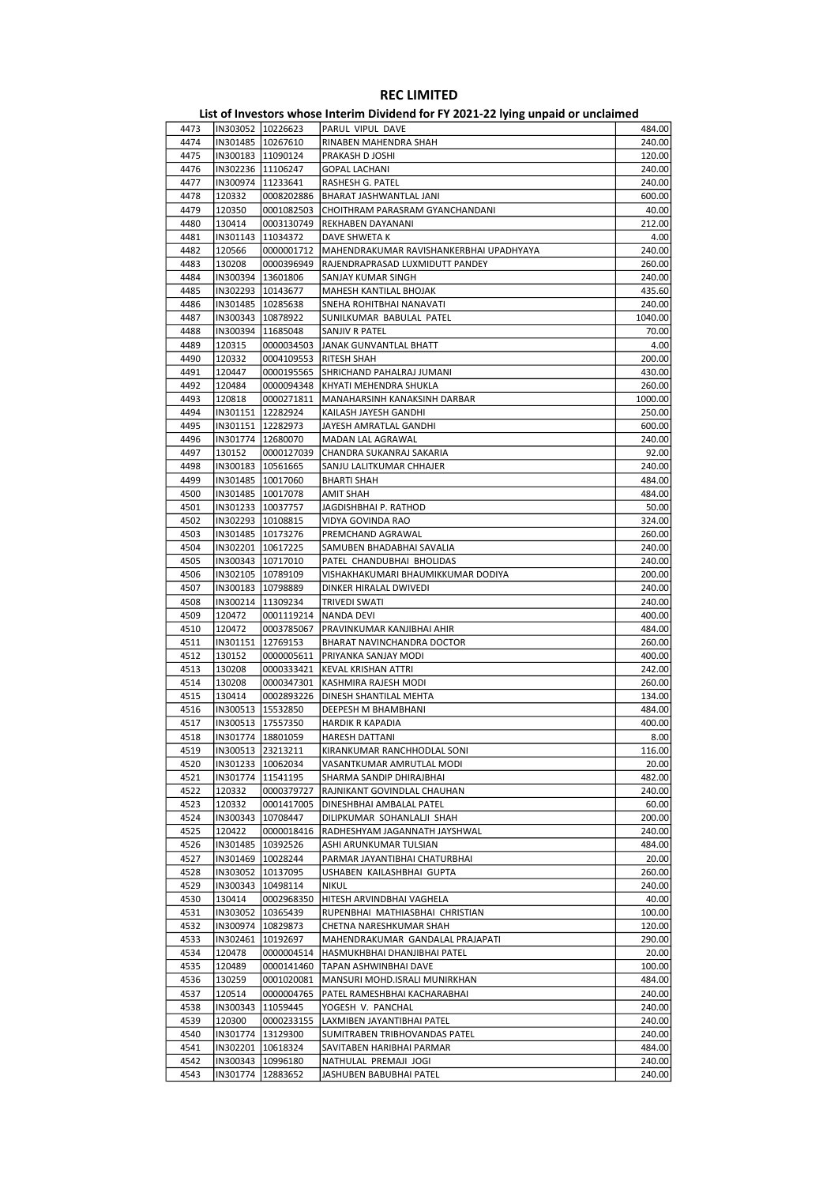| 4473         | IN303052   10226623                        |                        | PARUL VIPUL DAVE                                     | 484.00            |
|--------------|--------------------------------------------|------------------------|------------------------------------------------------|-------------------|
| 4474         | IN301485   10267610                        |                        | RINABEN MAHENDRA SHAH                                | 240.00            |
| 4475         | IN300183  11090124                         |                        | PRAKASH D JOSHI                                      | 120.00            |
| 4476         | IN302236 11106247                          |                        | <b>GOPAL LACHANI</b>                                 | 240.00            |
| 4477         | IN300974   11233641                        |                        | RASHESH G. PATEL                                     | 240.00            |
| 4478         | 120332                                     | 0008202886             | BHARAT JASHWANTLAL JANI                              | 600.00            |
| 4479         | 120350                                     | 0001082503             | CHOITHRAM PARASRAM GYANCHANDANI                      | 40.00             |
| 4480         | 130414                                     | 0003130749             | REKHABEN DAYANANI                                    | 212.00            |
| 4481         | IN301143                                   | 11034372               | DAVE SHWETA K                                        | 4.00              |
| 4482         | 120566                                     | 0000001712             | MAHENDRAKUMAR RAVISHANKERBHAI UPADHYAYA              | 240.00            |
| 4483         | 130208                                     | 0000396949             | RAJENDRAPRASAD LUXMIDUTT PANDEY                      | 260.00            |
| 4484         | IN300394  13601806                         |                        | SANJAY KUMAR SINGH                                   | 240.00            |
| 4485         | IN302293 10143677                          |                        | <b>MAHESH KANTILAL BHOJAK</b>                        | 435.60            |
| 4486<br>4487 | IN301485   10285638<br>IN300343   10878922 |                        | SNEHA ROHITBHAI NANAVATI<br>SUNILKUMAR BABULAL PATEL | 240.00<br>1040.00 |
| 4488         | IN300394   11685048                        |                        | SANJIV R PATEL                                       | 70.00             |
| 4489         | 120315                                     | 0000034503             | JANAK GUNVANTLAL BHATT                               | 4.00              |
| 4490         | 120332                                     | 0004109553             | <b>RITESH SHAH</b>                                   | 200.00            |
| 4491         | 120447                                     | 0000195565             | SHRICHAND PAHALRAJ JUMANI                            | 430.00            |
| 4492         | 120484                                     | 0000094348             | KHYATI MEHENDRA SHUKLA                               | 260.00            |
| 4493         | 120818                                     | 0000271811             | MANAHARSINH KANAKSINH DARBAR                         | 1000.00           |
| 4494         | IN301151   12282924                        |                        | KAILASH JAYESH GANDHI                                | 250.00            |
| 4495         | IN301151 12282973                          |                        | JAYESH AMRATLAL GANDHI                               | 600.00            |
| 4496         | IN301774   12680070                        |                        | MADAN LAL AGRAWAL                                    | 240.00            |
| 4497         | 130152                                     | 0000127039             | CHANDRA SUKANRAJ SAKARIA                             | 92.00             |
| 4498         | IN300183   10561665                        |                        | SANJU LALITKUMAR CHHAJER                             | 240.00            |
| 4499         | IN301485 10017060                          |                        | BHARTI SHAH                                          | 484.00            |
| 4500         | IN301485   10017078                        |                        | <b>AMIT SHAH</b>                                     | 484.00            |
| 4501         | IN301233 10037757                          |                        | JAGDISHBHAI P. RATHOD                                | 50.00             |
| 4502         | IN302293   10108815                        |                        | VIDYA GOVINDA RAO                                    | 324.00            |
| 4503         | IN301485   10173276                        |                        | PREMCHAND AGRAWAL                                    | 260.00            |
| 4504         | IN302201   10617225                        |                        | SAMUBEN BHADABHAI SAVALIA                            | 240.00            |
| 4505         | IN300343   10717010                        |                        | PATEL CHANDUBHAI BHOLIDAS                            | 240.00            |
| 4506         | IN302105   10789109                        |                        | VISHAKHAKUMARI BHAUMIKKUMAR DODIYA                   | 200.00            |
| 4507         | IN300183   10798889                        |                        | DINKER HIRALAL DWIVEDI                               | 240.00            |
| 4508         | IN300214   11309234                        |                        | <b>TRIVEDI SWATI</b>                                 | 240.00            |
| 4509         | 120472<br>120472                           | 0001119214             | <b>NANDA DEVI</b><br>PRAVINKUMAR KANJIBHAI AHIR      | 400.00<br>484.00  |
| 4510<br>4511 |                                            | 0003785067<br>12769153 |                                                      | 260.00            |
| 4512         | IN301151<br>130152                         | 0000005611             | BHARAT NAVINCHANDRA DOCTOR<br>PRIYANKA SANJAY MODI   | 400.00            |
| 4513         | 130208                                     | 0000333421             | <b>KEVAL KRISHAN ATTRI</b>                           | 242.00            |
| 4514         | 130208                                     | 0000347301             | KASHMIRA RAJESH MODI                                 | 260.00            |
| 4515         | 130414                                     | 0002893226             | DINESH SHANTILAL MEHTA                               | 134.00            |
| 4516         |                                            | IN300513 15532850      | DEEPESH M BHAMBHANI                                  | 484.00            |
| 4517         | IN300513 17557350                          |                        | <b>HARDIK R KAPADIA</b>                              | 400.00            |
| 4518         | IN301774   18801059                        |                        | <b>HARESH DATTANI</b>                                | 8.00              |
| 4519         |                                            | IN300513 23213211      | KIRANKUMAR RANCHHODLAL SONI                          | 116.00            |
| 4520         |                                            | IN301233   10062034    | VASANTKUMAR AMRUTLAL MODI                            | 20.00             |
| 4521         | IN301774   11541195                        |                        | SHARMA SANDIP DHIRAJBHAI                             | 482.00            |
| 4522         | 120332                                     | 0000379727             | RAJNIKANT GOVINDLAL CHAUHAN                          | 240.00            |
| 4523         | 120332                                     | 0001417005             | DINESHBHAI AMBALAL PATEL                             | 60.00             |
| 4524         | IN300343                                   | 10708447               | DILIPKUMAR SOHANLALJI SHAH                           | 200.00            |
| 4525         | 120422                                     | 0000018416             | RADHESHYAM JAGANNATH JAYSHWAL                        | 240.00            |
| 4526         | IN301485                                   | 10392526               | ASHI ARUNKUMAR TULSIAN                               | 484.00            |
| 4527         | IN301469   10028244                        |                        | PARMAR JAYANTIBHAI CHATURBHAI                        | 20.00             |
| 4528         | IN303052 10137095                          |                        | USHABEN KAILASHBHAI GUPTA                            | 260.00            |
| 4529         | IN300343   10498114                        |                        | <b>NIKUL</b>                                         | 240.00            |
| 4530         | 130414                                     | 0002968350             | HITESH ARVINDBHAI VAGHELA                            | 40.00             |
| 4531         | IN303052                                   | 10365439               | RUPENBHAI MATHIASBHAI CHRISTIAN                      | 100.00            |
| 4532         | IN300974   10829873                        |                        | CHETNA NARESHKUMAR SHAH                              | 120.00            |
| 4533         | IN302461                                   | 10192697               | MAHENDRAKUMAR GANDALAL PRAJAPATI                     | 290.00            |
| 4534         | 120478                                     | 0000004514             | HASMUKHBHAI DHANJIBHAI PATEL                         | 20.00             |
| 4535         | 120489                                     | 0000141460             | TAPAN ASHWINBHAI DAVE                                | 100.00            |
| 4536         | 130259                                     | 0001020081             | MANSURI MOHD.ISRALI MUNIRKHAN                        | 484.00            |
| 4537         | 120514                                     | 0000004765             | PATEL RAMESHBHAI KACHARABHAI                         | 240.00            |
| 4538         | IN300343   11059445                        |                        | YOGESH V. PANCHAL                                    | 240.00            |
| 4539         | 120300                                     | 0000233155             | LAXMIBEN JAYANTIBHAI PATEL                           | 240.00            |
| 4540         | IN301774 13129300                          |                        | SUMITRABEN TRIBHOVANDAS PATEL                        | 240.00            |
| 4541         | IN302201   10618324                        |                        | SAVITABEN HARIBHAI PARMAR                            | 484.00<br>240.00  |
| 4542<br>4543 | IN300343   10996180<br>IN301774   12883652 |                        | NATHULAL PREMAJI JOGI<br>JASHUBEN BABUBHAI PATEL     | 240.00            |
|              |                                            |                        |                                                      |                   |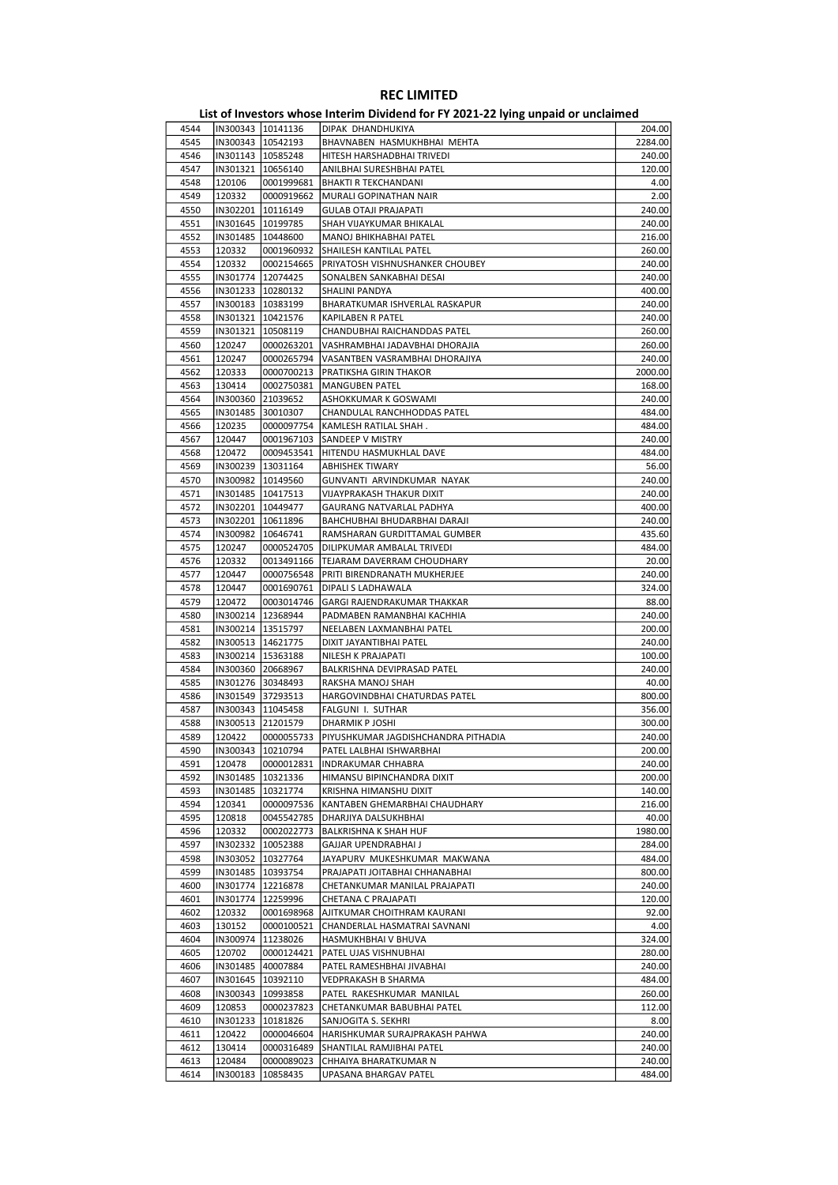| 4544 | IN300343   10141136 |                     | DIPAK DHANDHUKIYA                   | 204.00  |
|------|---------------------|---------------------|-------------------------------------|---------|
| 4545 | IN300343   10542193 |                     | BHAVNABEN HASMUKHBHAI MEHTA         | 2284.00 |
| 4546 | IN301143   10585248 |                     | HITESH HARSHADBHAI TRIVEDI          | 240.00  |
| 4547 | IN301321 10656140   |                     | ANILBHAI SURESHBHAI PATEL           | 120.00  |
| 4548 | 120106              | 0001999681          | <b>BHAKTI R TEKCHANDANI</b>         | 4.00    |
| 4549 | 120332              | 0000919662          | MURALI GOPINATHAN NAIR              | 2.00    |
| 4550 | IN302201 10116149   |                     | <b>GULAB OTAJI PRAJAPATI</b>        | 240.00  |
|      |                     |                     |                                     |         |
| 4551 | IN301645   10199785 |                     | SHAH VIJAYKUMAR BHIKALAL            | 240.00  |
| 4552 |                     | IN301485   10448600 | MANOJ BHIKHABHAI PATEL              | 216.00  |
| 4553 | 120332              | 0001960932          | SHAILESH KANTILAL PATEL             | 260.00  |
| 4554 | 120332              | 0002154665          | PRIYATOSH VISHNUSHANKER CHOUBEY     | 240.00  |
| 4555 | IN301774   12074425 |                     | SONALBEN SANKABHAI DESAI            | 240.00  |
| 4556 | IN301233   10280132 |                     | SHALINI PANDYA                      | 400.00  |
| 4557 |                     | IN300183   10383199 | BHARATKUMAR ISHVERLAL RASKAPUR      | 240.00  |
| 4558 | IN301321 10421576   |                     | KAPILABEN R PATEL                   | 240.00  |
| 4559 | IN301321   10508119 |                     | CHANDUBHAI RAICHANDDAS PATEL        | 260.00  |
| 4560 | 120247              | 0000263201          | VASHRAMBHAI JADAVBHAI DHORAJIA      | 260.00  |
| 4561 | 120247              | 0000265794          | VASANTBEN VASRAMBHAI DHORAJIYA      | 240.00  |
|      |                     |                     |                                     |         |
| 4562 | 120333              | 0000700213          | PRATIKSHA GIRIN THAKOR              | 2000.00 |
| 4563 | 130414              | 0002750381          | <b>MANGUBEN PATEL</b>               | 168.00  |
| 4564 | IN300360 21039652   |                     | ASHOKKUMAR K GOSWAMI                | 240.00  |
| 4565 | IN301485 30010307   |                     | CHANDULAL RANCHHODDAS PATEL         | 484.00  |
| 4566 | 120235              | 0000097754          | KAMLESH RATILAL SHAH.               | 484.00  |
| 4567 | 120447              | 0001967103          | SANDEEP V MISTRY                    | 240.00  |
| 4568 | 120472              | 0009453541          | HITENDU HASMUKHLAL DAVE             | 484.00  |
| 4569 | IN300239 13031164   |                     | <b>ABHISHEK TIWARY</b>              | 56.00   |
| 4570 | IN300982 10149560   |                     | GUNVANTI ARVINDKUMAR NAYAK          | 240.00  |
| 4571 | IN301485 10417513   |                     | VIJAYPRAKASH THAKUR DIXIT           | 240.00  |
| 4572 | IN302201   10449477 |                     | GAURANG NATVARLAL PADHYA            | 400.00  |
|      |                     |                     |                                     |         |
| 4573 | IN302201   10611896 |                     | BAHCHUBHAI BHUDARBHAI DARAJI        | 240.00  |
| 4574 | IN300982   10646741 |                     | RAMSHARAN GURDITTAMAL GUMBER        | 435.60  |
| 4575 | 120247              | 0000524705          | DILIPKUMAR AMBALAL TRIVEDI          | 484.00  |
| 4576 | 120332              | 0013491166          | TEJARAM DAVERRAM CHOUDHARY          | 20.00   |
| 4577 | 120447              | 0000756548          | PRITI BIRENDRANATH MUKHERJEE        | 240.00  |
| 4578 | 120447              | 0001690761          | DIPALI S LADHAWALA                  | 324.00  |
| 4579 | 120472              | 0003014746          | GARGI RAJENDRAKUMAR THAKKAR         | 88.00   |
| 4580 | IN300214   12368944 |                     | PADMABEN RAMANBHAI KACHHIA          | 240.00  |
| 4581 | IN300214   13515797 |                     | NEELABEN LAXMANBHAI PATEL           | 200.00  |
| 4582 | IN300513   14621775 |                     | DIXIT JAYANTIBHAI PATEL             | 240.00  |
| 4583 | IN300214   15363188 |                     | NILESH K PRAJAPATI                  | 100.00  |
|      |                     |                     |                                     |         |
| 4584 | IN300360 20668967   |                     | BALKRISHNA DEVIPRASAD PATEL         | 240.00  |
| 4585 | IN301276 30348493   |                     | RAKSHA MANOJ SHAH                   | 40.00   |
| 4586 | IN301549 37293513   |                     | HARGOVINDBHAI CHATURDAS PATEL       | 800.00  |
| 4587 | IN300343   11045458 |                     | FALGUNI I. SUTHAR                   | 356.00  |
| 4588 | IN300513 21201579   |                     | DHARMIK P JOSHI                     | 300.00  |
| 4589 | 120422              | 0000055733          | PIYUSHKUMAR JAGDISHCHANDRA PITHADIA | 240.00  |
| 4590 |                     | IN300343  10210794  | PATEL LALBHAI ISHWARBHAI            | 200.00  |
| 4591 | 120478              | 0000012831          | <b>INDRAKUMAR CHHABRA</b>           | 240.00  |
| 4592 | IN301485            | 10321336            | HIMANSU BIPINCHANDRA DIXIT          | 200.00  |
| 4593 | IN301485            | 10321774            | KRISHNA HIMANSHU DIXIT              | 140.00  |
| 4594 | 120341              | 0000097536          | KANTABEN GHEMARBHAI CHAUDHARY       | 216.00  |
|      |                     |                     |                                     |         |
| 4595 | 120818              | 0045542785          | DHARJIYA DALSUKHBHAI                | 40.00   |
| 4596 | 120332              | 0002022773          | BALKRISHNA K SHAH HUF               | 1980.00 |
| 4597 |                     | IN302332   10052388 | GAJJAR UPENDRABHAI J                | 284.00  |
| 4598 |                     | IN303052   10327764 | JAYAPURV MUKESHKUMAR MAKWANA        | 484.00  |
| 4599 | IN301485   10393754 |                     | PRAJAPATI JOITABHAI CHHANABHAI      | 800.00  |
| 4600 |                     | IN301774   12216878 | CHETANKUMAR MANILAL PRAJAPATI       | 240.00  |
| 4601 |                     | IN301774   12259996 | CHETANA C PRAJAPATI                 | 120.00  |
| 4602 | 120332              | 0001698968          | AJITKUMAR CHOITHRAM KAURANI         | 92.00   |
| 4603 | 130152              | 0000100521          | CHANDERLAL HASMATRAI SAVNANI        | 4.00    |
| 4604 |                     | IN300974   11238026 | HASMUKHBHAI V BHUVA                 | 324.00  |
|      |                     |                     |                                     |         |
| 4605 | 120702              | 0000124421          | PATEL UJAS VISHNUBHAI               | 280.00  |
| 4606 |                     | IN301485 40007884   | PATEL RAMESHBHAI JIVABHAI           | 240.00  |
| 4607 |                     | IN301645   10392110 | VEDPRAKASH B SHARMA                 | 484.00  |
| 4608 | IN300343            | 10993858            | PATEL RAKESHKUMAR MANILAL           | 260.00  |
| 4609 | 120853              | 0000237823          | CHETANKUMAR BABUBHAI PATEL          | 112.00  |
| 4610 | IN301233   10181826 |                     | SANJOGITA S. SEKHRI                 | 8.00    |
| 4611 | 120422              | 0000046604          | HARISHKUMAR SURAJPRAKASH PAHWA      | 240.00  |
| 4612 | 130414              | 0000316489          | SHANTILAL RAMJIBHAI PATEL           | 240.00  |
| 4613 | 120484              | 0000089023          | CHHAIYA BHARATKUMAR N               | 240.00  |
|      |                     |                     |                                     | 484.00  |
| 4614 | IN300183            | 10858435            | UPASANA BHARGAV PATEL               |         |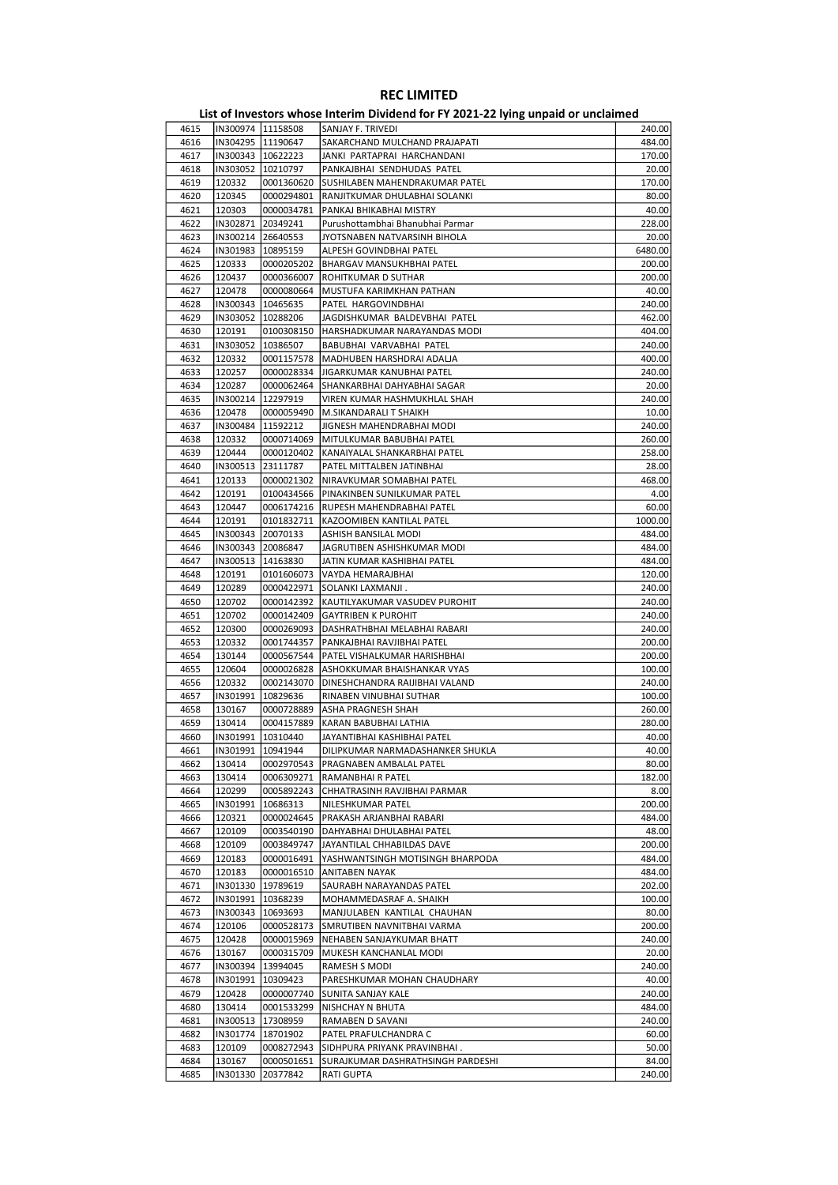| 4615 |                   | IN300974  11158508  | SANJAY F. TRIVEDI                 | 240.00  |
|------|-------------------|---------------------|-----------------------------------|---------|
| 4616 |                   | IN304295 11190647   | SAKARCHAND MULCHAND PRAJAPATI     | 484.00  |
| 4617 |                   | IN300343   10622223 | JANKI PARTAPRAI HARCHANDANI       | 170.00  |
| 4618 |                   | IN303052 10210797   | PANKAJBHAI SENDHUDAS PATEL        | 20.00   |
| 4619 | 120332            | 0001360620          | SUSHILABEN MAHENDRAKUMAR PATEL    | 170.00  |
| 4620 | 120345            | 0000294801          |                                   | 80.00   |
|      |                   |                     | RANJITKUMAR DHULABHAI SOLANKI     |         |
| 4621 | 120303            | 0000034781          | PANKAJ BHIKABHAI MISTRY           | 40.00   |
| 4622 | IN302871          | 20349241            | Purushottambhai Bhanubhai Parmar  | 228.00  |
| 4623 |                   | IN300214 26640553   | JYOTSNABEN NATVARSINH BIHOLA      | 20.00   |
| 4624 |                   | IN301983   10895159 | ALPESH GOVINDBHAI PATEL           | 6480.00 |
| 4625 | 120333            | 0000205202          | <b>BHARGAV MANSUKHBHAI PATEL</b>  | 200.00  |
| 4626 | 120437            | 0000366007          | ROHITKUMAR D SUTHAR               | 200.00  |
| 4627 | 120478            | 0000080664          | MUSTUFA KARIMKHAN PATHAN          | 40.00   |
| 4628 |                   | 10465635            |                                   | 240.00  |
|      | IN300343          |                     | PATEL HARGOVINDBHAI               |         |
| 4629 |                   | IN303052 10288206   | JAGDISHKUMAR BALDEVBHAI PATEL     | 462.00  |
| 4630 | 120191            | 0100308150          | HARSHADKUMAR NARAYANDAS MODI      | 404.00  |
| 4631 | IN303052          | 10386507            | BABUBHAI VARVABHAI PATEL          | 240.00  |
| 4632 | 120332            | 0001157578          | MADHUBEN HARSHDRAI ADALJA         | 400.00  |
| 4633 | 120257            | 0000028334          | JIGARKUMAR KANUBHAI PATEL         | 240.00  |
| 4634 | 120287            | 0000062464          | SHANKARBHAI DAHYABHAI SAGAR       | 20.00   |
| 4635 | IN300214          | 12297919            | VIREN KUMAR HASHMUKHLAL SHAH      | 240.00  |
|      |                   |                     |                                   |         |
| 4636 | 120478            | 0000059490          | M.SIKANDARALI T SHAIKH            | 10.00   |
| 4637 | IN300484          | 11592212            | JIGNESH MAHENDRABHAI MODI         | 240.00  |
| 4638 | 120332            | 0000714069          | MITULKUMAR BABUBHAI PATEL         | 260.00  |
| 4639 | 120444            | 0000120402          | KANAIYALAL SHANKARBHAI PATEL      | 258.00  |
| 4640 | IN300513          | 23111787            | PATEL MITTALBEN JATINBHAI         | 28.00   |
| 4641 | 120133            | 0000021302          | NIRAVKUMAR SOMABHAI PATEL         | 468.00  |
| 4642 | 120191            | 0100434566          | PINAKINBEN SUNILKUMAR PATEL       | 4.00    |
|      |                   |                     |                                   |         |
| 4643 | 120447            | 0006174216          | RUPESH MAHENDRABHAI PATEL         | 60.00   |
| 4644 | 120191            | 0101832711          | KAZOOMIBEN KANTILAL PATEL         | 1000.00 |
| 4645 | IN300343          | 20070133            | ASHISH BANSILAL MODI              | 484.00  |
| 4646 | IN300343          | 20086847            | JAGRUTIBEN ASHISHKUMAR MODI       | 484.00  |
| 4647 | IN300513          | 14163830            | JATIN KUMAR KASHIBHAI PATEL       | 484.00  |
| 4648 | 120191            | 0101606073          | VAYDA HEMARAJBHAI                 | 120.00  |
| 4649 | 120289            | 0000422971          | SOLANKI LAXMANJI.                 | 240.00  |
|      |                   |                     |                                   |         |
| 4650 | 120702            | 0000142392          | KAUTILYAKUMAR VASUDEV PUROHIT     | 240.00  |
| 4651 | 120702            | 0000142409          | <b>GAYTRIBEN K PUROHIT</b>        | 240.00  |
| 4652 | 120300            | 0000269093          | DASHRATHBHAI MELABHAI RABARI      | 240.00  |
| 4653 | 120332            | 0001744357          | PANKAJBHAI RAVJIBHAI PATEL        | 200.00  |
| 4654 | 130144            | 0000567544          | PATEL VISHALKUMAR HARISHBHAI      | 200.00  |
| 4655 | 120604            | 0000026828          | ASHOKKUMAR BHAISHANKAR VYAS       | 100.00  |
| 4656 | 120332            | 0002143070          | DINESHCHANDRA RAIJIBHAI VALAND    | 240.00  |
|      |                   |                     |                                   |         |
| 4657 | IN301991          | 10829636            | RINABEN VINUBHAI SUTHAR           | 100.00  |
| 4658 | 130167            | 0000728889          | ASHA PRAGNESH SHAH                | 260.00  |
| 4659 | 130414            | 0004157889          | KARAN BABUBHAI LATHIA             | 280.00  |
| 4660 | IN301991          | 10310440            | JAYANTIBHAI KASHIBHAI PATEL       | 40.00   |
| 4661 | IN301991 10941944 |                     | DILIPKUMAR NARMADASHANKER SHUKLA  | 40.00   |
| 4662 | 130414            | 0002970543          | PRAGNABEN AMBALAL PATEL           | 80.00   |
| 4663 | 130414            | 0006309271          | RAMANBHAI R PATEL                 | 182.00  |
|      |                   |                     |                                   |         |
| 4664 | 120299            | 0005892243          | CHHATRASINH RAVJIBHAI PARMAR      | 8.00    |
| 4665 | IN301991          | 10686313            | NILESHKUMAR PATEL                 | 200.00  |
| 4666 | 120321            | 0000024645          | PRAKASH ARJANBHAI RABARI          | 484.00  |
| 4667 | 120109            | 0003540190          | DAHYABHAI DHULABHAI PATEL         | 48.00   |
| 4668 | 120109            | 0003849747          | JAYANTILAL CHHABILDAS DAVE        | 200.00  |
| 4669 | 120183            | 0000016491          | YASHWANTSINGH MOTISINGH BHARPODA  | 484.00  |
| 4670 | 120183            | 0000016510          | ANITABEN NAYAK                    | 484.00  |
| 4671 | IN301330          | 19789619            | SAURABH NARAYANDAS PATEL          | 202.00  |
|      |                   |                     |                                   |         |
| 4672 | IN301991          | 10368239            | MOHAMMEDASRAF A. SHAIKH           | 100.00  |
| 4673 | IN300343          | 10693693            | MANJULABEN KANTILAL CHAUHAN       | 80.00   |
| 4674 | 120106            | 0000528173          | SMRUTIBEN NAVNITBHAI VARMA        | 200.00  |
| 4675 | 120428            | 0000015969          | NEHABEN SANJAYKUMAR BHATT         | 240.00  |
| 4676 | 130167            | 0000315709          | MUKESH KANCHANLAL MODI            | 20.00   |
| 4677 | IN300394          | 13994045            | RAMESH S MODI                     | 240.00  |
| 4678 | IN301991          |                     |                                   | 40.00   |
|      |                   | 10309423            | PARESHKUMAR MOHAN CHAUDHARY       |         |
| 4679 | 120428            | 0000007740          | SUNITA SANJAY KALE                | 240.00  |
| 4680 | 130414            | 0001533299          | NISHCHAY N BHUTA                  | 484.00  |
| 4681 | IN300513          | 17308959            | RAMABEN D SAVANI                  | 240.00  |
| 4682 | IN301774          | 18701902            | PATEL PRAFULCHANDRA C             | 60.00   |
| 4683 | 120109            | 0008272943          | SIDHPURA PRIYANK PRAVINBHAI.      | 50.00   |
| 4684 | 130167            | 0000501651          | SURAJKUMAR DASHRATHSINGH PARDESHI | 84.00   |
| 4685 | IN301330          | 20377842            |                                   | 240.00  |
|      |                   |                     | RATI GUPTA                        |         |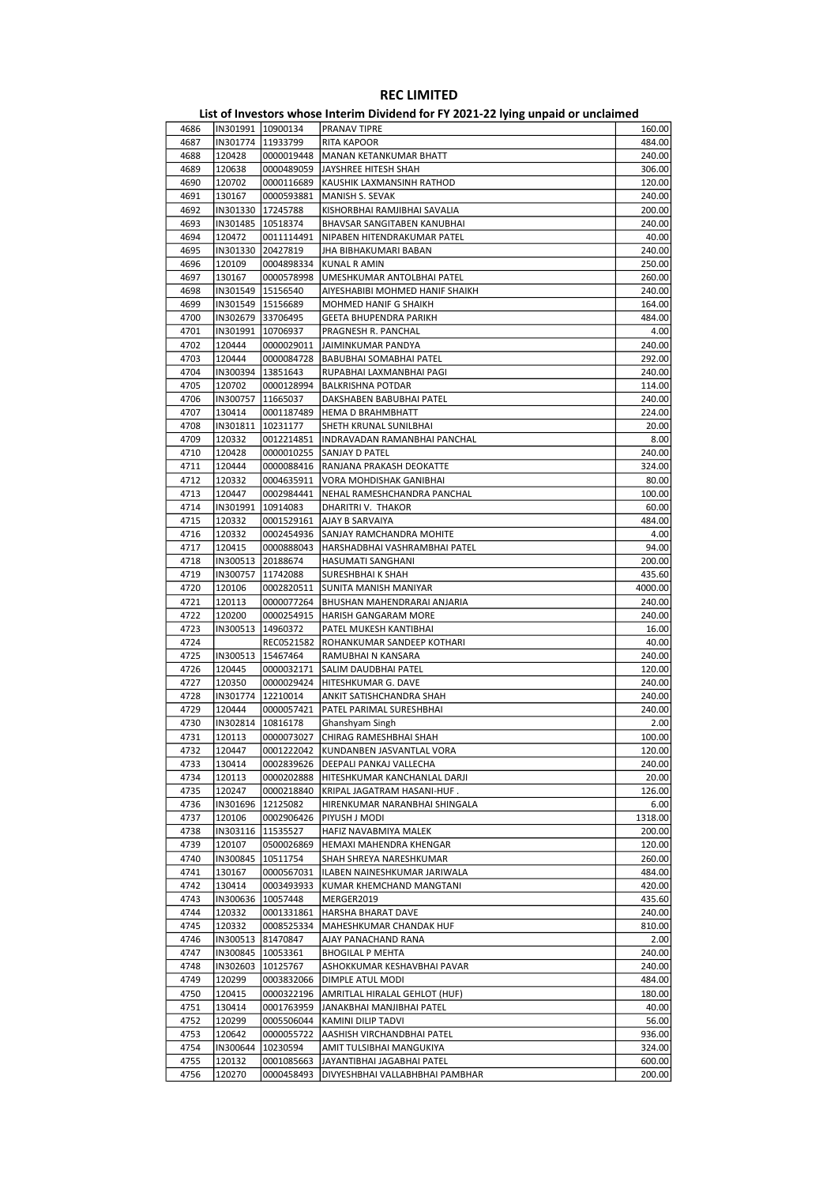| 4686 | IN301991   10900134 |                     | PRANAV TIPRE                         | 160.00  |
|------|---------------------|---------------------|--------------------------------------|---------|
| 4687 |                     | IN301774   11933799 | RITA KAPOOR                          | 484.00  |
| 4688 | 120428              | 0000019448          | MANAN KETANKUMAR BHATT               | 240.00  |
| 4689 | 120638              | 0000489059          | JAYSHREE HITESH SHAH                 | 306.00  |
| 4690 | 120702              | 0000116689          | KAUSHIK LAXMANSINH RATHOD            | 120.00  |
| 4691 | 130167              | 0000593881          | MANISH S. SEVAK                      | 240.00  |
| 4692 |                     | IN301330   17245788 | KISHORBHAI RAMJIBHAI SAVALIA         | 200.00  |
|      |                     |                     |                                      | 240.00  |
| 4693 | IN301485            | 10518374            | BHAVSAR SANGITABEN KANUBHAI          |         |
| 4694 | 120472              | 0011114491          | NIPABEN HITENDRAKUMAR PATEL          | 40.00   |
| 4695 | IN301330            | 20427819            | JHA BIBHAKUMARI BABAN                | 240.00  |
| 4696 | 120109              | 0004898334          | KUNAL R AMIN                         | 250.00  |
| 4697 | 130167              | 0000578998          | UMESHKUMAR ANTOLBHAI PATEL           | 260.00  |
| 4698 |                     | IN301549   15156540 | AIYESHABIBI MOHMED HANIF SHAIKH      | 240.00  |
| 4699 |                     | IN301549 15156689   | MOHMED HANIF G SHAIKH                | 164.00  |
| 4700 | IN302679 33706495   |                     | GEETA BHUPENDRA PARIKH               | 484.00  |
| 4701 | IN301991   10706937 |                     | PRAGNESH R. PANCHAL                  | 4.00    |
| 4702 | 120444              | 0000029011          | JAIMINKUMAR PANDYA                   | 240.00  |
| 4703 | 120444              | 0000084728          | BABUBHAI SOMABHAI PATEL              | 292.00  |
|      |                     |                     |                                      |         |
| 4704 | IN300394            | 13851643            | RUPABHAI LAXMANBHAI PAGI             | 240.00  |
| 4705 | 120702              | 0000128994          | <b>BALKRISHNA POTDAR</b>             | 114.00  |
| 4706 |                     | IN300757   11665037 | DAKSHABEN BABUBHAI PATEL             | 240.00  |
| 4707 | 130414              | 0001187489          | <b>HEMA D BRAHMBHATT</b>             | 224.00  |
| 4708 | IN301811            | 10231177            | SHETH KRUNAL SUNILBHAI               | 20.00   |
| 4709 | 120332              | 0012214851          | INDRAVADAN RAMANBHAI PANCHAL         | 8.00    |
| 4710 | 120428              | 0000010255          | SANJAY D PATEL                       | 240.00  |
| 4711 | 120444              | 0000088416          | RANJANA PRAKASH DEOKATTE             | 324.00  |
| 4712 | 120332              | 0004635911          | VORA MOHDISHAK GANIBHAI              | 80.00   |
| 4713 | 120447              | 0002984441          | NEHAL RAMESHCHANDRA PANCHAL          | 100.00  |
|      |                     |                     |                                      |         |
| 4714 | IN301991            | 10914083            | DHARITRI V. THAKOR                   | 60.00   |
| 4715 | 120332              | 0001529161          | <b>AJAY B SARVAIYA</b>               | 484.00  |
| 4716 | 120332              | 0002454936          | SANJAY RAMCHANDRA MOHITE             | 4.00    |
| 4717 | 120415              | 0000888043          | HARSHADBHAI VASHRAMBHAI PATEL        | 94.00   |
| 4718 | IN300513            | 20188674            | HASUMATI SANGHANI                    | 200.00  |
| 4719 | IN300757            | 11742088            | SURESHBHAI K SHAH                    | 435.60  |
| 4720 | 120106              | 0002820511          | SUNITA MANISH MANIYAR                | 4000.00 |
| 4721 | 120113              | 0000077264          | BHUSHAN MAHENDRARAI ANJARIA          | 240.00  |
| 4722 | 120200              | 0000254915          | HARISH GANGARAM MORE                 | 240.00  |
|      |                     |                     |                                      | 16.00   |
| 4723 | IN300513            | 14960372            | PATEL MUKESH KANTIBHAI               |         |
| 4724 |                     | REC0521582          | ROHANKUMAR SANDEEP KOTHARI           | 40.00   |
| 4725 |                     | IN300513   15467464 | RAMUBHAI N KANSARA                   | 240.00  |
| 4726 | 120445              | 0000032171          | SALIM DAUDBHAI PATEL                 | 120.00  |
| 4727 | 120350              | 0000029424          | HITESHKUMAR G. DAVE                  | 240.00  |
| 4728 | IN301774            | 12210014            | ANKIT SATISHCHANDRA SHAH             | 240.00  |
| 4729 | 120444              | 0000057421          | PATEL PARIMAL SURESHBHAI             | 240.00  |
| 4730 | IN302814            | 10816178            | Ghanshyam Singh                      | 2.00    |
| 4731 | 120113              | 0000073027          | CHIRAG RAMESHBHAI SHAH               | 100.00  |
| 4732 | 120447              |                     | 0001222042 KUNDANBEN JASVANTLAL VORA | 120.00  |
| 4733 | 130414              | 0002839626          | DEEPALI PANKAJ VALLECHA              | 240.00  |
|      |                     |                     |                                      |         |
| 4734 | 120113              | 0000202888          | HITESHKUMAR KANCHANLAL DARJI         | 20.00   |
| 4735 | 120247              | 0000218840          | KRIPAL JAGATRAM HASANI-HUF.          | 126.00  |
| 4736 | IN301696 12125082   |                     | HIRENKUMAR NARANBHAI SHINGALA        | 6.00    |
| 4737 | 120106              | 0002906426          | PIYUSH J MODI                        | 1318.00 |
| 4738 | IN303116            | 11535527            | HAFIZ NAVABMIYA MALEK                | 200.00  |
| 4739 | 120107              | 0500026869          | HEMAXI MAHENDRA KHENGAR              | 120.00  |
| 4740 | IN300845            | 10511754            | SHAH SHREYA NARESHKUMAR              | 260.00  |
| 4741 | 130167              | 0000567031          | ILABEN NAINESHKUMAR JARIWALA         | 484.00  |
| 4742 | 130414              | 0003493933          | KUMAR KHEMCHAND MANGTANI             | 420.00  |
| 4743 | IN300636            | 10057448            | MERGER2019                           | 435.60  |
|      | 120332              |                     |                                      |         |
| 4744 |                     | 0001331861          | HARSHA BHARAT DAVE                   | 240.00  |
| 4745 | 120332              | 0008525334          | MAHESHKUMAR CHANDAK HUF              | 810.00  |
| 4746 |                     | IN300513 81470847   | AJAY PANACHAND RANA                  | 2.00    |
| 4747 | IN300845            | 10053361            | <b>BHOGILAL P MEHTA</b>              | 240.00  |
| 4748 | IN302603            | 10125767            | ASHOKKUMAR KESHAVBHAI PAVAR          | 240.00  |
| 4749 | 120299              | 0003832066          | DIMPLE ATUL MODI                     | 484.00  |
| 4750 | 120415              | 0000322196          | AMRITLAL HIRALAL GEHLOT (HUF)        | 180.00  |
| 4751 | 130414              | 0001763959          | JANAKBHAI MANJIBHAI PATEL            | 40.00   |
| 4752 | 120299              | 0005506044          | KAMINI DILIP TADVI                   | 56.00   |
|      |                     |                     |                                      |         |
| 4753 | 120642              | 0000055722          | AASHISH VIRCHANDBHAI PATEL           | 936.00  |
| 4754 | IN300644            | 10230594            | AMIT TULSIBHAI MANGUKIYA             | 324.00  |
| 4755 | 120132              | 0001085663          | JAYANTIBHAI JAGABHAI PATEL           | 600.00  |
| 4756 | 120270              | 0000458493          | DIVYESHBHAI VALLABHBHAI PAMBHAR      | 200.00  |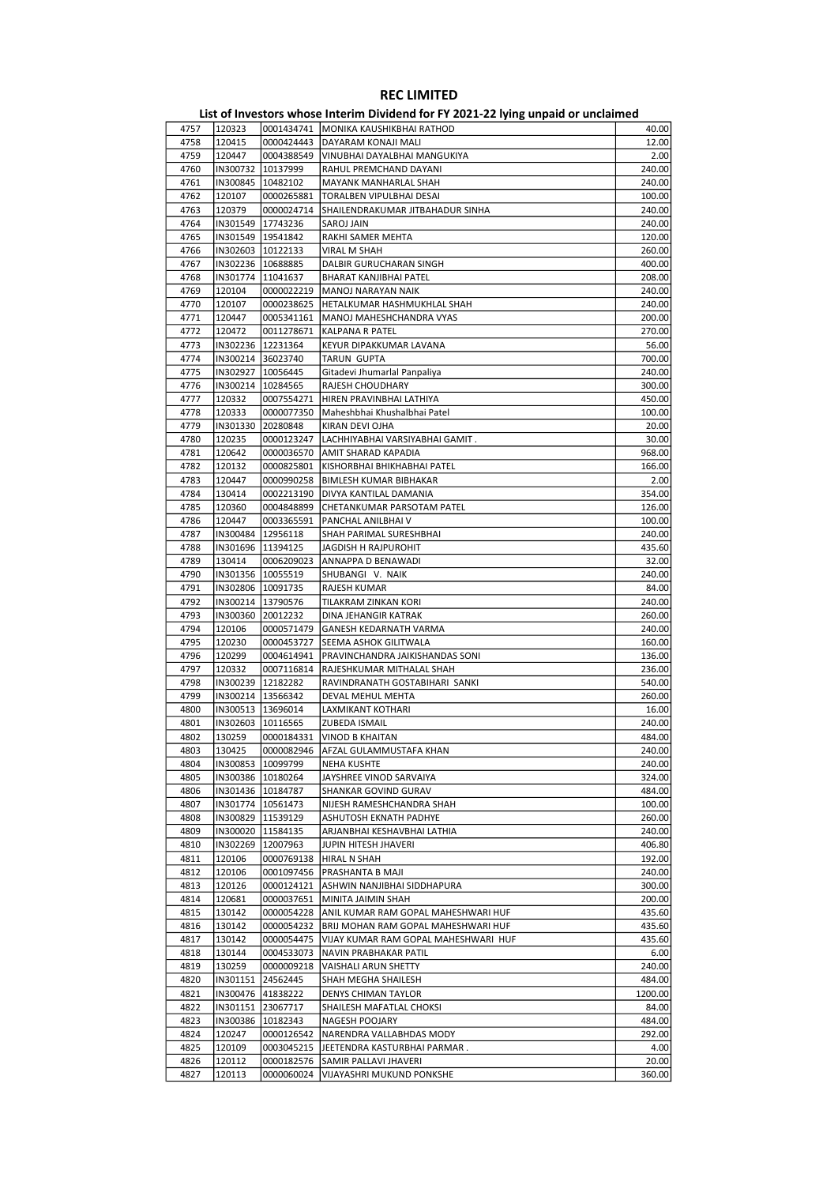| 4757 | 120323              | 0001434741          | MONIKA KAUSHIKBHAI RATHOD            | 40.00   |
|------|---------------------|---------------------|--------------------------------------|---------|
|      | 120415              | 0000424443          |                                      | 12.00   |
| 4758 |                     |                     | DAYARAM KONAJI MALI                  |         |
| 4759 | 120447              | 0004388549          | VINUBHAI DAYALBHAI MANGUKIYA         | 2.00    |
| 4760 | IN300732            | 10137999            | RAHUL PREMCHAND DAYANI               | 240.00  |
| 4761 | IN300845            | 10482102            | MAYANK MANHARLAL SHAH                | 240.00  |
| 4762 | 120107              | 0000265881          | TORALBEN VIPULBHAI DESAI             | 100.00  |
| 4763 | 120379              | 0000024714          | SHAILENDRAKUMAR JITBAHADUR SINHA     | 240.00  |
|      |                     |                     |                                      |         |
| 4764 | IN301549 17743236   |                     | <b>SAROJ JAIN</b>                    | 240.00  |
| 4765 | IN301549 19541842   |                     | RAKHI SAMER MEHTA                    | 120.00  |
| 4766 | IN302603 10122133   |                     | VIRAL M SHAH                         | 260.00  |
| 4767 | IN302236 10688885   |                     | DALBIR GURUCHARAN SINGH              | 400.00  |
| 4768 | IN301774   11041637 |                     | BHARAT KANJIBHAI PATEL               | 208.00  |
| 4769 | 120104              | 0000022219          | MANOJ NARAYAN NAIK                   | 240.00  |
|      |                     |                     |                                      |         |
| 4770 | 120107              | 0000238625          | HETALKUMAR HASHMUKHLAL SHAH          | 240.00  |
| 4771 | 120447              | 0005341161          | MANOJ MAHESHCHANDRA VYAS             | 200.00  |
| 4772 | 120472              | 0011278671          | KALPANA R PATEL                      | 270.00  |
| 4773 |                     | IN302236 12231364   | KEYUR DIPAKKUMAR LAVANA              | 56.00   |
| 4774 | IN300214 36023740   |                     | <b>TARUN GUPTA</b>                   | 700.00  |
|      |                     |                     |                                      |         |
| 4775 | IN302927            | 10056445            | Gitadevi Jhumarlal Panpaliya         | 240.00  |
| 4776 | IN300214            | 10284565            | RAJESH CHOUDHARY                     | 300.00  |
| 4777 | 120332              | 0007554271          | HIREN PRAVINBHAI LATHIYA             | 450.00  |
| 4778 | 120333              | 0000077350          | Maheshbhai Khushalbhai Patel         | 100.00  |
| 4779 | IN301330            | 20280848            | KIRAN DEVI OJHA                      | 20.00   |
|      | 120235              |                     |                                      |         |
| 4780 |                     | 0000123247          | LACHHIYABHAI VARSIYABHAI GAMIT.      | 30.00   |
| 4781 | 120642              | 0000036570          | AMIT SHARAD KAPADIA                  | 968.00  |
| 4782 | 120132              | 0000825801          | KISHORBHAI BHIKHABHAI PATEL          | 166.00  |
| 4783 | 120447              | 0000990258          | <b>BIMLESH KUMAR BIBHAKAR</b>        | 2.00    |
| 4784 | 130414              | 0002213190          | DIVYA KANTILAL DAMANIA               | 354.00  |
| 4785 | 120360              | 0004848899          | CHETANKUMAR PARSOTAM PATEL           | 126.00  |
|      |                     |                     |                                      |         |
| 4786 | 120447              | 0003365591          | PANCHAL ANILBHAI V                   | 100.00  |
| 4787 | IN300484            | 12956118            | SHAH PARIMAL SURESHBHAI              | 240.00  |
| 4788 | IN301696   11394125 |                     | <b>JAGDISH H RAJPUROHIT</b>          | 435.60  |
| 4789 | 130414              | 0006209023          | ANNAPPA D BENAWADI                   | 32.00   |
| 4790 | IN301356   10055519 |                     | SHUBANGI V. NAIK                     | 240.00  |
| 4791 | IN302806 10091735   |                     |                                      |         |
|      |                     |                     | RAJESH KUMAR                         | 84.00   |
| 4792 | IN300214            | 13790576            | TILAKRAM ZINKAN KORI                 | 240.00  |
| 4793 | IN300360            | 20012232            | DINA JEHANGIR KATRAK                 | 260.00  |
| 4794 | 120106              | 0000571479          | GANESH KEDARNATH VARMA               | 240.00  |
| 4795 | 120230              | 0000453727          | SEEMA ASHOK GILITWALA                | 160.00  |
| 4796 | 120299              | 0004614941          | PRAVINCHANDRA JAIKISHANDAS SONI      | 136.00  |
|      |                     |                     |                                      |         |
| 4797 | 120332              | 0007116814          | RAJESHKUMAR MITHALAL SHAH            | 236.00  |
| 4798 |                     | IN300239 12182282   | RAVINDRANATH GOSTABIHARI SANKI       | 540.00  |
| 4799 | IN300214 13566342   |                     | DEVAL MEHUL MEHTA                    | 260.00  |
| 4800 | IN300513            | 13696014            | <b>LAXMIKANT KOTHARI</b>             | 16.00   |
| 4801 | IN302603   10116565 |                     | <b>ZUBEDA ISMAIL</b>                 | 240.00  |
|      |                     |                     |                                      |         |
| 4802 | 130259              | 0000184331          | <b>VINOD B KHAITAN</b>               | 484.00  |
| 4803 | 130425              | 0000082946          | AFZAL GULAMMUSTAFA KHAN              | 240.00  |
| 4804 |                     | IN300853 10099799   | <b>NEHA KUSHTE</b>                   | 240.00  |
| 4805 |                     | IN300386   10180264 | JAYSHREE VINOD SARVAIYA              | 324.00  |
| 4806 |                     | IN301436   10184787 | SHANKAR GOVIND GURAV                 | 484.00  |
| 4807 |                     | IN301774   10561473 | NIJESH RAMESHCHANDRA SHAH            | 100.00  |
|      |                     |                     |                                      |         |
| 4808 |                     | IN300829 11539129   | ASHUTOSH EKNATH PADHYE               | 260.00  |
| 4809 |                     | IN300020   11584135 | ARJANBHAI KESHAVBHAI LATHIA          | 240.00  |
| 4810 | IN302269            | 12007963            | JUPIN HITESH JHAVERI                 | 406.80  |
| 4811 | 120106              | 0000769138          | <b>HIRAL N SHAH</b>                  | 192.00  |
| 4812 | 120106              | 0001097456          | PRASHANTA B MAJI                     | 240.00  |
|      |                     |                     |                                      |         |
| 4813 | 120126              | 0000124121          | ASHWIN NANJIBHAI SIDDHAPURA          | 300.00  |
| 4814 | 120681              | 0000037651          | MINITA JAIMIN SHAH                   | 200.00  |
| 4815 | 130142              | 0000054228          | ANIL KUMAR RAM GOPAL MAHESHWARI HUF  | 435.60  |
| 4816 | 130142              | 0000054232          | BRIJ MOHAN RAM GOPAL MAHESHWARI HUF  | 435.60  |
| 4817 | 130142              | 0000054475          | VIJAY KUMAR RAM GOPAL MAHESHWARI HUF | 435.60  |
|      |                     |                     |                                      |         |
| 4818 | 130144              | 0004533073          | NAVIN PRABHAKAR PATIL                | 6.00    |
| 4819 | 130259              | 0000009218          | VAISHALI ARUN SHETTY                 | 240.00  |
| 4820 | IN301151            | 24562445            | SHAH MEGHA SHAILESH                  | 484.00  |
| 4821 | IN300476            | 41838222            | DENYS CHIMAN TAYLOR                  | 1200.00 |
| 4822 | IN301151            | 23067717            | SHAILESH MAFATLAL CHOKSI             | 84.00   |
|      |                     |                     |                                      |         |
| 4823 | IN300386            | 10182343            | NAGESH POOJARY                       | 484.00  |
| 4824 | 120247              | 0000126542          | NARENDRA VALLABHDAS MODY             | 292.00  |
| 4825 | 120109              | 0003045215          | JEETENDRA KASTURBHAI PARMAR.         | 4.00    |
| 4826 | 120112              | 0000182576          | SAMIR PALLAVI JHAVERI                | 20.00   |
|      | 120113              | 0000060024          | VIJAYASHRI MUKUND PONKSHE            | 360.00  |
| 4827 |                     |                     |                                      |         |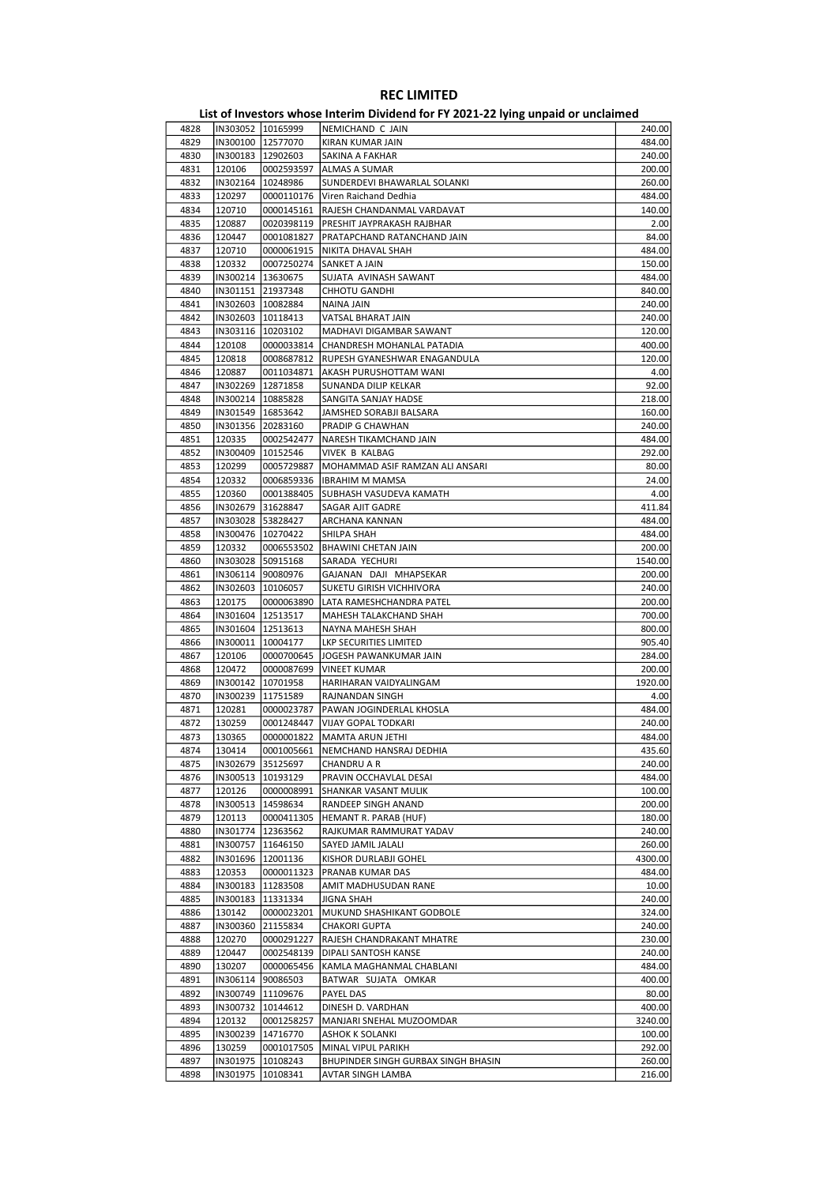|      |          |                     | ED, or investors whose internit privation for it about LETTing ampaid of ancialities |         |
|------|----------|---------------------|--------------------------------------------------------------------------------------|---------|
| 4828 |          | IN303052 10165999   | NEMICHAND C JAIN                                                                     | 240.00  |
| 4829 |          | IN300100 12577070   | KIRAN KUMAR JAIN                                                                     | 484.00  |
| 4830 |          | IN300183   12902603 | SAKINA A FAKHAR                                                                      | 240.00  |
|      |          |                     |                                                                                      |         |
| 4831 | 120106   | 0002593597          | ALMAS A SUMAR                                                                        | 200.00  |
| 4832 | IN302164 | 10248986            | SUNDERDEVI BHAWARLAL SOLANKI                                                         | 260.00  |
| 4833 | 120297   | 0000110176          | Viren Raichand Dedhia                                                                | 484.00  |
| 4834 | 120710   | 0000145161          | RAJESH CHANDANMAL VARDAVAT                                                           | 140.00  |
| 4835 | 120887   | 0020398119          | PRESHIT JAYPRAKASH RAJBHAR                                                           | 2.00    |
|      |          |                     |                                                                                      |         |
| 4836 | 120447   | 0001081827          | PRATAPCHAND RATANCHAND JAIN                                                          | 84.00   |
| 4837 | 120710   | 0000061915          | NIKITA DHAVAL SHAH                                                                   | 484.00  |
| 4838 | 120332   | 0007250274          | SANKET A JAIN                                                                        | 150.00  |
| 4839 |          | IN300214   13630675 | SUJATA AVINASH SAWANT                                                                | 484.00  |
| 4840 |          | IN301151 21937348   | CHHOTU GANDHI                                                                        | 840.00  |
|      |          |                     |                                                                                      |         |
| 4841 |          | IN302603   10082884 | NAINA JAIN                                                                           | 240.00  |
| 4842 |          | IN302603   10118413 | VATSAL BHARAT JAIN                                                                   | 240.00  |
| 4843 |          | IN303116   10203102 | MADHAVI DIGAMBAR SAWANT                                                              | 120.00  |
| 4844 | 120108   | 0000033814          | CHANDRESH MOHANLAL PATADIA                                                           | 400.00  |
| 4845 | 120818   | 0008687812          | RUPESH GYANESHWAR ENAGANDULA                                                         | 120.00  |
| 4846 | 120887   | 0011034871          | AKASH PURUSHOTTAM WANI                                                               | 4.00    |
|      |          |                     |                                                                                      |         |
| 4847 |          | IN302269   12871858 | SUNANDA DILIP KELKAR                                                                 | 92.00   |
| 4848 |          | IN300214   10885828 | SANGITA SANJAY HADSE                                                                 | 218.00  |
| 4849 |          | IN301549   16853642 | JAMSHED SORABJI BALSARA                                                              | 160.00  |
| 4850 |          | IN301356 20283160   | PRADIP G CHAWHAN                                                                     | 240.00  |
| 4851 | 120335   | 0002542477          | NARESH TIKAMCHAND JAIN                                                               | 484.00  |
|      | IN300409 |                     |                                                                                      |         |
| 4852 |          | 10152546            | VIVEK B KALBAG                                                                       | 292.00  |
| 4853 | 120299   | 0005729887          | MOHAMMAD ASIF RAMZAN ALI ANSARI                                                      | 80.00   |
| 4854 | 120332   |                     | 0006859336   IBRAHIM M MAMSA                                                         | 24.00   |
| 4855 | 120360   | 0001388405          | SUBHASH VASUDEVA KAMATH                                                              | 4.00    |
| 4856 |          | IN302679 31628847   | SAGAR AJIT GADRE                                                                     | 411.84  |
|      |          |                     |                                                                                      | 484.00  |
| 4857 |          | IN303028 53828427   | ARCHANA KANNAN                                                                       |         |
| 4858 |          | IN300476   10270422 | SHILPA SHAH                                                                          | 484.00  |
| 4859 | 120332   | 0006553502          | <b>BHAWINI CHETAN JAIN</b>                                                           | 200.00  |
| 4860 |          | IN303028 50915168   | SARADA YECHURI                                                                       | 1540.00 |
| 4861 |          | IN306114 90080976   | GAJANAN DAJI MHAPSEKAR                                                               | 200.00  |
| 4862 |          | IN302603   10106057 | SUKETU GIRISH VICHHIVORA                                                             | 240.00  |
|      |          |                     |                                                                                      |         |
| 4863 | 120175   | 0000063890          | LATA RAMESHCHANDRA PATEL                                                             | 200.00  |
| 4864 |          | IN301604   12513517 | MAHESH TALAKCHAND SHAH                                                               | 700.00  |
| 4865 |          | IN301604   12513613 | NAYNA MAHESH SHAH                                                                    | 800.00  |
| 4866 |          | IN300011   10004177 | LKP SECURITIES LIMITED                                                               | 905.40  |
| 4867 | 120106   |                     |                                                                                      | 284.00  |
|      |          | 0000700645          | JOGESH PAWANKUMAR JAIN                                                               |         |
| 4868 | 120472   | 0000087699          | <b>VINEET KUMAR</b>                                                                  | 200.00  |
| 4869 |          | IN300142   10701958 | HARIHARAN VAIDYALINGAM                                                               | 1920.00 |
| 4870 |          | IN300239 11751589   | RAJNANDAN SINGH                                                                      | 4.00    |
| 4871 | 120281   | 0000023787          | PAWAN JOGINDERLAL KHOSLA                                                             | 484.00  |
| 4872 | 130259   | 0001248447          | VIJAY GOPAL TODKARI                                                                  | 240.00  |
|      |          |                     |                                                                                      |         |
| 4873 | 130365   | 0000001822          | MAMTA ARUN JETHI                                                                     | 484.00  |
| 4874 | 130414   | 0001005661          | NEMCHAND HANSRAJ DEDHIA                                                              | 435.60  |
| 4875 |          | IN302679 35125697   | CHANDRU A R                                                                          | 240.00  |
| 4876 |          | IN300513   10193129 | PRAVIN OCCHAVLAL DESAI                                                               | 484.00  |
| 4877 | 120126   | 0000008991          | SHANKAR VASANT MULIK                                                                 | 100.00  |
|      |          |                     |                                                                                      |         |
| 4878 |          | IN300513 14598634   | RANDEEP SINGH ANAND                                                                  | 200.00  |
| 4879 | 120113   | 0000411305          | HEMANT R. PARAB (HUF)                                                                | 180.00  |
| 4880 |          | IN301774   12363562 | RAJKUMAR RAMMURAT YADAV                                                              | 240.00  |
| 4881 |          | IN300757   11646150 | SAYED JAMIL JALALI                                                                   | 260.00  |
| 4882 |          | IN301696 12001136   | KISHOR DURLABJI GOHEL                                                                | 4300.00 |
|      |          |                     |                                                                                      |         |
| 4883 | 120353   | 0000011323          | PRANAB KUMAR DAS                                                                     | 484.00  |
| 4884 |          | IN300183   11283508 | AMIT MADHUSUDAN RANE                                                                 | 10.00   |
| 4885 |          | IN300183   11331334 | JIGNA SHAH                                                                           | 240.00  |
| 4886 | 130142   | 0000023201          | MUKUND SHASHIKANT GODBOLE                                                            | 324.00  |
| 4887 | IN300360 | 21155834            | CHAKORI GUPTA                                                                        | 240.00  |
|      |          |                     |                                                                                      |         |
| 4888 | 120270   | 0000291227          | RAJESH CHANDRAKANT MHATRE                                                            | 230.00  |
| 4889 | 120447   | 0002548139          | DIPALI SANTOSH KANSE                                                                 | 240.00  |
| 4890 | 130207   | 0000065456          | KAMLA MAGHANMAL CHABLANI                                                             | 484.00  |
| 4891 |          | IN306114 90086503   | BATWAR SUJATA OMKAR                                                                  | 400.00  |
| 4892 |          | IN300749 11109676   | PAYEL DAS                                                                            | 80.00   |
|      |          |                     |                                                                                      |         |
| 4893 | IN300732 | 10144612            | DINESH D. VARDHAN                                                                    | 400.00  |
| 4894 | 120132   | 0001258257          | MANJARI SNEHAL MUZOOMDAR                                                             | 3240.00 |
| 4895 |          | IN300239 14716770   | ASHOK K SOLANKI                                                                      | 100.00  |
| 4896 | 130259   | 0001017505          | MINAL VIPUL PARIKH                                                                   | 292.00  |
| 4897 | IN301975 | 10108243            | BHUPINDER SINGH GURBAX SINGH BHASIN                                                  | 260.00  |
| 4898 | IN301975 | 10108341            |                                                                                      |         |
|      |          |                     | AVTAR SINGH LAMBA                                                                    | 216.00  |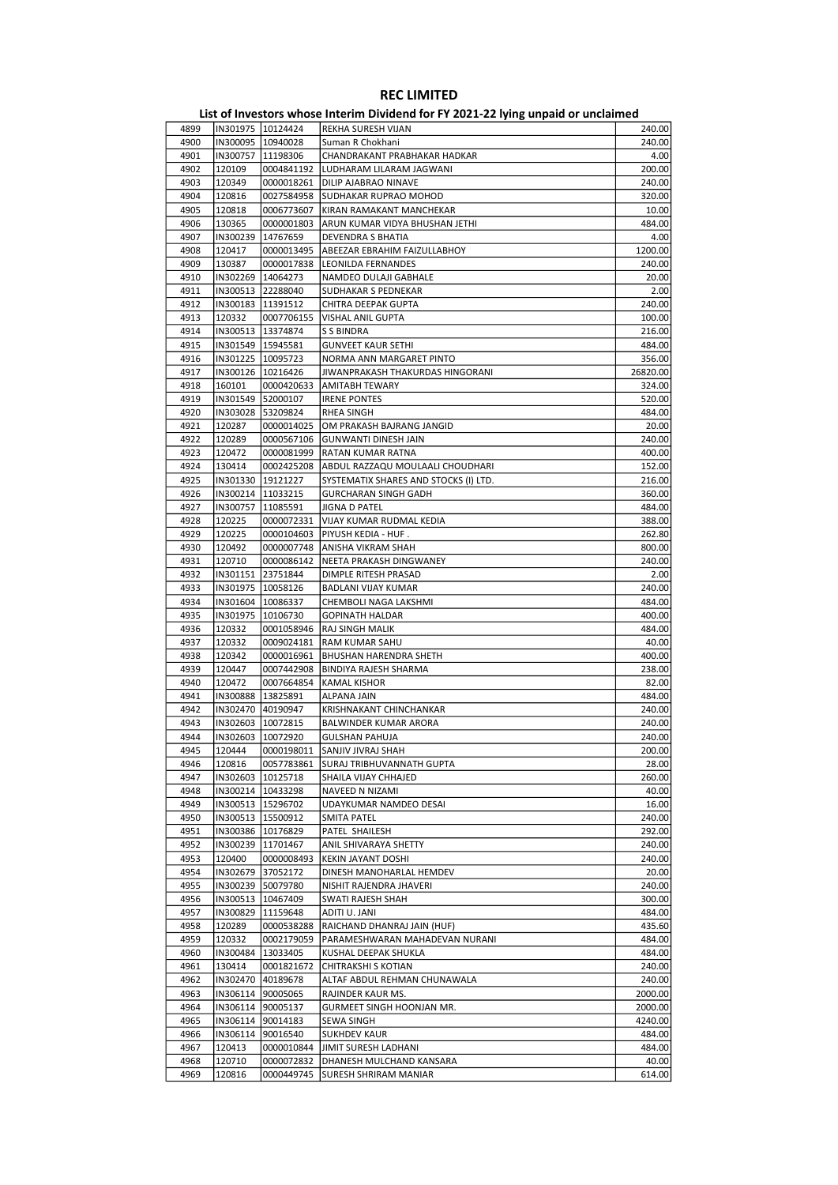| 4899         |                    | IN301975   10124424               | REKHA SURESH VIJAN                                  | 240.00           |
|--------------|--------------------|-----------------------------------|-----------------------------------------------------|------------------|
| 4900         |                    | IN300095 10940028                 | Suman R Chokhani                                    | 240.00           |
| 4901         | IN300757           | 11198306                          | CHANDRAKANT PRABHAKAR HADKAR                        | 4.00             |
| 4902         | 120109             | 0004841192                        | LUDHARAM LILARAM JAGWANI                            | 200.00           |
| 4903         | 120349             | 0000018261                        | DILIP AJABRAO NINAVE                                | 240.00           |
| 4904         | 120816             | 0027584958                        | SUDHAKAR RUPRAO MOHOD                               | 320.00           |
| 4905         | 120818             | 0006773607                        | KIRAN RAMAKANT MANCHEKAR                            | 10.00            |
| 4906         | 130365             | 0000001803                        | ARUN KUMAR VIDYA BHUSHAN JETHI                      | 484.00           |
| 4907         | IN300239           | 14767659                          | DEVENDRA S BHATIA                                   | 4.00             |
| 4908         | 120417             | 0000013495                        | ABEEZAR EBRAHIM FAIZULLABHOY                        | 1200.00          |
| 4909         | 130387             | 0000017838                        | LEONILDA FERNANDES                                  | 240.00           |
| 4910         |                    | IN302269   14064273               | NAMDEO DULAJI GABHALE                               | 20.00            |
| 4911         |                    | IN300513 22288040                 | <b>SUDHAKAR S PEDNEKAR</b>                          | 2.00             |
| 4912<br>4913 | 120332             | IN300183   11391512<br>0007706155 | CHITRA DEEPAK GUPTA<br>VISHAL ANIL GUPTA            | 240.00<br>100.00 |
| 4914         |                    | IN300513   13374874               | S S BINDRA                                          | 216.00           |
| 4915         |                    | IN301549   15945581               | <b>GUNVEET KAUR SETHI</b>                           | 484.00           |
| 4916         |                    | IN301225 10095723                 | NORMA ANN MARGARET PINTO                            | 356.00           |
| 4917         |                    | IN300126   10216426               | JIWANPRAKASH THAKURDAS HINGORANI                    | 26820.00         |
| 4918         | 160101             | 0000420633                        | AMITABH TEWARY                                      | 324.00           |
| 4919         |                    | IN301549 52000107                 | <b>IRENE PONTES</b>                                 | 520.00           |
| 4920         |                    | IN303028 53209824                 | RHEA SINGH                                          | 484.00           |
| 4921         | 120287             | 0000014025                        | OM PRAKASH BAJRANG JANGID                           | 20.00            |
| 4922         | 120289             | 0000567106                        | <b>GUNWANTI DINESH JAIN</b>                         | 240.00           |
| 4923         | 120472             | 0000081999                        | RATAN KUMAR RATNA                                   | 400.00           |
| 4924         | 130414             | 0002425208                        | ABDUL RAZZAQU MOULAALI CHOUDHARI                    | 152.00           |
| 4925         |                    | IN301330  19121227                | SYSTEMATIX SHARES AND STOCKS (I) LTD.               | 216.00           |
| 4926         |                    | IN300214   11033215               | <b>GURCHARAN SINGH GADH</b>                         | 360.00           |
| 4927         | IN300757           | 11085591                          | JIGNA D PATEL                                       | 484.00           |
| 4928         | 120225             | 0000072331                        | VIJAY KUMAR RUDMAL KEDIA                            | 388.00           |
| 4929         | 120225             | 0000104603                        | PIYUSH KEDIA - HUF .                                | 262.80           |
| 4930         | 120492             | 0000007748                        | ANISHA VIKRAM SHAH                                  | 800.00           |
| 4931         | 120710             | 0000086142                        | NEETA PRAKASH DINGWANEY                             | 240.00           |
| 4932         |                    | IN301151 23751844                 | DIMPLE RITESH PRASAD                                | 2.00             |
| 4933         |                    | IN301975   10058126               | BADLANI VIJAY KUMAR                                 | 240.00           |
| 4934         |                    | IN301604   10086337               | CHEMBOLI NAGA LAKSHMI                               | 484.00           |
| 4935<br>4936 |                    | IN301975   10106730               | <b>GOPINATH HALDAR</b>                              | 400.00<br>484.00 |
| 4937         | 120332             | 0001058946<br>0009024181          | RAJ SINGH MALIK                                     | 40.00            |
| 4938         | 120332<br>120342   | 0000016961                        | RAM KUMAR SAHU<br>BHUSHAN HARENDRA SHETH            | 400.00           |
| 4939         | 120447             | 0007442908                        | <b>BINDIYA RAJESH SHARMA</b>                        | 238.00           |
| 4940         | 120472             | 0007664854                        | <b>KAMAL KISHOR</b>                                 | 82.00            |
| 4941         |                    | IN300888 13825891                 | <b>ALPANA JAIN</b>                                  | 484.00           |
| 4942         |                    | IN302470 40190947                 | KRISHNAKANT CHINCHANKAR                             | 240.00           |
| 4943         |                    | IN302603   10072815               | BALWINDER KUMAR ARORA                               | 240.00           |
| 4944         |                    | IN302603 10072920                 | <b>GULSHAN PAHUJA</b>                               | 240.00           |
| 4945         | 120444             |                                   | 0000198011 SANJIV JIVRAJ SHAH                       | 200.00           |
| 4946         | 120816             | 0057783861                        | SURAJ TRIBHUVANNATH GUPTA                           | 28.00            |
| 4947         | IN302603           | 10125718                          | SHAILA VIJAY CHHAJED                                | 260.00           |
| 4948         |                    | IN300214 10433298                 | NAVEED N NIZAMI                                     | 40.00            |
| 4949         |                    | IN300513   15296702               | UDAYKUMAR NAMDEO DESAI                              | 16.00            |
| 4950         |                    | IN300513   15500912               | SMITA PATEL                                         | 240.00           |
| 4951         | IN300386           | 10176829                          | PATEL SHAILESH                                      | 292.00           |
| 4952         | IN300239           | 11701467                          | ANIL SHIVARAYA SHETTY                               | 240.00           |
| 4953         | 120400             | 0000008493                        | KEKIN JAYANT DOSHI                                  | 240.00           |
| 4954         |                    | IN302679 37052172                 | DINESH MANOHARLAL HEMDEV                            | 20.00            |
| 4955         |                    | IN300239 50079780                 | NISHIT RAJENDRA JHAVERI                             | 240.00           |
| 4956         | IN300513           | 10467409                          | SWATI RAJESH SHAH                                   | 300.00           |
| 4957         | IN300829           | 11159648                          | ADITI U. JANI                                       | 484.00           |
| 4958<br>4959 | 120289             | 0000538288                        | RAICHAND DHANRAJ JAIN (HUF)                         | 435.60           |
| 4960         | 120332<br>IN300484 | 0002179059                        | PARAMESHWARAN MAHADEVAN NURANI                      | 484.00<br>484.00 |
| 4961         | 130414             | 13033405<br>0001821672            | KUSHAL DEEPAK SHUKLA                                | 240.00           |
| 4962         | IN302470           | 40189678                          | CHITRAKSHI S KOTIAN<br>ALTAF ABDUL REHMAN CHUNAWALA | 240.00           |
| 4963         |                    | IN306114 90005065                 | RAJINDER KAUR MS.                                   | 2000.00          |
| 4964         |                    | IN306114 90005137                 | GURMEET SINGH HOONJAN MR.                           | 2000.00          |
| 4965         |                    | IN306114 90014183                 | SEWA SINGH                                          | 4240.00          |
| 4966         | IN306114           | 90016540                          | <b>SUKHDEV KAUR</b>                                 | 484.00           |
| 4967         | 120413             | 0000010844                        | JIMIT SURESH LADHANI                                | 484.00           |
| 4968         | 120710             | 0000072832                        | DHANESH MULCHAND KANSARA                            | 40.00            |
| 4969         | 120816             | 0000449745                        | <b>SURESH SHRIRAM MANIAR</b>                        | 614.00           |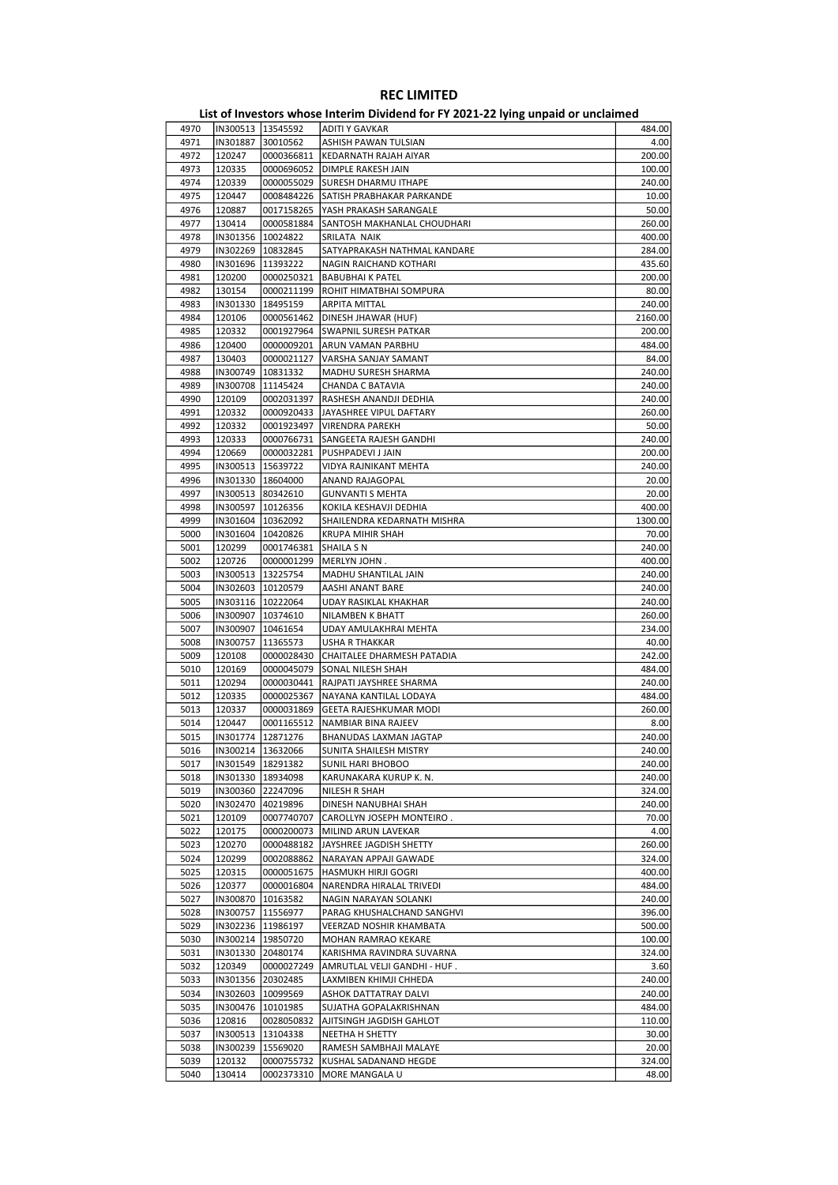| 4970 |                     | IN300513   13545592 | ADITI Y GAVKAR               | 484.00  |
|------|---------------------|---------------------|------------------------------|---------|
| 4971 |                     | IN301887 30010562   | ASHISH PAWAN TULSIAN         | 4.00    |
| 4972 | 120247              | 0000366811          | KEDARNATH RAJAH AIYAR        | 200.00  |
| 4973 | 120335              | 0000696052          | DIMPLE RAKESH JAIN           | 100.00  |
|      |                     |                     |                              |         |
| 4974 | 120339              | 0000055029          | <b>SURESH DHARMU ITHAPE</b>  | 240.00  |
| 4975 | 120447              | 0008484226          | SATISH PRABHAKAR PARKANDE    | 10.00   |
| 4976 | 120887              | 0017158265          | YASH PRAKASH SARANGALE       | 50.00   |
| 4977 | 130414              | 0000581884          | SANTOSH MAKHANLAL CHOUDHARI  | 260.00  |
| 4978 |                     | IN301356   10024822 | SRILATA NAIK                 | 400.00  |
|      |                     |                     |                              |         |
| 4979 |                     | IN302269   10832845 | SATYAPRAKASH NATHMAL KANDARE | 284.00  |
| 4980 |                     | IN301696   11393222 | NAGIN RAICHAND KOTHARI       | 435.60  |
| 4981 | 120200              | 0000250321          | <b>BABUBHAI K PATEL</b>      | 200.00  |
| 4982 | 130154              | 0000211199          | ROHIT HIMATBHAI SOMPURA      | 80.00   |
| 4983 | IN301330            | 18495159            | ARPITA MITTAL                | 240.00  |
| 4984 |                     |                     |                              |         |
|      | 120106              | 0000561462          | DINESH JHAWAR (HUF)          | 2160.00 |
| 4985 | 120332              | 0001927964          | SWAPNIL SURESH PATKAR        | 200.00  |
| 4986 | 120400              | 0000009201          | ARUN VAMAN PARBHU            | 484.00  |
| 4987 | 130403              | 0000021127          | VARSHA SANJAY SAMANT         | 84.00   |
| 4988 | IN300749            | 10831332            | MADHU SURESH SHARMA          | 240.00  |
| 4989 |                     |                     |                              |         |
|      |                     | IN300708 11145424   | CHANDA C BATAVIA             | 240.00  |
| 4990 | 120109              | 0002031397          | RASHESH ANANDJI DEDHIA       | 240.00  |
| 4991 | 120332              | 0000920433          | JAYASHREE VIPUL DAFTARY      | 260.00  |
| 4992 | 120332              | 0001923497          | <b>VIRENDRA PAREKH</b>       | 50.00   |
| 4993 | 120333              | 0000766731          | SANGEETA RAJESH GANDHI       | 240.00  |
| 4994 | 120669              | 0000032281          |                              | 200.00  |
|      |                     |                     | PUSHPADEVI J JAIN            |         |
| 4995 |                     | IN300513   15639722 | VIDYA RAJNIKANT MEHTA        | 240.00  |
| 4996 |                     | IN301330 18604000   | ANAND RAJAGOPAL              | 20.00   |
| 4997 |                     | IN300513 80342610   | <b>GUNVANTI S MEHTA</b>      | 20.00   |
| 4998 | IN300597            | 10126356            | KOKILA KESHAVJI DEDHIA       | 400.00  |
| 4999 |                     | IN301604   10362092 | SHAILENDRA KEDARNATH MISHRA  | 1300.00 |
|      |                     |                     |                              |         |
| 5000 | IN301604   10420826 |                     | <b>KRUPA MIHIR SHAH</b>      | 70.00   |
| 5001 | 120299              | 0001746381          | SHAILA S N                   | 240.00  |
| 5002 | 120726              | 0000001299          | MERLYN JOHN.                 | 400.00  |
| 5003 |                     | IN300513   13225754 | MADHU SHANTILAL JAIN         | 240.00  |
| 5004 |                     | IN302603   10120579 | AASHI ANANT BARE             | 240.00  |
|      |                     |                     |                              |         |
| 5005 |                     | IN303116   10222064 | UDAY RASIKLAL KHAKHAR        | 240.00  |
| 5006 |                     | IN300907   10374610 | NILAMBEN K BHATT             | 260.00  |
| 5007 | IN300907            | 10461654            | UDAY AMULAKHRAI MEHTA        | 234.00  |
| 5008 | IN300757            | 11365573            | USHA R THAKKAR               | 40.00   |
| 5009 | 120108              | 0000028430          | CHAITALEE DHARMESH PATADIA   | 242.00  |
|      |                     |                     |                              |         |
| 5010 | 120169              | 0000045079          | SONAL NILESH SHAH            | 484.00  |
| 5011 | 120294              | 0000030441          | RAJPATI JAYSHREE SHARMA      | 240.00  |
| 5012 | 120335              | 0000025367          | NAYANA KANTILAL LODAYA       | 484.00  |
| 5013 | 120337              | 0000031869          | GEETA RAJESHKUMAR MODI       | 260.00  |
| 5014 | 120447              | 0001165512          | NAMBIAR BINA RAJEEV          | 8.00    |
|      |                     |                     |                              |         |
| 5015 |                     | IN301774   12871276 | BHANUDAS LAXMAN JAGTAP       | 240.00  |
| 5016 |                     | IN300214 13632066   | SUNITA SHAILESH MISTRY       | 240.00  |
| 5017 |                     | IN301549 18291382   | SUNIL HARI BHOBOO            | 240.00  |
| 5018 |                     | IN301330   18934098 | KARUNAKARA KURUP K. N.       | 240.00  |
| 5019 |                     | IN300360 22247096   | NILESH R SHAH                | 324.00  |
|      |                     |                     |                              |         |
| 5020 |                     | IN302470 40219896   | DINESH NANUBHAI SHAH         | 240.00  |
| 5021 | 120109              | 0007740707          | CAROLLYN JOSEPH MONTEIRO.    | 70.00   |
| 5022 | 120175              | 0000200073          | MILIND ARUN LAVEKAR          | 4.00    |
| 5023 | 120270              | 0000488182          | JAYSHREE JAGDISH SHETTY      | 260.00  |
| 5024 | 120299              | 0002088862          | NARAYAN APPAJI GAWADE        | 324.00  |
| 5025 | 120315              | 0000051675          | <b>HASMUKH HIRJI GOGRI</b>   | 400.00  |
|      |                     |                     |                              |         |
| 5026 | 120377              | 0000016804          | NARENDRA HIRALAL TRIVEDI     | 484.00  |
| 5027 |                     | IN300870   10163582 | NAGIN NARAYAN SOLANKI        | 240.00  |
| 5028 |                     | IN300757 11556977   | PARAG KHUSHALCHAND SANGHVI   | 396.00  |
| 5029 |                     | IN302236 11986197   | VEERZAD NOSHIR KHAMBATA      | 500.00  |
| 5030 |                     | IN300214   19850720 | MOHAN RAMRAO KEKARE          | 100.00  |
|      |                     |                     |                              |         |
| 5031 |                     | IN301330 20480174   | KARISHMA RAVINDRA SUVARNA    | 324.00  |
| 5032 | 120349              | 0000027249          | AMRUTLAL VELJI GANDHI - HUF. | 3.60    |
| 5033 |                     | IN301356 20302485   | LAXMIBEN KHIMJI CHHEDA       | 240.00  |
| 5034 |                     | IN302603   10099569 | ASHOK DATTATRAY DALVI        | 240.00  |
| 5035 |                     | IN300476   10101985 | SUJATHA GOPALAKRISHNAN       | 484.00  |
|      |                     |                     |                              |         |
| 5036 | 120816              | 0028050832          | AJITSINGH JAGDISH GAHLOT     | 110.00  |
| 5037 | IN300513            | 13104338            | NEETHA H SHETTY              | 30.00   |
| 5038 | IN300239            | 15569020            | RAMESH SAMBHAJI MALAYE       | 20.00   |
| 5039 | 120132              | 0000755732          | KUSHAL SADANAND HEGDE        | 324.00  |
| 5040 | 130414              | 0002373310          | MORE MANGALA U               | 48.00   |
|      |                     |                     |                              |         |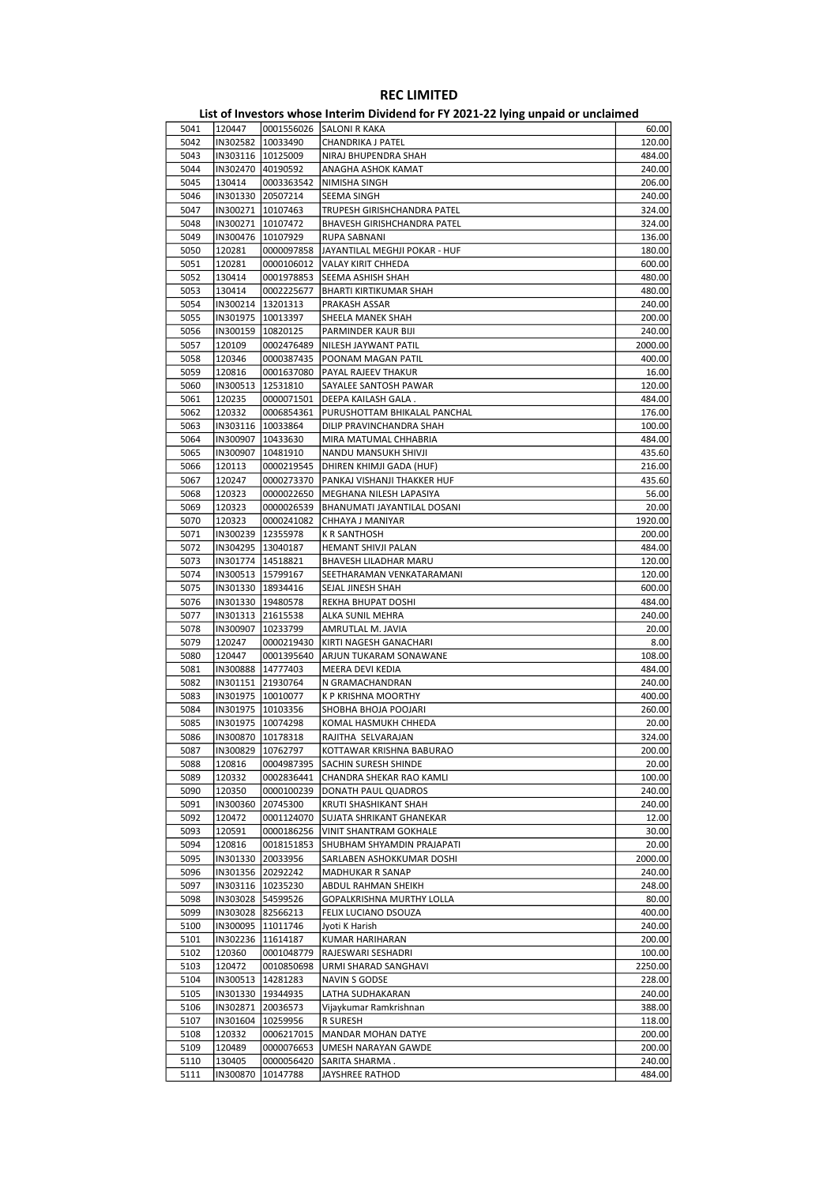|      |                     |                     | ED, or investors whose internit privation for it about LETTing ampaid or ancialities. |         |
|------|---------------------|---------------------|---------------------------------------------------------------------------------------|---------|
| 5041 | 120447              |                     | 0001556026 SALONI R KAKA                                                              | 60.00   |
| 5042 | IN302582   10033490 |                     | CHANDRIKA J PATEL                                                                     | 120.00  |
| 5043 | IN303116   10125009 |                     | NIRAJ BHUPENDRA SHAH                                                                  | 484.00  |
| 5044 | IN302470 40190592   |                     | ANAGHA ASHOK KAMAT                                                                    | 240.00  |
|      |                     |                     |                                                                                       |         |
| 5045 | 130414              | 0003363542          | NIMISHA SINGH                                                                         | 206.00  |
| 5046 | IN301330 20507214   |                     | SEEMA SINGH                                                                           | 240.00  |
| 5047 | IN300271   10107463 |                     | TRUPESH GIRISHCHANDRA PATEL                                                           | 324.00  |
| 5048 |                     | IN300271   10107472 | BHAVESH GIRISHCHANDRA PATEL                                                           | 324.00  |
| 5049 | IN300476   10107929 |                     | RUPA SABNANI                                                                          | 136.00  |
| 5050 | 120281              | 0000097858          | JAYANTILAL MEGHJI POKAR - HUF                                                         | 180.00  |
| 5051 | 120281              | 0000106012          | VALAY KIRIT CHHEDA                                                                    | 600.00  |
| 5052 | 130414              | 0001978853          | SEEMA ASHISH SHAH                                                                     | 480.00  |
| 5053 | 130414              | 0002225677          | <b>BHARTI KIRTIKUMAR SHAH</b>                                                         | 480.00  |
|      |                     |                     |                                                                                       |         |
| 5054 | IN300214 13201313   |                     | PRAKASH ASSAR                                                                         | 240.00  |
| 5055 | IN301975   10013397 |                     | SHEELA MANEK SHAH                                                                     | 200.00  |
| 5056 | IN300159   10820125 |                     | PARMINDER KAUR BIJI                                                                   | 240.00  |
| 5057 | 120109              | 0002476489          | NILESH JAYWANT PATIL                                                                  | 2000.00 |
| 5058 | 120346              | 0000387435          | POONAM MAGAN PATIL                                                                    | 400.00  |
| 5059 | 120816              | 0001637080          | PAYAL RAJEEV THAKUR                                                                   | 16.00   |
| 5060 | IN300513            | 12531810            | SAYALEE SANTOSH PAWAR                                                                 | 120.00  |
| 5061 | 120235              | 0000071501          | DEEPA KAILASH GALA.                                                                   | 484.00  |
|      |                     |                     |                                                                                       |         |
| 5062 | 120332              | 0006854361          | PURUSHOTTAM BHIKALAL PANCHAL                                                          | 176.00  |
| 5063 | IN303116 10033864   |                     | DILIP PRAVINCHANDRA SHAH                                                              | 100.00  |
| 5064 | IN300907   10433630 |                     | MIRA MATUMAL CHHABRIA                                                                 | 484.00  |
| 5065 | IN300907            | 10481910            | NANDU MANSUKH SHIVJI                                                                  | 435.60  |
| 5066 | 120113              | 0000219545          | DHIREN KHIMJI GADA (HUF)                                                              | 216.00  |
| 5067 | 120247              | 0000273370          | <b>PANKAJ VISHANJI THAKKER HUF</b>                                                    | 435.60  |
| 5068 | 120323              | 0000022650          | MEGHANA NILESH LAPASIYA                                                               | 56.00   |
| 5069 | 120323              | 0000026539          | BHANUMATI JAYANTILAL DOSANI                                                           | 20.00   |
| 5070 | 120323              |                     | CHHAYA J MANIYAR                                                                      | 1920.00 |
|      |                     | 0000241082          |                                                                                       |         |
| 5071 | IN300239 12355978   |                     | K R SANTHOSH                                                                          | 200.00  |
| 5072 | IN304295   13040187 |                     | HEMANT SHIVJI PALAN                                                                   | 484.00  |
| 5073 | IN301774   14518821 |                     | BHAVESH LILADHAR MARU                                                                 | 120.00  |
| 5074 | IN300513   15799167 |                     | SEETHARAMAN VENKATARAMANI                                                             | 120.00  |
| 5075 | IN301330   18934416 |                     | SEJAL JINESH SHAH                                                                     | 600.00  |
| 5076 | IN301330   19480578 |                     | REKHA BHUPAT DOSHI                                                                    | 484.00  |
| 5077 | IN301313 21615538   |                     | ALKA SUNIL MEHRA                                                                      | 240.00  |
| 5078 | IN300907   10233799 |                     | AMRUTLAL M. JAVIA                                                                     | 20.00   |
| 5079 | 120247              | 0000219430          | KIRTI NAGESH GANACHARI                                                                | 8.00    |
|      |                     |                     |                                                                                       |         |
| 5080 | 120447              | 0001395640          | ARJUN TUKARAM SONAWANE                                                                | 108.00  |
| 5081 | IN300888 14777403   |                     | MEERA DEVI KEDIA                                                                      | 484.00  |
| 5082 | IN301151 21930764   |                     | N GRAMACHANDRAN                                                                       | 240.00  |
| 5083 | IN301975   10010077 |                     | K P KRISHNA MOORTHY                                                                   | 400.00  |
| 5084 | IN301975   10103356 |                     | SHOBHA BHOJA POOJARI                                                                  | 260.00  |
| 5085 |                     | IN301975   10074298 | KOMAL HASMUKH CHHEDA                                                                  | 20.00   |
| 5086 |                     | IN300870 10178318   | RAJITHA SELVARAJAN                                                                    | 324.00  |
| 5087 | IN300829  10762797  |                     | KOTTAWAR KRISHNA BABURAO                                                              | 200.00  |
| 5088 | 120816              | 0004987395          | SACHIN SURESH SHINDE                                                                  | 20.00   |
|      |                     |                     |                                                                                       |         |
| 5089 | 120332              | 0002836441          | CHANDRA SHEKAR RAO KAMLI                                                              | 100.00  |
| 5090 | 120350              | 0000100239          | DONATH PAUL QUADROS                                                                   | 240.00  |
| 5091 | IN300360            | 20745300            | KRUTI SHASHIKANT SHAH                                                                 | 240.00  |
| 5092 | 120472              | 0001124070          | SUJATA SHRIKANT GHANEKAR                                                              | 12.00   |
| 5093 | 120591              | 0000186256          | VINIT SHANTRAM GOKHALE                                                                | 30.00   |
| 5094 | 120816              | 0018151853          | SHUBHAM SHYAMDIN PRAJAPATI                                                            | 20.00   |
| 5095 | IN301330            | 20033956            | SARLABEN ASHOKKUMAR DOSHI                                                             | 2000.00 |
| 5096 |                     | IN301356 20292242   | MADHUKAR R SANAP                                                                      | 240.00  |
| 5097 |                     | IN303116   10235230 | ABDUL RAHMAN SHEIKH                                                                   | 248.00  |
| 5098 |                     | IN303028 54599526   | GOPALKRISHNA MURTHY LOLLA                                                             | 80.00   |
|      |                     |                     |                                                                                       |         |
| 5099 |                     | IN303028 82566213   | FELIX LUCIANO DSOUZA                                                                  | 400.00  |
| 5100 |                     | IN300095 11011746   | Jyoti K Harish                                                                        | 240.00  |
| 5101 |                     | IN302236 11614187   | KUMAR HARIHARAN                                                                       | 200.00  |
| 5102 | 120360              | 0001048779          | RAJESWARI SESHADRI                                                                    | 100.00  |
| 5103 | 120472              | 0010850698          | URMI SHARAD SANGHAVI                                                                  | 2250.00 |
| 5104 |                     | IN300513   14281283 | NAVIN S GODSE                                                                         | 228.00  |
| 5105 |                     | IN301330   19344935 | LATHA SUDHAKARAN                                                                      | 240.00  |
| 5106 | IN302871            | 20036573            | Vijaykumar Ramkrishnan                                                                | 388.00  |
| 5107 |                     | IN301604   10259956 |                                                                                       |         |
|      |                     |                     | R SURESH                                                                              | 118.00  |
| 5108 | 120332              | 0006217015          | MANDAR MOHAN DATYE                                                                    | 200.00  |
| 5109 | 120489              | 0000076653          | UMESH NARAYAN GAWDE                                                                   | 200.00  |
| 5110 | 130405              | 0000056420          | SARITA SHARMA.                                                                        | 240.00  |
| 5111 | IN300870            | 10147788            | JAYSHREE RATHOD                                                                       | 484.00  |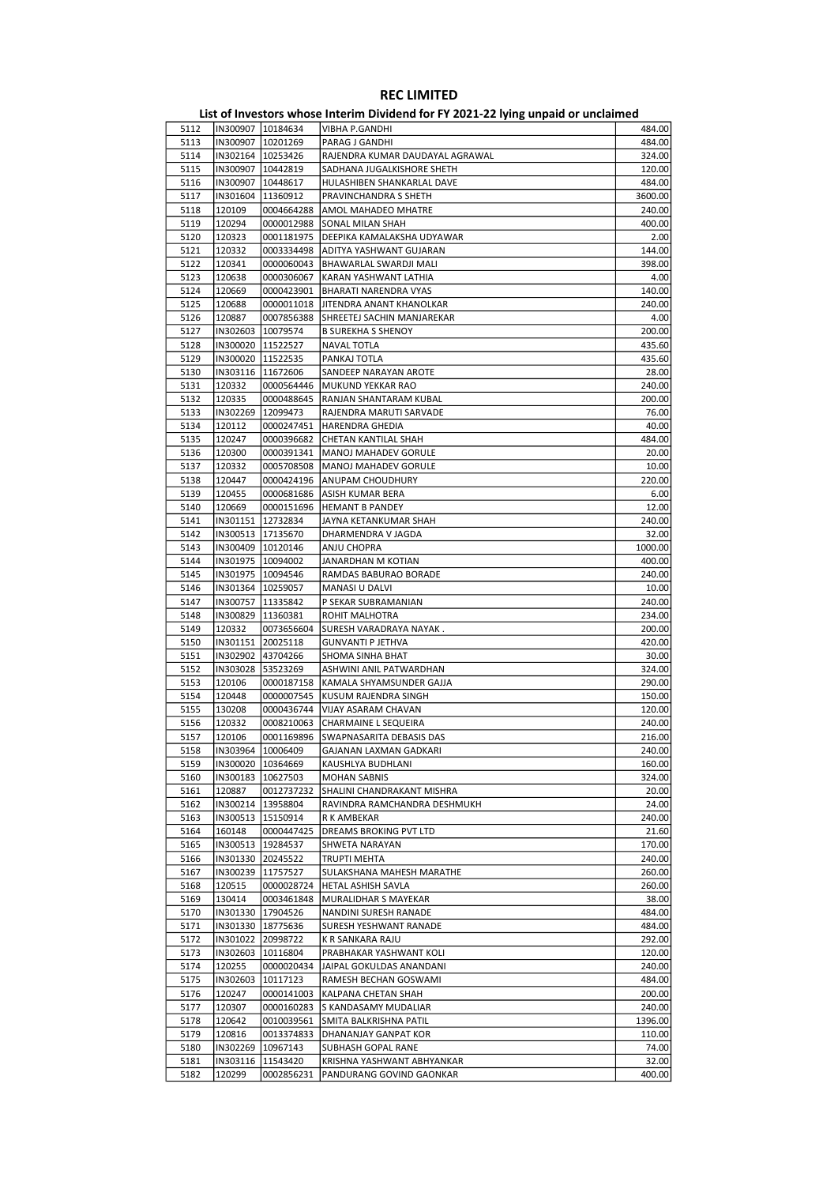|      |                     |                     | ED, or investors whose internit privation for it about LETTing ampaid or ancialities. |         |
|------|---------------------|---------------------|---------------------------------------------------------------------------------------|---------|
| 5112 |                     | IN300907   10184634 | VIBHA P.GANDHI                                                                        | 484.00  |
| 5113 | IN300907  10201269  |                     | PARAG J GANDHI                                                                        | 484.00  |
| 5114 | IN302164 10253426   |                     | RAJENDRA KUMAR DAUDAYAL AGRAWAL                                                       | 324.00  |
| 5115 | IN300907   10442819 |                     | SADHANA JUGALKISHORE SHETH                                                            | 120.00  |
| 5116 | IN300907            | 10448617            | HULASHIBEN SHANKARLAL DAVE                                                            | 484.00  |
|      |                     |                     |                                                                                       |         |
| 5117 | IN301604            | 11360912            | PRAVINCHANDRA S SHETH                                                                 | 3600.00 |
| 5118 | 120109              | 0004664288          | AMOL MAHADEO MHATRE                                                                   | 240.00  |
| 5119 | 120294              | 0000012988          | <b>SONAL MILAN SHAH</b>                                                               | 400.00  |
| 5120 | 120323              | 0001181975          | DEEPIKA KAMALAKSHA UDYAWAR                                                            | 2.00    |
| 5121 | 120332              | 0003334498          | ADITYA YASHWANT GUJARAN                                                               | 144.00  |
| 5122 | 120341              | 0000060043          | <b>BHAWARLAL SWARDJI MALI</b>                                                         | 398.00  |
| 5123 | 120638              | 0000306067          | KARAN YASHWANT LATHIA                                                                 | 4.00    |
| 5124 | 120669              | 0000423901          | BHARATI NARENDRA VYAS                                                                 | 140.00  |
|      |                     |                     |                                                                                       |         |
| 5125 | 120688              | 0000011018          | JITENDRA ANANT KHANOLKAR                                                              | 240.00  |
| 5126 | 120887              | 0007856388          | SHREETEJ SACHIN MANJAREKAR                                                            | 4.00    |
| 5127 | IN302603            | 10079574            | <b>B SUREKHA S SHENOY</b>                                                             | 200.00  |
| 5128 | IN300020  11522527  |                     | <b>NAVAL TOTLA</b>                                                                    | 435.60  |
| 5129 | IN300020   11522535 |                     | PANKAJ TOTLA                                                                          | 435.60  |
| 5130 | IN303116   11672606 |                     | SANDEEP NARAYAN AROTE                                                                 | 28.00   |
| 5131 | 120332              | 0000564446          | MUKUND YEKKAR RAO                                                                     | 240.00  |
|      |                     |                     |                                                                                       |         |
| 5132 | 120335              | 0000488645          | RANJAN SHANTARAM KUBAL                                                                | 200.00  |
| 5133 | IN302269            | 12099473            | RAJENDRA MARUTI SARVADE                                                               | 76.00   |
| 5134 | 120112              | 0000247451          | HARENDRA GHEDIA                                                                       | 40.00   |
| 5135 | 120247              | 0000396682          | CHETAN KANTILAL SHAH                                                                  | 484.00  |
| 5136 | 120300              | 0000391341          | MANOJ MAHADEV GORULE                                                                  | 20.00   |
| 5137 | 120332              | 0005708508          | MANOJ MAHADEV GORULE                                                                  | 10.00   |
| 5138 |                     |                     |                                                                                       |         |
|      | 120447              |                     | 0000424196   ANUPAM CHOUDHURY                                                         | 220.00  |
| 5139 | 120455              | 0000681686          | ASISH KUMAR BERA                                                                      | 6.00    |
| 5140 | 120669              | 0000151696          | <b>HEMANT B PANDEY</b>                                                                | 12.00   |
| 5141 | IN301151 12732834   |                     | JAYNA KETANKUMAR SHAH                                                                 | 240.00  |
| 5142 | IN300513   17135670 |                     | DHARMENDRA V JAGDA                                                                    | 32.00   |
| 5143 | IN300409   10120146 |                     | ANJU CHOPRA                                                                           | 1000.00 |
| 5144 | IN301975   10094002 |                     | JANARDHAN M KOTIAN                                                                    | 400.00  |
|      | IN301975   10094546 |                     |                                                                                       | 240.00  |
| 5145 |                     |                     | RAMDAS BABURAO BORADE                                                                 |         |
| 5146 | IN301364   10259057 |                     | MANASI U DALVI                                                                        | 10.00   |
| 5147 | IN300757            | 11335842            | P SEKAR SUBRAMANIAN                                                                   | 240.00  |
| 5148 | IN300829   11360381 |                     | <b>ROHIT MALHOTRA</b>                                                                 | 234.00  |
| 5149 | 120332              | 0073656604          | SURESH VARADRAYA NAYAK .                                                              | 200.00  |
| 5150 | IN301151 20025118   |                     | <b>GUNVANTI P JETHVA</b>                                                              | 420.00  |
| 5151 | IN302902 43704266   |                     | SHOMA SINHA BHAT                                                                      | 30.00   |
| 5152 | IN303028            | 53523269            | ASHWINI ANIL PATWARDHAN                                                               | 324.00  |
|      |                     |                     |                                                                                       |         |
| 5153 | 120106              | 0000187158          | KAMALA SHYAMSUNDER GAJJA                                                              | 290.00  |
| 5154 | 120448              | 0000007545          | KUSUM RAJENDRA SINGH                                                                  | 150.00  |
| 5155 | 130208              | 0000436744          | VIJAY ASARAM CHAVAN                                                                   | 120.00  |
| 5156 | 120332              | 0008210063          | CHARMAINE L SEQUEIRA                                                                  | 240.00  |
| 5157 | 120106              | 0001169896          | SWAPNASARITA DEBASIS DAS                                                              | 216.00  |
| 5158 | IN303964  10006409  |                     | GAJANAN LAXMAN GADKARI                                                                | 240.00  |
| 5159 | IN300020   10364669 |                     | KAUSHLYA BUDHLANI                                                                     | 160.00  |
|      |                     |                     |                                                                                       |         |
| 5160 | IN300183            | 10627503            | <b>MOHAN SABNIS</b>                                                                   | 324.00  |
| 5161 | 120887              | 0012737232          | SHALINI CHANDRAKANT MISHRA                                                            | 20.00   |
| 5162 | IN300214 13958804   |                     | RAVINDRA RAMCHANDRA DESHMUKH                                                          | 24.00   |
| 5163 | IN300513   15150914 |                     | R K AMBEKAR                                                                           | 240.00  |
| 5164 | 160148              | 0000447425          | DREAMS BROKING PVT LTD                                                                | 21.60   |
| 5165 | IN300513            | 19284537            | SHWETA NARAYAN                                                                        | 170.00  |
| 5166 | IN301330            | 20245522            | TRUPTI MEHTA                                                                          | 240.00  |
| 5167 | IN300239            | 11757527            | SULAKSHANA MAHESH MARATHE                                                             | 260.00  |
|      |                     |                     |                                                                                       |         |
| 5168 | 120515              | 0000028724          | HETAL ASHISH SAVLA                                                                    | 260.00  |
| 5169 | 130414              | 0003461848          | MURALIDHAR S MAYEKAR                                                                  | 38.00   |
| 5170 | IN301330            | 17904526            | NANDINI SURESH RANADE                                                                 | 484.00  |
| 5171 | IN301330   18775636 |                     | SURESH YESHWANT RANADE                                                                | 484.00  |
| 5172 | IN301022            | 20998722            | K R SANKARA RAJU                                                                      | 292.00  |
| 5173 | IN302603            | 10116804            | PRABHAKAR YASHWANT KOLI                                                               | 120.00  |
| 5174 | 120255              | 0000020434          | JAIPAL GOKULDAS ANANDANI                                                              | 240.00  |
|      |                     |                     |                                                                                       |         |
| 5175 | IN302603            | 10117123            | RAMESH BECHAN GOSWAMI                                                                 | 484.00  |
| 5176 | 120247              | 0000141003          | KALPANA CHETAN SHAH                                                                   | 200.00  |
| 5177 | 120307              | 0000160283          | S KANDASAMY MUDALIAR                                                                  | 240.00  |
| 5178 | 120642              | 0010039561          | SMITA BALKRISHNA PATIL                                                                | 1396.00 |
| 5179 | 120816              | 0013374833          | DHANANJAY GANPAT KOR                                                                  | 110.00  |
| 5180 | IN302269            | 10967143            | SUBHASH GOPAL RANE                                                                    | 74.00   |
| 5181 | IN303116   11543420 |                     | KRISHNA YASHWANT ABHYANKAR                                                            | 32.00   |
| 5182 | 120299              | 0002856231          | PANDURANG GOVIND GAONKAR                                                              | 400.00  |
|      |                     |                     |                                                                                       |         |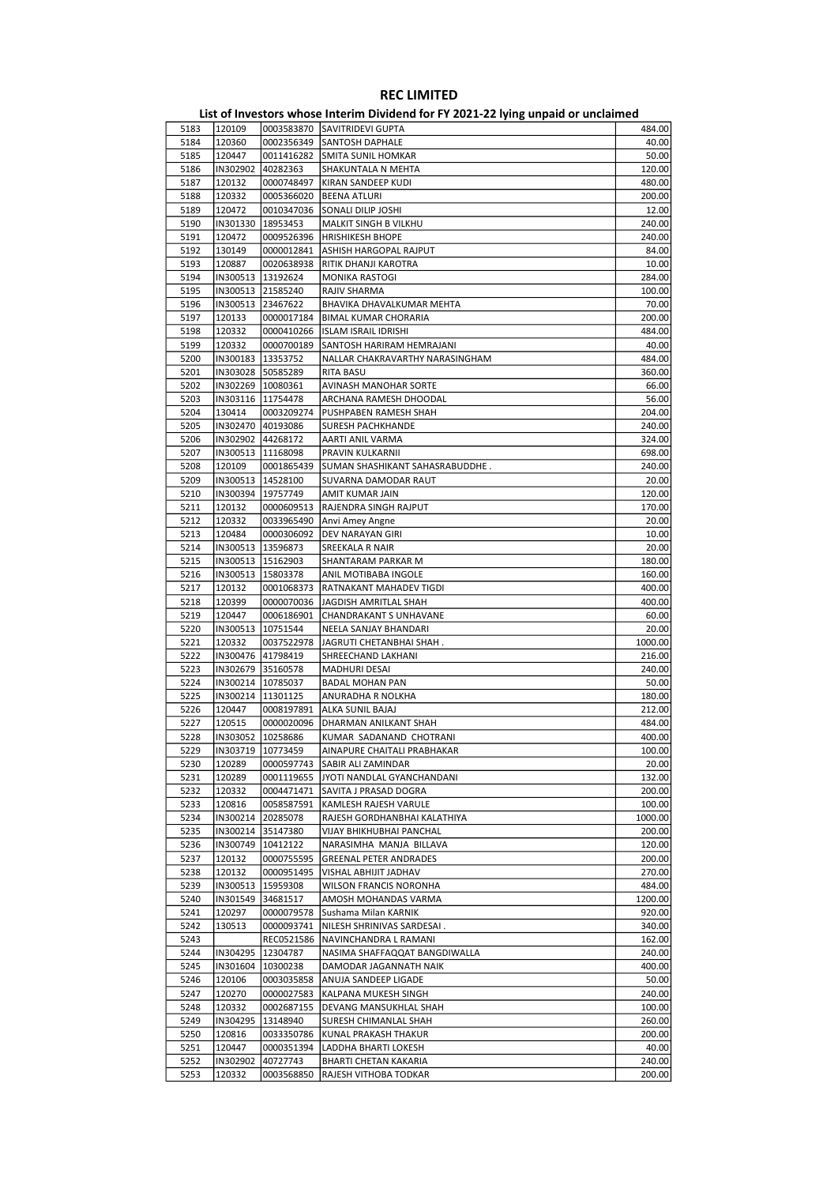|      |                     |                     | ED, or investors whose internit privation for it about LETTing ampaid or ancialities. |         |
|------|---------------------|---------------------|---------------------------------------------------------------------------------------|---------|
| 5183 | 120109              |                     | 0003583870 SAVITRIDEVI GUPTA                                                          | 484.00  |
| 5184 | 120360              |                     | 0002356349 SANTOSH DAPHALE                                                            | 40.00   |
| 5185 | 120447              |                     | 0011416282 SMITA SUNIL HOMKAR                                                         | 50.00   |
| 5186 | IN302902 40282363   |                     | SHAKUNTALA N MEHTA                                                                    | 120.00  |
|      |                     |                     |                                                                                       |         |
| 5187 | 120132              | 0000748497          | KIRAN SANDEEP KUDI                                                                    | 480.00  |
| 5188 | 120332              | 0005366020          | <b>BEENA ATLURI</b>                                                                   | 200.00  |
| 5189 | 120472              | 0010347036          | SONALI DILIP JOSHI                                                                    | 12.00   |
| 5190 |                     | IN301330   18953453 | MALKIT SINGH B VILKHU                                                                 | 240.00  |
| 5191 | 120472              | 0009526396          | <b>HRISHIKESH BHOPE</b>                                                               | 240.00  |
| 5192 | 130149              | 0000012841          | ASHISH HARGOPAL RAJPUT                                                                | 84.00   |
| 5193 | 120887              | 0020638938          | RITIK DHANJI KAROTRA                                                                  | 10.00   |
| 5194 |                     | IN300513   13192624 | MONIKA RASTOGI                                                                        | 284.00  |
| 5195 |                     | IN300513 21585240   | RAJIV SHARMA                                                                          | 100.00  |
|      |                     |                     |                                                                                       |         |
| 5196 |                     | IN300513 23467622   | BHAVIKA DHAVALKUMAR MEHTA                                                             | 70.00   |
| 5197 | 120133              | 0000017184          | <b>BIMAL KUMAR CHORARIA</b>                                                           | 200.00  |
| 5198 | 120332              | 0000410266          | ISLAM ISRAIL IDRISHI                                                                  | 484.00  |
| 5199 | 120332              | 0000700189          | SANTOSH HARIRAM HEMRAJANI                                                             | 40.00   |
| 5200 |                     | IN300183   13353752 | NALLAR CHAKRAVARTHY NARASINGHAM                                                       | 484.00  |
| 5201 |                     | IN303028 50585289   | RITA BASU                                                                             | 360.00  |
| 5202 |                     | IN302269   10080361 | AVINASH MANOHAR SORTE                                                                 | 66.00   |
| 5203 |                     | IN303116   11754478 | ARCHANA RAMESH DHOODAL                                                                | 56.00   |
|      |                     |                     |                                                                                       |         |
| 5204 | 130414              | 0003209274          | PUSHPABEN RAMESH SHAH                                                                 | 204.00  |
| 5205 |                     | IN302470 40193086   | <b>SURESH PACHKHANDE</b>                                                              | 240.00  |
| 5206 |                     | IN302902 44268172   | AARTI ANIL VARMA                                                                      | 324.00  |
| 5207 |                     | IN300513   11168098 | PRAVIN KULKARNII                                                                      | 698.00  |
| 5208 | 120109              | 0001865439          | SUMAN SHASHIKANT SAHASRABUDDHE.                                                       | 240.00  |
| 5209 |                     | IN300513   14528100 | SUVARNA DAMODAR RAUT                                                                  | 20.00   |
| 5210 | IN300394 19757749   |                     | AMIT KUMAR JAIN                                                                       | 120.00  |
| 5211 | 120132              | 0000609513          | RAJENDRA SINGH RAJPUT                                                                 | 170.00  |
| 5212 | 120332              | 0033965490          |                                                                                       | 20.00   |
|      |                     |                     | Anvi Amey Angne                                                                       |         |
| 5213 | 120484              | 0000306092          | DEV NARAYAN GIRI                                                                      | 10.00   |
| 5214 |                     | IN300513   13596873 | SREEKALA R NAIR                                                                       | 20.00   |
| 5215 |                     | IN300513   15162903 | SHANTARAM PARKAR M                                                                    | 180.00  |
| 5216 |                     | IN300513   15803378 | ANIL MOTIBABA INGOLE                                                                  | 160.00  |
| 5217 | 120132              | 0001068373          | RATNAKANT MAHADEV TIGDI                                                               | 400.00  |
| 5218 | 120399              | 0000070036          | JAGDISH AMRITLAL SHAH                                                                 | 400.00  |
| 5219 | 120447              | 0006186901          | CHANDRAKANT S UNHAVANE                                                                | 60.00   |
| 5220 |                     | IN300513   10751544 | NEELA SANJAY BHANDARI                                                                 | 20.00   |
| 5221 | 120332              | 0037522978          | JAGRUTI CHETANBHAI SHAH.                                                              | 1000.00 |
|      |                     |                     |                                                                                       |         |
| 5222 |                     | IN300476 41798419   | SHREECHAND LAKHANI                                                                    | 216.00  |
| 5223 |                     | IN302679 35160578   | MADHURI DESAI                                                                         | 240.00  |
| 5224 |                     | IN300214   10785037 | <b>BADAL MOHAN PAN</b>                                                                | 50.00   |
| 5225 | IN300214   11301125 |                     | ANURADHA R NOLKHA                                                                     | 180.00  |
| 5226 | 120447              | 0008197891          | ALKA SUNIL BAJAJ                                                                      | 212.00  |
| 5227 | 120515              | 0000020096          | DHARMAN ANILKANT SHAH                                                                 | 484.00  |
| 5228 |                     | IN303052   10258686 | KUMAR SADANAND CHOTRANI                                                               | 400.00  |
| 5229 | IN303719  10773459  |                     | AINAPURE CHAITALI PRABHAKAR                                                           | 100.00  |
| 5230 | 120289              | 0000597743          | SABIR ALI ZAMINDAR                                                                    | 20.00   |
|      |                     |                     |                                                                                       |         |
| 5231 | 120289              | 0001119655          | JYOTI NANDLAL GYANCHANDANI                                                            | 132.00  |
| 5232 | 120332              | 0004471471          | SAVITA J PRASAD DOGRA                                                                 | 200.00  |
| 5233 | 120816              | 0058587591          | KAMLESH RAJESH VARULE                                                                 | 100.00  |
| 5234 |                     | IN300214 20285078   | RAJESH GORDHANBHAI KALATHIYA                                                          | 1000.00 |
| 5235 |                     | IN300214 35147380   | VIJAY BHIKHUBHAI PANCHAL                                                              | 200.00  |
| 5236 | IN300749            | 10412122            | NARASIMHA MANJA BILLAVA                                                               | 120.00  |
| 5237 | 120132              | 0000755595          | <b>GREENAL PETER ANDRADES</b>                                                         | 200.00  |
| 5238 | 120132              | 0000951495          | VISHAL ABHIJIT JADHAV                                                                 | 270.00  |
| 5239 |                     | IN300513  15959308  | WILSON FRANCIS NORONHA                                                                | 484.00  |
| 5240 |                     | IN301549 34681517   |                                                                                       | 1200.00 |
|      |                     |                     | AMOSH MOHANDAS VARMA                                                                  |         |
| 5241 | 120297              | 0000079578          | Sushama Milan KARNIK                                                                  | 920.00  |
| 5242 | 130513              | 0000093741          | NILESH SHRINIVAS SARDESAI.                                                            | 340.00  |
| 5243 |                     | REC0521586          | NAVINCHANDRA L RAMANI                                                                 | 162.00  |
| 5244 |                     | IN304295   12304787 | NASIMA SHAFFAQQAT BANGDIWALLA                                                         | 240.00  |
| 5245 |                     | IN301604   10300238 | DAMODAR JAGANNATH NAIK                                                                | 400.00  |
| 5246 | 120106              | 0003035858          | ANUJA SANDEEP LIGADE                                                                  | 50.00   |
| 5247 | 120270              | 0000027583          | KALPANA MUKESH SINGH                                                                  | 240.00  |
| 5248 | 120332              | 0002687155          | DEVANG MANSUKHLAL SHAH                                                                | 100.00  |
| 5249 | IN304295            | 13148940            |                                                                                       | 260.00  |
|      |                     |                     | SURESH CHIMANLAL SHAH                                                                 |         |
| 5250 | 120816              | 0033350786          | KUNAL PRAKASH THAKUR                                                                  | 200.00  |
| 5251 | 120447              | 0000351394          | LADDHA BHARTI LOKESH                                                                  | 40.00   |
| 5252 | IN302902            | 40727743            | BHARTI CHETAN KAKARIA                                                                 | 240.00  |
| 5253 | 120332              | 0003568850          | RAJESH VITHOBA TODKAR                                                                 | 200.00  |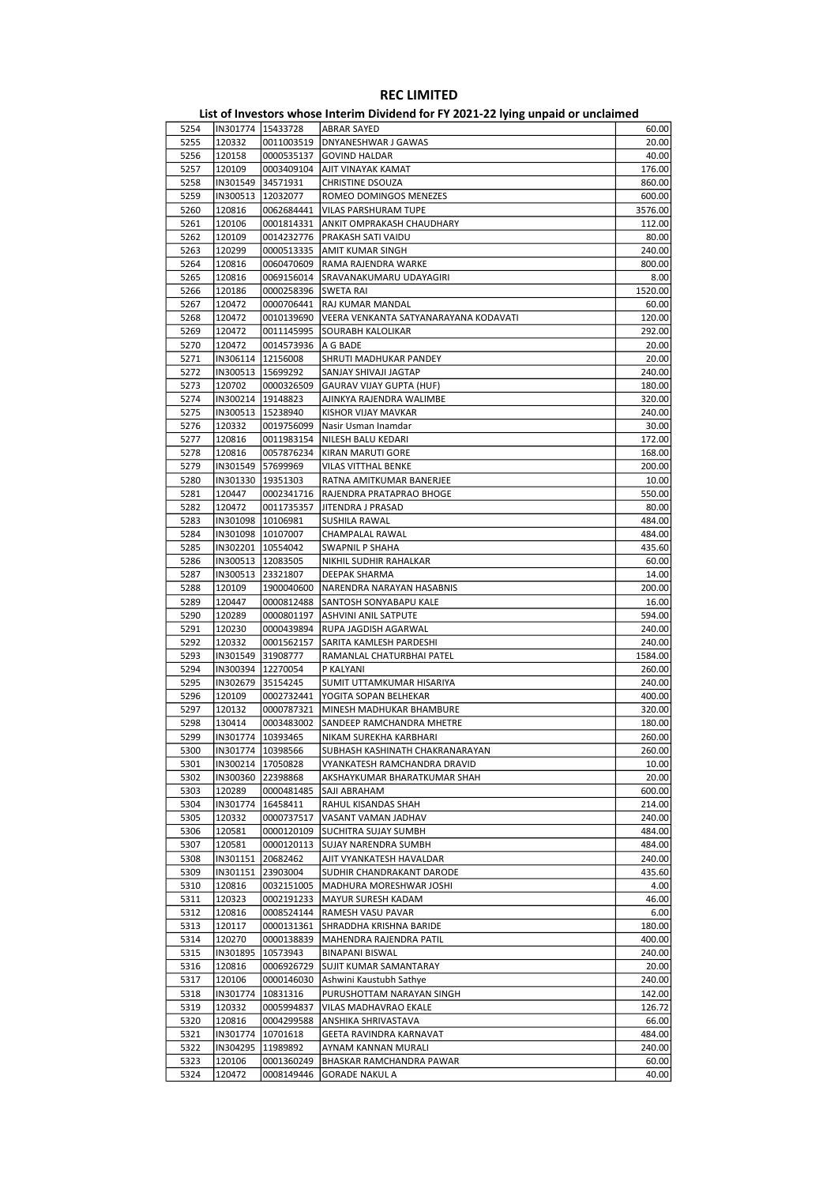|      |                     |                     | - 171119 milipunu ol                  |         |
|------|---------------------|---------------------|---------------------------------------|---------|
| 5254 | IN301774   15433728 |                     | ABRAR SAYED                           | 60.00   |
| 5255 | 120332              | 0011003519          | DNYANESHWAR J GAWAS                   | 20.00   |
| 5256 | 120158              | 0000535137          | <b>GOVIND HALDAR</b>                  | 40.00   |
| 5257 | 120109              | 0003409104          | AJIT VINAYAK KAMAT                    | 176.00  |
| 5258 | IN301549            | 34571931            | CHRISTINE DSOUZA                      | 860.00  |
| 5259 | IN300513            | 12032077            | ROMEO DOMINGOS MENEZES                | 600.00  |
| 5260 | 120816              | 0062684441          | VILAS PARSHURAM TUPE                  | 3576.00 |
|      |                     |                     |                                       |         |
| 5261 | 120106              | 0001814331          | ANKIT OMPRAKASH CHAUDHARY             | 112.00  |
| 5262 | 120109              | 0014232776          | PRAKASH SATI VAIDU                    | 80.00   |
| 5263 | 120299              | 0000513335          | AMIT KUMAR SINGH                      | 240.00  |
| 5264 | 120816              | 0060470609          | RAMA RAJENDRA WARKE                   | 800.00  |
| 5265 | 120816              | 0069156014          | SRAVANAKUMARU UDAYAGIRI               | 8.00    |
| 5266 | 120186              | 0000258396          | SWETA RAI                             | 1520.00 |
| 5267 | 120472              | 0000706441          | RAJ KUMAR MANDAL                      | 60.00   |
| 5268 | 120472              | 0010139690          | VEERA VENKANTA SATYANARAYANA KODAVATI | 120.00  |
| 5269 | 120472              | 0011145995          | SOURABH KALOLIKAR                     | 292.00  |
| 5270 | 120472              | 0014573936          | A G BADE                              | 20.00   |
| 5271 | IN306114   12156008 |                     | SHRUTI MADHUKAR PANDEY                | 20.00   |
| 5272 | IN300513   15699292 |                     | SANJAY SHIVAJI JAGTAP                 | 240.00  |
| 5273 | 120702              | 0000326509          | GAURAV VIJAY GUPTA (HUF)              | 180.00  |
| 5274 | IN300214            | 19148823            | AJINKYA RAJENDRA WALIMBE              | 320.00  |
| 5275 |                     | IN300513   15238940 | KISHOR VIJAY MAVKAR                   | 240.00  |
| 5276 | 120332              | 0019756099          | Nasir Usman Inamdar                   | 30.00   |
| 5277 | 120816              |                     | NILESH BALU KEDARI                    | 172.00  |
|      |                     | 0011983154          |                                       |         |
| 5278 | 120816              | 0057876234          | KIRAN MARUTI GORE                     | 168.00  |
| 5279 | IN301549            | 57699969            | <b>VILAS VITTHAL BENKE</b>            | 200.00  |
| 5280 | IN301330            | 19351303            | RATNA AMITKUMAR BANERJEE              | 10.00   |
| 5281 | 120447              | 0002341716          | RAJENDRA PRATAPRAO BHOGE              | 550.00  |
| 5282 | 120472              | 0011735357          | JITENDRA J PRASAD                     | 80.00   |
| 5283 |                     | IN301098  10106981  | SUSHILA RAWAL                         | 484.00  |
| 5284 |                     | IN301098   10107007 | CHAMPALAL RAWAL                       | 484.00  |
| 5285 | IN302201            | 10554042            | SWAPNIL P SHAHA                       | 435.60  |
| 5286 | IN300513   12083505 |                     | NIKHIL SUDHIR RAHALKAR                | 60.00   |
| 5287 | IN300513            | 23321807            | DEEPAK SHARMA                         | 14.00   |
| 5288 | 120109              | 1900040600          | NARENDRA NARAYAN HASABNIS             | 200.00  |
| 5289 | 120447              | 0000812488          | SANTOSH SONYABAPU KALE                | 16.00   |
| 5290 | 120289              | 0000801197          | ASHVINI ANIL SATPUTE                  | 594.00  |
| 5291 | 120230              | 0000439894          | RUPA JAGDISH AGARWAL                  | 240.00  |
| 5292 | 120332              | 0001562157          | SARITA KAMLESH PARDESHI               | 240.00  |
| 5293 | IN301549            | 31908777            | RAMANLAL CHATURBHAI PATEL             | 1584.00 |
| 5294 | IN300394            | 12270054            | P KALYANI                             | 260.00  |
|      |                     |                     |                                       |         |
| 5295 | IN302679            | 35154245            | SUMIT UTTAMKUMAR HISARIYA             | 240.00  |
| 5296 | 120109              | 0002732441          | YOGITA SOPAN BELHEKAR                 | 400.00  |
| 5297 | 120132              | 0000787321          | MINESH MADHUKAR BHAMBURE              | 320.00  |
| 5298 | 130414              | 0003483002          | SANDEEP RAMCHANDRA MHETRE             | 180.00  |
| 5299 | IN301774            | 10393465            | NIKAM SUREKHA KARBHARI                | 260.00  |
| 5300 | IN301774   10398566 |                     | SUBHASH KASHINATH CHAKRANARAYAN       | 260.00  |
| 5301 |                     | IN300214 17050828   | VYANKATESH RAMCHANDRA DRAVID          | 10.00   |
| 5302 | IN300360            | 22398868            | AKSHAYKUMAR BHARATKUMAR SHAH          | 20.00   |
| 5303 | 120289              | 0000481485          | SAJI ABRAHAM                          | 600.00  |
| 5304 | IN301774            | 16458411            | RAHUL KISANDAS SHAH                   | 214.00  |
| 5305 | 120332              | 0000737517          | VASANT VAMAN JADHAV                   | 240.00  |
| 5306 | 120581              | 0000120109          | SUCHITRA SUJAY SUMBH                  | 484.00  |
| 5307 | 120581              | 0000120113          | SUJAY NARENDRA SUMBH                  | 484.00  |
| 5308 | IN301151            | 20682462            | AJIT VYANKATESH HAVALDAR              | 240.00  |
| 5309 | IN301151            | 23903004            | SUDHIR CHANDRAKANT DARODE             | 435.60  |
| 5310 | 120816              | 0032151005          | MADHURA MORESHWAR JOSHI               | 4.00    |
| 5311 | 120323              | 0002191233          | MAYUR SURESH KADAM                    | 46.00   |
|      |                     |                     |                                       |         |
| 5312 | 120816              | 0008524144          | RAMESH VASU PAVAR                     | 6.00    |
| 5313 | 120117              | 0000131361          | SHRADDHA KRISHNA BARIDE               | 180.00  |
| 5314 | 120270              | 0000138839          | MAHENDRA RAJENDRA PATIL               | 400.00  |
| 5315 | IN301895            | 10573943            | BINAPANI BISWAL                       | 240.00  |
| 5316 | 120816              | 0006926729          | SUJIT KUMAR SAMANTARAY                | 20.00   |
| 5317 | 120106              | 0000146030          | Ashwini Kaustubh Sathye               | 240.00  |
| 5318 | IN301774            | 10831316            | PURUSHOTTAM NARAYAN SINGH             | 142.00  |
| 5319 | 120332              | 0005994837          | VILAS MADHAVRAO EKALE                 | 126.72  |
| 5320 | 120816              | 0004299588          | ANSHIKA SHRIVASTAVA                   | 66.00   |
| 5321 | IN301774            | 10701618            | GEETA RAVINDRA KARNAVAT               | 484.00  |
| 5322 | IN304295            | 11989892            | AYNAM KANNAN MURALI                   | 240.00  |
| 5323 | 120106              | 0001360249          | BHASKAR RAMCHANDRA PAWAR              | 60.00   |
| 5324 | 120472              | 0008149446          | <b>GORADE NAKUL A</b>                 | 40.00   |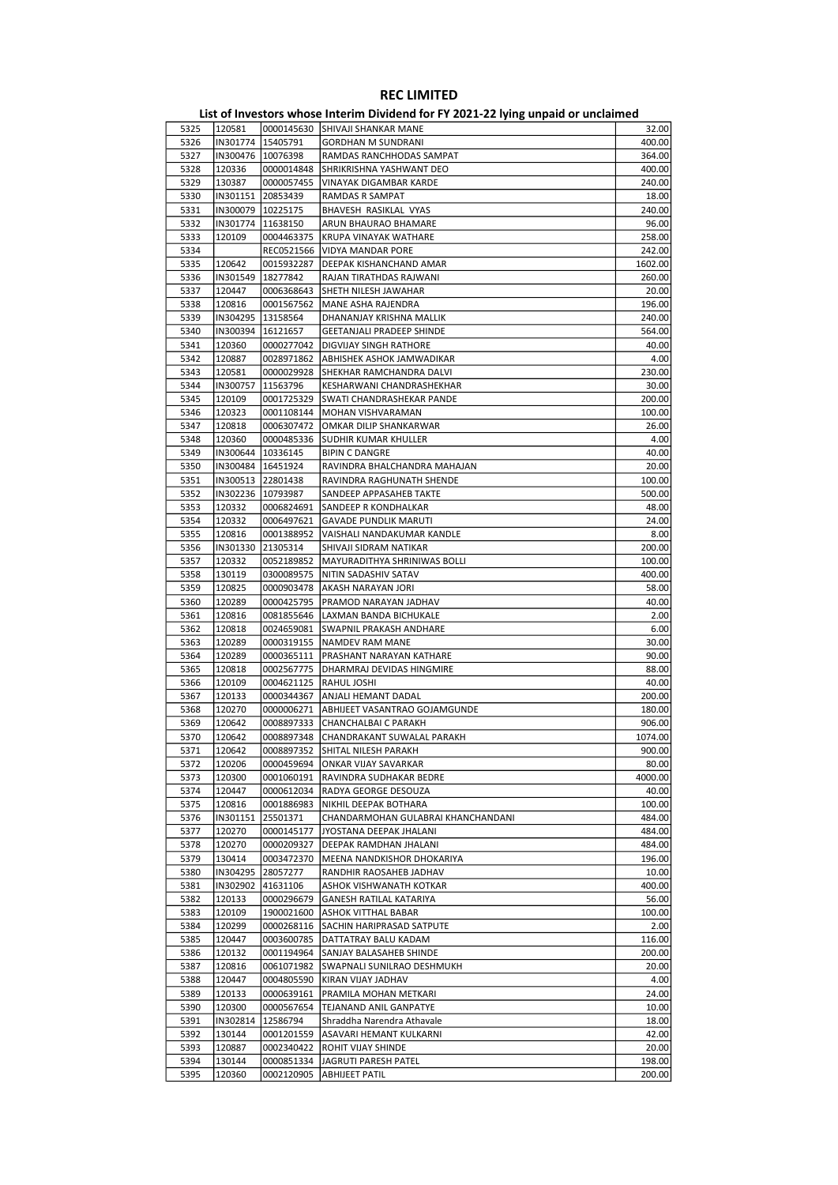| 5325 | 120581              |                     | 0000145630 SHIVAJI SHANKAR MANE            | 32.00   |
|------|---------------------|---------------------|--------------------------------------------|---------|
| 5326 | IN301774            | 15405791            | <b>GORDHAN M SUNDRANI</b>                  | 400.00  |
| 5327 |                     | IN300476 10076398   | RAMDAS RANCHHODAS SAMPAT                   | 364.00  |
| 5328 | 120336              | 0000014848          | SHRIKRISHNA YASHWANT DEO                   | 400.00  |
| 5329 | 130387              | 0000057455          | VINAYAK DIGAMBAR KARDE                     | 240.00  |
| 5330 |                     | IN301151 20853439   | RAMDAS R SAMPAT                            | 18.00   |
| 5331 |                     | IN300079   10225175 | BHAVESH RASIKLAL VYAS                      | 240.00  |
|      |                     |                     |                                            |         |
| 5332 |                     | IN301774   11638150 | ARUN BHAURAO BHAMARE                       | 96.00   |
| 5333 | 120109              | 0004463375          | KRUPA VINAYAK WATHARE                      | 258.00  |
| 5334 |                     | REC0521566          | VIDYA MANDAR PORE                          | 242.00  |
| 5335 | 120642              | 0015932287          | DEEPAK KISHANCHAND AMAR                    | 1602.00 |
| 5336 | IN301549            | 18277842            | RAJAN TIRATHDAS RAJWANI                    | 260.00  |
| 5337 | 120447              | 0006368643          | SHETH NILESH JAWAHAR                       | 20.00   |
| 5338 | 120816              | 0001567562          | MANE ASHA RAJENDRA                         | 196.00  |
| 5339 |                     | IN304295  13158564  | DHANANJAY KRISHNA MALLIK                   | 240.00  |
| 5340 | IN300394            | 16121657            | <b>GEETANJALI PRADEEP SHINDE</b>           | 564.00  |
| 5341 | 120360              | 0000277042          | DIGVIJAY SINGH RATHORE                     | 40.00   |
| 5342 | 120887              | 0028971862          | ABHISHEK ASHOK JAMWADIKAR                  | 4.00    |
|      |                     |                     |                                            |         |
| 5343 | 120581              | 0000029928          | SHEKHAR RAMCHANDRA DALVI                   | 230.00  |
| 5344 | IN300757            | 11563796            | KESHARWANI CHANDRASHEKHAR                  | 30.00   |
| 5345 | 120109              | 0001725329          | SWATI CHANDRASHEKAR PANDE                  | 200.00  |
| 5346 | 120323              | 0001108144          | MOHAN VISHVARAMAN                          | 100.00  |
| 5347 | 120818              | 0006307472          | OMKAR DILIP SHANKARWAR                     | 26.00   |
| 5348 | 120360              | 0000485336          | <b>SUDHIR KUMAR KHULLER</b>                | 4.00    |
| 5349 | IN300644   10336145 |                     | <b>BIPIN C DANGRE</b>                      | 40.00   |
| 5350 |                     | IN300484   16451924 | RAVINDRA BHALCHANDRA MAHAJAN               | 20.00   |
| 5351 |                     | IN300513 22801438   | RAVINDRA RAGHUNATH SHENDE                  | 100.00  |
| 5352 |                     | IN302236 10793987   | SANDEEP APPASAHEB TAKTE                    | 500.00  |
|      |                     |                     |                                            |         |
| 5353 | 120332              | 0006824691          | SANDEEP R KONDHALKAR                       | 48.00   |
| 5354 | 120332              | 0006497621          | <b>GAVADE PUNDLIK MARUTI</b>               | 24.00   |
| 5355 | 120816              | 0001388952          | VAISHALI NANDAKUMAR KANDLE                 | 8.00    |
| 5356 | IN301330            | 21305314            | SHIVAJI SIDRAM NATIKAR                     | 200.00  |
| 5357 | 120332              | 0052189852          | MAYURADITHYA SHRINIWAS BOLLI               | 100.00  |
| 5358 | 130119              |                     | 0300089575   NITIN SADASHIV SATAV          | 400.00  |
| 5359 | 120825              | 0000903478          | AKASH NARAYAN JORI                         | 58.00   |
| 5360 | 120289              | 0000425795          | PRAMOD NARAYAN JADHAV                      | 40.00   |
| 5361 | 120816              | 0081855646          | LAXMAN BANDA BICHUKALE                     | 2.00    |
| 5362 | 120818              | 0024659081          | SWAPNIL PRAKASH ANDHARE                    | 6.00    |
| 5363 | 120289              | 0000319155          | NAMDEV RAM MANE                            | 30.00   |
|      |                     |                     |                                            |         |
| 5364 | 120289              | 0000365111          | PRASHANT NARAYAN KATHARE                   | 90.00   |
| 5365 | 120818              | 0002567775          | DHARMRAJ DEVIDAS HINGMIRE                  | 88.00   |
| 5366 | 120109              | 0004621125          | RAHUL JOSHI                                | 40.00   |
| 5367 | 120133              | 0000344367          | ANJALI HEMANT DADAL                        | 200.00  |
| 5368 | 120270              |                     | 0000006271   ABHIJEET VASANTRAO GOJAMGUNDE | 180.00  |
| 5369 | 120642              | 0008897333          | CHANCHALBAI C PARAKH                       | 906.00  |
| 5370 | 120642              | 0008897348          | CHANDRAKANT SUWALAL PARAKH                 | 1074.00 |
| 5371 | 120642              |                     | 0008897352 SHITAL NILESH PARAKH            | 900.00  |
| 5372 | 120206              | 0000459694          | ONKAR VIJAY SAVARKAR                       | 80.00   |
|      | 120300              |                     |                                            | 4000.00 |
| 5373 |                     | 0001060191          | RAVINDRA SUDHAKAR BEDRE                    |         |
| 5374 | 120447              | 0000612034          | RADYA GEORGE DESOUZA                       | 40.00   |
| 5375 | 120816              | 0001886983          | NIKHIL DEEPAK BOTHARA                      | 100.00  |
| 5376 | IN301151            | 25501371            | CHANDARMOHAN GULABRAI KHANCHANDANI         | 484.00  |
| 5377 | 120270              | 0000145177          | JYOSTANA DEEPAK JHALANI                    | 484.00  |
| 5378 | 120270              | 0000209327          | DEEPAK RAMDHAN JHALANI                     | 484.00  |
| 5379 | 130414              | 0003472370          | MEENA NANDKISHOR DHOKARIYA                 | 196.00  |
| 5380 | IN304295            | 28057277            | RANDHIR RAOSAHEB JADHAV                    | 10.00   |
| 5381 | IN302902            | 41631106            | ASHOK VISHWANATH KOTKAR                    | 400.00  |
| 5382 | 120133              | 0000296679          | GANESH RATILAL KATARIYA                    | 56.00   |
| 5383 | 120109              | 1900021600          | <b>ASHOK VITTHAL BABAR</b>                 | 100.00  |
| 5384 | 120299              | 0000268116          |                                            | 2.00    |
|      |                     |                     | SACHIN HARIPRASAD SATPUTE                  |         |
| 5385 | 120447              | 0003600785          | DATTATRAY BALU KADAM                       | 116.00  |
| 5386 | 120132              | 0001194964          | SANJAY BALASAHEB SHINDE                    | 200.00  |
| 5387 | 120816              | 0061071982          | SWAPNALI SUNILRAO DESHMUKH                 | 20.00   |
| 5388 | 120447              | 0004805590          | KIRAN VIJAY JADHAV                         | 4.00    |
| 5389 | 120133              | 0000639161          | PRAMILA MOHAN METKARI                      | 24.00   |
| 5390 | 120300              | 0000567654          | TEJANAND ANIL GANPATYE                     | 10.00   |
| 5391 | IN302814            | 12586794            | Shraddha Narendra Athavale                 | 18.00   |
| 5392 | 130144              | 0001201559          | ASAVARI HEMANT KULKARNI                    | 42.00   |
| 5393 | 120887              | 0002340422          | ROHIT VIJAY SHINDE                         | 20.00   |
|      |                     |                     |                                            |         |
| 5394 | 130144              | 0000851334          | JAGRUTI PARESH PATEL                       | 198.00  |
| 5395 | 120360              | 0002120905          | <b>ABHIJEET PATIL</b>                      | 200.00  |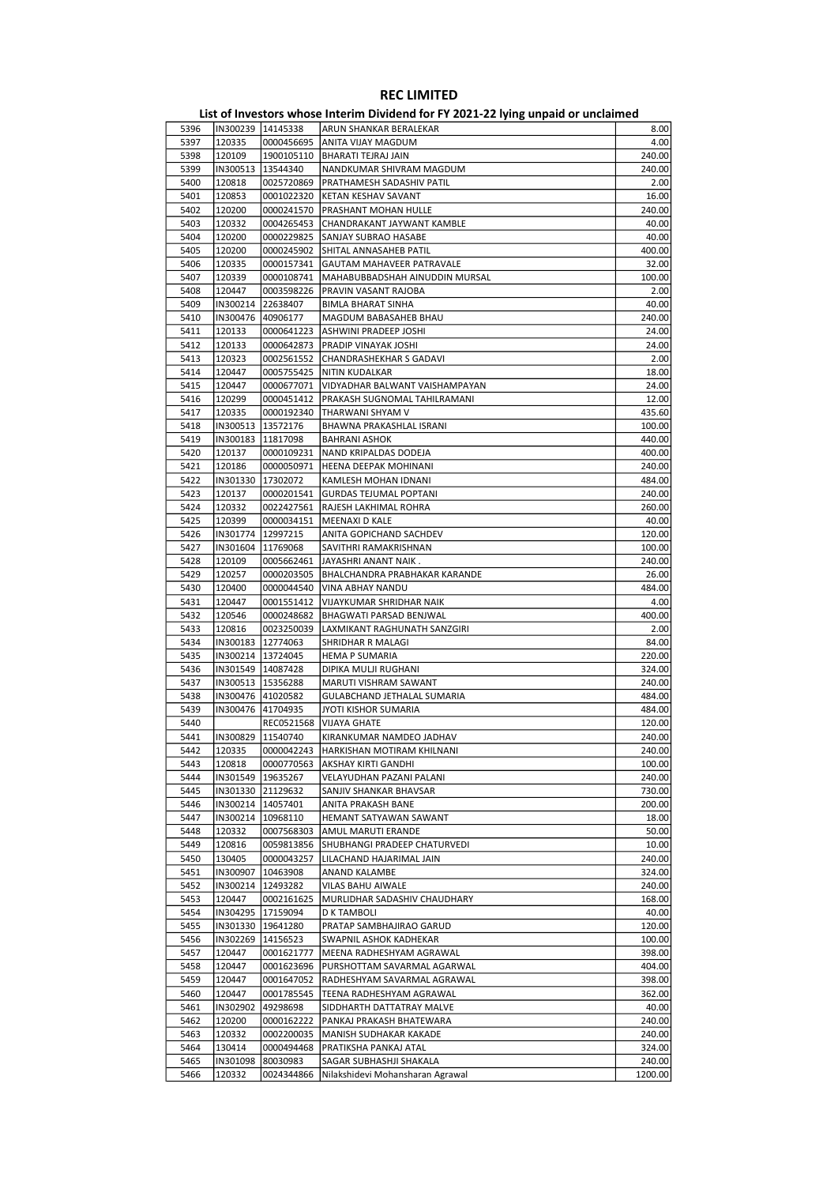| 5396         | IN300239   14145338 |                          | ARUN SHANKAR BERALEKAR                                             | 8.00             |
|--------------|---------------------|--------------------------|--------------------------------------------------------------------|------------------|
| 5397         | 120335              | 0000456695               | ANITA VIJAY MAGDUM                                                 | 4.00             |
| 5398         | 120109              | 1900105110               | <b>BHARATI TEJRAJ JAIN</b>                                         | 240.00           |
| 5399         | IN300513            | 13544340                 | NANDKUMAR SHIVRAM MAGDUM                                           | 240.00           |
| 5400         | 120818              | 0025720869               | PRATHAMESH SADASHIV PATIL                                          | 2.00             |
| 5401         | 120853              | 0001022320               | KETAN KESHAV SAVANT                                                | 16.00            |
| 5402         | 120200              | 0000241570               | PRASHANT MOHAN HULLE                                               | 240.00           |
| 5403         | 120332              | 0004265453               | CHANDRAKANT JAYWANT KAMBLE                                         | 40.00            |
| 5404         | 120200              | 0000229825               | SANJAY SUBRAO HASABE                                               | 40.00            |
| 5405         | 120200              | 0000245902               | SHITAL ANNASAHEB PATIL                                             | 400.00           |
| 5406<br>5407 | 120335<br>120339    | 0000157341<br>0000108741 | <b>GAUTAM MAHAVEER PATRAVALE</b><br>MAHABUBBADSHAH AINUDDIN MURSAL | 32.00<br>100.00  |
| 5408         | 120447              | 0003598226               | PRAVIN VASANT RAJOBA                                               | 2.00             |
| 5409         | IN300214            | 22638407                 | <b>BIMLA BHARAT SINHA</b>                                          | 40.00            |
| 5410         | IN300476            | 40906177                 | MAGDUM BABASAHEB BHAU                                              | 240.00           |
| 5411         | 120133              | 0000641223               | ASHWINI PRADEEP JOSHI                                              | 24.00            |
| 5412         | 120133              | 0000642873               | PRADIP VINAYAK JOSHI                                               | 24.00            |
| 5413         | 120323              | 0002561552               | <b>CHANDRASHEKHAR S GADAVI</b>                                     | 2.00             |
| 5414         | 120447              | 0005755425               | NITIN KUDALKAR                                                     | 18.00            |
| 5415         | 120447              | 0000677071               | VIDYADHAR BALWANT VAISHAMPAYAN                                     | 24.00            |
| 5416         | 120299              | 0000451412               | PRAKASH SUGNOMAL TAHILRAMANI                                       | 12.00            |
| 5417         | 120335              | 0000192340               | THARWANI SHYAM V                                                   | 435.60           |
| 5418         | IN300513            | 13572176                 | BHAWNA PRAKASHLAL ISRANI                                           | 100.00           |
| 5419         |                     | IN300183   11817098      | <b>BAHRANI ASHOK</b>                                               | 440.00           |
| 5420         | 120137              | 0000109231               | NAND KRIPALDAS DODEJA                                              | 400.00           |
| 5421         | 120186              | 0000050971               | HEENA DEEPAK MOHINANI                                              | 240.00           |
| 5422         | IN301330            | 17302072                 | KAMLESH MOHAN IDNANI                                               | 484.00           |
| 5423         | 120137              | 0000201541               | <b>GURDAS TEJUMAL POPTANI</b>                                      | 240.00           |
| 5424         | 120332              | 0022427561               | RAJESH LAKHIMAL ROHRA                                              | 260.00           |
| 5425         | 120399              | 0000034151               | MEENAXI D KALE                                                     | 40.00            |
| 5426         | IN301774            | 12997215                 | ANITA GOPICHAND SACHDEV                                            | 120.00           |
| 5427<br>5428 | IN301604<br>120109  | 11769068<br>0005662461   | SAVITHRI RAMAKRISHNAN<br>JAYASHRI ANANT NAIK.                      | 100.00<br>240.00 |
| 5429         | 120257              | 0000203505               | BHALCHANDRA PRABHAKAR KARANDE                                      | 26.00            |
| 5430         | 120400              | 0000044540               | VINA ABHAY NANDU                                                   | 484.00           |
| 5431         | 120447              | 0001551412               | <b>VIJAYKUMAR SHRIDHAR NAIK</b>                                    | 4.00             |
| 5432         | 120546              | 0000248682               | BHAGWATI PARSAD BENJWAL                                            | 400.00           |
| 5433         | 120816              | 0023250039               | LAXMIKANT RAGHUNATH SANZGIRI                                       | 2.00             |
| 5434         |                     | IN300183  12774063       | SHRIDHAR R MALAGI                                                  | 84.00            |
| 5435         |                     | IN300214   13724045      | <b>HEMA P SUMARIA</b>                                              | 220.00           |
| 5436         |                     | IN301549   14087428      | DIPIKA MULJI RUGHANI                                               | 324.00           |
| 5437         |                     | IN300513   15356288      | MARUTI VISHRAM SAWANT                                              | 240.00           |
| 5438         |                     | IN300476 41020582        | <b>GULABCHAND JETHALAL SUMARIA</b>                                 | 484.00           |
| 5439         |                     | IN300476 41704935        | JYOTI KISHOR SUMARIA                                               | 484.00           |
| 5440         |                     | REC0521568               | VIJAYA GHATE                                                       | 120.00           |
| 5441         |                     | IN300829 11540740        | KIRANKUMAR NAMDEO JADHAV                                           | 240.00           |
| 5442         |                     |                          | 120335 0000042243 HARKISHAN MOTIRAM KHILNANI                       | 240.00           |
| 5443         | 120818              | 0000770563               | AKSHAY KIRTI GANDHI                                                | 100.00           |
| 5444         | IN301549            | 19635267                 | VELAYUDHAN PAZANI PALANI                                           | 240.00           |
| 5445         |                     | IN301330 21129632        | SANJIV SHANKAR BHAVSAR                                             | 730.00           |
| 5446         |                     | IN300214   14057401      | ANITA PRAKASH BANE                                                 | 200.00           |
| 5447         |                     | IN300214   10968110      | HEMANT SATYAWAN SAWANT                                             | 18.00            |
| 5448<br>5449 | 120332              | 0007568303               | AMUL MARUTI ERANDE                                                 | 50.00            |
| 5450         | 120816<br>130405    | 0059813856               | SHUBHANGI PRADEEP CHATURVEDI                                       | 10.00<br>240.00  |
| 5451         | IN300907            | 0000043257<br>10463908   | LILACHAND HAJARIMAL JAIN<br>ANAND KALAMBE                          | 324.00           |
| 5452         | IN300214            | 12493282                 | VILAS BAHU AIWALE                                                  | 240.00           |
| 5453         | 120447              | 0002161625               | MURLIDHAR SADASHIV CHAUDHARY                                       | 168.00           |
| 5454         | IN304295            | 17159094                 | D K TAMBOLI                                                        | 40.00            |
| 5455         | IN301330            | 19641280                 | PRATAP SAMBHAJIRAO GARUD                                           | 120.00           |
| 5456         | IN302269            | 14156523                 | SWAPNIL ASHOK KADHEKAR                                             | 100.00           |
| 5457         | 120447              | 0001621777               | MEENA RADHESHYAM AGRAWAL                                           | 398.00           |
| 5458         | 120447              | 0001623696               | PURSHOTTAM SAVARMAL AGARWAL                                        | 404.00           |
| 5459         | 120447              | 0001647052               | RADHESHYAM SAVARMAL AGRAWAL                                        | 398.00           |
| 5460         | 120447              | 0001785545               | TEENA RADHESHYAM AGRAWAL                                           | 362.00           |
| 5461         | IN302902            | 49298698                 | SIDDHARTH DATTATRAY MALVE                                          | 40.00            |
| 5462         | 120200              | 0000162222               | PANKAJ PRAKASH BHATEWARA                                           | 240.00           |
| 5463         | 120332              | 0002200035               | MANISH SUDHAKAR KAKADE                                             | 240.00           |
| 5464         | 130414              | 0000494468               | PRATIKSHA PANKAJ ATAL                                              | 324.00           |
| 5465         | IN301098            | 80030983                 | SAGAR SUBHASHJI SHAKALA                                            | 240.00           |
| 5466         | 120332              | 0024344866               | Nilakshidevi Mohansharan Agrawal                                   | 1200.00          |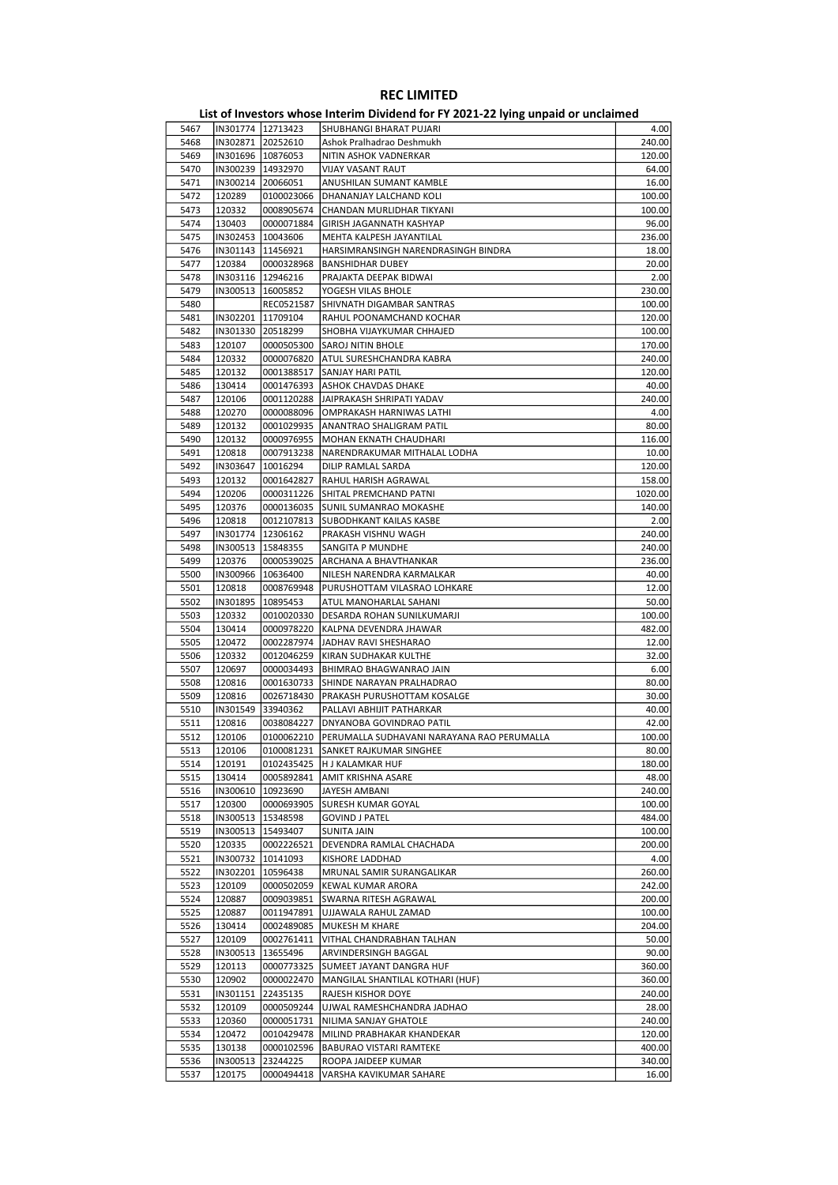|      |                     |                        | List of Investors whose Interim Dividend for FY 2021-22 lying unpaid or unclaimed |                            |
|------|---------------------|------------------------|-----------------------------------------------------------------------------------|----------------------------|
| 5467 |                     | IN301774 12713423      | SHUBHANGI BHARAT PUJARI                                                           | 4.00                       |
| 5468 | IN302871            | 20252610               | Ashok Pralhadrao Deshmukh                                                         | 240.00                     |
| 5469 |                     | IN301696   10876053    | NITIN ASHOK VADNERKAR                                                             | 120.00                     |
| 5470 | IN300239   14932970 |                        | VIJAY VASANT RAUT                                                                 | 64.00                      |
| 5471 | IN300214            | 20066051               | ANUSHILAN SUMANT KAMBLE                                                           | 16.00                      |
| 5472 | 120289              | 0100023066             | DHANANJAY LALCHAND KOLI                                                           | 100.00                     |
| 5473 | 120332              | 0008905674             | CHANDAN MURLIDHAR TIKYANI                                                         | 100.00                     |
| 5474 | 130403              | 0000071884             | GIRISH JAGANNATH KASHYAP                                                          | 96.00                      |
| 5475 | IN302453            | 10043606               | MEHTA KALPESH JAYANTILAL                                                          | 236.00                     |
| 5476 | IN301143            | 11456921               | HARSIMRANSINGH NARENDRASINGH BINDRA                                               | 18.00                      |
| 5477 | 120384              | 0000328968             | <b>BANSHIDHAR DUBEY</b>                                                           | 20.00                      |
| 5478 | IN303116            | 12946216               | PRAJAKTA DEEPAK BIDWAI                                                            | 2.00                       |
| 5479 |                     | IN300513   16005852    | YOGESH VILAS BHOLE                                                                | 230.00                     |
| 5480 |                     | REC0521587             | SHIVNATH DIGAMBAR SANTRAS                                                         | 100.00                     |
| 5481 | IN302201            | 11709104               | RAHUL POONAMCHAND KOCHAR                                                          | 120.00                     |
| 5482 |                     | IN301330 20518299      | SHOBHA VIJAYKUMAR CHHAJED                                                         | 100.00                     |
| 5483 | 120107              | 0000505300             | SAROJ NITIN BHOLE                                                                 | 170.00                     |
| 5484 | 120332              | 0000076820             | ATUL SURESHCHANDRA KABRA                                                          | 240.00                     |
| 5485 | 120132              | 0001388517             | <b>SANJAY HARI PATIL</b>                                                          | 120.00                     |
| 5486 | 130414              | 0001476393             | ASHOK CHAVDAS DHAKE                                                               | 40.00                      |
|      |                     | 0001120288             |                                                                                   |                            |
| 5487 | 120106              |                        | JAIPRAKASH SHRIPATI YADAV                                                         | 240.00                     |
| 5488 | 120270              | 0000088096             | OMPRAKASH HARNIWAS LATHI                                                          | 4.00                       |
| 5489 | 120132              | 0001029935             | ANANTRAO SHALIGRAM PATIL                                                          | 80.00                      |
| 5490 | 120132              | 0000976955             | MOHAN EKNATH CHAUDHARI                                                            | 116.00                     |
| 5491 | 120818              | 0007913238             | NARENDRAKUMAR MITHALAL LODHA                                                      | 10.00                      |
| 5492 | IN303647            | 10016294               | DILIP RAMLAL SARDA                                                                | 120.00                     |
| 5493 | 120132              | 0001642827             | RAHUL HARISH AGRAWAL                                                              | 158.00                     |
| 5494 | 120206              | 0000311226             | SHITAL PREMCHAND PATNI                                                            | 1020.00                    |
| 5495 | 120376              | 0000136035             | SUNIL SUMANRAO MOKASHE                                                            | 140.00                     |
| 5496 | 120818              | 0012107813             | <b>SUBODHKANT KAILAS KASBE</b>                                                    | 2.00                       |
| 5497 | IN301774            | 12306162               | PRAKASH VISHNU WAGH                                                               | 240.00                     |
| 5498 | IN300513            | 15848355               | SANGITA P MUNDHE                                                                  | 240.00                     |
| 5499 | 120376              | 0000539025             | ARCHANA A BHAVTHANKAR                                                             | 236.00                     |
| 5500 | IN300966            | 10636400               | NILESH NARENDRA KARMALKAR                                                         | 40.00                      |
| 5501 | 120818              | 0008769948             | PURUSHOTTAM VILASRAO LOHKARE                                                      | 12.00                      |
| 5502 | IN301895            | 10895453               | ATUL MANOHARLAL SAHANI                                                            | 50.00                      |
| 5503 | 120332              | 0010020330             | DESARDA ROHAN SUNILKUMARJI                                                        | 100.00                     |
| 5504 | 130414              | 0000978220             | KALPNA DEVENDRA JHAWAR                                                            | 482.00                     |
| 5505 | 120472              | 0002287974             | JADHAV RAVI SHESHARAO                                                             | 12.00                      |
| 5506 | 120332              | 0012046259             | KIRAN SUDHAKAR KULTHE                                                             | 32.00                      |
|      |                     |                        |                                                                                   |                            |
| 5507 | 120697              | 0000034493             | BHIMRAO BHAGWANRAO JAIN                                                           | 6.00                       |
| 5508 | 120816              | 0001630733             | SHINDE NARAYAN PRALHADRAO                                                         | 80.00                      |
| 5509 | 120816              | 0026718430             | PRAKASH PURUSHOTTAM KOSALGE                                                       | 30.00                      |
| 5510 | IN301549            | 33940362               | PALLAVI ABHIJIT PATHARKAR                                                         | 40.00                      |
| 5511 | 120816              | 0038084227             | <b>DNYANOBA GOVINDRAO PATIL</b>                                                   | 42.00                      |
| 5512 | 120106              |                        | 0100062210   PERUMALLA SUDHAVANI NARAYANA RAO PERUMALLA                           | 100.00                     |
| 5513 | 120106              |                        | 0100081231 SANKET RAJKUMAR SINGHEE                                                | 80.00                      |
| 5514 | 120191              |                        | 0102435425  H J KALAMKAR HUF                                                      | 180.00                     |
| 5515 | 130414              | 0005892841             | AMIT KRISHNA ASARE                                                                | 48.00                      |
| 5516 | IN300610            | 10923690               | JAYESH AMBANI                                                                     | 240.00                     |
| 5517 | 120300              | 0000693905             | <b>SURESH KUMAR GOYAL</b>                                                         | 100.00                     |
| 5518 | IN300513            | 15348598               | <b>GOVIND J PATEL</b>                                                             | 484.00                     |
| 5519 |                     | IN300513   15493407    | SUNITA JAIN                                                                       | 100.00                     |
| 5520 | 120335              | 0002226521             | DEVENDRA RAMLAL CHACHADA                                                          | 200.00                     |
| 5521 | IN300732            | 10141093               | KISHORE LADDHAD                                                                   | 4.00                       |
| 5522 | IN302201            | 10596438               | MRUNAL SAMIR SURANGALIKAR                                                         | 260.00                     |
| 5523 | 120109              | 0000502059             | KEWAL KUMAR ARORA                                                                 | 242.00                     |
| 5524 | 120887              | 0009039851             | SWARNA RITESH AGRAWAL                                                             | 200.00                     |
| 5525 | 120887              | 0011947891             | UJJAWALA RAHUL ZAMAD                                                              | 100.00                     |
| 5526 | 130414              | 0002489085             | MUKESH M KHARE                                                                    | 204.00                     |
| 5527 | 120109              | 0002761411             | VITHAL CHANDRABHAN TALHAN                                                         | 50.00                      |
|      |                     |                        |                                                                                   |                            |
| 5528 | IN300513            | 13655496               | ARVINDERSINGH BAGGAL                                                              | 90.00                      |
| 5529 | 120113              | 0000773325             | SUMEET JAYANT DANGRA HUF                                                          | 360.00                     |
| 5530 | 120902              | 0000022470             | MANGILAL SHANTILAL KOTHARI (HUF)                                                  | 360.00                     |
| 5531 | IN301151            | 22435135               | RAJESH KISHOR DOYE                                                                | 240.00                     |
|      | 120109              | 0000509244             | UJWAL RAMESHCHANDRA JADHAO                                                        | 28.00                      |
| 5532 |                     | 0000051731             | NILIMA SANJAY GHATOLE                                                             | 240.00                     |
| 5533 | 120360              |                        |                                                                                   |                            |
| 5534 | 120472              | 0010429478             | MILIND PRABHAKAR KHANDEKAR                                                        |                            |
| 5535 | 130138              | 0000102596             | BABURAO VISTARI RAMTEKE                                                           |                            |
| 5536 | IN300513<br>120175  | 23244225<br>0000494418 | ROOPA JAIDEEP KUMAR                                                               | 120.00<br>400.00<br>340.00 |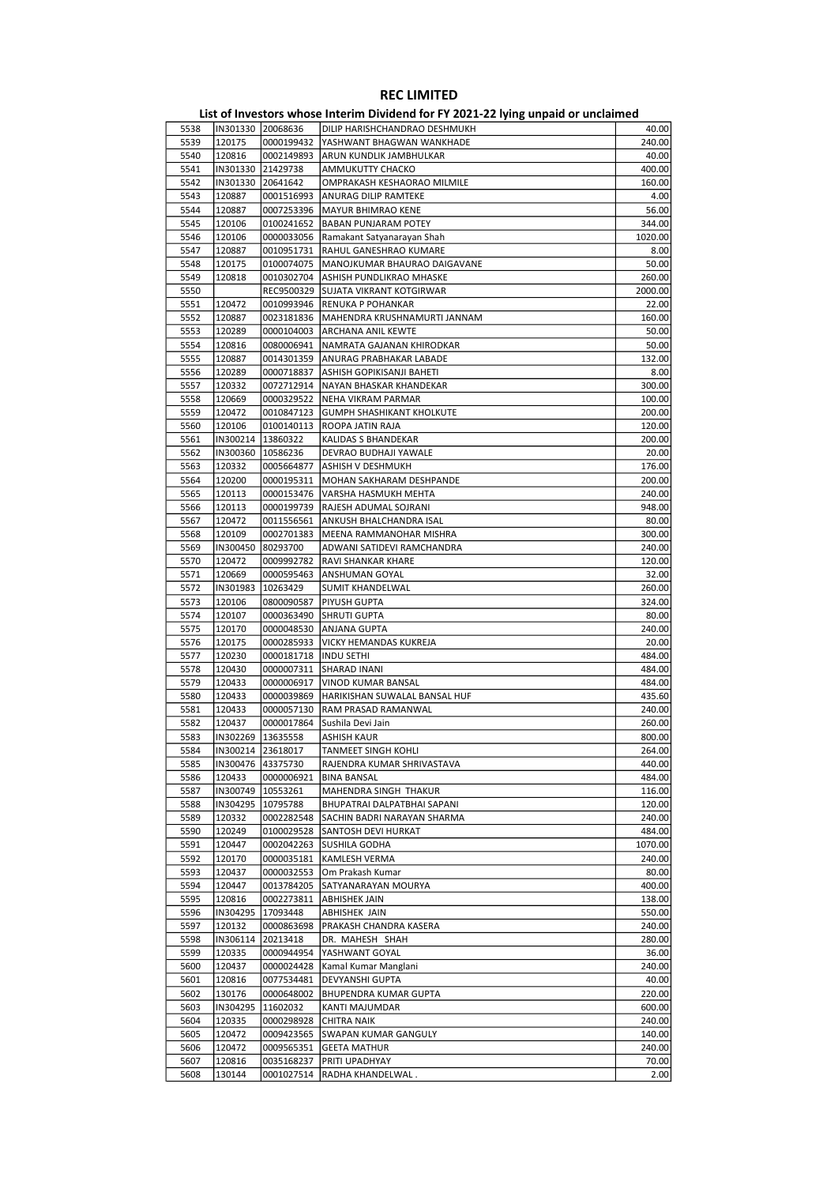| List of Investors whose Interim Dividend for FY 2021-22 lying unpaid or unclaimed |                   |                   |                                  |         |  |
|-----------------------------------------------------------------------------------|-------------------|-------------------|----------------------------------|---------|--|
| 5538                                                                              |                   | IN301330 20068636 | DILIP HARISHCHANDRAO DESHMUKH    | 40.00   |  |
| 5539                                                                              | 120175            | 0000199432        | YASHWANT BHAGWAN WANKHADE        | 240.00  |  |
| 5540                                                                              | 120816            | 0002149893        | ARUN KUNDLIK JAMBHULKAR          | 40.00   |  |
| 5541                                                                              | IN301330          | 21429738          | AMMUKUTTY CHACKO                 | 400.00  |  |
| 5542                                                                              | IN301330          | 20641642          | OMPRAKASH KESHAORAO MILMILE      | 160.00  |  |
| 5543                                                                              | 120887            | 0001516993        | ANURAG DILIP RAMTEKE             | 4.00    |  |
|                                                                                   |                   |                   |                                  |         |  |
| 5544                                                                              | 120887            | 0007253396        | <b>MAYUR BHIMRAO KENE</b>        | 56.00   |  |
| 5545                                                                              | 120106            | 0100241652        | <b>BABAN PUNJARAM POTEY</b>      | 344.00  |  |
| 5546                                                                              | 120106            | 0000033056        | Ramakant Satyanarayan Shah       | 1020.00 |  |
| 5547                                                                              | 120887            | 0010951731        | RAHUL GANESHRAO KUMARE           | 8.00    |  |
| 5548                                                                              | 120175            | 0100074075        | MANOJKUMAR BHAURAO DAIGAVANE     | 50.00   |  |
| 5549                                                                              | 120818            | 0010302704        | ASHISH PUNDLIKRAO MHASKE         | 260.00  |  |
| 5550                                                                              |                   | REC9500329        | <b>SUJATA VIKRANT KOTGIRWAR</b>  | 2000.00 |  |
| 5551                                                                              | 120472            | 0010993946        | RENUKA P POHANKAR                | 22.00   |  |
| 5552                                                                              | 120887            | 0023181836        | MAHENDRA KRUSHNAMURTI JANNAM     | 160.00  |  |
| 5553                                                                              | 120289            | 0000104003        | ARCHANA ANIL KEWTE               | 50.00   |  |
| 5554                                                                              | 120816            | 0080006941        | NAMRATA GAJANAN KHIRODKAR        | 50.00   |  |
|                                                                                   |                   |                   |                                  |         |  |
| 5555                                                                              | 120887            | 0014301359        | <b>ANURAG PRABHAKAR LABADE</b>   | 132.00  |  |
| 5556                                                                              | 120289            | 0000718837        | ASHISH GOPIKISANJI BAHETI        | 8.00    |  |
| 5557                                                                              | 120332            | 0072712914        | NAYAN BHASKAR KHANDEKAR          | 300.00  |  |
| 5558                                                                              | 120669            | 0000329522        | <b>NEHA VIKRAM PARMAR</b>        | 100.00  |  |
| 5559                                                                              | 120472            | 0010847123        | <b>GUMPH SHASHIKANT KHOLKUTE</b> | 200.00  |  |
| 5560                                                                              | 120106            | 0100140113        | ROOPA JATIN RAJA                 | 120.00  |  |
| 5561                                                                              | IN300214          | 13860322          | KALIDAS S BHANDEKAR              | 200.00  |  |
| 5562                                                                              | IN300360          | 10586236          | DEVRAO BUDHAJI YAWALE            | 20.00   |  |
| 5563                                                                              | 120332            | 0005664877        | <b>ASHISH V DESHMUKH</b>         | 176.00  |  |
| 5564                                                                              | 120200            | 0000195311        | MOHAN SAKHARAM DESHPANDE         | 200.00  |  |
|                                                                                   |                   |                   |                                  |         |  |
| 5565                                                                              | 120113            | 0000153476        | VARSHA HASMUKH MEHTA             | 240.00  |  |
| 5566                                                                              | 120113            | 0000199739        | RAJESH ADUMAL SOJRANI            | 948.00  |  |
| 5567                                                                              | 120472            | 0011556561        | ANKUSH BHALCHANDRA ISAL          | 80.00   |  |
| 5568                                                                              | 120109            | 0002701383        | MEENA RAMMANOHAR MISHRA          | 300.00  |  |
| 5569                                                                              | IN300450          | 80293700          | ADWANI SATIDEVI RAMCHANDRA       | 240.00  |  |
| 5570                                                                              | 120472            | 0009992782        | <b>RAVI SHANKAR KHARE</b>        | 120.00  |  |
| 5571                                                                              | 120669            | 0000595463        | <b>ANSHUMAN GOYAL</b>            | 32.00   |  |
| 5572                                                                              | IN301983          | 10263429          | SUMIT KHANDELWAL                 | 260.00  |  |
| 5573                                                                              | 120106            | 0800090587        | <b>PIYUSH GUPTA</b>              | 324.00  |  |
| 5574                                                                              | 120107            | 0000363490        | <b>SHRUTI GUPTA</b>              | 80.00   |  |
| 5575                                                                              | 120170            | 0000048530        | <b>ANJANA GUPTA</b>              | 240.00  |  |
| 5576                                                                              | 120175            | 0000285933        | VICKY HEMANDAS KUKREJA           | 20.00   |  |
|                                                                                   |                   |                   |                                  |         |  |
| 5577                                                                              | 120230            | 0000181718        | <b>INDU SETHI</b>                | 484.00  |  |
| 5578                                                                              | 120430            | 0000007311        | <b>SHARAD INANI</b>              | 484.00  |  |
| 5579                                                                              | 120433            | 0000006917        | VINOD KUMAR BANSAL               | 484.00  |  |
| 5580                                                                              | 120433            | 0000039869        | HARIKISHAN SUWALAL BANSAL HUF    | 435.60  |  |
| 5581                                                                              | 120433            | 0000057130        | RAM PRASAD RAMANWAL              | 240.00  |  |
| 5582                                                                              | 120437            | 0000017864        | Sushila Devi Jain                | 260.00  |  |
| 5583                                                                              | IN302269 13635558 |                   | <b>ASHISH KAUR</b>               | 800.00  |  |
| 5584                                                                              |                   | IN300214 23618017 | TANMEET SINGH KOHLI              | 264.00  |  |
| 5585                                                                              |                   | IN300476 43375730 | RAJENDRA KUMAR SHRIVASTAVA       | 440.00  |  |
| 5586                                                                              | 120433            | 0000006921        | <b>BINA BANSAL</b>               | 484.00  |  |
|                                                                                   |                   | 10553261          | MAHENDRA SINGH THAKUR            |         |  |
| 5587                                                                              | IN300749          |                   |                                  | 116.00  |  |
| 5588                                                                              | IN304295          | 10795788          | BHUPATRAI DALPATBHAI SAPANI      | 120.00  |  |
| 5589                                                                              | 120332            | 0002282548        | SACHIN BADRI NARAYAN SHARMA      | 240.00  |  |
| 5590                                                                              | 120249            | 0100029528        | SANTOSH DEVI HURKAT              | 484.00  |  |
| 5591                                                                              | 120447            | 0002042263        | SUSHILA GODHA                    | 1070.00 |  |
| 5592                                                                              | 120170            | 0000035181        | KAMLESH VERMA                    | 240.00  |  |
| 5593                                                                              | 120437            | 0000032553        | Om Prakash Kumar                 | 80.00   |  |
| 5594                                                                              | 120447            | 0013784205        | SATYANARAYAN MOURYA              | 400.00  |  |
| 5595                                                                              | 120816            | 0002273811        | <b>ABHISHEK JAIN</b>             | 138.00  |  |
| 5596                                                                              | IN304295          | 17093448          | ABHISHEK JAIN                    | 550.00  |  |
| 5597                                                                              | 120132            | 0000863698        | PRAKASH CHANDRA KASERA           | 240.00  |  |
|                                                                                   |                   |                   |                                  |         |  |
| 5598                                                                              | IN306114          | 20213418          | DR. MAHESH SHAH                  | 280.00  |  |
| 5599                                                                              | 120335            | 0000944954        | YASHWANT GOYAL                   | 36.00   |  |
| 5600                                                                              | 120437            | 0000024428        | Kamal Kumar Manglani             | 240.00  |  |
| 5601                                                                              | 120816            | 0077534481        | DEVYANSHI GUPTA                  | 40.00   |  |
| 5602                                                                              | 130176            | 0000648002        | BHUPENDRA KUMAR GUPTA            | 220.00  |  |
| 5603                                                                              | IN304295          | 11602032          | KANTI MAJUMDAR                   | 600.00  |  |
| 5604                                                                              | 120335            | 0000298928        | <b>CHITRA NAIK</b>               | 240.00  |  |
| 5605                                                                              | 120472            | 0009423565        | SWAPAN KUMAR GANGULY             | 140.00  |  |
| 5606                                                                              | 120472            | 0009565351        | <b>GEETA MATHUR</b>              | 240.00  |  |
| 5607                                                                              | 120816            | 0035168237        | PRITI UPADHYAY                   |         |  |
|                                                                                   |                   |                   |                                  | 70.00   |  |
| 5608                                                                              | 130144            | 0001027514        | RADHA KHANDELWAL.                | 2.00    |  |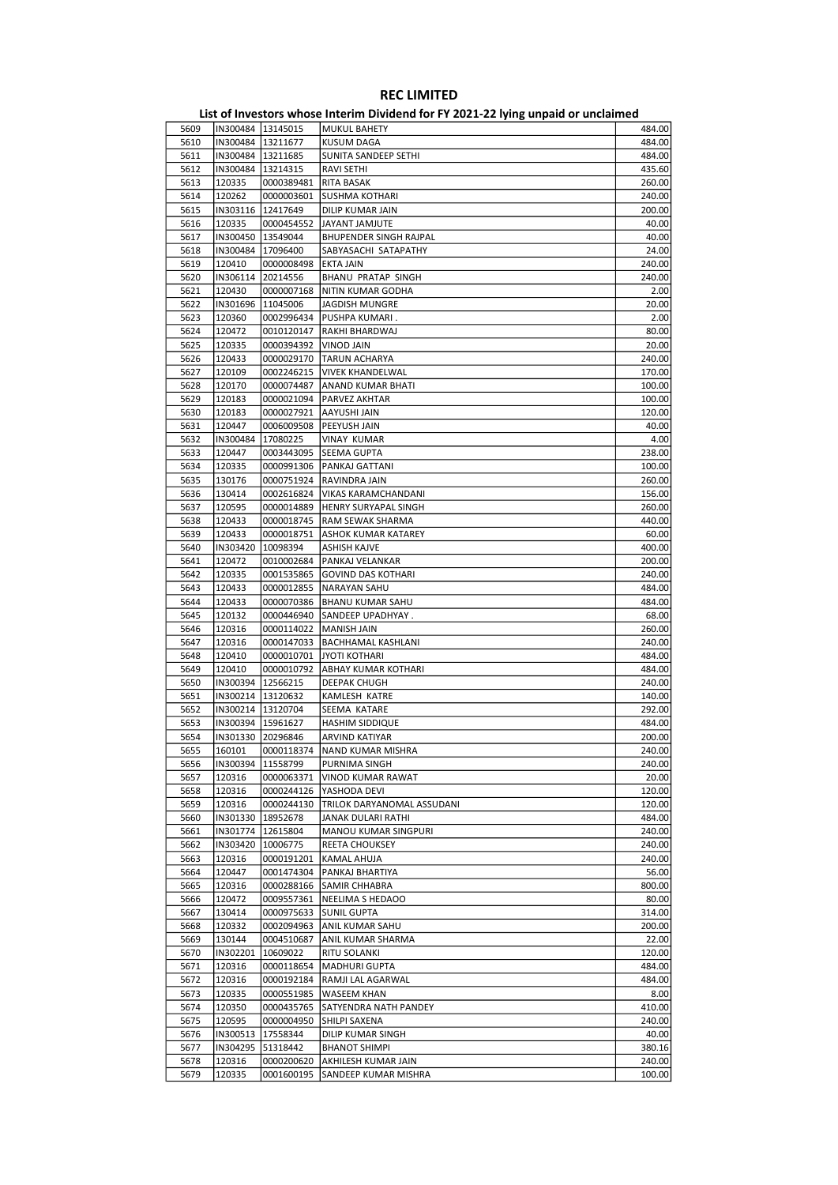|      |                     |                     | - 171119 milipunu ol          |        |
|------|---------------------|---------------------|-------------------------------|--------|
| 5609 |                     | IN300484 13145015   | <b>MUKUL BAHETY</b>           | 484.00 |
| 5610 |                     | IN300484 13211677   | <b>KUSUM DAGA</b>             | 484.00 |
| 5611 | IN300484   13211685 |                     | SUNITA SANDEEP SETHI          | 484.00 |
|      |                     |                     |                               |        |
| 5612 | IN300484   13214315 |                     | <b>RAVI SETHI</b>             | 435.60 |
| 5613 | 120335              | 0000389481          | RITA BASAK                    | 260.00 |
| 5614 | 120262              | 0000003601          | <b>SUSHMA KOTHARI</b>         | 240.00 |
| 5615 | IN303116   12417649 |                     | DILIP KUMAR JAIN              | 200.00 |
| 5616 | 120335              | 0000454552          | JAYANT JAMJUTE                | 40.00  |
|      |                     |                     |                               |        |
| 5617 | IN300450   13549044 |                     | <b>BHUPENDER SINGH RAJPAL</b> | 40.00  |
| 5618 | IN300484 17096400   |                     | SABYASACHI SATAPATHY          | 24.00  |
| 5619 | 120410              | 0000008498          | EKTA JAIN                     | 240.00 |
| 5620 | IN306114            | 20214556            | <b>BHANU PRATAP SINGH</b>     | 240.00 |
| 5621 | 120430              | 0000007168          | NITIN KUMAR GODHA             | 2.00   |
| 5622 | IN301696 11045006   |                     | <b>JAGDISH MUNGRE</b>         | 20.00  |
|      |                     |                     |                               |        |
| 5623 | 120360              | 0002996434          | PUSHPA KUMARI.                | 2.00   |
| 5624 | 120472              | 0010120147          | RAKHI BHARDWAJ                | 80.00  |
| 5625 | 120335              | 0000394392          | VINOD JAIN                    | 20.00  |
| 5626 | 120433              | 0000029170          | <b>TARUN ACHARYA</b>          | 240.00 |
| 5627 | 120109              | 0002246215          | <b>VIVEK KHANDELWAL</b>       | 170.00 |
|      |                     |                     |                               |        |
| 5628 | 120170              | 0000074487          | ANAND KUMAR BHATI             | 100.00 |
| 5629 | 120183              | 0000021094          | PARVEZ AKHTAR                 | 100.00 |
| 5630 | 120183              | 0000027921          | AAYUSHI JAIN                  | 120.00 |
| 5631 | 120447              | 0006009508          | PEEYUSH JAIN                  | 40.00  |
|      |                     |                     |                               |        |
| 5632 | IN300484            | 17080225            | VINAY KUMAR                   | 4.00   |
| 5633 | 120447              | 0003443095          | SEEMA GUPTA                   | 238.00 |
| 5634 | 120335              | 0000991306          | PANKAJ GATTANI                | 100.00 |
| 5635 | 130176              | 0000751924          | RAVINDRA JAIN                 | 260.00 |
| 5636 | 130414              | 0002616824          | VIKAS KARAMCHANDANI           | 156.00 |
| 5637 | 120595              | 0000014889          | <b>HENRY SURYAPAL SINGH</b>   | 260.00 |
|      |                     |                     |                               |        |
| 5638 | 120433              | 0000018745          | RAM SEWAK SHARMA              | 440.00 |
| 5639 | 120433              | 0000018751          | ASHOK KUMAR KATAREY           | 60.00  |
| 5640 | IN303420            | 10098394            | ASHISH KAJVE                  | 400.00 |
| 5641 | 120472              | 0010002684          | PANKAJ VELANKAR               | 200.00 |
| 5642 | 120335              | 0001535865          | <b>GOVIND DAS KOTHARI</b>     | 240.00 |
|      |                     |                     |                               |        |
| 5643 | 120433              | 0000012855          | NARAYAN SAHU                  | 484.00 |
| 5644 | 120433              | 0000070386          | <b>BHANU KUMAR SAHU</b>       | 484.00 |
| 5645 | 120132              | 0000446940          | SANDEEP UPADHYAY.             | 68.00  |
| 5646 | 120316              | 0000114022          | <b>MANISH JAIN</b>            | 260.00 |
| 5647 | 120316              | 0000147033          | <b>BACHHAMAL KASHLANI</b>     | 240.00 |
| 5648 | 120410              | 0000010701          | <b>JYOTI KOTHARI</b>          | 484.00 |
|      |                     |                     |                               |        |
| 5649 | 120410              | 0000010792          | ABHAY KUMAR KOTHARI           | 484.00 |
| 5650 |                     | IN300394   12566215 | <b>DEEPAK CHUGH</b>           | 240.00 |
| 5651 | IN300214 13120632   |                     | KAMLESH KATRE                 | 140.00 |
| 5652 | IN300214 13120704   |                     | SEEMA KATARE                  | 292.00 |
| 5653 | IN300394   15961627 |                     | <b>HASHIM SIDDIQUE</b>        | 484.00 |
|      |                     |                     |                               |        |
| 5654 |                     | IN301330 20296846   | ARVIND KATIYAR                | 200.00 |
| 5655 | 160101              |                     | 0000118374  NAND KUMAR MISHRA | 240.00 |
| 5656 | IN300394            | 11558799            | PURNIMA SINGH                 | 240.00 |
| 5657 | 120316              | 0000063371          | VINOD KUMAR RAWAT             | 20.00  |
| 5658 | 120316              | 0000244126          | YASHODA DEVI                  | 120.00 |
|      |                     |                     |                               |        |
| 5659 | 120316              | 0000244130          | TRILOK DARYANOMAL ASSUDANI    | 120.00 |
| 5660 | IN301330            | 18952678            | JANAK DULARI RATHI            | 484.00 |
| 5661 |                     | IN301774   12615804 | MANOU KUMAR SINGPURI          | 240.00 |
| 5662 | IN303420            | 10006775            | <b>REETA CHOUKSEY</b>         | 240.00 |
| 5663 | 120316              | 0000191201          | <b>KAMAL AHUJA</b>            | 240.00 |
|      | 120447              |                     |                               |        |
| 5664 |                     | 0001474304          | PANKAJ BHARTIYA               | 56.00  |
| 5665 | 120316              | 0000288166          | SAMIR CHHABRA                 | 800.00 |
| 5666 | 120472              | 0009557361          | NEELIMA S HEDAOO              | 80.00  |
| 5667 | 130414              | 0000975633          | <b>SUNIL GUPTA</b>            | 314.00 |
| 5668 | 120332              | 0002094963          | ANIL KUMAR SAHU               | 200.00 |
|      |                     |                     |                               |        |
| 5669 | 130144              | 0004510687          | ANIL KUMAR SHARMA             | 22.00  |
| 5670 | IN302201            | 10609022            | RITU SOLANKI                  | 120.00 |
| 5671 | 120316              | 0000118654          | <b>MADHURI GUPTA</b>          | 484.00 |
| 5672 | 120316              | 0000192184          | RAMJI LAL AGARWAL             | 484.00 |
| 5673 | 120335              | 0000551985          | WASEEM KHAN                   | 8.00   |
|      |                     |                     |                               |        |
| 5674 | 120350              | 0000435765          | SATYENDRA NATH PANDEY         | 410.00 |
| 5675 | 120595              | 0000004950          | SHILPI SAXENA                 | 240.00 |
| 5676 | IN300513            | 17558344            | DILIP KUMAR SINGH             | 40.00  |
| 5677 | IN304295            | 51318442            | <b>BHANOT SHIMPI</b>          | 380.16 |
| 5678 | 120316              | 0000200620          | AKHILESH KUMAR JAIN           | 240.00 |
| 5679 | 120335              | 0001600195          | SANDEEP KUMAR MISHRA          | 100.00 |
|      |                     |                     |                               |        |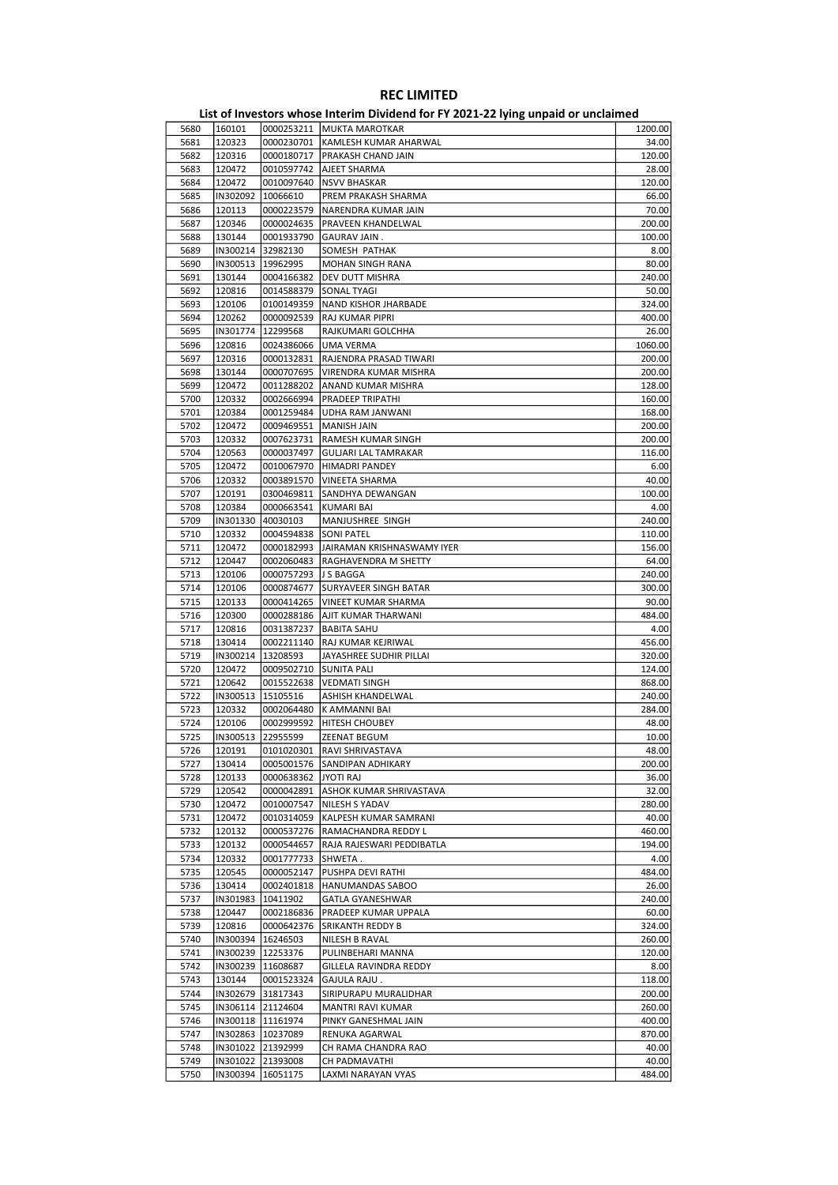|      |                     |                     | List of Investors whose Interim Dividend for FY 2021-22 lying unpaid or unclaimed |         |
|------|---------------------|---------------------|-----------------------------------------------------------------------------------|---------|
| 5680 | 160101              |                     | 0000253211   MUKTA MAROTKAR                                                       | 1200.00 |
| 5681 | 120323              | 0000230701          | KAMLESH KUMAR AHARWAL                                                             | 34.00   |
| 5682 | 120316              | 0000180717          | PRAKASH CHAND JAIN                                                                | 120.00  |
| 5683 | 120472              | 0010597742          | AJEET SHARMA                                                                      | 28.00   |
| 5684 | 120472              | 0010097640          | <b>NSVV BHASKAR</b>                                                               | 120.00  |
| 5685 | IN302092            | 10066610            | PREM PRAKASH SHARMA                                                               | 66.00   |
| 5686 | 120113              | 0000223579          | NARENDRA KUMAR JAIN                                                               | 70.00   |
| 5687 | 120346              | 0000024635          | PRAVEEN KHANDELWAL                                                                | 200.00  |
| 5688 | 130144              | 0001933790          | <b>GAURAV JAIN.</b>                                                               | 100.00  |
| 5689 | IN300214            | 32982130            | SOMESH PATHAK                                                                     | 8.00    |
| 5690 | IN300513            | 19962995            | <b>MOHAN SINGH RANA</b>                                                           | 80.00   |
| 5691 | 130144              | 0004166382          | <b>DEV DUTT MISHRA</b>                                                            | 240.00  |
|      |                     |                     |                                                                                   |         |
| 5692 | 120816              | 0014588379          | <b>SONAL TYAGI</b>                                                                | 50.00   |
| 5693 | 120106              | 0100149359          | NAND KISHOR JHARBADE                                                              | 324.00  |
| 5694 | 120262              | 0000092539          | RAJ KUMAR PIPRI                                                                   | 400.00  |
| 5695 | IN301774            | 12299568            | RAJKUMARI GOLCHHA                                                                 | 26.00   |
| 5696 | 120816              | 0024386066          | <b>UMA VERMA</b>                                                                  | 1060.00 |
| 5697 | 120316              | 0000132831          | RAJENDRA PRASAD TIWARI                                                            | 200.00  |
| 5698 | 130144              | 0000707695          | VIRENDRA KUMAR MISHRA                                                             | 200.00  |
| 5699 | 120472              | 0011288202          | ANAND KUMAR MISHRA                                                                | 128.00  |
| 5700 | 120332              | 0002666994          | PRADEEP TRIPATHI                                                                  | 160.00  |
| 5701 | 120384              | 0001259484          | UDHA RAM JANWANI                                                                  | 168.00  |
| 5702 | 120472              | 0009469551          | <b>MANISH JAIN</b>                                                                | 200.00  |
| 5703 | 120332              | 0007623731          | RAMESH KUMAR SINGH                                                                | 200.00  |
| 5704 | 120563              | 0000037497          | <b>GULJARI LAL TAMRAKAR</b>                                                       | 116.00  |
| 5705 | 120472              | 0010067970          | HIMADRI PANDEY                                                                    | 6.00    |
| 5706 | 120332              | 0003891570          | <b>VINEETA SHARMA</b>                                                             | 40.00   |
| 5707 | 120191              | 0300469811          | SANDHYA DEWANGAN                                                                  | 100.00  |
|      |                     |                     |                                                                                   | 4.00    |
| 5708 | 120384              | 0000663541          | <b>KUMARI BAI</b>                                                                 |         |
| 5709 | IN301330            | 40030103            | MANJUSHREE SINGH                                                                  | 240.00  |
| 5710 | 120332              | 0004594838          | <b>SONI PATEL</b>                                                                 | 110.00  |
| 5711 | 120472              | 0000182993          | JAIRAMAN KRISHNASWAMY IYER                                                        | 156.00  |
| 5712 | 120447              | 0002060483          | RAGHAVENDRA M SHETTY                                                              | 64.00   |
| 5713 | 120106              | 0000757293          | J S BAGGA                                                                         | 240.00  |
| 5714 | 120106              | 0000874677          | SURYAVEER SINGH BATAR                                                             | 300.00  |
| 5715 | 120133              | 0000414265          | <b>VINEET KUMAR SHARMA</b>                                                        | 90.00   |
| 5716 | 120300              | 0000288186          | AJIT KUMAR THARWANI                                                               | 484.00  |
| 5717 | 120816              | 0031387237          | <b>BABITA SAHU</b>                                                                | 4.00    |
| 5718 | 130414              | 0002211140          | RAJ KUMAR KEJRIWAL                                                                | 456.00  |
| 5719 | IN300214            | 13208593            | JAYASHREE SUDHIR PILLAI                                                           | 320.00  |
| 5720 | 120472              | 0009502710          | <b>SUNITA PALI</b>                                                                | 124.00  |
| 5721 | 120642              | 0015522638          | <b>VEDMATI SINGH</b>                                                              | 868.00  |
| 5722 | IN300513            | 15105516            | ASHISH KHANDELWAL                                                                 | 240.00  |
| 5723 | 120332              | 0002064480          | K AMMANNI BAI                                                                     | 284.00  |
| 5724 | 120106              | 0002999592          | <b>HITESH CHOUBEY</b>                                                             | 48.00   |
| 5725 | IIN300513 22955599  |                     | <b>7FENAT BEGUM</b>                                                               | 10.00   |
|      |                     |                     |                                                                                   |         |
| 5726 | 120191              | 0101020301          | <b>RAVI SHRIVASTAVA</b>                                                           | 48.00   |
| 5727 | 130414              | 0005001576          | SANDIPAN ADHIKARY                                                                 | 200.00  |
| 5728 | 120133              | 0000638362          | JYOTI RAJ                                                                         | 36.00   |
| 5729 | 120542              | 0000042891          | ASHOK KUMAR SHRIVASTAVA                                                           | 32.00   |
| 5730 | 120472              | 0010007547          | NILESH S YADAV                                                                    | 280.00  |
| 5731 | 120472              | 0010314059          | KALPESH KUMAR SAMRANI                                                             | 40.00   |
| 5732 | 120132              | 0000537276          | RAMACHANDRA REDDY L                                                               | 460.00  |
| 5733 | 120132              | 0000544657          | RAJA RAJESWARI PEDDIBATLA                                                         | 194.00  |
| 5734 | 120332              | 0001777733          | SHWETA.                                                                           | 4.00    |
| 5735 | 120545              | 0000052147          | PUSHPA DEVI RATHI                                                                 | 484.00  |
| 5736 | 130414              | 0002401818          | <b>HANUMANDAS SABOO</b>                                                           | 26.00   |
| 5737 | IN301983            | 10411902            | GATLA GYANESHWAR                                                                  | 240.00  |
| 5738 | 120447              | 0002186836          | PRADEEP KUMAR UPPALA                                                              | 60.00   |
| 5739 | 120816              | 0000642376          | SRIKANTH REDDY B                                                                  | 324.00  |
| 5740 | IN300394   16246503 |                     | NILESH B RAVAL                                                                    | 260.00  |
| 5741 | IN300239            | 12253376            | PULINBEHARI MANNA                                                                 | 120.00  |
| 5742 | IN300239   11608687 |                     | GILLELA RAVINDRA REDDY                                                            | 8.00    |
| 5743 | 130144              | 0001523324          | GAJULA RAJU.                                                                      | 118.00  |
|      |                     |                     |                                                                                   |         |
| 5744 |                     | IN302679 31817343   | SIRIPURAPU MURALIDHAR                                                             | 200.00  |
| 5745 |                     | IN306114 21124604   | MANTRI RAVI KUMAR                                                                 | 260.00  |
| 5746 |                     | IN300118   11161974 | PINKY GANESHMAL JAIN                                                              | 400.00  |
| 5747 | IN302863   10237089 |                     | RENUKA AGARWAL                                                                    | 870.00  |
| 5748 |                     | IN301022 21392999   | CH RAMA CHANDRA RAO                                                               | 40.00   |
| 5749 | IN301022 21393008   |                     | CH PADMAVATHI                                                                     | 40.00   |
| 5750 | IN300394 16051175   |                     | LAXMI NARAYAN VYAS                                                                | 484.00  |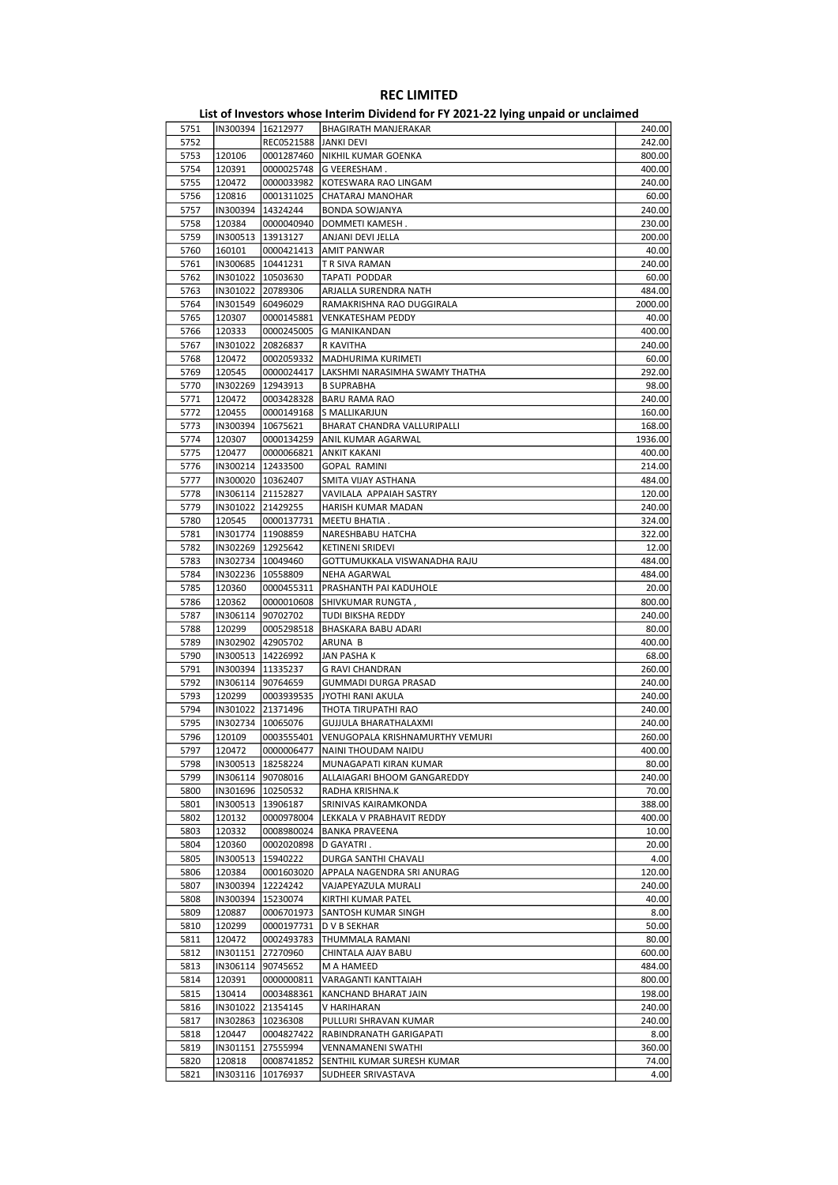#### List of Investors whose Interim Dividend for FY 2021-22 lying unpaid or unclaimed 5751 IN300394 16212977 BHAGIRATH MANJERAKAR 240.00 5752 REC0521588 JANKI DEVI 242.00 5753 120106 0001287460 NIKHIL KUMAR GOENKA 800.00 5754 120391 0000025748 G VEERESHAM . 400.00 5755 120472 0000033982 KOTESWARA RAO LINGAM 240.00 5756 120816 0001311025 CHATARAJ MANOHAR 60.00<br>5757 1IN300394 14324244 BONDA SOWJANYA 240.00 **BONDA SOWJANYA** 5758 120384 0000040940 DOMMETI KAMESH . 230.00 5759 IN300513 13913127 ANJANI DEVI JELLA 200.00 5760 160101 0000421413 AMIT PANWAR 40.00 5761 |IN300685 |10441231 | TR SIVA RAMAN || 240.00<br>5762 |IN301022 |10503630 | TAPATI PODDAR || 2000 || 2000 || 2000 || 240.00 5762 IN301022 10503630 TAPATI PODDAR 60.00 5763 IN301022 20789306 ARJALLA SURENDRA NATH 484.00 5764 IN301549 60496029 RAMAKRISHNA RAO DUGGIRALA 2000.00 5765 120307 0000145881 VENKATESHAM PEDDY 40.00 5766 120333 0000245005 G MANIKANDAN 400.00<br>5767 IN301022 20826837 R KAVITHA 240.00 5767 IN301022 20826837 R KAVITHA 240.00 5768 120472 0002059332 MADHURIMA KURIMETI 60.00 5769 120545 0000024417 LAKSHMI NARASIMHA SWAMY THATHA 292.00 5770 |IN302269 |12943913 |B SUPRABHA || 98.00 5771 120472 0003428328 BARU RAMA RAO 240.00<br>5772 120455 0000149168 S.MALUKARUIN 2000 240.00 5772 120455 0000149168 S MALLIKARJUN 160.00 5773 IN300394 10675621 BHARAT CHANDRA VALLURIPALLI 168.00 5774 120307 0000134259 ANIL KUMAR AGARWAL 1936.00 5775 120477 0000066821 ANKIT KAKANI 400.00 5776 |IN300214 |12433500 |GOPAL RAMINI 214.00 5777 IN300020 10362407 SMITA VIJAY ASTHANA 484.00 5778 IN306114 21152827 VAVILALA APPAIAH SASTRY 120.00<br>5779 IN301022 21429255 HARISH KUMAR MADAN 240.00 5779 IN301022 21429255 HARISH KUMAR MADAN 240.00 5780 120545 0000137731 MEETU BHATIA . 324.00 5781 IN301774 11908859 NARESHBABU HATCHA 322.00 5782 IN302269 12925642 KETINENI SRIDEVI 12.00<br>5783 IN302734 10049460 GOTTUMUKKALA VISWANADHA RAJU 484.00 GOTTUMUKKALA VISWANADHA RAJU 5784 IN302236 10558809 NEHA AGARWAL 484.00 5785 120360 0000455311 PRASHANTH PAI KADUHOLE 20.00 5786 120362 0000010608 SHIVKUMAR RUNGTA , 800.00 5787 IN306114 90702702 TUDI BIKSHA REDDY 240.00 **BHASKARA BABU ADARI 80.00** 5789 IN302902 42905702 ARUNA B 400.00 5790 |IN300513 |14226992 |JAN PASHA K 68.00 5791 IN300394 11335237 G RAVI CHANDRAN 260.00 5792 IN306114 90764659 GUMMADI DURGA PRASAD 240.00 5793 120299 0003939535 JYOTHI RANI AKULA 240.00 5794 IN301022 21371496 THOTA TIRUPATHI RAO 240.00 5795 IN302734 10065076 GUJJULA BHARATHALAXMI 240.00 5796 120109 0003555401 VENUGOPALA KRISHNAMURTHY VEMURI 260.00 5797 120472 0000006477 NAINI THOUDAM NAIDU 400.00 120400.00 1205000 1206000 1207000 120700 1208000 120700 120<br>5798 IN300513 18258224 MUNAGAPATI KIRAN KUMAR 5798 IN300513 18258224 MUNAGAPATI KIRAN KUMAR 80.00<br>5799 IN306114 90708016 ALLAIAGARI BHOOM GANGAREDDY 240.00 5799 IN306114 90708016 ALLAIAGARI BHOOM GANGAREDDY 240.00 5800 IN301696 10250532 RADHA KRISHNA.K 70.00 5801 IN300513 13906187 SRINIVAS KAIRAMKONDA 388.00 5802 120132 0000978004 LEKKALA V PRABHAVIT REDDY 400.00 5803 120332 0008980024 BANKA PRAVEENA 10.00<br>5804 120360 0002020898 D-GAYATRI 5804 120360 0002020898 D GAYATRI . 20.00 5805 IN300513 15940222 DURGA SANTHI CHAVALI 4.00 5806 120384 0001603020 APPALA NAGENDRA SRI ANURAG 120.00 120384 12224242 VAJAPEYAZULA MURALI 120.00 VAJAPEYAZULA MURALI 5808 IN300394 15230074 KIRTHI KUMAR PATEL 40.00 5809 120887 0006701973 SANTOSH KUMAR SINGH 8.00 5810 120299 0000197731 D V B SEKHAR 50.00 5811 120472 0002493783 THUMMALA RAMANI 80.00 5812 IN301151 27270960 CHINTALA AJAY BABU 600.00 5813 | IN306114 | 90745652 | M A HAMEED 484.00<br>5814 120391 | 00000000811 | VARAGANTI KANTTAIAH 4800.00 VARAGANTI KANTTAIAH 5815 130414 0003488361 KANCHAND BHARAT JAIN 198.00 5816 IN301022 21354145 V HARIHARAN 240.00 5817 IN302863 10236308 PULLURI SHRAVAN KUMAR 240.00 5818 120447 0004827422 RABINDRANATH GARIGAPATI 8.00 5819 IN301151 27555994 VENNAMANENI SWATHI 360.00

5820 120818 0008741852 SENTHIL KUMAR SURESH KUMAR 74.00 5821 IN303116 10176937 SUDHEER SRIVASTAVA 4.00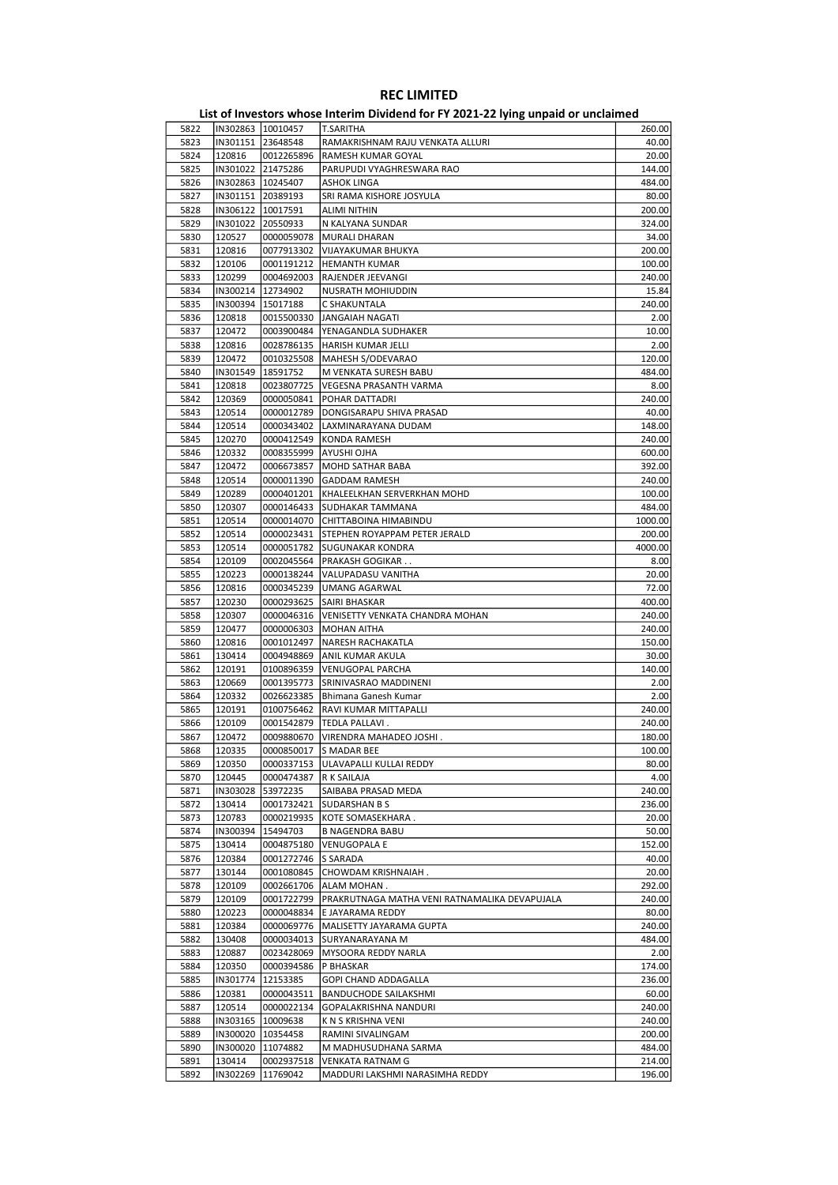|      |                     |            | ס…יו                                          |         |
|------|---------------------|------------|-----------------------------------------------|---------|
| 5822 | IN302863 10010457   |            | T.SARITHA                                     | 260.00  |
| 5823 | IN301151 23648548   |            | RAMAKRISHNAM RAJU VENKATA ALLURI              | 40.00   |
| 5824 | 120816              | 0012265896 | RAMESH KUMAR GOYAL                            | 20.00   |
| 5825 | IN301022 21475286   |            | PARUPUDI VYAGHRESWARA RAO                     | 144.00  |
| 5826 | IN302863   10245407 |            | ASHOK LINGA                                   | 484.00  |
| 5827 | IN301151 20389193   |            | SRI RAMA KISHORE JOSYULA                      | 80.00   |
| 5828 | IN306122 10017591   |            | ALIMI NITHIN                                  | 200.00  |
| 5829 | IN301022 20550933   |            |                                               | 324.00  |
|      |                     |            | N KALYANA SUNDAR                              |         |
| 5830 | 120527              | 0000059078 | MURALI DHARAN                                 | 34.00   |
| 5831 | 120816              | 0077913302 | VIJAYAKUMAR BHUKYA                            | 200.00  |
| 5832 | 120106              | 0001191212 | <b>HEMANTH KUMAR</b>                          | 100.00  |
| 5833 | 120299              | 0004692003 | RAJENDER JEEVANGI                             | 240.00  |
| 5834 | IN300214 12734902   |            | NUSRATH MOHIUDDIN                             | 15.84   |
| 5835 | IN300394 15017188   |            | C SHAKUNTALA                                  | 240.00  |
| 5836 | 120818              | 0015500330 | JANGAIAH NAGATI                               | 2.00    |
| 5837 | 120472              | 0003900484 | YENAGANDLA SUDHAKER                           | 10.00   |
| 5838 | 120816              | 0028786135 | HARISH KUMAR JELLI                            | 2.00    |
| 5839 | 120472              | 0010325508 | MAHESH S/ODEVARAO                             | 120.00  |
| 5840 | IN301549   18591752 |            | M VENKATA SURESH BABU                         | 484.00  |
| 5841 | 120818              | 0023807725 | VEGESNA PRASANTH VARMA                        | 8.00    |
|      |                     |            |                                               |         |
| 5842 | 120369              | 0000050841 | POHAR DATTADRI                                | 240.00  |
| 5843 | 120514              | 0000012789 | DONGISARAPU SHIVA PRASAD                      | 40.00   |
| 5844 | 120514              | 0000343402 | LAXMINARAYANA DUDAM                           | 148.00  |
| 5845 | 120270              | 0000412549 | KONDA RAMESH                                  | 240.00  |
| 5846 | 120332              | 0008355999 | <b>AYUSHI OJHA</b>                            | 600.00  |
| 5847 | 120472              | 0006673857 | MOHD SATHAR BABA                              | 392.00  |
| 5848 | 120514              | 0000011390 | <b>GADDAM RAMESH</b>                          | 240.00  |
| 5849 | 120289              | 0000401201 | KHALEELKHAN SERVERKHAN MOHD                   | 100.00  |
| 5850 | 120307              |            | 0000146433 SUDHAKAR TAMMANA                   | 484.00  |
| 5851 | 120514              | 0000014070 | CHITTABOINA HIMABINDU                         | 1000.00 |
| 5852 | 120514              | 0000023431 | STEPHEN ROYAPPAM PETER JERALD                 | 200.00  |
| 5853 | 120514              | 0000051782 | SUGUNAKAR KONDRA                              | 4000.00 |
| 5854 |                     |            |                                               |         |
|      | 120109              | 0002045564 | PRAKASH GOGIKAR                               | 8.00    |
| 5855 | 120223              | 0000138244 | VALUPADASU VANITHA                            | 20.00   |
| 5856 | 120816              | 0000345239 | UMANG AGARWAL                                 | 72.00   |
| 5857 | 120230              | 0000293625 | SAIRI BHASKAR                                 | 400.00  |
| 5858 | 120307              | 0000046316 | VENISETTY VENKATA CHANDRA MOHAN               | 240.00  |
| 5859 | 120477              | 0000006303 | <b>MOHAN AITHA</b>                            | 240.00  |
| 5860 | 120816              | 0001012497 | NARESH RACHAKATLA                             | 150.00  |
| 5861 | 130414              | 0004948869 | ANIL KUMAR AKULA                              | 30.00   |
| 5862 | 120191              | 0100896359 | VENUGOPAL PARCHA                              | 140.00  |
| 5863 | 120669              | 0001395773 | SRINIVASRAO MADDINENI                         | 2.00    |
| 5864 | 120332              | 0026623385 | Bhimana Ganesh Kumar                          | 2.00    |
| 5865 | 120191              |            | 0100756462   RAVI KUMAR MITTAPALLI            | 240.00  |
| 5866 | 120109              | 0001542879 | TEDLA PALLAVI.                                | 240.00  |
| 5867 | 120472              | 0009880670 | VIRENDRA MAHADEO JOSHI.                       | 180.00  |
|      |                     |            |                                               |         |
| 5868 | 120335              |            | 0000850017 S MADAR BEE                        | 100.00  |
| 5869 | 120350              |            | 0000337153   ULAVAPALLI KULLAI REDDY          | 80.00   |
| 5870 | 120445              | 0000474387 | R K SAILAJA                                   | 4.00    |
| 5871 | IN303028            | 53972235   | SAIBABA PRASAD MEDA                           | 240.00  |
| 5872 | 130414              | 0001732421 | <b>SUDARSHAN B S</b>                          | 236.00  |
| 5873 | 120783              | 0000219935 | KOTE SOMASEKHARA.                             | 20.00   |
| 5874 | IN300394            | 15494703   | <b>B NAGENDRA BABU</b>                        | 50.00   |
| 5875 | 130414              | 0004875180 | <b>VENUGOPALA E</b>                           | 152.00  |
| 5876 | 120384              | 0001272746 | S SARADA                                      | 40.00   |
| 5877 | 130144              | 0001080845 | CHOWDAM KRISHNAIAH.                           | 20.00   |
| 5878 | 120109              | 0002661706 | ALAM MOHAN.                                   | 292.00  |
| 5879 | 120109              | 0001722799 | PRAKRUTNAGA MATHA VENI RATNAMALIKA DEVAPUJALA | 240.00  |
| 5880 | 120223              | 0000048834 | E JAYARAMA REDDY                              | 80.00   |
| 5881 |                     |            |                                               |         |
|      | 120384              | 0000069776 | MALISETTY JAYARAMA GUPTA                      | 240.00  |
| 5882 | 130408              | 0000034013 | SURYANARAYANA M                               | 484.00  |
| 5883 | 120887              | 0023428069 | MYSOORA REDDY NARLA                           | 2.00    |
| 5884 | 120350              | 0000394586 | P BHASKAR                                     | 174.00  |
| 5885 | IN301774            | 12153385   | GOPI CHAND ADDAGALLA                          | 236.00  |
| 5886 | 120381              | 0000043511 | <b>BANDUCHODE SAILAKSHMI</b>                  | 60.00   |
| 5887 | 120514              | 0000022134 | GOPALAKRISHNA NANDURI                         | 240.00  |
| 5888 | IN303165   10009638 |            | K N S KRISHNA VENI                            | 240.00  |
| 5889 | IN300020   10354458 |            | RAMINI SIVALINGAM                             | 200.00  |
| 5890 | IN300020 11074882   |            | M MADHUSUDHANA SARMA                          | 484.00  |
| 5891 | 130414              | 0002937518 | <b>VENKATA RATNAM G</b>                       | 214.00  |
| 5892 | IN302269            | 11769042   | MADDURI LAKSHMI NARASIMHA REDDY               | 196.00  |
|      |                     |            |                                               |         |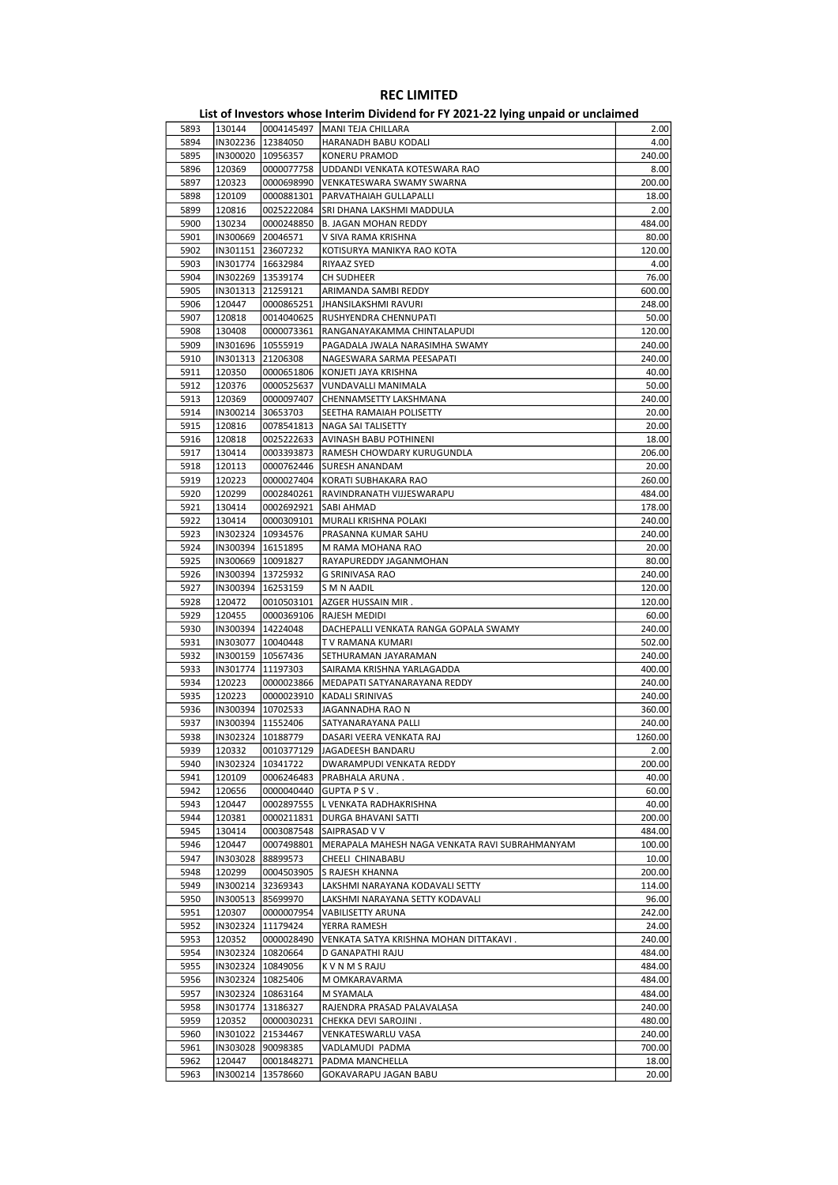#### List of Investors whose Interim Dividend for FY 2021-22 lying unpaid or unclaimed 5893 130144 0004145497 MANI TEJA CHILLARA 2.00 5894 IN302236 12384050 HARANADH BABU KODALI 4.00 5895 IN300020 10956357 KONERU PRAMOD 240.00 5896 120369 0000077758 UDDANDI VENKATA KOTESWARA RAO 8.00 5897 120323 0000698990 VENKATESWARA SWAMY SWARNA 200.00 5898 120109 0000881301 PARVATHAIAH GULLAPALLI 18.00<br>5899 120816 0025222084 SRI DHANA LAKSHMI MADDULA 2.00 0025222084 SRI DHANA LAKSHMI MADDULA 5900 130234 0000248850 B. JAGAN MOHAN REDDY 484.00 5901 IN300669 20046571 V SIVA RAMA KRISHNA 80.00 5902 IN301151 23607232 KOTISURYA MANIKYA RAO KOTA 120.00 5903 IN301774 16632984 RIYAAZ SYED 4.00 5904 IN302269 13539174 CH SUDHEER 76.00 5905 IN301313 21259121 ARIMANDA SAMBI REDDY 600.00 5906 120447 0000865251 JHANSILAKSHMI RAVURI 248.00 5907 120818 0014040625 RUSHYENDRA CHENNUPATI 50.00 5908 130408 0000073361 RANGANAYAKAMMA CHINTALAPUDI 120.00 5909 IN301696 10555919 PAGADALA JWALA NARASIMHA SWAMY 240.00 5910 IN301313 21206308 NAGESWARA SARMA PEESAPATI 240.00 5911 120350 0000651806 KONJETI JAYA KRISHNA 40.00 5912 120376 0000525637 VUNDAVALLI MANIMALA 50.00 5913 120369 0000097407 CHENNAMSETTY LAKSHMANA 240.00<br>5914 IN300214 30653703 SEETHA RAMAIAH POLISETTY 20.00 5914 IN300214 30653703 SEETHA RAMAIAH POLISETTY 20.00 5915 120816 0078541813 NAGA SAI TALISETTY 5916 120818 0025222633 AVINASH BABU POTHINENI 18.00 5917 130414 0003393873 RAMESH CHOWDARY KURUGUNDLA 206.00 5918 120113 0000762446 SURESH ANANDAM 20.00 5919 120223 0000027404 KORATI SUBHAKARA RAO 260.00 5920 120299 0002840261 RAVINDRANATH VIJJESWARAPU 484.00 5921 130414 0002692921 SABI AHMAD 178.00 5922 130414 0000309101 MURALI KRISHNA POLAKI 240.00 10934576 PRASANNA KUMAR SAHU 5924 IN300394 16151895 M RAMA MOHANA RAO 20.00 RAYAPUREDDY JAGANMOHAN 5926 IN300394 13725932 G SRINIVASA RAO 240.00 5927 IN300394 16253159 S M N AADIL 120.00 5928 120472 0010503101 AZGER HUSSAIN MIR . 120.00 5929 120455 0000369106 RAJESH MEDIDI 60.00<br>5930 IN300394 14224048 DACHEPALLI VENKATA RANGA GOPALA SWAMY 240.00 5930 IN300394 14224048 DACHEPALLI VENKATA RANGA GOPALA SWAMY 240.00 5931 IN303077 10040448 T V RAMANA KUMARI 502.00 5932 IN300159 10567436 SETHURAMAN JAYARAMAN 240.00 5933 IN301774 11197303 SAIRAMA KRISHNA YARLAGADDA 400.00 5934 120223 0000023866 MEDAPATI SATYANARAYANA REDDY 240.00 5935 120223 0000023910 KADALI SRINIVAS 240.00 5936 IN300394 10702533 JAGANNADHA RAO N 360.00 5937 IN300394 11552406 SATYANARAYANA PALLI 240.00 5938 IN302324 10188779 DASARI VEERA VENKATA RAJ 1260.00 5939 120332 0010377129 JAGADEESH BANDARU 2.00 IN302324 10341722 DWARAMPUDI VENKATA REDDY<br>120109 0006246483 PRABHALA ARUNA. 5941 120109 0006246483 PRABHALA ARUNA . 40.00<br>5942 120656 0000040440 GUPTA P.S.V . 60.00 5942 120656 0000040440 GUPTA P S V . 60.00 5943 20447 0002897555 L VENKATA RADHAKRISHNA 40.00 40.00 5944 120381 0000211831 DURGA BHAVANI SATTI 200.00 5945 130414 0003087548 SAIPRASAD V V 484.00 5946 120447 0007498801 MERAPALA MAHESH NAGA VENKATA RAVI SUBRAHMANYAM 100.00 5947 IN303028 88899573 CHEELI CHINABABU 10.00 5948 120299 0004503905 S RAJESH KHANNA 200.00 LAKSHMI NARAYANA KODAVALI SETTY 5950 IN300513 85699970 LAKSHMI NARAYANA SETTY KODAVALI 96.00 5951 120307 0000007954 VABILISETTY ARUNA 242.00 5952 IN302324 11179424 YERRA RAMESH 24.00 5953 120352 0000028490 VENKATA SATYA KRISHNA MOHAN DITTAKAVI . 240.00 5954 IN302324 10820664 D GANAPATHI RAJU 484.00 5955 IN302324 10849056 K V N M S RAJU 484.00<br>5956 IN302324 10825406 M OMKARAVARMA 484.00 M OMKARAVARMA 5957 IN302324 10863164 M SYAMALA 484.00 5958 IN301774 13186327 RAJENDRA PRASAD PALAVALASA 240.00 5959 120352 0000030231 CHEKKA DEVI SAROJINI . 480.00 5960 IN301022 21534467 VENKATESWARLU VASA 240.00 5961 IN303028 90098385 VADLAMUDI PADMA 700.00 5962 120447 0001848271 PADMA MANCHELLA 18.00 5963 IN300214 13578660 GOKAVARAPU JAGAN BABU 20.00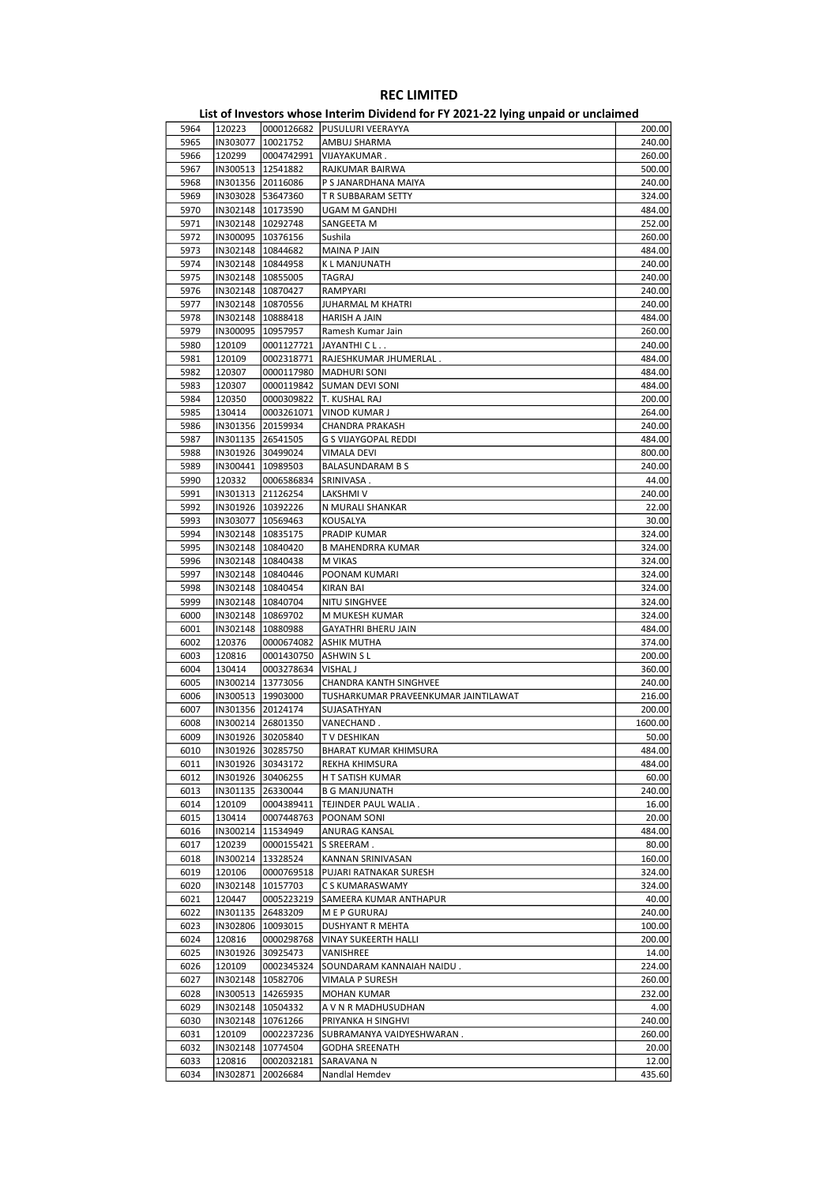|      |                     |                     | - סייני                              |         |
|------|---------------------|---------------------|--------------------------------------|---------|
| 5964 | 120223              |                     | 0000126682  PUSULURI VEERAYYA        | 200.00  |
| 5965 | IN303077            | 10021752            | AMBUJ SHARMA                         | 240.00  |
| 5966 | 120299              | 0004742991          | VIJAYAKUMAR.                         | 260.00  |
| 5967 | IN300513 12541882   |                     | RAJKUMAR BAIRWA                      | 500.00  |
| 5968 | IN301356 20116086   |                     | P S JANARDHANA MAIYA                 | 240.00  |
|      |                     |                     |                                      |         |
| 5969 |                     | IN303028 53647360   | T R SUBBARAM SETTY                   | 324.00  |
| 5970 |                     | IN302148   10173590 | <b>UGAM M GANDHI</b>                 | 484.00  |
| 5971 | IN302148   10292748 |                     | SANGEETA M                           | 252.00  |
| 5972 | IN300095   10376156 |                     | Sushila                              | 260.00  |
| 5973 | IN302148   10844682 |                     | <b>MAINA P JAIN</b>                  | 484.00  |
| 5974 | IN302148   10844958 |                     | K L MANJUNATH                        | 240.00  |
| 5975 | IN302148   10855005 |                     | TAGRAJ                               | 240.00  |
| 5976 | IN302148   10870427 |                     | RAMPYARI                             | 240.00  |
|      |                     |                     |                                      |         |
| 5977 | IN302148   10870556 |                     | JUHARMAL M KHATRI                    | 240.00  |
| 5978 | IN302148 10888418   |                     | <b>HARISH A JAIN</b>                 | 484.00  |
| 5979 | IN300095            | 10957957            | Ramesh Kumar Jain                    | 260.00  |
| 5980 | 120109              | 0001127721          | JAYANTHI C L                         | 240.00  |
| 5981 | 120109              | 0002318771          | RAJESHKUMAR JHUMERLAL.               | 484.00  |
| 5982 | 120307              | 0000117980          | MADHURI SONI                         | 484.00  |
| 5983 | 120307              | 0000119842          | SUMAN DEVI SONI                      | 484.00  |
|      |                     | 0000309822          |                                      |         |
| 5984 | 120350              |                     | T. KUSHAL RAJ                        | 200.00  |
| 5985 | 130414              | 0003261071          | <b>VINOD KUMAR J</b>                 | 264.00  |
| 5986 |                     | IN301356 20159934   | CHANDRA PRAKASH                      | 240.00  |
| 5987 | IN301135 26541505   |                     | G S VIJAYGOPAL REDDI                 | 484.00  |
| 5988 |                     | IN301926 30499024   | <b>VIMALA DEVI</b>                   | 800.00  |
| 5989 | IN300441            | 10989503            | <b>BALASUNDARAM B S</b>              | 240.00  |
| 5990 | 120332              | 0006586834          | SRINIVASA.                           | 44.00   |
| 5991 |                     | IN301313 21126254   | LAKSHMI V                            | 240.00  |
|      |                     |                     |                                      |         |
| 5992 |                     | IN301926 10392226   | N MURALI SHANKAR                     | 22.00   |
| 5993 | IN303077   10569463 |                     | KOUSALYA                             | 30.00   |
| 5994 | IN302148 10835175   |                     | PRADIP KUMAR                         | 324.00  |
| 5995 |                     | IN302148   10840420 | <b>B MAHENDRRA KUMAR</b>             | 324.00  |
| 5996 | IN302148   10840438 |                     | M VIKAS                              | 324.00  |
| 5997 | IN302148   10840446 |                     | POONAM KUMARI                        | 324.00  |
| 5998 | IN302148   10840454 |                     | KIRAN BAI                            | 324.00  |
| 5999 |                     | IN302148 10840704   |                                      | 324.00  |
|      |                     |                     | NITU SINGHVEE                        |         |
| 6000 |                     | IN302148   10869702 | M MUKESH KUMAR                       | 324.00  |
| 6001 |                     | IN302148   10880988 | <b>GAYATHRI BHERU JAIN</b>           | 484.00  |
| 6002 | 120376              | 0000674082          | <b>ASHIK MUTHA</b>                   | 374.00  |
| 6003 | 120816              | 0001430750          | <b>ASHWIN SL</b>                     | 200.00  |
| 6004 | 130414              | 0003278634          | VISHAL J                             | 360.00  |
| 6005 |                     | IN300214 13773056   | CHANDRA KANTH SINGHVEE               | 240.00  |
| 6006 |                     | IN300513  19903000  | TUSHARKUMAR PRAVEENKUMAR JAINTILAWAT | 216.00  |
| 6007 |                     | IN301356 20124174   | SUJASATHYAN                          | 200.00  |
|      |                     |                     |                                      |         |
| 6008 |                     | IN300214 26801350   | VANECHAND.                           | 1600.00 |
| 6009 |                     | IN301926 30205840   | TV DESHIKAN                          | 50.00   |
| 6010 | IN301926  30285750  |                     | BHARAT KUMAR KHIMSURA                | 484.00  |
| 6011 |                     | IN301926 30343172   | REKHA KHIMSURA                       | 484.00  |
| 6012 |                     | IN301926 30406255   | H T SATISH KUMAR                     | 60.00   |
| 6013 |                     | IN301135 26330044   | <b>B G MANJUNATH</b>                 | 240.00  |
| 6014 | 120109              | 0004389411          | TEJINDER PAUL WALIA.                 | 16.00   |
| 6015 | 130414              | 0007448763          | POONAM SONI                          | 20.00   |
| 6016 | IN300214            | 11534949            | ANURAG KANSAL                        | 484.00  |
|      |                     |                     |                                      |         |
| 6017 | 120239              | 0000155421          | S SREERAM.                           | 80.00   |
| 6018 | IN300214            | 13328524            | KANNAN SRINIVASAN                    | 160.00  |
| 6019 | 120106              | 0000769518          | PUJARI RATNAKAR SURESH               | 324.00  |
| 6020 | IN302148            | 10157703            | C S KUMARASWAMY                      | 324.00  |
| 6021 | 120447              | 0005223219          | SAMEERA KUMAR ANTHAPUR               | 40.00   |
| 6022 | IN301135            | 26483209            | M E P GURURAJ                        | 240.00  |
| 6023 | IN302806            | 10093015            | DUSHYANT R MEHTA                     | 100.00  |
| 6024 | 120816              | 0000298768          | VINAY SUKEERTH HALLI                 | 200.00  |
| 6025 |                     | IN301926 30925473   | VANISHREE                            | 14.00   |
|      |                     |                     |                                      |         |
| 6026 | 120109              | 0002345324          | SOUNDARAM KANNAIAH NAIDU.            | 224.00  |
| 6027 | IN302148   10582706 |                     | VIMALA P SURESH                      | 260.00  |
| 6028 |                     | IN300513   14265935 | <b>MOHAN KUMAR</b>                   | 232.00  |
| 6029 |                     | IN302148   10504332 | A V N R MADHUSUDHAN                  | 4.00    |
| 6030 | IN302148            | 10761266            | PRIYANKA H SINGHVI                   | 240.00  |
| 6031 | 120109              | 0002237236          | SUBRAMANYA VAIDYESHWARAN.            | 260.00  |
| 6032 | IN302148            | 10774504            | <b>GODHA SREENATH</b>                | 20.00   |
| 6033 | 120816              | 0002032181          | SARAVANA N                           | 12.00   |
| 6034 |                     | 20026684            | Nandlal Hemdev                       | 435.60  |
|      | IN302871            |                     |                                      |         |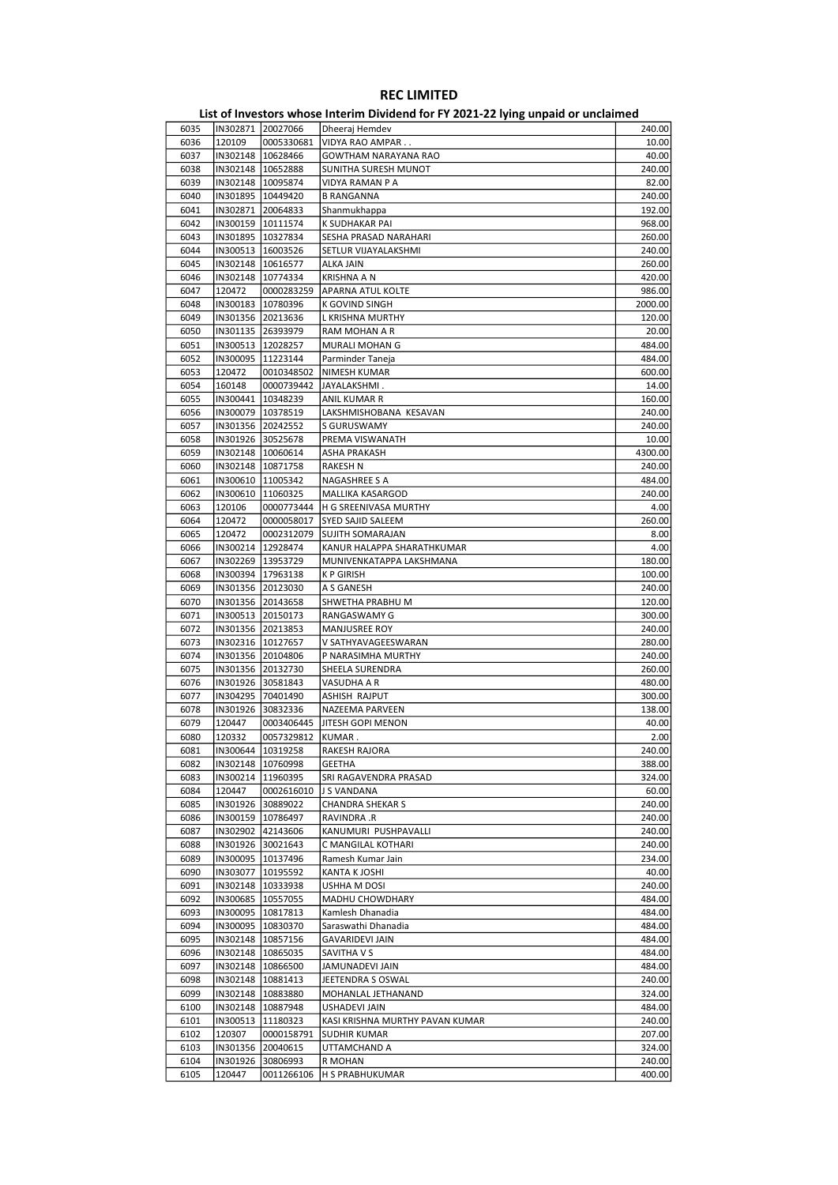|      |                     |            | ED, or investors whose internit privation for it about LETTing ampaid or ancialities. |         |
|------|---------------------|------------|---------------------------------------------------------------------------------------|---------|
| 6035 | IN302871 20027066   |            | Dheeraj Hemdev                                                                        | 240.00  |
| 6036 | 120109              | 0005330681 | VIDYA RAO AMPAR                                                                       | 10.00   |
|      |                     |            |                                                                                       |         |
| 6037 | IN302148   10628466 |            | GOWTHAM NARAYANA RAO                                                                  | 40.00   |
| 6038 | IN302148   10652888 |            | SUNITHA SURESH MUNOT                                                                  | 240.00  |
| 6039 | IN302148   10095874 |            | VIDYA RAMAN P A                                                                       | 82.00   |
| 6040 | IN301895 10449420   |            | <b>B RANGANNA</b>                                                                     | 240.00  |
| 6041 | IN302871 20064833   |            | Shanmukhappa                                                                          | 192.00  |
|      |                     |            |                                                                                       |         |
| 6042 | IN300159 10111574   |            | K SUDHAKAR PAI                                                                        | 968.00  |
| 6043 | IN301895   10327834 |            | SESHA PRASAD NARAHARI                                                                 | 260.00  |
| 6044 | IN300513   16003526 |            | SETLUR VIJAYALAKSHMI                                                                  | 240.00  |
| 6045 | IN302148   10616577 |            | ALKA JAIN                                                                             | 260.00  |
|      |                     |            |                                                                                       |         |
| 6046 | IN302148   10774334 |            | KRISHNA A N                                                                           | 420.00  |
| 6047 | 120472              | 0000283259 | <b>APARNA ATUL KOLTE</b>                                                              | 986.00  |
| 6048 | IN300183   10780396 |            | K GOVIND SINGH                                                                        | 2000.00 |
| 6049 | IN301356 20213636   |            | L KRISHNA MURTHY                                                                      | 120.00  |
|      |                     |            |                                                                                       |         |
| 6050 | IN301135 26393979   |            | RAM MOHAN A R                                                                         | 20.00   |
| 6051 | IN300513   12028257 |            | MURALI MOHAN G                                                                        | 484.00  |
| 6052 | IN300095 11223144   |            | Parminder Taneja                                                                      | 484.00  |
| 6053 | 120472              | 0010348502 | <b>NIMESH KUMAR</b>                                                                   | 600.00  |
|      |                     |            |                                                                                       |         |
| 6054 | 160148              | 0000739442 | JAYALAKSHMI.                                                                          | 14.00   |
| 6055 | IN300441 10348239   |            | ANIL KUMAR R                                                                          | 160.00  |
| 6056 | IN300079   10378519 |            | LAKSHMISHOBANA KESAVAN                                                                | 240.00  |
| 6057 | IN301356 20242552   |            | S GURUSWAMY                                                                           | 240.00  |
|      |                     |            |                                                                                       |         |
| 6058 | IN301926 30525678   |            | PREMA VISWANATH                                                                       | 10.00   |
| 6059 | IN302148   10060614 |            | ASHA PRAKASH                                                                          | 4300.00 |
| 6060 | IN302148   10871758 |            | RAKESH N                                                                              | 240.00  |
| 6061 | IN300610   11005342 |            | NAGASHREE S A                                                                         | 484.00  |
|      |                     |            |                                                                                       |         |
| 6062 | IN300610   11060325 |            | MALLIKA KASARGOD                                                                      | 240.00  |
| 6063 | 120106              | 0000773444 | H G SREENIVASA MURTHY                                                                 | 4.00    |
| 6064 | 120472              | 0000058017 | <b>SYED SAJID SALEEM</b>                                                              | 260.00  |
| 6065 | 120472              | 0002312079 | <b>SUJITH SOMARAJAN</b>                                                               | 8.00    |
| 6066 | IN300214   12928474 |            | KANUR HALAPPA SHARATHKUMAR                                                            | 4.00    |
|      |                     |            |                                                                                       |         |
| 6067 | IN302269   13953729 |            | MUNIVENKATAPPA LAKSHMANA                                                              | 180.00  |
| 6068 | IN300394   17963138 |            | <b>KP GIRISH</b>                                                                      | 100.00  |
| 6069 | IN301356 20123030   |            | A S GANESH                                                                            | 240.00  |
| 6070 | IN301356 20143658   |            | SHWETHA PRABHU M                                                                      | 120.00  |
|      |                     |            |                                                                                       |         |
| 6071 | IN300513 20150173   |            | RANGASWAMY G                                                                          | 300.00  |
| 6072 | IN301356 20213853   |            | MANJUSREE ROY                                                                         | 240.00  |
| 6073 | IN302316   10127657 |            | V SATHYAVAGEESWARAN                                                                   | 280.00  |
| 6074 | IN301356 20104806   |            | P NARASIMHA MURTHY                                                                    | 240.00  |
|      |                     |            | SHEELA SURENDRA                                                                       |         |
| 6075 | IN301356 20132730   |            |                                                                                       | 260.00  |
| 6076 | IN301926 30581843   |            | VASUDHA A R                                                                           | 480.00  |
| 6077 | IN304295 70401490   |            | ASHISH RAJPUT                                                                         | 300.00  |
| 6078 | IN301926 30832336   |            | NAZEEMA PARVEEN                                                                       | 138.00  |
| 6079 | 120447              | 0003406445 | JITESH GOPI MENON                                                                     | 40.00   |
|      |                     |            |                                                                                       |         |
| 6080 | 120332              | 0057329812 | KUMAR.                                                                                | 2.00    |
| 6081 | IN300644  10319258  |            | RAKESH RAJORA                                                                         | 240.00  |
| 6082 | IN302148   10760998 |            | <b>GEETHA</b>                                                                         | 388.00  |
| 6083 | IN300214   11960395 |            | SRI RAGAVENDRA PRASAD                                                                 | 324.00  |
|      |                     |            |                                                                                       |         |
| 6084 | 120447              | 0002616010 | J S VANDANA                                                                           | 60.00   |
| 6085 | IN301926 30889022   |            | <b>CHANDRA SHEKAR S</b>                                                               | 240.00  |
| 6086 | IN300159 10786497   |            | RAVINDRA .R                                                                           | 240.00  |
| 6087 | IN302902 42143606   |            | KANUMURI PUSHPAVALLI                                                                  | 240.00  |
| 6088 | IN301926 30021643   |            | C MANGILAL KOTHARI                                                                    | 240.00  |
|      |                     |            |                                                                                       |         |
| 6089 | IN300095   10137496 |            | Ramesh Kumar Jain                                                                     | 234.00  |
| 6090 | IN303077 10195592   |            | KANTA K JOSHI                                                                         | 40.00   |
| 6091 | IN302148   10333938 |            | USHHA M DOSI                                                                          | 240.00  |
| 6092 | IN300685   10557055 |            | MADHU CHOWDHARY                                                                       | 484.00  |
|      |                     |            |                                                                                       |         |
| 6093 | IN300095 10817813   |            | Kamlesh Dhanadia                                                                      | 484.00  |
| 6094 | IN300095 10830370   |            | Saraswathi Dhanadia                                                                   | 484.00  |
| 6095 | IN302148 10857156   |            | <b>GAVARIDEVI JAIN</b>                                                                | 484.00  |
| 6096 | IN302148   10865035 |            | SAVITHA V S                                                                           | 484.00  |
|      |                     |            |                                                                                       |         |
| 6097 | IN302148   10866500 |            | JAMUNADEVI JAIN                                                                       | 484.00  |
| 6098 | IN302148 10881413   |            | JEETENDRA S OSWAL                                                                     | 240.00  |
| 6099 | IN302148   10883880 |            | MOHANLAL JETHANAND                                                                    | 324.00  |
| 6100 | IN302148   10887948 |            | USHADEVI JAIN                                                                         | 484.00  |
|      |                     |            |                                                                                       |         |
| 6101 | IN300513  11180323  |            | KASI KRISHNA MURTHY PAVAN KUMAR                                                       | 240.00  |
| 6102 | 120307              | 0000158791 | SUDHIR KUMAR                                                                          | 207.00  |
| 6103 | IN301356 20040615   |            | UTTAMCHAND A                                                                          | 324.00  |
| 6104 | IN301926 30806993   |            | R MOHAN                                                                               | 240.00  |
| 6105 | 120447              | 0011266106 | H S PRABHUKUMAR                                                                       | 400.00  |
|      |                     |            |                                                                                       |         |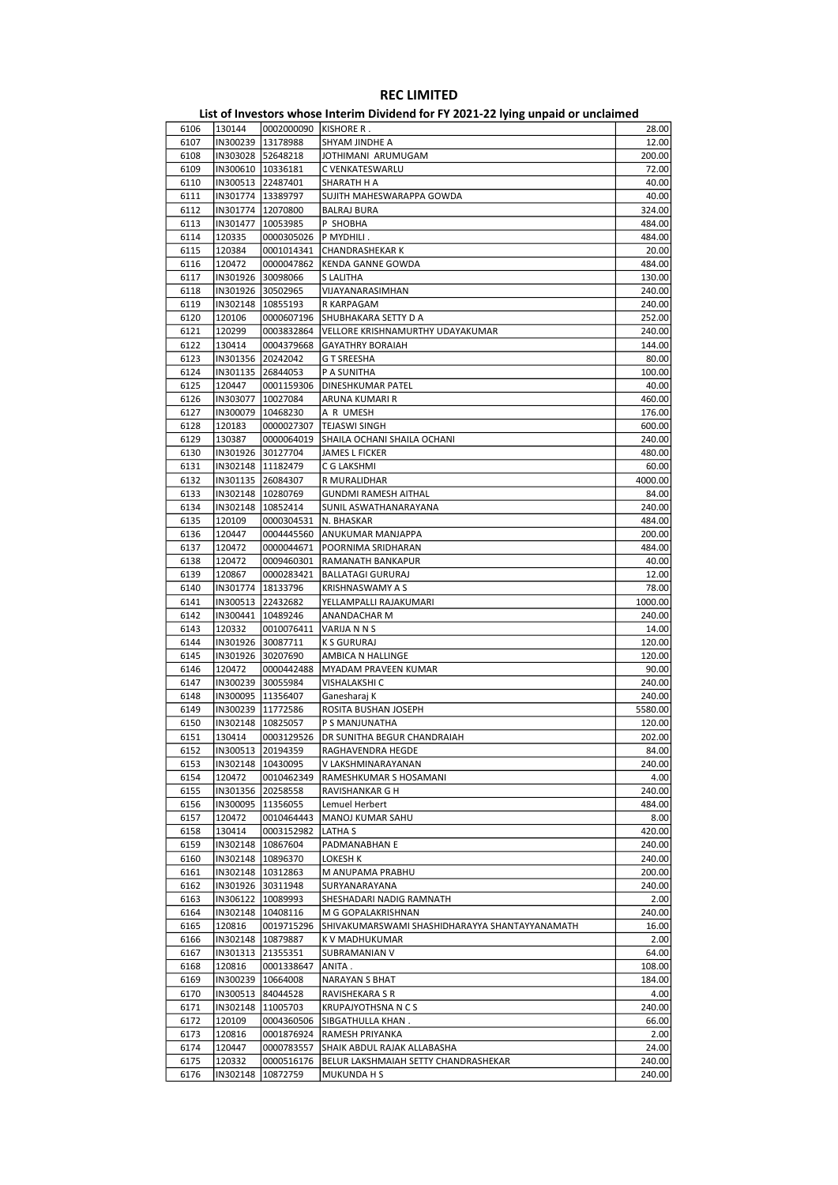|      |                     |                         | ED, or investors whose internit privation for it about LETTing ampaid or ancialities. |         |
|------|---------------------|-------------------------|---------------------------------------------------------------------------------------|---------|
| 6106 | 130144              | 0002000090   KISHORE R. |                                                                                       | 28.00   |
| 6107 |                     | IN300239 13178988       | SHYAM JINDHE A                                                                        | 12.00   |
| 6108 | IN303028 52648218   |                         | JOTHIMANI ARUMUGAM                                                                    | 200.00  |
| 6109 | IN300610   10336181 |                         | C VENKATESWARLU                                                                       | 72.00   |
| 6110 | IN300513 22487401   |                         | SHARATH H A                                                                           | 40.00   |
|      |                     |                         |                                                                                       |         |
| 6111 | IN301774   13389797 |                         | SUJITH MAHESWARAPPA GOWDA                                                             | 40.00   |
| 6112 | IN301774   12070800 |                         | <b>BALRAJ BURA</b>                                                                    | 324.00  |
| 6113 | IN301477   10053985 |                         | P SHOBHA                                                                              | 484.00  |
| 6114 | 120335              | 0000305026              | P MYDHILI.                                                                            | 484.00  |
| 6115 | 120384              | 0001014341              | CHANDRASHEKAR K                                                                       | 20.00   |
| 6116 | 120472              | 0000047862              | <b>KENDA GANNE GOWDA</b>                                                              | 484.00  |
| 6117 | IN301926 30098066   |                         | S LALITHA                                                                             | 130.00  |
| 6118 | IN301926 30502965   |                         | VIJAYANARASIMHAN                                                                      | 240.00  |
|      |                     |                         |                                                                                       |         |
| 6119 | IN302148   10855193 |                         | R KARPAGAM                                                                            | 240.00  |
| 6120 | 120106              | 0000607196              | SHUBHAKARA SETTY D A                                                                  | 252.00  |
| 6121 | 120299              | 0003832864              | VELLORE KRISHNAMURTHY UDAYAKUMAR                                                      | 240.00  |
| 6122 | 130414              | 0004379668              | <b>GAYATHRY BORAIAH</b>                                                               | 144.00  |
| 6123 | IN301356 20242042   |                         | <b>GT SREESHA</b>                                                                     | 80.00   |
| 6124 | IN301135 26844053   |                         | P A SUNITHA                                                                           | 100.00  |
| 6125 | 120447              | 0001159306              | DINESHKUMAR PATEL                                                                     | 40.00   |
|      |                     |                         |                                                                                       |         |
| 6126 | IN303077            | 10027084                | ARUNA KUMARI R                                                                        | 460.00  |
| 6127 | IN300079   10468230 |                         | A R UMESH                                                                             | 176.00  |
| 6128 | 120183              | 0000027307              | <b>TEJASWI SINGH</b>                                                                  | 600.00  |
| 6129 | 130387              | 0000064019              | SHAILA OCHANI SHAILA OCHANI                                                           | 240.00  |
| 6130 | IN301926 30127704   |                         | <b>JAMES L FICKER</b>                                                                 | 480.00  |
| 6131 | IN302148   11182479 |                         | C G LAKSHMI                                                                           | 60.00   |
| 6132 | IN301135 26084307   |                         | R MURALIDHAR                                                                          | 4000.00 |
|      | IN302148 10280769   |                         | <b>GUNDMI RAMESH AITHAL</b>                                                           |         |
| 6133 |                     |                         |                                                                                       | 84.00   |
| 6134 | IN302148   10852414 |                         | SUNIL ASWATHANARAYANA                                                                 | 240.00  |
| 6135 | 120109              | 0000304531              | N. BHASKAR                                                                            | 484.00  |
| 6136 | 120447              | 0004445560              | ANUKUMAR MANJAPPA                                                                     | 200.00  |
| 6137 | 120472              | 0000044671              | POORNIMA SRIDHARAN                                                                    | 484.00  |
| 6138 | 120472              | 0009460301              | RAMANATH BANKAPUR                                                                     | 40.00   |
| 6139 | 120867              | 0000283421              | <b>BALLATAGI GURURAJ</b>                                                              | 12.00   |
| 6140 | IN301774            | 18133796                | KRISHNASWAMY A S                                                                      | 78.00   |
|      |                     |                         |                                                                                       |         |
| 6141 |                     | IN300513 22432682       | YELLAMPALLI RAJAKUMARI                                                                | 1000.00 |
| 6142 | IN300441   10489246 |                         | ANANDACHAR M                                                                          | 240.00  |
| 6143 | 120332              | 0010076411              | VARIJA N N S                                                                          | 14.00   |
| 6144 | IN301926 30087711   |                         | K S GURURAJ                                                                           | 120.00  |
| 6145 |                     | IN301926 30207690       | AMBICA N HALLINGE                                                                     | 120.00  |
| 6146 | 120472              | 0000442488              | MYADAM PRAVEEN KUMAR                                                                  | 90.00   |
| 6147 |                     | IN300239 30055984       | VISHALAKSHI C                                                                         | 240.00  |
| 6148 | IN300095   11356407 |                         | Ganesharaj K                                                                          | 240.00  |
|      |                     |                         |                                                                                       |         |
| 6149 | IN300239 11772586   |                         | ROSITA BUSHAN JOSEPH                                                                  | 5580.00 |
| 6150 | IN302148   10825057 |                         | P S MANJUNATHA                                                                        | 120.00  |
| 6151 | 130414              | 0003129526              | <b>DR SUNITHA BEGUR CHANDRAIAH</b>                                                    | 202.00  |
| 6152 | IN300513  20194359  |                         | RAGHAVENDRA HEGDE                                                                     | 84.00   |
| 6153 |                     | IN302148   10430095     | V LAKSHMINARAYANAN                                                                    | 240.00  |
| 6154 | 120472              | 0010462349              | RAMESHKUMAR S HOSAMANI                                                                | 4.00    |
| 6155 | IN301356            | 20258558                | RAVISHANKAR G H                                                                       | 240.00  |
| 6156 | IN300095            | 11356055                | Lemuel Herbert                                                                        | 484.00  |
|      |                     |                         |                                                                                       |         |
| 6157 | 120472              | 0010464443              | MANOJ KUMAR SAHU                                                                      | 8.00    |
| 6158 | 130414              | 0003152982              | LATHA S                                                                               | 420.00  |
| 6159 |                     | IN302148   10867604     | PADMANABHAN E                                                                         | 240.00  |
| 6160 | IN302148 10896370   |                         | LOKESH K                                                                              | 240.00  |
| 6161 |                     | IN302148   10312863     | M ANUPAMA PRABHU                                                                      | 200.00  |
| 6162 |                     | IN301926 30311948       | SURYANARAYANA                                                                         | 240.00  |
| 6163 |                     | IN306122   10089993     | SHESHADARI NADIG RAMNATH                                                              | 2.00    |
| 6164 | IN302148            | 10408116                | M G GOPALAKRISHNAN                                                                    | 240.00  |
|      |                     |                         |                                                                                       |         |
| 6165 | 120816              | 0019715296              | SHIVAKUMARSWAMI SHASHIDHARAYYA SHANTAYYANAMATH                                        | 16.00   |
| 6166 |                     | IN302148   10879887     | K V MADHUKUMAR                                                                        | 2.00    |
| 6167 |                     | IN301313 21355351       | SUBRAMANIAN V                                                                         | 64.00   |
| 6168 | 120816              | 0001338647              | ANITA.                                                                                | 108.00  |
| 6169 | IN300239            | 10664008                | NARAYAN S BHAT                                                                        | 184.00  |
| 6170 | IN300513            | 84044528                | RAVISHEKARA S R                                                                       | 4.00    |
| 6171 | IN302148            | 11005703                | <b>KRUPAJYOTHSNA N C S</b>                                                            | 240.00  |
| 6172 | 120109              | 0004360506              | SIBGATHULLA KHAN.                                                                     | 66.00   |
|      |                     |                         |                                                                                       |         |
| 6173 | 120816              | 0001876924              | RAMESH PRIYANKA                                                                       | 2.00    |
| 6174 | 120447              | 0000783557              | SHAIK ABDUL RAJAK ALLABASHA                                                           | 24.00   |
| 6175 | 120332              | 0000516176              | BELUR LAKSHMAIAH SETTY CHANDRASHEKAR                                                  | 240.00  |
| 6176 | IN302148            | 10872759                | MUKUNDA H S                                                                           | 240.00  |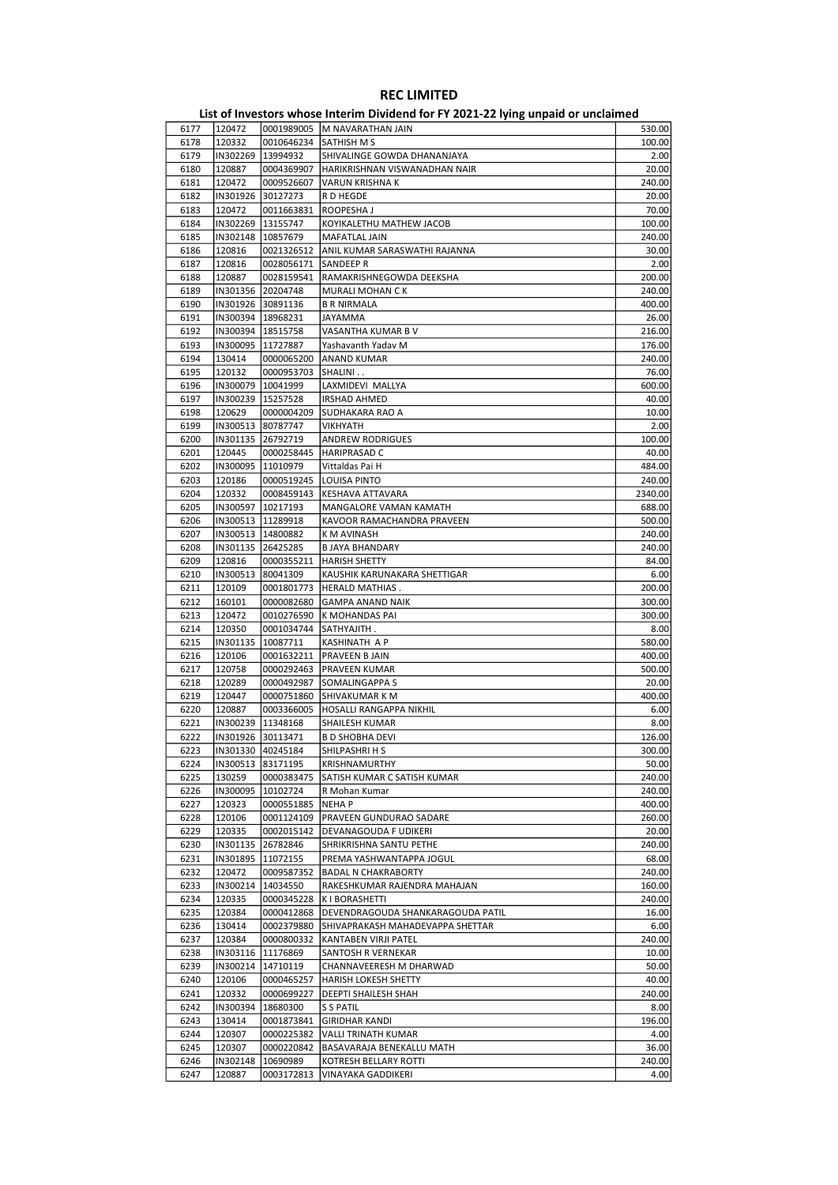| 6177 | 120472   |                     | 0001989005   M NAVARATHAN JAIN    | 530.00  |
|------|----------|---------------------|-----------------------------------|---------|
| 6178 | 120332   | 0010646234          | <b>SATHISH M S</b>                | 100.00  |
| 6179 | IN302269 | 13994932            | SHIVALINGE GOWDA DHANANJAYA       | 2.00    |
|      |          |                     |                                   |         |
| 6180 | 120887   | 0004369907          | HARIKRISHNAN VISWANADHAN NAIR     | 20.00   |
| 6181 | 120472   | 0009526607          | VARUN KRISHNA K                   | 240.00  |
| 6182 | IN301926 | 30127273            | R D HEGDE                         | 20.00   |
| 6183 | 120472   | 0011663831          | ROOPESHA J                        | 70.00   |
| 6184 | IN302269 | 13155747            | KOYIKALETHU MATHEW JACOB          | 100.00  |
| 6185 | IN302148 | 10857679            | MAFATLAL JAIN                     | 240.00  |
|      |          |                     |                                   |         |
| 6186 | 120816   | 0021326512          | ANIL KUMAR SARASWATHI RAJANNA     | 30.00   |
| 6187 | 120816   | 0028056171          | SANDEEP R                         | 2.00    |
| 6188 | 120887   | 0028159541          | RAMAKRISHNEGOWDA DEEKSHA          | 200.00  |
| 6189 |          | IN301356 20204748   | MURALI MOHAN CK                   | 240.00  |
| 6190 |          | IN301926 30891136   | <b>B R NIRMALA</b>                | 400.00  |
|      |          |                     |                                   |         |
| 6191 |          | IN300394 18968231   | JAYAMMA                           | 26.00   |
| 6192 |          | IN300394   18515758 | VASANTHA KUMAR B V                | 216.00  |
| 6193 |          | IN300095   11727887 | Yashavanth Yadav M                | 176.00  |
| 6194 | 130414   | 0000065200          | <b>ANAND KUMAR</b>                | 240.00  |
| 6195 | 120132   | 0000953703          | SHALINI                           | 76.00   |
|      |          |                     |                                   |         |
| 6196 |          | IN300079   10041999 | LAXMIDEVI MALLYA                  | 600.00  |
| 6197 | IN300239 | 15257528            | <b>IRSHAD AHMED</b>               | 40.00   |
| 6198 | 120629   | 0000004209          | SUDHAKARA RAO A                   | 10.00   |
| 6199 |          | IN300513 80787747   | VIKHYATH                          | 2.00    |
| 6200 |          | IN301135 26792719   | ANDREW RODRIGUES                  | 100.00  |
|      |          |                     |                                   |         |
| 6201 | 120445   | 0000258445          | HARIPRASAD C                      | 40.00   |
| 6202 | IN300095 | 11010979            | Vittaldas Pai H                   | 484.00  |
| 6203 | 120186   | 0000519245          | LOUISA PINTO                      | 240.00  |
| 6204 | 120332   | 0008459143          | <b>KESHAVA ATTAVARA</b>           | 2340.00 |
| 6205 |          | IN300597   10217193 | MANGALORE VAMAN KAMATH            | 688.00  |
| 6206 |          | IN300513   11289918 | KAVOOR RAMACHANDRA PRAVEEN        | 500.00  |
|      |          |                     |                                   |         |
| 6207 |          | IN300513   14800882 | K M AVINASH                       | 240.00  |
| 6208 |          | IN301135 26425285   | <b>B JAYA BHANDARY</b>            | 240.00  |
| 6209 | 120816   | 0000355211          | <b>HARISH SHETTY</b>              | 84.00   |
| 6210 | IN300513 | 80041309            | KAUSHIK KARUNAKARA SHETTIGAR      | 6.00    |
| 6211 | 120109   | 0001801773          | HERALD MATHIAS .                  | 200.00  |
|      |          |                     |                                   |         |
| 6212 | 160101   | 0000082680          | <b>GAMPA ANAND NAIK</b>           | 300.00  |
| 6213 | 120472   | 0010276590          | K MOHANDAS PAI                    | 300.00  |
| 6214 | 120350   | 0001034744          | SATHYAJITH.                       | 8.00    |
| 6215 | IN301135 | 10087711            | KASHINATH A P                     | 580.00  |
| 6216 | 120106   | 0001632211          | PRAVEEN B JAIN                    | 400.00  |
|      |          |                     |                                   |         |
| 6217 | 120758   | 0000292463          | <b>PRAVEEN KUMAR</b>              | 500.00  |
| 6218 | 120289   | 0000492987          | SOMALINGAPPA S                    | 20.00   |
| 6219 | 120447   | 0000751860          | SHIVAKUMAR K M                    | 400.00  |
| 6220 | 120887   | 0003366005          | HOSALLI RANGAPPA NIKHIL           | 6.00    |
| 6221 |          | IN300239 11348168   | SHAILESH KUMAR                    | 8.00    |
|      |          |                     |                                   |         |
| 6222 | IN301926 | 30113471            | <b>B D SHOBHA DEVI</b>            | 126.00  |
| 6223 |          | IN301330 40245184   | SHILPASHRI H S                    | 300.00  |
| 6224 |          | IN300513 83171195   | KRISHNAMURTHY                     | 50.00   |
| 6225 | 130259   | 0000383475          | SATISH KUMAR C SATISH KUMAR       | 240.00  |
| 6226 | IN300095 | 10102724            | R Mohan Kumar                     | 240.00  |
|      | 120323   | 0000551885          |                                   | 400.00  |
| 6227 |          |                     | <b>NEHAP</b>                      |         |
| 6228 | 120106   | 0001124109          | PRAVEEN GUNDURAO SADARE           | 260.00  |
| 6229 | 120335   | 0002015142          | DEVANAGOUDA F UDIKERI             | 20.00   |
| 6230 | IN301135 | 26782846            | SHRIKRISHNA SANTU PETHE           | 240.00  |
| 6231 | IN301895 | 11072155            | PREMA YASHWANTAPPA JOGUL          | 68.00   |
| 6232 | 120472   | 0009587352          | <b>BADAL N CHAKRABORTY</b>        | 240.00  |
|      |          |                     |                                   |         |
| 6233 | IN300214 | 14034550            | RAKESHKUMAR RAJENDRA MAHAJAN      | 160.00  |
| 6234 | 120335   | 0000345228          | K I BORASHETTI                    | 240.00  |
| 6235 | 120384   | 0000412868          | DEVENDRAGOUDA SHANKARAGOUDA PATIL | 16.00   |
| 6236 | 130414   | 0002379880          | SHIVAPRAKASH MAHADEVAPPA SHETTAR  | 6.00    |
| 6237 | 120384   | 0000800332          | KANTABEN VIRJI PATEL              | 240.00  |
|      |          |                     |                                   |         |
| 6238 | IN303116 | 11176869            | SANTOSH R VERNEKAR                | 10.00   |
| 6239 | IN300214 | 14710119            | CHANNAVEERESH M DHARWAD           | 50.00   |
| 6240 | 120106   | 0000465257          | HARISH LOKESH SHETTY              | 40.00   |
| 6241 | 120332   | 0000699227          | DEEPTI SHAILESH SHAH              | 240.00  |
| 6242 | IN300394 | 18680300            | S S PATIL                         | 8.00    |
|      |          |                     |                                   |         |
| 6243 | 130414   | 0001873841          | <b>GIRIDHAR KANDI</b>             | 196.00  |
| 6244 | 120307   | 0000225382          | VALLI TRINATH KUMAR               | 4.00    |
| 6245 | 120307   | 0000220842          | BASAVARAJA BENEKALLU MATH         | 36.00   |
| 6246 | IN302148 | 10690989            | KOTRESH BELLARY ROTTI             | 240.00  |
| 6247 | 120887   | 0003172813          | VINAYAKA GADDIKERI                | 4.00    |
|      |          |                     |                                   |         |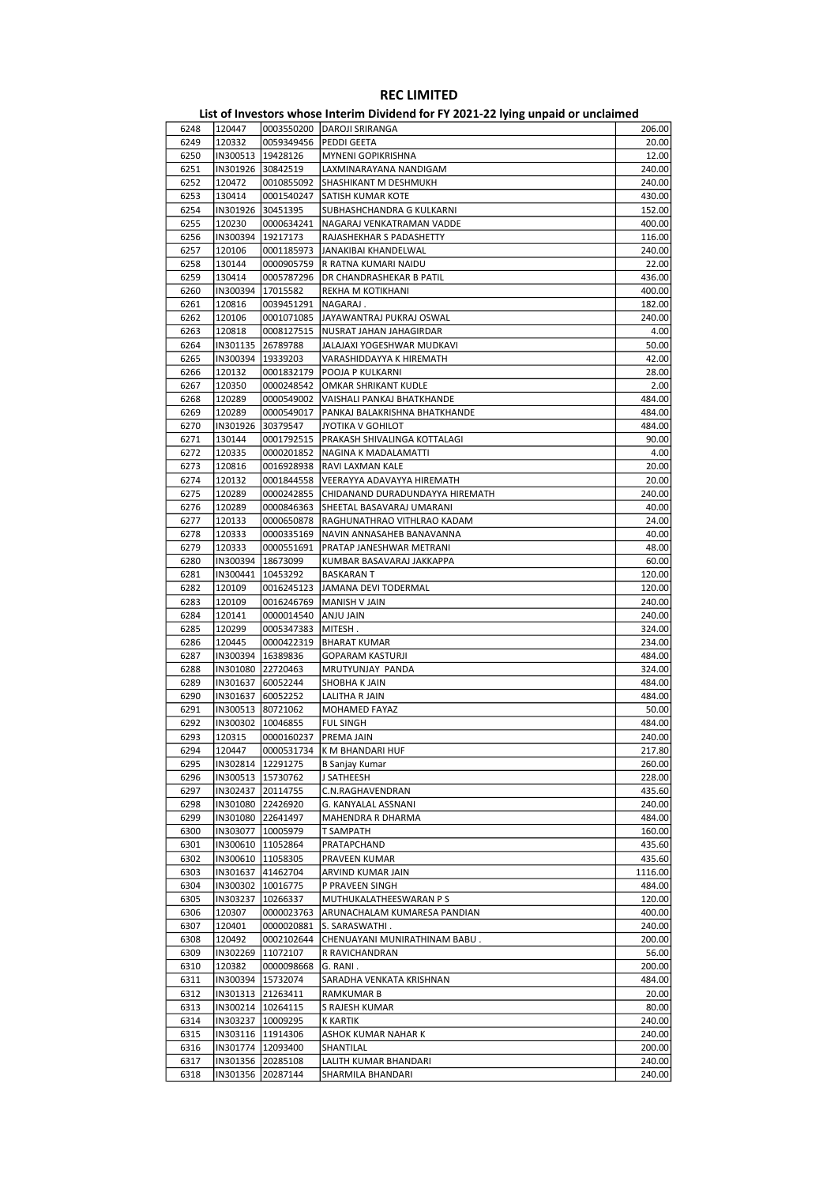|      |                     |                      | ED, or investors whose internit privation for it local LET ying unputs or uncluding |         |
|------|---------------------|----------------------|-------------------------------------------------------------------------------------|---------|
| 6248 | 120447              |                      | 0003550200 DAROJI SRIRANGA                                                          | 206.00  |
| 6249 | 120332              | 0059349456           | <b>PEDDI GEETA</b>                                                                  | 20.00   |
| 6250 | IN300513   19428126 |                      | <b>MYNENI GOPIKRISHNA</b>                                                           | 12.00   |
| 6251 | IN301926 30842519   |                      | LAXMINARAYANA NANDIGAM                                                              | 240.00  |
|      |                     |                      |                                                                                     |         |
| 6252 | 120472              | 0010855092           | SHASHIKANT M DESHMUKH                                                               | 240.00  |
| 6253 | 130414              | 0001540247           | SATISH KUMAR KOTE                                                                   | 430.00  |
| 6254 | IN301926 30451395   |                      | SUBHASHCHANDRA G KULKARNI                                                           | 152.00  |
| 6255 | 120230              | 0000634241           | NAGARAJ VENKATRAMAN VADDE                                                           | 400.00  |
| 6256 | IN300394 19217173   |                      | RAJASHEKHAR S PADASHETTY                                                            | 116.00  |
| 6257 | 120106              | 0001185973           | JANAKIBAI KHANDELWAL                                                                | 240.00  |
| 6258 | 130144              | 0000905759           | R RATNA KUMARI NAIDU                                                                | 22.00   |
| 6259 | 130414              | 0005787296           | DR CHANDRASHEKAR B PATIL                                                            | 436.00  |
| 6260 | IN300394 17015582   |                      | REKHA M KOTIKHANI                                                                   | 400.00  |
|      |                     |                      |                                                                                     |         |
| 6261 | 120816              | 0039451291           | NAGARAJ.                                                                            | 182.00  |
| 6262 | 120106              | 0001071085           | JAYAWANTRAJ PUKRAJ OSWAL                                                            | 240.00  |
| 6263 | 120818              | 0008127515           | NUSRAT JAHAN JAHAGIRDAR                                                             | 4.00    |
| 6264 | IN301135 26789788   |                      | JALAJAXI YOGESHWAR MUDKAVI                                                          | 50.00   |
| 6265 | IN300394 19339203   |                      | VARASHIDDAYYA K HIREMATH                                                            | 42.00   |
| 6266 | 120132              | 0001832179           | POOJA P KULKARNI                                                                    | 28.00   |
| 6267 | 120350              | 0000248542           | OMKAR SHRIKANT KUDLE                                                                | 2.00    |
| 6268 | 120289              | 0000549002           | VAISHALI PANKAJ BHATKHANDE                                                          | 484.00  |
|      |                     |                      |                                                                                     |         |
| 6269 | 120289              | 0000549017           | PANKAJ BALAKRISHNA BHATKHANDE                                                       | 484.00  |
| 6270 | IN301926 30379547   |                      | JYOTIKA V GOHILOT                                                                   | 484.00  |
| 6271 | 130144              | 0001792515           | PRAKASH SHIVALINGA KOTTALAGI                                                        | 90.00   |
| 6272 | 120335              | 0000201852           | NAGINA K MADALAMATTI                                                                | 4.00    |
| 6273 | 120816              | 0016928938           | RAVI LAXMAN KALE                                                                    | 20.00   |
| 6274 | 120132              | 0001844558           | VEERAYYA ADAVAYYA HIREMATH                                                          | 20.00   |
| 6275 | 120289              | 0000242855           | CHIDANAND DURADUNDAYYA HIREMATH                                                     | 240.00  |
|      |                     |                      |                                                                                     |         |
| 6276 | 120289              | 0000846363           | SHEETAL BASAVARAJ UMARANI                                                           | 40.00   |
| 6277 | 120133              | 0000650878           | RAGHUNATHRAO VITHLRAO KADAM                                                         | 24.00   |
| 6278 | 120333              | 0000335169           | NAVIN ANNASAHEB BANAVANNA                                                           | 40.00   |
| 6279 | 120333              | 0000551691           | PRATAP JANESHWAR METRANI                                                            | 48.00   |
| 6280 | IN300394   18673099 |                      | KUMBAR BASAVARAJ JAKKAPPA                                                           | 60.00   |
| 6281 | IN300441            | 10453292             | BASKARAN T                                                                          | 120.00  |
| 6282 | 120109              | 0016245123           | JAMANA DEVI TODERMAL                                                                | 120.00  |
| 6283 | 120109              | 0016246769           | MANISH V JAIN                                                                       | 240.00  |
|      |                     |                      |                                                                                     |         |
| 6284 | 120141              | 0000014540 ANJU JAIN |                                                                                     | 240.00  |
| 6285 | 120299              | 0005347383           | MITESH .                                                                            | 324.00  |
| 6286 | 120445              | 0000422319           | <b>BHARAT KUMAR</b>                                                                 | 234.00  |
| 6287 | IN300394            | 16389836             | <b>GOPARAM KASTURJI</b>                                                             | 484.00  |
| 6288 | IN301080 22720463   |                      | MRUTYUNJAY PANDA                                                                    | 324.00  |
| 6289 | IN301637 60052244   |                      | SHOBHA K JAIN                                                                       | 484.00  |
| 6290 | IN301637 60052252   |                      | LALITHA R JAIN                                                                      | 484.00  |
|      |                     |                      |                                                                                     | 50.00   |
| 6291 | IN300513 80721062   |                      | MOHAMED FAYAZ                                                                       |         |
| 6292 | IN300302            | 10046855             | <b>FUL SINGH</b>                                                                    | 484.00  |
| 6293 | 120315              | 0000160237           | <b>PREMA JAIN</b>                                                                   | 240.00  |
| 6294 | 120447              | 0000531734           | K M BHANDARI HUF                                                                    | 217.80  |
| 6295 | IN302814 12291275   |                      | B Sanjay Kumar                                                                      | 260.00  |
| 6296 | IN300513 15730762   |                      | J SATHEESH                                                                          | 228.00  |
| 6297 | IN302437 20114755   |                      | C.N.RAGHAVENDRAN                                                                    | 435.60  |
| 6298 | IN301080 22426920   |                      | G. KANYALAL ASSNANI                                                                 | 240.00  |
|      |                     |                      |                                                                                     |         |
| 6299 | IN301080 22641497   |                      | MAHENDRA R DHARMA                                                                   | 484.00  |
| 6300 | IN303077   10005979 |                      | T SAMPATH                                                                           | 160.00  |
| 6301 | IN300610 11052864   |                      | PRATAPCHAND                                                                         | 435.60  |
| 6302 | IN300610  11058305  |                      | PRAVEEN KUMAR                                                                       | 435.60  |
| 6303 |                     | IN301637 41462704    | ARVIND KUMAR JAIN                                                                   | 1116.00 |
| 6304 | IN300302   10016775 |                      | P PRAVEEN SINGH                                                                     | 484.00  |
| 6305 | IN303237 10266337   |                      | MUTHUKALATHEESWARAN P S                                                             | 120.00  |
| 6306 | 120307              | 0000023763           | ARUNACHALAM KUMARESA PANDIAN                                                        | 400.00  |
| 6307 | 120401              |                      |                                                                                     |         |
|      |                     | 0000020881           | S. SARASWATHI.                                                                      | 240.00  |
| 6308 | 120492              | 0002102644           | CHENUAYANI MUNIRATHINAM BABU.                                                       | 200.00  |
| 6309 | IN302269 11072107   |                      | R RAVICHANDRAN                                                                      | 56.00   |
| 6310 | 120382              | 0000098668           | G. RANI.                                                                            | 200.00  |
| 6311 | IN300394 15732074   |                      | SARADHA VENKATA KRISHNAN                                                            | 484.00  |
| 6312 | IN301313 21263411   |                      | RAMKUMAR B                                                                          | 20.00   |
| 6313 | IN300214   10264115 |                      | S RAJESH KUMAR                                                                      | 80.00   |
| 6314 | IN303237   10009295 |                      | K KARTIK                                                                            | 240.00  |
|      |                     |                      |                                                                                     |         |
| 6315 | IN303116   11914306 |                      | ASHOK KUMAR NAHAR K                                                                 | 240.00  |
| 6316 | IN301774 12093400   |                      | SHANTILAL                                                                           | 200.00  |
| 6317 |                     | IN301356 20285108    | LALITH KUMAR BHANDARI                                                               | 240.00  |
| 6318 |                     | IN301356 20287144    | SHARMILA BHANDARI                                                                   | 240.00  |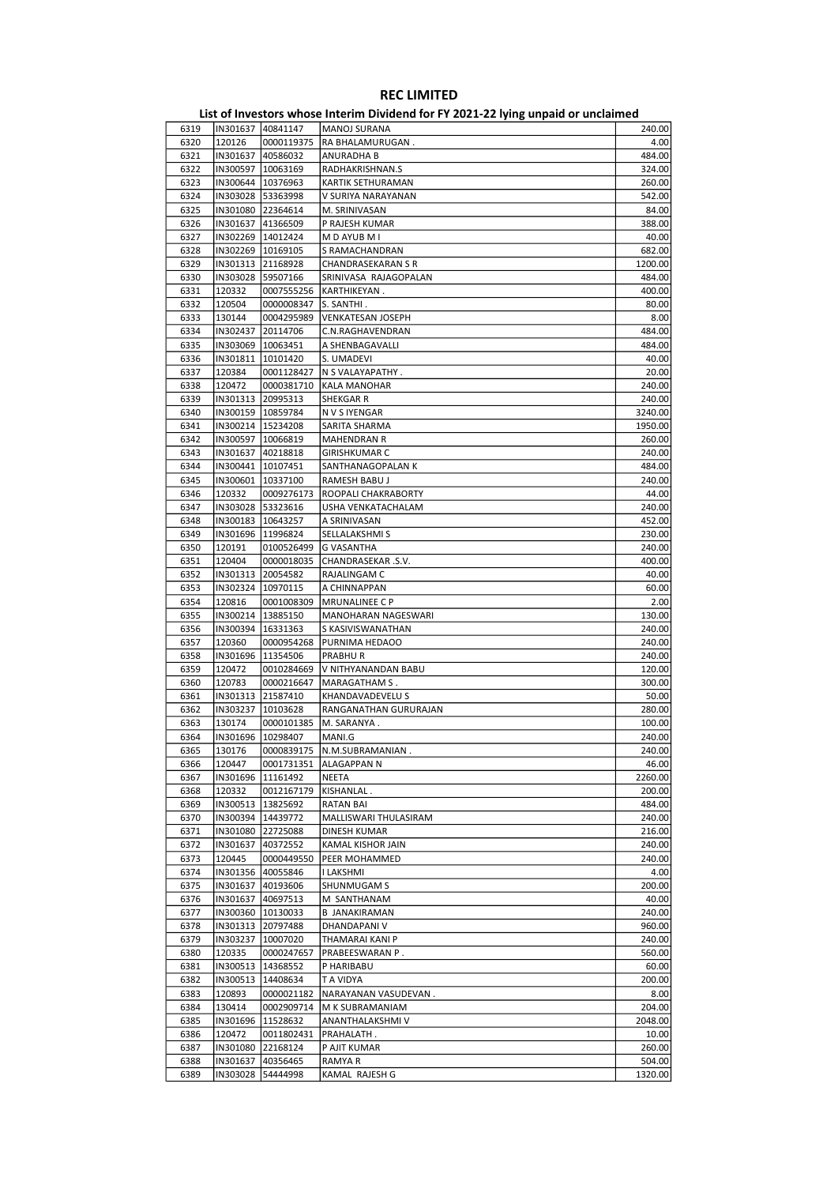|      |                     |                     | . . <i>,</i> p pu.u          |         |
|------|---------------------|---------------------|------------------------------|---------|
| 6319 | IN301637 40841147   |                     | <b>MANOJ SURANA</b>          | 240.00  |
| 6320 | 120126              | 0000119375          | RA BHALAMURUGAN.             | 4.00    |
| 6321 | IN301637 40586032   |                     | ANURADHA B                   | 484.00  |
| 6322 | IN300597   10063169 |                     | RADHAKRISHNAN.S              | 324.00  |
| 6323 | IN300644   10376963 |                     | KARTIK SETHURAMAN            | 260.00  |
| 6324 | IN303028 53363998   |                     | V SURIYA NARAYANAN           | 542.00  |
| 6325 | IN301080 22364614   |                     | M. SRINIVASAN                | 84.00   |
|      |                     |                     |                              |         |
| 6326 | IN301637 41366509   |                     | P RAJESH KUMAR               | 388.00  |
| 6327 | IN302269 14012424   |                     | M D AYUB M I                 | 40.00   |
| 6328 | IN302269   10169105 |                     | S RAMACHANDRAN               | 682.00  |
| 6329 | IN301313 21168928   |                     | <b>CHANDRASEKARAN S R</b>    | 1200.00 |
| 6330 | IN303028 59507166   |                     | SRINIVASA RAJAGOPALAN        | 484.00  |
| 6331 | 120332              | 0007555256          | KARTHIKEYAN.                 | 400.00  |
| 6332 | 120504              | 0000008347          | S. SANTHI.                   | 80.00   |
| 6333 | 130144              | 0004295989          | <b>VENKATESAN JOSEPH</b>     | 8.00    |
| 6334 | IN302437            | 20114706            | C.N.RAGHAVENDRAN             | 484.00  |
| 6335 | IN303069   10063451 |                     | A SHENBAGAVALLI              | 484.00  |
| 6336 | IN301811   10101420 |                     | S. UMADEVI                   | 40.00   |
| 6337 | 120384              | 0001128427          | N S VALAYAPATHY .            | 20.00   |
| 6338 | 120472              | 0000381710          | <b>KALA MANOHAR</b>          | 240.00  |
| 6339 | IN301313 20995313   |                     | SHEKGAR R                    | 240.00  |
| 6340 | IN300159   10859784 |                     | N V S IYENGAR                | 3240.00 |
| 6341 | IN300214   15234208 |                     | SARITA SHARMA                | 1950.00 |
|      | IN300597 10066819   |                     |                              |         |
| 6342 |                     |                     | <b>MAHENDRAN R</b>           | 260.00  |
| 6343 | IN301637 40218818   |                     | GIRISHKUMAR C                | 240.00  |
| 6344 | IN300441   10107451 |                     | SANTHANAGOPALAN K            | 484.00  |
| 6345 | IN300601   10337100 |                     | RAMESH BABU J                | 240.00  |
| 6346 | 120332              | 0009276173          | <b>ROOPALI CHAKRABORTY</b>   | 44.00   |
| 6347 | IN303028 53323616   |                     | USHA VENKATACHALAM           | 240.00  |
| 6348 | IN300183   10643257 |                     | A SRINIVASAN                 | 452.00  |
| 6349 | IN301696   11996824 |                     | SELLALAKSHMI S               | 230.00  |
| 6350 | 120191              | 0100526499          | G VASANTHA                   | 240.00  |
| 6351 | 120404              | 0000018035          | CHANDRASEKAR .S.V.           | 400.00  |
| 6352 | IN301313 20054582   |                     | RAJALINGAM C                 | 40.00   |
| 6353 | IN302324 10970115   |                     | A CHINNAPPAN                 | 60.00   |
| 6354 | 120816              | 0001008309          | <b>MRUNALINEE C P</b>        | 2.00    |
| 6355 | IN300214   13885150 |                     | MANOHARAN NAGESWARI          | 130.00  |
| 6356 | IN300394   16331363 |                     | S KASIVISWANATHAN            | 240.00  |
| 6357 | 120360              | 0000954268          | PURNIMA HEDAOO               | 240.00  |
| 6358 |                     |                     |                              | 240.00  |
|      | IN301696   11354506 |                     | PRABHU R                     |         |
| 6359 | 120472              | 0010284669          | V NITHYANANDAN BABU          | 120.00  |
| 6360 | 120783              | 0000216647          | MARAGATHAM S.                | 300.00  |
| 6361 | IN301313 21587410   |                     | KHANDAVADEVELU S             | 50.00   |
| 6362 | IN303237   10103628 |                     | RANGANATHAN GURURAJAN        | 280.00  |
| 6363 | 130174              | 0000101385          | M. SARANYA.                  | 100.00  |
| 6364 | IN301696   10298407 |                     | MANI.G                       | 240.00  |
| 6365 | 130176              |                     | 0000839175  N.M.SUBRAMANIAN. | 240.00  |
| 6366 | 120447              | 0001731351          | ALAGAPPAN N                  | 46.00   |
| 6367 |                     | IN301696   11161492 | NEETA                        | 2260.00 |
| 6368 | 120332              | 0012167179          | KISHANLAL.                   | 200.00  |
| 6369 | IN300513   13825692 |                     | RATAN BAI                    | 484.00  |
| 6370 |                     | IN300394   14439772 | MALLISWARI THULASIRAM        | 240.00  |
| 6371 | IN301080 22725088   |                     | DINESH KUMAR                 | 216.00  |
| 6372 | IN301637            | 40372552            | KAMAL KISHOR JAIN            | 240.00  |
| 6373 | 120445              | 0000449550          | PEER MOHAMMED                | 240.00  |
| 6374 | IN301356 40055846   |                     | I LAKSHMI                    | 4.00    |
|      |                     |                     |                              |         |
| 6375 |                     | IN301637 40193606   | SHUNMUGAM S                  | 200.00  |
| 6376 | IN301637 40697513   |                     | M SANTHANAM                  | 40.00   |
| 6377 | IN300360   10130033 |                     | <b>B JANAKIRAMAN</b>         | 240.00  |
| 6378 |                     | IN301313 20797488   | DHANDAPANI V                 | 960.00  |
| 6379 | IN303237            | 10007020            | THAMARAI KANI P              | 240.00  |
| 6380 | 120335              | 0000247657          | PRABEESWARAN P.              | 560.00  |
| 6381 |                     | IN300513   14368552 | P HARIBABU                   | 60.00   |
| 6382 | IN300513   14408634 |                     | T A VIDYA                    | 200.00  |
| 6383 | 120893              | 0000021182          | NARAYANAN VASUDEVAN.         | 8.00    |
| 6384 | 130414              | 0002909714          | M K SUBRAMANIAM              | 204.00  |
| 6385 |                     | IN301696   11528632 | ANANTHALAKSHMI V             | 2048.00 |
| 6386 | 120472              | 0011802431          | PRAHALATH.                   | 10.00   |
| 6387 | IN301080 22168124   |                     | P AJIT KUMAR                 | 260.00  |
| 6388 | IN301637            | 40356465            | RAMYA R                      | 504.00  |
| 6389 | IN303028            | 54444998            | KAMAL RAJESH G               | 1320.00 |
|      |                     |                     |                              |         |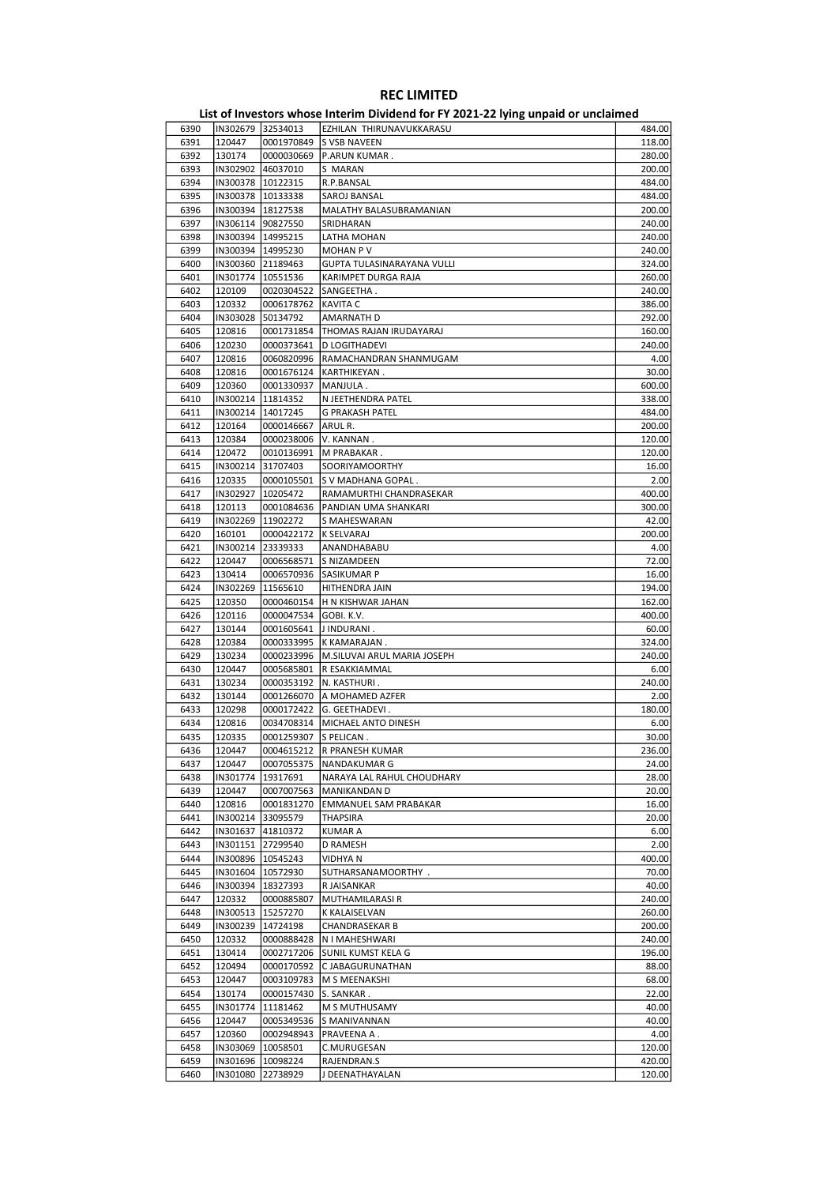|      |                     |                      | List of Investors whose Interim Dividend for FY 2021-22 lying unpaid or unclaimed |        |
|------|---------------------|----------------------|-----------------------------------------------------------------------------------|--------|
| 6390 | IN302679 32534013   |                      | EZHILAN THIRUNAVUKKARASU                                                          | 484.00 |
| 6391 | 120447              | 0001970849           | <b>S VSB NAVEEN</b>                                                               | 118.00 |
| 6392 | 130174              | 0000030669           | P.ARUN KUMAR.                                                                     | 280.00 |
| 6393 | IN302902 46037010   |                      | S MARAN                                                                           | 200.00 |
| 6394 | IN300378   10122315 |                      | R.P.BANSAL                                                                        | 484.00 |
| 6395 | IN300378 10133338   |                      | SAROJ BANSAL                                                                      | 484.00 |
| 6396 | IN300394   18127538 |                      | MALATHY BALASUBRAMANIAN                                                           | 200.00 |
| 6397 | IN306114 90827550   |                      | SRIDHARAN                                                                         | 240.00 |
| 6398 | IN300394 14995215   |                      | LATHA MOHAN                                                                       | 240.00 |
| 6399 | IN300394   14995230 |                      | <b>MOHAN PV</b>                                                                   | 240.00 |
| 6400 | IN300360 21189463   |                      | GUPTA TULASINARAYANA VULLI                                                        | 324.00 |
| 6401 | IN301774   10551536 |                      | KARIMPET DURGA RAJA                                                               | 260.00 |
| 6402 | 120109              | 0020304522           | SANGEETHA.                                                                        | 240.00 |
| 6403 | 120332              | 0006178762           | <b>KAVITA C</b>                                                                   | 386.00 |
| 6404 | IN303028            | 50134792             | AMARNATH D                                                                        | 292.00 |
| 6405 | 120816              | 0001731854           | THOMAS RAJAN IRUDAYARAJ                                                           | 160.00 |
| 6406 | 120230              | 0000373641           | <b>D LOGITHADEVI</b>                                                              | 240.00 |
| 6407 | 120816              | 0060820996           | RAMACHANDRAN SHANMUGAM                                                            | 4.00   |
| 6408 | 120816              | 0001676124           | KARTHIKEYAN.                                                                      | 30.00  |
| 6409 | 120360              | 0001330937           | MANJULA.                                                                          | 600.00 |
| 6410 | IN300214            | 11814352             | N JEETHENDRA PATEL                                                                | 338.00 |
| 6411 | IN300214   14017245 |                      | <b>G PRAKASH PATEL</b>                                                            | 484.00 |
| 6412 | 120164              | 0000146667           | ARUL R.                                                                           | 200.00 |
| 6413 | 120384              | 0000238006           | V. KANNAN.                                                                        | 120.00 |
| 6414 | 120472              | 0010136991           | M PRABAKAR.                                                                       | 120.00 |
|      | IN300214            | 31707403             |                                                                                   | 16.00  |
| 6415 |                     |                      | SOORIYAMOORTHY                                                                    |        |
| 6416 | 120335              | 0000105501           | S V MADHANA GOPAL.                                                                | 2.00   |
| 6417 | IN302927            | 10205472             | RAMAMURTHI CHANDRASEKAR                                                           | 400.00 |
| 6418 | 120113              | 0001084636           | PANDIAN UMA SHANKARI                                                              | 300.00 |
| 6419 | IN302269            | 11902272             | S MAHESWARAN                                                                      | 42.00  |
| 6420 | 160101              | 0000422172           | <b>K SELVARAJ</b>                                                                 | 200.00 |
| 6421 | IN300214 23339333   |                      | ANANDHABABU                                                                       | 4.00   |
| 6422 | 120447              | 0006568571           | S NIZAMDEEN                                                                       | 72.00  |
| 6423 | 130414              | 0006570936           | SASIKUMAR P                                                                       | 16.00  |
| 6424 | IN302269            | 11565610             | HITHENDRA JAIN                                                                    | 194.00 |
| 6425 | 120350              | 0000460154           | H N KISHWAR JAHAN                                                                 | 162.00 |
| 6426 | 120116              | 0000047534           | GOBI. K.V.                                                                        | 400.00 |
| 6427 | 130144              | 0001605641           | J INDURANI.                                                                       | 60.00  |
| 6428 | 120384              | 0000333995           | K KAMARAJAN.                                                                      | 324.00 |
| 6429 | 130234              | 0000233996           | M.SILUVAI ARUL MARIA JOSEPH                                                       | 240.00 |
| 6430 | 120447              | 0005685801           | R ESAKKIAMMAL                                                                     | 6.00   |
| 6431 | 130234              | 0000353192           | N. KASTHURI.                                                                      | 240.00 |
| 6432 | 130144              | 0001266070           | A MOHAMED AZFER                                                                   | 2.00   |
| 6433 | 120298              | 0000172422           | G. GEETHADEVI.                                                                    | 180.00 |
| 6434 | 120816              | 0034708314           | MICHAEL ANTO DINESH                                                               | 6.00   |
| 6435 | 120335              | 0001259307 S PELICAN |                                                                                   | 30.00  |
| 6436 | 120447              |                      | 0004615212  R PRANESH KUMAR                                                       | 236.00 |
| 6437 | 120447              | 0007055375           | <b>NANDAKUMAR G</b>                                                               | 24.00  |
| 6438 | IN301774            | 19317691             | NARAYA LAL RAHUL CHOUDHARY                                                        | 28.00  |
| 6439 | 120447              | 0007007563           | MANIKANDAN D                                                                      | 20.00  |
| 6440 | 120816              | 0001831270           | <b>EMMANUEL SAM PRABAKAR</b>                                                      | 16.00  |
| 6441 | IN300214 33095579   |                      | <b>THAPSIRA</b>                                                                   | 20.00  |
| 6442 | IN301637 41810372   |                      | <b>KUMAR A</b>                                                                    | 6.00   |
| 6443 | IN301151 27299540   |                      | D RAMESH                                                                          | 2.00   |
| 6444 |                     | IN300896   10545243  |                                                                                   | 400.00 |
|      |                     |                      | VIDHYA N                                                                          | 70.00  |
| 6445 | IN301604   10572930 |                      | SUTHARSANAMOORTHY.                                                                |        |
| 6446 |                     | IN300394   18327393  | R JAISANKAR                                                                       | 40.00  |
| 6447 | 120332              | 0000885807           | MUTHAMILARASI R                                                                   | 240.00 |
| 6448 | IN300513            | 15257270             | K KALAISELVAN                                                                     | 260.00 |
| 6449 | IN300239            | 14724198             | CHANDRASEKAR B                                                                    | 200.00 |
| 6450 | 120332              | 0000888428           | N I MAHESHWARI                                                                    | 240.00 |
| 6451 | 130414              | 0002717206           | SUNIL KUMST KELA G                                                                | 196.00 |
| 6452 | 120494              | 0000170592           | C JABAGURUNATHAN                                                                  | 88.00  |
| 6453 | 120447              | 0003109783           | M S MEENAKSHI                                                                     | 68.00  |
| 6454 | 130174              | 0000157430           | S. SANKAR.                                                                        | 22.00  |
| 6455 | IN301774            | 11181462             | M S MUTHUSAMY                                                                     | 40.00  |
| 6456 | 120447              | 0005349536           | S MANIVANNAN                                                                      | 40.00  |
| 6457 | 120360              | 0002948943           | PRAVEENA A.                                                                       | 4.00   |
| 6458 | IN303069            | 10058501             | C.MURUGESAN                                                                       | 120.00 |
| 6459 |                     | IN301696   10098224  | RAJENDRAN.S                                                                       | 420.00 |
| 6460 |                     | IN301080 22738929    | J DEENATHAYALAN                                                                   | 120.00 |
|      |                     |                      |                                                                                   |        |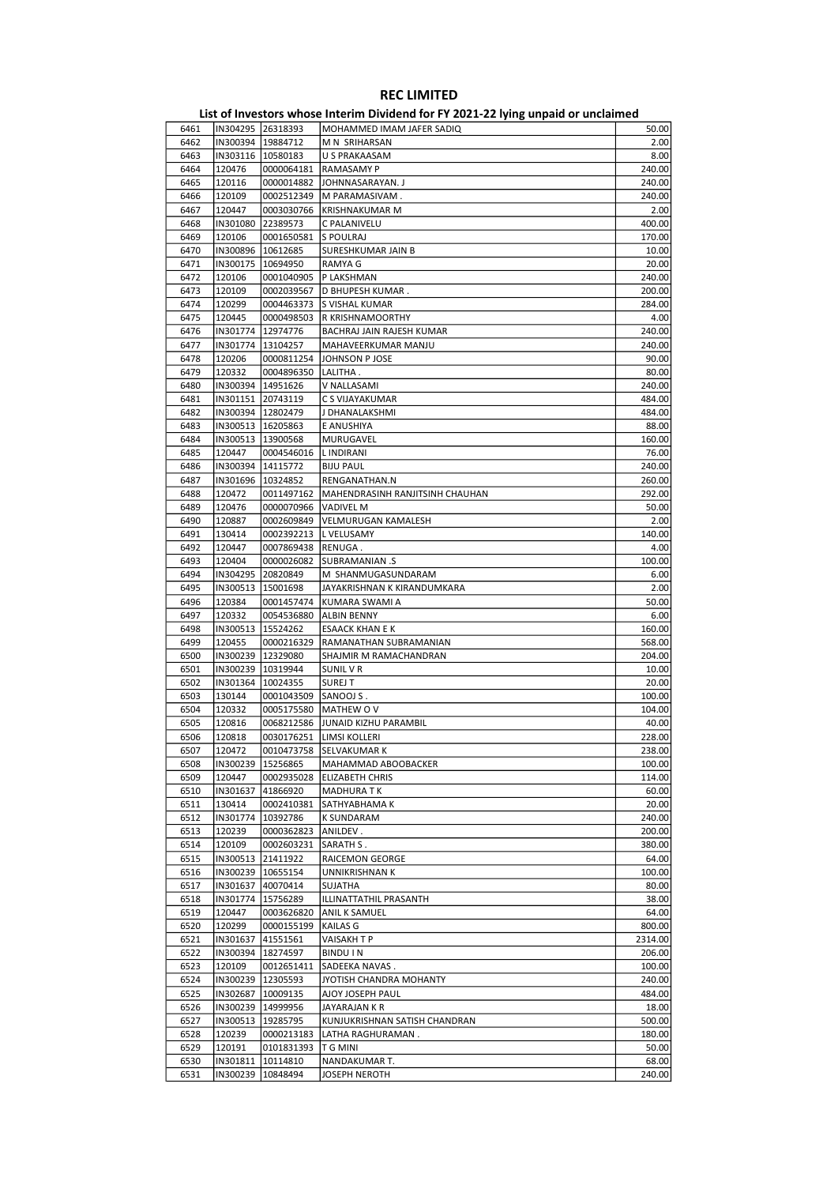|      |                     |                        | -- -- יזיי                      |         |
|------|---------------------|------------------------|---------------------------------|---------|
| 6461 |                     | IN304295 26318393      | MOHAMMED IMAM JAFER SADIQ       | 50.00   |
| 6462 |                     | IN300394 19884712      | M N SRIHARSAN                   | 2.00    |
| 6463 |                     | IN303116   10580183    | U S PRAKAASAM                   | 8.00    |
| 6464 | 120476              | 0000064181             | RAMASAMY P                      | 240.00  |
| 6465 | 120116              | 0000014882             | JOHNNASARAYAN. J                | 240.00  |
|      | 120109              |                        |                                 | 240.00  |
| 6466 |                     | 0002512349             | M PARAMASIVAM.                  |         |
| 6467 | 120447              | 0003030766             | <b>KRISHNAKUMAR M</b>           | 2.00    |
| 6468 |                     | IN301080 22389573      | C PALANIVELU                    | 400.00  |
| 6469 | 120106              | 0001650581             | S POULRAJ                       | 170.00  |
| 6470 | IN300896   10612685 |                        | SURESHKUMAR JAIN B              | 10.00   |
| 6471 | IN300175            | 10694950               | RAMYA G                         | 20.00   |
| 6472 | 120106              | 0001040905             | P LAKSHMAN                      | 240.00  |
| 6473 | 120109              | 0002039567             | D BHUPESH KUMAR.                | 200.00  |
|      |                     |                        |                                 |         |
| 6474 | 120299              | 0004463373             | S VISHAL KUMAR                  | 284.00  |
| 6475 | 120445              | 0000498503             | R KRISHNAMOORTHY                | 4.00    |
| 6476 | IN301774            | 12974776               | BACHRAJ JAIN RAJESH KUMAR       | 240.00  |
| 6477 |                     | IN301774 13104257      | MAHAVEERKUMAR MANJU             | 240.00  |
| 6478 | 120206              | 0000811254             | JOHNSON P JOSE                  | 90.00   |
| 6479 | 120332              | 0004896350             | LALITHA.                        | 80.00   |
| 6480 | IN300394   14951626 |                        | V NALLASAMI                     | 240.00  |
|      |                     |                        |                                 |         |
| 6481 | IN301151            | 20743119               | C S VIJAYAKUMAR                 | 484.00  |
| 6482 |                     | IN300394   12802479    | J DHANALAKSHMI                  | 484.00  |
| 6483 |                     | IN300513   16205863    | E ANUSHIYA                      | 88.00   |
| 6484 |                     | IN300513   13900568    | MURUGAVEL                       | 160.00  |
| 6485 | 120447              | 0004546016             | L INDIRANI                      | 76.00   |
| 6486 | IN300394            | 14115772               | <b>BIJU PAUL</b>                | 240.00  |
| 6487 |                     |                        | RENGANATHAN.N                   | 260.00  |
|      |                     | IN301696   10324852    |                                 |         |
| 6488 | 120472              | 0011497162             | MAHENDRASINH RANJITSINH CHAUHAN | 292.00  |
| 6489 | 120476              | 0000070966             | <b>VADIVEL M</b>                | 50.00   |
| 6490 | 120887              | 0002609849             | VELMURUGAN KAMALESH             | 2.00    |
| 6491 | 130414              | 0002392213             | L VELUSAMY                      | 140.00  |
| 6492 | 120447              | 0007869438             | RENUGA.                         | 4.00    |
| 6493 | 120404              | 0000026082             | <b>SUBRAMANIAN .S</b>           | 100.00  |
| 6494 | IN304295            | 20820849               | M SHANMUGASUNDARAM              | 6.00    |
|      |                     |                        |                                 |         |
| 6495 | IN300513            | 15001698               | JAYAKRISHNAN K KIRANDUMKARA     | 2.00    |
| 6496 | 120384              | 0001457474             | KUMARA SWAMI A                  | 50.00   |
| 6497 | 120332              | 0054536880             | <b>ALBIN BENNY</b>              | 6.00    |
| 6498 |                     | IN300513   15524262    | <b>ESAACK KHAN E K</b>          | 160.00  |
| 6499 | 120455              | 0000216329             | RAMANATHAN SUBRAMANIAN          | 568.00  |
| 6500 |                     | IN300239   12329080    | SHAJMIR M RAMACHANDRAN          | 204.00  |
| 6501 | IN300239            | 10319944               | <b>SUNIL VR</b>                 | 10.00   |
|      |                     |                        |                                 |         |
| 6502 | IN301364            | 10024355               | <b>SUREJ T</b>                  | 20.00   |
| 6503 | 130144              | 0001043509   SANOOJ S. |                                 | 100.00  |
| 6504 | 120332              | 0005175580             | MATHEW O V                      | 104.00  |
| 6505 | 120816              | 0068212586             | JUNAID KIZHU PARAMBIL           | 40.00   |
| 6506 | 120818              | 0030176251             | LIMSI KOLLERI                   | 228.00  |
| 6507 | 120472              |                        | 0010473758  SELVAKUMAR K        | 238.00  |
| 6508 |                     | IN300239   15256865    | MAHAMMAD ABOOBACKER             | 100.00  |
|      |                     |                        |                                 |         |
| 6509 | 120447              | 0002935028             | <b>ELIZABETH CHRIS</b>          | 114.00  |
| 6510 | IN301637            | 41866920               | <b>MADHURA TK</b>               | 60.00   |
| 6511 | 130414              | 0002410381             | SATHYABHAMA K                   | 20.00   |
| 6512 |                     | IN301774   10392786    | <b>K SUNDARAM</b>               | 240.00  |
| 6513 | 120239              | 0000362823             | ANILDEV.                        | 200.00  |
| 6514 | 120109              | 0002603231             | SARATH S.                       | 380.00  |
| 6515 |                     | IN300513 21411922      | RAICEMON GEORGE                 | 64.00   |
| 6516 |                     | IN300239 10655154      | UNNIKRISHNAN K                  | 100.00  |
|      |                     |                        |                                 |         |
| 6517 | IN301637            | 40070414               | SUJATHA                         | 80.00   |
| 6518 |                     | IN301774   15756289    | ILLINATTATHIL PRASANTH          | 38.00   |
| 6519 | 120447              | 0003626820             | <b>ANIL K SAMUEL</b>            | 64.00   |
| 6520 | 120299              | 0000155199             | <b>KAILAS G</b>                 | 800.00  |
| 6521 | IN301637            | 41551561               | VAISAKH T P                     | 2314.00 |
| 6522 |                     | IN300394   18274597    | <b>BINDU IN</b>                 | 206.00  |
| 6523 | 120109              | 0012651411             | SADEEKA NAVAS.                  | 100.00  |
|      |                     |                        |                                 |         |
| 6524 | IN300239   12305593 |                        | JYOTISH CHANDRA MOHANTY         | 240.00  |
| 6525 | IN302687            | 10009135               | AJOY JOSEPH PAUL                | 484.00  |
| 6526 |                     | IN300239 14999956      | JAYARAJAN K R                   | 18.00   |
| 6527 |                     | IN300513   19285795    | KUNJUKRISHNAN SATISH CHANDRAN   | 500.00  |
| 6528 | 120239              | 0000213183             | LATHA RAGHURAMAN.               | 180.00  |
| 6529 | 120191              | 0101831393             | <b>T G MINI</b>                 | 50.00   |
| 6530 | IN301811            | 10114810               | NANDAKUMAR T.                   | 68.00   |
|      | IN300239            | 10848494               | JOSEPH NEROTH                   | 240.00  |
| 6531 |                     |                        |                                 |         |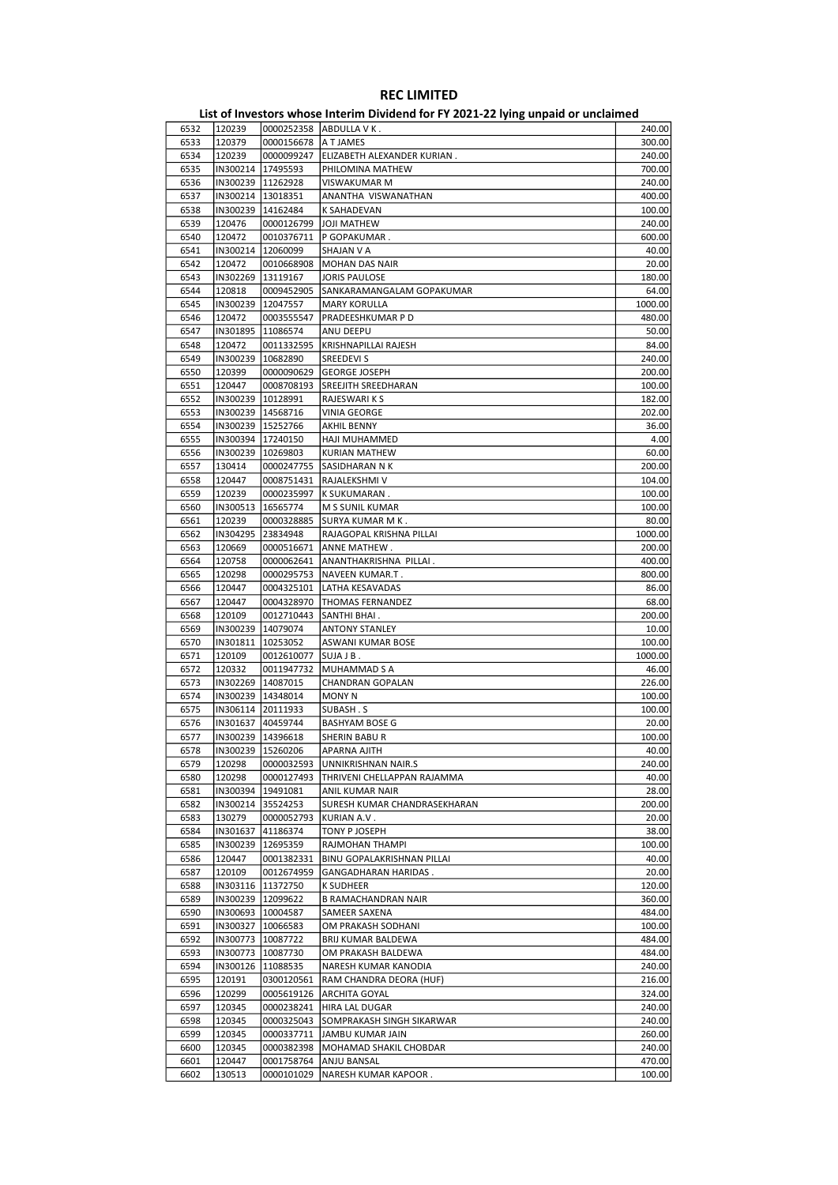| 6532 | 120239              |                     | 0000252358 ABDULLA V K.      | 240.00  |
|------|---------------------|---------------------|------------------------------|---------|
| 6533 | 120379              | 0000156678          | A T JAMES                    | 300.00  |
| 6534 | 120239              |                     |                              |         |
|      |                     | 0000099247          | ELIZABETH ALEXANDER KURIAN.  | 240.00  |
| 6535 | IN300214   17495593 |                     | PHILOMINA MATHEW             | 700.00  |
| 6536 | IN300239   11262928 |                     | VISWAKUMAR M                 | 240.00  |
|      |                     |                     |                              |         |
| 6537 | IN300214   13018351 |                     | ANANTHA VISWANATHAN          | 400.00  |
| 6538 | IN300239   14162484 |                     | <b>K SAHADEVAN</b>           | 100.00  |
|      |                     |                     |                              |         |
| 6539 | 120476              | 0000126799          | JOJI MATHEW                  | 240.00  |
| 6540 | 120472              | 0010376711          | P GOPAKUMAR.                 | 600.00  |
| 6541 | IN300214   12060099 |                     |                              | 40.00   |
|      |                     |                     | SHAJAN V A                   |         |
| 6542 | 120472              | 0010668908          | <b>MOHAN DAS NAIR</b>        | 20.00   |
| 6543 | IN302269   13119167 |                     | JORIS PAULOSE                | 180.00  |
|      |                     |                     |                              |         |
| 6544 | 120818              | 0009452905          | SANKARAMANGALAM GOPAKUMAR    | 64.00   |
| 6545 | IN300239   12047557 |                     | <b>MARY KORULLA</b>          | 1000.00 |
|      |                     |                     |                              |         |
| 6546 | 120472              | 0003555547          | PRADEESHKUMAR P D            | 480.00  |
| 6547 | IN301895            | 11086574            | ANU DEEPU                    | 50.00   |
| 6548 |                     |                     |                              | 84.00   |
|      | 120472              | 0011332595          | KRISHNAPILLAI RAJESH         |         |
| 6549 | IN300239            | 10682890            | <b>SREEDEVI S</b>            | 240.00  |
| 6550 | 120399              | 0000090629          | <b>GEORGE JOSEPH</b>         | 200.00  |
|      |                     |                     |                              |         |
| 6551 | 120447              | 0008708193          | SREEJITH SREEDHARAN          | 100.00  |
| 6552 | IN300239   10128991 |                     | RAJESWARI K S                | 182.00  |
|      |                     |                     |                              |         |
| 6553 | IN300239 14568716   |                     | VINIA GEORGE                 | 202.00  |
| 6554 |                     | IN300239 15252766   | AKHIL BENNY                  | 36.00   |
|      |                     |                     |                              |         |
| 6555 | IN300394   17240150 |                     | HAJI MUHAMMED                | 4.00    |
| 6556 | IN300239   10269803 |                     | KURIAN MATHEW                | 60.00   |
| 6557 | 130414              |                     |                              | 200.00  |
|      |                     | 0000247755          | SASIDHARAN N K               |         |
| 6558 | 120447              | 0008751431          | RAJALEKSHMI V                | 104.00  |
| 6559 | 120239              | 0000235997          | K SUKUMARAN.                 | 100.00  |
|      |                     |                     |                              |         |
| 6560 | IN300513            | 16565774            | M S SUNIL KUMAR              | 100.00  |
| 6561 | 120239              | 0000328885          | SURYA KUMAR M K .            | 80.00   |
|      |                     |                     |                              |         |
| 6562 | IN304295            | 23834948            | RAJAGOPAL KRISHNA PILLAI     | 1000.00 |
| 6563 | 120669              | 0000516671          | ANNE MATHEW.                 | 200.00  |
| 6564 | 120758              | 0000062641          | ANANTHAKRISHNA PILLAI.       | 400.00  |
|      |                     |                     |                              |         |
| 6565 | 120298              | 0000295753          | NAVEEN KUMAR.T.              | 800.00  |
| 6566 | 120447              | 0004325101          | LATHA KESAVADAS              | 86.00   |
|      |                     |                     |                              |         |
| 6567 | 120447              | 0004328970          | <b>THOMAS FERNANDEZ</b>      | 68.00   |
| 6568 | 120109              | 0012710443          | SANTHI BHAI.                 | 200.00  |
|      |                     |                     |                              |         |
| 6569 | IN300239            | 14079074            | <b>ANTONY STANLEY</b>        | 10.00   |
| 6570 | IN301811            | 10253052            | ASWANI KUMAR BOSE            | 100.00  |
| 6571 | 120109              | 0012610077          | SUJA J B.                    | 1000.00 |
|      |                     |                     |                              |         |
| 6572 | 120332              | 0011947732          | MUHAMMAD S A                 | 46.00   |
| 6573 | IN302269   14087015 |                     | CHANDRAN GOPALAN             | 226.00  |
|      |                     |                     |                              |         |
| 6574 |                     | IN300239 14348014   | <b>MONY N</b>                | 100.00  |
| 6575 | IN306114 20111933   |                     | SUBASH.S                     | 100.00  |
|      |                     |                     |                              |         |
| 6576 | IN301637 40459744   |                     | <b>BASHYAM BOSE G</b>        | 20.00   |
| 6577 | IN300239   14396618 |                     | SHERIN BABU R                | 100.00  |
| 6578 | IN300239 15260206   |                     | APARNA AJITH                 | 40.00   |
|      |                     |                     |                              |         |
| 6579 | 120298              | 0000032593          | UNNIKRISHNAN NAIR.S          | 240.00  |
| 6580 | 120298              | 0000127493          | THRIVENI CHELLAPPAN RAJAMMA  | 40.00   |
|      |                     |                     |                              |         |
| 6581 | IN300394   19491081 |                     | ANIL KUMAR NAIR              | 28.00   |
| 6582 | IN300214 35524253   |                     | SURESH KUMAR CHANDRASEKHARAN | 200.00  |
|      |                     |                     | KURIAN A.V.                  |         |
| 6583 | 130279              | 0000052793          |                              | 20.00   |
| 6584 | IN301637            | 41186374            | TONY P JOSEPH                | 38.00   |
| 6585 | IN300239            | 12695359            | RAJMOHAN THAMPI              | 100.00  |
|      |                     |                     |                              |         |
| 6586 | 120447              | 0001382331          | BINU GOPALAKRISHNAN PILLAI   | 40.00   |
| 6587 | 120109              | 0012674959          | GANGADHARAN HARIDAS.         | 20.00   |
|      |                     |                     |                              |         |
| 6588 |                     | IN303116 11372750   | <b>K SUDHEER</b>             | 120.00  |
| 6589 | IN300239   12099622 |                     | <b>B RAMACHANDRAN NAIR</b>   | 360.00  |
|      |                     |                     |                              |         |
| 6590 | IN300693   10004587 |                     | SAMEER SAXENA                | 484.00  |
| 6591 | IN300327   10066583 |                     | OM PRAKASH SODHANI           | 100.00  |
| 6592 | IN300773   10087722 |                     | BRIJ KUMAR BALDEWA           | 484.00  |
|      |                     |                     |                              |         |
| 6593 |                     | IN300773   10087730 | OM PRAKASH BALDEWA           | 484.00  |
| 6594 |                     | IN300126   11088535 | NARESH KUMAR KANODIA         | 240.00  |
|      |                     |                     |                              |         |
| 6595 | 120191              | 0300120561          | RAM CHANDRA DEORA (HUF)      | 216.00  |
| 6596 | 120299              | 0005619126          | <b>ARCHITA GOYAL</b>         | 324.00  |
|      |                     |                     |                              |         |
| 6597 | 120345              | 0000238241          | HIRA LAL DUGAR               | 240.00  |
| 6598 | 120345              | 0000325043          | SOMPRAKASH SINGH SIKARWAR    | 240.00  |
|      |                     |                     |                              |         |
| 6599 | 120345              | 0000337711          | JAMBU KUMAR JAIN             | 260.00  |
| 6600 | 120345              | 0000382398          | MOHAMAD SHAKIL CHOBDAR       | 240.00  |
| 6601 | 120447              | 0001758764          | ANJU BANSAL                  | 470.00  |
|      |                     |                     |                              |         |
| 6602 | 130513              | 0000101029          | NARESH KUMAR KAPOOR .        | 100.00  |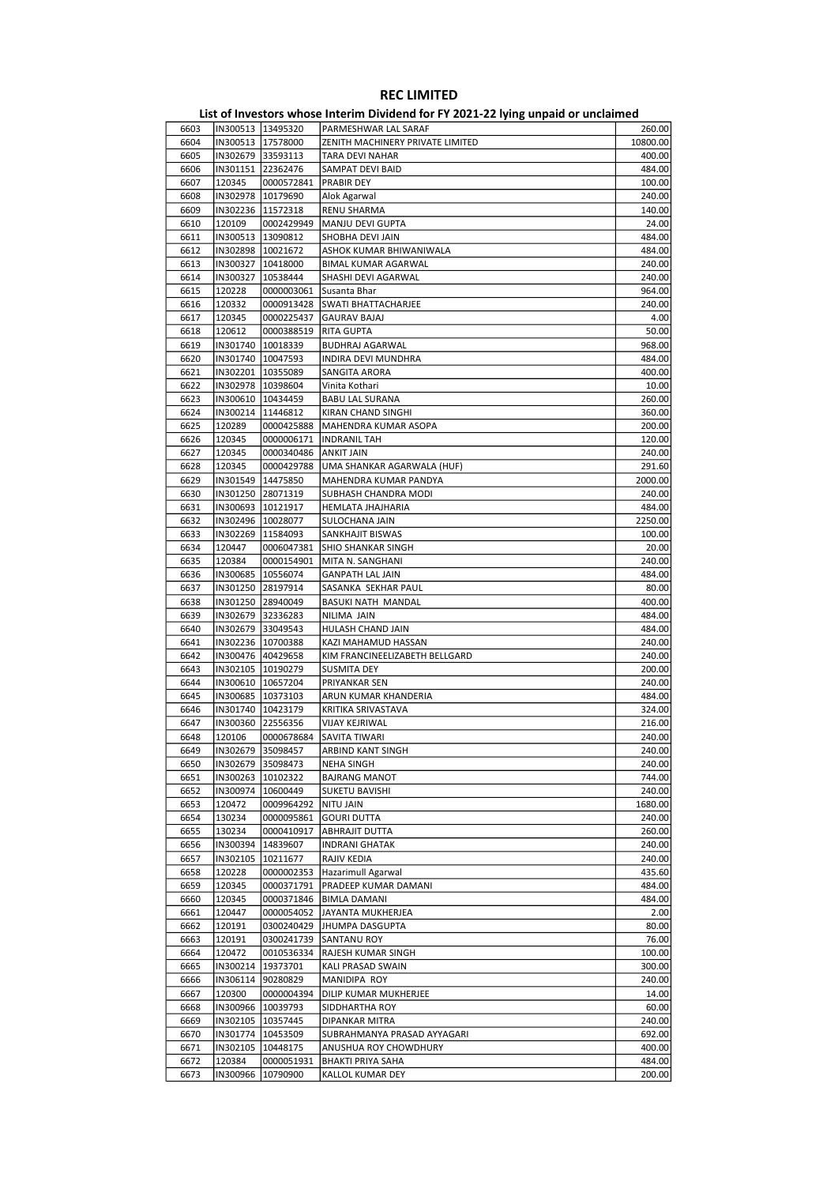| 6603 |          | IN300513 13495320   | PARMESHWAR LAL SARAF             | 260.00   |
|------|----------|---------------------|----------------------------------|----------|
| 6604 |          | IN300513 17578000   | ZENITH MACHINERY PRIVATE LIMITED | 10800.00 |
| 6605 |          | IN302679 33593113   | TARA DEVI NAHAR                  | 400.00   |
| 6606 |          | IN301151 22362476   | SAMPAT DEVI BAID                 | 484.00   |
| 6607 | 120345   | 0000572841          | PRABIR DEY                       | 100.00   |
| 6608 |          | IN302978   10179690 | Alok Agarwal                     | 240.00   |
| 6609 |          | IN302236 11572318   | RENU SHARMA                      | 140.00   |
| 6610 | 120109   | 0002429949          | MANJU DEVI GUPTA                 | 24.00    |
| 6611 |          | IN300513   13090812 | SHOBHA DEVI JAIN                 | 484.00   |
| 6612 |          | IN302898 10021672   | ASHOK KUMAR BHIWANIWALA          | 484.00   |
| 6613 |          | IN300327 10418000   | BIMAL KUMAR AGARWAL              | 240.00   |
| 6614 | IN300327 | 10538444            | SHASHI DEVI AGARWAL              | 240.00   |
| 6615 | 120228   | 0000003061          | Susanta Bhar                     | 964.00   |
| 6616 | 120332   | 0000913428          | SWATI BHATTACHARJEE              | 240.00   |
| 6617 | 120345   | 0000225437          | <b>GAURAV BAJAJ</b>              | 4.00     |
| 6618 | 120612   | 0000388519          | RITA GUPTA                       | 50.00    |
| 6619 |          | IN301740   10018339 | <b>BUDHRAJ AGARWAL</b>           | 968.00   |
| 6620 |          | IN301740   10047593 | INDIRA DEVI MUNDHRA              | 484.00   |
| 6621 | IN302201 | 10355089            | SANGITA ARORA                    | 400.00   |
| 6622 |          | IN302978   10398604 | Vinita Kothari                   | 10.00    |
| 6623 |          | IN300610   10434459 | <b>BABU LAL SURANA</b>           | 260.00   |
| 6624 |          | IN300214   11446812 | KIRAN CHAND SINGHI               | 360.00   |
| 6625 | 120289   | 0000425888          | MAHENDRA KUMAR ASOPA             | 200.00   |
| 6626 | 120345   | 0000006171          | <b>INDRANIL TAH</b>              | 120.00   |
| 6627 | 120345   | 0000340486          | ANKIT JAIN                       | 240.00   |
| 6628 | 120345   | 0000429788          | UMA SHANKAR AGARWALA (HUF)       | 291.60   |
| 6629 |          | IN301549 14475850   | MAHENDRA KUMAR PANDYA            | 2000.00  |
| 6630 |          | IN301250 28071319   | SUBHASH CHANDRA MODI             | 240.00   |
| 6631 | IN300693 | 10121917            | HEMLATA JHAJHARIA                | 484.00   |
| 6632 |          | IN302496   10028077 | SULOCHANA JAIN                   | 2250.00  |
| 6633 |          | IN302269   11584093 | SANKHAJIT BISWAS                 | 100.00   |
| 6634 | 120447   | 0006047381          | <b>SHIO SHANKAR SINGH</b>        | 20.00    |
| 6635 | 120384   | 0000154901          | MITA N. SANGHANI                 | 240.00   |
| 6636 |          | IN300685   10556074 | <b>GANPATH LAL JAIN</b>          | 484.00   |
| 6637 |          | IN301250 28197914   | SASANKA SEKHAR PAUL              | 80.00    |
| 6638 |          | IN301250 28940049   | BASUKI NATH MANDAL               | 400.00   |
| 6639 |          | IN302679 32336283   | NILIMA JAIN                      | 484.00   |
| 6640 |          | IN302679 33049543   | HULASH CHAND JAIN                | 484.00   |
| 6641 |          | IN302236 10700388   | KAZI MAHAMUD HASSAN              | 240.00   |
| 6642 |          | IN300476 40429658   | KIM FRANCINEELIZABETH BELLGARD   | 240.00   |
| 6643 |          | IN302105   10190279 | <b>SUSMITA DEY</b>               | 200.00   |
| 6644 |          | IN300610 10657204   | PRIYANKAR SEN                    | 240.00   |
| 6645 |          | IN300685   10373103 | ARUN KUMAR KHANDERIA             | 484.00   |
| 6646 |          | IN301740 10423179   | KRITIKA SRIVASTAVA               | 324.00   |
| 6647 |          | IN300360 22556356   | VIJAY KEJRIWAL                   | 216.00   |
|      |          | 0000678684          |                                  |          |
| 6648 | 120106   |                     | <b>SAVITA TIWARI</b>             | 240.00   |
| 6649 | IN302679 | 35098457            | ARBIND KANT SINGH                | 240.00   |
| 6650 |          | IN302679 35098473   | <b>NEHA SINGH</b>                | 240.00   |
| 6651 | IN300263 | 10102322            | <b>BAJRANG MANOT</b>             | 744.00   |
| 6652 | IN300974 | 10600449            | <b>SUKETU BAVISHI</b>            | 240.00   |
| 6653 | 120472   | 0009964292          | <b>NITU JAIN</b>                 | 1680.00  |
| 6654 | 130234   | 0000095861          | <b>GOURI DUTTA</b>               | 240.00   |
| 6655 | 130234   | 0000410917          | <b>ABHRAJIT DUTTA</b>            | 260.00   |
| 6656 | IN300394 | 14839607            | <b>INDRANI GHATAK</b>            | 240.00   |
| 6657 | IN302105 | 10211677            | RAJIV KEDIA                      | 240.00   |
| 6658 | 120228   | 0000002353          | Hazarimull Agarwal               | 435.60   |
| 6659 | 120345   | 0000371791          | PRADEEP KUMAR DAMANI             | 484.00   |
| 6660 | 120345   | 0000371846          | <b>BIMLA DAMANI</b>              | 484.00   |
| 6661 | 120447   |                     | 0000054052 JJAYANTA MUKHERJEA    | 2.00     |
| 6662 | 120191   | 0300240429          | <b>JHUMPA DASGUPTA</b>           | 80.00    |
| 6663 | 120191   |                     | 0300241739 SANTANU ROY           | 76.00    |
| 6664 | 120472   | 0010536334          | RAJESH KUMAR SINGH               | 100.00   |
| 6665 | IN300214 | 19373701            | KALI PRASAD SWAIN                | 300.00   |
| 6666 | IN306114 | 90280829            | MANIDIPA ROY                     | 240.00   |
| 6667 | 120300   | 0000004394          | DILIP KUMAR MUKHERJEE            | 14.00    |
| 6668 |          | IN300966   10039793 | SIDDHARTHA ROY                   | 60.00    |
| 6669 |          | IN302105   10357445 | DIPANKAR MITRA                   | 240.00   |
| 6670 |          | IN301774   10453509 | SUBRAHMANYA PRASAD AYYAGARI      | 692.00   |
| 6671 | IN302105 | 10448175            | ANUSHUA ROY CHOWDHURY            | 400.00   |
|      | 120384   | 0000051931          | <b>BHAKTI PRIYA SAHA</b>         | 484.00   |

6673 IN300966 10790900 KALLOL KUMAR DEY 200.00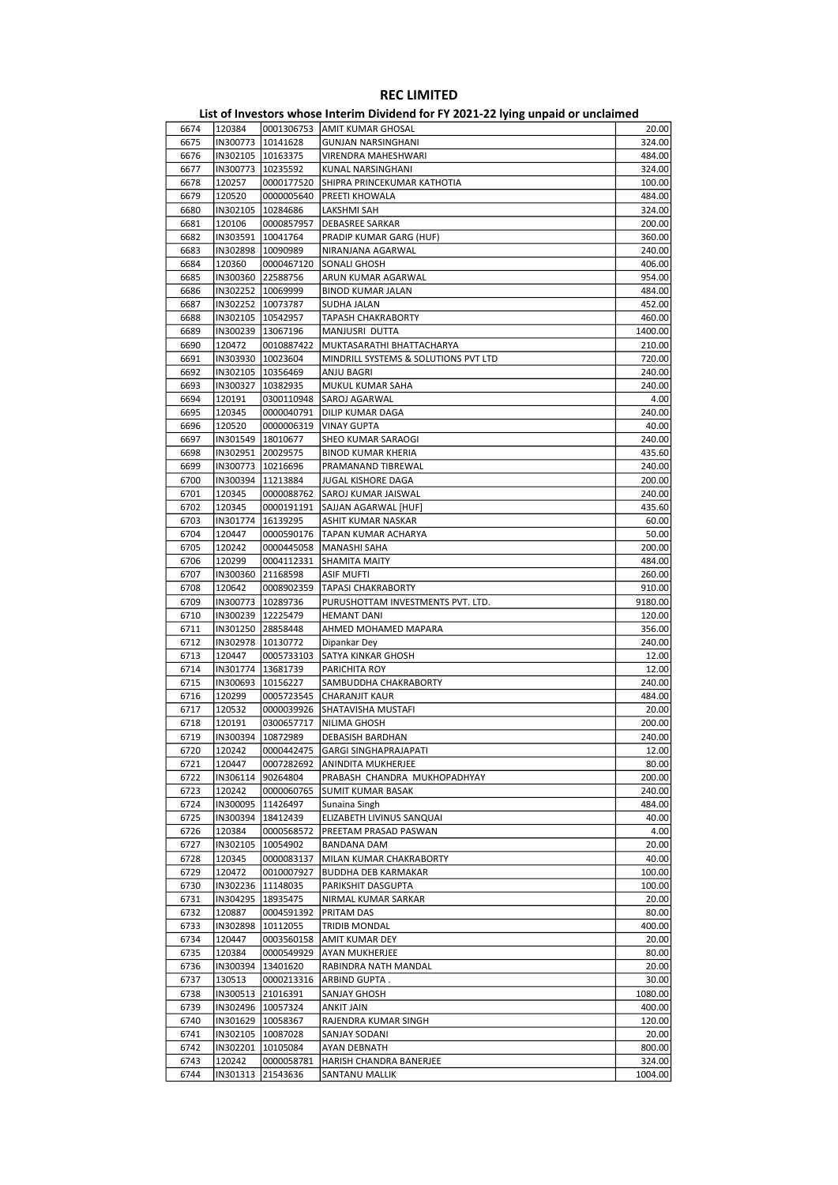| 6674 | 120384              |            | 0001306753   AMIT KUMAR GHOSAL       | 20.00   |
|------|---------------------|------------|--------------------------------------|---------|
| 6675 | IN300773   10141628 |            | <b>GUNJAN NARSINGHANI</b>            | 324.00  |
| 6676 | IN302105   10163375 |            | VIRENDRA MAHESHWARI                  | 484.00  |
| 6677 | IN300773   10235592 |            | KUNAL NARSINGHANI                    | 324.00  |
| 6678 | 120257              | 0000177520 | SHIPRA PRINCEKUMAR KATHOTIA          | 100.00  |
|      |                     |            | PREETI KHOWALA                       |         |
| 6679 | 120520              | 0000005640 |                                      | 484.00  |
| 6680 | IN302105   10284686 |            | LAKSHMI SAH                          | 324.00  |
| 6681 | 120106              | 0000857957 | <b>DEBASREE SARKAR</b>               | 200.00  |
| 6682 | IN303591   10041764 |            | PRADIP KUMAR GARG (HUF)              | 360.00  |
| 6683 | IN302898   10090989 |            | NIRANJANA AGARWAL                    | 240.00  |
| 6684 | 120360              | 0000467120 | SONALI GHOSH                         | 406.00  |
| 6685 | IN300360 22588756   |            | ARUN KUMAR AGARWAL                   | 954.00  |
| 6686 | IN302252 10069999   |            | <b>BINOD KUMAR JALAN</b>             | 484.00  |
| 6687 | IN302252 10073787   |            | SUDHA JALAN                          | 452.00  |
| 6688 | IN302105 10542957   |            | <b>TAPASH CHAKRABORTY</b>            | 460.00  |
| 6689 | IN300239 13067196   |            | MANJUSRI DUTTA                       | 1400.00 |
|      |                     |            |                                      |         |
| 6690 | 120472              | 0010887422 | MUKTASARATHI BHATTACHARYA            | 210.00  |
| 6691 | IN303930   10023604 |            | MINDRILL SYSTEMS & SOLUTIONS PVT LTD | 720.00  |
| 6692 | IN302105   10356469 |            | ANJU BAGRI                           | 240.00  |
| 6693 | IN300327   10382935 |            | MUKUL KUMAR SAHA                     | 240.00  |
| 6694 | 120191              | 0300110948 | <b>SAROJ AGARWAL</b>                 | 4.00    |
| 6695 | 120345              | 0000040791 | <b>DILIP KUMAR DAGA</b>              | 240.00  |
| 6696 | 120520              | 0000006319 | <b>VINAY GUPTA</b>                   | 40.00   |
| 6697 | IN301549 18010677   |            | SHEO KUMAR SARAOGI                   | 240.00  |
| 6698 | IN302951 20029575   |            | <b>BINOD KUMAR KHERIA</b>            | 435.60  |
| 6699 | IN300773   10216696 |            | PRAMANAND TIBREWAL                   | 240.00  |
|      |                     |            |                                      |         |
| 6700 | IN300394 11213884   |            | JUGAL KISHORE DAGA                   | 200.00  |
| 6701 | 120345              | 0000088762 | SAROJ KUMAR JAISWAL                  | 240.00  |
| 6702 | 120345              | 0000191191 | SAJJAN AGARWAL [HUF]                 | 435.60  |
| 6703 | IN301774   16139295 |            | ASHIT KUMAR NASKAR                   | 60.00   |
| 6704 | 120447              | 0000590176 | TAPAN KUMAR ACHARYA                  | 50.00   |
| 6705 | 120242              | 0000445058 | MANASHI SAHA                         | 200.00  |
| 6706 | 120299              | 0004112331 | <b>SHAMITA MAITY</b>                 | 484.00  |
| 6707 | IN300360 21168598   |            | <b>ASIF MUFTI</b>                    | 260.00  |
| 6708 | 120642              | 0008902359 | TAPASI CHAKRABORTY                   | 910.00  |
| 6709 | IN300773   10289736 |            | PURUSHOTTAM INVESTMENTS PVT. LTD.    | 9180.00 |
|      |                     |            |                                      |         |
| 6710 | IN300239 12225479   |            | <b>HEMANT DANI</b>                   | 120.00  |
| 6711 | IN301250 28858448   |            | AHMED MOHAMED MAPARA                 | 356.00  |
| 6712 | IN302978 10130772   |            | Dipankar Dey                         | 240.00  |
| 6713 | 120447              | 0005733103 | SATYA KINKAR GHOSH                   | 12.00   |
| 6714 | IN301774 13681739   |            | PARICHITA ROY                        | 12.00   |
| 6715 | IN300693   10156227 |            | SAMBUDDHA CHAKRABORTY                | 240.00  |
| 6716 | 120299              | 0005723545 | <b>CHARANJIT KAUR</b>                | 484.00  |
| 6717 | 120532              |            | 0000039926 SHATAVISHA MUSTAFI        | 20.00   |
| 6718 | 120191              | 0300657717 | NILIMA GHOSH                         | 200.00  |
| 6719 | IN300394 10872989   |            | DEBASISH BARDHAN                     | 240.00  |
|      |                     |            |                                      |         |
| 6720 | 120242              |            | 0000442475   GARGI SINGHAPRAJAPATI   | 12.00   |
| 6721 | 120447              | 0007282692 | ANINDITA MUKHERJEE                   | 80.00   |
| 6722 | IN306114            | 90264804   | PRABASH CHANDRA MUKHOPADHYAY         | 200.00  |
| 6723 | 120242              | 0000060765 | <b>SUMIT KUMAR BASAK</b>             | 240.00  |
| 6724 | IN300095            | 11426497   | Sunaina Singh                        | 484.00  |
| 6725 | IN300394   18412439 |            | ELIZABETH LIVINUS SANQUAI            | 40.00   |
| 6726 | 120384              | 0000568572 | PREETAM PRASAD PASWAN                | 4.00    |
| 6727 | IN302105            | 10054902   | <b>BANDANA DAM</b>                   | 20.00   |
| 6728 | 120345              | 0000083137 | MILAN KUMAR CHAKRABORTY              | 40.00   |
| 6729 | 120472              | 0010007927 | <b>BUDDHA DEB KARMAKAR</b>           | 100.00  |
|      |                     |            | PARIKSHIT DASGUPTA                   |         |
| 6730 | IN302236 11148035   |            |                                      | 100.00  |
| 6731 | IN304295   18935475 |            | NIRMAL KUMAR SARKAR                  | 20.00   |
| 6732 | 120887              | 0004591392 | PRITAM DAS                           | 80.00   |
| 6733 | IN302898            | 10112055   | <b>TRIDIB MONDAL</b>                 | 400.00  |
| 6734 | 120447              | 0003560158 | AMIT KUMAR DEY                       | 20.00   |
| 6735 | 120384              | 0000549929 | AYAN MUKHERJEE                       | 80.00   |
| 6736 | IN300394   13401620 |            | RABINDRA NATH MANDAL                 | 20.00   |
| 6737 | 130513              | 0000213316 | ARBIND GUPTA.                        | 30.00   |
| 6738 | IN300513 21016391   |            | SANJAY GHOSH                         | 1080.00 |
| 6739 | IN302496   10057324 |            | <b>ANKIT JAIN</b>                    | 400.00  |
|      |                     |            |                                      |         |
| 6740 | IN301629   10058367 |            | RAJENDRA KUMAR SINGH                 | 120.00  |
| 6741 | IN302105   10087028 |            | SANJAY SODANI                        | 20.00   |
| 6742 | IN302201 10105084   |            | AYAN DEBNATH                         | 800.00  |
| 6743 | 120242              | 0000058781 | HARISH CHANDRA BANERJEE              | 324.00  |
| 6744 | IN301313            | 21543636   | SANTANU MALLIK                       | 1004.00 |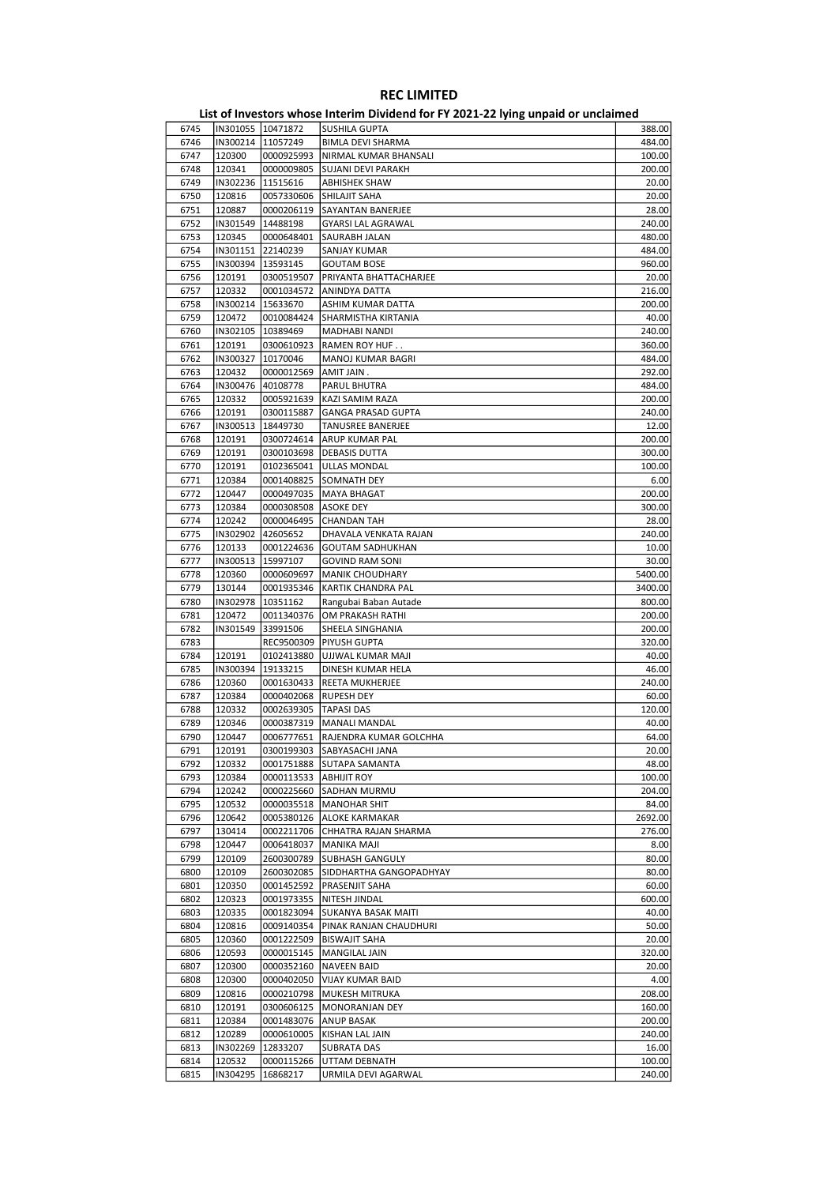| 6745 |                     | IN301055 10471872       | SUSHILA GUPTA              | 388.00  |
|------|---------------------|-------------------------|----------------------------|---------|
| 6746 |                     | IN300214   11057249     | <b>BIMLA DEVI SHARMA</b>   | 484.00  |
| 6747 | 120300              | 0000925993              | NIRMAL KUMAR BHANSALI      | 100.00  |
| 6748 | 120341              | 0000009805              | <b>SUJANI DEVI PARAKH</b>  | 200.00  |
| 6749 |                     | IN302236 11515616       | <b>ABHISHEK SHAW</b>       | 20.00   |
| 6750 | 120816              | 0057330606              | SHILAJIT SAHA              | 20.00   |
|      |                     |                         |                            |         |
| 6751 | 120887              | 0000206119              | SAYANTAN BANERJEE          | 28.00   |
| 6752 |                     | IN301549   14488198     | <b>GYARSI LAL AGRAWAL</b>  | 240.00  |
| 6753 | 120345              | 0000648401              | SAURABH JALAN              | 480.00  |
| 6754 |                     | IN301151 22140239       | SANJAY KUMAR               | 484.00  |
| 6755 |                     | IN300394   13593145     | <b>GOUTAM BOSE</b>         | 960.00  |
| 6756 | 120191              | 0300519507              | PRIYANTA BHATTACHARJEE     | 20.00   |
| 6757 | 120332              | 0001034572              | ANINDYA DATTA              | 216.00  |
| 6758 |                     | IN300214 15633670       | ASHIM KUMAR DATTA          | 200.00  |
| 6759 | 120472              | 0010084424              | SHARMISTHA KIRTANIA        | 40.00   |
| 6760 | IN302105   10389469 |                         | MADHABI NANDI              | 240.00  |
| 6761 | 120191              | 0300610923              |                            | 360.00  |
|      |                     |                         | <b>RAMEN ROY HUF</b>       |         |
| 6762 | IN300327            | 10170046                | MANOJ KUMAR BAGRI          | 484.00  |
| 6763 | 120432              | 0000012569              | AMIT JAIN.                 | 292.00  |
| 6764 |                     | IN300476 40108778       | PARUL BHUTRA               | 484.00  |
| 6765 | 120332              | 0005921639              | KAZI SAMIM RAZA            | 200.00  |
| 6766 | 120191              | 0300115887              | <b>GANGA PRASAD GUPTA</b>  | 240.00  |
| 6767 |                     | IN300513   18449730     | TANUSREE BANERJEE          | 12.00   |
| 6768 | 120191              | 0300724614              | ARUP KUMAR PAL             | 200.00  |
| 6769 | 120191              | 0300103698              | <b>DEBASIS DUTTA</b>       | 300.00  |
| 6770 | 120191              | 0102365041              | <b>ULLAS MONDAL</b>        | 100.00  |
|      |                     |                         |                            |         |
| 6771 | 120384              | 0001408825              | SOMNATH DEY                | 6.00    |
| 6772 | 120447              | 0000497035              | <b>MAYA BHAGAT</b>         | 200.00  |
| 6773 | 120384              | 0000308508              | ASOKE DEY                  | 300.00  |
| 6774 | 120242              | 0000046495              | <b>CHANDAN TAH</b>         | 28.00   |
| 6775 | IN302902            | 42605652                | DHAVALA VENKATA RAJAN      | 240.00  |
| 6776 | 120133              | 0001224636              | <b>GOUTAM SADHUKHAN</b>    | 10.00   |
| 6777 |                     | IN300513   15997107     | <b>GOVIND RAM SONI</b>     | 30.00   |
| 6778 | 120360              | 0000609697              | <b>MANIK CHOUDHARY</b>     | 5400.00 |
| 6779 | 130144              | 0001935346              | <b>KARTIK CHANDRA PAL</b>  | 3400.00 |
| 6780 |                     | IN302978   10351162     | Rangubai Baban Autade      | 800.00  |
|      |                     |                         |                            |         |
| 6781 | 120472              | 0011340376              | OM PRAKASH RATHI           | 200.00  |
| 6782 |                     | IN301549 33991506       | SHEELA SINGHANIA           | 200.00  |
| 6783 |                     |                         | REC9500309   PIYUSH GUPTA  | 320.00  |
| 6784 | 120191              | 0102413880              | UJJWAL KUMAR MAJI          | 40.00   |
| 6785 |                     | IN300394 19133215       | DINESH KUMAR HELA          | 46.00   |
| 6786 | 120360              | 0001630433              | REETA MUKHERJEE            | 240.00  |
| 6787 | 120384              | 0000402068              | <b>RUPESH DEY</b>          | 60.00   |
| 6788 | 120332              | 0002639305   TAPASI DAS |                            | 120.00  |
| 6789 | 120346              | 0000387319              | <b>MANALI MANDAL</b>       | 40.00   |
| 6790 | 120447              | 0006777651              | RAJENDRA KUMAR GOLCHHA     | 64.00   |
| 6791 | 120191              |                         | 0300199303 SABYASACHI JANA | 20.00   |
|      |                     |                         |                            |         |
| 6792 | 120332              | 0001751888              | SUTAPA SAMANTA             | 48.00   |
| 6793 | 120384              | 0000113533              | <b>ABHIJIT ROY</b>         | 100.00  |
| 6794 | 120242              | 0000225660              | <b>SADHAN MURMU</b>        | 204.00  |
| 6795 | 120532              | 0000035518              | <b>MANOHAR SHIT</b>        | 84.00   |
| 6796 | 120642              | 0005380126              | ALOKE KARMAKAR             | 2692.00 |
| 6797 | 130414              | 0002211706              | CHHATRA RAJAN SHARMA       | 276.00  |
| 6798 | 120447              | 0006418037              | MANIKA MAJI                | 8.00    |
| 6799 | 120109              | 2600300789              | <b>SUBHASH GANGULY</b>     | 80.00   |
| 6800 | 120109              | 2600302085              | SIDDHARTHA GANGOPADHYAY    | 80.00   |
| 6801 | 120350              | 0001452592              | PRASENJIT SAHA             | 60.00   |
|      |                     |                         |                            |         |
| 6802 | 120323              | 0001973355              | NITESH JINDAL              | 600.00  |
| 6803 | 120335              | 0001823094              | SUKANYA BASAK MAITI        | 40.00   |
| 6804 | 120816              | 0009140354              | PINAK RANJAN CHAUDHURI     | 50.00   |
| 6805 | 120360              | 0001222509              | <b>BISWAJIT SAHA</b>       | 20.00   |
| 6806 | 120593              | 0000015145              | <b>MANGILAL JAIN</b>       | 320.00  |
| 6807 | 120300              | 0000352160              | <b>NAVEEN BAID</b>         | 20.00   |
| 6808 | 120300              | 0000402050              | <b>VIJAY KUMAR BAID</b>    | 4.00    |
| 6809 | 120816              | 0000210798              | MUKESH MITRUKA             | 208.00  |
| 6810 | 120191              | 0300606125              | MONORANJAN DEY             | 160.00  |
|      |                     |                         |                            |         |
| 6811 | 120384              | 0001483076              | <b>ANUP BASAK</b>          | 200.00  |
| 6812 | 120289              | 0000610005              | KISHAN LAL JAIN            | 240.00  |
| 6813 | IN302269            | 12833207                | SUBRATA DAS                | 16.00   |
| 6814 | 120532              | 0000115266              | UTTAM DEBNATH              | 100.00  |
| 6815 | IN304295            | 16868217                | URMILA DEVI AGARWAL        | 240.00  |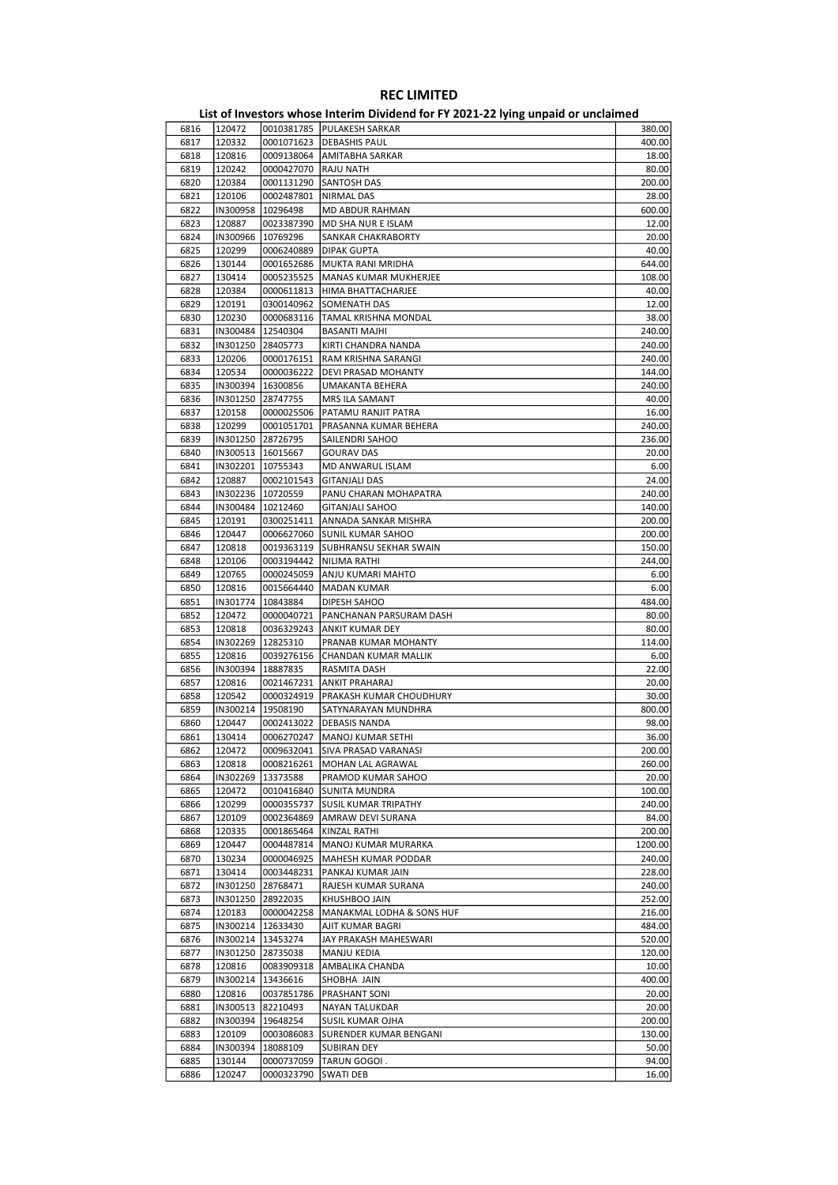| 6816 | 120472              |                     | 0010381785  PULAKESH SARKAR     | 380.00  |
|------|---------------------|---------------------|---------------------------------|---------|
| 6817 | 120332              | 0001071623          | <b>DEBASHIS PAUL</b>            | 400.00  |
| 6818 | 120816              | 0009138064          | AMITABHA SARKAR                 | 18.00   |
| 6819 | 120242              | 0000427070          | <b>RAJU NATH</b>                | 80.00   |
| 6820 | 120384              | 0001131290          | <b>SANTOSH DAS</b>              | 200.00  |
| 6821 | 120106              | 0002487801          | <b>NIRMAL DAS</b>               | 28.00   |
|      |                     |                     |                                 |         |
| 6822 | IN300958            | 10296498            | MD ABDUR RAHMAN                 | 600.00  |
| 6823 | 120887              | 0023387390          | MD SHA NUR E ISLAM              | 12.00   |
| 6824 | IN300966            | 10769296            | SANKAR CHAKRABORTY              | 20.00   |
| 6825 | 120299              | 0006240889          | <b>DIPAK GUPTA</b>              | 40.00   |
| 6826 | 130144              | 0001652686          | MUKTA RANI MRIDHA               | 644.00  |
| 6827 | 130414              | 0005235525          | <b>MANAS KUMAR MUKHERJEE</b>    | 108.00  |
| 6828 | 120384              | 0000611813          | HIMA BHATTACHARJEE              | 40.00   |
| 6829 | 120191              | 0300140962          | <b>SOMENATH DAS</b>             | 12.00   |
| 6830 | 120230              | 0000683116          | TAMAL KRISHNA MONDAL            | 38.00   |
|      | IN300484            | 12540304            |                                 |         |
| 6831 |                     |                     | <b>BASANTI MAJHI</b>            | 240.00  |
| 6832 | IN301250            | 28405773            | KIRTI CHANDRA NANDA             | 240.00  |
| 6833 | 120206              | 0000176151          | RAM KRISHNA SARANGI             | 240.00  |
| 6834 | 120534              | 0000036222          | DEVI PRASAD MOHANTY             | 144.00  |
| 6835 | IN300394   16300856 |                     | UMAKANTA BEHERA                 | 240.00  |
| 6836 | IN301250            | 28747755            | MRS ILA SAMANT                  | 40.00   |
| 6837 | 120158              | 0000025506          | PATAMU RANJIT PATRA             | 16.00   |
| 6838 | 120299              | 0001051701          | PRASANNA KUMAR BEHERA           | 240.00  |
| 6839 | IN301250 28726795   |                     | SAILENDRI SAHOO                 | 236.00  |
| 6840 |                     | IN300513   16015667 | <b>GOURAV DAS</b>               | 20.00   |
|      |                     |                     |                                 |         |
| 6841 | IN302201            | 10755343            | MD ANWARUL ISLAM                | 6.00    |
| 6842 | 120887              | 0002101543          | GITANJALI DAS                   | 24.00   |
| 6843 |                     | IN302236 10720559   | PANU CHARAN MOHAPATRA           | 240.00  |
| 6844 |                     | IN300484   10212460 | <b>GITANJALI SAHOO</b>          | 140.00  |
| 6845 | 120191              | 0300251411          | ANNADA SANKAR MISHRA            | 200.00  |
| 6846 | 120447              | 0006627060          | <b>SUNIL KUMAR SAHOO</b>        | 200.00  |
| 6847 | 120818              | 0019363119          | SUBHRANSU SEKHAR SWAIN          | 150.00  |
| 6848 | 120106              | 0003194442          | NILIMA RATHI                    | 244.00  |
| 6849 | 120765              | 0000245059          | <b>ANJU KUMARI MAHTO</b>        | 6.00    |
| 6850 | 120816              | 0015664440          | MADAN KUMAR                     | 6.00    |
|      | IN301774            | 10843884            |                                 | 484.00  |
| 6851 |                     |                     | DIPESH SAHOO                    |         |
| 6852 | 120472              | 0000040721          | PANCHANAN PARSURAM DASH         | 80.00   |
| 6853 | 120818              | 0036329243          | <b>ANKIT KUMAR DEY</b>          | 80.00   |
| 6854 |                     | IN302269 12825310   | PRANAB KUMAR MOHANTY            | 114.00  |
| 6855 | 120816              | 0039276156          | CHANDAN KUMAR MALLIK            | 6.00    |
| 6856 | IN300394            | 18887835            | RASMITA DASH                    | 22.00   |
| 6857 | 120816              | 0021467231          | ANKIT PRAHARAJ                  | 20.00   |
| 6858 | 120542              | 0000324919          | PRAKASH KUMAR CHOUDHURY         | 30.00   |
| 6859 |                     | IN300214   19508190 | SATYNARAYAN MUNDHRA             | 800.00  |
| 6860 | 120447              | 0002413022          | <b>DEBASIS NANDA</b>            | 98.00   |
| 6861 | 130414              | 0006270247          | MANOJ KUMAR SETHI               | 36.00   |
|      |                     |                     |                                 |         |
| 6862 | 120472              |                     | 0009632041 SIVA PRASAD VARANASI | 200.00  |
| 6863 | 120818              |                     | 0008216261   MOHAN LAL AGRAWAL  | 260.00  |
| 6864 | IN302269            | 13373588            | PRAMOD KUMAR SAHOO              | 20.00   |
| 6865 | 120472              | 0010416840          | <b>SUNITA MUNDRA</b>            | 100.00  |
| 6866 | 120299              | 0000355737          | <b>SUSIL KUMAR TRIPATHY</b>     | 240.00  |
| 6867 | 120109              | 0002364869          | AMRAW DEVI SURANA               | 84.00   |
| 6868 | 120335              | 0001865464          | KINZAL RATHI                    | 200.00  |
| 6869 | 120447              | 0004487814          | MANOJ KUMAR MURARKA             | 1200.00 |
| 6870 | 130234              | 0000046925          | MAHESH KUMAR PODDAR             | 240.00  |
| 6871 | 130414              | 0003448231          | PANKAJ KUMAR JAIN               | 228.00  |
|      |                     |                     |                                 |         |
| 6872 | IN301250            | 28768471            | RAJESH KUMAR SURANA             | 240.00  |
| 6873 |                     | IN301250 28922035   | KHUSHBOO JAIN                   | 252.00  |
| 6874 | 120183              | 0000042258          | MANAKMAL LODHA & SONS HUF       | 216.00  |
| 6875 | IN300214            | 12633430            | AJIT KUMAR BAGRI                | 484.00  |
| 6876 |                     | IN300214   13453274 | JAY PRAKASH MAHESWARI           | 520.00  |
| 6877 |                     | IN301250 28735038   | MANJU KEDIA                     | 120.00  |
| 6878 | 120816              | 0083909318          | AMBALIKA CHANDA                 | 10.00   |
| 6879 | IN300214            | 13436616            | SHOBHA JAIN                     | 400.00  |
| 6880 | 120816              | 0037851786          | PRASHANT SONI                   | 20.00   |
| 6881 | IN300513            | 82210493            | <b>NAYAN TALUKDAR</b>           | 20.00   |
|      |                     |                     |                                 |         |
| 6882 | IN300394            | 19648254            | SUSIL KUMAR OJHA                | 200.00  |
| 6883 | 120109              | 0003086083          | SURENDER KUMAR BENGANI          | 130.00  |
| 6884 | IN300394            | 18088109            | <b>SUBIRAN DEY</b>              | 50.00   |
| 6885 | 130144              | 0000737059          | TARUN GOGOI.                    | 94.00   |
| 6886 | 120247              | 0000323790          | <b>SWATI DEB</b>                | 16.00   |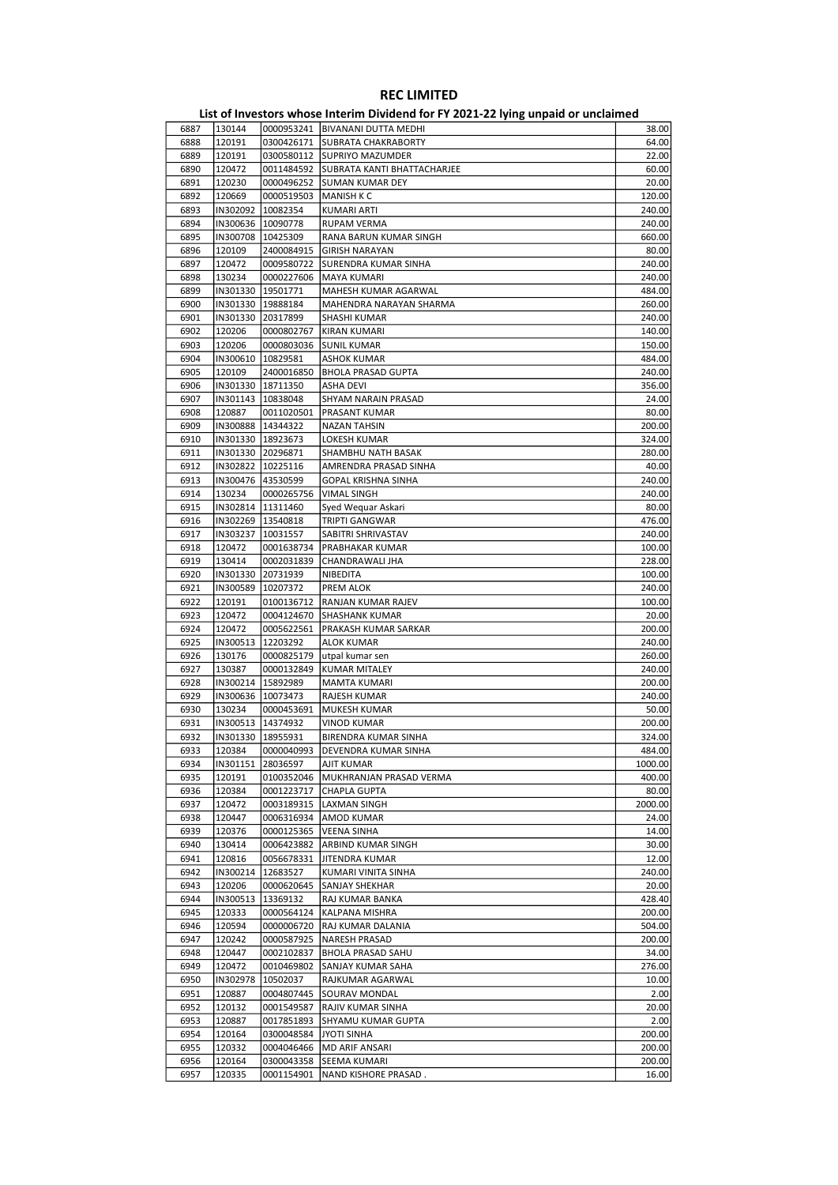| 6887 | 130144              |                     | 0000953241   BIVANANI DUTTA MEDHI      | 38.00   |
|------|---------------------|---------------------|----------------------------------------|---------|
| 6888 | 120191              | 0300426171          | <b>SUBRATA CHAKRABORTY</b>             | 64.00   |
| 6889 | 120191              | 0300580112          | <b>SUPRIYO MAZUMDER</b>                | 22.00   |
|      |                     |                     |                                        |         |
| 6890 | 120472              |                     | 0011484592 SUBRATA KANTI BHATTACHARJEE | 60.00   |
| 6891 | 120230              | 0000496252          | <b>SUMAN KUMAR DEY</b>                 | 20.00   |
| 6892 | 120669              | 0000519503          | <b>MANISH K C</b>                      | 120.00  |
| 6893 | IN302092            | 10082354            | <b>KUMARI ARTI</b>                     | 240.00  |
| 6894 |                     | IN300636   10090778 | <b>RUPAM VERMA</b>                     | 240.00  |
| 6895 | IN300708   10425309 |                     | RANA BARUN KUMAR SINGH                 | 660.00  |
|      |                     |                     |                                        |         |
| 6896 | 120109              | 2400084915          | <b>GIRISH NARAYAN</b>                  | 80.00   |
| 6897 | 120472              | 0009580722          | SURENDRA KUMAR SINHA                   | 240.00  |
| 6898 | 130234              | 0000227606          | <b>MAYA KUMARI</b>                     | 240.00  |
| 6899 |                     | IN301330 19501771   | MAHESH KUMAR AGARWAL                   | 484.00  |
| 6900 | IN301330   19888184 |                     | MAHENDRA NARAYAN SHARMA                | 260.00  |
| 6901 | IN301330 20317899   |                     | SHASHI KUMAR                           | 240.00  |
|      |                     |                     |                                        |         |
| 6902 | 120206              | 0000802767          | <b>KIRAN KUMARI</b>                    | 140.00  |
| 6903 | 120206              | 0000803036          | <b>SUNIL KUMAR</b>                     | 150.00  |
| 6904 | IN300610   10829581 |                     | <b>ASHOK KUMAR</b>                     | 484.00  |
| 6905 | 120109              | 2400016850          | BHOLA PRASAD GUPTA                     | 240.00  |
| 6906 | IN301330   18711350 |                     | ASHA DEVI                              | 356.00  |
| 6907 | IN301143            | 10838048            | SHYAM NARAIN PRASAD                    | 24.00   |
|      |                     |                     |                                        |         |
| 6908 | 120887              | 0011020501          | <b>PRASANT KUMAR</b>                   | 80.00   |
| 6909 | IN300888   14344322 |                     | <b>NAZAN TAHSIN</b>                    | 200.00  |
| 6910 | IN301330   18923673 |                     | LOKESH KUMAR                           | 324.00  |
| 6911 | IN301330 20296871   |                     | SHAMBHU NATH BASAK                     | 280.00  |
| 6912 | IN302822            | 10225116            | AMRENDRA PRASAD SINHA                  | 40.00   |
| 6913 |                     |                     |                                        | 240.00  |
|      | IN300476 43530599   |                     | <b>GOPAL KRISHNA SINHA</b>             |         |
| 6914 | 130234              | 0000265756          | <b>VIMAL SINGH</b>                     | 240.00  |
| 6915 | IN302814 11311460   |                     | Syed Wequar Askari                     | 80.00   |
| 6916 | IN302269 13540818   |                     | TRIPTI GANGWAR                         | 476.00  |
| 6917 | IN303237            | 10031557            | SABITRI SHRIVASTAV                     | 240.00  |
| 6918 | 120472              | 0001638734          | PRABHAKAR KUMAR                        | 100.00  |
| 6919 | 130414              | 0002031839          |                                        | 228.00  |
|      |                     |                     | CHANDRAWALI JHA                        |         |
| 6920 | IN301330 20731939   |                     | NIBEDITA                               | 100.00  |
| 6921 | IN300589            | 10207372            | PREM ALOK                              | 240.00  |
| 6922 | 120191              | 0100136712          | RANJAN KUMAR RAJEV                     | 100.00  |
| 6923 | 120472              | 0004124670          | <b>SHASHANK KUMAR</b>                  | 20.00   |
| 6924 | 120472              | 0005622561          | PRAKASH KUMAR SARKAR                   | 200.00  |
|      |                     |                     |                                        |         |
| 6925 | IN300513   12203292 |                     | <b>ALOK KUMAR</b>                      | 240.00  |
| 6926 | 130176              | 0000825179          | utpal kumar sen                        | 260.00  |
| 6927 | 130387              | 0000132849          | <b>KUMAR MITALEY</b>                   | 240.00  |
| 6928 | IN300214            | 15892989            | <b>MAMTA KUMARI</b>                    | 200.00  |
| 6929 | IN300636   10073473 |                     | RAJESH KUMAR                           | 240.00  |
| 6930 | 130234              | 0000453691          | MUKESH KUMAR                           | 50.00   |
| 6931 | IN300513   14374932 |                     | <b>VINOD KUMAR</b>                     | 200.00  |
|      |                     |                     |                                        |         |
| 6932 | IN301330 18955931   |                     | <b>BIRENDRA KUMAR SINHA</b>            | 324.00  |
| 6933 | 120384              | 0000040993          | DEVENDRA KUMAR SINHA                   | 484.00  |
| 6934 |                     | IN301151 28036597   | AJIT KUMAR                             | 1000.00 |
| 6935 | 120191              | 0100352046          | MUKHRANJAN PRASAD VERMA                | 400.00  |
| 6936 | 120384              | 0001223717          | CHAPLA GUPTA                           | 80.00   |
| 6937 | 120472              | 0003189315          | <b>LAXMAN SINGH</b>                    | 2000.00 |
|      |                     |                     |                                        |         |
| 6938 | 120447              | 0006316934          | AMOD KUMAR                             | 24.00   |
| 6939 | 120376              | 0000125365          | <b>VEENA SINHA</b>                     | 14.00   |
| 6940 | 130414              | 0006423882          | ARBIND KUMAR SINGH                     | 30.00   |
| 6941 | 120816              | 0056678331          | JITENDRA KUMAR                         | 12.00   |
| 6942 | IN300214            | 12683527            | KUMARI VINITA SINHA                    | 240.00  |
| 6943 | 120206              | 0000620645          | SANJAY SHEKHAR                         | 20.00   |
|      |                     |                     |                                        |         |
| 6944 | IN300513            | 13369132            | RAJ KUMAR BANKA                        | 428.40  |
| 6945 | 120333              | 0000564124          | KALPANA MISHRA                         | 200.00  |
| 6946 | 120594              | 0000006720          | RAJ KUMAR DALANIA                      | 504.00  |
| 6947 | 120242              | 0000587925          | NARESH PRASAD                          | 200.00  |
| 6948 | 120447              | 0002102837          | <b>BHOLA PRASAD SAHU</b>               | 34.00   |
| 6949 | 120472              | 0010469802          | SANJAY KUMAR SAHA                      | 276.00  |
|      |                     |                     |                                        |         |
| 6950 | IN302978            | 10502037            | RAJKUMAR AGARWAL                       | 10.00   |
| 6951 | 120887              | 0004807445          | SOURAV MONDAL                          | 2.00    |
| 6952 | 120132              | 0001549587          | RAJIV KUMAR SINHA                      | 20.00   |
| 6953 | 120887              | 0017851893          | SHYAMU KUMAR GUPTA                     | 2.00    |
| 6954 | 120164              | 0300048584          | JYOTI SINHA                            | 200.00  |
| 6955 | 120332              | 0004046466          | <b>MD ARIF ANSARI</b>                  | 200.00  |
|      |                     |                     |                                        |         |
| 6956 | 120164              | 0300043358          | SEEMA KUMARI                           | 200.00  |
| 6957 | 120335              | 0001154901          | NAND KISHORE PRASAD.                   | 16.00   |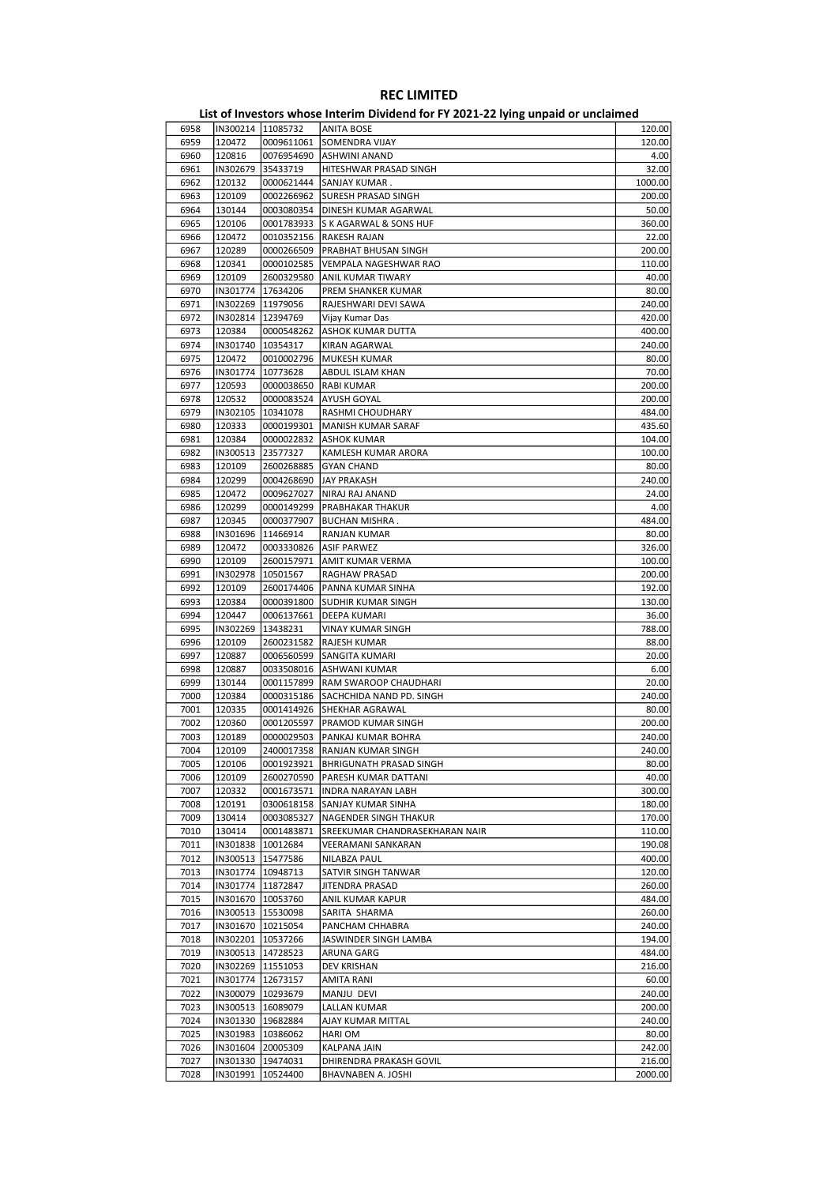| 6958 | IN300214   11085732 |                     | ANITA BOSE                     | 120.00  |
|------|---------------------|---------------------|--------------------------------|---------|
| 6959 | 120472              | 0009611061          | <b>SOMENDRA VIJAY</b>          | 120.00  |
| 6960 | 120816              | 0076954690          | ASHWINI ANAND                  | 4.00    |
| 6961 | IN302679            | 35433719            | HITESHWAR PRASAD SINGH         | 32.00   |
| 6962 | 120132              | 0000621444          | SANJAY KUMAR.                  | 1000.00 |
| 6963 | 120109              | 0002266962          | <b>SURESH PRASAD SINGH</b>     | 200.00  |
| 6964 |                     | 0003080354          | DINESH KUMAR AGARWAL           |         |
|      | 130144              |                     |                                | 50.00   |
| 6965 | 120106              | 0001783933          | S K AGARWAL & SONS HUF         | 360.00  |
| 6966 | 120472              | 0010352156          | RAKESH RAJAN                   | 22.00   |
| 6967 | 120289              | 0000266509          | PRABHAT BHUSAN SINGH           | 200.00  |
| 6968 | 120341              | 0000102585          | VEMPALA NAGESHWAR RAO          | 110.00  |
| 6969 | 120109              | 2600329580          | ANIL KUMAR TIWARY              | 40.00   |
| 6970 |                     | IN301774   17634206 | PREM SHANKER KUMAR             | 80.00   |
| 6971 | IN302269            | 11979056            | RAJESHWARI DEVI SAWA           | 240.00  |
| 6972 |                     | IN302814   12394769 | Vijay Kumar Das                | 420.00  |
| 6973 | 120384              | 0000548262          | ASHOK KUMAR DUTTA              | 400.00  |
| 6974 |                     | IN301740   10354317 | KIRAN AGARWAL                  | 240.00  |
|      |                     |                     |                                |         |
| 6975 | 120472              | 0010002796          | MUKESH KUMAR                   | 80.00   |
| 6976 | IN301774            | 10773628            | ABDUL ISLAM KHAN               | 70.00   |
| 6977 | 120593              | 0000038650          | RABI KUMAR                     | 200.00  |
| 6978 | 120532              | 0000083524          | AYUSH GOYAL                    | 200.00  |
| 6979 | IN302105            | 10341078            | RASHMI CHOUDHARY               | 484.00  |
| 6980 | 120333              | 0000199301          | MANISH KUMAR SARAF             | 435.60  |
| 6981 | 120384              | 0000022832          | <b>ASHOK KUMAR</b>             | 104.00  |
| 6982 |                     | IN300513 23577327   | KAMLESH KUMAR ARORA            | 100.00  |
| 6983 | 120109              | 2600268885          | <b>GYAN CHAND</b>              | 80.00   |
|      |                     |                     |                                |         |
| 6984 | 120299              | 0004268690          | <b>JAY PRAKASH</b>             | 240.00  |
| 6985 | 120472              | 0009627027          | NIRAJ RAJ ANAND                | 24.00   |
| 6986 | 120299              | 0000149299          | PRABHAKAR THAKUR               | 4.00    |
| 6987 | 120345              | 0000377907          | <b>BUCHAN MISHRA.</b>          | 484.00  |
| 6988 |                     | IN301696   11466914 | RANJAN KUMAR                   | 80.00   |
| 6989 | 120472              | 0003330826          | <b>ASIF PARWEZ</b>             | 326.00  |
| 6990 | 120109              | 2600157971          | AMIT KUMAR VERMA               | 100.00  |
| 6991 | IN302978            | 10501567            | RAGHAW PRASAD                  | 200.00  |
| 6992 | 120109              | 2600174406          | PANNA KUMAR SINHA              | 192.00  |
| 6993 | 120384              | 0000391800          | <b>SUDHIR KUMAR SINGH</b>      | 130.00  |
|      |                     |                     |                                |         |
| 6994 | 120447              | 0006137661          | DEEPA KUMARI                   | 36.00   |
| 6995 | IN302269            | 13438231            | <b>VINAY KUMAR SINGH</b>       | 788.00  |
| 6996 | 120109              | 2600231582          | RAJESH KUMAR                   | 88.00   |
| 6997 | 120887              | 0006560599          | SANGITA KUMARI                 | 20.00   |
| 6998 | 120887              | 0033508016          | ASHWANI KUMAR                  | 6.00    |
| 6999 | 130144              | 0001157899          | RAM SWAROOP CHAUDHARI          | 20.00   |
| 7000 | 120384              | 0000315186          | SACHCHIDA NAND PD. SINGH       | 240.00  |
| 7001 | 120335              | 0001414926          | SHEKHAR AGRAWAL                | 80.00   |
| 7002 | 120360              | 0001205597          | PRAMOD KUMAR SINGH             | 200.00  |
| 7003 | 120189              | 0000029503          | PANKAJ KUMAR BOHRA             | 240.00  |
|      |                     |                     |                                |         |
| 7004 | 120109              |                     | 2400017358 RANJAN KUMAR SINGH  | 240.00  |
| 7005 | 120106              | 0001923921          | <b>BHRIGUNATH PRASAD SINGH</b> | 80.00   |
| 7006 | 120109              | 2600270590          | PARESH KUMAR DATTANI           | 40.00   |
| 7007 | 120332              | 0001673571          | <b>INDRA NARAYAN LABH</b>      | 300.00  |
| 7008 | 120191              | 0300618158          | SANJAY KUMAR SINHA             | 180.00  |
| 7009 | 130414              | 0003085327          | NAGENDER SINGH THAKUR          | 170.00  |
| 7010 | 130414              | 0001483871          | SREEKUMAR CHANDRASEKHARAN NAIR | 110.00  |
| 7011 |                     | IN301838   10012684 | VEERAMANI SANKARAN             | 190.08  |
| 7012 |                     | IN300513   15477586 | NILABZA PAUL                   | 400.00  |
| 7013 |                     | IN301774 10948713   | SATVIR SINGH TANWAR            | 120.00  |
|      |                     |                     |                                |         |
| 7014 |                     | IN301774 11872847   | JITENDRA PRASAD                | 260.00  |
| 7015 |                     | IN301670 10053760   | ANIL KUMAR KAPUR               | 484.00  |
| 7016 |                     | IN300513   15530098 | SARITA SHARMA                  | 260.00  |
| 7017 |                     | IN301670   10215054 | PANCHAM CHHABRA                | 240.00  |
| 7018 |                     | IN302201   10537266 | JASWINDER SINGH LAMBA          | 194.00  |
| 7019 |                     | IN300513 14728523   | ARUNA GARG                     | 484.00  |
| 7020 |                     | IN302269 11551053   | DEV KRISHAN                    | 216.00  |
| 7021 |                     | IN301774   12673157 | AMITA RANI                     | 60.00   |
| 7022 |                     | IN300079 10293679   | MANJU DEVI                     | 240.00  |
|      |                     |                     |                                |         |
| 7023 |                     | IN300513   16089079 | LALLAN KUMAR                   | 200.00  |
| 7024 |                     | IN301330   19682884 | AJAY KUMAR MITTAL              | 240.00  |
| 7025 |                     | IN301983   10386062 | HARI OM                        | 80.00   |
| 7026 |                     | IN301604 20005309   | KALPANA JAIN                   | 242.00  |
| 7027 |                     | IN301330   19474031 | DHIRENDRA PRAKASH GOVIL        | 216.00  |
| 7028 |                     | IN301991 10524400   | BHAVNABEN A. JOSHI             | 2000.00 |